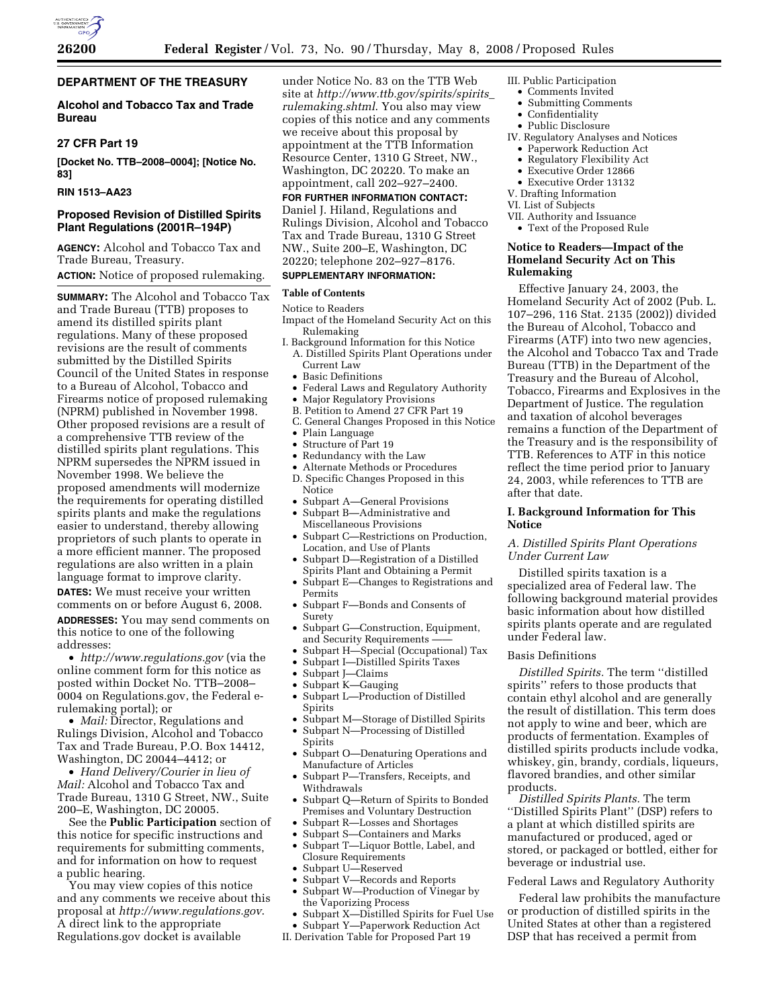

## **DEPARTMENT OF THE TREASURY**

## **Alcohol and Tobacco Tax and Trade Bureau**

## **27 CFR Part 19**

**[Docket No. TTB–2008–0004]; [Notice No. 83]** 

## **RIN 1513–AA23**

## **Proposed Revision of Distilled Spirits Plant Regulations (2001R–194P)**

**AGENCY:** Alcohol and Tobacco Tax and Trade Bureau, Treasury. **ACTION:** Notice of proposed rulemaking.

**SUMMARY:** The Alcohol and Tobacco Tax and Trade Bureau (TTB) proposes to amend its distilled spirits plant regulations. Many of these proposed revisions are the result of comments submitted by the Distilled Spirits Council of the United States in response to a Bureau of Alcohol, Tobacco and Firearms notice of proposed rulemaking (NPRM) published in November 1998. Other proposed revisions are a result of a comprehensive TTB review of the distilled spirits plant regulations. This NPRM supersedes the NPRM issued in November 1998. We believe the proposed amendments will modernize the requirements for operating distilled spirits plants and make the regulations easier to understand, thereby allowing proprietors of such plants to operate in a more efficient manner. The proposed regulations are also written in a plain language format to improve clarity. **DATES:** We must receive your written comments on or before August 6, 2008. **ADDRESSES:** You may send comments on this notice to one of the following addresses:

• *http://www.regulations.gov* (via the online comment form for this notice as posted within Docket No. TTB–2008– 0004 on Regulations.gov, the Federal erulemaking portal); or

• *Mail:* Director, Regulations and Rulings Division, Alcohol and Tobacco Tax and Trade Bureau, P.O. Box 14412, Washington, DC 20044–4412; or

• *Hand Delivery/Courier in lieu of Mail:* Alcohol and Tobacco Tax and Trade Bureau, 1310 G Street, NW., Suite 200–E, Washington, DC 20005.

See the **Public Participation** section of this notice for specific instructions and requirements for submitting comments, and for information on how to request a public hearing.

You may view copies of this notice and any comments we receive about this proposal at *http://www.regulations.gov*. A direct link to the appropriate Regulations.gov docket is available

under Notice No. 83 on the TTB Web site at *http://www.ttb.gov/spirits/spirits*\_ *rulemaking.shtml*. You also may view copies of this notice and any comments we receive about this proposal by appointment at the TTB Information Resource Center, 1310 G Street, NW., Washington, DC 20220. To make an appointment, call 202–927–2400.

## **FOR FURTHER INFORMATION CONTACT:**  Daniel J. Hiland, Regulations and Rulings Division, Alcohol and Tobacco Tax and Trade Bureau, 1310 G Street NW., Suite 200–E, Washington, DC 20220; telephone 202–927–8176.

## **SUPPLEMENTARY INFORMATION:**

## **Table of Contents**

- Notice to Readers Impact of the Homeland Security Act on this Rulemaking
- I. Background Information for this Notice A. Distilled Spirits Plant Operations under Current Law
	- Basic Definitions
- Federal Laws and Regulatory Authority
- Major Regulatory Provisions
- B. Petition to Amend 27 CFR Part 19
- C. General Changes Proposed in this Notice
- Plain Language
- Structure of Part 19
- Redundancy with the Law
- Alternate Methods or Procedures D. Specific Changes Proposed in this
- **Notice** • Subpart A—General Provisions
	- Subpart B—Administrative and Miscellaneous Provisions
	- Subpart C—Restrictions on Production, Location, and Use of Plants
- Subpart D—Registration of a Distilled Spirits Plant and Obtaining a Permit
- Subpart E—Changes to Registrations and Permits
- Subpart F—Bonds and Consents of Surety
- Subpart G—Construction, Equipment, and Security Requirements
- Subpart H—Special (Occupational) Tax<br>• Subpart I—Distilled Spirits Taxes
- Subpart I—Distilled Spirits Taxes
- Subpart J—Claims
- Subpart K—Gauging
- Subpart L—Production of Distilled Spirits
- Subpart M—Storage of Distilled Spirits
- Subpart N—Processing of Distilled Spirits
- Subpart O-Denaturing Operations and Manufacture of Articles
- Subpart P—Transfers, Receipts, and Withdrawals
- Subpart Q—Return of Spirits to Bonded Premises and Voluntary Destruction
- Subpart R—Losses and Shortages
- Subpart S—Containers and Marks
- Subpart T—Liquor Bottle, Label, and Closure Requirements
- Subpart U—Reserved
- Subpart V—Records and Reports • Subpart W—Production of Vinegar by
- the Vaporizing Process • Subpart X—Distilled Spirits for Fuel Use
- Subpart Y—Paperwork Reduction Act
- II. Derivation Table for Proposed Part 19
- III. Public Participation
- Comments Invited • Submitting Comments
- Confidentiality
- Public Disclosure
- IV. Regulatory Analyses and Notices
	- Paperwork Reduction Act
	- Regulatory Flexibility Act
	- Executive Order 12866
	- Executive Order 13132
- V. Drafting Information
- VI. List of Subjects
- VII. Authority and Issuance • Text of the Proposed Rule

## **Notice to Readers—Impact of the Homeland Security Act on This Rulemaking**

Effective January 24, 2003, the Homeland Security Act of 2002 (Pub. L. 107–296, 116 Stat. 2135 (2002)) divided the Bureau of Alcohol, Tobacco and Firearms (ATF) into two new agencies, the Alcohol and Tobacco Tax and Trade Bureau (TTB) in the Department of the Treasury and the Bureau of Alcohol, Tobacco, Firearms and Explosives in the Department of Justice. The regulation and taxation of alcohol beverages remains a function of the Department of the Treasury and is the responsibility of TTB. References to ATF in this notice reflect the time period prior to January 24, 2003, while references to TTB are after that date.

## **I. Background Information for This Notice**

## *A. Distilled Spirits Plant Operations Under Current Law*

Distilled spirits taxation is a specialized area of Federal law. The following background material provides basic information about how distilled spirits plants operate and are regulated under Federal law.

## Basis Definitions

*Distilled Spirits.* The term ''distilled spirits'' refers to those products that contain ethyl alcohol and are generally the result of distillation. This term does not apply to wine and beer, which are products of fermentation. Examples of distilled spirits products include vodka, whiskey, gin, brandy, cordials, liqueurs, flavored brandies, and other similar products.

*Distilled Spirits Plants.* The term ''Distilled Spirits Plant'' (DSP) refers to a plant at which distilled spirits are manufactured or produced, aged or stored, or packaged or bottled, either for beverage or industrial use.

## Federal Laws and Regulatory Authority

Federal law prohibits the manufacture or production of distilled spirits in the United States at other than a registered DSP that has received a permit from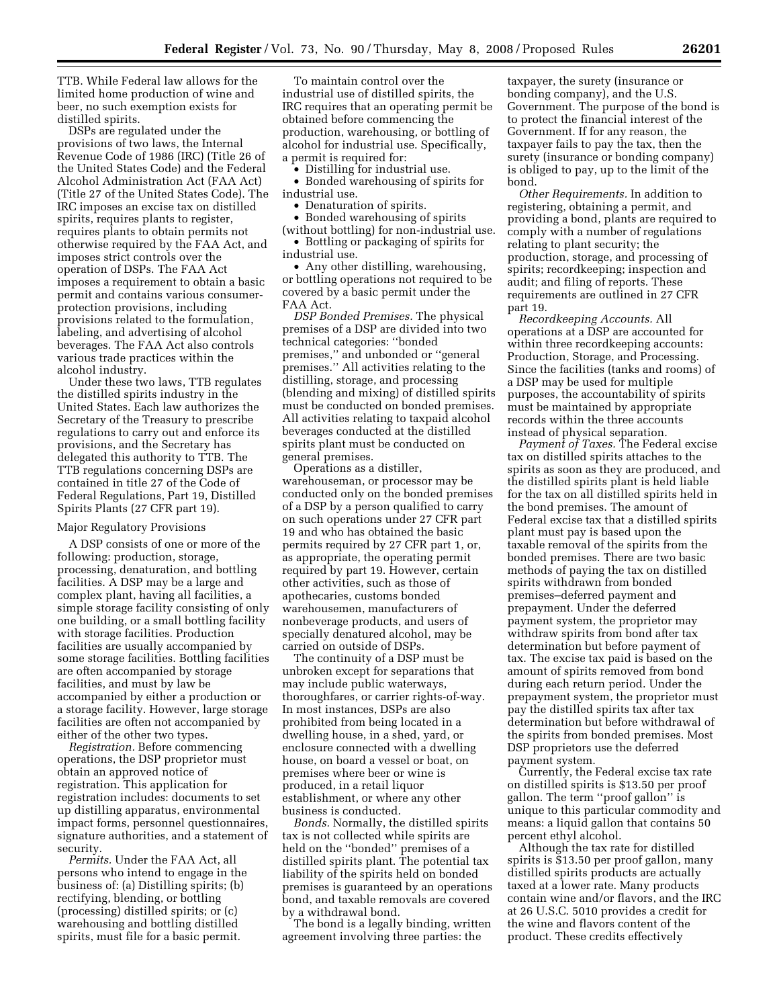TTB. While Federal law allows for the limited home production of wine and beer, no such exemption exists for distilled spirits.

DSPs are regulated under the provisions of two laws, the Internal Revenue Code of 1986 (IRC) (Title 26 of the United States Code) and the Federal Alcohol Administration Act (FAA Act) (Title 27 of the United States Code). The IRC imposes an excise tax on distilled spirits, requires plants to register, requires plants to obtain permits not otherwise required by the FAA Act, and imposes strict controls over the operation of DSPs. The FAA Act imposes a requirement to obtain a basic permit and contains various consumerprotection provisions, including provisions related to the formulation, labeling, and advertising of alcohol beverages. The FAA Act also controls various trade practices within the alcohol industry.

Under these two laws, TTB regulates the distilled spirits industry in the United States. Each law authorizes the Secretary of the Treasury to prescribe regulations to carry out and enforce its provisions, and the Secretary has delegated this authority to TTB. The TTB regulations concerning DSPs are contained in title 27 of the Code of Federal Regulations, Part 19, Distilled Spirits Plants (27 CFR part 19).

### Major Regulatory Provisions

A DSP consists of one or more of the following: production, storage, processing, denaturation, and bottling facilities. A DSP may be a large and complex plant, having all facilities, a simple storage facility consisting of only one building, or a small bottling facility with storage facilities. Production facilities are usually accompanied by some storage facilities. Bottling facilities are often accompanied by storage facilities, and must by law be accompanied by either a production or a storage facility. However, large storage facilities are often not accompanied by either of the other two types.

*Registration.* Before commencing operations, the DSP proprietor must obtain an approved notice of registration. This application for registration includes: documents to set up distilling apparatus, environmental impact forms, personnel questionnaires, signature authorities, and a statement of security.

*Permits.* Under the FAA Act, all persons who intend to engage in the business of: (a) Distilling spirits; (b) rectifying, blending, or bottling (processing) distilled spirits; or (c) warehousing and bottling distilled spirits, must file for a basic permit.

To maintain control over the industrial use of distilled spirits, the IRC requires that an operating permit be obtained before commencing the production, warehousing, or bottling of alcohol for industrial use. Specifically, a permit is required for:

• Distilling for industrial use.

• Bonded warehousing of spirits for industrial use.

• Denaturation of spirits.

• Bonded warehousing of spirits (without bottling) for non-industrial use. • Bottling or packaging of spirits for

industrial use.

• Any other distilling, warehousing, or bottling operations not required to be covered by a basic permit under the FAA Act.

*DSP Bonded Premises.* The physical premises of a DSP are divided into two technical categories: ''bonded premises,'' and unbonded or ''general premises.'' All activities relating to the distilling, storage, and processing (blending and mixing) of distilled spirits must be conducted on bonded premises. All activities relating to taxpaid alcohol beverages conducted at the distilled spirits plant must be conducted on general premises.

Operations as a distiller, warehouseman, or processor may be conducted only on the bonded premises of a DSP by a person qualified to carry on such operations under 27 CFR part 19 and who has obtained the basic permits required by 27 CFR part 1, or, as appropriate, the operating permit required by part 19. However, certain other activities, such as those of apothecaries, customs bonded warehousemen, manufacturers of nonbeverage products, and users of specially denatured alcohol, may be carried on outside of DSPs.

The continuity of a DSP must be unbroken except for separations that may include public waterways, thoroughfares, or carrier rights-of-way. In most instances, DSPs are also prohibited from being located in a dwelling house, in a shed, yard, or enclosure connected with a dwelling house, on board a vessel or boat, on premises where beer or wine is produced, in a retail liquor establishment, or where any other business is conducted.

*Bonds.* Normally, the distilled spirits tax is not collected while spirits are held on the ''bonded'' premises of a distilled spirits plant. The potential tax liability of the spirits held on bonded premises is guaranteed by an operations bond, and taxable removals are covered by a withdrawal bond.

The bond is a legally binding, written agreement involving three parties: the

taxpayer, the surety (insurance or bonding company), and the U.S. Government. The purpose of the bond is to protect the financial interest of the Government. If for any reason, the taxpayer fails to pay the tax, then the surety (insurance or bonding company) is obliged to pay, up to the limit of the bond.

*Other Requirements.* In addition to registering, obtaining a permit, and providing a bond, plants are required to comply with a number of regulations relating to plant security; the production, storage, and processing of spirits; recordkeeping; inspection and audit; and filing of reports. These requirements are outlined in 27 CFR part 19.

*Recordkeeping Accounts.* All operations at a DSP are accounted for within three recordkeeping accounts: Production, Storage, and Processing. Since the facilities (tanks and rooms) of a DSP may be used for multiple purposes, the accountability of spirits must be maintained by appropriate records within the three accounts instead of physical separation.

*Payment of Taxes.* The Federal excise tax on distilled spirits attaches to the spirits as soon as they are produced, and the distilled spirits plant is held liable for the tax on all distilled spirits held in the bond premises. The amount of Federal excise tax that a distilled spirits plant must pay is based upon the taxable removal of the spirits from the bonded premises. There are two basic methods of paying the tax on distilled spirits withdrawn from bonded premises–deferred payment and prepayment. Under the deferred payment system, the proprietor may withdraw spirits from bond after tax determination but before payment of tax. The excise tax paid is based on the amount of spirits removed from bond during each return period. Under the prepayment system, the proprietor must pay the distilled spirits tax after tax determination but before withdrawal of the spirits from bonded premises. Most DSP proprietors use the deferred payment system.

Currently, the Federal excise tax rate on distilled spirits is \$13.50 per proof gallon. The term ''proof gallon'' is unique to this particular commodity and means: a liquid gallon that contains 50 percent ethyl alcohol.

Although the tax rate for distilled spirits is \$13.50 per proof gallon, many distilled spirits products are actually taxed at a lower rate. Many products contain wine and/or flavors, and the IRC at 26 U.S.C. 5010 provides a credit for the wine and flavors content of the product. These credits effectively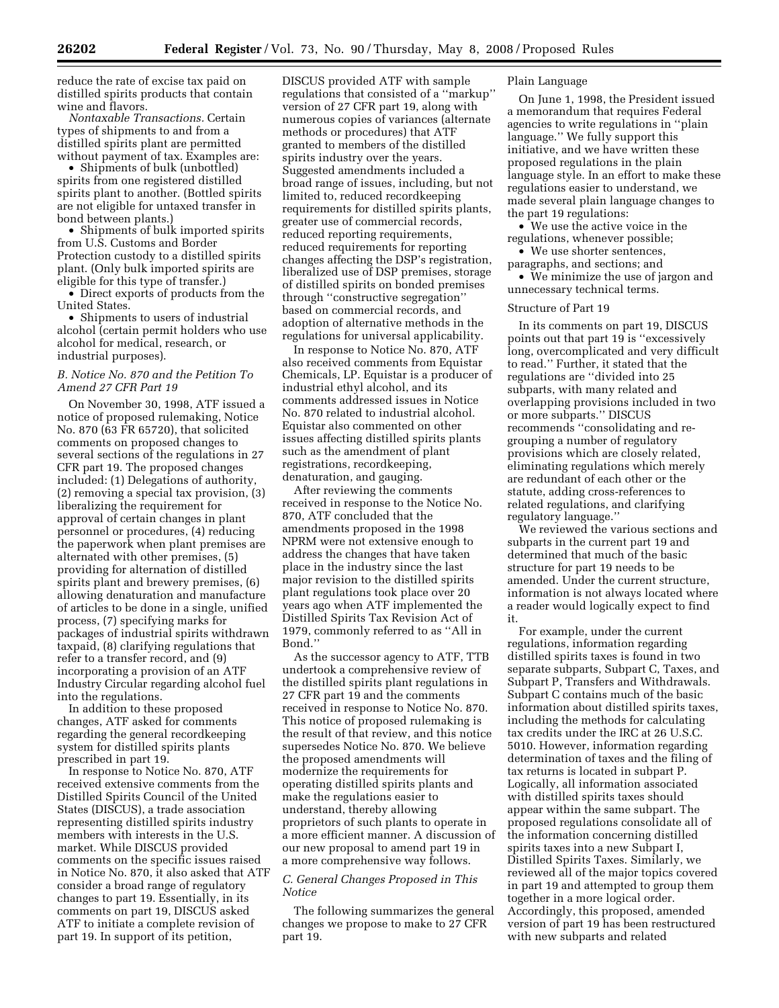reduce the rate of excise tax paid on distilled spirits products that contain wine and flavors.

*Nontaxable Transactions.* Certain types of shipments to and from a distilled spirits plant are permitted without payment of tax. Examples are:

• Shipments of bulk (unbottled) spirits from one registered distilled spirits plant to another. (Bottled spirits are not eligible for untaxed transfer in bond between plants.)

• Shipments of bulk imported spirits from U.S. Customs and Border Protection custody to a distilled spirits plant. (Only bulk imported spirits are eligible for this type of transfer.)

• Direct exports of products from the United States.

• Shipments to users of industrial alcohol (certain permit holders who use alcohol for medical, research, or industrial purposes).

## *B. Notice No. 870 and the Petition To Amend 27 CFR Part 19*

On November 30, 1998, ATF issued a notice of proposed rulemaking, Notice No. 870 (63 FR 65720), that solicited comments on proposed changes to several sections of the regulations in 27 CFR part 19. The proposed changes included: (1) Delegations of authority, (2) removing a special tax provision, (3) liberalizing the requirement for approval of certain changes in plant personnel or procedures, (4) reducing the paperwork when plant premises are alternated with other premises, (5) providing for alternation of distilled spirits plant and brewery premises, (6) allowing denaturation and manufacture of articles to be done in a single, unified process, (7) specifying marks for packages of industrial spirits withdrawn taxpaid, (8) clarifying regulations that refer to a transfer record, and (9) incorporating a provision of an ATF Industry Circular regarding alcohol fuel into the regulations.

In addition to these proposed changes, ATF asked for comments regarding the general recordkeeping system for distilled spirits plants prescribed in part 19.

In response to Notice No. 870, ATF received extensive comments from the Distilled Spirits Council of the United States (DISCUS), a trade association representing distilled spirits industry members with interests in the U.S. market. While DISCUS provided comments on the specific issues raised in Notice No. 870, it also asked that ATF consider a broad range of regulatory changes to part 19. Essentially, in its comments on part 19, DISCUS asked ATF to initiate a complete revision of part 19. In support of its petition,

DISCUS provided ATF with sample regulations that consisted of a ''markup'' version of 27 CFR part 19, along with numerous copies of variances (alternate methods or procedures) that ATF granted to members of the distilled spirits industry over the years. Suggested amendments included a broad range of issues, including, but not limited to, reduced recordkeeping requirements for distilled spirits plants, greater use of commercial records, reduced reporting requirements, reduced requirements for reporting changes affecting the DSP's registration, liberalized use of DSP premises, storage of distilled spirits on bonded premises through ''constructive segregation'' based on commercial records, and adoption of alternative methods in the regulations for universal applicability.

In response to Notice No. 870, ATF also received comments from Equistar Chemicals, LP. Equistar is a producer of industrial ethyl alcohol, and its comments addressed issues in Notice No. 870 related to industrial alcohol. Equistar also commented on other issues affecting distilled spirits plants such as the amendment of plant registrations, recordkeeping, denaturation, and gauging.

After reviewing the comments received in response to the Notice No. 870, ATF concluded that the amendments proposed in the 1998 NPRM were not extensive enough to address the changes that have taken place in the industry since the last major revision to the distilled spirits plant regulations took place over 20 years ago when ATF implemented the Distilled Spirits Tax Revision Act of 1979, commonly referred to as ''All in Bond.''

As the successor agency to ATF, TTB undertook a comprehensive review of the distilled spirits plant regulations in 27 CFR part 19 and the comments received in response to Notice No. 870. This notice of proposed rulemaking is the result of that review, and this notice supersedes Notice No. 870. We believe the proposed amendments will modernize the requirements for operating distilled spirits plants and make the regulations easier to understand, thereby allowing proprietors of such plants to operate in a more efficient manner. A discussion of our new proposal to amend part 19 in a more comprehensive way follows.

## *C. General Changes Proposed in This Notice*

The following summarizes the general changes we propose to make to 27 CFR part 19.

## Plain Language

On June 1, 1998, the President issued a memorandum that requires Federal agencies to write regulations in ''plain language.'' We fully support this initiative, and we have written these proposed regulations in the plain language style. In an effort to make these regulations easier to understand, we made several plain language changes to the part 19 regulations:

• We use the active voice in the regulations, whenever possible;

• We use shorter sentences, paragraphs, and sections; and • We minimize the use of jargon and unnecessary technical terms.

## Structure of Part 19

In its comments on part 19, DISCUS points out that part 19 is ''excessively long, overcomplicated and very difficult to read.'' Further, it stated that the regulations are ''divided into 25 subparts, with many related and overlapping provisions included in two or more subparts.'' DISCUS recommends ''consolidating and regrouping a number of regulatory provisions which are closely related, eliminating regulations which merely are redundant of each other or the statute, adding cross-references to related regulations, and clarifying regulatory language.''

We reviewed the various sections and subparts in the current part 19 and determined that much of the basic structure for part 19 needs to be amended. Under the current structure, information is not always located where a reader would logically expect to find it.

For example, under the current regulations, information regarding distilled spirits taxes is found in two separate subparts, Subpart C, Taxes, and Subpart P, Transfers and Withdrawals. Subpart C contains much of the basic information about distilled spirits taxes, including the methods for calculating tax credits under the IRC at 26 U.S.C. 5010. However, information regarding determination of taxes and the filing of tax returns is located in subpart P. Logically, all information associated with distilled spirits taxes should appear within the same subpart. The proposed regulations consolidate all of the information concerning distilled spirits taxes into a new Subpart I, Distilled Spirits Taxes. Similarly, we reviewed all of the major topics covered in part 19 and attempted to group them together in a more logical order. Accordingly, this proposed, amended version of part 19 has been restructured with new subparts and related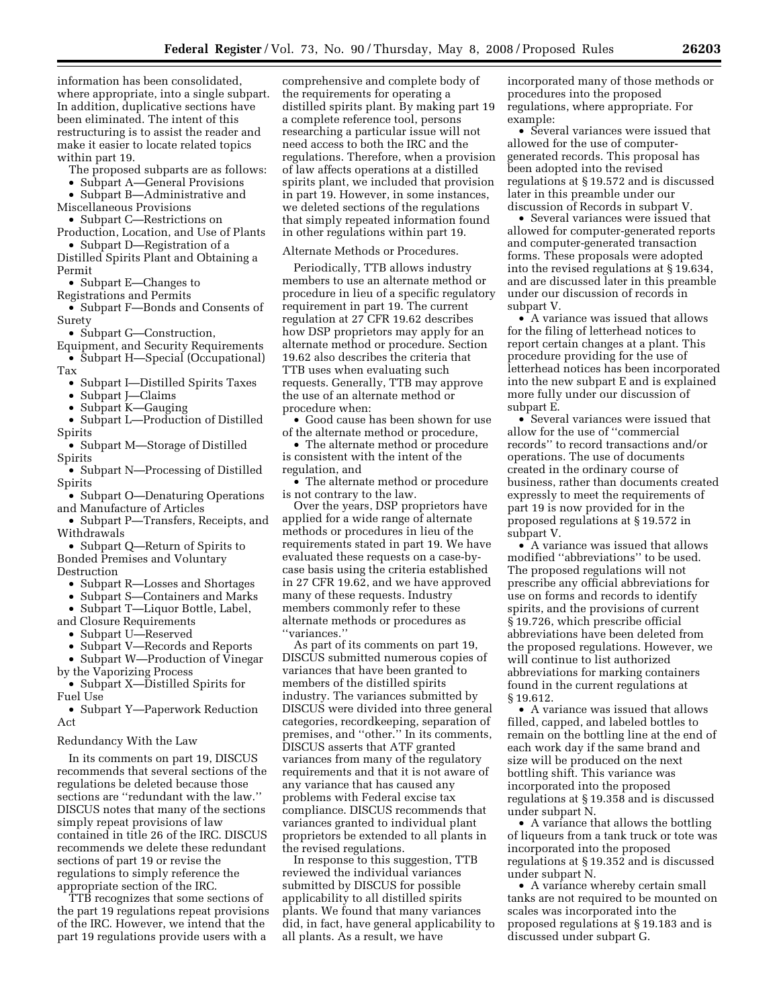information has been consolidated, where appropriate, into a single subpart. In addition, duplicative sections have been eliminated. The intent of this restructuring is to assist the reader and make it easier to locate related topics within part 19.

The proposed subparts are as follows:

• Subpart A—General Provisions

• Subpart B—Administrative and

Miscellaneous Provisions

• Subpart C—Restrictions on

Production, Location, and Use of Plants • Subpart D—Registration of a

Distilled Spirits Plant and Obtaining a Permit

• Subpart E—Changes to

Registrations and Permits

• Subpart F—Bonds and Consents of Surety

• Subpart G—Construction,

Equipment, and Security Requirements • Subpart H—Special (Occupational)

Tax

• Subpart I—Distilled Spirits Taxes

• Subpart J—Claims

• Subpart K—Gauging

• Subpart L—Production of Distilled Spirits

• Subpart M—Storage of Distilled Spirits

• Subpart N—Processing of Distilled Spirits

• Subpart O—Denaturing Operations and Manufacture of Articles

• Subpart P—Transfers, Receipts, and Withdrawals

• Subpart Q—Return of Spirits to Bonded Premises and Voluntary Destruction

• Subpart R—Losses and Shortages

• Subpart S—Containers and Marks

• Subpart T—Liquor Bottle, Label,

and Closure Requirements

• Subpart U—Reserved

• Subpart V—Records and Reports

• Subpart W—Production of Vinegar by the Vaporizing Process

• Subpart X—Distilled Spirits for Fuel Use

• Subpart Y—Paperwork Reduction Act

### Redundancy With the Law

In its comments on part 19, DISCUS recommends that several sections of the regulations be deleted because those sections are ''redundant with the law.'' DISCUS notes that many of the sections simply repeat provisions of law contained in title 26 of the IRC. DISCUS recommends we delete these redundant sections of part 19 or revise the regulations to simply reference the appropriate section of the IRC.

TTB recognizes that some sections of the part 19 regulations repeat provisions of the IRC. However, we intend that the part 19 regulations provide users with a

comprehensive and complete body of the requirements for operating a distilled spirits plant. By making part 19 a complete reference tool, persons researching a particular issue will not need access to both the IRC and the regulations. Therefore, when a provision of law affects operations at a distilled spirits plant, we included that provision in part 19. However, in some instances, we deleted sections of the regulations that simply repeated information found in other regulations within part 19.

Alternate Methods or Procedures.

Periodically, TTB allows industry members to use an alternate method or procedure in lieu of a specific regulatory requirement in part 19. The current regulation at 27 CFR 19.62 describes how DSP proprietors may apply for an alternate method or procedure. Section 19.62 also describes the criteria that TTB uses when evaluating such requests. Generally, TTB may approve the use of an alternate method or procedure when:

• Good cause has been shown for use of the alternate method or procedure,

• The alternate method or procedure is consistent with the intent of the regulation, and

• The alternate method or procedure is not contrary to the law.

Over the years, DSP proprietors have applied for a wide range of alternate methods or procedures in lieu of the requirements stated in part 19. We have evaluated these requests on a case-bycase basis using the criteria established in 27 CFR 19.62, and we have approved many of these requests. Industry members commonly refer to these alternate methods or procedures as ''variances.''

As part of its comments on part 19, DISCUS submitted numerous copies of variances that have been granted to members of the distilled spirits industry. The variances submitted by DISCUS were divided into three general categories, recordkeeping, separation of premises, and ''other.'' In its comments, DISCUS asserts that ATF granted variances from many of the regulatory requirements and that it is not aware of any variance that has caused any problems with Federal excise tax compliance. DISCUS recommends that variances granted to individual plant proprietors be extended to all plants in the revised regulations.

In response to this suggestion, TTB reviewed the individual variances submitted by DISCUS for possible applicability to all distilled spirits plants. We found that many variances did, in fact, have general applicability to all plants. As a result, we have

incorporated many of those methods or procedures into the proposed regulations, where appropriate. For example:

• Several variances were issued that allowed for the use of computergenerated records. This proposal has been adopted into the revised regulations at § 19.572 and is discussed later in this preamble under our discussion of Records in subpart V.

• Several variances were issued that allowed for computer-generated reports and computer-generated transaction forms. These proposals were adopted into the revised regulations at § 19.634, and are discussed later in this preamble under our discussion of records in subpart V.

• A variance was issued that allows for the filing of letterhead notices to report certain changes at a plant. This procedure providing for the use of letterhead notices has been incorporated into the new subpart E and is explained more fully under our discussion of subpart E.

• Several variances were issued that allow for the use of ''commercial records'' to record transactions and/or operations. The use of documents created in the ordinary course of business, rather than documents created expressly to meet the requirements of part 19 is now provided for in the proposed regulations at § 19.572 in subpart V.

• A variance was issued that allows modified ''abbreviations'' to be used. The proposed regulations will not prescribe any official abbreviations for use on forms and records to identify spirits, and the provisions of current § 19.726, which prescribe official abbreviations have been deleted from the proposed regulations. However, we will continue to list authorized abbreviations for marking containers found in the current regulations at § 19.612.

• A variance was issued that allows filled, capped, and labeled bottles to remain on the bottling line at the end of each work day if the same brand and size will be produced on the next bottling shift. This variance was incorporated into the proposed regulations at § 19.358 and is discussed under subpart N.

• A variance that allows the bottling of liqueurs from a tank truck or tote was incorporated into the proposed regulations at § 19.352 and is discussed under subpart N.

• A variance whereby certain small tanks are not required to be mounted on scales was incorporated into the proposed regulations at § 19.183 and is discussed under subpart G.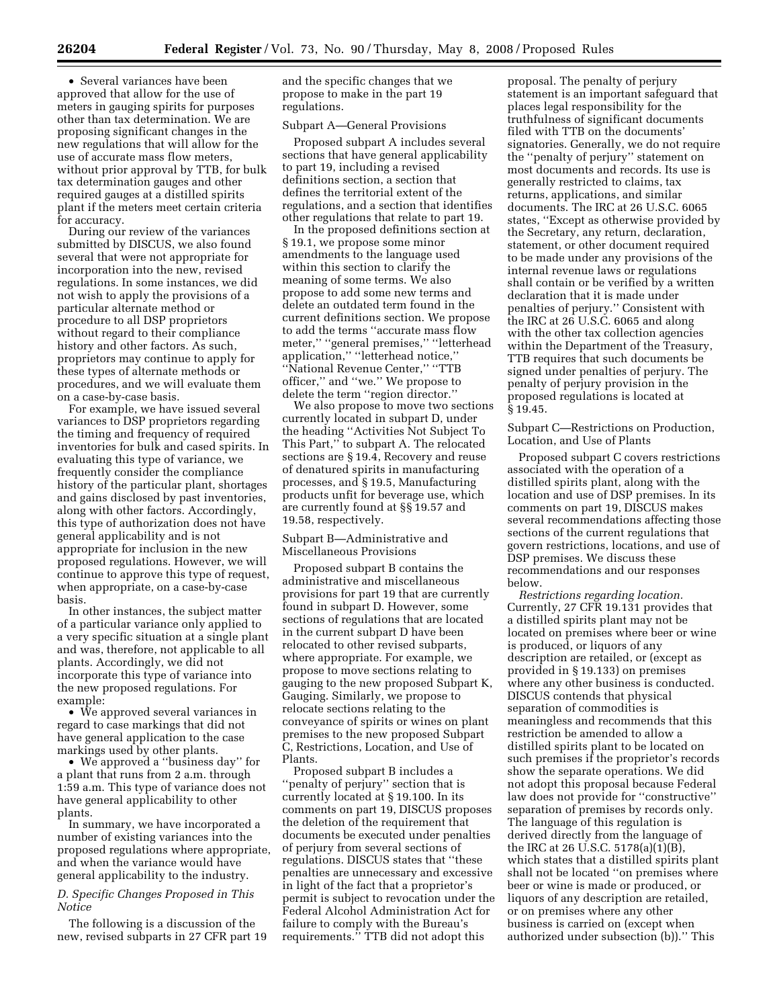• Several variances have been approved that allow for the use of meters in gauging spirits for purposes other than tax determination. We are proposing significant changes in the new regulations that will allow for the use of accurate mass flow meters, without prior approval by TTB, for bulk tax determination gauges and other required gauges at a distilled spirits plant if the meters meet certain criteria for accuracy.

During our review of the variances submitted by DISCUS, we also found several that were not appropriate for incorporation into the new, revised regulations. In some instances, we did not wish to apply the provisions of a particular alternate method or procedure to all DSP proprietors without regard to their compliance history and other factors. As such, proprietors may continue to apply for these types of alternate methods or procedures, and we will evaluate them on a case-by-case basis.

For example, we have issued several variances to DSP proprietors regarding the timing and frequency of required inventories for bulk and cased spirits. In evaluating this type of variance, we frequently consider the compliance history of the particular plant, shortages and gains disclosed by past inventories, along with other factors. Accordingly, this type of authorization does not have general applicability and is not appropriate for inclusion in the new proposed regulations. However, we will continue to approve this type of request, when appropriate, on a case-by-case basis.

In other instances, the subject matter of a particular variance only applied to a very specific situation at a single plant and was, therefore, not applicable to all plants. Accordingly, we did not incorporate this type of variance into the new proposed regulations. For example:

• We approved several variances in regard to case markings that did not have general application to the case markings used by other plants.

• We approved a ''business day'' for a plant that runs from 2 a.m. through 1:59 a.m. This type of variance does not have general applicability to other plants.

In summary, we have incorporated a number of existing variances into the proposed regulations where appropriate, and when the variance would have general applicability to the industry.

## *D. Specific Changes Proposed in This Notice*

The following is a discussion of the new, revised subparts in 27 CFR part 19 and the specific changes that we propose to make in the part 19 regulations.

### Subpart A—General Provisions

Proposed subpart A includes several sections that have general applicability to part 19, including a revised definitions section, a section that defines the territorial extent of the regulations, and a section that identifies other regulations that relate to part 19.

In the proposed definitions section at § 19.1, we propose some minor amendments to the language used within this section to clarify the meaning of some terms. We also propose to add some new terms and delete an outdated term found in the current definitions section. We propose to add the terms ''accurate mass flow meter,'' ''general premises,'' ''letterhead application,'' ''letterhead notice,'' ''National Revenue Center,'' ''TTB officer,'' and ''we.'' We propose to delete the term ''region director.''

We also propose to move two sections currently located in subpart D, under the heading ''Activities Not Subject To This Part,'' to subpart A. The relocated sections are § 19.4, Recovery and reuse of denatured spirits in manufacturing processes, and § 19.5, Manufacturing products unfit for beverage use, which are currently found at §§ 19.57 and 19.58, respectively.

## Subpart B—Administrative and Miscellaneous Provisions

Proposed subpart B contains the administrative and miscellaneous provisions for part 19 that are currently found in subpart D. However, some sections of regulations that are located in the current subpart D have been relocated to other revised subparts, where appropriate. For example, we propose to move sections relating to gauging to the new proposed Subpart K, Gauging. Similarly, we propose to relocate sections relating to the conveyance of spirits or wines on plant premises to the new proposed Subpart C, Restrictions, Location, and Use of Plants.

Proposed subpart B includes a ''penalty of perjury'' section that is currently located at § 19.100. In its comments on part 19, DISCUS proposes the deletion of the requirement that documents be executed under penalties of perjury from several sections of regulations. DISCUS states that ''these penalties are unnecessary and excessive in light of the fact that a proprietor's permit is subject to revocation under the Federal Alcohol Administration Act for failure to comply with the Bureau's requirements.'' TTB did not adopt this

proposal. The penalty of perjury statement is an important safeguard that places legal responsibility for the truthfulness of significant documents filed with TTB on the documents' signatories. Generally, we do not require the ''penalty of perjury'' statement on most documents and records. Its use is generally restricted to claims, tax returns, applications, and similar documents. The IRC at 26 U.S.C. 6065 states, ''Except as otherwise provided by the Secretary, any return, declaration, statement, or other document required to be made under any provisions of the internal revenue laws or regulations shall contain or be verified by a written declaration that it is made under penalties of perjury.'' Consistent with the IRC at 26 U.S.C. 6065 and along with the other tax collection agencies within the Department of the Treasury, TTB requires that such documents be signed under penalties of perjury. The penalty of perjury provision in the proposed regulations is located at § 19.45.

Subpart C—Restrictions on Production, Location, and Use of Plants

Proposed subpart C covers restrictions associated with the operation of a distilled spirits plant, along with the location and use of DSP premises. In its comments on part 19, DISCUS makes several recommendations affecting those sections of the current regulations that govern restrictions, locations, and use of DSP premises. We discuss these recommendations and our responses below.

*Restrictions regarding location.*  Currently, 27 CFR 19.131 provides that a distilled spirits plant may not be located on premises where beer or wine is produced, or liquors of any description are retailed, or (except as provided in § 19.133) on premises where any other business is conducted. DISCUS contends that physical separation of commodities is meaningless and recommends that this restriction be amended to allow a distilled spirits plant to be located on such premises if the proprietor's records show the separate operations. We did not adopt this proposal because Federal law does not provide for ''constructive'' separation of premises by records only. The language of this regulation is derived directly from the language of the IRC at 26 U.S.C. 5178(a)(1)(B), which states that a distilled spirits plant shall not be located ''on premises where beer or wine is made or produced, or liquors of any description are retailed, or on premises where any other business is carried on (except when authorized under subsection (b)).'' This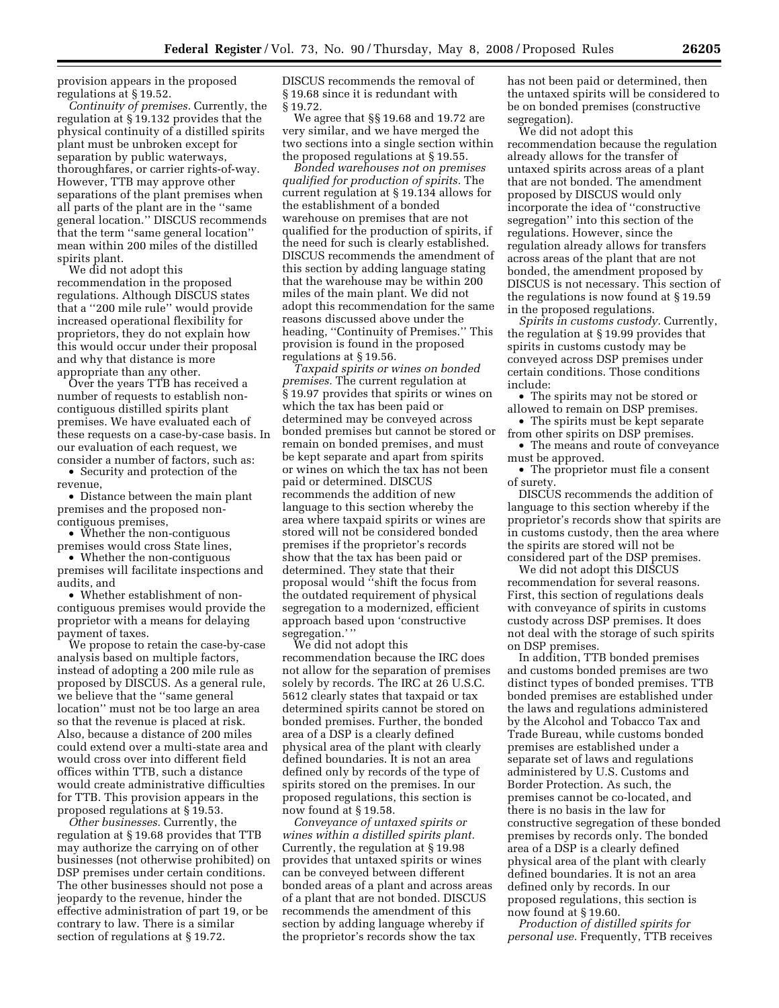provision appears in the proposed regulations at § 19.52.

*Continuity of premises.* Currently, the regulation at § 19.132 provides that the physical continuity of a distilled spirits plant must be unbroken except for separation by public waterways, thoroughfares, or carrier rights-of-way. However, TTB may approve other separations of the plant premises when all parts of the plant are in the ''same general location.'' DISCUS recommends that the term ''same general location'' mean within 200 miles of the distilled spirits plant.

We did not adopt this recommendation in the proposed regulations. Although DISCUS states that a ''200 mile rule'' would provide increased operational flexibility for proprietors, they do not explain how this would occur under their proposal and why that distance is more appropriate than any other.

Over the years TTB has received a number of requests to establish noncontiguous distilled spirits plant premises. We have evaluated each of these requests on a case-by-case basis. In our evaluation of each request, we consider a number of factors, such as:

• Security and protection of the revenue,

• Distance between the main plant premises and the proposed noncontiguous premises,

• Whether the non-contiguous premises would cross State lines,

• Whether the non-contiguous premises will facilitate inspections and audits, and

• Whether establishment of noncontiguous premises would provide the proprietor with a means for delaying payment of taxes.

We propose to retain the case-by-case analysis based on multiple factors, instead of adopting a 200 mile rule as proposed by DISCUS. As a general rule, we believe that the ''same general location'' must not be too large an area so that the revenue is placed at risk. Also, because a distance of 200 miles could extend over a multi-state area and would cross over into different field offices within TTB, such a distance would create administrative difficulties for TTB. This provision appears in the proposed regulations at § 19.53.

*Other businesses.* Currently, the regulation at § 19.68 provides that TTB may authorize the carrying on of other businesses (not otherwise prohibited) on DSP premises under certain conditions. The other businesses should not pose a jeopardy to the revenue, hinder the effective administration of part 19, or be contrary to law. There is a similar section of regulations at § 19.72.

DISCUS recommends the removal of § 19.68 since it is redundant with § 19.72.

We agree that §§ 19.68 and 19.72 are very similar, and we have merged the two sections into a single section within the proposed regulations at § 19.55.

*Bonded warehouses not on premises qualified for production of spirits.* The current regulation at § 19.134 allows for the establishment of a bonded warehouse on premises that are not qualified for the production of spirits, if the need for such is clearly established. DISCUS recommends the amendment of this section by adding language stating that the warehouse may be within 200 miles of the main plant. We did not adopt this recommendation for the same reasons discussed above under the heading, ''Continuity of Premises.'' This provision is found in the proposed regulations at § 19.56.

*Taxpaid spirits or wines on bonded premises.* The current regulation at § 19.97 provides that spirits or wines on which the tax has been paid or determined may be conveyed across bonded premises but cannot be stored or remain on bonded premises, and must be kept separate and apart from spirits or wines on which the tax has not been paid or determined. DISCUS recommends the addition of new language to this section whereby the area where taxpaid spirits or wines are stored will not be considered bonded premises if the proprietor's records show that the tax has been paid or determined. They state that their proposal would ''shift the focus from the outdated requirement of physical segregation to a modernized, efficient approach based upon 'constructive segregation.'"

We did not adopt this recommendation because the IRC does not allow for the separation of premises solely by records. The IRC at 26 U.S.C. 5612 clearly states that taxpaid or tax determined spirits cannot be stored on bonded premises. Further, the bonded area of a DSP is a clearly defined physical area of the plant with clearly defined boundaries. It is not an area defined only by records of the type of spirits stored on the premises. In our proposed regulations, this section is now found at § 19.58.

*Conveyance of untaxed spirits or wines within a distilled spirits plant.*  Currently, the regulation at § 19.98 provides that untaxed spirits or wines can be conveyed between different bonded areas of a plant and across areas of a plant that are not bonded. DISCUS recommends the amendment of this section by adding language whereby if the proprietor's records show the tax

has not been paid or determined, then the untaxed spirits will be considered to be on bonded premises (constructive segregation).

We did not adopt this recommendation because the regulation already allows for the transfer of untaxed spirits across areas of a plant that are not bonded. The amendment proposed by DISCUS would only incorporate the idea of ''constructive segregation'' into this section of the regulations. However, since the regulation already allows for transfers across areas of the plant that are not bonded, the amendment proposed by DISCUS is not necessary. This section of the regulations is now found at § 19.59 in the proposed regulations.

*Spirits in customs custody.* Currently, the regulation at § 19.99 provides that spirits in customs custody may be conveyed across DSP premises under certain conditions. Those conditions include:

• The spirits may not be stored or allowed to remain on DSP premises.

• The spirits must be kept separate from other spirits on DSP premises.

• The means and route of conveyance must be approved.

• The proprietor must file a consent of surety.

DISCUS recommends the addition of language to this section whereby if the proprietor's records show that spirits are in customs custody, then the area where the spirits are stored will not be considered part of the DSP premises.

We did not adopt this DISCUS recommendation for several reasons. First, this section of regulations deals with conveyance of spirits in customs custody across DSP premises. It does not deal with the storage of such spirits on DSP premises.

In addition, TTB bonded premises and customs bonded premises are two distinct types of bonded premises. TTB bonded premises are established under the laws and regulations administered by the Alcohol and Tobacco Tax and Trade Bureau, while customs bonded premises are established under a separate set of laws and regulations administered by U.S. Customs and Border Protection. As such, the premises cannot be co-located, and there is no basis in the law for constructive segregation of these bonded premises by records only. The bonded area of a DSP is a clearly defined physical area of the plant with clearly defined boundaries. It is not an area defined only by records. In our proposed regulations, this section is now found at § 19.60.

*Production of distilled spirits for personal use.* Frequently, TTB receives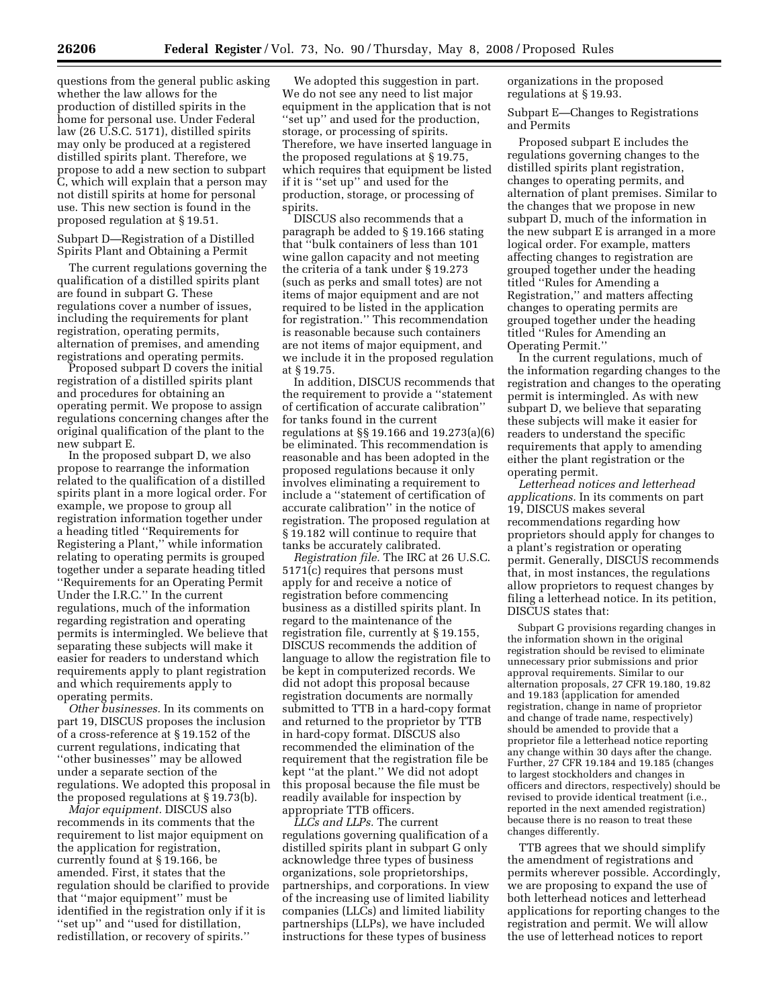questions from the general public asking whether the law allows for the production of distilled spirits in the home for personal use. Under Federal law (26 U.S.C. 5171), distilled spirits may only be produced at a registered distilled spirits plant. Therefore, we propose to add a new section to subpart C, which will explain that a person may not distill spirits at home for personal use. This new section is found in the proposed regulation at § 19.51.

Subpart D—Registration of a Distilled Spirits Plant and Obtaining a Permit

The current regulations governing the qualification of a distilled spirits plant are found in subpart G. These regulations cover a number of issues, including the requirements for plant registration, operating permits, alternation of premises, and amending registrations and operating permits.

Proposed subpart D covers the initial registration of a distilled spirits plant and procedures for obtaining an operating permit. We propose to assign regulations concerning changes after the original qualification of the plant to the new subpart E.

In the proposed subpart D, we also propose to rearrange the information related to the qualification of a distilled spirits plant in a more logical order. For example, we propose to group all registration information together under a heading titled ''Requirements for Registering a Plant,'' while information relating to operating permits is grouped together under a separate heading titled ''Requirements for an Operating Permit Under the I.R.C.'' In the current regulations, much of the information regarding registration and operating permits is intermingled. We believe that separating these subjects will make it easier for readers to understand which requirements apply to plant registration and which requirements apply to operating permits.

*Other businesses.* In its comments on part 19, DISCUS proposes the inclusion of a cross-reference at § 19.152 of the current regulations, indicating that ''other businesses'' may be allowed under a separate section of the regulations. We adopted this proposal in the proposed regulations at § 19.73(b).

*Major equipment.* DISCUS also recommends in its comments that the requirement to list major equipment on the application for registration, currently found at § 19.166, be amended. First, it states that the regulation should be clarified to provide that ''major equipment'' must be identified in the registration only if it is ''set up'' and ''used for distillation, redistillation, or recovery of spirits.''

We adopted this suggestion in part. We do not see any need to list major equipment in the application that is not ''set up'' and used for the production, storage, or processing of spirits. Therefore, we have inserted language in the proposed regulations at § 19.75, which requires that equipment be listed if it is ''set up'' and used for the production, storage, or processing of spirits.

DISCUS also recommends that a paragraph be added to § 19.166 stating that ''bulk containers of less than 101 wine gallon capacity and not meeting the criteria of a tank under § 19.273 (such as perks and small totes) are not items of major equipment and are not required to be listed in the application for registration.'' This recommendation is reasonable because such containers are not items of major equipment, and we include it in the proposed regulation at § 19.75.

In addition, DISCUS recommends that the requirement to provide a ''statement of certification of accurate calibration'' for tanks found in the current regulations at §§ 19.166 and 19.273(a)(6) be eliminated. This recommendation is reasonable and has been adopted in the proposed regulations because it only involves eliminating a requirement to include a ''statement of certification of accurate calibration'' in the notice of registration. The proposed regulation at § 19.182 will continue to require that tanks be accurately calibrated.

*Registration file.* The IRC at 26 U.S.C. 5171(c) requires that persons must apply for and receive a notice of registration before commencing business as a distilled spirits plant. In regard to the maintenance of the registration file, currently at § 19.155, DISCUS recommends the addition of language to allow the registration file to be kept in computerized records. We did not adopt this proposal because registration documents are normally submitted to TTB in a hard-copy format and returned to the proprietor by TTB in hard-copy format. DISCUS also recommended the elimination of the requirement that the registration file be kept ''at the plant.'' We did not adopt this proposal because the file must be readily available for inspection by appropriate TTB officers.

*LLCs and LLPs.* The current regulations governing qualification of a distilled spirits plant in subpart G only acknowledge three types of business organizations, sole proprietorships, partnerships, and corporations. In view of the increasing use of limited liability companies (LLCs) and limited liability partnerships (LLPs), we have included instructions for these types of business

organizations in the proposed regulations at § 19.93.

Subpart E—Changes to Registrations and Permits

Proposed subpart E includes the regulations governing changes to the distilled spirits plant registration, changes to operating permits, and alternation of plant premises. Similar to the changes that we propose in new subpart D, much of the information in the new subpart E is arranged in a more logical order. For example, matters affecting changes to registration are grouped together under the heading titled ''Rules for Amending a Registration,'' and matters affecting changes to operating permits are grouped together under the heading titled ''Rules for Amending an Operating Permit.''

In the current regulations, much of the information regarding changes to the registration and changes to the operating permit is intermingled. As with new subpart D, we believe that separating these subjects will make it easier for readers to understand the specific requirements that apply to amending either the plant registration or the operating permit.

*Letterhead notices and letterhead applications.* In its comments on part 19, DISCUS makes several recommendations regarding how proprietors should apply for changes to a plant's registration or operating permit. Generally, DISCUS recommends that, in most instances, the regulations allow proprietors to request changes by filing a letterhead notice. In its petition, DISCUS states that:

Subpart G provisions regarding changes in the information shown in the original registration should be revised to eliminate unnecessary prior submissions and prior approval requirements. Similar to our alternation proposals, 27 CFR 19.180, 19.82 and 19.183 (application for amended registration, change in name of proprietor and change of trade name, respectively) should be amended to provide that a proprietor file a letterhead notice reporting any change within 30 days after the change. Further, 27 CFR 19.184 and 19.185 (changes to largest stockholders and changes in officers and directors, respectively) should be revised to provide identical treatment (i.e., reported in the next amended registration) because there is no reason to treat these changes differently.

TTB agrees that we should simplify the amendment of registrations and permits wherever possible. Accordingly, we are proposing to expand the use of both letterhead notices and letterhead applications for reporting changes to the registration and permit. We will allow the use of letterhead notices to report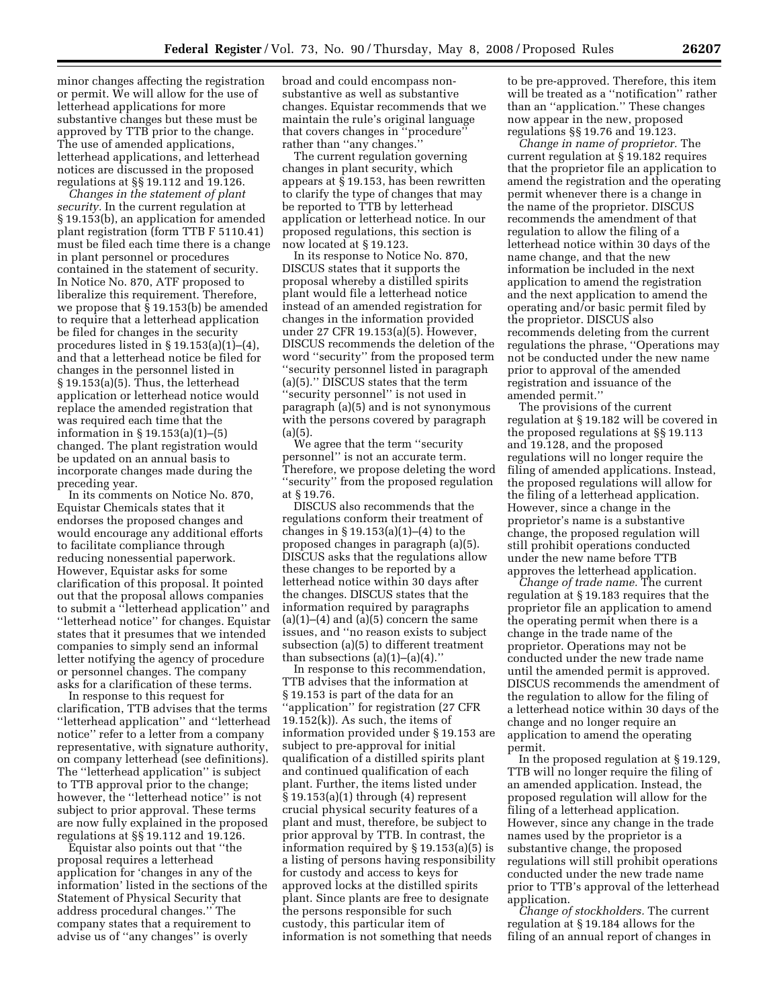minor changes affecting the registration or permit. We will allow for the use of letterhead applications for more substantive changes but these must be approved by TTB prior to the change. The use of amended applications, letterhead applications, and letterhead notices are discussed in the proposed regulations at §§ 19.112 and 19.126.

*Changes in the statement of plant security.* In the current regulation at § 19.153(b), an application for amended plant registration (form TTB F 5110.41) must be filed each time there is a change in plant personnel or procedures contained in the statement of security. In Notice No. 870, ATF proposed to liberalize this requirement. Therefore, we propose that § 19.153(b) be amended to require that a letterhead application be filed for changes in the security procedures listed in § 19.153(a)(1)–(4), and that a letterhead notice be filed for changes in the personnel listed in § 19.153(a)(5). Thus, the letterhead application or letterhead notice would replace the amended registration that was required each time that the information in § 19.153(a)(1)–(5) changed. The plant registration would be updated on an annual basis to incorporate changes made during the preceding year.

In its comments on Notice No. 870, Equistar Chemicals states that it endorses the proposed changes and would encourage any additional efforts to facilitate compliance through reducing nonessential paperwork. However, Equistar asks for some clarification of this proposal. It pointed out that the proposal allows companies to submit a ''letterhead application'' and ''letterhead notice'' for changes. Equistar states that it presumes that we intended companies to simply send an informal letter notifying the agency of procedure or personnel changes. The company asks for a clarification of these terms.

In response to this request for clarification, TTB advises that the terms ''letterhead application'' and ''letterhead notice'' refer to a letter from a company representative, with signature authority, on company letterhead (see definitions). The ''letterhead application'' is subject to TTB approval prior to the change; however, the ''letterhead notice'' is not subject to prior approval. These terms are now fully explained in the proposed regulations at §§ 19.112 and 19.126.

Equistar also points out that ''the proposal requires a letterhead application for 'changes in any of the information' listed in the sections of the Statement of Physical Security that address procedural changes.'' The company states that a requirement to advise us of ''any changes'' is overly

broad and could encompass nonsubstantive as well as substantive changes. Equistar recommends that we maintain the rule's original language that covers changes in ''procedure'' rather than ''any changes.''

The current regulation governing changes in plant security, which appears at § 19.153, has been rewritten to clarify the type of changes that may be reported to TTB by letterhead application or letterhead notice. In our proposed regulations, this section is now located at § 19.123.

In its response to Notice No. 870, DISCUS states that it supports the proposal whereby a distilled spirits plant would file a letterhead notice instead of an amended registration for changes in the information provided under 27 CFR 19.153(a)(5). However, DISCUS recommends the deletion of the word ''security'' from the proposed term ''security personnel listed in paragraph (a)(5).'' DISCUS states that the term ''security personnel'' is not used in paragraph (a)(5) and is not synonymous with the persons covered by paragraph  $(a)(5)$ .

We agree that the term ''security personnel'' is not an accurate term. Therefore, we propose deleting the word ''security'' from the proposed regulation at § 19.76.

DISCUS also recommends that the regulations conform their treatment of changes in § 19.153(a)(1)–(4) to the proposed changes in paragraph (a)(5). DISCUS asks that the regulations allow these changes to be reported by a letterhead notice within 30 days after the changes. DISCUS states that the information required by paragraphs  $(a)(1)$ – $(4)$  and  $(a)(5)$  concern the same issues, and ''no reason exists to subject subsection (a)(5) to different treatment than subsections  $(a)(1)$ – $(a)(4)$ .'

In response to this recommendation, TTB advises that the information at § 19.153 is part of the data for an ''application'' for registration (27 CFR  $19.152(k)$ . As such, the items of information provided under § 19.153 are subject to pre-approval for initial qualification of a distilled spirits plant and continued qualification of each plant. Further, the items listed under § 19.153(a)(1) through (4) represent crucial physical security features of a plant and must, therefore, be subject to prior approval by TTB. In contrast, the information required by § 19.153(a)(5) is a listing of persons having responsibility for custody and access to keys for approved locks at the distilled spirits plant. Since plants are free to designate the persons responsible for such custody, this particular item of information is not something that needs

to be pre-approved. Therefore, this item will be treated as a ''notification'' rather than an ''application.'' These changes now appear in the new, proposed regulations §§ 19.76 and 19.123.

*Change in name of proprietor.* The current regulation at § 19.182 requires that the proprietor file an application to amend the registration and the operating permit whenever there is a change in the name of the proprietor. DISCUS recommends the amendment of that regulation to allow the filing of a letterhead notice within 30 days of the name change, and that the new information be included in the next application to amend the registration and the next application to amend the operating and/or basic permit filed by the proprietor. DISCUS also recommends deleting from the current regulations the phrase, ''Operations may not be conducted under the new name prior to approval of the amended registration and issuance of the amended permit.''

The provisions of the current regulation at § 19.182 will be covered in the proposed regulations at §§ 19.113 and 19.128, and the proposed regulations will no longer require the filing of amended applications. Instead, the proposed regulations will allow for the filing of a letterhead application. However, since a change in the proprietor's name is a substantive change, the proposed regulation will still prohibit operations conducted under the new name before TTB approves the letterhead application.

*Change of trade name.* The current regulation at § 19.183 requires that the proprietor file an application to amend the operating permit when there is a change in the trade name of the proprietor. Operations may not be conducted under the new trade name until the amended permit is approved. DISCUS recommends the amendment of the regulation to allow for the filing of a letterhead notice within 30 days of the change and no longer require an application to amend the operating permit.

In the proposed regulation at § 19.129, TTB will no longer require the filing of an amended application. Instead, the proposed regulation will allow for the filing of a letterhead application. However, since any change in the trade names used by the proprietor is a substantive change, the proposed regulations will still prohibit operations conducted under the new trade name prior to TTB's approval of the letterhead application.

*Change of stockholders.* The current regulation at § 19.184 allows for the filing of an annual report of changes in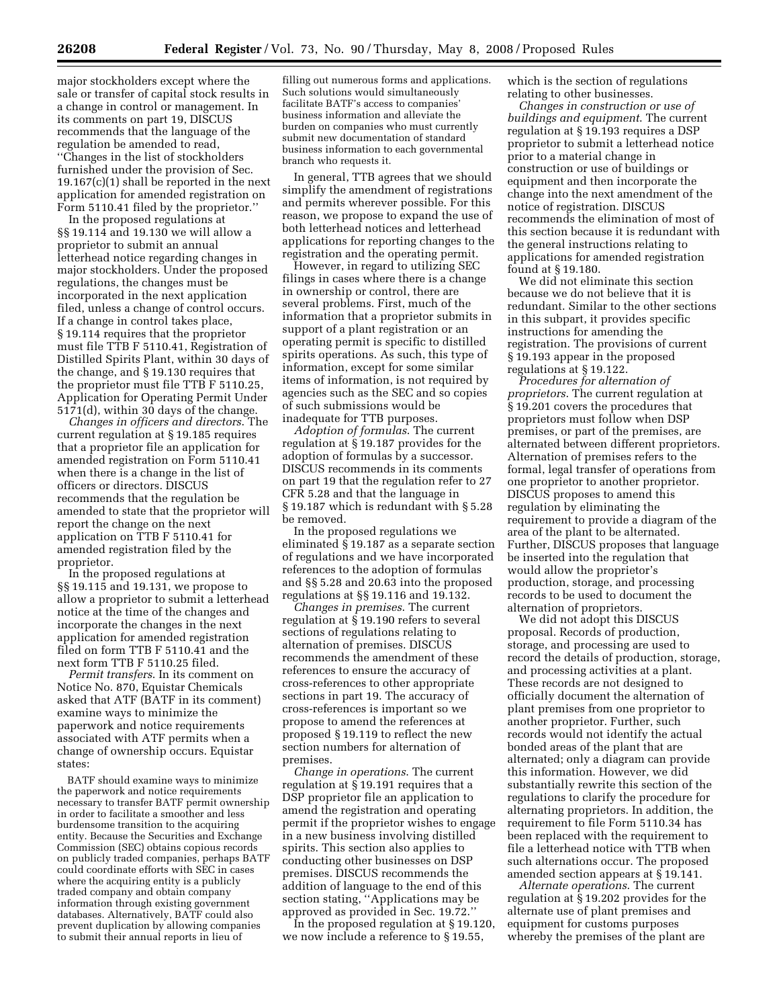major stockholders except where the sale or transfer of capital stock results in a change in control or management. In its comments on part 19, DISCUS recommends that the language of the regulation be amended to read, ''Changes in the list of stockholders furnished under the provision of Sec. 19.167(c)(1) shall be reported in the next application for amended registration on Form 5110.41 filed by the proprietor.''

In the proposed regulations at §§ 19.114 and 19.130 we will allow a proprietor to submit an annual letterhead notice regarding changes in major stockholders. Under the proposed regulations, the changes must be incorporated in the next application filed, unless a change of control occurs. If a change in control takes place, § 19.114 requires that the proprietor must file TTB F 5110.41, Registration of Distilled Spirits Plant, within 30 days of the change, and § 19.130 requires that the proprietor must file TTB F 5110.25, Application for Operating Permit Under 5171(d), within 30 days of the change.

*Changes in officers and directors*. The current regulation at § 19.185 requires that a proprietor file an application for amended registration on Form 5110.41 when there is a change in the list of officers or directors. DISCUS recommends that the regulation be amended to state that the proprietor will report the change on the next application on TTB F 5110.41 for amended registration filed by the proprietor.

In the proposed regulations at §§ 19.115 and 19.131, we propose to allow a proprietor to submit a letterhead notice at the time of the changes and incorporate the changes in the next application for amended registration filed on form TTB F 5110.41 and the next form TTB F 5110.25 filed.

*Permit transfers*. In its comment on Notice No. 870, Equistar Chemicals asked that ATF (BATF in its comment) examine ways to minimize the paperwork and notice requirements associated with ATF permits when a change of ownership occurs. Equistar states:

BATF should examine ways to minimize the paperwork and notice requirements necessary to transfer BATF permit ownership in order to facilitate a smoother and less burdensome transition to the acquiring entity. Because the Securities and Exchange Commission (SEC) obtains copious records on publicly traded companies, perhaps BATF could coordinate efforts with SEC in cases where the acquiring entity is a publicly traded company and obtain company information through existing government databases. Alternatively, BATF could also prevent duplication by allowing companies to submit their annual reports in lieu of

filling out numerous forms and applications. Such solutions would simultaneously facilitate BATF's access to companies' business information and alleviate the burden on companies who must currently submit new documentation of standard business information to each governmental branch who requests it.

In general, TTB agrees that we should simplify the amendment of registrations and permits wherever possible. For this reason, we propose to expand the use of both letterhead notices and letterhead applications for reporting changes to the registration and the operating permit.

However, in regard to utilizing SEC filings in cases where there is a change in ownership or control, there are several problems. First, much of the information that a proprietor submits in support of a plant registration or an operating permit is specific to distilled spirits operations. As such, this type of information, except for some similar items of information, is not required by agencies such as the SEC and so copies of such submissions would be inadequate for TTB purposes.

*Adoption of formulas*. The current regulation at § 19.187 provides for the adoption of formulas by a successor. DISCUS recommends in its comments on part 19 that the regulation refer to 27 CFR 5.28 and that the language in § 19.187 which is redundant with § 5.28 be removed.

In the proposed regulations we eliminated § 19.187 as a separate section of regulations and we have incorporated references to the adoption of formulas and §§ 5.28 and 20.63 into the proposed regulations at §§ 19.116 and 19.132.

*Changes in premises*. The current regulation at § 19.190 refers to several sections of regulations relating to alternation of premises. DISCUS recommends the amendment of these references to ensure the accuracy of cross-references to other appropriate sections in part 19. The accuracy of cross-references is important so we propose to amend the references at proposed § 19.119 to reflect the new section numbers for alternation of premises.

*Change in operations*. The current regulation at § 19.191 requires that a DSP proprietor file an application to amend the registration and operating permit if the proprietor wishes to engage in a new business involving distilled spirits. This section also applies to conducting other businesses on DSP premises. DISCUS recommends the addition of language to the end of this section stating, ''Applications may be approved as provided in Sec. 19.72.''

In the proposed regulation at § 19.120, we now include a reference to § 19.55,

which is the section of regulations relating to other businesses.

*Changes in construction or use of buildings and equipment*. The current regulation at § 19.193 requires a DSP proprietor to submit a letterhead notice prior to a material change in construction or use of buildings or equipment and then incorporate the change into the next amendment of the notice of registration. DISCUS recommends the elimination of most of this section because it is redundant with the general instructions relating to applications for amended registration found at § 19.180.

We did not eliminate this section because we do not believe that it is redundant. Similar to the other sections in this subpart, it provides specific instructions for amending the registration. The provisions of current § 19.193 appear in the proposed regulations at § 19.122.

*Procedures for alternation of proprietors*. The current regulation at § 19.201 covers the procedures that proprietors must follow when DSP premises, or part of the premises, are alternated between different proprietors. Alternation of premises refers to the formal, legal transfer of operations from one proprietor to another proprietor. DISCUS proposes to amend this regulation by eliminating the requirement to provide a diagram of the area of the plant to be alternated. Further, DISCUS proposes that language be inserted into the regulation that would allow the proprietor's production, storage, and processing records to be used to document the alternation of proprietors.

We did not adopt this DISCUS proposal. Records of production, storage, and processing are used to record the details of production, storage, and processing activities at a plant. These records are not designed to officially document the alternation of plant premises from one proprietor to another proprietor. Further, such records would not identify the actual bonded areas of the plant that are alternated; only a diagram can provide this information. However, we did substantially rewrite this section of the regulations to clarify the procedure for alternating proprietors. In addition, the requirement to file Form 5110.34 has been replaced with the requirement to file a letterhead notice with TTB when such alternations occur. The proposed amended section appears at § 19.141.

*Alternate operations*. The current regulation at § 19.202 provides for the alternate use of plant premises and equipment for customs purposes whereby the premises of the plant are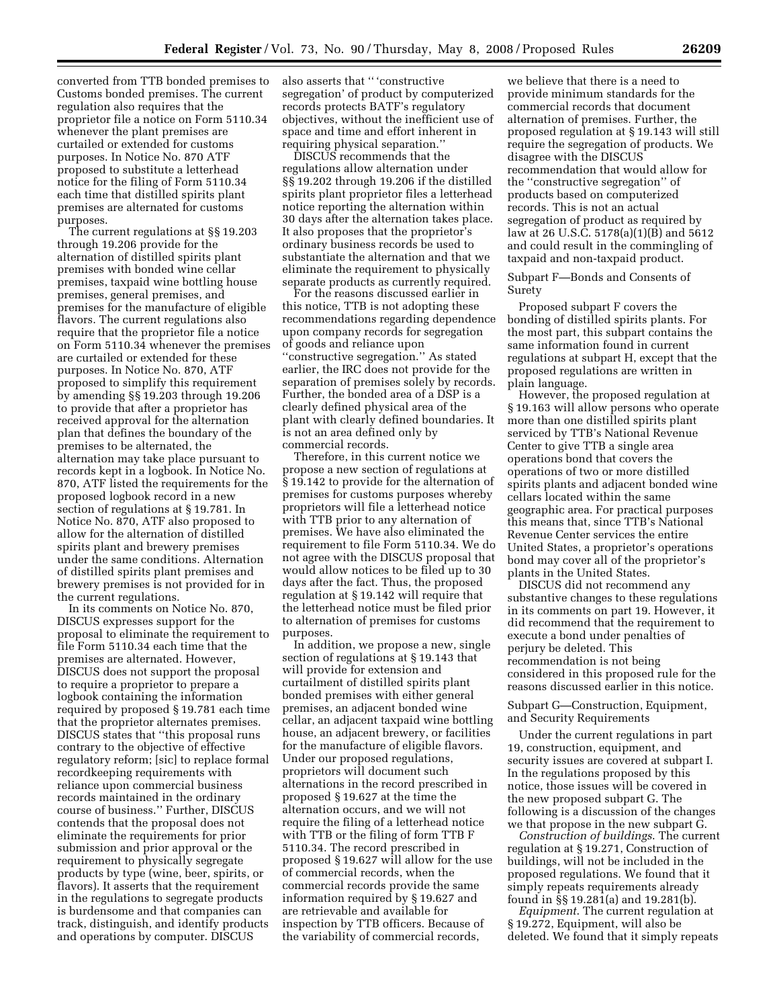converted from TTB bonded premises to Customs bonded premises. The current regulation also requires that the proprietor file a notice on Form 5110.34 whenever the plant premises are curtailed or extended for customs purposes. In Notice No. 870 ATF proposed to substitute a letterhead notice for the filing of Form 5110.34 each time that distilled spirits plant premises are alternated for customs purposes.

The current regulations at §§ 19.203 through 19.206 provide for the alternation of distilled spirits plant premises with bonded wine cellar premises, taxpaid wine bottling house premises, general premises, and premises for the manufacture of eligible flavors. The current regulations also require that the proprietor file a notice on Form 5110.34 whenever the premises are curtailed or extended for these purposes. In Notice No. 870, ATF proposed to simplify this requirement by amending §§ 19.203 through 19.206 to provide that after a proprietor has received approval for the alternation plan that defines the boundary of the premises to be alternated, the alternation may take place pursuant to records kept in a logbook. In Notice No. 870, ATF listed the requirements for the proposed logbook record in a new section of regulations at § 19.781. In Notice No. 870, ATF also proposed to allow for the alternation of distilled spirits plant and brewery premises under the same conditions. Alternation of distilled spirits plant premises and brewery premises is not provided for in the current regulations.

In its comments on Notice No. 870, DISCUS expresses support for the proposal to eliminate the requirement to file Form 5110.34 each time that the premises are alternated. However, DISCUS does not support the proposal to require a proprietor to prepare a logbook containing the information required by proposed § 19.781 each time that the proprietor alternates premises. DISCUS states that ''this proposal runs contrary to the objective of effective regulatory reform; [sic] to replace formal recordkeeping requirements with reliance upon commercial business records maintained in the ordinary course of business.'' Further, DISCUS contends that the proposal does not eliminate the requirements for prior submission and prior approval or the requirement to physically segregate products by type (wine, beer, spirits, or flavors). It asserts that the requirement in the regulations to segregate products is burdensome and that companies can track, distinguish, and identify products and operations by computer. DISCUS

also asserts that '' 'constructive segregation' of product by computerized records protects BATF's regulatory objectives, without the inefficient use of space and time and effort inherent in requiring physical separation.''

DISCUS recommends that the regulations allow alternation under §§ 19.202 through 19.206 if the distilled spirits plant proprietor files a letterhead notice reporting the alternation within 30 days after the alternation takes place. It also proposes that the proprietor's ordinary business records be used to substantiate the alternation and that we eliminate the requirement to physically separate products as currently required.

For the reasons discussed earlier in this notice, TTB is not adopting these recommendations regarding dependence upon company records for segregation of goods and reliance upon ''constructive segregation.'' As stated earlier, the IRC does not provide for the separation of premises solely by records. Further, the bonded area of a DSP is a clearly defined physical area of the plant with clearly defined boundaries. It is not an area defined only by commercial records.

Therefore, in this current notice we propose a new section of regulations at § 19.142 to provide for the alternation of premises for customs purposes whereby proprietors will file a letterhead notice with TTB prior to any alternation of premises. We have also eliminated the requirement to file Form 5110.34. We do not agree with the DISCUS proposal that would allow notices to be filed up to 30 days after the fact. Thus, the proposed regulation at § 19.142 will require that the letterhead notice must be filed prior to alternation of premises for customs purposes.

In addition, we propose a new, single section of regulations at § 19.143 that will provide for extension and curtailment of distilled spirits plant bonded premises with either general premises, an adjacent bonded wine cellar, an adjacent taxpaid wine bottling house, an adjacent brewery, or facilities for the manufacture of eligible flavors. Under our proposed regulations, proprietors will document such alternations in the record prescribed in proposed § 19.627 at the time the alternation occurs, and we will not require the filing of a letterhead notice with TTB or the filing of form TTB F 5110.34. The record prescribed in proposed § 19.627 will allow for the use of commercial records, when the commercial records provide the same information required by § 19.627 and are retrievable and available for inspection by TTB officers. Because of the variability of commercial records,

we believe that there is a need to provide minimum standards for the commercial records that document alternation of premises. Further, the proposed regulation at § 19.143 will still require the segregation of products. We disagree with the DISCUS recommendation that would allow for the ''constructive segregation'' of products based on computerized records. This is not an actual segregation of product as required by law at 26 U.S.C. 5178(a)(1)(B) and 5612 and could result in the commingling of taxpaid and non-taxpaid product.

Subpart F—Bonds and Consents of Surety

Proposed subpart F covers the bonding of distilled spirits plants. For the most part, this subpart contains the same information found in current regulations at subpart H, except that the proposed regulations are written in plain language.

However, the proposed regulation at § 19.163 will allow persons who operate more than one distilled spirits plant serviced by TTB's National Revenue Center to give TTB a single area operations bond that covers the operations of two or more distilled spirits plants and adjacent bonded wine cellars located within the same geographic area. For practical purposes this means that, since TTB's National Revenue Center services the entire United States, a proprietor's operations bond may cover all of the proprietor's plants in the United States.

DISCUS did not recommend any substantive changes to these regulations in its comments on part 19. However, it did recommend that the requirement to execute a bond under penalties of perjury be deleted. This recommendation is not being considered in this proposed rule for the reasons discussed earlier in this notice.

Subpart G—Construction, Equipment, and Security Requirements

Under the current regulations in part 19, construction, equipment, and security issues are covered at subpart I. In the regulations proposed by this notice, those issues will be covered in the new proposed subpart G. The following is a discussion of the changes we that propose in the new subpart G.

*Construction of buildings*. The current regulation at § 19.271, Construction of buildings, will not be included in the proposed regulations. We found that it simply repeats requirements already found in §§ 19.281(a) and 19.281(b).

*Equipment*. The current regulation at § 19.272, Equipment, will also be deleted. We found that it simply repeats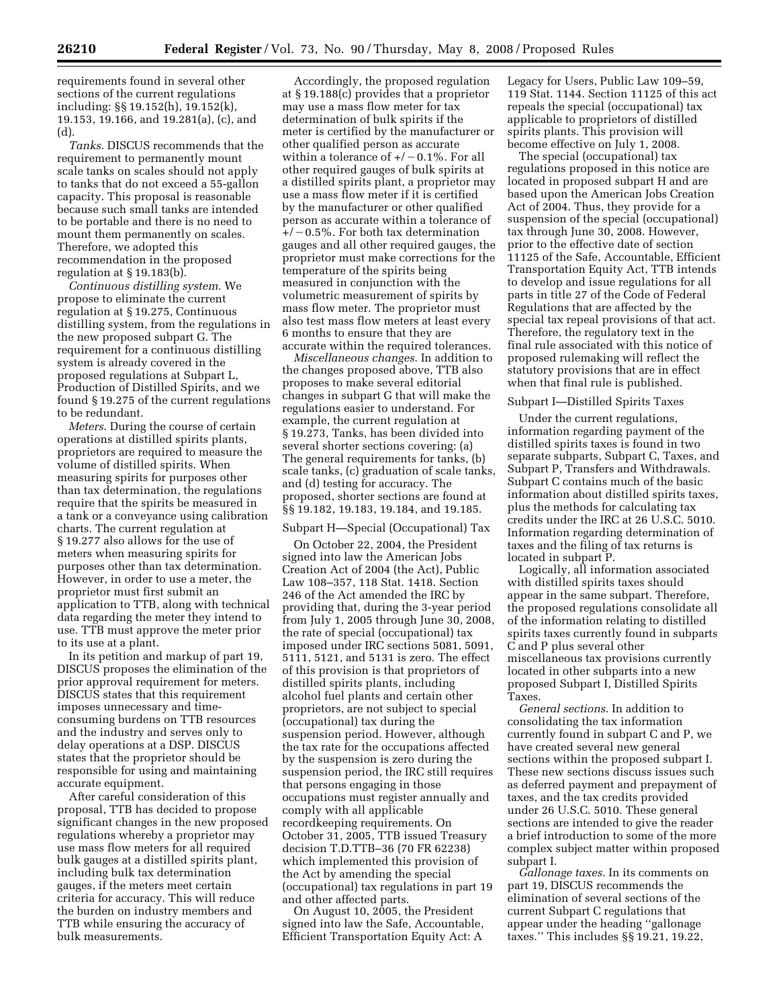requirements found in several other sections of the current regulations including: §§ 19.152(h), 19.152(k), 19.153, 19.166, and 19.281(a), (c), and  $(d)$ 

*Tanks*. DISCUS recommends that the requirement to permanently mount scale tanks on scales should not apply to tanks that do not exceed a 55-gallon capacity. This proposal is reasonable because such small tanks are intended to be portable and there is no need to mount them permanently on scales. Therefore, we adopted this recommendation in the proposed regulation at § 19.183(b).

*Continuous distilling system*. We propose to eliminate the current regulation at § 19.275, Continuous distilling system, from the regulations in the new proposed subpart G. The requirement for a continuous distilling system is already covered in the proposed regulations at Subpart L, Production of Distilled Spirits, and we found § 19.275 of the current regulations to be redundant.

*Meters*. During the course of certain operations at distilled spirits plants, proprietors are required to measure the volume of distilled spirits. When measuring spirits for purposes other than tax determination, the regulations require that the spirits be measured in a tank or a conveyance using calibration charts. The current regulation at § 19.277 also allows for the use of meters when measuring spirits for purposes other than tax determination. However, in order to use a meter, the proprietor must first submit an application to TTB, along with technical data regarding the meter they intend to use. TTB must approve the meter prior to its use at a plant.

In its petition and markup of part 19, DISCUS proposes the elimination of the prior approval requirement for meters. DISCUS states that this requirement imposes unnecessary and timeconsuming burdens on TTB resources and the industry and serves only to delay operations at a DSP. DISCUS states that the proprietor should be responsible for using and maintaining accurate equipment.

After careful consideration of this proposal, TTB has decided to propose significant changes in the new proposed regulations whereby a proprietor may use mass flow meters for all required bulk gauges at a distilled spirits plant, including bulk tax determination gauges, if the meters meet certain criteria for accuracy. This will reduce the burden on industry members and TTB while ensuring the accuracy of bulk measurements.

Accordingly, the proposed regulation at § 19.188(c) provides that a proprietor may use a mass flow meter for tax determination of bulk spirits if the meter is certified by the manufacturer or other qualified person as accurate within a tolerance of  $+/-0.1\%$ . For all other required gauges of bulk spirits at a distilled spirits plant, a proprietor may use a mass flow meter if it is certified by the manufacturer or other qualified person as accurate within a tolerance of  $+/-0.5\%$ . For both tax determination gauges and all other required gauges, the proprietor must make corrections for the temperature of the spirits being measured in conjunction with the volumetric measurement of spirits by mass flow meter. The proprietor must also test mass flow meters at least every 6 months to ensure that they are accurate within the required tolerances.

*Miscellaneous changes*. In addition to the changes proposed above, TTB also proposes to make several editorial changes in subpart G that will make the regulations easier to understand. For example, the current regulation at § 19.273, Tanks, has been divided into several shorter sections covering: (a) The general requirements for tanks, (b) scale tanks, (c) graduation of scale tanks, and (d) testing for accuracy. The proposed, shorter sections are found at §§ 19.182, 19.183, 19.184, and 19.185.

## Subpart H—Special (Occupational) Tax

On October 22, 2004, the President signed into law the American Jobs Creation Act of 2004 (the Act), Public Law 108–357, 118 Stat. 1418. Section 246 of the Act amended the IRC by providing that, during the 3-year period from July 1, 2005 through June 30, 2008, the rate of special (occupational) tax imposed under IRC sections 5081, 5091, 5111, 5121, and 5131 is zero. The effect of this provision is that proprietors of distilled spirits plants, including alcohol fuel plants and certain other proprietors, are not subject to special (occupational) tax during the suspension period. However, although the tax rate for the occupations affected by the suspension is zero during the suspension period, the IRC still requires that persons engaging in those occupations must register annually and comply with all applicable recordkeeping requirements. On October 31, 2005, TTB issued Treasury decision T.D.TTB–36 (70 FR 62238) which implemented this provision of the Act by amending the special (occupational) tax regulations in part 19 and other affected parts.

On August 10, 2005, the President signed into law the Safe, Accountable, Efficient Transportation Equity Act: A

Legacy for Users, Public Law 109–59, 119 Stat. 1144. Section 11125 of this act repeals the special (occupational) tax applicable to proprietors of distilled spirits plants. This provision will become effective on July 1, 2008.

The special (occupational) tax regulations proposed in this notice are located in proposed subpart H and are based upon the American Jobs Creation Act of 2004. Thus, they provide for a suspension of the special (occupational) tax through June 30, 2008. However, prior to the effective date of section 11125 of the Safe, Accountable, Efficient Transportation Equity Act, TTB intends to develop and issue regulations for all parts in title 27 of the Code of Federal Regulations that are affected by the special tax repeal provisions of that act. Therefore, the regulatory text in the final rule associated with this notice of proposed rulemaking will reflect the statutory provisions that are in effect when that final rule is published.

### Subpart I—Distilled Spirits Taxes

Under the current regulations, information regarding payment of the distilled spirits taxes is found in two separate subparts, Subpart C, Taxes, and Subpart P, Transfers and Withdrawals. Subpart C contains much of the basic information about distilled spirits taxes, plus the methods for calculating tax credits under the IRC at 26 U.S.C. 5010. Information regarding determination of taxes and the filing of tax returns is located in subpart P.

Logically, all information associated with distilled spirits taxes should appear in the same subpart. Therefore, the proposed regulations consolidate all of the information relating to distilled spirits taxes currently found in subparts C and P plus several other miscellaneous tax provisions currently located in other subparts into a new proposed Subpart I, Distilled Spirits Taxes.

*General sections*. In addition to consolidating the tax information currently found in subpart C and P, we have created several new general sections within the proposed subpart I. These new sections discuss issues such as deferred payment and prepayment of taxes, and the tax credits provided under 26 U.S.C. 5010. These general sections are intended to give the reader a brief introduction to some of the more complex subject matter within proposed subpart I.

*Gallonage taxes.* In its comments on part 19, DISCUS recommends the elimination of several sections of the current Subpart C regulations that appear under the heading ''gallonage taxes.'' This includes §§ 19.21, 19.22,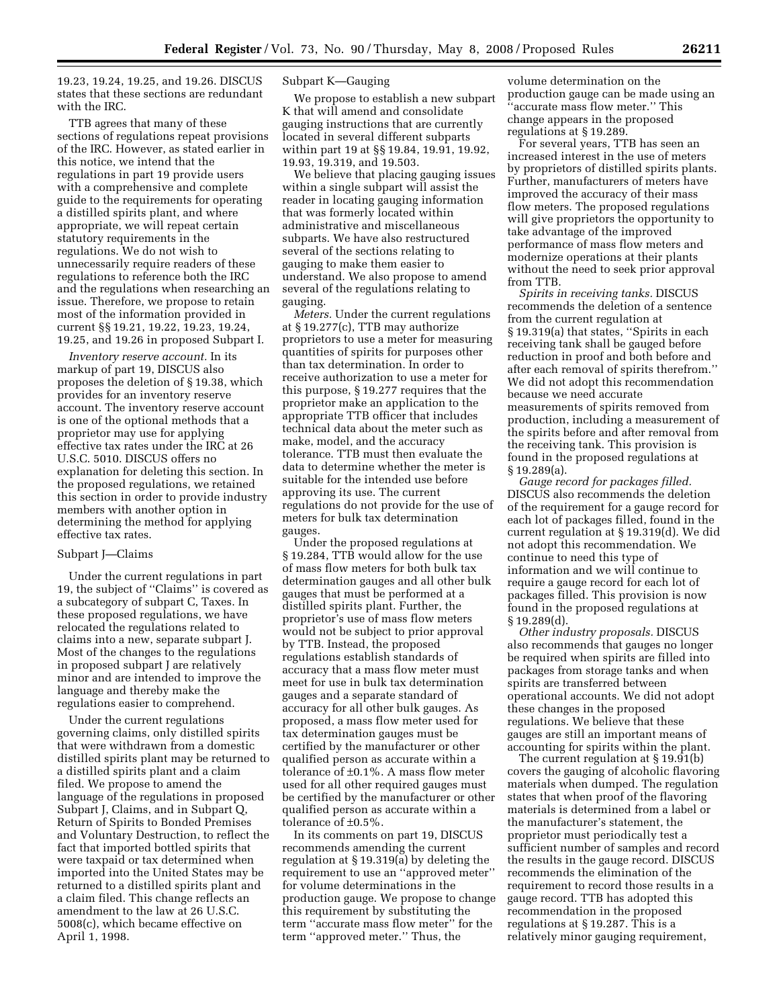19.23, 19.24, 19.25, and 19.26. DISCUS states that these sections are redundant with the IRC.

TTB agrees that many of these sections of regulations repeat provisions of the IRC. However, as stated earlier in this notice, we intend that the regulations in part 19 provide users with a comprehensive and complete guide to the requirements for operating a distilled spirits plant, and where appropriate, we will repeat certain statutory requirements in the regulations. We do not wish to unnecessarily require readers of these regulations to reference both the IRC and the regulations when researching an issue. Therefore, we propose to retain most of the information provided in current §§ 19.21, 19.22, 19.23, 19.24, 19.25, and 19.26 in proposed Subpart I.

*Inventory reserve account.* In its markup of part 19, DISCUS also proposes the deletion of § 19.38, which provides for an inventory reserve account. The inventory reserve account is one of the optional methods that a proprietor may use for applying effective tax rates under the IRC at 26 U.S.C. 5010. DISCUS offers no explanation for deleting this section. In the proposed regulations, we retained this section in order to provide industry members with another option in determining the method for applying effective tax rates.

## Subpart J—Claims

Under the current regulations in part 19, the subject of ''Claims'' is covered as a subcategory of subpart C, Taxes. In these proposed regulations, we have relocated the regulations related to claims into a new, separate subpart J. Most of the changes to the regulations in proposed subpart J are relatively minor and are intended to improve the language and thereby make the regulations easier to comprehend.

Under the current regulations governing claims, only distilled spirits that were withdrawn from a domestic distilled spirits plant may be returned to a distilled spirits plant and a claim filed. We propose to amend the language of the regulations in proposed Subpart J, Claims, and in Subpart Q, Return of Spirits to Bonded Premises and Voluntary Destruction, to reflect the fact that imported bottled spirits that were taxpaid or tax determined when imported into the United States may be returned to a distilled spirits plant and a claim filed. This change reflects an amendment to the law at 26 U.S.C. 5008(c), which became effective on April 1, 1998.

## Subpart K—Gauging

We propose to establish a new subpart K that will amend and consolidate gauging instructions that are currently located in several different subparts within part 19 at §§ 19.84, 19.91, 19.92, 19.93, 19.319, and 19.503.

We believe that placing gauging issues within a single subpart will assist the reader in locating gauging information that was formerly located within administrative and miscellaneous subparts. We have also restructured several of the sections relating to gauging to make them easier to understand. We also propose to amend several of the regulations relating to gauging.

*Meters.* Under the current regulations at § 19.277(c), TTB may authorize proprietors to use a meter for measuring quantities of spirits for purposes other than tax determination. In order to receive authorization to use a meter for this purpose, § 19.277 requires that the proprietor make an application to the appropriate TTB officer that includes technical data about the meter such as make, model, and the accuracy tolerance. TTB must then evaluate the data to determine whether the meter is suitable for the intended use before approving its use. The current regulations do not provide for the use of meters for bulk tax determination gauges.

Under the proposed regulations at § 19.284, TTB would allow for the use of mass flow meters for both bulk tax determination gauges and all other bulk gauges that must be performed at a distilled spirits plant. Further, the proprietor's use of mass flow meters would not be subject to prior approval by TTB. Instead, the proposed regulations establish standards of accuracy that a mass flow meter must meet for use in bulk tax determination gauges and a separate standard of accuracy for all other bulk gauges. As proposed, a mass flow meter used for tax determination gauges must be certified by the manufacturer or other qualified person as accurate within a tolerance of ±0.1%. A mass flow meter used for all other required gauges must be certified by the manufacturer or other qualified person as accurate within a tolerance of ±0.5%.

In its comments on part 19, DISCUS recommends amending the current regulation at § 19.319(a) by deleting the requirement to use an ''approved meter'' for volume determinations in the production gauge. We propose to change this requirement by substituting the term ''accurate mass flow meter'' for the term ''approved meter.'' Thus, the

volume determination on the production gauge can be made using an 'accurate mass flow meter.'' This change appears in the proposed regulations at § 19.289.

For several years, TTB has seen an increased interest in the use of meters by proprietors of distilled spirits plants. Further, manufacturers of meters have improved the accuracy of their mass flow meters. The proposed regulations will give proprietors the opportunity to take advantage of the improved performance of mass flow meters and modernize operations at their plants without the need to seek prior approval from TTB.

*Spirits in receiving tanks.* DISCUS recommends the deletion of a sentence from the current regulation at § 19.319(a) that states, ''Spirits in each receiving tank shall be gauged before reduction in proof and both before and after each removal of spirits therefrom.'' We did not adopt this recommendation because we need accurate measurements of spirits removed from production, including a measurement of the spirits before and after removal from the receiving tank. This provision is found in the proposed regulations at § 19.289(a).

*Gauge record for packages filled.*  DISCUS also recommends the deletion of the requirement for a gauge record for each lot of packages filled, found in the current regulation at § 19.319(d). We did not adopt this recommendation. We continue to need this type of information and we will continue to require a gauge record for each lot of packages filled. This provision is now found in the proposed regulations at § 19.289(d).

*Other industry proposals.* DISCUS also recommends that gauges no longer be required when spirits are filled into packages from storage tanks and when spirits are transferred between operational accounts. We did not adopt these changes in the proposed regulations. We believe that these gauges are still an important means of accounting for spirits within the plant.

The current regulation at § 19.91(b) covers the gauging of alcoholic flavoring materials when dumped. The regulation states that when proof of the flavoring materials is determined from a label or the manufacturer's statement, the proprietor must periodically test a sufficient number of samples and record the results in the gauge record. DISCUS recommends the elimination of the requirement to record those results in a gauge record. TTB has adopted this recommendation in the proposed regulations at § 19.287. This is a relatively minor gauging requirement,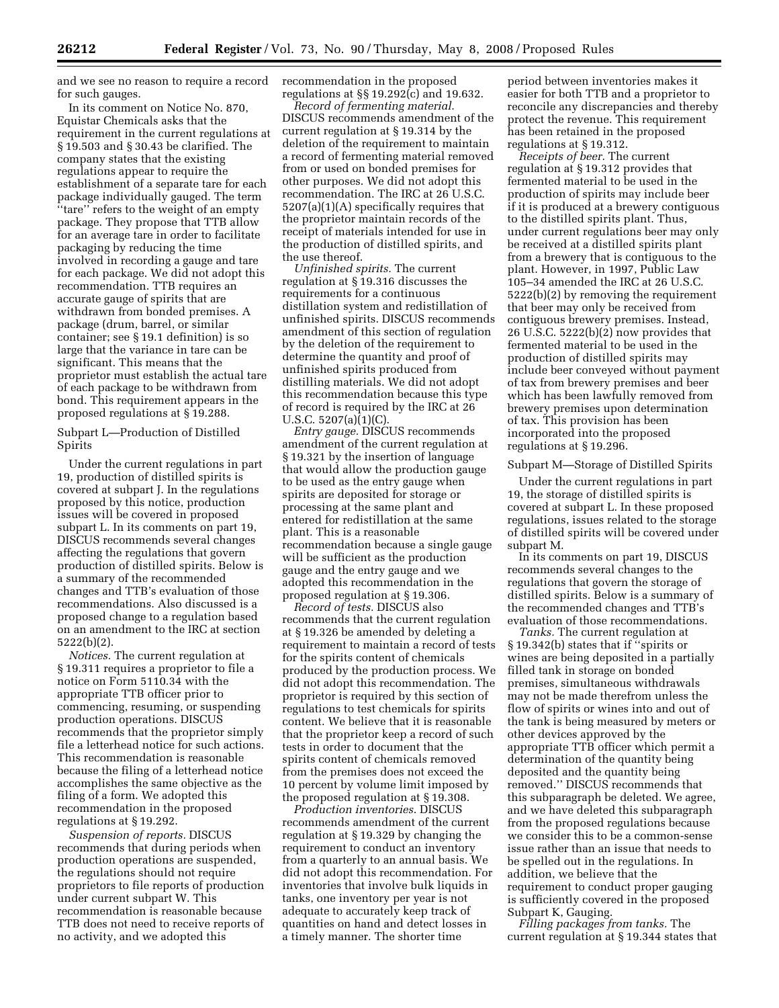and we see no reason to require a record for such gauges.

In its comment on Notice No. 870, Equistar Chemicals asks that the requirement in the current regulations at § 19.503 and § 30.43 be clarified. The company states that the existing regulations appear to require the establishment of a separate tare for each package individually gauged. The term ''tare'' refers to the weight of an empty package. They propose that TTB allow for an average tare in order to facilitate packaging by reducing the time involved in recording a gauge and tare for each package. We did not adopt this recommendation. TTB requires an accurate gauge of spirits that are withdrawn from bonded premises. A package (drum, barrel, or similar container; see § 19.1 definition) is so large that the variance in tare can be significant. This means that the proprietor must establish the actual tare of each package to be withdrawn from bond. This requirement appears in the proposed regulations at § 19.288.

Subpart L—Production of Distilled **Spirits** 

Under the current regulations in part 19, production of distilled spirits is covered at subpart J. In the regulations proposed by this notice, production issues will be covered in proposed subpart L. In its comments on part 19, DISCUS recommends several changes affecting the regulations that govern production of distilled spirits. Below is a summary of the recommended changes and TTB's evaluation of those recommendations. Also discussed is a proposed change to a regulation based on an amendment to the IRC at section 5222(b)(2).

*Notices.* The current regulation at § 19.311 requires a proprietor to file a notice on Form 5110.34 with the appropriate TTB officer prior to commencing, resuming, or suspending production operations. DISCUS recommends that the proprietor simply file a letterhead notice for such actions. This recommendation is reasonable because the filing of a letterhead notice accomplishes the same objective as the filing of a form. We adopted this recommendation in the proposed regulations at § 19.292.

*Suspension of reports.* DISCUS recommends that during periods when production operations are suspended, the regulations should not require proprietors to file reports of production under current subpart W. This recommendation is reasonable because TTB does not need to receive reports of no activity, and we adopted this

recommendation in the proposed regulations at §§ 19.292(c) and 19.632.

*Record of fermenting material.*  DISCUS recommends amendment of the current regulation at § 19.314 by the deletion of the requirement to maintain a record of fermenting material removed from or used on bonded premises for other purposes. We did not adopt this recommendation. The IRC at 26 U.S.C. 5207(a)(1)(A) specifically requires that the proprietor maintain records of the receipt of materials intended for use in the production of distilled spirits, and the use thereof.

*Unfinished spirits.* The current regulation at § 19.316 discusses the requirements for a continuous distillation system and redistillation of unfinished spirits. DISCUS recommends amendment of this section of regulation by the deletion of the requirement to determine the quantity and proof of unfinished spirits produced from distilling materials. We did not adopt this recommendation because this type of record is required by the IRC at 26 U.S.C. 5207(a)(1)(C).

*Entry gauge.* DISCUS recommends amendment of the current regulation at § 19.321 by the insertion of language that would allow the production gauge to be used as the entry gauge when spirits are deposited for storage or processing at the same plant and entered for redistillation at the same plant. This is a reasonable recommendation because a single gauge will be sufficient as the production gauge and the entry gauge and we adopted this recommendation in the proposed regulation at § 19.306.

*Record of tests.* DISCUS also recommends that the current regulation at § 19.326 be amended by deleting a requirement to maintain a record of tests for the spirits content of chemicals produced by the production process. We did not adopt this recommendation. The proprietor is required by this section of regulations to test chemicals for spirits content. We believe that it is reasonable that the proprietor keep a record of such tests in order to document that the spirits content of chemicals removed from the premises does not exceed the 10 percent by volume limit imposed by the proposed regulation at § 19.308.

*Production inventories*. DISCUS recommends amendment of the current regulation at § 19.329 by changing the requirement to conduct an inventory from a quarterly to an annual basis. We did not adopt this recommendation. For inventories that involve bulk liquids in tanks, one inventory per year is not adequate to accurately keep track of quantities on hand and detect losses in a timely manner. The shorter time

period between inventories makes it easier for both TTB and a proprietor to reconcile any discrepancies and thereby protect the revenue. This requirement has been retained in the proposed regulations at § 19.312.

*Receipts of beer.* The current regulation at § 19.312 provides that fermented material to be used in the production of spirits may include beer if it is produced at a brewery contiguous to the distilled spirits plant. Thus, under current regulations beer may only be received at a distilled spirits plant from a brewery that is contiguous to the plant. However, in 1997, Public Law 105–34 amended the IRC at 26 U.S.C. 5222(b)(2) by removing the requirement that beer may only be received from contiguous brewery premises. Instead, 26 U.S.C. 5222(b)(2) now provides that fermented material to be used in the production of distilled spirits may include beer conveyed without payment of tax from brewery premises and beer which has been lawfully removed from brewery premises upon determination of tax. This provision has been incorporated into the proposed regulations at § 19.296.

#### Subpart M—Storage of Distilled Spirits

Under the current regulations in part 19, the storage of distilled spirits is covered at subpart L. In these proposed regulations, issues related to the storage of distilled spirits will be covered under subpart M.

In its comments on part 19, DISCUS recommends several changes to the regulations that govern the storage of distilled spirits. Below is a summary of the recommended changes and TTB's evaluation of those recommendations.

*Tanks.* The current regulation at § 19.342(b) states that if ''spirits or wines are being deposited in a partially filled tank in storage on bonded premises, simultaneous withdrawals may not be made therefrom unless the flow of spirits or wines into and out of the tank is being measured by meters or other devices approved by the appropriate TTB officer which permit a determination of the quantity being deposited and the quantity being removed.'' DISCUS recommends that this subparagraph be deleted. We agree, and we have deleted this subparagraph from the proposed regulations because we consider this to be a common-sense issue rather than an issue that needs to be spelled out in the regulations. In addition, we believe that the requirement to conduct proper gauging is sufficiently covered in the proposed Subpart K, Gauging.

*Filling packages from tanks.* The current regulation at § 19.344 states that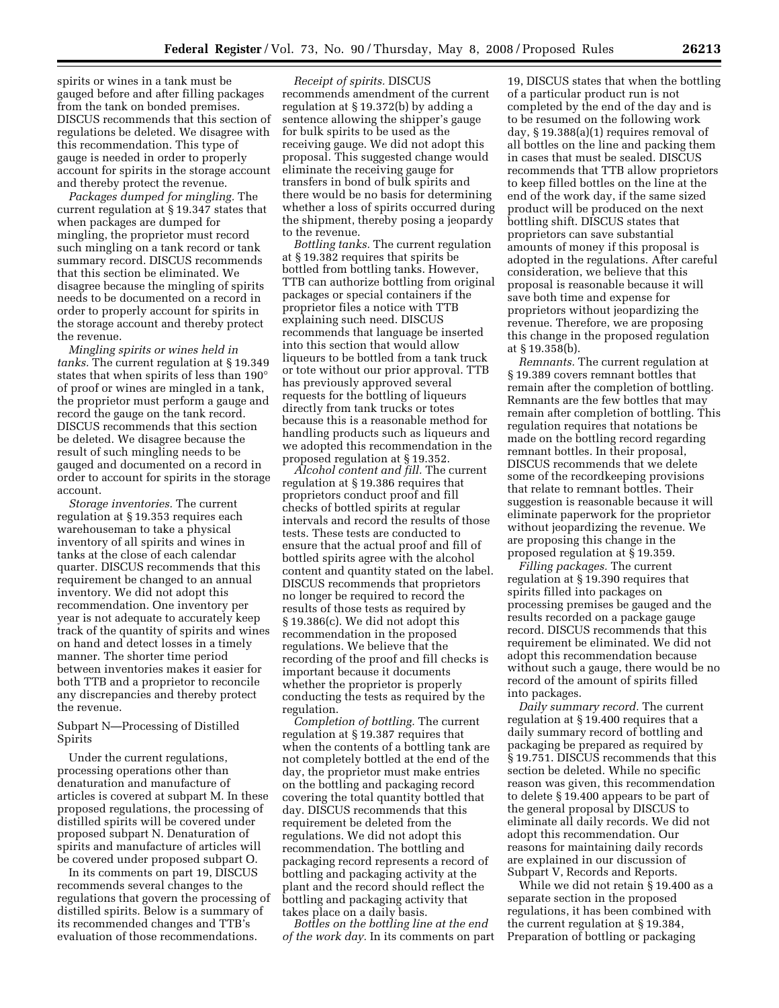spirits or wines in a tank must be gauged before and after filling packages from the tank on bonded premises. DISCUS recommends that this section of regulations be deleted. We disagree with this recommendation. This type of gauge is needed in order to properly account for spirits in the storage account and thereby protect the revenue.

*Packages dumped for mingling.* The current regulation at § 19.347 states that when packages are dumped for mingling, the proprietor must record such mingling on a tank record or tank summary record. DISCUS recommends that this section be eliminated. We disagree because the mingling of spirits needs to be documented on a record in order to properly account for spirits in the storage account and thereby protect the revenue.

*Mingling spirits or wines held in tanks.* The current regulation at § 19.349 states that when spirits of less than 190° of proof or wines are mingled in a tank, the proprietor must perform a gauge and record the gauge on the tank record. DISCUS recommends that this section be deleted. We disagree because the result of such mingling needs to be gauged and documented on a record in order to account for spirits in the storage account.

*Storage inventories.* The current regulation at § 19.353 requires each warehouseman to take a physical inventory of all spirits and wines in tanks at the close of each calendar quarter. DISCUS recommends that this requirement be changed to an annual inventory. We did not adopt this recommendation. One inventory per year is not adequate to accurately keep track of the quantity of spirits and wines on hand and detect losses in a timely manner. The shorter time period between inventories makes it easier for both TTB and a proprietor to reconcile any discrepancies and thereby protect the revenue.

Subpart N—Processing of Distilled Spirits

Under the current regulations, processing operations other than denaturation and manufacture of articles is covered at subpart M. In these proposed regulations, the processing of distilled spirits will be covered under proposed subpart N. Denaturation of spirits and manufacture of articles will be covered under proposed subpart O.

In its comments on part 19, DISCUS recommends several changes to the regulations that govern the processing of distilled spirits. Below is a summary of its recommended changes and TTB's evaluation of those recommendations.

*Receipt of spirits.* DISCUS recommends amendment of the current regulation at § 19.372(b) by adding a sentence allowing the shipper's gauge for bulk spirits to be used as the receiving gauge. We did not adopt this proposal. This suggested change would eliminate the receiving gauge for transfers in bond of bulk spirits and there would be no basis for determining whether a loss of spirits occurred during the shipment, thereby posing a jeopardy to the revenue.

*Bottling tanks.* The current regulation at § 19.382 requires that spirits be bottled from bottling tanks. However, TTB can authorize bottling from original packages or special containers if the proprietor files a notice with TTB explaining such need. DISCUS recommends that language be inserted into this section that would allow liqueurs to be bottled from a tank truck or tote without our prior approval. TTB has previously approved several requests for the bottling of liqueurs directly from tank trucks or totes because this is a reasonable method for handling products such as liqueurs and we adopted this recommendation in the proposed regulation at § 19.352.

*Alcohol content and fill.* The current regulation at § 19.386 requires that proprietors conduct proof and fill checks of bottled spirits at regular intervals and record the results of those tests. These tests are conducted to ensure that the actual proof and fill of bottled spirits agree with the alcohol content and quantity stated on the label. DISCUS recommends that proprietors no longer be required to record the results of those tests as required by § 19.386(c). We did not adopt this recommendation in the proposed regulations. We believe that the recording of the proof and fill checks is important because it documents whether the proprietor is properly conducting the tests as required by the regulation.

*Completion of bottling.* The current regulation at § 19.387 requires that when the contents of a bottling tank are not completely bottled at the end of the day, the proprietor must make entries on the bottling and packaging record covering the total quantity bottled that day. DISCUS recommends that this requirement be deleted from the regulations. We did not adopt this recommendation. The bottling and packaging record represents a record of bottling and packaging activity at the plant and the record should reflect the bottling and packaging activity that takes place on a daily basis.

*Bottles on the bottling line at the end of the work day.* In its comments on part

19, DISCUS states that when the bottling of a particular product run is not completed by the end of the day and is to be resumed on the following work day, § 19.388(a)(1) requires removal of all bottles on the line and packing them in cases that must be sealed. DISCUS recommends that TTB allow proprietors to keep filled bottles on the line at the end of the work day, if the same sized product will be produced on the next bottling shift. DISCUS states that proprietors can save substantial amounts of money if this proposal is adopted in the regulations. After careful consideration, we believe that this proposal is reasonable because it will save both time and expense for proprietors without jeopardizing the revenue. Therefore, we are proposing this change in the proposed regulation at § 19.358(b).

*Remnants.* The current regulation at § 19.389 covers remnant bottles that remain after the completion of bottling. Remnants are the few bottles that may remain after completion of bottling. This regulation requires that notations be made on the bottling record regarding remnant bottles. In their proposal, DISCUS recommends that we delete some of the recordkeeping provisions that relate to remnant bottles. Their suggestion is reasonable because it will eliminate paperwork for the proprietor without jeopardizing the revenue. We are proposing this change in the proposed regulation at § 19.359.

*Filling packages.* The current regulation at § 19.390 requires that spirits filled into packages on processing premises be gauged and the results recorded on a package gauge record. DISCUS recommends that this requirement be eliminated. We did not adopt this recommendation because without such a gauge, there would be no record of the amount of spirits filled into packages.

*Daily summary record.* The current regulation at § 19.400 requires that a daily summary record of bottling and packaging be prepared as required by § 19.751. DISCUS recommends that this section be deleted. While no specific reason was given, this recommendation to delete § 19.400 appears to be part of the general proposal by DISCUS to eliminate all daily records. We did not adopt this recommendation. Our reasons for maintaining daily records are explained in our discussion of Subpart V, Records and Reports.

While we did not retain § 19.400 as a separate section in the proposed regulations, it has been combined with the current regulation at § 19.384, Preparation of bottling or packaging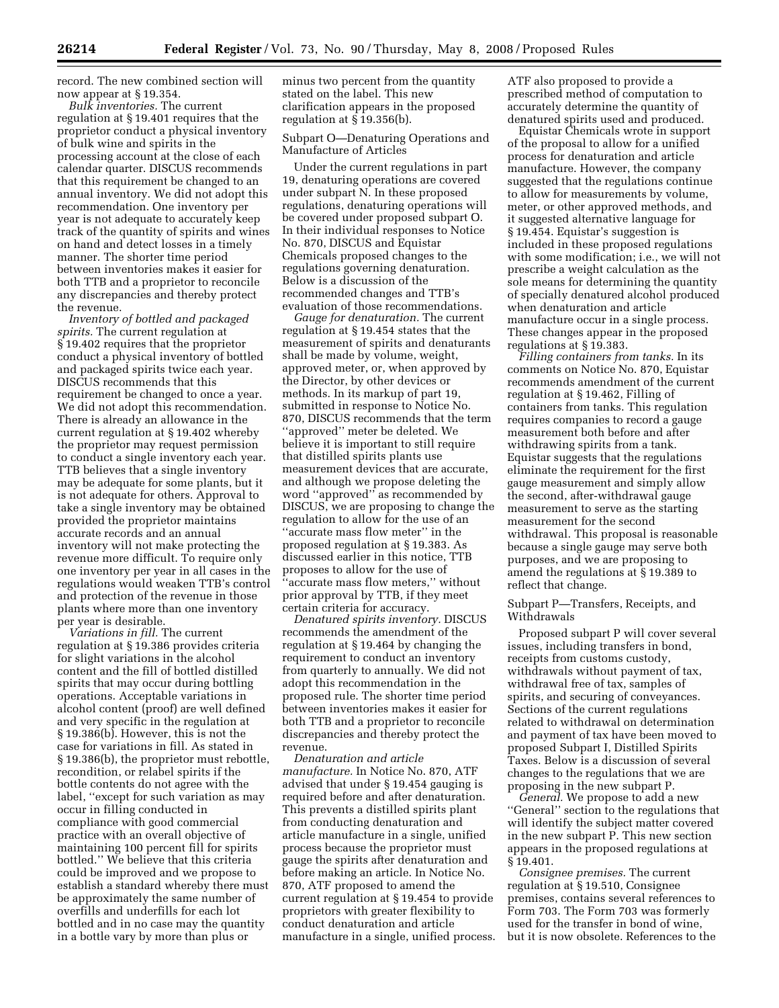record. The new combined section will now appear at § 19.354.

*Bulk inventories.* The current regulation at § 19.401 requires that the proprietor conduct a physical inventory of bulk wine and spirits in the processing account at the close of each calendar quarter. DISCUS recommends that this requirement be changed to an annual inventory. We did not adopt this recommendation. One inventory per year is not adequate to accurately keep track of the quantity of spirits and wines on hand and detect losses in a timely manner. The shorter time period between inventories makes it easier for both TTB and a proprietor to reconcile any discrepancies and thereby protect the revenue.

*Inventory of bottled and packaged spirits.* The current regulation at § 19.402 requires that the proprietor conduct a physical inventory of bottled and packaged spirits twice each year. DISCUS recommends that this requirement be changed to once a year. We did not adopt this recommendation. There is already an allowance in the current regulation at § 19.402 whereby the proprietor may request permission to conduct a single inventory each year. TTB believes that a single inventory may be adequate for some plants, but it is not adequate for others. Approval to take a single inventory may be obtained provided the proprietor maintains accurate records and an annual inventory will not make protecting the revenue more difficult. To require only one inventory per year in all cases in the regulations would weaken TTB's control and protection of the revenue in those plants where more than one inventory per year is desirable.

*Variations in fill.* The current regulation at § 19.386 provides criteria for slight variations in the alcohol content and the fill of bottled distilled spirits that may occur during bottling operations. Acceptable variations in alcohol content (proof) are well defined and very specific in the regulation at § 19.386(b). However, this is not the case for variations in fill. As stated in § 19.386(b), the proprietor must rebottle, recondition, or relabel spirits if the bottle contents do not agree with the label, ''except for such variation as may occur in filling conducted in compliance with good commercial practice with an overall objective of maintaining 100 percent fill for spirits bottled.'' We believe that this criteria could be improved and we propose to establish a standard whereby there must be approximately the same number of overfills and underfills for each lot bottled and in no case may the quantity in a bottle vary by more than plus or

minus two percent from the quantity stated on the label. This new clarification appears in the proposed regulation at § 19.356(b).

Subpart O—Denaturing Operations and Manufacture of Articles

Under the current regulations in part 19, denaturing operations are covered under subpart N. In these proposed regulations, denaturing operations will be covered under proposed subpart O. In their individual responses to Notice No. 870, DISCUS and Equistar Chemicals proposed changes to the regulations governing denaturation. Below is a discussion of the recommended changes and TTB's evaluation of those recommendations.

*Gauge for denaturation.* The current regulation at § 19.454 states that the measurement of spirits and denaturants shall be made by volume, weight, approved meter, or, when approved by the Director, by other devices or methods. In its markup of part 19, submitted in response to Notice No. 870, DISCUS recommends that the term ''approved'' meter be deleted. We believe it is important to still require that distilled spirits plants use measurement devices that are accurate, and although we propose deleting the word ''approved'' as recommended by DISCUS, we are proposing to change the regulation to allow for the use of an ''accurate mass flow meter'' in the proposed regulation at § 19.383. As discussed earlier in this notice, TTB proposes to allow for the use of ''accurate mass flow meters,'' without prior approval by TTB, if they meet certain criteria for accuracy.

*Denatured spirits inventory.* DISCUS recommends the amendment of the regulation at § 19.464 by changing the requirement to conduct an inventory from quarterly to annually. We did not adopt this recommendation in the proposed rule. The shorter time period between inventories makes it easier for both TTB and a proprietor to reconcile discrepancies and thereby protect the revenue.

*Denaturation and article manufacture.* In Notice No. 870, ATF advised that under § 19.454 gauging is required before and after denaturation. This prevents a distilled spirits plant from conducting denaturation and article manufacture in a single, unified process because the proprietor must gauge the spirits after denaturation and before making an article. In Notice No. 870, ATF proposed to amend the current regulation at § 19.454 to provide proprietors with greater flexibility to conduct denaturation and article manufacture in a single, unified process. ATF also proposed to provide a prescribed method of computation to accurately determine the quantity of denatured spirits used and produced.

Equistar Chemicals wrote in support of the proposal to allow for a unified process for denaturation and article manufacture. However, the company suggested that the regulations continue to allow for measurements by volume, meter, or other approved methods, and it suggested alternative language for § 19.454. Equistar's suggestion is included in these proposed regulations with some modification; i.e., we will not prescribe a weight calculation as the sole means for determining the quantity of specially denatured alcohol produced when denaturation and article manufacture occur in a single process. These changes appear in the proposed regulations at § 19.383.

*Filling containers from tanks.* In its comments on Notice No. 870, Equistar recommends amendment of the current regulation at § 19.462, Filling of containers from tanks. This regulation requires companies to record a gauge measurement both before and after withdrawing spirits from a tank. Equistar suggests that the regulations eliminate the requirement for the first gauge measurement and simply allow the second, after-withdrawal gauge measurement to serve as the starting measurement for the second withdrawal. This proposal is reasonable because a single gauge may serve both purposes, and we are proposing to amend the regulations at § 19.389 to reflect that change.

Subpart P—Transfers, Receipts, and Withdrawals

Proposed subpart P will cover several issues, including transfers in bond, receipts from customs custody, withdrawals without payment of tax, withdrawal free of tax, samples of spirits, and securing of conveyances. Sections of the current regulations related to withdrawal on determination and payment of tax have been moved to proposed Subpart I, Distilled Spirits Taxes. Below is a discussion of several changes to the regulations that we are proposing in the new subpart P.

*General.* We propose to add a new ''General'' section to the regulations that will identify the subject matter covered in the new subpart P. This new section appears in the proposed regulations at § 19.401.

*Consignee premises.* The current regulation at § 19.510, Consignee premises, contains several references to Form 703. The Form 703 was formerly used for the transfer in bond of wine, but it is now obsolete. References to the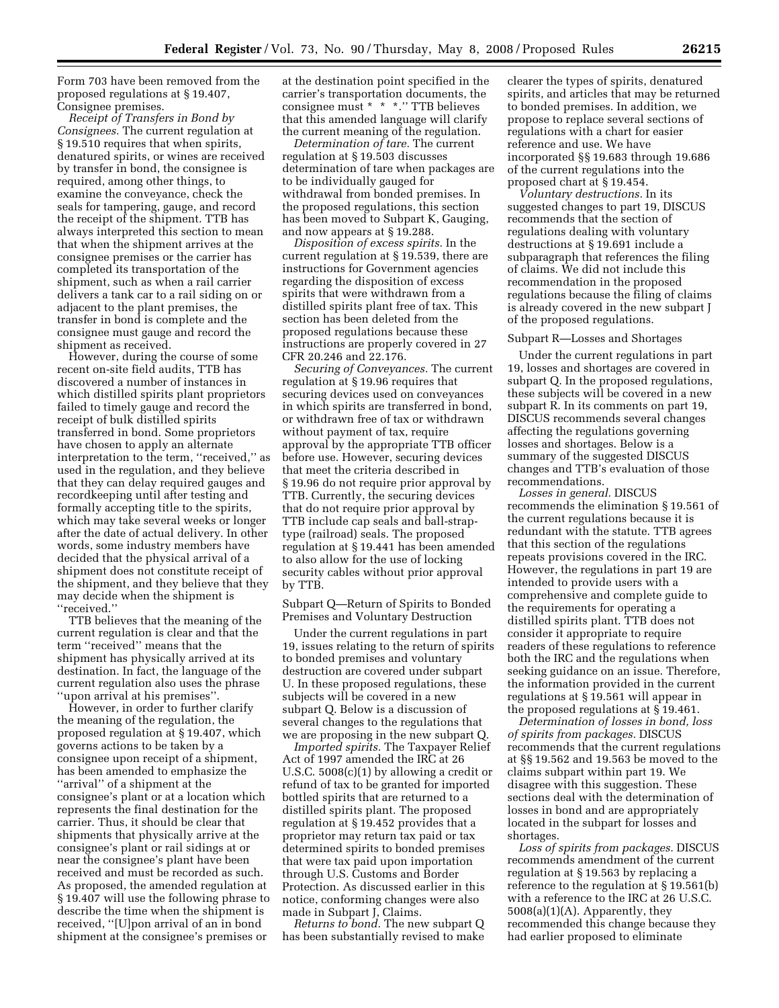Form 703 have been removed from the proposed regulations at § 19.407, Consignee premises.

*Receipt of Transfers in Bond by Consignees.* The current regulation at § 19.510 requires that when spirits, denatured spirits, or wines are received by transfer in bond, the consignee is required, among other things, to examine the conveyance, check the seals for tampering, gauge, and record the receipt of the shipment. TTB has always interpreted this section to mean that when the shipment arrives at the consignee premises or the carrier has completed its transportation of the shipment, such as when a rail carrier delivers a tank car to a rail siding on or adjacent to the plant premises, the transfer in bond is complete and the consignee must gauge and record the shipment as received.

However, during the course of some recent on-site field audits, TTB has discovered a number of instances in which distilled spirits plant proprietors failed to timely gauge and record the receipt of bulk distilled spirits transferred in bond. Some proprietors have chosen to apply an alternate interpretation to the term, ''received,'' as used in the regulation, and they believe that they can delay required gauges and recordkeeping until after testing and formally accepting title to the spirits, which may take several weeks or longer after the date of actual delivery. In other words, some industry members have decided that the physical arrival of a shipment does not constitute receipt of the shipment, and they believe that they may decide when the shipment is ''received.''

TTB believes that the meaning of the current regulation is clear and that the term ''received'' means that the shipment has physically arrived at its destination. In fact, the language of the current regulation also uses the phrase ''upon arrival at his premises''.

However, in order to further clarify the meaning of the regulation, the proposed regulation at § 19.407, which governs actions to be taken by a consignee upon receipt of a shipment, has been amended to emphasize the ''arrival'' of a shipment at the consignee's plant or at a location which represents the final destination for the carrier. Thus, it should be clear that shipments that physically arrive at the consignee's plant or rail sidings at or near the consignee's plant have been received and must be recorded as such. As proposed, the amended regulation at § 19.407 will use the following phrase to describe the time when the shipment is received, ''[U]pon arrival of an in bond shipment at the consignee's premises or

at the destination point specified in the carrier's transportation documents, the consignee must \* \* \*.'' TTB believes that this amended language will clarify the current meaning of the regulation.

*Determination of tare.* The current regulation at § 19.503 discusses determination of tare when packages are to be individually gauged for withdrawal from bonded premises. In the proposed regulations, this section has been moved to Subpart K, Gauging, and now appears at § 19.288.

*Disposition of excess spirits.* In the current regulation at § 19.539, there are instructions for Government agencies regarding the disposition of excess spirits that were withdrawn from a distilled spirits plant free of tax. This section has been deleted from the proposed regulations because these instructions are properly covered in 27 CFR 20.246 and 22.176.

*Securing of Conveyances.* The current regulation at § 19.96 requires that securing devices used on conveyances in which spirits are transferred in bond, or withdrawn free of tax or withdrawn without payment of tax, require approval by the appropriate TTB officer before use. However, securing devices that meet the criteria described in § 19.96 do not require prior approval by TTB. Currently, the securing devices that do not require prior approval by TTB include cap seals and ball-straptype (railroad) seals. The proposed regulation at § 19.441 has been amended to also allow for the use of locking security cables without prior approval by TTB.

Subpart Q—Return of Spirits to Bonded Premises and Voluntary Destruction

Under the current regulations in part 19, issues relating to the return of spirits to bonded premises and voluntary destruction are covered under subpart U. In these proposed regulations, these subjects will be covered in a new subpart Q. Below is a discussion of several changes to the regulations that we are proposing in the new subpart Q.

*Imported spirits.* The Taxpayer Relief Act of 1997 amended the IRC at 26 U.S.C. 5008(c)(1) by allowing a credit or refund of tax to be granted for imported bottled spirits that are returned to a distilled spirits plant. The proposed regulation at § 19.452 provides that a proprietor may return tax paid or tax determined spirits to bonded premises that were tax paid upon importation through U.S. Customs and Border Protection. As discussed earlier in this notice, conforming changes were also made in Subpart J, Claims.

*Returns to bond.* The new subpart Q has been substantially revised to make clearer the types of spirits, denatured spirits, and articles that may be returned to bonded premises. In addition, we propose to replace several sections of regulations with a chart for easier reference and use. We have incorporated §§ 19.683 through 19.686 of the current regulations into the proposed chart at § 19.454.

*Voluntary destructions.* In its suggested changes to part 19, DISCUS recommends that the section of regulations dealing with voluntary destructions at § 19.691 include a subparagraph that references the filing of claims. We did not include this recommendation in the proposed regulations because the filing of claims is already covered in the new subpart J of the proposed regulations.

#### Subpart R—Losses and Shortages

Under the current regulations in part 19, losses and shortages are covered in subpart Q. In the proposed regulations, these subjects will be covered in a new subpart R. In its comments on part 19, DISCUS recommends several changes affecting the regulations governing losses and shortages. Below is a summary of the suggested DISCUS changes and TTB's evaluation of those recommendations.

*Losses in general.* DISCUS recommends the elimination § 19.561 of the current regulations because it is redundant with the statute. TTB agrees that this section of the regulations repeats provisions covered in the IRC. However, the regulations in part 19 are intended to provide users with a comprehensive and complete guide to the requirements for operating a distilled spirits plant. TTB does not consider it appropriate to require readers of these regulations to reference both the IRC and the regulations when seeking guidance on an issue. Therefore, the information provided in the current regulations at § 19.561 will appear in the proposed regulations at § 19.461.

*Determination of losses in bond, loss of spirits from packages.* DISCUS recommends that the current regulations at §§ 19.562 and 19.563 be moved to the claims subpart within part 19. We disagree with this suggestion. These sections deal with the determination of losses in bond and are appropriately located in the subpart for losses and shortages.

*Loss of spirits from packages.* DISCUS recommends amendment of the current regulation at § 19.563 by replacing a reference to the regulation at § 19.561(b) with a reference to the IRC at 26 U.S.C. 5008(a)(1)(A). Apparently, they recommended this change because they had earlier proposed to eliminate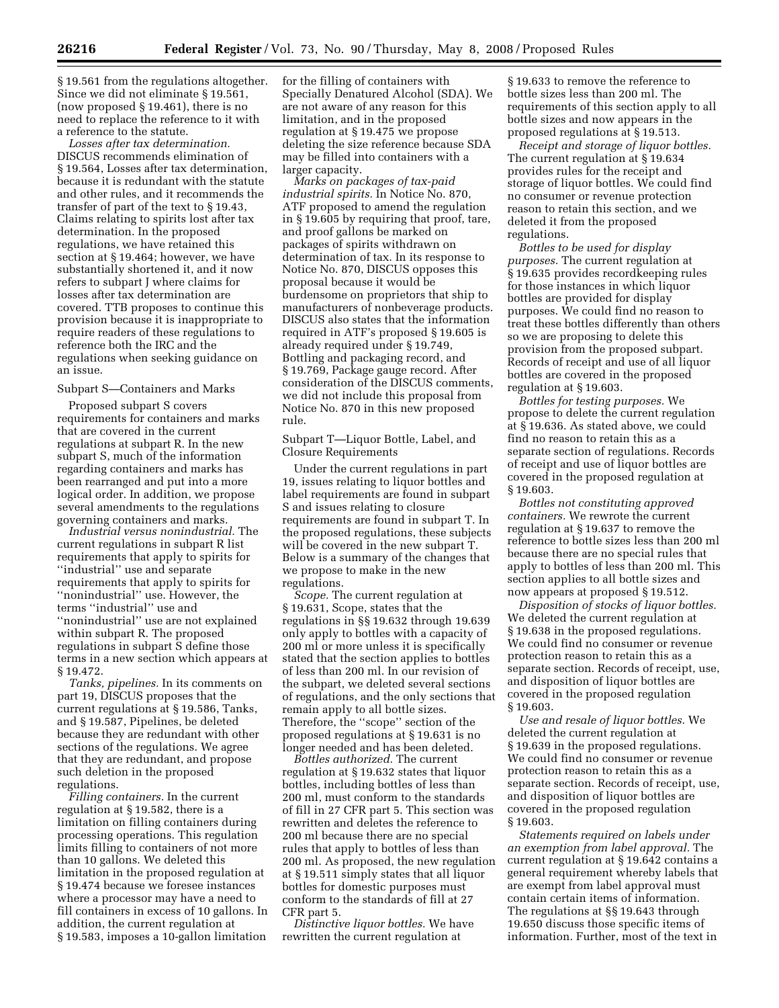§ 19.561 from the regulations altogether. Since we did not eliminate § 19.561, (now proposed § 19.461), there is no need to replace the reference to it with a reference to the statute.

*Losses after tax determination.*  DISCUS recommends elimination of § 19.564, Losses after tax determination, because it is redundant with the statute and other rules, and it recommends the transfer of part of the text to § 19.43, Claims relating to spirits lost after tax determination. In the proposed regulations, we have retained this section at § 19.464; however, we have substantially shortened it, and it now refers to subpart J where claims for losses after tax determination are covered. TTB proposes to continue this provision because it is inappropriate to require readers of these regulations to reference both the IRC and the regulations when seeking guidance on an issue.

## Subpart S—Containers and Marks

Proposed subpart S covers requirements for containers and marks that are covered in the current regulations at subpart R. In the new subpart S, much of the information regarding containers and marks has been rearranged and put into a more logical order. In addition, we propose several amendments to the regulations governing containers and marks.

*Industrial versus nonindustrial.* The current regulations in subpart R list requirements that apply to spirits for ''industrial'' use and separate requirements that apply to spirits for ''nonindustrial'' use. However, the terms ''industrial'' use and ''nonindustrial'' use are not explained within subpart R. The proposed regulations in subpart S define those terms in a new section which appears at § 19.472.

*Tanks, pipelines.* In its comments on part 19, DISCUS proposes that the current regulations at § 19.586, Tanks, and § 19.587, Pipelines, be deleted because they are redundant with other sections of the regulations. We agree that they are redundant, and propose such deletion in the proposed regulations.

*Filling containers.* In the current regulation at § 19.582, there is a limitation on filling containers during processing operations. This regulation limits filling to containers of not more than 10 gallons. We deleted this limitation in the proposed regulation at § 19.474 because we foresee instances where a processor may have a need to fill containers in excess of 10 gallons. In addition, the current regulation at § 19.583, imposes a 10-gallon limitation

for the filling of containers with Specially Denatured Alcohol (SDA). We are not aware of any reason for this limitation, and in the proposed regulation at § 19.475 we propose deleting the size reference because SDA may be filled into containers with a larger capacity.

*Marks on packages of tax-paid industrial spirits.* In Notice No. 870, ATF proposed to amend the regulation in § 19.605 by requiring that proof, tare, and proof gallons be marked on packages of spirits withdrawn on determination of tax. In its response to Notice No. 870, DISCUS opposes this proposal because it would be burdensome on proprietors that ship to manufacturers of nonbeverage products. DISCUS also states that the information required in ATF's proposed § 19.605 is already required under § 19.749, Bottling and packaging record, and § 19.769, Package gauge record. After consideration of the DISCUS comments, we did not include this proposal from Notice No. 870 in this new proposed rule.

Subpart T—Liquor Bottle, Label, and Closure Requirements

Under the current regulations in part 19, issues relating to liquor bottles and label requirements are found in subpart S and issues relating to closure requirements are found in subpart T. In the proposed regulations, these subjects will be covered in the new subpart T. Below is a summary of the changes that we propose to make in the new regulations.

*Scope.* The current regulation at § 19.631, Scope, states that the regulations in §§ 19.632 through 19.639 only apply to bottles with a capacity of 200 ml or more unless it is specifically stated that the section applies to bottles of less than 200 ml. In our revision of the subpart, we deleted several sections of regulations, and the only sections that remain apply to all bottle sizes. Therefore, the ''scope'' section of the proposed regulations at § 19.631 is no longer needed and has been deleted.

*Bottles authorized.* The current regulation at § 19.632 states that liquor bottles, including bottles of less than 200 ml, must conform to the standards of fill in 27 CFR part 5. This section was rewritten and deletes the reference to 200 ml because there are no special rules that apply to bottles of less than 200 ml. As proposed, the new regulation at § 19.511 simply states that all liquor bottles for domestic purposes must conform to the standards of fill at 27 CFR part 5.

*Distinctive liquor bottles.* We have rewritten the current regulation at

§ 19.633 to remove the reference to bottle sizes less than 200 ml. The requirements of this section apply to all bottle sizes and now appears in the proposed regulations at § 19.513.

*Receipt and storage of liquor bottles.*  The current regulation at § 19.634 provides rules for the receipt and storage of liquor bottles. We could find no consumer or revenue protection reason to retain this section, and we deleted it from the proposed regulations.

*Bottles to be used for display purposes.* The current regulation at § 19.635 provides recordkeeping rules for those instances in which liquor bottles are provided for display purposes. We could find no reason to treat these bottles differently than others so we are proposing to delete this provision from the proposed subpart. Records of receipt and use of all liquor bottles are covered in the proposed regulation at § 19.603.

*Bottles for testing purposes.* We propose to delete the current regulation at § 19.636. As stated above, we could find no reason to retain this as a separate section of regulations. Records of receipt and use of liquor bottles are covered in the proposed regulation at § 19.603.

*Bottles not constituting approved containers.* We rewrote the current regulation at § 19.637 to remove the reference to bottle sizes less than 200 ml because there are no special rules that apply to bottles of less than 200 ml. This section applies to all bottle sizes and now appears at proposed § 19.512.

*Disposition of stocks of liquor bottles.*  We deleted the current regulation at § 19.638 in the proposed regulations. We could find no consumer or revenue protection reason to retain this as a separate section. Records of receipt, use, and disposition of liquor bottles are covered in the proposed regulation § 19.603.

*Use and resale of liquor bottles.* We deleted the current regulation at § 19.639 in the proposed regulations. We could find no consumer or revenue protection reason to retain this as a separate section. Records of receipt, use, and disposition of liquor bottles are covered in the proposed regulation § 19.603.

*Statements required on labels under an exemption from label approval.* The current regulation at § 19.642 contains a general requirement whereby labels that are exempt from label approval must contain certain items of information. The regulations at §§ 19.643 through 19.650 discuss those specific items of information. Further, most of the text in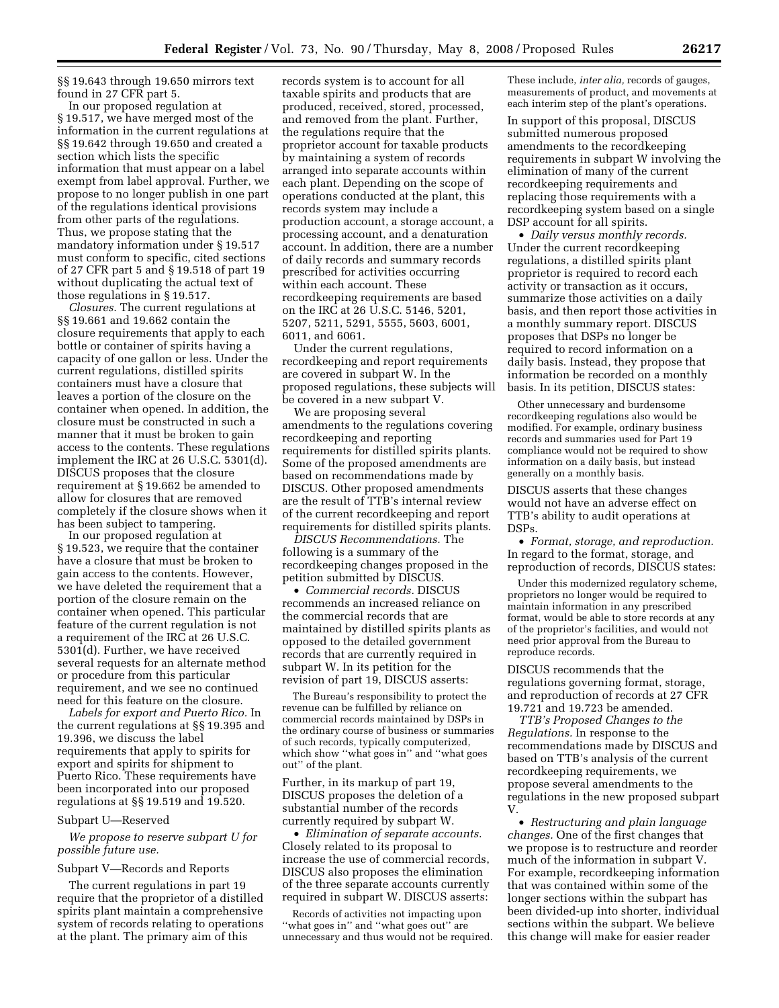§§ 19.643 through 19.650 mirrors text found in 27 CFR part 5.

In our proposed regulation at § 19.517, we have merged most of the information in the current regulations at §§ 19.642 through 19.650 and created a section which lists the specific information that must appear on a label exempt from label approval. Further, we propose to no longer publish in one part of the regulations identical provisions from other parts of the regulations. Thus, we propose stating that the mandatory information under § 19.517 must conform to specific, cited sections of 27 CFR part 5 and § 19.518 of part 19 without duplicating the actual text of those regulations in § 19.517.

*Closures.* The current regulations at §§ 19.661 and 19.662 contain the closure requirements that apply to each bottle or container of spirits having a capacity of one gallon or less. Under the current regulations, distilled spirits containers must have a closure that leaves a portion of the closure on the container when opened. In addition, the closure must be constructed in such a manner that it must be broken to gain access to the contents. These regulations implement the IRC at 26 U.S.C. 5301(d). DISCUS proposes that the closure requirement at § 19.662 be amended to allow for closures that are removed completely if the closure shows when it has been subject to tampering.

In our proposed regulation at § 19.523, we require that the container have a closure that must be broken to gain access to the contents. However, we have deleted the requirement that a portion of the closure remain on the container when opened. This particular feature of the current regulation is not a requirement of the IRC at 26 U.S.C. 5301(d). Further, we have received several requests for an alternate method or procedure from this particular requirement, and we see no continued need for this feature on the closure.

*Labels for export and Puerto Rico.* In the current regulations at §§ 19.395 and 19.396, we discuss the label requirements that apply to spirits for export and spirits for shipment to Puerto Rico. These requirements have been incorporated into our proposed regulations at §§ 19.519 and 19.520.

#### Subpart U—Reserved

*We propose to reserve subpart U for possible future use.* 

#### Subpart V—Records and Reports

The current regulations in part 19 require that the proprietor of a distilled spirits plant maintain a comprehensive system of records relating to operations at the plant. The primary aim of this

records system is to account for all taxable spirits and products that are produced, received, stored, processed, and removed from the plant. Further, the regulations require that the proprietor account for taxable products by maintaining a system of records arranged into separate accounts within each plant. Depending on the scope of operations conducted at the plant, this records system may include a production account, a storage account, a processing account, and a denaturation account. In addition, there are a number of daily records and summary records prescribed for activities occurring within each account. These recordkeeping requirements are based on the IRC at 26 U.S.C. 5146, 5201, 5207, 5211, 5291, 5555, 5603, 6001, 6011, and 6061.

Under the current regulations, recordkeeping and report requirements are covered in subpart W. In the proposed regulations, these subjects will be covered in a new subpart V.

We are proposing several amendments to the regulations covering recordkeeping and reporting requirements for distilled spirits plants. Some of the proposed amendments are based on recommendations made by DISCUS. Other proposed amendments are the result of TTB's internal review of the current recordkeeping and report requirements for distilled spirits plants.

*DISCUS Recommendations.* The following is a summary of the recordkeeping changes proposed in the petition submitted by DISCUS.

• *Commercial records.* DISCUS recommends an increased reliance on the commercial records that are maintained by distilled spirits plants as opposed to the detailed government records that are currently required in subpart W. In its petition for the revision of part 19, DISCUS asserts:

The Bureau's responsibility to protect the revenue can be fulfilled by reliance on commercial records maintained by DSPs in the ordinary course of business or summaries of such records, typically computerized, which show ''what goes in'' and ''what goes out'' of the plant.

Further, in its markup of part 19, DISCUS proposes the deletion of a substantial number of the records currently required by subpart W.

• *Elimination of separate accounts.*  Closely related to its proposal to increase the use of commercial records, DISCUS also proposes the elimination of the three separate accounts currently required in subpart W. DISCUS asserts:

Records of activities not impacting upon "what goes in" and "what goes out" are unnecessary and thus would not be required.

These include, *inter alia,* records of gauges, measurements of product, and movements at each interim step of the plant's operations.

In support of this proposal, DISCUS submitted numerous proposed amendments to the recordkeeping requirements in subpart W involving the elimination of many of the current recordkeeping requirements and replacing those requirements with a recordkeeping system based on a single DSP account for all spirits.

• *Daily versus monthly records.*  Under the current recordkeeping regulations, a distilled spirits plant proprietor is required to record each activity or transaction as it occurs, summarize those activities on a daily basis, and then report those activities in a monthly summary report. DISCUS proposes that DSPs no longer be required to record information on a daily basis. Instead, they propose that information be recorded on a monthly basis. In its petition, DISCUS states:

Other unnecessary and burdensome recordkeeping regulations also would be modified. For example, ordinary business records and summaries used for Part 19 compliance would not be required to show information on a daily basis, but instead generally on a monthly basis.

DISCUS asserts that these changes would not have an adverse effect on TTB's ability to audit operations at DSPs.

• *Format, storage, and reproduction.*  In regard to the format, storage, and reproduction of records, DISCUS states:

Under this modernized regulatory scheme, proprietors no longer would be required to maintain information in any prescribed format, would be able to store records at any of the proprietor's facilities, and would not need prior approval from the Bureau to reproduce records.

DISCUS recommends that the regulations governing format, storage, and reproduction of records at 27 CFR 19.721 and 19.723 be amended.

*TTB's Proposed Changes to the Regulations.* In response to the recommendations made by DISCUS and based on TTB's analysis of the current recordkeeping requirements, we propose several amendments to the regulations in the new proposed subpart V.

• *Restructuring and plain language changes.* One of the first changes that we propose is to restructure and reorder much of the information in subpart V. For example, recordkeeping information that was contained within some of the longer sections within the subpart has been divided-up into shorter, individual sections within the subpart. We believe this change will make for easier reader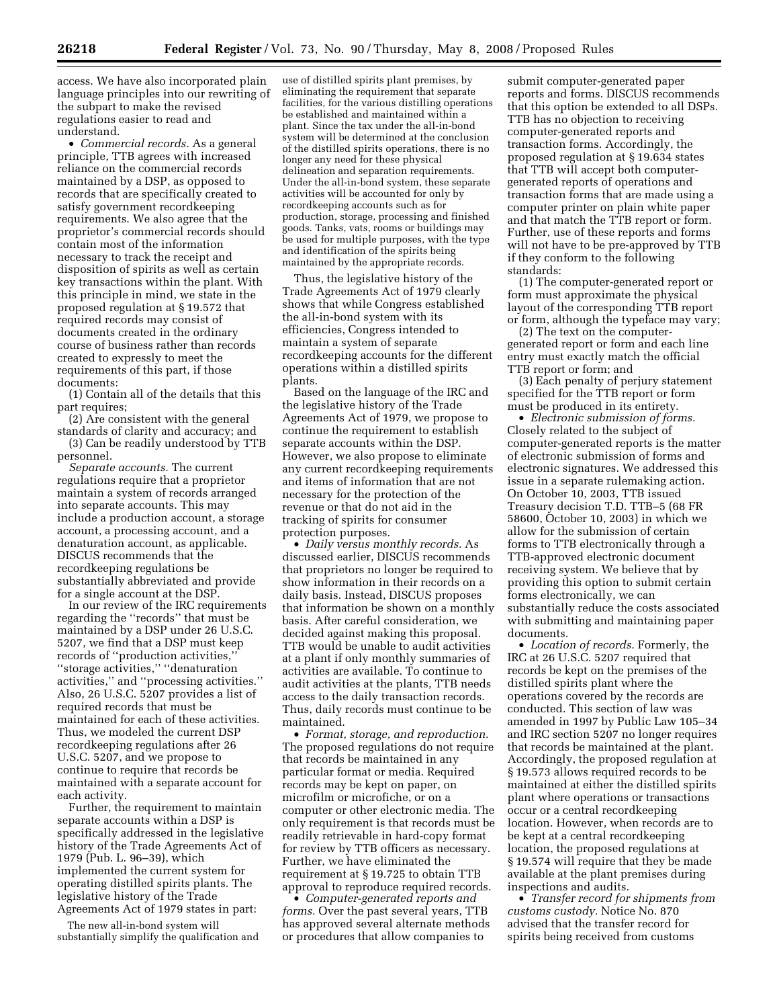access. We have also incorporated plain language principles into our rewriting of the subpart to make the revised regulations easier to read and understand.

• *Commercial records.* As a general principle, TTB agrees with increased reliance on the commercial records maintained by a DSP, as opposed to records that are specifically created to satisfy government recordkeeping requirements. We also agree that the proprietor's commercial records should contain most of the information necessary to track the receipt and disposition of spirits as well as certain key transactions within the plant. With this principle in mind, we state in the proposed regulation at § 19.572 that required records may consist of documents created in the ordinary course of business rather than records created to expressly to meet the requirements of this part, if those documents:

(1) Contain all of the details that this part requires;

(2) Are consistent with the general standards of clarity and accuracy; and

(3) Can be readily understood by TTB personnel.

*Separate accounts.* The current regulations require that a proprietor maintain a system of records arranged into separate accounts. This may include a production account, a storage account, a processing account, and a denaturation account, as applicable. DISCUS recommends that the recordkeeping regulations be substantially abbreviated and provide for a single account at the DSP.

In our review of the IRC requirements regarding the ''records'' that must be maintained by a DSP under 26 U.S.C. 5207, we find that a DSP must keep records of ''production activities,'' ''storage activities,'' ''denaturation activities,'' and ''processing activities.'' Also, 26 U.S.C. 5207 provides a list of required records that must be maintained for each of these activities. Thus, we modeled the current DSP recordkeeping regulations after 26 U.S.C. 5207, and we propose to continue to require that records be maintained with a separate account for each activity.

Further, the requirement to maintain separate accounts within a DSP is specifically addressed in the legislative history of the Trade Agreements Act of 1979 (Pub. L. 96–39), which implemented the current system for operating distilled spirits plants. The legislative history of the Trade Agreements Act of 1979 states in part:

The new all-in-bond system will substantially simplify the qualification and

use of distilled spirits plant premises, by eliminating the requirement that separate facilities, for the various distilling operations be established and maintained within a plant. Since the tax under the all-in-bond system will be determined at the conclusion of the distilled spirits operations, there is no longer any need for these physical delineation and separation requirements. Under the all-in-bond system, these separate activities will be accounted for only by recordkeeping accounts such as for production, storage, processing and finished goods. Tanks, vats, rooms or buildings may be used for multiple purposes, with the type and identification of the spirits being maintained by the appropriate records.

Thus, the legislative history of the Trade Agreements Act of 1979 clearly shows that while Congress established the all-in-bond system with its efficiencies, Congress intended to maintain a system of separate recordkeeping accounts for the different operations within a distilled spirits plants.

Based on the language of the IRC and the legislative history of the Trade Agreements Act of 1979, we propose to continue the requirement to establish separate accounts within the DSP. However, we also propose to eliminate any current recordkeeping requirements and items of information that are not necessary for the protection of the revenue or that do not aid in the tracking of spirits for consumer protection purposes.

• *Daily versus monthly records.* As discussed earlier, DISCUS recommends that proprietors no longer be required to show information in their records on a daily basis. Instead, DISCUS proposes that information be shown on a monthly basis. After careful consideration, we decided against making this proposal. TTB would be unable to audit activities at a plant if only monthly summaries of activities are available. To continue to audit activities at the plants, TTB needs access to the daily transaction records. Thus, daily records must continue to be maintained.

• *Format, storage, and reproduction.*  The proposed regulations do not require that records be maintained in any particular format or media. Required records may be kept on paper, on microfilm or microfiche, or on a computer or other electronic media. The only requirement is that records must be readily retrievable in hard-copy format for review by TTB officers as necessary. Further, we have eliminated the requirement at § 19.725 to obtain TTB approval to reproduce required records.

• *Computer-generated reports and forms.* Over the past several years, TTB has approved several alternate methods or procedures that allow companies to

submit computer-generated paper reports and forms. DISCUS recommends that this option be extended to all DSPs. TTB has no objection to receiving computer-generated reports and transaction forms. Accordingly, the proposed regulation at § 19.634 states that TTB will accept both computergenerated reports of operations and transaction forms that are made using a computer printer on plain white paper and that match the TTB report or form. Further, use of these reports and forms will not have to be pre-approved by TTB if they conform to the following standards:

(1) The computer-generated report or form must approximate the physical layout of the corresponding TTB report or form, although the typeface may vary;

(2) The text on the computergenerated report or form and each line entry must exactly match the official TTB report or form; and

(3) Each penalty of perjury statement specified for the TTB report or form must be produced in its entirety.

• *Electronic submission of forms.*  Closely related to the subject of computer-generated reports is the matter of electronic submission of forms and electronic signatures. We addressed this issue in a separate rulemaking action. On October 10, 2003, TTB issued Treasury decision T.D. TTB–5 (68 FR 58600, October 10, 2003) in which we allow for the submission of certain forms to TTB electronically through a TTB-approved electronic document receiving system. We believe that by providing this option to submit certain forms electronically, we can substantially reduce the costs associated with submitting and maintaining paper documents.

• *Location of records.* Formerly, the IRC at 26 U.S.C. 5207 required that records be kept on the premises of the distilled spirits plant where the operations covered by the records are conducted. This section of law was amended in 1997 by Public Law 105–34 and IRC section 5207 no longer requires that records be maintained at the plant. Accordingly, the proposed regulation at § 19.573 allows required records to be maintained at either the distilled spirits plant where operations or transactions occur or a central recordkeeping location. However, when records are to be kept at a central recordkeeping location, the proposed regulations at § 19.574 will require that they be made available at the plant premises during inspections and audits.

• *Transfer record for shipments from customs custody.* Notice No. 870 advised that the transfer record for spirits being received from customs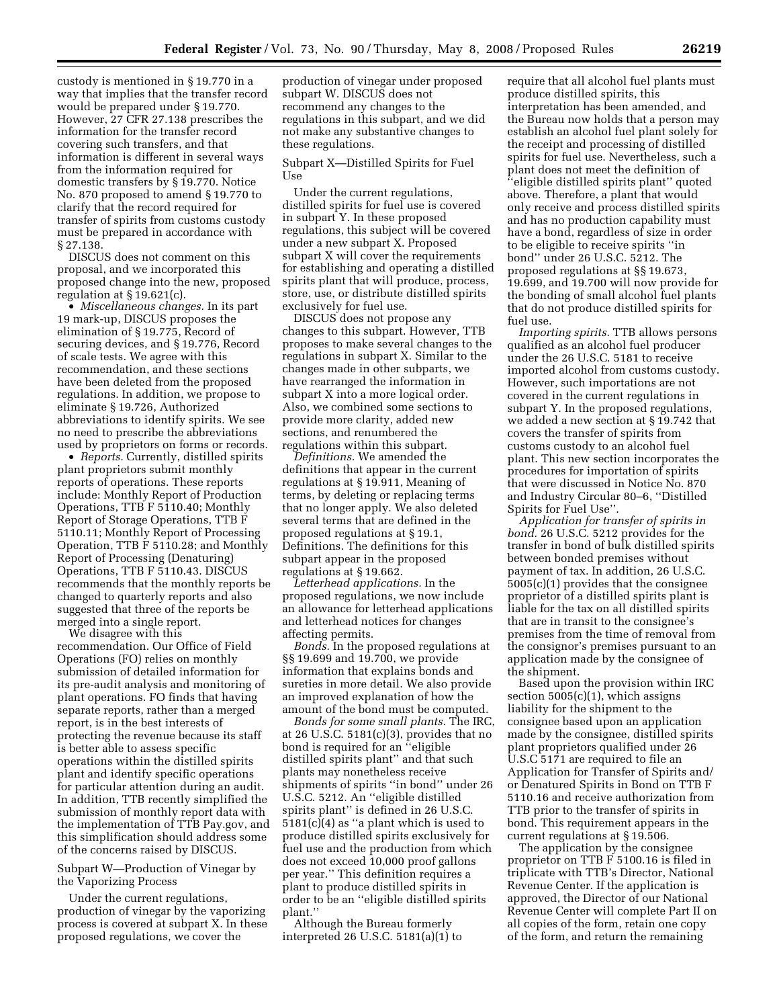custody is mentioned in § 19.770 in a way that implies that the transfer record would be prepared under § 19.770. However, 27 CFR 27.138 prescribes the information for the transfer record covering such transfers, and that information is different in several ways from the information required for domestic transfers by § 19.770. Notice No. 870 proposed to amend § 19.770 to clarify that the record required for transfer of spirits from customs custody must be prepared in accordance with § 27.138.

DISCUS does not comment on this proposal, and we incorporated this proposed change into the new, proposed regulation at  $\S 19.621(c)$ .

• *Miscellaneous changes.* In its part 19 mark-up, DISCUS proposes the elimination of § 19.775, Record of securing devices, and § 19.776, Record of scale tests. We agree with this recommendation, and these sections have been deleted from the proposed regulations. In addition, we propose to eliminate § 19.726, Authorized abbreviations to identify spirits. We see no need to prescribe the abbreviations used by proprietors on forms or records.

• *Reports.* Currently, distilled spirits plant proprietors submit monthly reports of operations. These reports include: Monthly Report of Production Operations, TTB F 5110.40; Monthly Report of Storage Operations, TTB F 5110.11; Monthly Report of Processing Operation, TTB F 5110.28; and Monthly Report of Processing (Denaturing) Operations, TTB F 5110.43. DISCUS recommends that the monthly reports be changed to quarterly reports and also suggested that three of the reports be merged into a single report.

We disagree with this recommendation. Our Office of Field Operations (FO) relies on monthly submission of detailed information for its pre-audit analysis and monitoring of plant operations. FO finds that having separate reports, rather than a merged report, is in the best interests of protecting the revenue because its staff is better able to assess specific operations within the distilled spirits plant and identify specific operations for particular attention during an audit. In addition, TTB recently simplified the submission of monthly report data with the implementation of TTB Pay.gov, and this simplification should address some of the concerns raised by DISCUS.

Subpart W—Production of Vinegar by the Vaporizing Process

Under the current regulations, production of vinegar by the vaporizing process is covered at subpart X. In these proposed regulations, we cover the

production of vinegar under proposed subpart W. DISCUS does not recommend any changes to the regulations in this subpart, and we did not make any substantive changes to these regulations.

Subpart X—Distilled Spirits for Fuel Use

Under the current regulations, distilled spirits for fuel use is covered in subpart Y. In these proposed regulations, this subject will be covered under a new subpart X. Proposed subpart X will cover the requirements for establishing and operating a distilled spirits plant that will produce, process, store, use, or distribute distilled spirits exclusively for fuel use.

DISCUS does not propose any changes to this subpart. However, TTB proposes to make several changes to the regulations in subpart X. Similar to the changes made in other subparts, we have rearranged the information in subpart X into a more logical order. Also, we combined some sections to provide more clarity, added new sections, and renumbered the regulations within this subpart.

*Definitions.* We amended the definitions that appear in the current regulations at § 19.911, Meaning of terms, by deleting or replacing terms that no longer apply. We also deleted several terms that are defined in the proposed regulations at § 19.1, Definitions. The definitions for this subpart appear in the proposed regulations at § 19.662.

*Letterhead applications.* In the proposed regulations, we now include an allowance for letterhead applications and letterhead notices for changes affecting permits.

*Bonds.* In the proposed regulations at §§ 19.699 and 19.700, we provide information that explains bonds and sureties in more detail. We also provide an improved explanation of how the amount of the bond must be computed.

*Bonds for some small plants.* The IRC, at 26 U.S.C. 5181(c)(3), provides that no bond is required for an ''eligible distilled spirits plant'' and that such plants may nonetheless receive shipments of spirits ''in bond'' under 26 U.S.C. 5212. An ''eligible distilled spirits plant'' is defined in 26 U.S.C.  $5181(c)(4)$  as "a plant which is used to produce distilled spirits exclusively for fuel use and the production from which does not exceed 10,000 proof gallons per year.'' This definition requires a plant to produce distilled spirits in order to be an ''eligible distilled spirits plant.''

Although the Bureau formerly interpreted 26 U.S.C. 5181(a)(1) to require that all alcohol fuel plants must produce distilled spirits, this interpretation has been amended, and the Bureau now holds that a person may establish an alcohol fuel plant solely for the receipt and processing of distilled spirits for fuel use. Nevertheless, such a plant does not meet the definition of ''eligible distilled spirits plant'' quoted above. Therefore, a plant that would only receive and process distilled spirits and has no production capability must have a bond, regardless of size in order to be eligible to receive spirits ''in bond'' under 26 U.S.C. 5212. The proposed regulations at §§ 19.673, 19.699, and 19.700 will now provide for the bonding of small alcohol fuel plants that do not produce distilled spirits for fuel use.

*Importing spirits.* TTB allows persons qualified as an alcohol fuel producer under the 26 U.S.C. 5181 to receive imported alcohol from customs custody. However, such importations are not covered in the current regulations in subpart Y. In the proposed regulations, we added a new section at § 19.742 that covers the transfer of spirits from customs custody to an alcohol fuel plant. This new section incorporates the procedures for importation of spirits that were discussed in Notice No. 870 and Industry Circular 80–6, ''Distilled Spirits for Fuel Use''.

*Application for transfer of spirits in bond.* 26 U.S.C. 5212 provides for the transfer in bond of bulk distilled spirits between bonded premises without payment of tax. In addition, 26 U.S.C. 5005(c)(1) provides that the consignee proprietor of a distilled spirits plant is liable for the tax on all distilled spirits that are in transit to the consignee's premises from the time of removal from the consignor's premises pursuant to an application made by the consignee of the shipment.

Based upon the provision within IRC section  $5005(c)(1)$ , which assigns liability for the shipment to the consignee based upon an application made by the consignee, distilled spirits plant proprietors qualified under 26 U.S.C 5171 are required to file an Application for Transfer of Spirits and/ or Denatured Spirits in Bond on TTB F 5110.16 and receive authorization from TTB prior to the transfer of spirits in bond. This requirement appears in the current regulations at § 19.506.

The application by the consignee proprietor on TTB F 5100.16 is filed in triplicate with TTB's Director, National Revenue Center. If the application is approved, the Director of our National Revenue Center will complete Part II on all copies of the form, retain one copy of the form, and return the remaining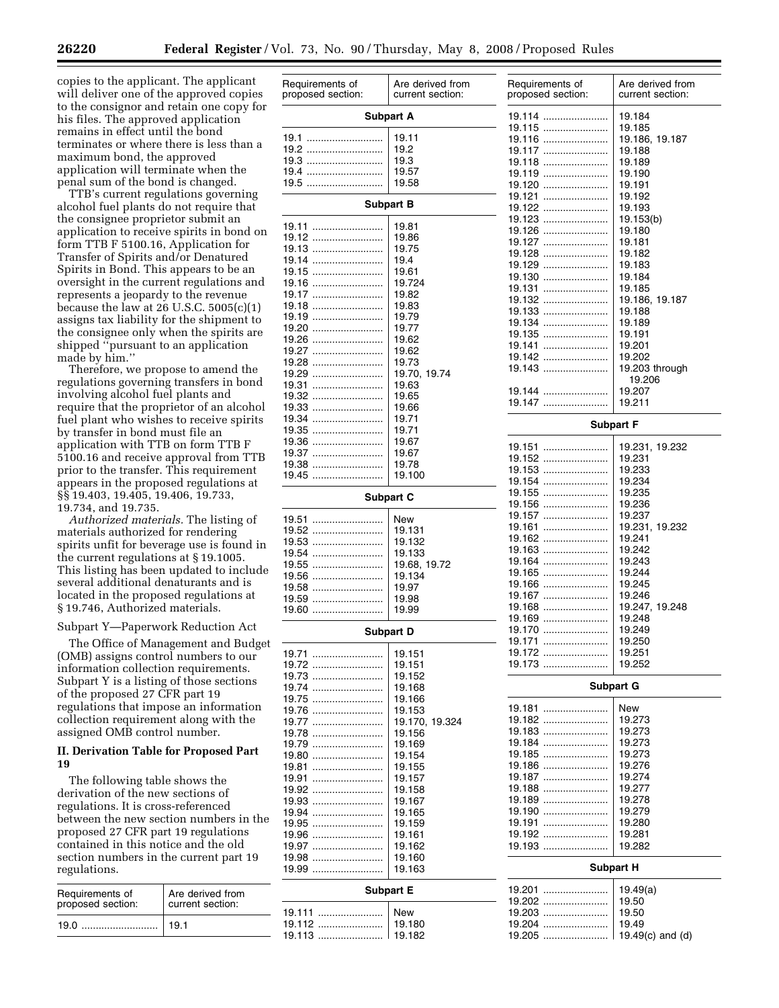copies to the applicant. The applicant will deliver one of the approved copies to the consignor and retain one copy for his files. The approved application remains in effect until the bond terminates or where there is less than a maximum bond, the approved application will terminate when the penal sum of the bond is changed.

TTB's current regulations governing alcohol fuel plants do not require that the consignee proprietor submit an application to receive spirits in bond on form TTB F 5100.16, Application for Transfer of Spirits and/or Denatured Spirits in Bond. This appears to be an oversight in the current regulations and represents a jeopardy to the revenue because the law at  $26$  U.S.C.  $5005(c)(1)$ assigns tax liability for the shipment to the consignee only when the spirits are shipped ''pursuant to an application made by him.''

Therefore, we propose to amend the regulations governing transfers in bond involving alcohol fuel plants and require that the proprietor of an alcohol fuel plant who wishes to receive spirits by transfer in bond must file an application with TTB on form TTB F 5100.16 and receive approval from TTB prior to the transfer. This requirement appears in the proposed regulations at §§ 19.403, 19.405, 19.406, 19.733, 19.734, and 19.735.

*Authorized materials.* The listing of materials authorized for rendering spirits unfit for beverage use is found in the current regulations at § 19.1005. This listing has been updated to include several additional denaturants and is located in the proposed regulations at § 19.746, Authorized materials.

Subpart Y—Paperwork Reduction Act

The Office of Management and Budget (OMB) assigns control numbers to our information collection requirements. Subpart Y is a listing of those sections of the proposed 27 CFR part 19 regulations that impose an information collection requirement along with the assigned OMB control number.

## **II. Derivation Table for Proposed Part 19**

The following table shows the derivation of the new sections of regulations. It is cross-referenced between the new section numbers in the proposed 27 CFR part 19 regulations contained in this notice and the old section numbers in the current part 19 regulations.

| Requirements of<br>proposed section: | Are derived from<br>current section: |
|--------------------------------------|--------------------------------------|
| 19.0                                 | 19.1                                 |

| Requirements of<br>proposed section: | Are derived from<br>current section: | Requirements of<br>proposed section: | Are derived from<br>current section: |
|--------------------------------------|--------------------------------------|--------------------------------------|--------------------------------------|
| <b>Subpart A</b>                     |                                      | 19.114                               | 19.184                               |
|                                      |                                      | 19.115                               | 19.185                               |
| 19.1                                 | 19.11                                | 19.116                               | 19.186, 19.187                       |
| 19.2                                 | 19.2                                 | 19.117                               | 19.188                               |
| 19.3                                 | 19.3                                 | 19.118                               | 19.189                               |
| 19.4                                 | 19.57                                | 19.119                               | 19.190                               |
| 19.5                                 | 19.58                                | 19.120                               | 19.191                               |
|                                      |                                      | 19.121                               | 19.192                               |
|                                      | <b>Subpart B</b>                     | 19.122                               | 19.193                               |
| 19.11                                | 19.81                                | 19.123                               | 19.153(b)                            |
| 19.12                                | 19.86                                | 19.126                               | 19.180                               |
| 19.13                                | 19.75                                | 19.127                               | 19.181                               |
| 19.14                                | 19.4                                 | 19.128<br>19.129                     | 19.182<br>19.183                     |
| 19.15                                | 19.61                                | 19.130                               | 19.184                               |
| 19.16                                | 19.724                               | 19.131                               | 19.185                               |
| 19.17                                | 19.82                                | 19.132                               | 19.186, 19.187                       |
| 19.18                                | 19.83                                | 19.133                               | 19.188                               |
| 19.19                                | 19.79                                | 19.134                               | 19.189                               |
| 19.20<br>19.26                       | 19.77<br>19.62                       | 19.135                               | 19.191                               |
| 19.27                                | 19.62                                | 19.141                               | 19.201                               |
| 19.28                                | 19.73                                | 19.142                               | 19.202                               |
| 19.29                                | 19.70, 19.74                         | 19.143                               | 19.203 through                       |
| 19.31                                | 19.63                                |                                      | 19.206                               |
| 19.32                                | 19.65                                | 19.144                               | 19.207                               |
| 19.33                                | 19.66                                | 19.147                               | 19.211                               |
| 19.34                                | 19.71                                |                                      | <b>Subpart F</b>                     |
| 19.35                                | 19.71                                |                                      |                                      |
| 19.36                                | 19.67                                | 19.151                               | 19.231, 19.232                       |
| 19.37                                | 19.67                                | 19.152                               | 19.231                               |
| 19.38<br>19.45                       | 19.78<br>19.100                      | 19.153                               | 19.233                               |
|                                      |                                      | 19.154                               | 19.234                               |
|                                      | <b>Subpart C</b>                     | 19.155                               | 19.235                               |
|                                      |                                      | 19.156                               | 19.236                               |
| 19.51                                | New                                  | 19.157<br>19.161                     | 19.237<br>19.231, 19.232             |
| 19.52                                | 19.131                               | 19.162                               | 19.241                               |
| 19.53                                | 19.132                               | 19.163                               | 19.242                               |
| 19.54<br>19.55                       | 19.133<br>19.68, 19.72               | 19.164                               | 19.243                               |
| 19.56                                | 19.134                               | 19.165                               | 19.244                               |
| 19.58                                | 19.97                                | 19.166                               | 19.245                               |
| 19.59                                | 19.98                                | 19.167                               | 19.246                               |
| 19.60                                | 19.99                                | 19.168                               | 19.247, 19.248                       |
|                                      |                                      | 19.169                               | 19.248                               |
|                                      | Subpart D                            | 19.170<br>19.171                     | 19.249<br>19.250                     |
| 19.71                                | 19.151                               | 19.172                               | 19.251                               |
| 19.72                                | 19.151                               | 19.173                               | 19.252                               |
| $19.73$                              | 19.152                               |                                      |                                      |
| 19.74                                | 19.168                               |                                      | <b>Subpart G</b>                     |
| 19.75                                | 19.166                               |                                      |                                      |
| 19.76                                | 19.153                               | 19.181                               | New                                  |
| 19.77                                | 19.170, 19.324                       | 19.182                               | 19.273                               |
| 19.78                                | 19.156                               | 19.183                               | 19.273                               |
|                                      | 19.169                               | 19.184<br>19.185                     | 19.273<br>19.273                     |
| 19.80<br>19.81                       | 19.154<br>19.155                     | 19.186                               | 19.276                               |
| 19.91                                | 19.157                               | 19.187                               | 19.274                               |
| 19.92                                | 19.158                               | 19.188                               | 19.277                               |
| 19.93                                | 19.167                               | 19.189                               | 19.278                               |
| 19.94                                | 19.165                               | 19.190                               | 19.279                               |
| 19.95                                | 19.159                               | 19.191                               | 19.280                               |
| 19.96                                | 19.161                               | 19.192                               | 19.281                               |
| 19.97                                | 19.162                               | 19.193                               | 19.282                               |
| 19.98                                | 19.160                               |                                      |                                      |
| 19.99                                | 19.163                               |                                      | <b>Subpart H</b>                     |
|                                      | <b>Subpart E</b>                     | 19.201                               | 19.49(a)                             |
|                                      |                                      | 19.202                               | 19.50                                |
| 19.111                               | New                                  | 19.203                               | 19.50                                |
| 19.112                               | 19.180                               | 19.204                               | 19.49                                |
| 19.113                               | 19.182                               | 19.205                               | 19.49 $(c)$ and $(d)$                |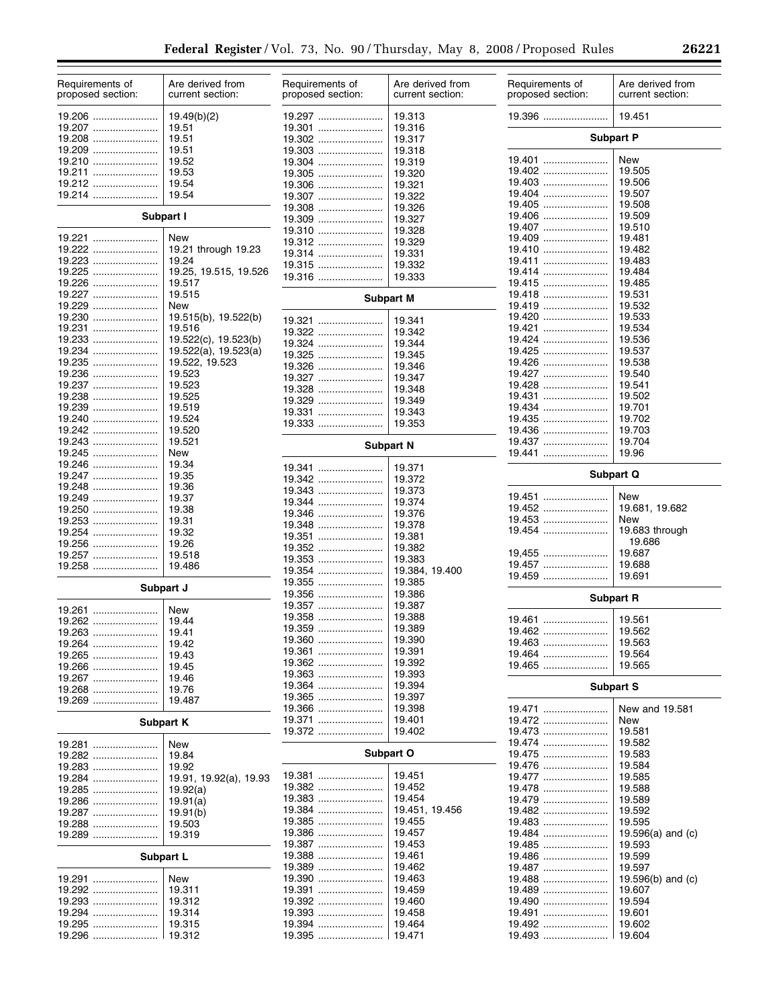| Requirements of<br>proposed section: | Are derived from<br>current section: | Requirements of<br>proposed section: | Are derived from<br>current section: | Requirements of<br>proposed section: | Are derived from<br>current section: |
|--------------------------------------|--------------------------------------|--------------------------------------|--------------------------------------|--------------------------------------|--------------------------------------|
| 19.206                               | 19.49(b)(2)                          | 19.297                               | 19.313                               | 19.396                               | 19.451                               |
| 19.207                               | 19.51                                | 19.301                               | 19.316                               |                                      |                                      |
| 19.208                               | 19.51                                | 19.302                               | 19.317                               |                                      | <b>Subpart P</b>                     |
| 19.209<br>19.210                     | 19.51<br>19.52                       | 19.303                               | 19.318                               | 19.401                               | <b>New</b>                           |
| 19.211                               | 19.53                                | 19.304<br>19.305                     | 19.319<br>19.320                     | 19.402                               | 19.505                               |
| 19.212                               | 19.54                                | 19.306                               | 19.321                               | 19.403                               | 19.506                               |
| 19.214                               | 19.54                                | 19.307                               | 19.322                               | 19.404                               | 19.507                               |
|                                      |                                      | 19.308                               | 19.326                               | 19.405                               | 19.508                               |
|                                      | Subpart I                            | 19.309                               | 19.327                               | 19.406                               | 19.509                               |
|                                      |                                      | 19.310                               | 19.328                               | 19.407                               | 19.510                               |
| 19.221                               | New                                  | 19.312                               | 19.329                               | 19.409                               | 19.481                               |
| 19.222                               | 19.21 through 19.23<br>19.24         | 19.314                               | 19.331                               | 19.410                               | 19.482<br>19.483                     |
| 19.223<br>19.225                     | 19.25, 19.515, 19.526                | 19.315                               | 19.332                               | 19.411<br>19.414                     | 19.484                               |
| 19.226                               | 19.517                               | 19.316                               | 19.333                               | 19.415                               | 19.485                               |
| 19.227                               | 19.515                               |                                      |                                      | 19.418                               | 19.531                               |
| 19.229                               | New                                  |                                      | <b>Subpart M</b>                     | 19.419                               | 19.532                               |
| 19.230                               | 19.515(b), 19.522(b)                 | 19.321                               | 19.341                               | 19.420                               | 19.533                               |
| 19.231                               | 19.516                               | 19.322                               | 19.342                               | 19.421                               | 19.534                               |
| 19.233                               | 19.522(c), 19.523(b)                 | 19.324                               | 19.344                               | 19.424                               | 19.536                               |
| 19.234                               | 19.522(a), 19.523(a)                 | 19.325                               | 19.345                               | 19.425                               | 19.537                               |
| 19.235                               | 19.522, 19.523                       | 19.326                               | 19.346                               | 19.426                               | 19.538                               |
|                                      | 19.523                               | 19.327                               | 19.347                               | 19.427                               | 19.540                               |
| 19.237                               | 19.523                               | 19.328                               | 19.348                               | 19.428                               | 19.541                               |
| 19.238                               | 19.525                               | 19.329                               | 19.349                               | 19.431<br>19.434                     | 19.502<br>19.701                     |
| 19.239<br>19.240                     | 19.519<br>19.524                     |                                      | 19.343                               | 19.435                               | 19.702                               |
| 19.242                               | 19.520                               | 19.333                               | 19.353                               | 19.436                               | 19.703                               |
| 19.243                               | 19.521                               |                                      |                                      | 19.437                               | 19.704                               |
| 19.245                               | New                                  |                                      | <b>Subpart N</b>                     | 19.441                               | 19.96                                |
| 19.246                               | 19.34                                | 19.341                               | 19.371                               |                                      |                                      |
| 19.247                               | 19.35                                | 19.342                               | 19.372                               |                                      | <b>Subpart Q</b>                     |
| 19.248                               | 19.36                                | 19.343                               | 19.373                               |                                      |                                      |
| 19.249                               | 19.37                                | 19.344                               | 19.374                               | 19.451                               | New                                  |
| 19.250                               | 19.38                                | 19.346                               | 19.376                               | 19.452                               | 19.681, 19.682                       |
| 19.253                               | 19.31                                | 19.348                               | 19.378                               | 19.453<br>19.454                     | <b>New</b><br>19.683 through         |
| 19.254<br>19.256                     | 19.32<br>19.26                       | 19.351                               | 19.381                               |                                      | 19.686                               |
| 19.257                               | 19.518                               | 19.352                               | 19.382                               | 19,455                               | 19.687                               |
| 19.258                               | 19.486                               | 19.353                               | 19.383                               | 19.457                               | 19.688                               |
|                                      |                                      | 19.354                               | 19.384, 19.400                       | 19.459                               | 19.691                               |
|                                      | Subpart J                            | 19.355<br>19.356                     | 19.385<br>19.386                     |                                      |                                      |
|                                      |                                      | 19.357                               | 19.387                               |                                      | <b>Subpart R</b>                     |
| 19.261                               | New                                  | 19.358                               | 19.388                               | 19.461                               | 19.561                               |
| 19.262                               | 19.44                                | 19.359                               | 19.389                               | 19.462                               | 19.562                               |
| 19.263                               | 19.41                                | $19.360$                             | 19.390                               | 19.463                               | 19.563                               |
| 19.265                               | 19.42<br>19.43                       | 19.361                               | 19.391                               | 19.464                               | 19.564                               |
| 19.266                               | 19.45                                | 19.362                               | 19.392                               | 19.465                               | 19.565                               |
| 19.267                               | 19.46                                | 19.363                               | 19.393                               |                                      |                                      |
| 19.268                               | 19.76                                | 19.364                               | 19.394                               |                                      | <b>Subpart S</b>                     |
| 19.269                               | 19.487                               | 19.365                               | 19.397                               |                                      |                                      |
|                                      |                                      | 19.366                               | 19.398                               | 19.471                               | New and 19.581                       |
|                                      | <b>Subpart K</b>                     | 19.371<br>19.372                     | 19.401<br>19.402                     | 19.472<br>19.473                     | <b>New</b><br>19.581                 |
|                                      |                                      |                                      |                                      | 19.474                               | 19.582                               |
| <u> 19.281 </u><br>19.282            | New<br>19.84                         |                                      | Subpart O                            | 19.475                               | 19.583                               |
| 19.283                               | 19.92                                |                                      |                                      | 19.476                               | 19.584                               |
| 19.284                               | 19.91, 19.92(a), 19.93               | 19.381                               | 19.451                               | 19.477                               | 19.585                               |
| 19.285                               | 19.92(a)                             | 19.382                               | 19.452                               | 19.478                               | 19.588                               |
|                                      | 19.91(a)                             | 19.383                               | 19.454                               | 19.479                               | 19.589                               |
| 19.287                               | 19.91(b)                             | 19.384                               | 19.451, 19.456                       | 19.482                               | 19.592                               |
| 19.288                               | 19.503                               | 19.385                               | 19.455                               | 19.483                               | 19.595                               |
| 19.289                               | 19.319                               | 19.386                               | 19.457                               | 19.484                               | 19.596(a) and $(c)$                  |
|                                      |                                      | 19.387                               | 19.453                               | 19.485                               | 19.593                               |
|                                      | Subpart L                            | 19.388                               | 19.461                               | 19.486                               | 19.599                               |
|                                      |                                      | 19.389                               | 19.462                               | 19.487                               | 19.597                               |
| 19.291<br>19.292                     | New                                  | 19.390<br>19.391                     | 19.463<br>19.459                     | 19.488<br>19.489                     | 19.596(b) and $(c)$                  |
| 19.293                               | 19.311<br>19.312                     | 19.392                               | 19.460                               | 19.490                               | 19.607<br>19.594                     |
| 19.294                               | 19.314                               | 19.393                               | 19.458                               | 19.491                               | 19.601                               |
| 19.295                               | 19.315                               | 19.394                               | 19.464                               | 19.492                               | 19.602                               |
| 19.296                               | 19.312                               | 19.395                               | 19.471                               | 19.493                               | ∣ 19.604                             |
|                                      |                                      |                                      |                                      |                                      |                                      |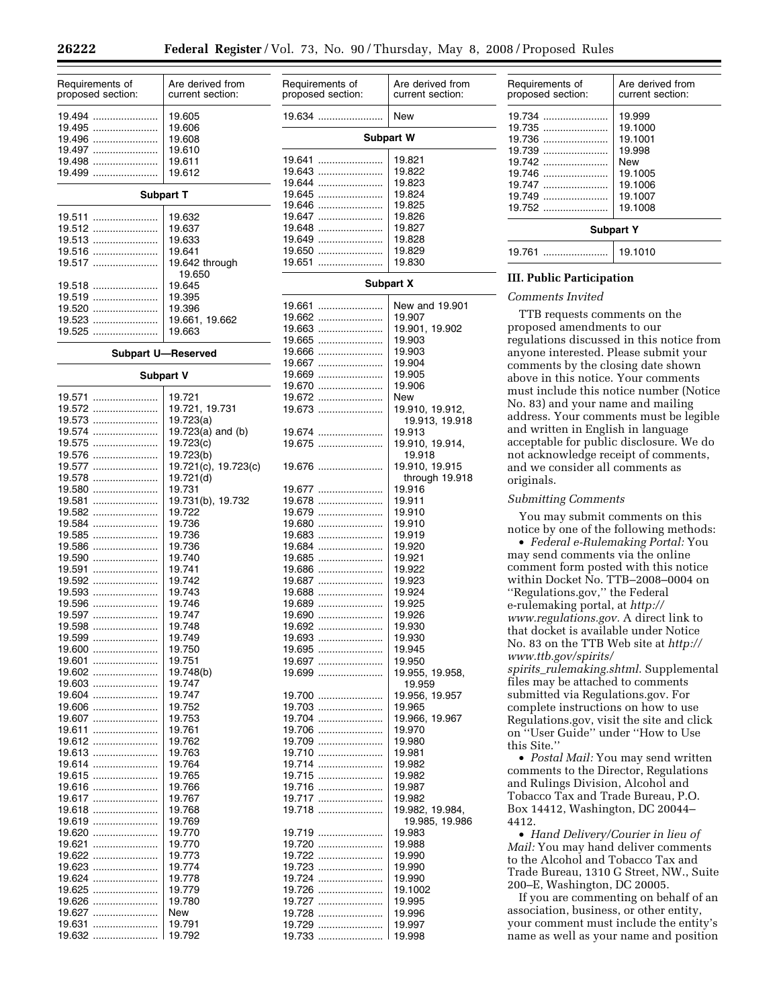Are derived from current section:

| Requirements of<br>proposed section: | Are derived from<br>current section: | Requirements of<br>proposed section: | Are der<br>current |
|--------------------------------------|--------------------------------------|--------------------------------------|--------------------|
| 19.494<br>19.495                     | 19.605<br>19.606                     | 19.634                               | <b>New</b>         |
| 19.496                               | 19.608                               |                                      | Subpart W          |
| 19.497                               | 19.610                               |                                      |                    |
| 19.498                               | 19.611                               |                                      | 19.821             |
| 19.499                               | 19.612                               | 19.643                               | 19.822             |
|                                      |                                      | 19.644                               | 19.823             |
|                                      | <b>Subpart T</b>                     | 19.645                               | 19.824             |
| 19.511                               |                                      | 19.646<br>19.647                     | 19.825<br>19.826   |
| 19.512                               | 19.632<br>19.637                     | 19.648                               | 19.827             |
| 19.513                               | 19.633                               | 19.649                               | 19.828             |
| 19.516                               | 19.641                               | 19.650                               | 19.829             |
| 19.517                               | 19.642 through                       | 19.651                               | 19.830             |
|                                      | 19.650                               |                                      |                    |
| 19.518                               | 19.645                               |                                      | <b>Subpart X</b>   |
| 19.519                               | 19.395                               |                                      |                    |
| 19.520                               | 19.396                               | 19.661                               | New an             |
| 19.523                               | 19.661, 19.662                       | 19.662                               | 19.907             |
| $19.525$                             | 19.663                               | 19.663                               | 19.901,            |
|                                      |                                      | 19.665<br>19.666                     | 19.903<br>19.903   |
|                                      | <b>Subpart U-Reserved</b>            | 19.667                               | 19.904             |
|                                      | Subpart V                            | 19.669                               | 19.905             |
|                                      |                                      | 19.670                               | 19.906             |
| 19.571                               | 19.721                               | 19.672                               | New                |
| 19.572                               | 19.721, 19.731                       | 19.673                               | 19.910,            |
| 19.573                               | 19.723(a)                            |                                      | 19.91              |
| 19.574                               | 19.723(a) and $(b)$                  | 19.674                               | 19.913             |
| 19.575                               | 19.723(c)                            | 19.675                               | 19.910,            |
| 19.576                               | 19.723(b)                            |                                      | 19.91              |
| 19.577                               | 19.721(c), 19.723(c)                 | 19.676                               | 19.910,            |
| 19.578                               | 19.721(d)                            |                                      | throu              |
| 19.580                               | 19.731                               | 19.677                               | 19.916             |
| 19.581<br>19.582                     | 19.731(b), 19.732<br>19.722          | 19.678<br>19.679                     | 19.911<br>19.910   |
| 19.584                               | 19.736                               | 19.680                               | 19.910             |
| 19.585                               | 19.736                               | 19.683                               | 19.919             |
| 19.586                               | 19.736                               | 19.684                               | 19.920             |
| 19.590                               | 19.740                               | 19.685                               | 19.921             |
| 19.591                               | 19.741                               | 19.686                               | 19.922             |
| 19.592                               | 19.742                               | 19.687                               | 19.923             |
| 19.593                               | 19.743                               | 19.688                               | 19.924             |
| 19.596                               | 19.746                               | 19.689                               | 19.925             |
| 19.597                               | 19.747                               | 19.690                               | 19.926             |
| 19.598                               | 19.748                               |                                      | 19.930             |
| 19.599                               | 19.749                               | 19.693                               | 19.930             |
| 19.600<br>19.601                     | 19.750<br>19.751                     | 19.695                               | 19.945             |
| 19.602                               | 19.748(b)                            | 19.697<br>19.699                     | 19.950<br>19.955,  |
| 19.603                               | 19.747                               |                                      | 19.95              |
| 19.604                               | 19.747                               | 19.700                               | 19.956,            |
| 19.606                               | 19.752                               | 19.703                               | 19.965             |
| 19.607                               | 19.753                               | 19.704                               | 19.966,            |
| 19.611                               | 19.761                               | 19.706                               | 19.970             |
| 19.612                               | 19.762                               | 19.709                               | 19.980             |
| 19.613                               | 19.763                               | 19.710                               | 19.981             |
| 19.614                               | 19.764                               | 19.714                               | 19.982             |
| 19.615                               | 19.765                               | 19.715                               | 19.982             |
| 19.616                               | 19.766                               | 19.716                               | 19.987             |
| 19.617                               | 19.767                               | 19.717                               | 19.982             |
| 19.618                               | 19.768                               | 19.718                               | 19.982,            |
| 19.619                               | 19.769                               |                                      | 19.98              |
| 19.620                               | 19.770<br>19.770                     | 19.719                               | 19.983             |
| 19.621<br>19.622                     | 19.773                               | 19.720<br>19.722                     | 19.988<br>19.990   |
| 19.623                               | 19.774                               | 19.723                               | 19.990             |
| 19.624                               | 19.778                               | 19.724                               | 19.990             |
| 19.625                               | 19.779                               | 19.726                               | 19.1002            |
| 19.626                               | 19.780                               | 19.727                               | 19.995             |
| 19.627                               | New                                  | 19.728                               | 19.996             |
| 19.631                               | 19.791                               | 19.729                               | 19.997             |
| 19.632                               | 19.792                               | 19.733                               | 19.998             |

| 19.634<br>.                                                                                              | New                                                                                              |  |  |
|----------------------------------------------------------------------------------------------------------|--------------------------------------------------------------------------------------------------|--|--|
| <b>Subpart W</b>                                                                                         |                                                                                                  |  |  |
| 19.641<br>19.643<br><br>19.644<br><br>19.645<br>19.646<br>19.647<br>19.648<br>19.649<br>19.650<br>19.651 | 19.821<br>19.822<br>19.823<br>19.824<br>19.825<br>19.826<br>19.827<br>19.828<br>19.829<br>19.830 |  |  |
|                                                                                                          | <b>Subpart X</b>                                                                                 |  |  |
| 19.661<br>19.662<br>19.663<br>                                                                           | New and 19.901<br>19.907<br>19.901, 19.902                                                       |  |  |
| 19.665<br>19.666<br><br>19.667<br>19.669                                                                 | 19.903<br>19.903<br>19.904<br>19.905                                                             |  |  |
| 19.670<br>19.672<br>19.673<br>                                                                           | 19.906<br>New<br>19.910, 19.912,<br>19.913, 19.918                                               |  |  |
| 19.674<br><br>19.675                                                                                     | 19.913<br>19.910, 19.914,<br>19.918                                                              |  |  |
| 19.676                                                                                                   | 19.910, 19.915<br>through 19.918                                                                 |  |  |
| 19.677<br>19.678<br>19.679<br><br>19.680                                                                 | 19.916<br>19.911<br>19.910<br>19.910                                                             |  |  |
| 19.683<br><br>19.684<br>19.685<br><br>19.686                                                             | 19.919<br>19.920<br>19.921<br>19.922                                                             |  |  |
| 19.687<br>19.688<br>19.689<br>19.690                                                                     | 19.923<br>19.924<br>19.925<br>19.926                                                             |  |  |
| 19.692<br><br>19.693<br>19.695                                                                           | 19.930<br>19.930<br>19.945                                                                       |  |  |
| 19.697<br>19.699<br>19.700                                                                               | 19.950<br>19.955, 19.958,<br>19.959<br>19.956, 19.957                                            |  |  |
| 19.703<br>19.704<br>19.706<br>19.709                                                                     | 19.965<br>19.966, 19.967<br>19.970<br>19.980                                                     |  |  |
| 19.710<br>19.714<br>19.715                                                                               | 19.981<br>19.982<br>19.982                                                                       |  |  |
| 19.716<br>19.717<br>19.718                                                                               | 19.987<br>19.982<br>19.982, 19.984,<br>19.985, 19.986                                            |  |  |
| 19.719<br>19.720<br>19.722<br>19.723                                                                     | 19.983<br>19.988<br>19.990<br>19.990                                                             |  |  |
| 19.724<br>19.726<br>19.727                                                                               | 19.990<br>19.1002<br>19.995                                                                      |  |  |
| 19.728<br>19729                                                                                          | 19.996<br>19 997                                                                                 |  |  |

| Requirements of<br>proposed section:                                                     | Are derived from<br>current section:                                                      |  |
|------------------------------------------------------------------------------------------|-------------------------------------------------------------------------------------------|--|
| 19.734<br>19.735<br>19.736<br>19.739<br>19.742<br>19.746<br>19.747<br>19.749<br>$19.752$ | 19.999<br>19.1000<br>19.1001<br>19.998<br>New<br>19.1005<br>19.1006<br>19.1007<br>19.1008 |  |
| <b>Subpart Y</b>                                                                         |                                                                                           |  |
| 19.761                                                                                   | 19.1010                                                                                   |  |

## **III. Public Participation**

## *Comments Invited*

TTB requests comments on the proposed amendments to our regulations discussed in this notice from anyone interested. Please submit your comments by the closing date shown above in this notice. Your comments must include this notice number (Notice No. 83) and your name and mailing address. Your comments must be legible and written in English in language acceptable for public disclosure. We do not acknowledge receipt of comments, and we consider all comments as originals.

## *Submitting Comments*

You may submit comments on this notice by one of the following methods:

• *Federal e-Rulemaking Portal:* You may send comments via the online comment form posted with this notice within Docket No. TTB–2008–0004 on ''Regulations.gov,'' the Federal e-rulemaking portal, at *http:// www.regulations.gov.* A direct link to that docket is available under Notice No. 83 on the TTB Web site at *http:// www.ttb.gov/spirits/ spirits*\_*rulemaking.shtml*. Supplemental files may be attached to comments submitted via Regulations.gov. For complete instructions on how to use Regulations.gov, visit the site and click on ''User Guide'' under ''How to Use this Site.''

• *Postal Mail:* You may send written comments to the Director, Regulations and Rulings Division, Alcohol and Tobacco Tax and Trade Bureau, P.O. Box 14412, Washington, DC 20044– 4412.

• *Hand Delivery/Courier in lieu of Mail:* You may hand deliver comments to the Alcohol and Tobacco Tax and Trade Bureau, 1310 G Street, NW., Suite 200–E, Washington, DC 20005.

If you are commenting on behalf of an association, business, or other entity, your comment must include the entity's name as well as your name and position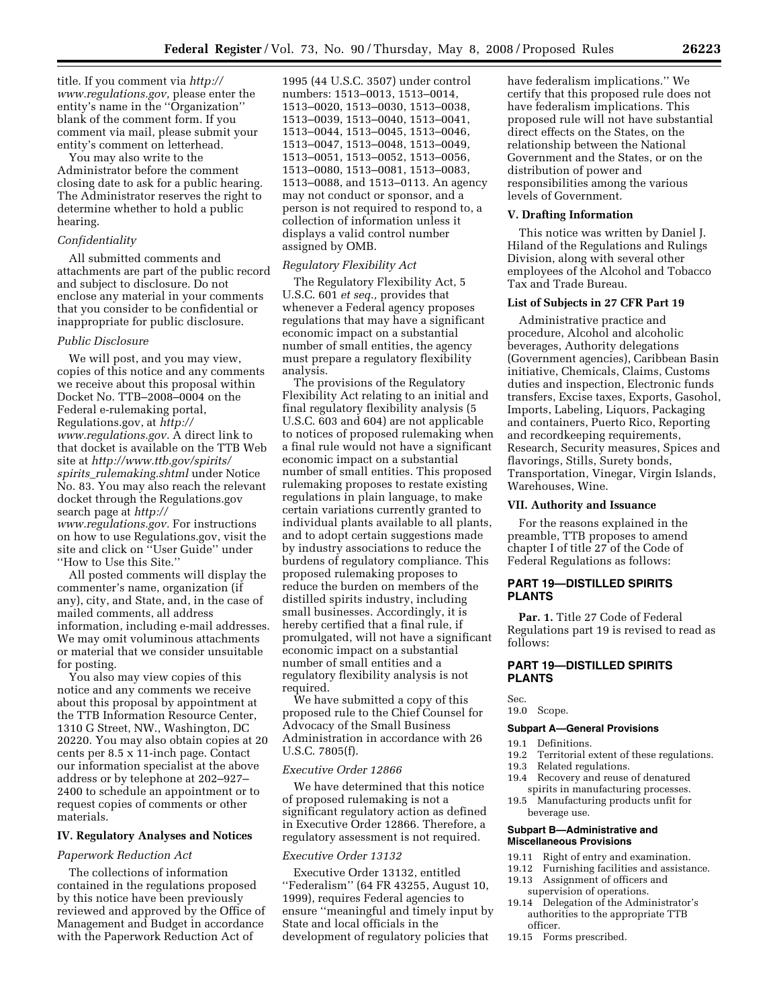title. If you comment via *http:// www.regulations.gov,* please enter the entity's name in the ''Organization'' blank of the comment form. If you comment via mail, please submit your entity's comment on letterhead.

You may also write to the Administrator before the comment closing date to ask for a public hearing. The Administrator reserves the right to determine whether to hold a public hearing.

#### *Confidentiality*

All submitted comments and attachments are part of the public record and subject to disclosure. Do not enclose any material in your comments that you consider to be confidential or inappropriate for public disclosure.

## *Public Disclosure*

We will post, and you may view, copies of this notice and any comments we receive about this proposal within Docket No. TTB–2008–0004 on the Federal e-rulemaking portal, Regulations.gov, at *http:// www.regulations.gov.* A direct link to that docket is available on the TTB Web site at *http://www.ttb.gov/spirits/ spirits*\_*rulemaking.shtml* under Notice No. 83. You may also reach the relevant docket through the Regulations.gov search page at *http:// www.regulations.gov.* For instructions on how to use Regulations.gov, visit the site and click on ''User Guide'' under ''How to Use this Site.''

All posted comments will display the commenter's name, organization (if any), city, and State, and, in the case of mailed comments, all address information, including e-mail addresses. We may omit voluminous attachments or material that we consider unsuitable for posting.

You also may view copies of this notice and any comments we receive about this proposal by appointment at the TTB Information Resource Center, 1310 G Street, NW., Washington, DC 20220. You may also obtain copies at 20 cents per 8.5 x 11-inch page. Contact our information specialist at the above address or by telephone at 202–927– 2400 to schedule an appointment or to request copies of comments or other materials.

#### **IV. Regulatory Analyses and Notices**

#### *Paperwork Reduction Act*

The collections of information contained in the regulations proposed by this notice have been previously reviewed and approved by the Office of Management and Budget in accordance with the Paperwork Reduction Act of

1995 (44 U.S.C. 3507) under control numbers: 1513–0013, 1513–0014, 1513–0020, 1513–0030, 1513–0038, 1513–0039, 1513–0040, 1513–0041, 1513–0044, 1513–0045, 1513–0046, 1513–0047, 1513–0048, 1513–0049, 1513–0051, 1513–0052, 1513–0056, 1513–0080, 1513–0081, 1513–0083, 1513–0088, and 1513–0113. An agency may not conduct or sponsor, and a person is not required to respond to, a collection of information unless it displays a valid control number assigned by OMB.

## *Regulatory Flexibility Act*

The Regulatory Flexibility Act, 5 U.S.C. 601 *et seq.,* provides that whenever a Federal agency proposes regulations that may have a significant economic impact on a substantial number of small entities, the agency must prepare a regulatory flexibility analysis.

The provisions of the Regulatory Flexibility Act relating to an initial and final regulatory flexibility analysis (5 U.S.C. 603 and 604) are not applicable to notices of proposed rulemaking when a final rule would not have a significant economic impact on a substantial number of small entities. This proposed rulemaking proposes to restate existing regulations in plain language, to make certain variations currently granted to individual plants available to all plants, and to adopt certain suggestions made by industry associations to reduce the burdens of regulatory compliance. This proposed rulemaking proposes to reduce the burden on members of the distilled spirits industry, including small businesses. Accordingly, it is hereby certified that a final rule, if promulgated, will not have a significant economic impact on a substantial number of small entities and a regulatory flexibility analysis is not required.

We have submitted a copy of this proposed rule to the Chief Counsel for Advocacy of the Small Business Administration in accordance with 26 U.S.C. 7805(f).

#### *Executive Order 12866*

We have determined that this notice of proposed rulemaking is not a significant regulatory action as defined in Executive Order 12866. Therefore, a regulatory assessment is not required.

#### *Executive Order 13132*

Executive Order 13132, entitled ''Federalism'' (64 FR 43255, August 10, 1999), requires Federal agencies to ensure ''meaningful and timely input by State and local officials in the development of regulatory policies that

have federalism implications.'' We certify that this proposed rule does not have federalism implications. This proposed rule will not have substantial direct effects on the States, on the relationship between the National Government and the States, or on the distribution of power and responsibilities among the various levels of Government.

## **V. Drafting Information**

This notice was written by Daniel J. Hiland of the Regulations and Rulings Division, along with several other employees of the Alcohol and Tobacco Tax and Trade Bureau.

## **List of Subjects in 27 CFR Part 19**

Administrative practice and procedure, Alcohol and alcoholic beverages, Authority delegations (Government agencies), Caribbean Basin initiative, Chemicals, Claims, Customs duties and inspection, Electronic funds transfers, Excise taxes, Exports, Gasohol, Imports, Labeling, Liquors, Packaging and containers, Puerto Rico, Reporting and recordkeeping requirements, Research, Security measures, Spices and flavorings, Stills, Surety bonds, Transportation, Vinegar, Virgin Islands, Warehouses, Wine.

## **VII. Authority and Issuance**

For the reasons explained in the preamble, TTB proposes to amend chapter I of title 27 of the Code of Federal Regulations as follows:

## **PART 19—DISTILLED SPIRITS PLANTS**

**Par. 1.** Title 27 Code of Federal Regulations part 19 is revised to read as follows:

## **PART 19—DISTILLED SPIRITS PLANTS**

Sec.

#### 19.0 Scope.

## **Subpart A—General Provisions**

- 19.1 Definitions.
- 19.2 Territorial extent of these regulations.
- 19.3 Related regulations.
- 19.4 Recovery and reuse of denatured spirits in manufacturing processes.
- 19.5 Manufacturing products unfit for beverage use.

## **Subpart B—Administrative and Miscellaneous Provisions**

- 19.11 Right of entry and examination.
- 19.12 Furnishing facilities and assistance.<br>19.13 Assignment of officers and
- Assignment of officers and supervision of operations.
- 19.14 Delegation of the Administrator's
- authorities to the appropriate TTB officer.
- 19.15 Forms prescribed.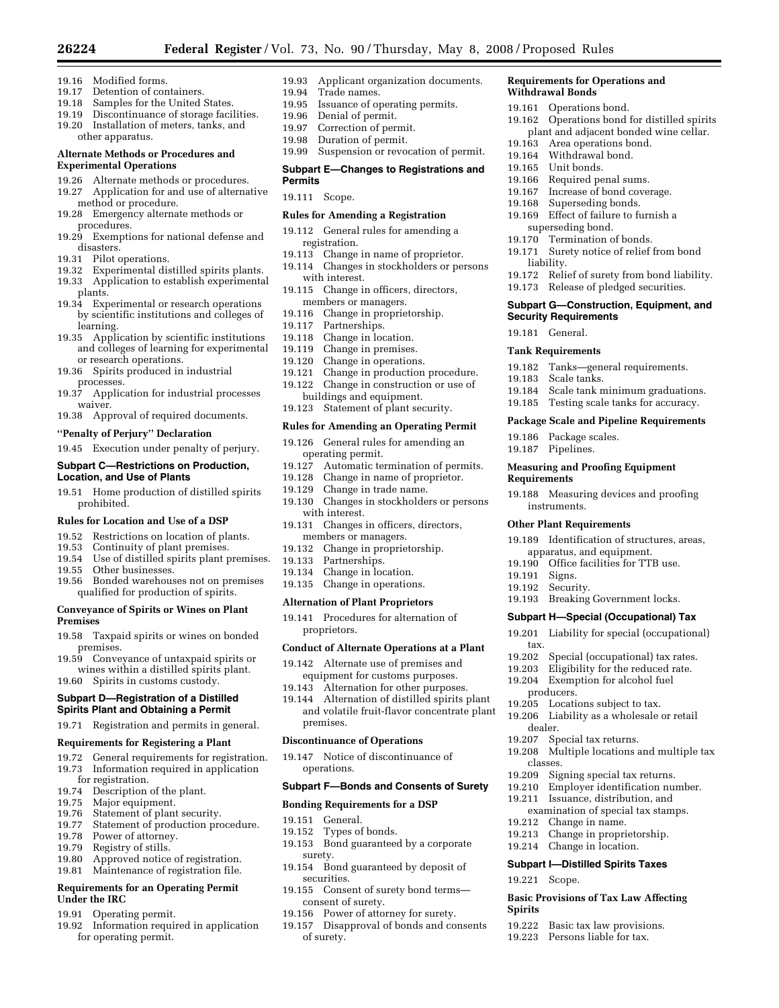- 19.16 Modified forms.
- 19.17 Detention of containers.<br>19.18 Samples for the United
- 19.18 Samples for the United States.<br>19.19 Discontinuance of storage faci
- Discontinuance of storage facilities. 19.20 Installation of meters, tanks, and
- other apparatus.

## **Alternate Methods or Procedures and Experimental Operations**

- 19.26 Alternate methods or procedures.
- 19.27 Application for and use of alternative method or procedure.
- 19.28 Emergency alternate methods or procedures.
- 19.29 Exemptions for national defense and disasters.
- 19.31 Pilot operations.
- 19.32 Experimental distilled spirits plants.
- 19.33 Application to establish experimental
- plants.
- 19.34 Experimental or research operations by scientific institutions and colleges of learning.
- 19.35 Application by scientific institutions and colleges of learning for experimental or research operations.
- 19.36 Spirits produced in industrial processes.
- 19.37 Application for industrial processes waiver.
- 19.38 Approval of required documents.

## **''Penalty of Perjury'' Declaration**

19.45 Execution under penalty of perjury.

## **Subpart C—Restrictions on Production, Location, and Use of Plants**

19.51 Home production of distilled spirits prohibited.

## **Rules for Location and Use of a DSP**

- 19.52 Restrictions on location of plants.<br>19.53 Continuity of plant premises.
- Continuity of plant premises.
- 19.54 Use of distilled spirits plant premises.
- 19.55 Other businesses.<br>19.56 Bonded warehous
- 19.56 Bonded warehouses not on premises qualified for production of spirits.

## **Conveyance of Spirits or Wines on Plant Premises**

- 19.58 Taxpaid spirits or wines on bonded premises.
- 19.59 Conveyance of untaxpaid spirits or wines within a distilled spirits plant.
- 19.60 Spirits in customs custody.

## **Subpart D—Registration of a Distilled Spirits Plant and Obtaining a Permit**

19.71 Registration and permits in general.

#### **Requirements for Registering a Plant**

- 19.72 General requirements for registration.<br>19.73 Information required in application
- Information required in application
- for registration.
- 19.74 Description of the plant.<br>19.75 Major equipment. Major equipment.
- 19.76 Statement of plant security.
- 19.77 Statement of production procedure.
- 19.78 Power of attorney.<br>19.79 Registry of stills.
- 19.79 Registry of stills.<br>19.80 Approved notice
- 19.80 Approved notice of registration.<br>19.81 Maintenance of registration file.
- Maintenance of registration file.

## **Requirements for an Operating Permit Under the IRC**

- 19.91 Operating permit.
- 19.92 Information required in application for operating permit.

19.93 Applicant organization documents.

**Requirements for Operations and** 

19.163 Area operations bond. 19.164 Withdrawal bond. 19.165 Unit bonds.

19.166 Required penal sums. 19.167 Increase of bond coverage. 19.168 Superseding bonds.<br>19.169 Effect of failure to fi

superseding bond. 19.170 Termination of bonds.

**Security Requirements**  19.181 General. **Tank Requirements** 

19.183 Scale tanks.

19.186 Package scales. 19.187 Pipelines.

instruments. **Other Plant Requirements** 

**Requirements** 

19.191 Signs. 19.192 Security.

tax.

producers.

dealer.

classes.

19.221 Scope.

**Spirits** 

liability.

19.162 Operations bond for distilled spirits plant and adjacent bonded wine cellar.

Effect of failure to furnish a

19.171 Surety notice of relief from bond

19.182 Tanks—general requirements.

**Measuring and Proofing Equipment** 

19.188 Measuring devices and proofing

19.189 Identification of structures, areas, apparatus, and equipment. 19.190 Office facilities for TTB use.

19.193 Breaking Government locks. **Subpart H—Special (Occupational) Tax**  19.201 Liability for special (occupational)

19.202 Special (occupational) tax rates. 19.203 Eligibility for the reduced rate. 19.204 Exemption for alcohol fuel

19.208 Multiple locations and multiple tax

19.205 Locations subject to tax. 19.206 Liability as a wholesale or retail

19.209 Signing special tax returns. 19.210 Employer identification number. 19.211 Issuance, distribution, and examination of special tax stamps.

**Basic Provisions of Tax Law Affecting** 

19.222 Basic tax law provisions. 19.223 Persons liable for tax.

19.207 Special tax returns.

19.212 Change in name. 19.213 Change in proprietorship. 19.214 Change in location. **Subpart I—Distilled Spirits Taxes** 

19.184 Scale tank minimum graduations. 19.185 Testing scale tanks for accuracy. **Package Scale and Pipeline Requirements** 

19.172 Relief of surety from bond liability. 19.173 Release of pledged securities. **Subpart G—Construction, Equipment, and** 

**Withdrawal Bonds**  19.161 Operations bond.

- 19.94 Trade names.<br>19.95 Issuance of op
- Issuance of operating permits.
- 19.96 Denial of permit.
- 19.97 Correction of permit.
- 19.98 Duration of permit.
- 19.99 Suspension or revocation of permit.

### **Subpart E—Changes to Registrations and Permits**

19.111 Scope.

## **Rules for Amending a Registration**

- 19.112 General rules for amending a registration.
- 19.113 Change in name of proprietor.
- 19.114 Changes in stockholders or persons with interest.
- 19.115 Change in officers, directors,
- members or managers. 19.116 Change in proprietorship.
- 19.117 Partnerships.
- 19.118 Change in location.
- 19.119 Change in premises.
- 19.120 Change in operations.
- 19.121 Change in production procedure.
- 19.122 Change in construction or use of buildings and equipment.
- 19.123 Statement of plant security.

### **Rules for Amending an Operating Permit**

- 19.126 General rules for amending an operating permit.
- 19.127 Automatic termination of permits.
- 19.128 Change in name of proprietor.
- 19.129 Change in trade name.
- 19.130 Changes in stockholders or persons with interest.
- 19.131 Changes in officers, directors, members or managers.
- 19.132 Change in proprietorship.
- 19.133 Partnerships.
- 19.134 Change in location.
- 19.135 Change in operations.

#### **Alternation of Plant Proprietors**

19.141 Procedures for alternation of proprietors.

## **Conduct of Alternate Operations at a Plant**

- 19.142 Alternate use of premises and equipment for customs purposes.
- 19.143 Alternation for other purposes.
- 19.144 Alternation of distilled spirits plant and volatile fruit-flavor concentrate plant premises.

#### **Discontinuance of Operations**

19.147 Notice of discontinuance of operations.

## **Subpart F—Bonds and Consents of Surety**

### **Bonding Requirements for a DSP**

19.151 General.

of surety.

- 19.152 Types of bonds.
- 19.153 Bond guaranteed by a corporate surety.
- 19.154 Bond guaranteed by deposit of securities.
- 19.155 Consent of surety bond terms consent of surety.
- 19.156 Power of attorney for surety.

19.157 Disapproval of bonds and consents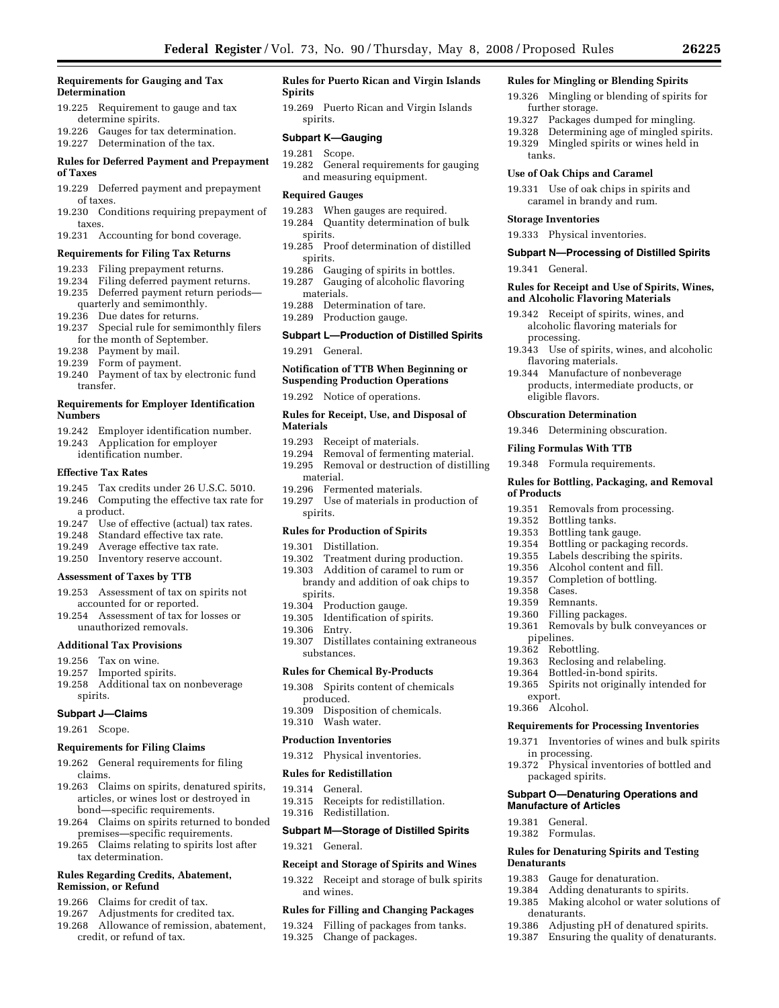### **Requirements for Gauging and Tax Determination**

- 19.225 Requirement to gauge and tax determine spirits.
- 19.226 Gauges for tax determination.
- 19.227 Determination of the tax.

## **Rules for Deferred Payment and Prepayment of Taxes**

- 19.229 Deferred payment and prepayment of taxes.
- 19.230 Conditions requiring prepayment of taxes.
- 19.231 Accounting for bond coverage.

### **Requirements for Filing Tax Returns**

- 19.233 Filing prepayment returns.
- 19.234 Filing deferred payment returns.
- 19.235 Deferred payment return periods quarterly and semimonthly.
- 19.236 Due dates for returns.<br>19.237 Special rule for semin
- Special rule for semimonthly filers for the month of September.
- 19.238 Payment by mail.
- 19.239 Form of payment.
- 19.240 Payment of tax by electronic fund transfer.

## **Requirements for Employer Identification Numbers**

- 19.242 Employer identification number.
- 19.243 Application for employer identification number.

#### **Effective Tax Rates**

- 19.245 Tax credits under 26 U.S.C. 5010.
- 19.246 Computing the effective tax rate for
- a product.
- 19.247 Use of effective (actual) tax rates.
- 19.248 Standard effective tax rate.
- 19.249 Average effective tax rate.
- 19.250 Inventory reserve account.

## **Assessment of Taxes by TTB**

- 19.253 Assessment of tax on spirits not accounted for or reported.
- 19.254 Assessment of tax for losses or unauthorized removals.

#### **Additional Tax Provisions**

- 19.256 Tax on wine.
- 19.257 Imported spirits.
- 19.258 Additional tax on nonbeverage spirits.

### **Subpart J—Claims**

19.261 Scope.

#### **Requirements for Filing Claims**

- 19.262 General requirements for filing claims.
- 19.263 Claims on spirits, denatured spirits, articles, or wines lost or destroyed in bond—specific requirements.
- 19.264 Claims on spirits returned to bonded premises—specific requirements.
- 19.265 Claims relating to spirits lost after tax determination.

### **Rules Regarding Credits, Abatement, Remission, or Refund**

- 19.266 Claims for credit of tax.
- 19.267 Adjustments for credited tax.
- 19.268 Allowance of remission, abatement, credit, or refund of tax.

### **Rules for Puerto Rican and Virgin Islands Spirits**

19.269 Puerto Rican and Virgin Islands spirits.

## **Subpart K—Gauging**

- 19.281 Scope.
- 19.282 General requirements for gauging and measuring equipment.

## **Required Gauges**

- 19.283 When gauges are required.
- 19.284 Quantity determination of bulk spirits.
- 19.285 Proof determination of distilled spirits.
- 19.286 Gauging of spirits in bottles. 19.287 Gauging of alcoholic flavoring
- materials.<br>19.288 Deter Determination of tare.
- 19.289 Production gauge.

## **Subpart L—Production of Distilled Spirits**

19.291 General.

## **Notification of TTB When Beginning or**

**Suspending Production Operations** 

19.292 Notice of operations.

## **Rules for Receipt, Use, and Disposal of Materials**

- 19.293 Receipt of materials.
- Removal of fermenting material.
- 19.295 Removal or destruction of distilling material.
- 19.296 Fermented materials.
- 19.297 Use of materials in production of spirits.

## **Rules for Production of Spirits**

# 19.301 Distillation.<br>19.302 Treatment d

- Treatment during production.
- 19.303 Addition of caramel to rum or brandy and addition of oak chips to spirits.
- 19.304 Production gauge.
- 19.305 Identification of spirits.
- 19.306 Entry.
- 19.307 Distillates containing extraneous substances.

## **Rules for Chemical By-Products**

- 19.308 Spirits content of chemicals produced.
- 19.309 Disposition of chemicals. 19.310 Wash water.

#### **Production Inventories**

- 19.312 Physical inventories.
- **Rules for Redistillation**
- 19.314 General.
- 19.315 Receipts for redistillation.
- 19.316 Redistillation.

## **Subpart M—Storage of Distilled Spirits**

19.321 General.

## **Receipt and Storage of Spirits and Wines**

19.322 Receipt and storage of bulk spirits and wines.

## **Rules for Filling and Changing Packages**

- 19.324 Filling of packages from tanks.
- 19.325 Change of packages.

#### **Rules for Mingling or Blending Spirits**

- 19.326 Mingling or blending of spirits for further storage.
- 19.327 Packages dumped for mingling.
- 19.328 Determining age of mingled spirits.
- 19.329 Mingled spirits or wines held in tanks.

**Subpart N—Processing of Distilled Spirits** 

**Rules for Receipt and Use of Spirits, Wines, and Alcoholic Flavoring Materials**  19.342 Receipt of spirits, wines, and alcoholic flavoring materials for

19.343 Use of spirits, wines, and alcoholic

**Rules for Bottling, Packaging, and Removal** 

Bottling or packaging records.

19.351 Removals from processing.

19.355 Labels describing the spirits. 19.356 Alcohol content and fill. 19.357 Completion of bottling.

Filling packages. 19.361 Removals by bulk conveyances or

19.365 Spirits not originally intended for

**Requirements for Processing Inventories**  19.371 Inventories of wines and bulk spirits

19.372 Physical inventories of bottled and

**Subpart O—Denaturing Operations and** 

**Rules for Denaturing Spirits and Testing** 

19.386 Adjusting pH of denatured spirits. 19.387 Ensuring the quality of denaturants.

19.383 Gauge for denaturation. 19.384 Adding denaturants to spirits. 19.385 Making alcohol or water solutions of

Rebottling. 19.363 Reclosing and relabeling. 19.364 Bottled-in-bond spirits.

19.331 Use of oak chips in spirits and caramel in brandy and rum.

#### **Use of Oak Chips and Caramel**

19.333 Physical inventories.

**Storage Inventories** 

19.341 General.

processing.

flavoring materials. 19.344 Manufacture of nonbeverage products, intermediate products, or

eligible flavors. **Obscuration Determination**  19.346 Determining obscuration.

**Filing Formulas With TTB**  19.348 Formula requirements.

19.352 Bottling tanks. 19.353 Bottling tank gauge.<br>19.354 Bottling or packagin

**of Products** 

19.358 Cases. 19.359 Remnants.<br>19.360 Filling pac

pipelines.<br>19.362 Rebot

export. 19.366 Alcohol.

in processing.

packaged spirits.

**Manufacture of Articles**  19.381 General. 19.382 Formulas.

denaturants.

**Denaturants**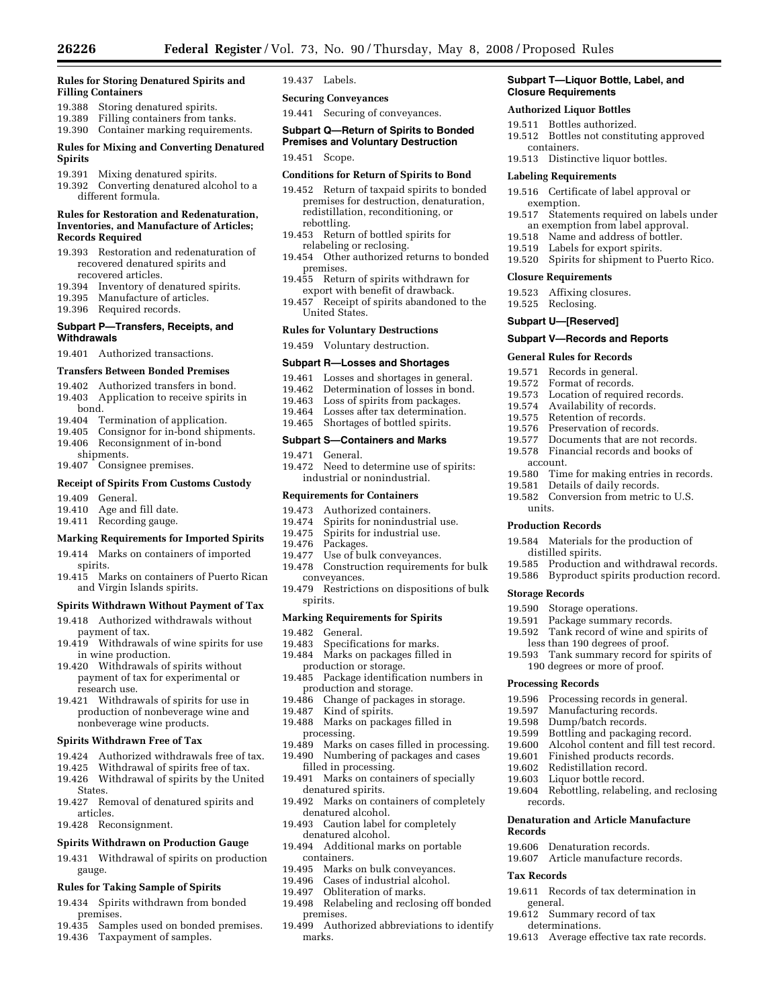#### **Rules for Storing Denatured Spirits and Filling Containers**

- 19.388 Storing denatured spirits.
- 19.389 Filling containers from tanks.
- 19.390 Container marking requirements. **Rules for Mixing and Converting Denatured**

## **Spirits**

- 19.391 Mixing denatured spirits.
- 19.392 Converting denatured alcohol to a different formula.

#### **Rules for Restoration and Redenaturation, Inventories, and Manufacture of Articles; Records Required**

- 19.393 Restoration and redenaturation of recovered denatured spirits and recovered articles.
- 19.394 Inventory of denatured spirits.
- 19.395 Manufacture of articles.
- 19.396 Required records.

## **Subpart P—Transfers, Receipts, and Withdrawals**

19.401 Authorized transactions.

## **Transfers Between Bonded Premises**

- 19.402 Authorized transfers in bond. 19.403 Application to receive spirits in
- bond.
- 19.404 Termination of application.
- 19.405 Consignor for in-bond shipments. 19.406 Reconsignment of in-bond
- shipments. 19.407 Consignee premises.

## **Receipt of Spirits From Customs Custody**

- 19.409 General.
- 19.410 Age and fill date.
- 19.411 Recording gauge.

#### **Marking Requirements for Imported Spirits**

- 19.414 Marks on containers of imported spirits.
- 19.415 Marks on containers of Puerto Rican and Virgin Islands spirits.

### **Spirits Withdrawn Without Payment of Tax**

- 19.418 Authorized withdrawals without payment of tax.
- 19.419 Withdrawals of wine spirits for use in wine production.
- 19.420 Withdrawals of spirits without payment of tax for experimental or research use.
- 19.421 Withdrawals of spirits for use in production of nonbeverage wine and nonbeverage wine products.

#### **Spirits Withdrawn Free of Tax**

- 19.424 Authorized withdrawals free of tax.
- 19.425 Withdrawal of spirits free of tax.
- 19.426 Withdrawal of spirits by the United States.
- 19.427 Removal of denatured spirits and articles.
- 19.428 Reconsignment.

#### **Spirits Withdrawn on Production Gauge**

19.431 Withdrawal of spirits on production gauge.

## **Rules for Taking Sample of Spirits**

- 19.434 Spirits withdrawn from bonded premises.
- 19.435 Samples used on bonded premises.
- 19.436 Taxpayment of samples.

#### 19.437 Labels.

- **Securing Conveyances**
- 19.441 Securing of conveyances.

## **Subpart Q—Return of Spirits to Bonded Premises and Voluntary Destruction**

19.451 Scope.

## **Conditions for Return of Spirits to Bond**

- 19.452 Return of taxpaid spirits to bonded premises for destruction, denaturation, redistillation, reconditioning, or rebottling.
- 19.453 Return of bottled spirits for relabeling or reclosing.
- 19.454 Other authorized returns to bonded premises.
- 19.455 Return of spirits withdrawn for export with benefit of drawback.
- 19.457 Receipt of spirits abandoned to the United States.

#### **Rules for Voluntary Destructions**

19.459 Voluntary destruction.

#### **Subpart R—Losses and Shortages**

- 
- 19.461 Losses and shortages in general.
- 19.462 Determination of losses in bond.<br>19.463 Loss of spirits from packages. Loss of spirits from packages.
- 19.464 Losses after tax determination.
- 19.465 Shortages of bottled spirits.

## **Subpart S—Containers and Marks**

- 19.471 General.
- 19.472 Need to determine use of spirits: industrial or nonindustrial.

#### **Requirements for Containers**

- 19.473 Authorized containers.<br>19.474 Spirits for nonindustria
- Spirits for nonindustrial use.
- 19.475 Spirits for industrial use.<br>19.476 Packages.
- 
- 19.476 Packages.<br>19.477 Use of bu Use of bulk conveyances.
- 19.478 Construction requirements for bulk conveyances.
- 19.479 Restrictions on dispositions of bulk spirits.

#### **Marking Requirements for Spirits**

19.482 General.<br>19.483 Specifica

- Specifications for marks.
- 19.484 Marks on packages filled in production or storage.
- 19.485 Package identification numbers in production and storage.
- 19.486 Change of packages in storage.
- 19.487 Kind of spirits.
- 19.488 Marks on packages filled in processing.
- 19.489 Marks on cases filled in processing.
- 19.490 Numbering of packages and cases filled in processing.
- 19.491 Marks on containers of specially denatured spirits.
- 19.492 Marks on containers of completely denatured alcohol.
- 19.493 Caution label for completely denatured alcohol.
- 19.494 Additional marks on portable containers.
- 
- 19.495 Marks on bulk conveyances.<br>19.496 Cases of industrial alcohol. Cases of industrial alcohol.
- 19.497 Obliteration of marks.
- 19.498 Relabeling and reclosing off bonded premises.
- 19.499 Authorized abbreviations to identify marks.

### **Subpart T—Liquor Bottle, Label, and Closure Requirements**

## **Authorized Liquor Bottles**

19.511 Bottles authorized.

**Labeling Requirements** 

exemption.

**Closure Requirements**  19.523 Affixing closures. 19.525 Reclosing. **Subpart U—[Reserved]** 

account.

units. **Production Records** 

**Storage Records** 

**Processing Records** 

records.

**Records** 

**Tax Records** 

general.

19.512 Bottles not constituting approved containers.

19.516 Certificate of label approval or

19.517 Statements required on labels under an exemption from label approval. 19.518 Name and address of bottler. 19.519 Labels for export spirits.

19.520 Spirits for shipment to Puerto Rico.

Documents that are not records. 19.578 Financial records and books of

19.580 Time for making entries in records.

19.584 Materials for the production of

less than 190 degrees of proof. 19.593 Tank summary record for spirits of 190 degrees or more of proof.

19.596 Processing records in general. 19.597 Manufacturing records. 19.598 Dump/batch records. 19.599 Bottling and packaging record. 19.600 Alcohol content and fill test record.<br>19.601 Finished products records. Finished products records.

**Denaturation and Article Manufacture** 

19.611 Records of tax determination in

19.613 Average effective tax rate records.

19.602 Redistillation record. 19.603 Liquor bottle record.<br>19.604 Rebottling, relabeling

19.606 Denaturation records. 19.607 Article manufacture records.

19.612 Summary record of tax determinations.

19.585 Production and withdrawal records. 19.586 Byproduct spirits production record.

Tank record of wine and spirits of

Rebottling, relabeling, and reclosing

19.581 Details of daily records. 19.582 Conversion from metric to U.S.

distilled spirits.

19.590 Storage operations.<br>19.591 Package summary r 19.591 Package summary records.<br>19.592 Tank record of wine and sr

19.513 Distinctive liquor bottles.

**Subpart V—Records and Reports General Rules for Records**  19.571 Records in general.<br>19.572 Format of records. Format of records. 19.573 Location of required records. 19.574 Availability of records. 19.575 Retention of records. 19.576 Preservation of records.<br>19.577 Documents that are not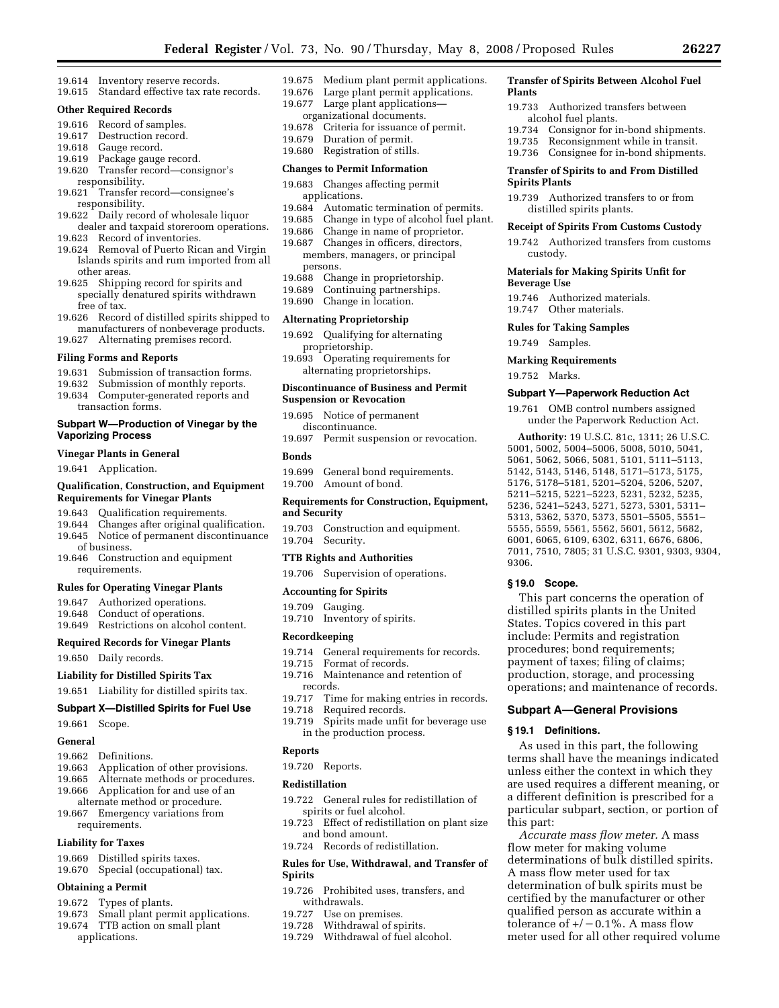**Transfer of Spirits Between Alcohol Fuel** 

Consignor for in-bond shipments.

19.733 Authorized transfers between

19.735 Reconsignment while in transit. 19.736 Consignee for in-bond shipments. **Transfer of Spirits to and From Distilled** 

19.739 Authorized transfers to or from distilled spirits plants.

**Receipt of Spirits From Customs Custody**  19.742 Authorized transfers from customs

**Materials for Making Spirits Unfit for** 

**Subpart Y—Paperwork Reduction Act**  19.761 OMB control numbers assigned under the Paperwork Reduction Act. **Authority:** 19 U.S.C. 81c, 1311; 26 U.S.C. 5001, 5002, 5004–5006, 5008, 5010, 5041, 5061, 5062, 5066, 5081, 5101, 5111–5113, 5142, 5143, 5146, 5148, 5171–5173, 5175, 5176, 5178–5181, 5201–5204, 5206, 5207, 5211–5215, 5221–5223, 5231, 5232, 5235, 5236, 5241–5243, 5271, 5273, 5301, 5311– 5313, 5362, 5370, 5373, 5501–5505, 5551– 5555, 5559, 5561, 5562, 5601, 5612, 5682, 6001, 6065, 6109, 6302, 6311, 6676, 6806, 7011, 7510, 7805; 31 U.S.C. 9301, 9303, 9304,

This part concerns the operation of distilled spirits plants in the United States. Topics covered in this part include: Permits and registration procedures; bond requirements; payment of taxes; filing of claims; production, storage, and processing operations; and maintenance of records.

**Subpart A—General Provisions** 

As used in this part, the following terms shall have the meanings indicated unless either the context in which they are used requires a different meaning, or a different definition is prescribed for a particular subpart, section, or portion of

*Accurate mass flow meter.* A mass

determinations of bulk distilled spirits. A mass flow meter used for tax determination of bulk spirits must be certified by the manufacturer or other qualified person as accurate within a tolerance of  $+/-0.1\%$ . A mass flow meter used for all other required volume

flow meter for making volume

19.746 Authorized materials. 19.747 Other materials. **Rules for Taking Samples**  19.749 Samples. **Marking Requirements**  19.752 Marks.

alcohol fuel plants.<br>19.734 Consignor for i

**Spirits Plants** 

custody.

**Beverage Use** 

9306.

**§ 19.0 Scope.** 

**§ 19.1 Definitions.** 

this part:

**Plants** 

- 19.614 Inventory reserve records.
- 19.615 Standard effective tax rate records.

## **Other Required Records**

- 19.616 Record of samples.
- 19.617 Destruction record.
- 19.618 Gauge record.
- 19.619 Package gauge record.
- 19.620 Transfer record—consignor's responsibility.
- 19.621 Transfer record—consignee's responsibility.
- 19.622 Daily record of wholesale liquor dealer and taxpaid storeroom operations.
- 19.623 Record of inventories.
- 19.624 Removal of Puerto Rican and Virgin Islands spirits and rum imported from all other areas.
- 19.625 Shipping record for spirits and specially denatured spirits withdrawn free of tax.
- 19.626 Record of distilled spirits shipped to manufacturers of nonbeverage products. 19.627 Alternating premises record.

#### **Filing Forms and Reports**

- 19.631 Submission of transaction forms.
- 19.632 Submission of monthly reports.
- 19.634 Computer-generated reports and
- transaction forms.

### **Subpart W—Production of Vinegar by the Vaporizing Process**

### **Vinegar Plants in General**

19.641 Application.

#### **Qualification, Construction, and Equipment Requirements for Vinegar Plants**

- 19.643 Qualification requirements.
- 19.644 Changes after original qualification.
- 19.645 Notice of permanent discontinuance of business.
- 19.646 Construction and equipment requirements.

## **Rules for Operating Vinegar Plants**

- 19.647 Authorized operations.
- 19.648 Conduct of operations.
- 19.649 Restrictions on alcohol content.

### **Required Records for Vinegar Plants**

19.650 Daily records.

**Liability for Distilled Spirits Tax** 

## 19.651 Liability for distilled spirits tax.

## **Subpart X—Distilled Spirits for Fuel Use**

19.661 Scope.

#### **General**

- 19.662 Definitions.
- 19.663 Application of other provisions.
- 19.665 Alternate methods or procedures.
- 19.666 Application for and use of an
- alternate method or procedure. 19.667 Emergency variations from requirements.
- **Liability for Taxes**

## 19.669 Distilled spirits taxes.

19.670 Special (occupational) tax.

#### **Obtaining a Permit**

- 19.672 Types of plants.
- 19.673 Small plant permit applications.
- 19.674 TTB action on small plant applications.
- 19.675 Medium plant permit applications.
- 19.676 Large plant permit applications.
- 19.677 Large plant applications—
- organizational documents.
- 19.678 Criteria for issuance of permit. 19.679 Duration of permit.
- 19.680 Registration of stills.

## **Changes to Permit Information**

- 19.683 Changes affecting permit applications.
- 19.684 Automatic termination of permits.
- 19.685 Change in type of alcohol fuel plant.
- 19.686 Change in name of proprietor.
- 19.687 Changes in officers, directors, members, managers, or principal persons.<br>19.688 Cha
- Change in proprietorship.
- 19.689 Continuing partnerships.
- 19.690 Change in location.

#### **Alternating Proprietorship**

- 19.692 Qualifying for alternating proprietorship.
- 19.693 Operating requirements for alternating proprietorships.

### **Discontinuance of Business and Permit Suspension or Revocation**

- 19.695 Notice of permanent discontinuance.
- 19.697 Permit suspension or revocation.

#### **Bonds**

- 19.699 General bond requirements.<br>19.700 Amount of bond.
- Amount of bond.

#### **Requirements for Construction, Equipment, and Security**

- 19.703 Construction and equipment.
- 19.704 Security.

## **TTB Rights and Authorities**

19.706 Supervision of operations.

#### **Accounting for Spirits**

- 19.709 Gauging.
- 19.710 Inventory of spirits.

#### **Recordkeeping**

- 19.714 General requirements for records.
- 19.715 Format of records.
- 19.716 Maintenance and retention of records.
- 19.717 Time for making entries in records.
- 19.718 Required records.
- 19.719 Spirits made unfit for beverage use in the production process.

#### **Reports**

19.720 Reports.

#### **Redistillation**

- 19.722 General rules for redistillation of spirits or fuel alcohol.
- 19.723 Effect of redistillation on plant size and bond amount.
- 19.724 Records of redistillation.

## **Rules for Use, Withdrawal, and Transfer of Spirits**

19.726 Prohibited uses, transfers, and withdrawals.

19.729 Withdrawal of fuel alcohol.

19.727 Use on premises. 19.728 Withdrawal of spirits.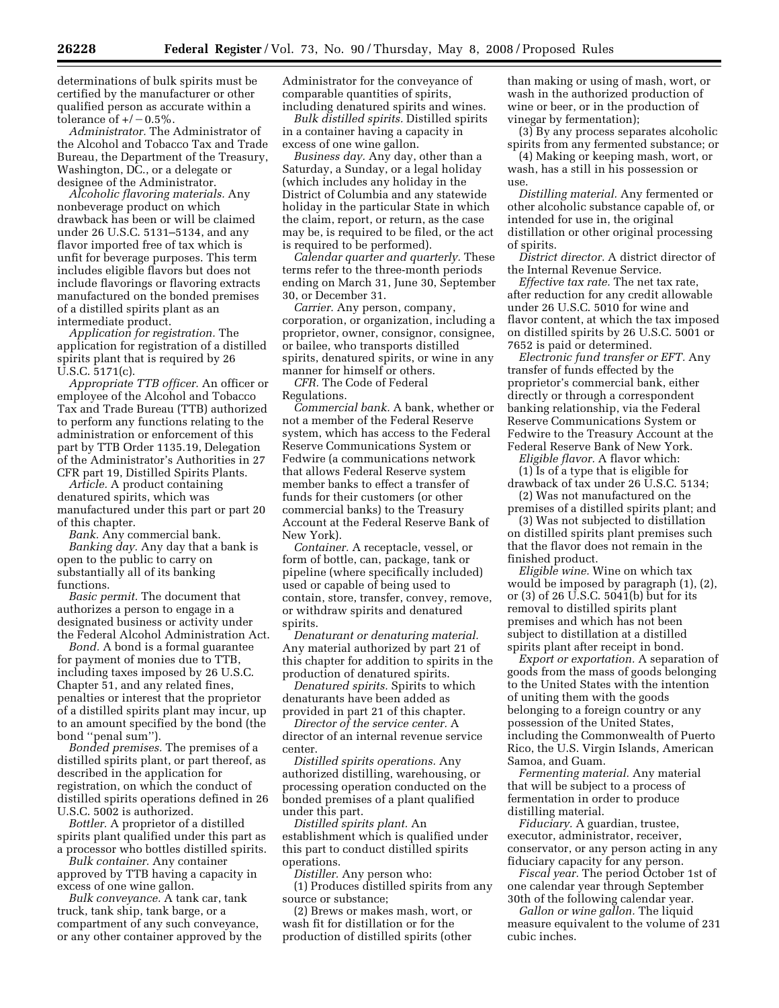determinations of bulk spirits must be certified by the manufacturer or other qualified person as accurate within a tolerance of  $+/-0.5\%$ .

*Administrator.* The Administrator of the Alcohol and Tobacco Tax and Trade Bureau, the Department of the Treasury, Washington, DC., or a delegate or designee of the Administrator.

*Alcoholic flavoring materials.* Any nonbeverage product on which drawback has been or will be claimed under 26 U.S.C. 5131–5134, and any flavor imported free of tax which is unfit for beverage purposes. This term includes eligible flavors but does not include flavorings or flavoring extracts manufactured on the bonded premises of a distilled spirits plant as an intermediate product.

*Application for registration.* The application for registration of a distilled spirits plant that is required by 26 U.S.C. 5171(c).

*Appropriate TTB officer.* An officer or employee of the Alcohol and Tobacco Tax and Trade Bureau (TTB) authorized to perform any functions relating to the administration or enforcement of this part by TTB Order 1135.19, Delegation of the Administrator's Authorities in 27 CFR part 19, Distilled Spirits Plants.

*Article.* A product containing denatured spirits, which was manufactured under this part or part 20 of this chapter.

*Bank.* Any commercial bank. *Banking day.* Any day that a bank is open to the public to carry on substantially all of its banking functions.

*Basic permit.* The document that authorizes a person to engage in a designated business or activity under the Federal Alcohol Administration Act.

*Bond.* A bond is a formal guarantee for payment of monies due to TTB, including taxes imposed by 26 U.S.C. Chapter 51, and any related fines, penalties or interest that the proprietor of a distilled spirits plant may incur, up to an amount specified by the bond (the bond ''penal sum'').

*Bonded premises.* The premises of a distilled spirits plant, or part thereof, as described in the application for registration, on which the conduct of distilled spirits operations defined in 26 U.S.C. 5002 is authorized.

*Bottler.* A proprietor of a distilled spirits plant qualified under this part as a processor who bottles distilled spirits.

*Bulk container.* Any container approved by TTB having a capacity in excess of one wine gallon.

*Bulk conveyance.* A tank car, tank truck, tank ship, tank barge, or a compartment of any such conveyance, or any other container approved by the Administrator for the conveyance of comparable quantities of spirits, including denatured spirits and wines.

*Bulk distilled spirits.* Distilled spirits in a container having a capacity in excess of one wine gallon.

*Business day.* Any day, other than a Saturday, a Sunday, or a legal holiday (which includes any holiday in the District of Columbia and any statewide holiday in the particular State in which the claim, report, or return, as the case may be, is required to be filed, or the act is required to be performed).

*Calendar quarter and quarterly.* These terms refer to the three-month periods ending on March 31, June 30, September 30, or December 31.

*Carrier.* Any person, company, corporation, or organization, including a proprietor, owner, consignor, consignee, or bailee, who transports distilled spirits, denatured spirits, or wine in any manner for himself or others.

*CFR.* The Code of Federal Regulations.

*Commercial bank.* A bank, whether or not a member of the Federal Reserve system, which has access to the Federal Reserve Communications System or Fedwire (a communications network that allows Federal Reserve system member banks to effect a transfer of funds for their customers (or other commercial banks) to the Treasury Account at the Federal Reserve Bank of New York).

*Container.* A receptacle, vessel, or form of bottle, can, package, tank or pipeline (where specifically included) used or capable of being used to contain, store, transfer, convey, remove, or withdraw spirits and denatured spirits.

*Denaturant or denaturing material.*  Any material authorized by part 21 of this chapter for addition to spirits in the production of denatured spirits.

*Denatured spirits.* Spirits to which denaturants have been added as provided in part 21 of this chapter.

*Director of the service center.* A director of an internal revenue service center.

*Distilled spirits operations.* Any authorized distilling, warehousing, or processing operation conducted on the bonded premises of a plant qualified under this part.

*Distilled spirits plant.* An establishment which is qualified under this part to conduct distilled spirits operations.

*Distiller.* Any person who:

(1) Produces distilled spirits from any source or substance;

(2) Brews or makes mash, wort, or wash fit for distillation or for the production of distilled spirits (other

than making or using of mash, wort, or wash in the authorized production of wine or beer, or in the production of vinegar by fermentation);

(3) By any process separates alcoholic spirits from any fermented substance; or

(4) Making or keeping mash, wort, or wash, has a still in his possession or use.

*Distilling material.* Any fermented or other alcoholic substance capable of, or intended for use in, the original distillation or other original processing of spirits.

*District director.* A district director of the Internal Revenue Service.

*Effective tax rate.* The net tax rate, after reduction for any credit allowable under 26 U.S.C. 5010 for wine and flavor content, at which the tax imposed on distilled spirits by 26 U.S.C. 5001 or 7652 is paid or determined.

*Electronic fund transfer or EFT.* Any transfer of funds effected by the proprietor's commercial bank, either directly or through a correspondent banking relationship, via the Federal Reserve Communications System or Fedwire to the Treasury Account at the Federal Reserve Bank of New York.

*Eligible flavor.* A flavor which: (1) Is of a type that is eligible for drawback of tax under 26 U.S.C. 5134; (2) Was not manufactured on the

premises of a distilled spirits plant; and

(3) Was not subjected to distillation on distilled spirits plant premises such that the flavor does not remain in the finished product.

*Eligible wine.* Wine on which tax would be imposed by paragraph (1), (2), or (3) of 26 U.S.C. 5041(b) but for its removal to distilled spirits plant premises and which has not been subject to distillation at a distilled spirits plant after receipt in bond.

*Export or exportation.* A separation of goods from the mass of goods belonging to the United States with the intention of uniting them with the goods belonging to a foreign country or any possession of the United States, including the Commonwealth of Puerto Rico, the U.S. Virgin Islands, American Samoa, and Guam.

*Fermenting material.* Any material that will be subject to a process of fermentation in order to produce distilling material.

*Fiduciary.* A guardian, trustee, executor, administrator, receiver, conservator, or any person acting in any fiduciary capacity for any person.

*Fiscal year.* The period October 1st of one calendar year through September 30th of the following calendar year.

*Gallon or wine gallon.* The liquid measure equivalent to the volume of 231 cubic inches.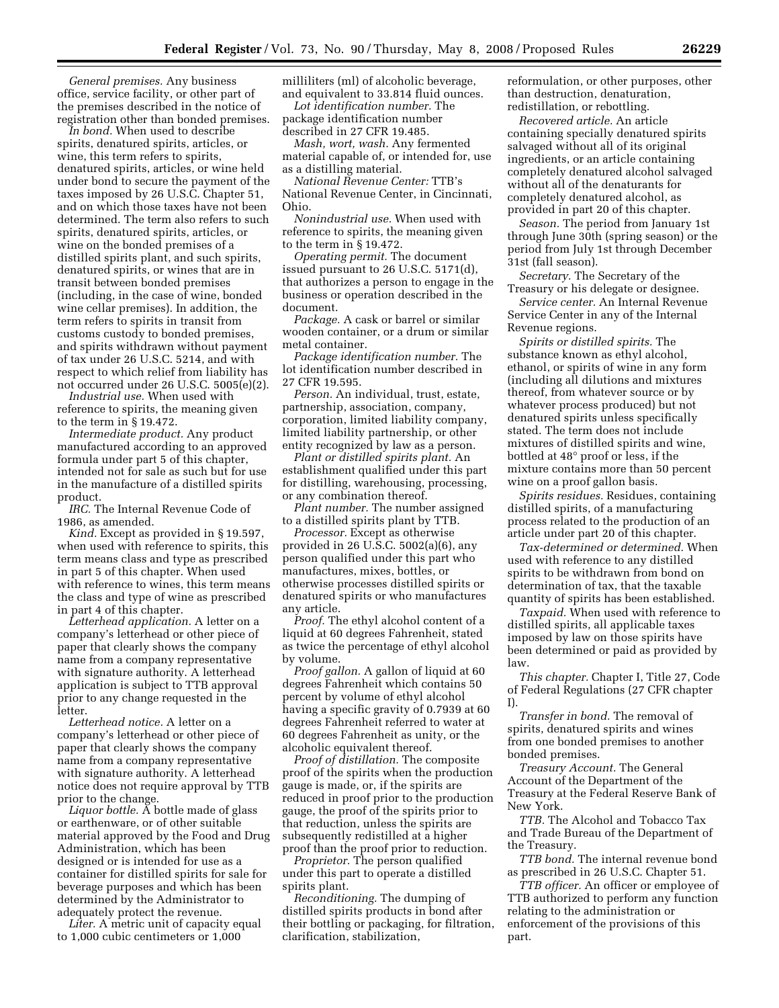*General premises.* Any business office, service facility, or other part of the premises described in the notice of registration other than bonded premises.

*In bond.* When used to describe spirits, denatured spirits, articles, or wine, this term refers to spirits, denatured spirits, articles, or wine held under bond to secure the payment of the taxes imposed by 26 U.S.C. Chapter 51, and on which those taxes have not been determined. The term also refers to such spirits, denatured spirits, articles, or wine on the bonded premises of a distilled spirits plant, and such spirits, denatured spirits, or wines that are in transit between bonded premises (including, in the case of wine, bonded wine cellar premises). In addition, the term refers to spirits in transit from customs custody to bonded premises, and spirits withdrawn without payment of tax under 26 U.S.C. 5214, and with respect to which relief from liability has not occurred under 26 U.S.C. 5005(e)(2).

*Industrial use.* When used with reference to spirits, the meaning given to the term in § 19.472.

*Intermediate product.* Any product manufactured according to an approved formula under part 5 of this chapter, intended not for sale as such but for use in the manufacture of a distilled spirits product.

*IRC.* The Internal Revenue Code of 1986, as amended.

*Kind.* Except as provided in § 19.597, when used with reference to spirits, this term means class and type as prescribed in part 5 of this chapter. When used with reference to wines, this term means the class and type of wine as prescribed in part 4 of this chapter.

*Letterhead application.* A letter on a company's letterhead or other piece of paper that clearly shows the company name from a company representative with signature authority. A letterhead application is subject to TTB approval prior to any change requested in the letter.

*Letterhead notice.* A letter on a company's letterhead or other piece of paper that clearly shows the company name from a company representative with signature authority. A letterhead notice does not require approval by TTB prior to the change.

*Liquor bottle.* A bottle made of glass or earthenware, or of other suitable material approved by the Food and Drug Administration, which has been designed or is intended for use as a container for distilled spirits for sale for beverage purposes and which has been determined by the Administrator to adequately protect the revenue.

*Liter.* A metric unit of capacity equal to 1,000 cubic centimeters or 1,000

milliliters (ml) of alcoholic beverage, and equivalent to 33.814 fluid ounces.

*Lot identification number.* The package identification number described in 27 CFR 19.485.

*Mash, wort, wash.* Any fermented material capable of, or intended for, use as a distilling material.

*National Revenue Center:* TTB's National Revenue Center, in Cincinnati, Ohio.

*Nonindustrial use.* When used with reference to spirits, the meaning given to the term in § 19.472.

*Operating permit.* The document issued pursuant to 26 U.S.C. 5171(d), that authorizes a person to engage in the business or operation described in the document.

*Package.* A cask or barrel or similar wooden container, or a drum or similar metal container.

*Package identification number.* The lot identification number described in 27 CFR 19.595.

*Person.* An individual, trust, estate, partnership, association, company, corporation, limited liability company, limited liability partnership, or other entity recognized by law as a person.

*Plant or distilled spirits plant.* An establishment qualified under this part for distilling, warehousing, processing, or any combination thereof.

*Plant number.* The number assigned to a distilled spirits plant by TTB.

*Processor.* Except as otherwise provided in 26 U.S.C. 5002(a)(6), any person qualified under this part who manufactures, mixes, bottles, or otherwise processes distilled spirits or denatured spirits or who manufactures any article.

*Proof.* The ethyl alcohol content of a liquid at 60 degrees Fahrenheit, stated as twice the percentage of ethyl alcohol by volume.

*Proof gallon.* A gallon of liquid at 60 degrees Fahrenheit which contains 50 percent by volume of ethyl alcohol having a specific gravity of 0.7939 at 60 degrees Fahrenheit referred to water at 60 degrees Fahrenheit as unity, or the alcoholic equivalent thereof.

*Proof of distillation.* The composite proof of the spirits when the production gauge is made, or, if the spirits are reduced in proof prior to the production gauge, the proof of the spirits prior to that reduction, unless the spirits are subsequently redistilled at a higher proof than the proof prior to reduction.

*Proprietor.* The person qualified under this part to operate a distilled spirits plant.

*Reconditioning.* The dumping of distilled spirits products in bond after their bottling or packaging, for filtration, clarification, stabilization,

reformulation, or other purposes, other than destruction, denaturation, redistillation, or rebottling.

*Recovered article.* An article containing specially denatured spirits salvaged without all of its original ingredients, or an article containing completely denatured alcohol salvaged without all of the denaturants for completely denatured alcohol, as provided in part 20 of this chapter.

*Season.* The period from January 1st through June 30th (spring season) or the period from July 1st through December 31st (fall season).

*Secretary.* The Secretary of the Treasury or his delegate or designee.

*Service center.* An Internal Revenue Service Center in any of the Internal Revenue regions.

*Spirits or distilled spirits.* The substance known as ethyl alcohol, ethanol, or spirits of wine in any form (including all dilutions and mixtures thereof, from whatever source or by whatever process produced) but not denatured spirits unless specifically stated. The term does not include mixtures of distilled spirits and wine, bottled at 48° proof or less, if the mixture contains more than 50 percent wine on a proof gallon basis.

*Spirits residues.* Residues, containing distilled spirits, of a manufacturing process related to the production of an article under part 20 of this chapter.

*Tax-determined or determined.* When used with reference to any distilled spirits to be withdrawn from bond on determination of tax, that the taxable quantity of spirits has been established.

*Taxpaid.* When used with reference to distilled spirits, all applicable taxes imposed by law on those spirits have been determined or paid as provided by law.

*This chapter.* Chapter I, Title 27, Code of Federal Regulations (27 CFR chapter  $\bf{I}$ 

*Transfer in bond.* The removal of spirits, denatured spirits and wines from one bonded premises to another bonded premises.

*Treasury Account.* The General Account of the Department of the Treasury at the Federal Reserve Bank of New York.

*TTB.* The Alcohol and Tobacco Tax and Trade Bureau of the Department of the Treasury.

*TTB bond.* The internal revenue bond as prescribed in 26 U.S.C. Chapter 51.

*TTB officer.* An officer or employee of TTB authorized to perform any function relating to the administration or enforcement of the provisions of this part.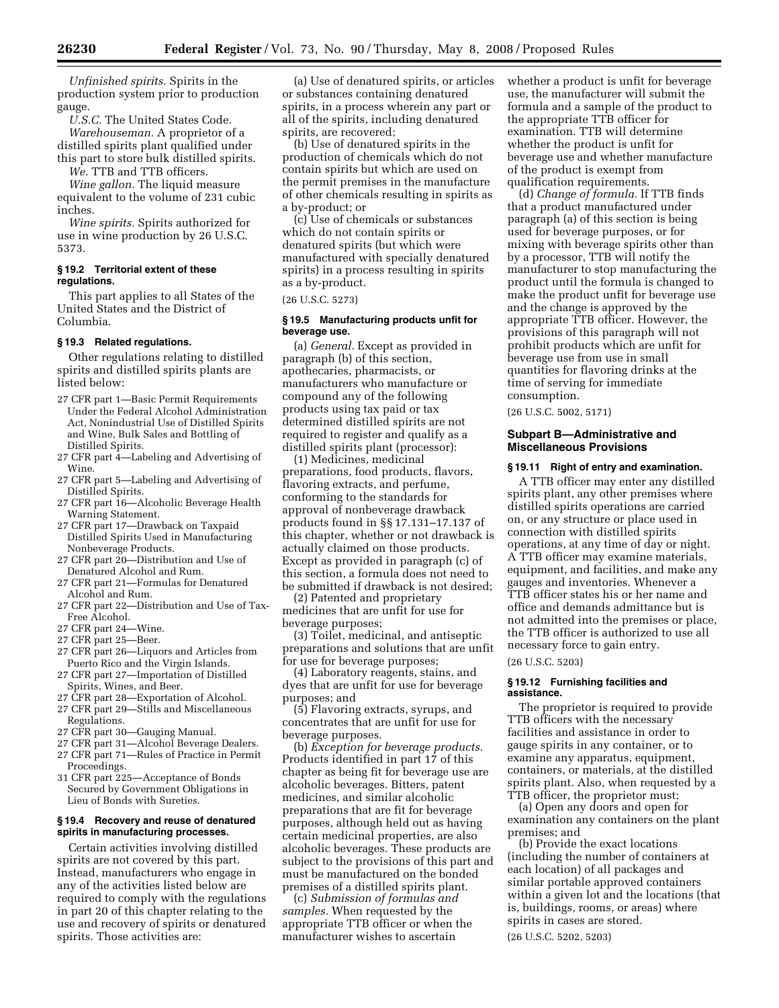*Unfinished spirits.* Spirits in the production system prior to production gauge.

*U.S.C.* The United States Code. *Warehouseman.* A proprietor of a distilled spirits plant qualified under this part to store bulk distilled spirits.

*We.* TTB and TTB officers.

*Wine gallon.* The liquid measure equivalent to the volume of 231 cubic inches.

*Wine spirits.* Spirits authorized for use in wine production by 26 U.S.C. 5373.

## **§ 19.2 Territorial extent of these regulations.**

This part applies to all States of the United States and the District of Columbia.

## **§ 19.3 Related regulations.**

Other regulations relating to distilled spirits and distilled spirits plants are listed below:

- 27 CFR part 1—Basic Permit Requirements Under the Federal Alcohol Administration Act, Nonindustrial Use of Distilled Spirits and Wine, Bulk Sales and Bottling of Distilled Spirits.
- 27 CFR part 4—Labeling and Advertising of Wine.
- 27 CFR part 5—Labeling and Advertising of Distilled Spirits.
- 27 CFR part 16—Alcoholic Beverage Health Warning Statement.
- 27 CFR part 17—Drawback on Taxpaid Distilled Spirits Used in Manufacturing Nonbeverage Products.
- 27 CFR part 20—Distribution and Use of Denatured Alcohol and Rum.
- 27 CFR part 21—Formulas for Denatured Alcohol and Rum.
- 27 CFR part 22—Distribution and Use of Tax-Free Alcohol.
- 27 CFR part 24—Wine.
- 27 CFR part 25—Beer.
- 27 CFR part 26—Liquors and Articles from Puerto Rico and the Virgin Islands.
- 27 CFR part 27—Importation of Distilled Spirits, Wines, and Beer.
- 27 CFR part 28—Exportation of Alcohol.
- 27 CFR part 29—Stills and Miscellaneous Regulations.
- 27 CFR part 30—Gauging Manual.
- 27 CFR part 31—Alcohol Beverage Dealers.
- 27 CFR part 71—Rules of Practice in Permit Proceedings.
- 31 CFR part 225—Acceptance of Bonds Secured by Government Obligations in Lieu of Bonds with Sureties.

### **§ 19.4 Recovery and reuse of denatured spirits in manufacturing processes.**

Certain activities involving distilled spirits are not covered by this part. Instead, manufacturers who engage in any of the activities listed below are required to comply with the regulations in part 20 of this chapter relating to the use and recovery of spirits or denatured spirits. Those activities are:

(a) Use of denatured spirits, or articles or substances containing denatured spirits, in a process wherein any part or all of the spirits, including denatured spirits, are recovered;

(b) Use of denatured spirits in the production of chemicals which do not contain spirits but which are used on the permit premises in the manufacture of other chemicals resulting in spirits as a by-product; or

(c) Use of chemicals or substances which do not contain spirits or denatured spirits (but which were manufactured with specially denatured spirits) in a process resulting in spirits as a by-product.

(26 U.S.C. 5273)

## **§ 19.5 Manufacturing products unfit for beverage use.**

(a) *General.* Except as provided in paragraph (b) of this section, apothecaries, pharmacists, or manufacturers who manufacture or compound any of the following products using tax paid or tax determined distilled spirits are not required to register and qualify as a distilled spirits plant (processor):

(1) Medicines, medicinal preparations, food products, flavors, flavoring extracts, and perfume, conforming to the standards for approval of nonbeverage drawback products found in §§ 17.131–17.137 of this chapter, whether or not drawback is actually claimed on those products. Except as provided in paragraph (c) of this section, a formula does not need to be submitted if drawback is not desired;

(2) Patented and proprietary medicines that are unfit for use for beverage purposes;

(3) Toilet, medicinal, and antiseptic preparations and solutions that are unfit for use for beverage purposes;

(4) Laboratory reagents, stains, and dyes that are unfit for use for beverage purposes; and

(5) Flavoring extracts, syrups, and concentrates that are unfit for use for beverage purposes.

(b) *Exception for beverage products.*  Products identified in part 17 of this chapter as being fit for beverage use are alcoholic beverages. Bitters, patent medicines, and similar alcoholic preparations that are fit for beverage purposes, although held out as having certain medicinal properties, are also alcoholic beverages. These products are subject to the provisions of this part and must be manufactured on the bonded premises of a distilled spirits plant.

(c) *Submission of formulas and samples.* When requested by the appropriate TTB officer or when the manufacturer wishes to ascertain

whether a product is unfit for beverage use, the manufacturer will submit the formula and a sample of the product to the appropriate TTB officer for examination. TTB will determine whether the product is unfit for beverage use and whether manufacture of the product is exempt from qualification requirements.

(d) *Change of formula.* If TTB finds that a product manufactured under paragraph (a) of this section is being used for beverage purposes, or for mixing with beverage spirits other than by a processor, TTB will notify the manufacturer to stop manufacturing the product until the formula is changed to make the product unfit for beverage use and the change is approved by the appropriate TTB officer. However, the provisions of this paragraph will not prohibit products which are unfit for beverage use from use in small quantities for flavoring drinks at the time of serving for immediate consumption.

(26 U.S.C. 5002, 5171)

## **Subpart B—Administrative and Miscellaneous Provisions**

## **§ 19.11 Right of entry and examination.**

A TTB officer may enter any distilled spirits plant, any other premises where distilled spirits operations are carried on, or any structure or place used in connection with distilled spirits operations, at any time of day or night. A TTB officer may examine materials, equipment, and facilities, and make any gauges and inventories. Whenever a TTB officer states his or her name and office and demands admittance but is not admitted into the premises or place, the TTB officer is authorized to use all necessary force to gain entry.

## (26 U.S.C. 5203)

## **§ 19.12 Furnishing facilities and assistance.**

The proprietor is required to provide TTB officers with the necessary facilities and assistance in order to gauge spirits in any container, or to examine any apparatus, equipment, containers, or materials, at the distilled spirits plant. Also, when requested by a TTB officer, the proprietor must:

(a) Open any doors and open for examination any containers on the plant premises; and

(b) Provide the exact locations (including the number of containers at each location) of all packages and similar portable approved containers within a given lot and the locations (that is, buildings, rooms, or areas) where spirits in cases are stored.

(26 U.S.C. 5202, 5203)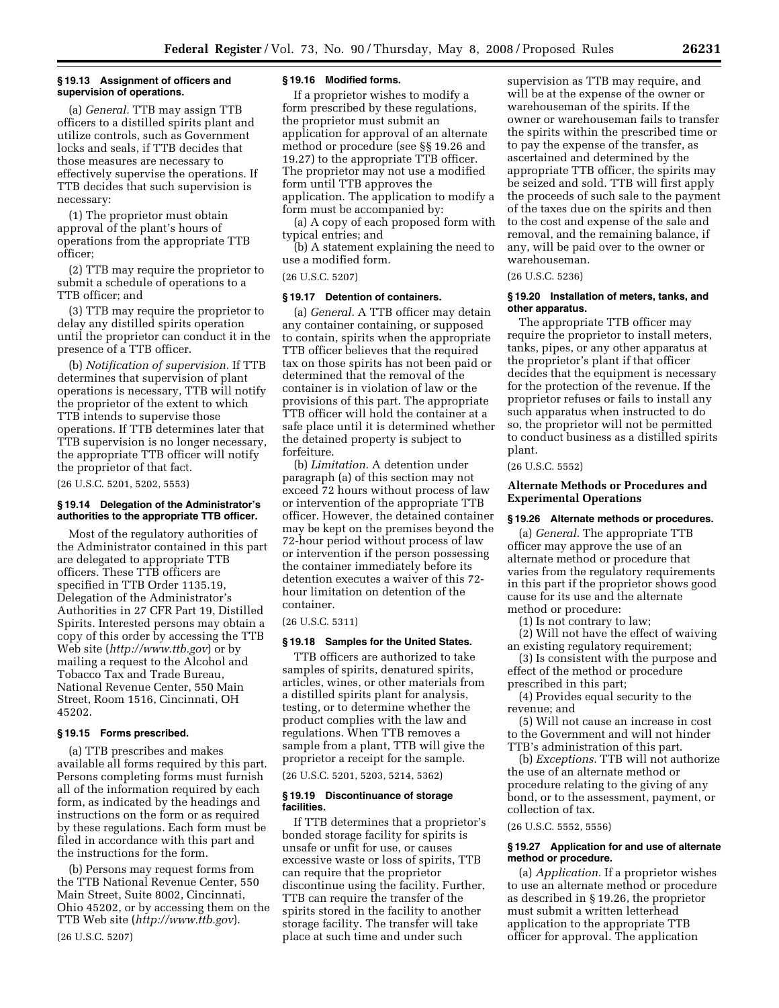## **§ 19.13 Assignment of officers and supervision of operations.**

(a) *General.* TTB may assign TTB officers to a distilled spirits plant and utilize controls, such as Government locks and seals, if TTB decides that those measures are necessary to effectively supervise the operations. If TTB decides that such supervision is necessary:

(1) The proprietor must obtain approval of the plant's hours of operations from the appropriate TTB officer;

(2) TTB may require the proprietor to submit a schedule of operations to a TTB officer; and

(3) TTB may require the proprietor to delay any distilled spirits operation until the proprietor can conduct it in the presence of a TTB officer.

(b) *Notification of supervision.* If TTB determines that supervision of plant operations is necessary, TTB will notify the proprietor of the extent to which TTB intends to supervise those operations. If TTB determines later that TTB supervision is no longer necessary, the appropriate TTB officer will notify the proprietor of that fact.

(26 U.S.C. 5201, 5202, 5553)

### **§ 19.14 Delegation of the Administrator's authorities to the appropriate TTB officer.**

Most of the regulatory authorities of the Administrator contained in this part are delegated to appropriate TTB officers. These TTB officers are specified in TTB Order 1135.19, Delegation of the Administrator's Authorities in 27 CFR Part 19, Distilled Spirits. Interested persons may obtain a copy of this order by accessing the TTB Web site (*http://www.ttb.gov*) or by mailing a request to the Alcohol and Tobacco Tax and Trade Bureau, National Revenue Center, 550 Main Street, Room 1516, Cincinnati, OH 45202.

## **§ 19.15 Forms prescribed.**

(a) TTB prescribes and makes available all forms required by this part. Persons completing forms must furnish all of the information required by each form, as indicated by the headings and instructions on the form or as required by these regulations. Each form must be filed in accordance with this part and the instructions for the form.

(b) Persons may request forms from the TTB National Revenue Center, 550 Main Street, Suite 8002, Cincinnati, Ohio 45202, or by accessing them on the TTB Web site (*http://www.ttb.gov*). (26 U.S.C. 5207)

## **§ 19.16 Modified forms.**

If a proprietor wishes to modify a form prescribed by these regulations, the proprietor must submit an application for approval of an alternate method or procedure (see §§ 19.26 and 19.27) to the appropriate TTB officer. The proprietor may not use a modified form until TTB approves the application. The application to modify a form must be accompanied by:

(a) A copy of each proposed form with typical entries; and

(b) A statement explaining the need to use a modified form.

## (26 U.S.C. 5207)

## **§ 19.17 Detention of containers.**

(a) *General.* A TTB officer may detain any container containing, or supposed to contain, spirits when the appropriate TTB officer believes that the required tax on those spirits has not been paid or determined that the removal of the container is in violation of law or the provisions of this part. The appropriate TTB officer will hold the container at a safe place until it is determined whether the detained property is subject to forfeiture.

(b) *Limitation.* A detention under paragraph (a) of this section may not exceed 72 hours without process of law or intervention of the appropriate TTB officer. However, the detained container may be kept on the premises beyond the 72-hour period without process of law or intervention if the person possessing the container immediately before its detention executes a waiver of this 72 hour limitation on detention of the container.

## (26 U.S.C. 5311)

## **§ 19.18 Samples for the United States.**

TTB officers are authorized to take samples of spirits, denatured spirits, articles, wines, or other materials from a distilled spirits plant for analysis, testing, or to determine whether the product complies with the law and regulations. When TTB removes a sample from a plant, TTB will give the proprietor a receipt for the sample. (26 U.S.C. 5201, 5203, 5214, 5362)

## **§ 19.19 Discontinuance of storage facilities.**

If TTB determines that a proprietor's bonded storage facility for spirits is unsafe or unfit for use, or causes excessive waste or loss of spirits, TTB can require that the proprietor discontinue using the facility. Further, TTB can require the transfer of the spirits stored in the facility to another storage facility. The transfer will take place at such time and under such

supervision as TTB may require, and will be at the expense of the owner or warehouseman of the spirits. If the owner or warehouseman fails to transfer the spirits within the prescribed time or to pay the expense of the transfer, as ascertained and determined by the appropriate TTB officer, the spirits may be seized and sold. TTB will first apply the proceeds of such sale to the payment of the taxes due on the spirits and then to the cost and expense of the sale and removal, and the remaining balance, if any, will be paid over to the owner or warehouseman.

(26 U.S.C. 5236)

## **§ 19.20 Installation of meters, tanks, and other apparatus.**

The appropriate TTB officer may require the proprietor to install meters, tanks, pipes, or any other apparatus at the proprietor's plant if that officer decides that the equipment is necessary for the protection of the revenue. If the proprietor refuses or fails to install any such apparatus when instructed to do so, the proprietor will not be permitted to conduct business as a distilled spirits plant.

## (26 U.S.C. 5552)

### **Alternate Methods or Procedures and Experimental Operations**

#### **§ 19.26 Alternate methods or procedures.**

(a) *General.* The appropriate TTB officer may approve the use of an alternate method or procedure that varies from the regulatory requirements in this part if the proprietor shows good cause for its use and the alternate method or procedure:

(1) Is not contrary to law;

(2) Will not have the effect of waiving an existing regulatory requirement;

(3) Is consistent with the purpose and effect of the method or procedure prescribed in this part;

(4) Provides equal security to the revenue; and

(5) Will not cause an increase in cost to the Government and will not hinder TTB's administration of this part.

(b) *Exceptions.* TTB will not authorize the use of an alternate method or procedure relating to the giving of any bond, or to the assessment, payment, or collection of tax.

(26 U.S.C. 5552, 5556)

## **§ 19.27 Application for and use of alternate method or procedure.**

(a) *Application.* If a proprietor wishes to use an alternate method or procedure as described in § 19.26, the proprietor must submit a written letterhead application to the appropriate TTB officer for approval. The application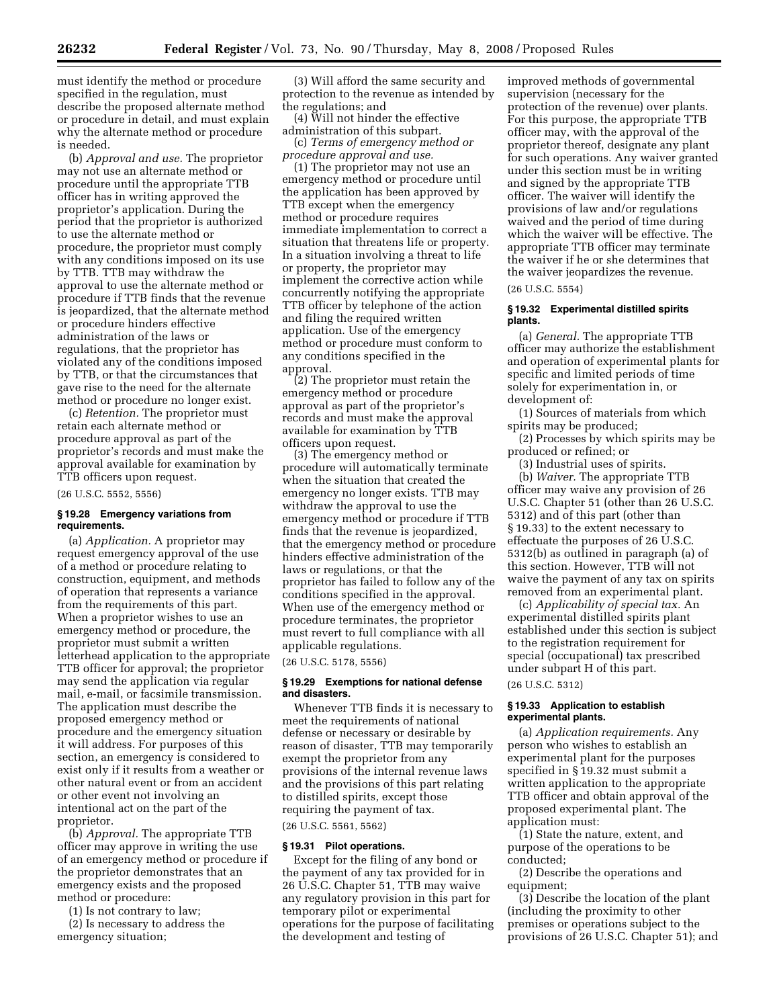must identify the method or procedure specified in the regulation, must describe the proposed alternate method or procedure in detail, and must explain why the alternate method or procedure is needed.

(b) *Approval and use.* The proprietor may not use an alternate method or procedure until the appropriate TTB officer has in writing approved the proprietor's application. During the period that the proprietor is authorized to use the alternate method or procedure, the proprietor must comply with any conditions imposed on its use by TTB. TTB may withdraw the approval to use the alternate method or procedure if TTB finds that the revenue is jeopardized, that the alternate method or procedure hinders effective administration of the laws or regulations, that the proprietor has violated any of the conditions imposed by TTB, or that the circumstances that gave rise to the need for the alternate method or procedure no longer exist.

(c) *Retention.* The proprietor must retain each alternate method or procedure approval as part of the proprietor's records and must make the approval available for examination by TTB officers upon request.

(26 U.S.C. 5552, 5556)

## **§ 19.28 Emergency variations from requirements.**

(a) *Application.* A proprietor may request emergency approval of the use of a method or procedure relating to construction, equipment, and methods of operation that represents a variance from the requirements of this part. When a proprietor wishes to use an emergency method or procedure, the proprietor must submit a written letterhead application to the appropriate TTB officer for approval; the proprietor may send the application via regular mail, e-mail, or facsimile transmission. The application must describe the proposed emergency method or procedure and the emergency situation it will address. For purposes of this section, an emergency is considered to exist only if it results from a weather or other natural event or from an accident or other event not involving an intentional act on the part of the proprietor.

(b) *Approval.* The appropriate TTB officer may approve in writing the use of an emergency method or procedure if the proprietor demonstrates that an emergency exists and the proposed method or procedure:

(1) Is not contrary to law;

(2) Is necessary to address the emergency situation;

(3) Will afford the same security and protection to the revenue as intended by the regulations; and

(4) Will not hinder the effective administration of this subpart.

(c) *Terms of emergency method or procedure approval and use.* 

(1) The proprietor may not use an emergency method or procedure until the application has been approved by TTB except when the emergency method or procedure requires immediate implementation to correct a situation that threatens life or property. In a situation involving a threat to life or property, the proprietor may implement the corrective action while concurrently notifying the appropriate TTB officer by telephone of the action and filing the required written application. Use of the emergency method or procedure must conform to any conditions specified in the approval.

(2) The proprietor must retain the emergency method or procedure approval as part of the proprietor's records and must make the approval available for examination by TTB officers upon request.

(3) The emergency method or procedure will automatically terminate when the situation that created the emergency no longer exists. TTB may withdraw the approval to use the emergency method or procedure if TTB finds that the revenue is jeopardized, that the emergency method or procedure hinders effective administration of the laws or regulations, or that the proprietor has failed to follow any of the conditions specified in the approval. When use of the emergency method or procedure terminates, the proprietor must revert to full compliance with all applicable regulations.

(26 U.S.C. 5178, 5556)

## **§ 19.29 Exemptions for national defense and disasters.**

Whenever TTB finds it is necessary to meet the requirements of national defense or necessary or desirable by reason of disaster, TTB may temporarily exempt the proprietor from any provisions of the internal revenue laws and the provisions of this part relating to distilled spirits, except those requiring the payment of tax.

(26 U.S.C. 5561, 5562)

## **§ 19.31 Pilot operations.**

Except for the filing of any bond or the payment of any tax provided for in 26 U.S.C. Chapter 51, TTB may waive any regulatory provision in this part for temporary pilot or experimental operations for the purpose of facilitating the development and testing of

improved methods of governmental supervision (necessary for the protection of the revenue) over plants. For this purpose, the appropriate TTB officer may, with the approval of the proprietor thereof, designate any plant for such operations. Any waiver granted under this section must be in writing and signed by the appropriate TTB officer. The waiver will identify the provisions of law and/or regulations waived and the period of time during which the waiver will be effective. The appropriate TTB officer may terminate the waiver if he or she determines that the waiver jeopardizes the revenue.

(26 U.S.C. 5554)

## **§ 19.32 Experimental distilled spirits plants.**

(a) *General.* The appropriate TTB officer may authorize the establishment and operation of experimental plants for specific and limited periods of time solely for experimentation in, or development of:

(1) Sources of materials from which spirits may be produced;

(2) Processes by which spirits may be produced or refined; or

(3) Industrial uses of spirits.

(b) *Waiver.* The appropriate TTB officer may waive any provision of 26 U.S.C. Chapter 51 (other than 26 U.S.C. 5312) and of this part (other than § 19.33) to the extent necessary to effectuate the purposes of 26 U.S.C. 5312(b) as outlined in paragraph (a) of this section. However, TTB will not waive the payment of any tax on spirits removed from an experimental plant.

(c) *Applicability of special tax.* An experimental distilled spirits plant established under this section is subject to the registration requirement for special (occupational) tax prescribed under subpart H of this part.

## (26 U.S.C. 5312)

## **§ 19.33 Application to establish experimental plants.**

(a) *Application requirements.* Any person who wishes to establish an experimental plant for the purposes specified in § 19.32 must submit a written application to the appropriate TTB officer and obtain approval of the proposed experimental plant. The application must:

(1) State the nature, extent, and purpose of the operations to be conducted;

(2) Describe the operations and equipment;

(3) Describe the location of the plant (including the proximity to other premises or operations subject to the provisions of 26 U.S.C. Chapter 51); and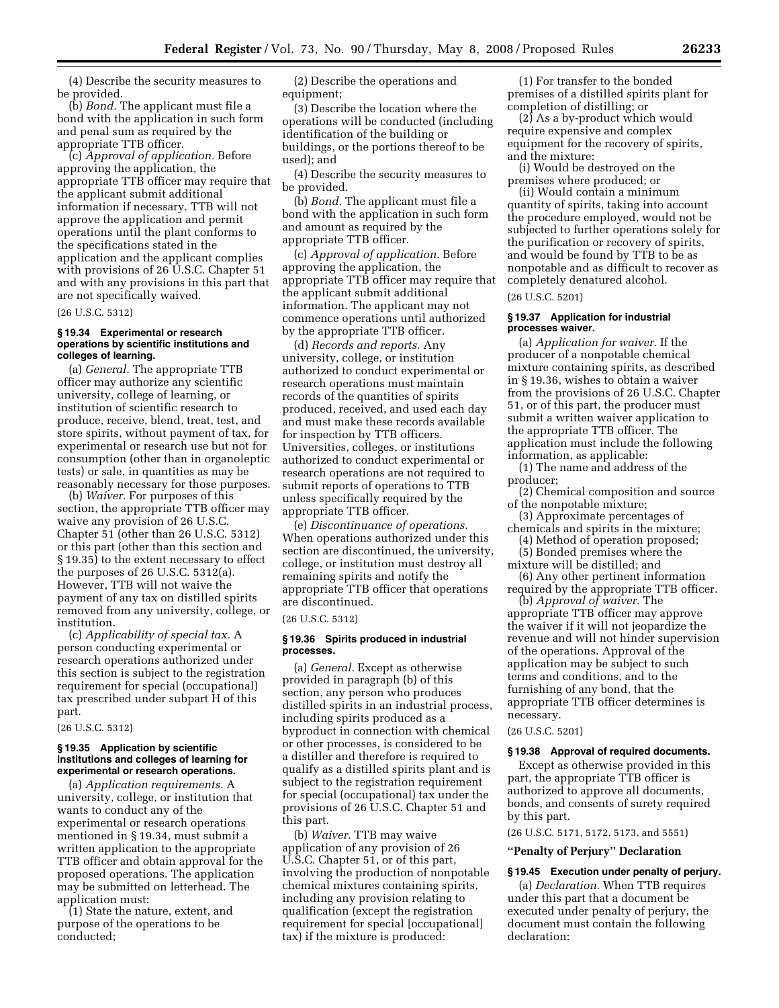(4) Describe the security measures to be provided.

(b) *Bond.* The applicant must file a bond with the application in such form and penal sum as required by the appropriate TTB officer.

(c) *Approval of application.* Before approving the application, the appropriate TTB officer may require that the applicant submit additional information if necessary. TTB will not approve the application and permit operations until the plant conforms to the specifications stated in the application and the applicant complies with provisions of 26 U.S.C. Chapter 51 and with any provisions in this part that are not specifically waived.

(26 U.S.C. 5312)

## **§ 19.34 Experimental or research operations by scientific institutions and colleges of learning.**

(a) *General.* The appropriate TTB officer may authorize any scientific university, college of learning, or institution of scientific research to produce, receive, blend, treat, test, and store spirits, without payment of tax, for experimental or research use but not for consumption (other than in organoleptic tests) or sale, in quantities as may be reasonably necessary for those purposes.

(b) *Waiver.* For purposes of this section, the appropriate TTB officer may waive any provision of 26 U.S.C. Chapter 51 (other than 26 U.S.C. 5312) or this part (other than this section and § 19.35) to the extent necessary to effect the purposes of 26 U.S.C. 5312(a). However, TTB will not waive the payment of any tax on distilled spirits removed from any university, college, or institution.

(c) *Applicability of special tax.* A person conducting experimental or research operations authorized under this section is subject to the registration requirement for special (occupational) tax prescribed under subpart H of this part.

(26 U.S.C. 5312)

## **§ 19.35 Application by scientific institutions and colleges of learning for experimental or research operations.**

(a) *Application requirements.* A university, college, or institution that wants to conduct any of the experimental or research operations mentioned in § 19.34, must submit a written application to the appropriate TTB officer and obtain approval for the proposed operations. The application may be submitted on letterhead. The application must:

(1) State the nature, extent, and purpose of the operations to be conducted;

(2) Describe the operations and equipment;

(3) Describe the location where the operations will be conducted (including identification of the building or buildings, or the portions thereof to be used); and

(4) Describe the security measures to be provided.

(b) *Bond.* The applicant must file a bond with the application in such form and amount as required by the appropriate TTB officer.

(c) *Approval of application.* Before approving the application, the appropriate TTB officer may require that the applicant submit additional information. The applicant may not commence operations until authorized by the appropriate TTB officer.

(d) *Records and reports.* Any university, college, or institution authorized to conduct experimental or research operations must maintain records of the quantities of spirits produced, received, and used each day and must make these records available for inspection by TTB officers. Universities, colleges, or institutions authorized to conduct experimental or research operations are not required to submit reports of operations to TTB unless specifically required by the appropriate TTB officer.

(e) *Discontinuance of operations.*  When operations authorized under this section are discontinued, the university, college, or institution must destroy all remaining spirits and notify the appropriate TTB officer that operations are discontinued.

#### (26 U.S.C. 5312)

## **§ 19.36 Spirits produced in industrial processes.**

(a) *General.* Except as otherwise provided in paragraph (b) of this section, any person who produces distilled spirits in an industrial process, including spirits produced as a byproduct in connection with chemical or other processes, is considered to be a distiller and therefore is required to qualify as a distilled spirits plant and is subject to the registration requirement for special (occupational) tax under the provisions of 26 U.S.C. Chapter 51 and this part.

(b) *Waiver.* TTB may waive application of any provision of 26 U.S.C. Chapter 51, or of this part, involving the production of nonpotable chemical mixtures containing spirits, including any provision relating to qualification (except the registration requirement for special [occupational] tax) if the mixture is produced:

(1) For transfer to the bonded premises of a distilled spirits plant for completion of distilling; or

(2) As a by-product which would require expensive and complex equipment for the recovery of spirits, and the mixture:

(i) Would be destroyed on the premises where produced; or

(ii) Would contain a minimum quantity of spirits, taking into account the procedure employed, would not be subjected to further operations solely for the purification or recovery of spirits, and would be found by TTB to be as nonpotable and as difficult to recover as completely denatured alcohol.

(26 U.S.C. 5201)

## **§ 19.37 Application for industrial processes waiver.**

(a) *Application for waiver.* If the producer of a nonpotable chemical mixture containing spirits, as described in § 19.36, wishes to obtain a waiver from the provisions of 26 U.S.C. Chapter 51, or of this part, the producer must submit a written waiver application to the appropriate TTB officer. The application must include the following information, as applicable:

(1) The name and address of the producer;

(2) Chemical composition and source of the nonpotable mixture;

(3) Approximate percentages of chemicals and spirits in the mixture;

(4) Method of operation proposed; (5) Bonded premises where the

mixture will be distilled; and

(6) Any other pertinent information required by the appropriate TTB officer.

(b) *Approval of waiver.* The appropriate TTB officer may approve the waiver if it will not jeopardize the revenue and will not hinder supervision of the operations. Approval of the application may be subject to such terms and conditions, and to the furnishing of any bond, that the appropriate TTB officer determines is necessary.

## (26 U.S.C. 5201)

### **§ 19.38 Approval of required documents.**

Except as otherwise provided in this part, the appropriate TTB officer is authorized to approve all documents, bonds, and consents of surety required by this part.

(26 U.S.C. 5171, 5172, 5173, and 5551)

## **''Penalty of Perjury'' Declaration**

## **§ 19.45 Execution under penalty of perjury.**

(a) *Declaration.* When TTB requires under this part that a document be executed under penalty of perjury, the document must contain the following declaration: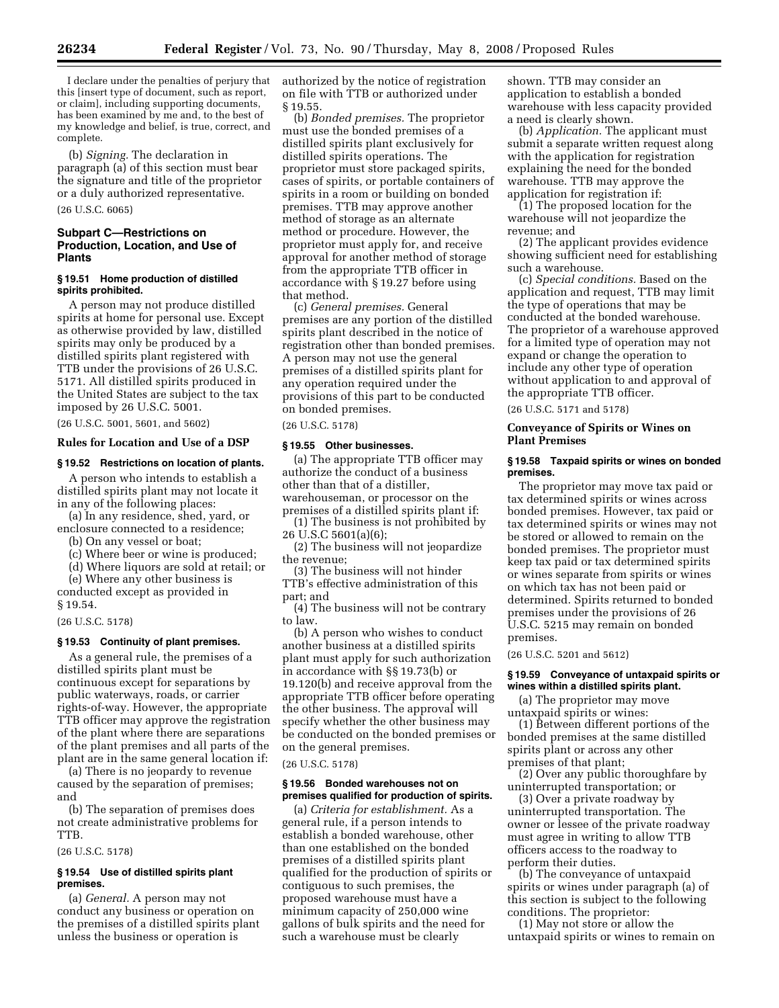I declare under the penalties of perjury that this [insert type of document, such as report, or claim], including supporting documents, has been examined by me and, to the best of my knowledge and belief, is true, correct, and complete.

(b) *Signing.* The declaration in paragraph (a) of this section must bear the signature and title of the proprietor or a duly authorized representative.

## (26 U.S.C. 6065)

## **Subpart C—Restrictions on Production, Location, and Use of Plants**

### **§ 19.51 Home production of distilled spirits prohibited.**

A person may not produce distilled spirits at home for personal use. Except as otherwise provided by law, distilled spirits may only be produced by a distilled spirits plant registered with TTB under the provisions of 26 U.S.C. 5171. All distilled spirits produced in the United States are subject to the tax imposed by 26 U.S.C. 5001.

(26 U.S.C. 5001, 5601, and 5602)

## **Rules for Location and Use of a DSP**

## **§ 19.52 Restrictions on location of plants.**

A person who intends to establish a distilled spirits plant may not locate it in any of the following places:

(a) In any residence, shed, yard, or enclosure connected to a residence;

(b) On any vessel or boat;

(c) Where beer or wine is produced;

(d) Where liquors are sold at retail; or

(e) Where any other business is conducted except as provided in § 19.54.

## (26 U.S.C. 5178)

## **§ 19.53 Continuity of plant premises.**

As a general rule, the premises of a distilled spirits plant must be continuous except for separations by public waterways, roads, or carrier rights-of-way. However, the appropriate TTB officer may approve the registration of the plant where there are separations of the plant premises and all parts of the plant are in the same general location if:

(a) There is no jeopardy to revenue caused by the separation of premises; and

(b) The separation of premises does not create administrative problems for TTB.

(26 U.S.C. 5178)

## **§ 19.54 Use of distilled spirits plant premises.**

(a) *General.* A person may not conduct any business or operation on the premises of a distilled spirits plant unless the business or operation is

authorized by the notice of registration on file with TTB or authorized under § 19.55.

(b) *Bonded premises.* The proprietor must use the bonded premises of a distilled spirits plant exclusively for distilled spirits operations. The proprietor must store packaged spirits, cases of spirits, or portable containers of spirits in a room or building on bonded premises. TTB may approve another method of storage as an alternate method or procedure. However, the proprietor must apply for, and receive approval for another method of storage from the appropriate TTB officer in accordance with § 19.27 before using that method.

(c) *General premises.* General premises are any portion of the distilled spirits plant described in the notice of registration other than bonded premises. A person may not use the general premises of a distilled spirits plant for any operation required under the provisions of this part to be conducted on bonded premises.

(26 U.S.C. 5178)

## **§ 19.55 Other businesses.**

(a) The appropriate TTB officer may authorize the conduct of a business other than that of a distiller, warehouseman, or processor on the premises of a distilled spirits plant if:

(1) The business is not prohibited by 26 U.S.C 5601(a)(6);

(2) The business will not jeopardize the revenue;

(3) The business will not hinder TTB's effective administration of this part; and

(4) The business will not be contrary to law.

(b) A person who wishes to conduct another business at a distilled spirits plant must apply for such authorization in accordance with §§ 19.73(b) or 19.120(b) and receive approval from the appropriate TTB officer before operating the other business. The approval will specify whether the other business may be conducted on the bonded premises or on the general premises.

## (26 U.S.C. 5178)

### **§ 19.56 Bonded warehouses not on premises qualified for production of spirits.**

(a) *Criteria for establishment.* As a general rule, if a person intends to establish a bonded warehouse, other than one established on the bonded premises of a distilled spirits plant qualified for the production of spirits or contiguous to such premises, the proposed warehouse must have a minimum capacity of 250,000 wine gallons of bulk spirits and the need for such a warehouse must be clearly

shown. TTB may consider an application to establish a bonded warehouse with less capacity provided a need is clearly shown.

(b) *Application.* The applicant must submit a separate written request along with the application for registration explaining the need for the bonded warehouse. TTB may approve the application for registration if:

(1) The proposed location for the warehouse will not jeopardize the revenue; and

(2) The applicant provides evidence showing sufficient need for establishing such a warehouse.

(c) *Special conditions.* Based on the application and request, TTB may limit the type of operations that may be conducted at the bonded warehouse. The proprietor of a warehouse approved for a limited type of operation may not expand or change the operation to include any other type of operation without application to and approval of the appropriate TTB officer.

(26 U.S.C. 5171 and 5178)

## **Conveyance of Spirits or Wines on Plant Premises**

## **§ 19.58 Taxpaid spirits or wines on bonded premises.**

The proprietor may move tax paid or tax determined spirits or wines across bonded premises. However, tax paid or tax determined spirits or wines may not be stored or allowed to remain on the bonded premises. The proprietor must keep tax paid or tax determined spirits or wines separate from spirits or wines on which tax has not been paid or determined. Spirits returned to bonded premises under the provisions of 26 U.S.C. 5215 may remain on bonded premises.

(26 U.S.C. 5201 and 5612)

### **§ 19.59 Conveyance of untaxpaid spirits or wines within a distilled spirits plant.**

(a) The proprietor may move untaxpaid spirits or wines:

(1) Between different portions of the bonded premises at the same distilled spirits plant or across any other premises of that plant;

(2) Over any public thoroughfare by uninterrupted transportation; or

(3) Over a private roadway by uninterrupted transportation. The owner or lessee of the private roadway must agree in writing to allow TTB officers access to the roadway to perform their duties.

(b) The conveyance of untaxpaid spirits or wines under paragraph (a) of this section is subject to the following conditions. The proprietor:

(1) May not store or allow the untaxpaid spirits or wines to remain on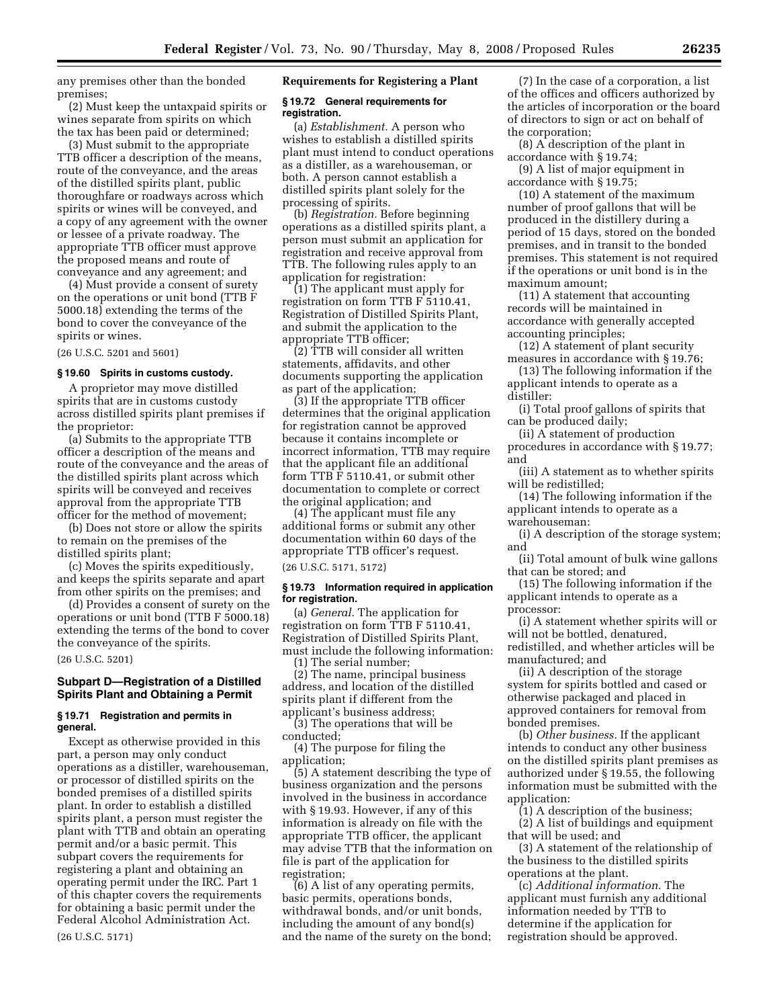any premises other than the bonded premises;

(2) Must keep the untaxpaid spirits or wines separate from spirits on which the tax has been paid or determined;

(3) Must submit to the appropriate TTB officer a description of the means, route of the conveyance, and the areas of the distilled spirits plant, public thoroughfare or roadways across which spirits or wines will be conveyed, and a copy of any agreement with the owner or lessee of a private roadway. The appropriate TTB officer must approve the proposed means and route of conveyance and any agreement; and

(4) Must provide a consent of surety on the operations or unit bond (TTB F 5000.18) extending the terms of the bond to cover the conveyance of the spirits or wines.

(26 U.S.C. 5201 and 5601)

## **§ 19.60 Spirits in customs custody.**

A proprietor may move distilled spirits that are in customs custody across distilled spirits plant premises if the proprietor:

(a) Submits to the appropriate TTB officer a description of the means and route of the conveyance and the areas of the distilled spirits plant across which spirits will be conveyed and receives approval from the appropriate TTB officer for the method of movement;

(b) Does not store or allow the spirits to remain on the premises of the distilled spirits plant;

(c) Moves the spirits expeditiously, and keeps the spirits separate and apart from other spirits on the premises; and

(d) Provides a consent of surety on the operations or unit bond (TTB F 5000.18) extending the terms of the bond to cover the conveyance of the spirits.

## (26 U.S.C. 5201)

## **Subpart D—Registration of a Distilled Spirits Plant and Obtaining a Permit**

## **§ 19.71 Registration and permits in general.**

Except as otherwise provided in this part, a person may only conduct operations as a distiller, warehouseman, or processor of distilled spirits on the bonded premises of a distilled spirits plant. In order to establish a distilled spirits plant, a person must register the plant with TTB and obtain an operating permit and/or a basic permit. This subpart covers the requirements for registering a plant and obtaining an operating permit under the IRC. Part 1 of this chapter covers the requirements for obtaining a basic permit under the Federal Alcohol Administration Act. (26 U.S.C. 5171)

## **Requirements for Registering a Plant**

## **§ 19.72 General requirements for registration.**

(a) *Establishment.* A person who wishes to establish a distilled spirits plant must intend to conduct operations as a distiller, as a warehouseman, or both. A person cannot establish a distilled spirits plant solely for the processing of spirits.

(b) *Registration.* Before beginning operations as a distilled spirits plant, a person must submit an application for registration and receive approval from TTB. The following rules apply to an application for registration:

(1) The applicant must apply for registration on form TTB F 5110.41, Registration of Distilled Spirits Plant, and submit the application to the appropriate TTB officer;

(2) TTB will consider all written statements, affidavits, and other documents supporting the application as part of the application;

(3) If the appropriate TTB officer determines that the original application for registration cannot be approved because it contains incomplete or incorrect information, TTB may require that the applicant file an additional form TTB F 5110.41, or submit other documentation to complete or correct the original application; and

(4) The applicant must file any additional forms or submit any other documentation within 60 days of the appropriate TTB officer's request.

(26 U.S.C. 5171, 5172)

### **§ 19.73 Information required in application for registration.**

(a) *General.* The application for registration on form TTB F 5110.41, Registration of Distilled Spirits Plant, must include the following information: (1) The serial number;

(2) The name, principal business address, and location of the distilled spirits plant if different from the applicant's business address;

(3) The operations that will be conducted;

(4) The purpose for filing the application;

(5) A statement describing the type of business organization and the persons involved in the business in accordance with § 19.93. However, if any of this information is already on file with the appropriate TTB officer, the applicant may advise TTB that the information on file is part of the application for registration;

(6) A list of any operating permits, basic permits, operations bonds, withdrawal bonds, and/or unit bonds, including the amount of any bond(s) and the name of the surety on the bond;

(7) In the case of a corporation, a list of the offices and officers authorized by the articles of incorporation or the board of directors to sign or act on behalf of the corporation;

(8) A description of the plant in accordance with § 19.74;

(9) A list of major equipment in accordance with § 19.75;

(10) A statement of the maximum number of proof gallons that will be produced in the distillery during a period of 15 days, stored on the bonded premises, and in transit to the bonded premises. This statement is not required if the operations or unit bond is in the maximum amount;

(11) A statement that accounting records will be maintained in accordance with generally accepted accounting principles;

(12) A statement of plant security measures in accordance with § 19.76;

(13) The following information if the applicant intends to operate as a distiller:

(i) Total proof gallons of spirits that can be produced daily;

(ii) A statement of production procedures in accordance with § 19.77; and

(iii) A statement as to whether spirits will be redistilled;

(14) The following information if the applicant intends to operate as a warehouseman:

(i) A description of the storage system; and

(ii) Total amount of bulk wine gallons that can be stored; and

(15) The following information if the applicant intends to operate as a processor:

(i) A statement whether spirits will or will not be bottled, denatured, redistilled, and whether articles will be manufactured; and

(ii) A description of the storage system for spirits bottled and cased or otherwise packaged and placed in approved containers for removal from bonded premises.

(b) *Other business.* If the applicant intends to conduct any other business on the distilled spirits plant premises as authorized under § 19.55, the following information must be submitted with the application:

(1) A description of the business;

(2) A list of buildings and equipment that will be used; and

(3) A statement of the relationship of the business to the distilled spirits operations at the plant.

(c) *Additional information.* The applicant must furnish any additional information needed by TTB to determine if the application for registration should be approved.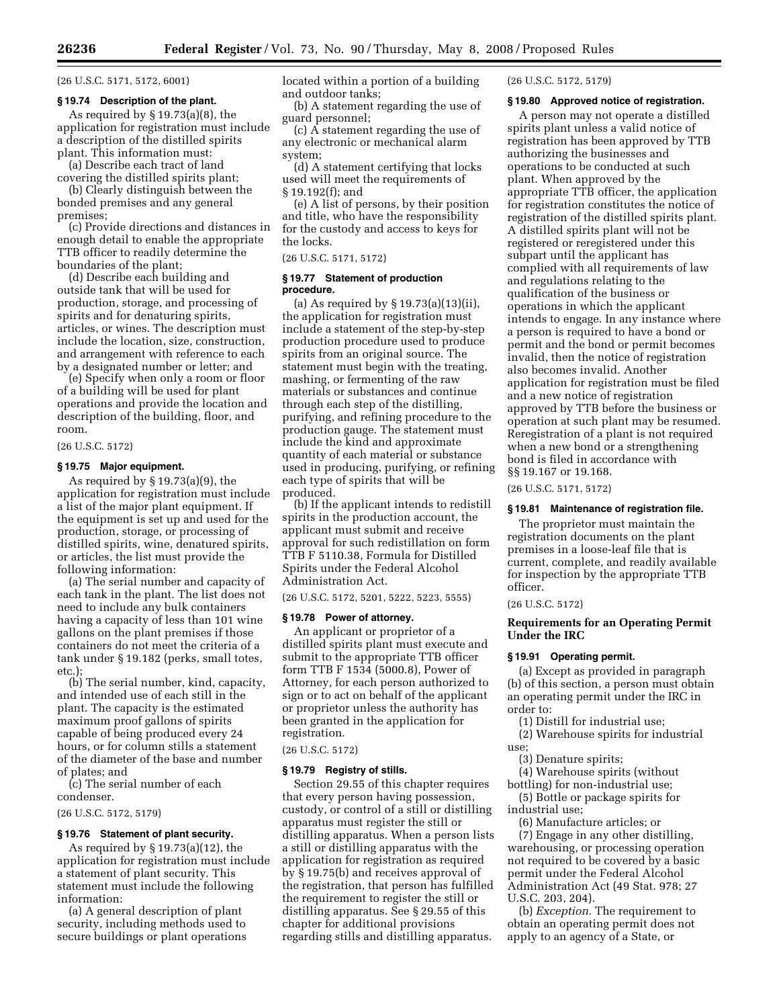(26 U.S.C. 5171, 5172, 6001)

#### **§ 19.74 Description of the plant.**

As required by § 19.73(a)(8), the application for registration must include a description of the distilled spirits plant. This information must:

(a) Describe each tract of land covering the distilled spirits plant;

(b) Clearly distinguish between the bonded premises and any general premises;

(c) Provide directions and distances in enough detail to enable the appropriate TTB officer to readily determine the boundaries of the plant;

(d) Describe each building and outside tank that will be used for production, storage, and processing of spirits and for denaturing spirits, articles, or wines. The description must include the location, size, construction, and arrangement with reference to each by a designated number or letter; and

(e) Specify when only a room or floor of a building will be used for plant operations and provide the location and description of the building, floor, and room.

(26 U.S.C. 5172)

## **§ 19.75 Major equipment.**

As required by  $\S 19.73(a)(9)$ , the application for registration must include a list of the major plant equipment. If the equipment is set up and used for the production, storage, or processing of distilled spirits, wine, denatured spirits, or articles, the list must provide the following information:

(a) The serial number and capacity of each tank in the plant. The list does not need to include any bulk containers having a capacity of less than 101 wine gallons on the plant premises if those containers do not meet the criteria of a tank under § 19.182 (perks, small totes, etc.)

(b) The serial number, kind, capacity, and intended use of each still in the plant. The capacity is the estimated maximum proof gallons of spirits capable of being produced every 24 hours, or for column stills a statement of the diameter of the base and number of plates; and

(c) The serial number of each condenser.

(26 U.S.C. 5172, 5179)

## **§ 19.76 Statement of plant security.**

As required by § 19.73(a)(12), the application for registration must include a statement of plant security. This statement must include the following information:

(a) A general description of plant security, including methods used to secure buildings or plant operations located within a portion of a building and outdoor tanks;

(b) A statement regarding the use of guard personnel;

(c) A statement regarding the use of any electronic or mechanical alarm system;

(d) A statement certifying that locks used will meet the requirements of § 19.192(f); and

(e) A list of persons, by their position and title, who have the responsibility for the custody and access to keys for the locks.

## (26 U.S.C. 5171, 5172)

## **§ 19.77 Statement of production procedure.**

(a) As required by § 19.73(a)(13)(ii), the application for registration must include a statement of the step-by-step production procedure used to produce spirits from an original source. The statement must begin with the treating, mashing, or fermenting of the raw materials or substances and continue through each step of the distilling, purifying, and refining procedure to the production gauge. The statement must include the kind and approximate quantity of each material or substance used in producing, purifying, or refining each type of spirits that will be produced.

(b) If the applicant intends to redistill spirits in the production account, the applicant must submit and receive approval for such redistillation on form TTB F 5110.38, Formula for Distilled Spirits under the Federal Alcohol Administration Act.

(26 U.S.C. 5172, 5201, 5222, 5223, 5555)

#### **§ 19.78 Power of attorney.**

An applicant or proprietor of a distilled spirits plant must execute and submit to the appropriate TTB officer form TTB F 1534 (5000.8), Power of Attorney, for each person authorized to sign or to act on behalf of the applicant or proprietor unless the authority has been granted in the application for registration.

## (26 U.S.C. 5172)

#### **§ 19.79 Registry of stills.**

Section 29.55 of this chapter requires that every person having possession, custody, or control of a still or distilling apparatus must register the still or distilling apparatus. When a person lists a still or distilling apparatus with the application for registration as required by § 19.75(b) and receives approval of the registration, that person has fulfilled the requirement to register the still or distilling apparatus. See § 29.55 of this chapter for additional provisions regarding stills and distilling apparatus.

(26 U.S.C. 5172, 5179)

## **§ 19.80 Approved notice of registration.**

A person may not operate a distilled spirits plant unless a valid notice of registration has been approved by TTB authorizing the businesses and operations to be conducted at such plant. When approved by the appropriate TTB officer, the application for registration constitutes the notice of registration of the distilled spirits plant. A distilled spirits plant will not be registered or reregistered under this subpart until the applicant has complied with all requirements of law and regulations relating to the qualification of the business or operations in which the applicant intends to engage. In any instance where a person is required to have a bond or permit and the bond or permit becomes invalid, then the notice of registration also becomes invalid. Another application for registration must be filed and a new notice of registration approved by TTB before the business or operation at such plant may be resumed. Reregistration of a plant is not required when a new bond or a strengthening bond is filed in accordance with §§ 19.167 or 19.168.

(26 U.S.C. 5171, 5172)

#### **§ 19.81 Maintenance of registration file.**

The proprietor must maintain the registration documents on the plant premises in a loose-leaf file that is current, complete, and readily available for inspection by the appropriate TTB officer.

#### (26 U.S.C. 5172)

## **Requirements for an Operating Permit Under the IRC**

## **§ 19.91 Operating permit.**

(a) Except as provided in paragraph (b) of this section, a person must obtain an operating permit under the IRC in order to:

- (1) Distill for industrial use;
- (2) Warehouse spirits for industrial use;
	- (3) Denature spirits;

(4) Warehouse spirits (without bottling) for non-industrial use;

(5) Bottle or package spirits for industrial use;

(6) Manufacture articles; or (7) Engage in any other distilling, warehousing, or processing operation not required to be covered by a basic permit under the Federal Alcohol Administration Act (49 Stat. 978; 27 U.S.C. 203, 204).

(b) *Exception.* The requirement to obtain an operating permit does not apply to an agency of a State, or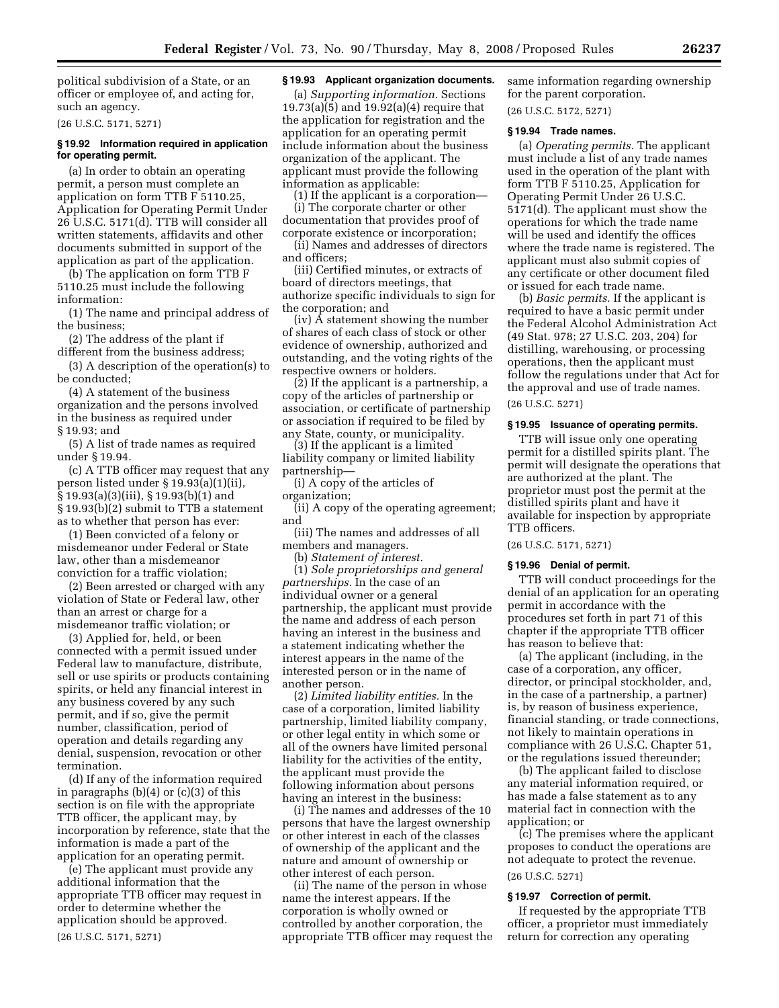political subdivision of a State, or an officer or employee of, and acting for, such an agency.

(26 U.S.C. 5171, 5271)

## **§ 19.92 Information required in application for operating permit.**

(a) In order to obtain an operating permit, a person must complete an application on form TTB F 5110.25, Application for Operating Permit Under 26 U.S.C. 5171(d). TTB will consider all written statements, affidavits and other documents submitted in support of the application as part of the application.

(b) The application on form TTB F 5110.25 must include the following information:

(1) The name and principal address of the business;

(2) The address of the plant if different from the business address;

(3) A description of the operation(s) to be conducted;

(4) A statement of the business organization and the persons involved in the business as required under § 19.93; and

(5) A list of trade names as required under § 19.94.

(c) A TTB officer may request that any person listed under § 19.93(a)(1)(ii), § 19.93(a)(3)(iii), § 19.93(b)(1) and § 19.93(b)(2) submit to TTB a statement as to whether that person has ever:

(1) Been convicted of a felony or misdemeanor under Federal or State law, other than a misdemeanor conviction for a traffic violation;

(2) Been arrested or charged with any violation of State or Federal law, other than an arrest or charge for a misdemeanor traffic violation; or

(3) Applied for, held, or been connected with a permit issued under Federal law to manufacture, distribute, sell or use spirits or products containing spirits, or held any financial interest in any business covered by any such permit, and if so, give the permit number, classification, period of operation and details regarding any denial, suspension, revocation or other termination.

(d) If any of the information required in paragraphs (b)(4) or (c)(3) of this section is on file with the appropriate TTB officer, the applicant may, by incorporation by reference, state that the information is made a part of the application for an operating permit.

(e) The applicant must provide any additional information that the appropriate TTB officer may request in order to determine whether the application should be approved. (26 U.S.C. 5171, 5271)

## **§ 19.93 Applicant organization documents.**

(a) *Supporting information.* Sections 19.73(a)(5) and 19.92(a)(4) require that the application for registration and the application for an operating permit include information about the business organization of the applicant. The applicant must provide the following information as applicable:

(1) If the applicant is a corporation— (i) The corporate charter or other documentation that provides proof of corporate existence or incorporation;

(ii) Names and addresses of directors and officers;

(iii) Certified minutes, or extracts of board of directors meetings, that authorize specific individuals to sign for the corporation; and

(iv) A statement showing the number of shares of each class of stock or other evidence of ownership, authorized and outstanding, and the voting rights of the respective owners or holders.

(2) If the applicant is a partnership, a copy of the articles of partnership or association, or certificate of partnership or association if required to be filed by any State, county, or municipality.

(3) If the applicant is a limited liability company or limited liability partnership—

(i) A copy of the articles of organization;

(ii) A copy of the operating agreement; and

(iii) The names and addresses of all members and managers.

(b) *Statement of interest.* 

(1) *Sole proprietorships and general partnerships.* In the case of an individual owner or a general partnership, the applicant must provide the name and address of each person having an interest in the business and a statement indicating whether the interest appears in the name of the interested person or in the name of another person.

(2) *Limited liability entities.* In the case of a corporation, limited liability partnership, limited liability company, or other legal entity in which some or all of the owners have limited personal liability for the activities of the entity, the applicant must provide the following information about persons having an interest in the business:

(i) The names and addresses of the 10 persons that have the largest ownership or other interest in each of the classes of ownership of the applicant and the nature and amount of ownership or other interest of each person.

(ii) The name of the person in whose name the interest appears. If the corporation is wholly owned or controlled by another corporation, the appropriate TTB officer may request the same information regarding ownership for the parent corporation.

(26 U.S.C. 5172, 5271)

## **§ 19.94 Trade names.**

(a) *Operating permits.* The applicant must include a list of any trade names used in the operation of the plant with form TTB F 5110.25, Application for Operating Permit Under 26 U.S.C. 5171(d). The applicant must show the operations for which the trade name will be used and identify the offices where the trade name is registered. The applicant must also submit copies of any certificate or other document filed or issued for each trade name.

(b) *Basic permits.* If the applicant is required to have a basic permit under the Federal Alcohol Administration Act (49 Stat. 978; 27 U.S.C. 203, 204) for distilling, warehousing, or processing operations, then the applicant must follow the regulations under that Act for the approval and use of trade names. (26 U.S.C. 5271)

#### **§ 19.95 Issuance of operating permits.**

TTB will issue only one operating permit for a distilled spirits plant. The permit will designate the operations that are authorized at the plant. The proprietor must post the permit at the distilled spirits plant and have it available for inspection by appropriate TTB officers.

(26 U.S.C. 5171, 5271)

#### **§ 19.96 Denial of permit.**

TTB will conduct proceedings for the denial of an application for an operating permit in accordance with the procedures set forth in part 71 of this chapter if the appropriate TTB officer has reason to believe that:

(a) The applicant (including, in the case of a corporation, any officer, director, or principal stockholder, and, in the case of a partnership, a partner) is, by reason of business experience, financial standing, or trade connections, not likely to maintain operations in compliance with 26 U.S.C. Chapter 51, or the regulations issued thereunder;

(b) The applicant failed to disclose any material information required, or has made a false statement as to any material fact in connection with the application; or

(c) The premises where the applicant proposes to conduct the operations are not adequate to protect the revenue.

# (26 U.S.C. 5271)

## **§ 19.97 Correction of permit.**

If requested by the appropriate TTB officer, a proprietor must immediately return for correction any operating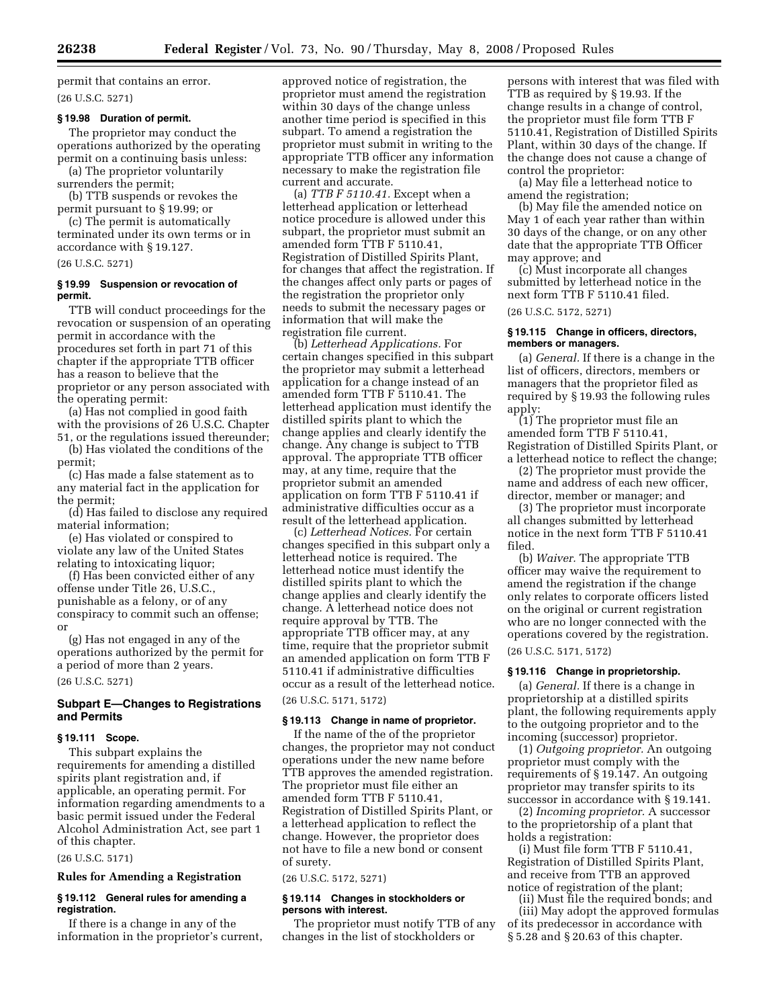permit that contains an error.

## (26 U.S.C. 5271)

#### **§ 19.98 Duration of permit.**

The proprietor may conduct the operations authorized by the operating permit on a continuing basis unless: (a) The proprietor voluntarily

surrenders the permit;

(b) TTB suspends or revokes the permit pursuant to § 19.99; or

(c) The permit is automatically terminated under its own terms or in accordance with § 19.127.

## (26 U.S.C. 5271)

## **§ 19.99 Suspension or revocation of permit.**

TTB will conduct proceedings for the revocation or suspension of an operating permit in accordance with the procedures set forth in part 71 of this chapter if the appropriate TTB officer has a reason to believe that the proprietor or any person associated with the operating permit:

(a) Has not complied in good faith with the provisions of 26 U.S.C. Chapter 51, or the regulations issued thereunder;

(b) Has violated the conditions of the permit;

(c) Has made a false statement as to any material fact in the application for the permit:

(d) Has failed to disclose any required material information;

(e) Has violated or conspired to violate any law of the United States relating to intoxicating liquor;

(f) Has been convicted either of any offense under Title 26, U.S.C., punishable as a felony, or of any conspiracy to commit such an offense; or

(g) Has not engaged in any of the operations authorized by the permit for a period of more than 2 years.

(26 U.S.C. 5271)

## **Subpart E—Changes to Registrations and Permits**

#### **§ 19.111 Scope.**

This subpart explains the requirements for amending a distilled spirits plant registration and, if applicable, an operating permit. For information regarding amendments to a basic permit issued under the Federal Alcohol Administration Act, see part 1 of this chapter.

(26 U.S.C. 5171)

## **Rules for Amending a Registration**

## **§ 19.112 General rules for amending a registration.**

If there is a change in any of the information in the proprietor's current,

approved notice of registration, the proprietor must amend the registration within 30 days of the change unless another time period is specified in this subpart. To amend a registration the proprietor must submit in writing to the appropriate TTB officer any information necessary to make the registration file current and accurate.

(a) *TTB F 5110.41.* Except when a letterhead application or letterhead notice procedure is allowed under this subpart, the proprietor must submit an amended form TTB F 5110.41, Registration of Distilled Spirits Plant, for changes that affect the registration. If the changes affect only parts or pages of the registration the proprietor only needs to submit the necessary pages or information that will make the registration file current.

(b) *Letterhead Applications.* For certain changes specified in this subpart the proprietor may submit a letterhead application for a change instead of an amended form TTB F 5110.41. The letterhead application must identify the distilled spirits plant to which the change applies and clearly identify the change. Any change is subject to TTB approval. The appropriate TTB officer may, at any time, require that the proprietor submit an amended application on form TTB F 5110.41 if administrative difficulties occur as a result of the letterhead application.

(c) *Letterhead Notices.* For certain changes specified in this subpart only a letterhead notice is required. The letterhead notice must identify the distilled spirits plant to which the change applies and clearly identify the change. A letterhead notice does not require approval by TTB. The appropriate TTB officer may, at any time, require that the proprietor submit an amended application on form TTB F 5110.41 if administrative difficulties occur as a result of the letterhead notice.

(26 U.S.C. 5171, 5172)

## **§ 19.113 Change in name of proprietor.**

If the name of the of the proprietor changes, the proprietor may not conduct operations under the new name before TTB approves the amended registration. The proprietor must file either an amended form TTB F 5110.41, Registration of Distilled Spirits Plant, or a letterhead application to reflect the change. However, the proprietor does not have to file a new bond or consent of surety.

(26 U.S.C. 5172, 5271)

## **§ 19.114 Changes in stockholders or persons with interest.**

The proprietor must notify TTB of any changes in the list of stockholders or

persons with interest that was filed with TTB as required by § 19.93. If the change results in a change of control, the proprietor must file form TTB F 5110.41, Registration of Distilled Spirits Plant, within 30 days of the change. If the change does not cause a change of control the proprietor:

(a) May file a letterhead notice to amend the registration;

(b) May file the amended notice on May 1 of each year rather than within 30 days of the change, or on any other date that the appropriate TTB Officer may approve; and

(c) Must incorporate all changes submitted by letterhead notice in the next form TTB F 5110.41 filed.

(26 U.S.C. 5172, 5271)

## **§ 19.115 Change in officers, directors, members or managers.**

(a) *General.* If there is a change in the list of officers, directors, members or managers that the proprietor filed as required by § 19.93 the following rules apply:

(1) The proprietor must file an amended form TTB F 5110.41, Registration of Distilled Spirits Plant, or a letterhead notice to reflect the change;

(2) The proprietor must provide the name and address of each new officer, director, member or manager; and

(3) The proprietor must incorporate all changes submitted by letterhead notice in the next form TTB F 5110.41 filed.

(b) *Waiver.* The appropriate TTB officer may waive the requirement to amend the registration if the change only relates to corporate officers listed on the original or current registration who are no longer connected with the operations covered by the registration. (26 U.S.C. 5171, 5172)

## **§ 19.116 Change in proprietorship.**

(a) *General.* If there is a change in proprietorship at a distilled spirits plant, the following requirements apply to the outgoing proprietor and to the incoming (successor) proprietor.

(1) *Outgoing proprietor.* An outgoing proprietor must comply with the requirements of § 19.147. An outgoing proprietor may transfer spirits to its successor in accordance with § 19.141.

(2) *Incoming proprietor.* A successor to the proprietorship of a plant that holds a registration:

(i) Must file form TTB F 5110.41, Registration of Distilled Spirits Plant, and receive from TTB an approved notice of registration of the plant;

(ii) Must file the required bonds; and (iii) May adopt the approved formulas of its predecessor in accordance with § 5.28 and § 20.63 of this chapter.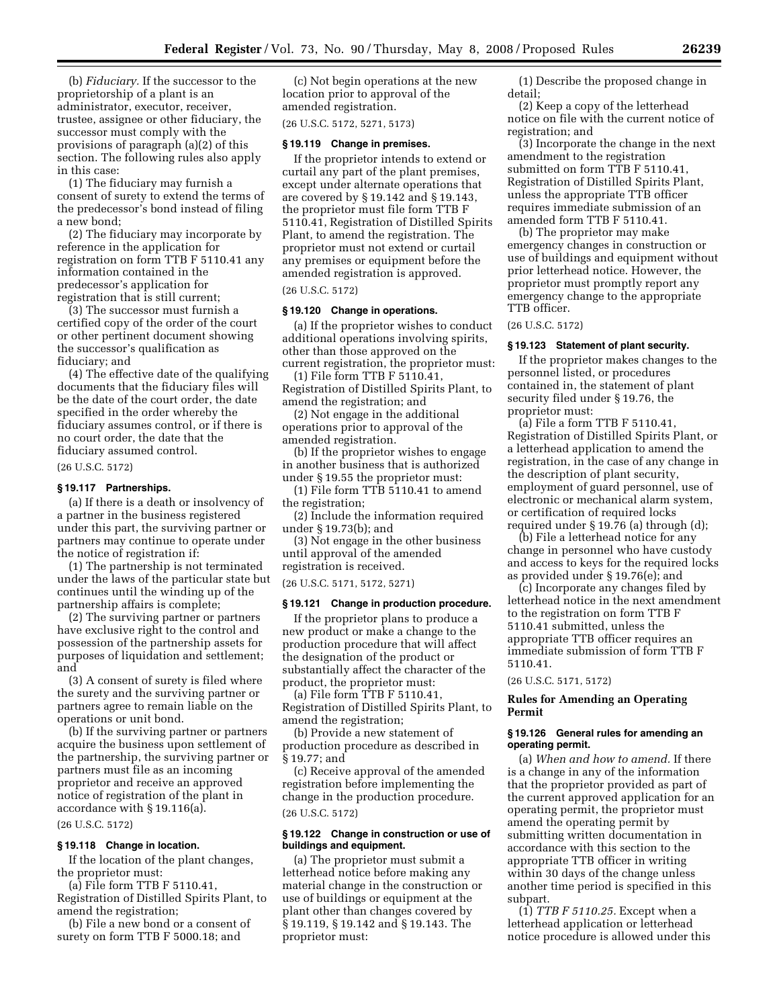(b) *Fiduciary.* If the successor to the proprietorship of a plant is an administrator, executor, receiver, trustee, assignee or other fiduciary, the successor must comply with the provisions of paragraph (a)(2) of this section. The following rules also apply in this case:

(1) The fiduciary may furnish a consent of surety to extend the terms of the predecessor's bond instead of filing a new bond;

(2) The fiduciary may incorporate by reference in the application for registration on form TTB F 5110.41 any information contained in the predecessor's application for registration that is still current;

(3) The successor must furnish a certified copy of the order of the court or other pertinent document showing the successor's qualification as fiduciary; and

(4) The effective date of the qualifying documents that the fiduciary files will be the date of the court order, the date specified in the order whereby the fiduciary assumes control, or if there is no court order, the date that the fiduciary assumed control.

(26 U.S.C. 5172)

## **§ 19.117 Partnerships.**

(a) If there is a death or insolvency of a partner in the business registered under this part, the surviving partner or partners may continue to operate under the notice of registration if:

(1) The partnership is not terminated under the laws of the particular state but continues until the winding up of the partnership affairs is complete;

(2) The surviving partner or partners have exclusive right to the control and possession of the partnership assets for purposes of liquidation and settlement; and

(3) A consent of surety is filed where the surety and the surviving partner or partners agree to remain liable on the operations or unit bond.

(b) If the surviving partner or partners acquire the business upon settlement of the partnership, the surviving partner or partners must file as an incoming proprietor and receive an approved notice of registration of the plant in accordance with § 19.116(a).

(26 U.S.C. 5172)

#### **§ 19.118 Change in location.**

If the location of the plant changes, the proprietor must:

(a) File form TTB F 5110.41, Registration of Distilled Spirits Plant, to amend the registration;

(b) File a new bond or a consent of surety on form TTB F 5000.18; and

(c) Not begin operations at the new location prior to approval of the amended registration.

## (26 U.S.C. 5172, 5271, 5173)

**§ 19.119 Change in premises.** 

## If the proprietor intends to extend or curtail any part of the plant premises, except under alternate operations that are covered by § 19.142 and § 19.143, the proprietor must file form TTB F 5110.41, Registration of Distilled Spirits Plant, to amend the registration. The proprietor must not extend or curtail any premises or equipment before the amended registration is approved.

#### (26 U.S.C. 5172)

#### **§ 19.120 Change in operations.**

(a) If the proprietor wishes to conduct additional operations involving spirits, other than those approved on the current registration, the proprietor must:

(1) File form TTB F 5110.41, Registration of Distilled Spirits Plant, to amend the registration; and

(2) Not engage in the additional operations prior to approval of the amended registration.

(b) If the proprietor wishes to engage in another business that is authorized under § 19.55 the proprietor must:

(1) File form TTB 5110.41 to amend the registration;

(2) Include the information required under § 19.73(b); and

(3) Not engage in the other business until approval of the amended registration is received.

(26 U.S.C. 5171, 5172, 5271)

#### **§ 19.121 Change in production procedure.**

If the proprietor plans to produce a new product or make a change to the production procedure that will affect the designation of the product or substantially affect the character of the product, the proprietor must:

(a) File form TTB F 5110.41, Registration of Distilled Spirits Plant, to amend the registration;

(b) Provide a new statement of production procedure as described in § 19.77; and

(c) Receive approval of the amended registration before implementing the change in the production procedure. (26 U.S.C. 5172)

## **§ 19.122 Change in construction or use of buildings and equipment.**

(a) The proprietor must submit a letterhead notice before making any material change in the construction or use of buildings or equipment at the plant other than changes covered by § 19.119, § 19.142 and § 19.143. The proprietor must:

(1) Describe the proposed change in detail;

(2) Keep a copy of the letterhead notice on file with the current notice of registration; and

(3) Incorporate the change in the next amendment to the registration submitted on form TTB F 5110.41, Registration of Distilled Spirits Plant, unless the appropriate TTB officer requires immediate submission of an amended form TTB F 5110.41.

(b) The proprietor may make emergency changes in construction or use of buildings and equipment without prior letterhead notice. However, the proprietor must promptly report any emergency change to the appropriate TTB officer.

#### (26 U.S.C. 5172)

#### **§ 19.123 Statement of plant security.**

If the proprietor makes changes to the personnel listed, or procedures contained in, the statement of plant security filed under § 19.76, the proprietor must:

(a) File a form TTB F 5110.41, Registration of Distilled Spirits Plant, or a letterhead application to amend the registration, in the case of any change in the description of plant security, employment of guard personnel, use of electronic or mechanical alarm system, or certification of required locks required under § 19.76 (a) through (d);

(b) File a letterhead notice for any change in personnel who have custody and access to keys for the required locks as provided under § 19.76(e); and

(c) Incorporate any changes filed by letterhead notice in the next amendment to the registration on form TTB F 5110.41 submitted, unless the appropriate TTB officer requires an immediate submission of form TTB F 5110.41.

(26 U.S.C. 5171, 5172)

## **Rules for Amending an Operating Permit**

## **§ 19.126 General rules for amending an operating permit.**

(a) *When and how to amend.* If there is a change in any of the information that the proprietor provided as part of the current approved application for an operating permit, the proprietor must amend the operating permit by submitting written documentation in accordance with this section to the appropriate TTB officer in writing within 30 days of the change unless another time period is specified in this subpart.

(1) *TTB F 5110.25.* Except when a letterhead application or letterhead notice procedure is allowed under this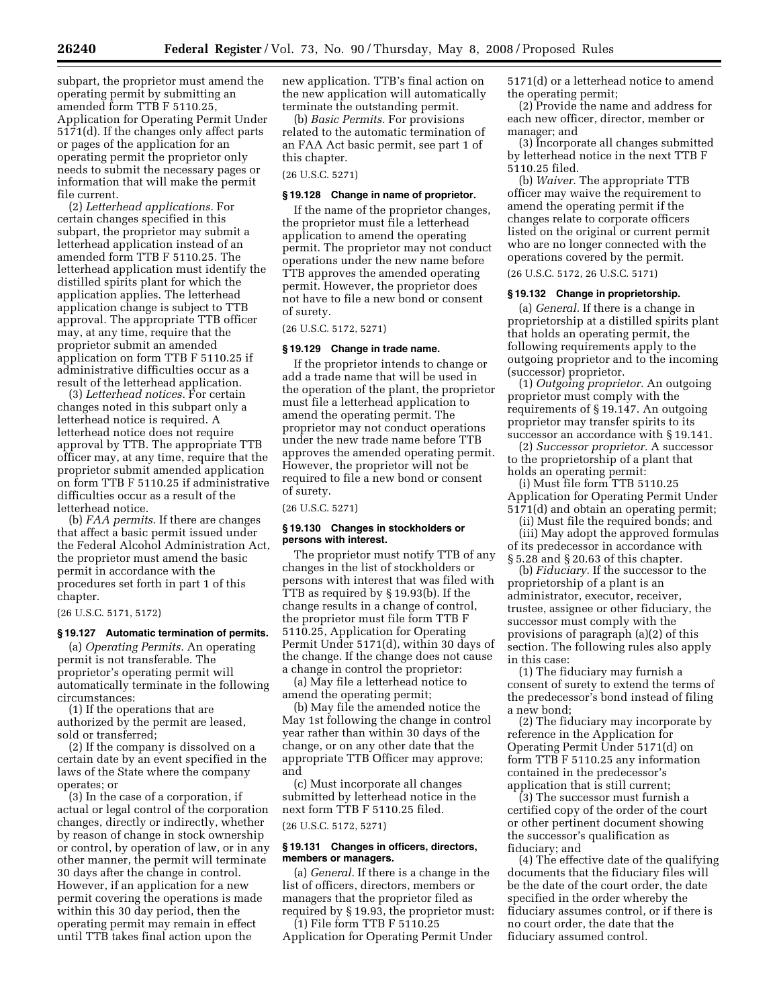subpart, the proprietor must amend the operating permit by submitting an amended form TTB F 5110.25, Application for Operating Permit Under 5171(d). If the changes only affect parts or pages of the application for an operating permit the proprietor only needs to submit the necessary pages or information that will make the permit file current.

(2) *Letterhead applications.* For certain changes specified in this subpart, the proprietor may submit a letterhead application instead of an amended form TTB F 5110.25. The letterhead application must identify the distilled spirits plant for which the application applies. The letterhead application change is subject to TTB approval. The appropriate TTB officer may, at any time, require that the proprietor submit an amended application on form TTB F 5110.25 if administrative difficulties occur as a result of the letterhead application.

(3) *Letterhead notices.* For certain changes noted in this subpart only a letterhead notice is required. A letterhead notice does not require approval by TTB. The appropriate TTB officer may, at any time, require that the proprietor submit amended application on form TTB F 5110.25 if administrative difficulties occur as a result of the letterhead notice.

(b) *FAA permits.* If there are changes that affect a basic permit issued under the Federal Alcohol Administration Act, the proprietor must amend the basic permit in accordance with the procedures set forth in part 1 of this chapter.

(26 U.S.C. 5171, 5172)

## **§ 19.127 Automatic termination of permits.**

(a) *Operating Permits.* An operating permit is not transferable. The proprietor's operating permit will automatically terminate in the following circumstances:

(1) If the operations that are authorized by the permit are leased, sold or transferred;

(2) If the company is dissolved on a certain date by an event specified in the laws of the State where the company operates; or

(3) In the case of a corporation, if actual or legal control of the corporation changes, directly or indirectly, whether by reason of change in stock ownership or control, by operation of law, or in any other manner, the permit will terminate 30 days after the change in control. However, if an application for a new permit covering the operations is made within this 30 day period, then the operating permit may remain in effect until TTB takes final action upon the

new application. TTB's final action on the new application will automatically terminate the outstanding permit.

(b) *Basic Permits.* For provisions related to the automatic termination of an FAA Act basic permit, see part 1 of this chapter.

(26 U.S.C. 5271)

## **§ 19.128 Change in name of proprietor.**

If the name of the proprietor changes, the proprietor must file a letterhead application to amend the operating permit. The proprietor may not conduct operations under the new name before TTB approves the amended operating permit. However, the proprietor does not have to file a new bond or consent of surety.

(26 U.S.C. 5172, 5271)

### **§ 19.129 Change in trade name.**

If the proprietor intends to change or add a trade name that will be used in the operation of the plant, the proprietor must file a letterhead application to amend the operating permit. The proprietor may not conduct operations under the new trade name before TTB approves the amended operating permit. However, the proprietor will not be required to file a new bond or consent of surety.

(26 U.S.C. 5271)

#### **§ 19.130 Changes in stockholders or persons with interest.**

The proprietor must notify TTB of any changes in the list of stockholders or persons with interest that was filed with TTB as required by § 19.93(b). If the change results in a change of control, the proprietor must file form TTB F 5110.25, Application for Operating Permit Under 5171(d), within 30 days of the change. If the change does not cause a change in control the proprietor:

(a) May file a letterhead notice to amend the operating permit;

(b) May file the amended notice the May 1st following the change in control year rather than within 30 days of the change, or on any other date that the appropriate TTB Officer may approve; and

(c) Must incorporate all changes submitted by letterhead notice in the next form TTB F 5110.25 filed.

## (26 U.S.C. 5172, 5271)

#### **§ 19.131 Changes in officers, directors, members or managers.**

(a) *General.* If there is a change in the list of officers, directors, members or managers that the proprietor filed as required by § 19.93, the proprietor must:

(1) File form TTB F 5110.25 Application for Operating Permit Under 5171(d) or a letterhead notice to amend the operating permit;

(2) Provide the name and address for each new officer, director, member or manager; and

(3) Incorporate all changes submitted by letterhead notice in the next TTB F 5110.25 filed.

(b) *Waiver.* The appropriate TTB officer may waive the requirement to amend the operating permit if the changes relate to corporate officers listed on the original or current permit who are no longer connected with the operations covered by the permit.

(26 U.S.C. 5172, 26 U.S.C. 5171)

#### **§ 19.132 Change in proprietorship.**

(a) *General.* If there is a change in proprietorship at a distilled spirits plant that holds an operating permit, the following requirements apply to the outgoing proprietor and to the incoming (successor) proprietor.

(1) *Outgoing proprietor.* An outgoing proprietor must comply with the requirements of § 19.147. An outgoing proprietor may transfer spirits to its successor an accordance with § 19.141.

(2) *Successor proprietor.* A successor to the proprietorship of a plant that holds an operating permit:

(i) Must file form TTB 5110.25 Application for Operating Permit Under 5171(d) and obtain an operating permit;

(ii) Must file the required bonds; and (iii) May adopt the approved formulas of its predecessor in accordance with § 5.28 and § 20.63 of this chapter.

(b) *Fiduciary.* If the successor to the proprietorship of a plant is an administrator, executor, receiver, trustee, assignee or other fiduciary, the successor must comply with the provisions of paragraph (a)(2) of this section. The following rules also apply in this case:

(1) The fiduciary may furnish a consent of surety to extend the terms of the predecessor's bond instead of filing a new bond;

(2) The fiduciary may incorporate by reference in the Application for Operating Permit Under 5171(d) on form TTB F 5110.25 any information contained in the predecessor's application that is still current;

(3) The successor must furnish a certified copy of the order of the court or other pertinent document showing the successor's qualification as fiduciary; and

(4) The effective date of the qualifying documents that the fiduciary files will be the date of the court order, the date specified in the order whereby the fiduciary assumes control, or if there is no court order, the date that the fiduciary assumed control.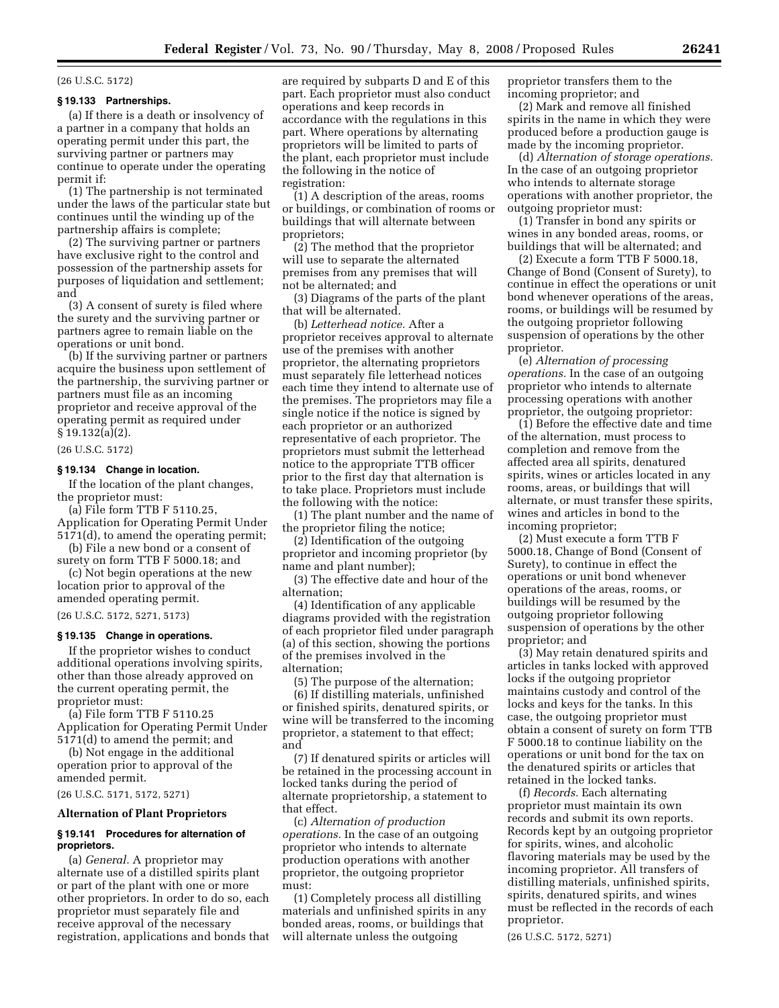#### (26 U.S.C. 5172)

### **§ 19.133 Partnerships.**

(a) If there is a death or insolvency of a partner in a company that holds an operating permit under this part, the surviving partner or partners may continue to operate under the operating permit if:

(1) The partnership is not terminated under the laws of the particular state but continues until the winding up of the partnership affairs is complete;

(2) The surviving partner or partners have exclusive right to the control and possession of the partnership assets for purposes of liquidation and settlement; and

(3) A consent of surety is filed where the surety and the surviving partner or partners agree to remain liable on the operations or unit bond.

(b) If the surviving partner or partners acquire the business upon settlement of the partnership, the surviving partner or partners must file as an incoming proprietor and receive approval of the operating permit as required under § 19.132(a)(2).

(26 U.S.C. 5172)

## **§ 19.134 Change in location.**

If the location of the plant changes, the proprietor must:

(a) File form TTB F 5110.25, Application for Operating Permit Under 5171(d), to amend the operating permit;

(b) File a new bond or a consent of surety on form TTB F 5000.18; and

(c) Not begin operations at the new location prior to approval of the amended operating permit.

(26 U.S.C. 5172, 5271, 5173)

## **§ 19.135 Change in operations.**

If the proprietor wishes to conduct additional operations involving spirits, other than those already approved on the current operating permit, the proprietor must:

(a) File form TTB F 5110.25 Application for Operating Permit Under 5171(d) to amend the permit; and

(b) Not engage in the additional operation prior to approval of the amended permit.

(26 U.S.C. 5171, 5172, 5271)

## **Alternation of Plant Proprietors**

## **§ 19.141 Procedures for alternation of proprietors.**

(a) *General.* A proprietor may alternate use of a distilled spirits plant or part of the plant with one or more other proprietors. In order to do so, each proprietor must separately file and receive approval of the necessary registration, applications and bonds that are required by subparts D and E of this part. Each proprietor must also conduct operations and keep records in accordance with the regulations in this part. Where operations by alternating proprietors will be limited to parts of the plant, each proprietor must include the following in the notice of registration:

(1) A description of the areas, rooms or buildings, or combination of rooms or buildings that will alternate between proprietors;

(2) The method that the proprietor will use to separate the alternated premises from any premises that will not be alternated; and

(3) Diagrams of the parts of the plant that will be alternated.

(b) *Letterhead notice.* After a proprietor receives approval to alternate use of the premises with another proprietor, the alternating proprietors must separately file letterhead notices each time they intend to alternate use of the premises. The proprietors may file a single notice if the notice is signed by each proprietor or an authorized representative of each proprietor. The proprietors must submit the letterhead notice to the appropriate TTB officer prior to the first day that alternation is to take place. Proprietors must include the following with the notice:

(1) The plant number and the name of the proprietor filing the notice;

(2) Identification of the outgoing proprietor and incoming proprietor (by name and plant number);

(3) The effective date and hour of the alternation;

(4) Identification of any applicable diagrams provided with the registration of each proprietor filed under paragraph (a) of this section, showing the portions of the premises involved in the alternation;

(5) The purpose of the alternation;

(6) If distilling materials, unfinished or finished spirits, denatured spirits, or wine will be transferred to the incoming proprietor, a statement to that effect; and

(7) If denatured spirits or articles will be retained in the processing account in locked tanks during the period of alternate proprietorship, a statement to that effect.

(c) *Alternation of production operations.* In the case of an outgoing proprietor who intends to alternate production operations with another proprietor, the outgoing proprietor must:

(1) Completely process all distilling materials and unfinished spirits in any bonded areas, rooms, or buildings that will alternate unless the outgoing

proprietor transfers them to the incoming proprietor; and

(2) Mark and remove all finished spirits in the name in which they were produced before a production gauge is made by the incoming proprietor.

(d) *Alternation of storage operations.*  In the case of an outgoing proprietor who intends to alternate storage operations with another proprietor, the outgoing proprietor must:

(1) Transfer in bond any spirits or wines in any bonded areas, rooms, or buildings that will be alternated; and

(2) Execute a form TTB F 5000.18, Change of Bond (Consent of Surety), to continue in effect the operations or unit bond whenever operations of the areas, rooms, or buildings will be resumed by the outgoing proprietor following suspension of operations by the other proprietor.

(e) *Alternation of processing operations.* In the case of an outgoing proprietor who intends to alternate processing operations with another proprietor, the outgoing proprietor:

(1) Before the effective date and time of the alternation, must process to completion and remove from the affected area all spirits, denatured spirits, wines or articles located in any rooms, areas, or buildings that will alternate, or must transfer these spirits, wines and articles in bond to the incoming proprietor;

(2) Must execute a form TTB F 5000.18, Change of Bond (Consent of Surety), to continue in effect the operations or unit bond whenever operations of the areas, rooms, or buildings will be resumed by the outgoing proprietor following suspension of operations by the other proprietor; and

(3) May retain denatured spirits and articles in tanks locked with approved locks if the outgoing proprietor maintains custody and control of the locks and keys for the tanks. In this case, the outgoing proprietor must obtain a consent of surety on form TTB F 5000.18 to continue liability on the operations or unit bond for the tax on the denatured spirits or articles that retained in the locked tanks.

(f) *Records.* Each alternating proprietor must maintain its own records and submit its own reports. Records kept by an outgoing proprietor for spirits, wines, and alcoholic flavoring materials may be used by the incoming proprietor. All transfers of distilling materials, unfinished spirits, spirits, denatured spirits, and wines must be reflected in the records of each proprietor.

(26 U.S.C. 5172, 5271)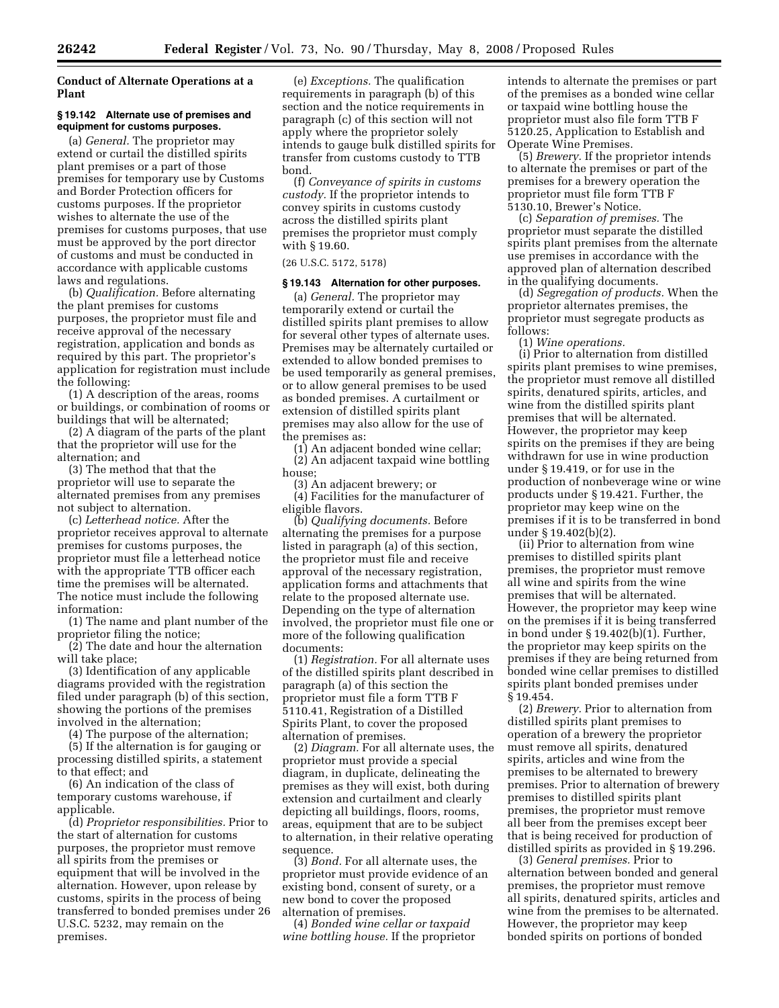## **Conduct of Alternate Operations at a Plant**

## **§ 19.142 Alternate use of premises and equipment for customs purposes.**

(a) *General.* The proprietor may extend or curtail the distilled spirits plant premises or a part of those premises for temporary use by Customs and Border Protection officers for customs purposes. If the proprietor wishes to alternate the use of the premises for customs purposes, that use must be approved by the port director of customs and must be conducted in accordance with applicable customs laws and regulations.

(b) *Qualification.* Before alternating the plant premises for customs purposes, the proprietor must file and receive approval of the necessary registration, application and bonds as required by this part. The proprietor's application for registration must include the following:

(1) A description of the areas, rooms or buildings, or combination of rooms or buildings that will be alternated;

(2) A diagram of the parts of the plant that the proprietor will use for the alternation; and

(3) The method that that the proprietor will use to separate the alternated premises from any premises not subject to alternation.

(c) *Letterhead notice.* After the proprietor receives approval to alternate premises for customs purposes, the proprietor must file a letterhead notice with the appropriate TTB officer each time the premises will be alternated. The notice must include the following information:

(1) The name and plant number of the proprietor filing the notice;

(2) The date and hour the alternation will take place;

(3) Identification of any applicable diagrams provided with the registration filed under paragraph (b) of this section, showing the portions of the premises involved in the alternation;

(4) The purpose of the alternation;

(5) If the alternation is for gauging or processing distilled spirits, a statement to that effect; and

(6) An indication of the class of temporary customs warehouse, if applicable.

(d) *Proprietor responsibilities.* Prior to the start of alternation for customs purposes, the proprietor must remove all spirits from the premises or equipment that will be involved in the alternation. However, upon release by customs, spirits in the process of being transferred to bonded premises under 26 U.S.C. 5232, may remain on the premises.

(e) *Exceptions.* The qualification requirements in paragraph (b) of this section and the notice requirements in paragraph (c) of this section will not apply where the proprietor solely intends to gauge bulk distilled spirits for transfer from customs custody to TTB bond.

(f) *Conveyance of spirits in customs custody.* If the proprietor intends to convey spirits in customs custody across the distilled spirits plant premises the proprietor must comply with § 19.60.

## (26 U.S.C. 5172, 5178)

#### **§ 19.143 Alternation for other purposes.**

(a) *General.* The proprietor may temporarily extend or curtail the distilled spirits plant premises to allow for several other types of alternate uses. Premises may be alternately curtailed or extended to allow bonded premises to be used temporarily as general premises, or to allow general premises to be used as bonded premises. A curtailment or extension of distilled spirits plant premises may also allow for the use of the premises as:

(1) An adjacent bonded wine cellar; (2) An adjacent taxpaid wine bottling house;

(3) An adjacent brewery; or (4) Facilities for the manufacturer of eligible flavors.

(b) *Qualifying documents.* Before alternating the premises for a purpose listed in paragraph (a) of this section, the proprietor must file and receive approval of the necessary registration, application forms and attachments that relate to the proposed alternate use. Depending on the type of alternation involved, the proprietor must file one or more of the following qualification documents:

(1) *Registration.* For all alternate uses of the distilled spirits plant described in paragraph (a) of this section the proprietor must file a form TTB F 5110.41, Registration of a Distilled Spirits Plant, to cover the proposed alternation of premises.

(2) *Diagram.* For all alternate uses, the proprietor must provide a special diagram, in duplicate, delineating the premises as they will exist, both during extension and curtailment and clearly depicting all buildings, floors, rooms, areas, equipment that are to be subject to alternation, in their relative operating sequence.

(3) *Bond.* For all alternate uses, the proprietor must provide evidence of an existing bond, consent of surety, or a new bond to cover the proposed alternation of premises.

(4) *Bonded wine cellar or taxpaid wine bottling house.* If the proprietor

intends to alternate the premises or part of the premises as a bonded wine cellar or taxpaid wine bottling house the proprietor must also file form TTB F 5120.25, Application to Establish and Operate Wine Premises.

(5) *Brewery.* If the proprietor intends to alternate the premises or part of the premises for a brewery operation the proprietor must file form TTB F 5130.10, Brewer's Notice.

(c) *Separation of premises.* The proprietor must separate the distilled spirits plant premises from the alternate use premises in accordance with the approved plan of alternation described in the qualifying documents.

(d) *Segregation of products.* When the proprietor alternates premises, the proprietor must segregate products as follows:

(1) *Wine operations.* 

(i) Prior to alternation from distilled spirits plant premises to wine premises, the proprietor must remove all distilled spirits, denatured spirits, articles, and wine from the distilled spirits plant premises that will be alternated. However, the proprietor may keep spirits on the premises if they are being withdrawn for use in wine production under § 19.419, or for use in the production of nonbeverage wine or wine products under § 19.421. Further, the proprietor may keep wine on the premises if it is to be transferred in bond under § 19.402(b)(2).

(ii) Prior to alternation from wine premises to distilled spirits plant premises, the proprietor must remove all wine and spirits from the wine premises that will be alternated. However, the proprietor may keep wine on the premises if it is being transferred in bond under § 19.402(b)(1). Further, the proprietor may keep spirits on the premises if they are being returned from bonded wine cellar premises to distilled spirits plant bonded premises under § 19.454.

(2) *Brewery.* Prior to alternation from distilled spirits plant premises to operation of a brewery the proprietor must remove all spirits, denatured spirits, articles and wine from the premises to be alternated to brewery premises. Prior to alternation of brewery premises to distilled spirits plant premises, the proprietor must remove all beer from the premises except beer that is being received for production of distilled spirits as provided in § 19.296.

(3) *General premises.* Prior to alternation between bonded and general premises, the proprietor must remove all spirits, denatured spirits, articles and wine from the premises to be alternated. However, the proprietor may keep bonded spirits on portions of bonded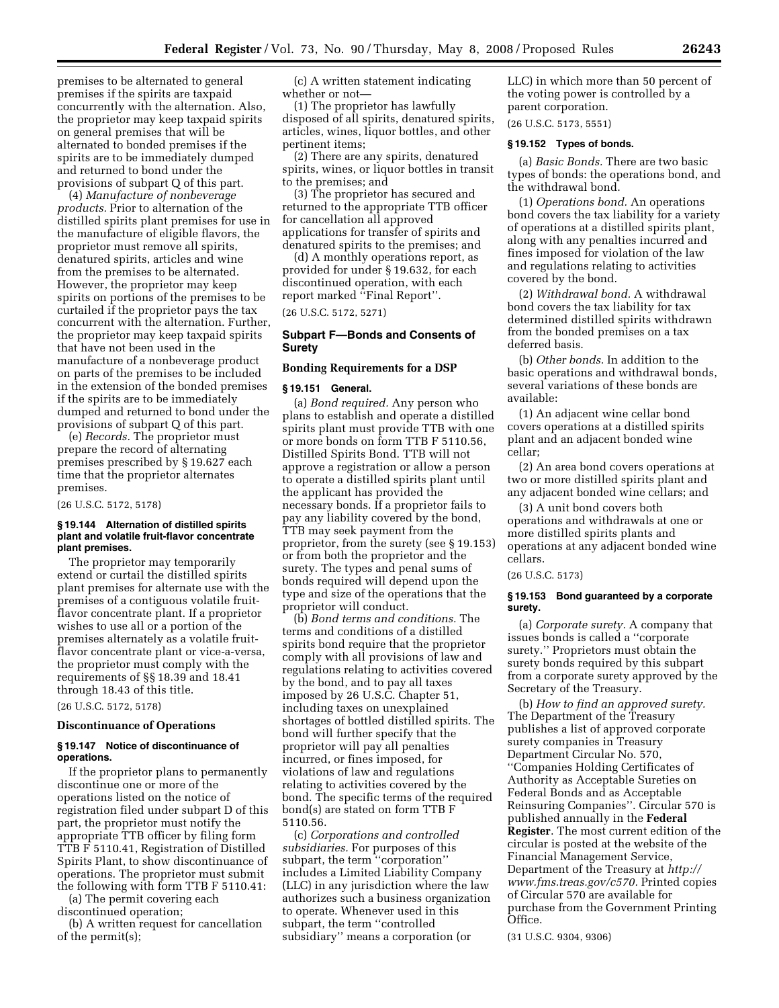premises to be alternated to general premises if the spirits are taxpaid concurrently with the alternation. Also, the proprietor may keep taxpaid spirits on general premises that will be alternated to bonded premises if the spirits are to be immediately dumped and returned to bond under the provisions of subpart Q of this part.

(4) *Manufacture of nonbeverage products.* Prior to alternation of the distilled spirits plant premises for use in the manufacture of eligible flavors, the proprietor must remove all spirits, denatured spirits, articles and wine from the premises to be alternated. However, the proprietor may keep spirits on portions of the premises to be curtailed if the proprietor pays the tax concurrent with the alternation. Further, the proprietor may keep taxpaid spirits that have not been used in the manufacture of a nonbeverage product on parts of the premises to be included in the extension of the bonded premises if the spirits are to be immediately dumped and returned to bond under the provisions of subpart Q of this part.

(e) *Records.* The proprietor must prepare the record of alternating premises prescribed by § 19.627 each time that the proprietor alternates premises.

(26 U.S.C. 5172, 5178)

#### **§ 19.144 Alternation of distilled spirits plant and volatile fruit-flavor concentrate plant premises.**

The proprietor may temporarily extend or curtail the distilled spirits plant premises for alternate use with the premises of a contiguous volatile fruitflavor concentrate plant. If a proprietor wishes to use all or a portion of the premises alternately as a volatile fruitflavor concentrate plant or vice-a-versa, the proprietor must comply with the requirements of §§ 18.39 and 18.41 through 18.43 of this title.

(26 U.S.C. 5172, 5178)

#### **Discontinuance of Operations**

## **§ 19.147 Notice of discontinuance of operations.**

If the proprietor plans to permanently discontinue one or more of the operations listed on the notice of registration filed under subpart D of this part, the proprietor must notify the appropriate TTB officer by filing form TTB F 5110.41, Registration of Distilled Spirits Plant, to show discontinuance of operations. The proprietor must submit the following with form TTB F 5110.41:

(a) The permit covering each discontinued operation;

(b) A written request for cancellation of the permit(s);

(c) A written statement indicating whether or not—

(1) The proprietor has lawfully disposed of all spirits, denatured spirits, articles, wines, liquor bottles, and other pertinent items;

(2) There are any spirits, denatured spirits, wines, or liquor bottles in transit to the premises; and

(3) The proprietor has secured and returned to the appropriate TTB officer for cancellation all approved applications for transfer of spirits and denatured spirits to the premises; and

(d) A monthly operations report, as provided for under § 19.632, for each discontinued operation, with each report marked ''Final Report''.

(26 U.S.C. 5172, 5271)

## **Subpart F—Bonds and Consents of Surety**

## **Bonding Requirements for a DSP**

#### **§ 19.151 General.**

(a) *Bond required.* Any person who plans to establish and operate a distilled spirits plant must provide TTB with one or more bonds on form TTB F 5110.56, Distilled Spirits Bond. TTB will not approve a registration or allow a person to operate a distilled spirits plant until the applicant has provided the necessary bonds. If a proprietor fails to pay any liability covered by the bond, TTB may seek payment from the proprietor, from the surety (see § 19.153) or from both the proprietor and the surety. The types and penal sums of bonds required will depend upon the type and size of the operations that the proprietor will conduct.

(b) *Bond terms and conditions.* The terms and conditions of a distilled spirits bond require that the proprietor comply with all provisions of law and regulations relating to activities covered by the bond, and to pay all taxes imposed by 26 U.S.C. Chapter 51, including taxes on unexplained shortages of bottled distilled spirits. The bond will further specify that the proprietor will pay all penalties incurred, or fines imposed, for violations of law and regulations relating to activities covered by the bond. The specific terms of the required bond(s) are stated on form TTB F 5110.56.

(c) *Corporations and controlled subsidiaries.* For purposes of this subpart, the term ''corporation'' includes a Limited Liability Company (LLC) in any jurisdiction where the law authorizes such a business organization to operate. Whenever used in this subpart, the term ''controlled subsidiary'' means a corporation (or

LLC) in which more than 50 percent of the voting power is controlled by a parent corporation.

(26 U.S.C. 5173, 5551)

#### **§ 19.152 Types of bonds.**

(a) *Basic Bonds.* There are two basic types of bonds: the operations bond, and the withdrawal bond.

(1) *Operations bond.* An operations bond covers the tax liability for a variety of operations at a distilled spirits plant, along with any penalties incurred and fines imposed for violation of the law and regulations relating to activities covered by the bond.

(2) *Withdrawal bond.* A withdrawal bond covers the tax liability for tax determined distilled spirits withdrawn from the bonded premises on a tax deferred basis.

(b) *Other bonds.* In addition to the basic operations and withdrawal bonds, several variations of these bonds are available:

(1) An adjacent wine cellar bond covers operations at a distilled spirits plant and an adjacent bonded wine cellar;

(2) An area bond covers operations at two or more distilled spirits plant and any adjacent bonded wine cellars; and

(3) A unit bond covers both operations and withdrawals at one or more distilled spirits plants and operations at any adjacent bonded wine cellars.

#### (26 U.S.C. 5173)

## **§ 19.153 Bond guaranteed by a corporate surety.**

(a) *Corporate surety.* A company that issues bonds is called a ''corporate surety.'' Proprietors must obtain the surety bonds required by this subpart from a corporate surety approved by the Secretary of the Treasury.

(b) *How to find an approved surety.*  The Department of the Treasury publishes a list of approved corporate surety companies in Treasury Department Circular No. 570, ''Companies Holding Certificates of Authority as Acceptable Sureties on Federal Bonds and as Acceptable Reinsuring Companies''. Circular 570 is published annually in the **Federal Register**. The most current edition of the circular is posted at the website of the Financial Management Service, Department of the Treasury at *http:// www.fms.treas.gov/c570.* Printed copies of Circular 570 are available for purchase from the Government Printing Office.

(31 U.S.C. 9304, 9306)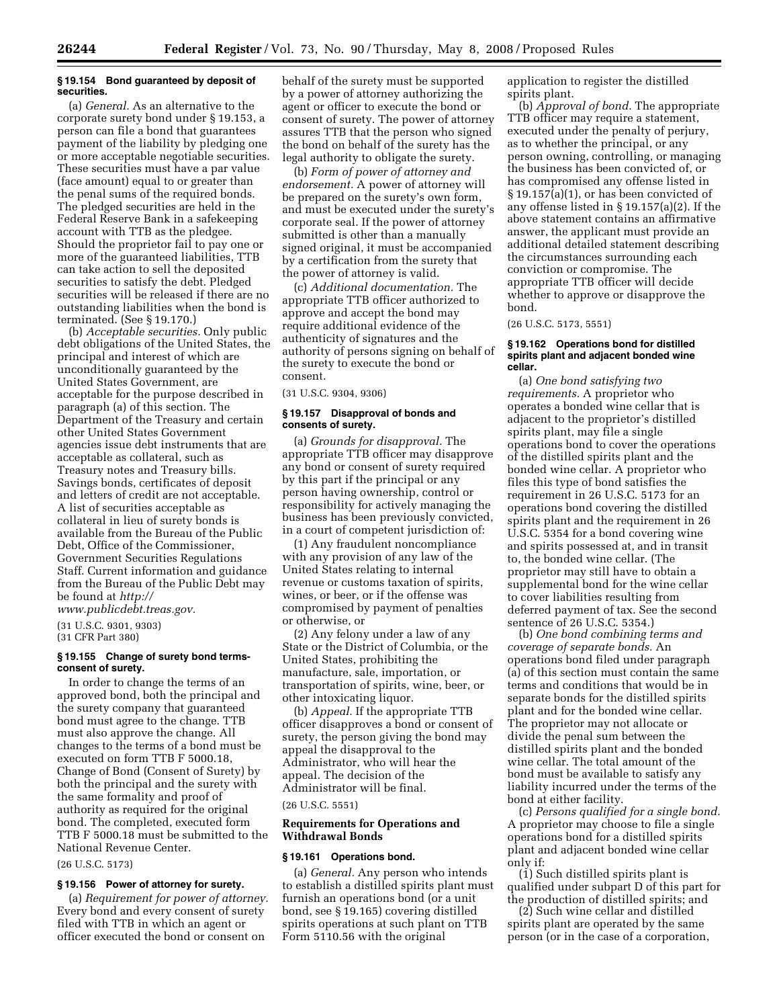## **§ 19.154 Bond guaranteed by deposit of securities.**

(a) *General.* As an alternative to the corporate surety bond under § 19.153, a person can file a bond that guarantees payment of the liability by pledging one or more acceptable negotiable securities. These securities must have a par value (face amount) equal to or greater than the penal sums of the required bonds. The pledged securities are held in the Federal Reserve Bank in a safekeeping account with TTB as the pledgee. Should the proprietor fail to pay one or more of the guaranteed liabilities, TTB can take action to sell the deposited securities to satisfy the debt. Pledged securities will be released if there are no outstanding liabilities when the bond is terminated. (See § 19.170.)

(b) *Acceptable securities.* Only public debt obligations of the United States, the principal and interest of which are unconditionally guaranteed by the United States Government, are acceptable for the purpose described in paragraph (a) of this section. The Department of the Treasury and certain other United States Government agencies issue debt instruments that are acceptable as collateral, such as Treasury notes and Treasury bills. Savings bonds, certificates of deposit and letters of credit are not acceptable. A list of securities acceptable as collateral in lieu of surety bonds is available from the Bureau of the Public Debt, Office of the Commissioner, Government Securities Regulations Staff. Current information and guidance from the Bureau of the Public Debt may be found at *http://* 

*www.publicdebt.treas.gov.* 

(31 U.S.C. 9301, 9303) (31 CFR Part 380)

## **§ 19.155 Change of surety bond termsconsent of surety.**

In order to change the terms of an approved bond, both the principal and the surety company that guaranteed bond must agree to the change. TTB must also approve the change. All changes to the terms of a bond must be executed on form TTB F 5000.18, Change of Bond (Consent of Surety) by both the principal and the surety with the same formality and proof of authority as required for the original bond. The completed, executed form TTB F 5000.18 must be submitted to the National Revenue Center.

## (26 U.S.C. 5173)

## **§ 19.156 Power of attorney for surety.**

(a) *Requirement for power of attorney.*  Every bond and every consent of surety filed with TTB in which an agent or officer executed the bond or consent on

behalf of the surety must be supported by a power of attorney authorizing the agent or officer to execute the bond or consent of surety. The power of attorney assures TTB that the person who signed the bond on behalf of the surety has the legal authority to obligate the surety.

(b) *Form of power of attorney and endorsement.* A power of attorney will be prepared on the surety's own form, and must be executed under the surety's corporate seal. If the power of attorney submitted is other than a manually signed original, it must be accompanied by a certification from the surety that the power of attorney is valid.

(c) *Additional documentation.* The appropriate TTB officer authorized to approve and accept the bond may require additional evidence of the authenticity of signatures and the authority of persons signing on behalf of the surety to execute the bond or consent.

(31 U.S.C. 9304, 9306)

## **§ 19.157 Disapproval of bonds and consents of surety.**

(a) *Grounds for disapproval.* The appropriate TTB officer may disapprove any bond or consent of surety required by this part if the principal or any person having ownership, control or responsibility for actively managing the business has been previously convicted, in a court of competent jurisdiction of:

(1) Any fraudulent noncompliance with any provision of any law of the United States relating to internal revenue or customs taxation of spirits, wines, or beer, or if the offense was compromised by payment of penalties or otherwise, or

(2) Any felony under a law of any State or the District of Columbia, or the United States, prohibiting the manufacture, sale, importation, or transportation of spirits, wine, beer, or other intoxicating liquor.

(b) *Appeal.* If the appropriate TTB officer disapproves a bond or consent of surety, the person giving the bond may appeal the disapproval to the Administrator, who will hear the appeal. The decision of the Administrator will be final.

## (26 U.S.C. 5551)

## **Requirements for Operations and Withdrawal Bonds**

#### **§ 19.161 Operations bond.**

(a) *General.* Any person who intends to establish a distilled spirits plant must furnish an operations bond (or a unit bond, see § 19.165) covering distilled spirits operations at such plant on TTB Form 5110.56 with the original

application to register the distilled spirits plant.

(b) *Approval of bond.* The appropriate TTB officer may require a statement, executed under the penalty of perjury, as to whether the principal, or any person owning, controlling, or managing the business has been convicted of, or has compromised any offense listed in § 19.157(a)(1), or has been convicted of any offense listed in § 19.157(a)(2). If the above statement contains an affirmative answer, the applicant must provide an additional detailed statement describing the circumstances surrounding each conviction or compromise. The appropriate TTB officer will decide whether to approve or disapprove the bond.

(26 U.S.C. 5173, 5551)

#### **§ 19.162 Operations bond for distilled spirits plant and adjacent bonded wine cellar.**

(a) *One bond satisfying two requirements.* A proprietor who operates a bonded wine cellar that is adjacent to the proprietor's distilled spirits plant, may file a single operations bond to cover the operations of the distilled spirits plant and the bonded wine cellar. A proprietor who files this type of bond satisfies the requirement in 26 U.S.C. 5173 for an operations bond covering the distilled spirits plant and the requirement in 26 U.S.C. 5354 for a bond covering wine and spirits possessed at, and in transit to, the bonded wine cellar. (The proprietor may still have to obtain a supplemental bond for the wine cellar to cover liabilities resulting from deferred payment of tax. See the second sentence of 26 U.S.C. 5354.)

(b) *One bond combining terms and coverage of separate bonds.* An operations bond filed under paragraph (a) of this section must contain the same terms and conditions that would be in separate bonds for the distilled spirits plant and for the bonded wine cellar. The proprietor may not allocate or divide the penal sum between the distilled spirits plant and the bonded wine cellar. The total amount of the bond must be available to satisfy any liability incurred under the terms of the bond at either facility.

(c) *Persons qualified for a single bond.*  A proprietor may choose to file a single operations bond for a distilled spirits plant and adjacent bonded wine cellar only if:

 $(i)$  Such distilled spirits plant is qualified under subpart D of this part for the production of distilled spirits; and

(2) Such wine cellar and distilled spirits plant are operated by the same person (or in the case of a corporation,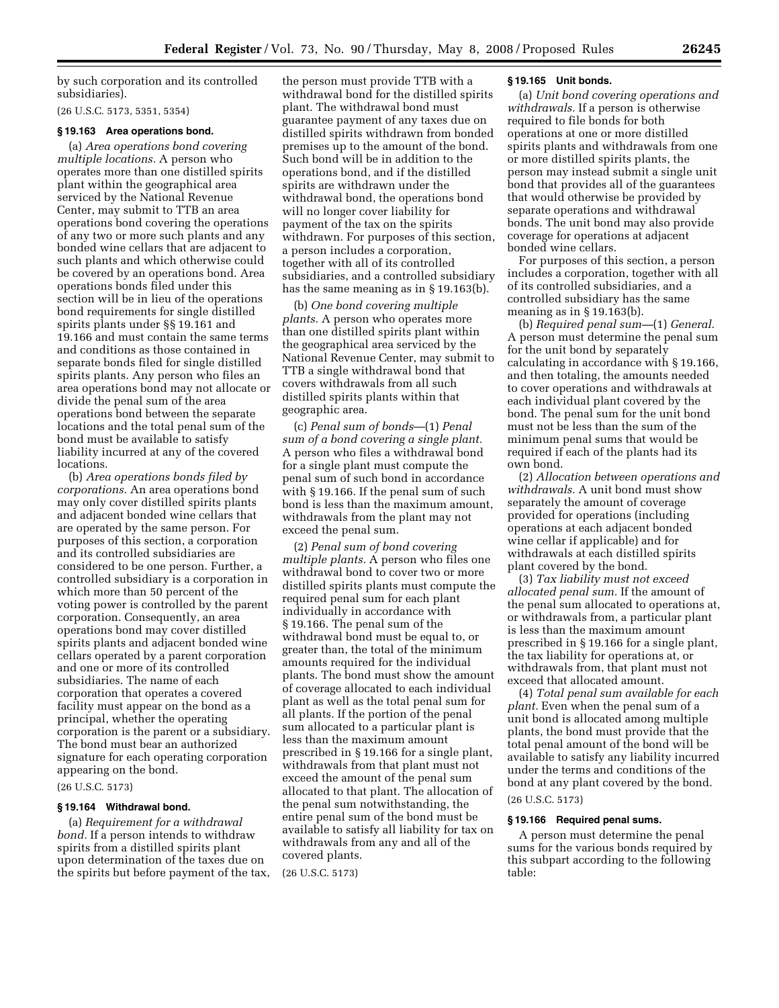by such corporation and its controlled subsidiaries).

(26 U.S.C. 5173, 5351, 5354)

## **§ 19.163 Area operations bond.**

(a) *Area operations bond covering multiple locations.* A person who operates more than one distilled spirits plant within the geographical area serviced by the National Revenue Center, may submit to TTB an area operations bond covering the operations of any two or more such plants and any bonded wine cellars that are adjacent to such plants and which otherwise could be covered by an operations bond. Area operations bonds filed under this section will be in lieu of the operations bond requirements for single distilled spirits plants under §§ 19.161 and 19.166 and must contain the same terms and conditions as those contained in separate bonds filed for single distilled spirits plants. Any person who files an area operations bond may not allocate or divide the penal sum of the area operations bond between the separate locations and the total penal sum of the bond must be available to satisfy liability incurred at any of the covered locations.

(b) *Area operations bonds filed by corporations.* An area operations bond may only cover distilled spirits plants and adjacent bonded wine cellars that are operated by the same person. For purposes of this section, a corporation and its controlled subsidiaries are considered to be one person. Further, a controlled subsidiary is a corporation in which more than 50 percent of the voting power is controlled by the parent corporation. Consequently, an area operations bond may cover distilled spirits plants and adjacent bonded wine cellars operated by a parent corporation and one or more of its controlled subsidiaries. The name of each corporation that operates a covered facility must appear on the bond as a principal, whether the operating corporation is the parent or a subsidiary. The bond must bear an authorized signature for each operating corporation appearing on the bond.

## (26 U.S.C. 5173)

## **§ 19.164 Withdrawal bond.**

(a) *Requirement for a withdrawal bond.* If a person intends to withdraw spirits from a distilled spirits plant upon determination of the taxes due on the spirits but before payment of the tax,

the person must provide TTB with a withdrawal bond for the distilled spirits plant. The withdrawal bond must guarantee payment of any taxes due on distilled spirits withdrawn from bonded premises up to the amount of the bond. Such bond will be in addition to the operations bond, and if the distilled spirits are withdrawn under the withdrawal bond, the operations bond will no longer cover liability for payment of the tax on the spirits withdrawn. For purposes of this section, a person includes a corporation, together with all of its controlled subsidiaries, and a controlled subsidiary has the same meaning as in § 19.163(b).

(b) *One bond covering multiple plants.* A person who operates more than one distilled spirits plant within the geographical area serviced by the National Revenue Center, may submit to TTB a single withdrawal bond that covers withdrawals from all such distilled spirits plants within that geographic area.

(c) *Penal sum of bonds*—(1) *Penal sum of a bond covering a single plant.*  A person who files a withdrawal bond for a single plant must compute the penal sum of such bond in accordance with § 19.166. If the penal sum of such bond is less than the maximum amount, withdrawals from the plant may not exceed the penal sum.

(2) *Penal sum of bond covering multiple plants.* A person who files one withdrawal bond to cover two or more distilled spirits plants must compute the required penal sum for each plant individually in accordance with § 19.166. The penal sum of the withdrawal bond must be equal to, or greater than, the total of the minimum amounts required for the individual plants. The bond must show the amount of coverage allocated to each individual plant as well as the total penal sum for all plants. If the portion of the penal sum allocated to a particular plant is less than the maximum amount prescribed in § 19.166 for a single plant, withdrawals from that plant must not exceed the amount of the penal sum allocated to that plant. The allocation of the penal sum notwithstanding, the entire penal sum of the bond must be available to satisfy all liability for tax on withdrawals from any and all of the covered plants.

(26 U.S.C. 5173)

## **§ 19.165 Unit bonds.**

(a) *Unit bond covering operations and withdrawals.* If a person is otherwise required to file bonds for both operations at one or more distilled spirits plants and withdrawals from one or more distilled spirits plants, the person may instead submit a single unit bond that provides all of the guarantees that would otherwise be provided by separate operations and withdrawal bonds. The unit bond may also provide coverage for operations at adjacent bonded wine cellars.

For purposes of this section, a person includes a corporation, together with all of its controlled subsidiaries, and a controlled subsidiary has the same meaning as in § 19.163(b).

(b) *Required penal sum—*(1) *General.*  A person must determine the penal sum for the unit bond by separately calculating in accordance with § 19.166, and then totaling, the amounts needed to cover operations and withdrawals at each individual plant covered by the bond. The penal sum for the unit bond must not be less than the sum of the minimum penal sums that would be required if each of the plants had its own bond.

(2) *Allocation between operations and withdrawals.* A unit bond must show separately the amount of coverage provided for operations (including operations at each adjacent bonded wine cellar if applicable) and for withdrawals at each distilled spirits plant covered by the bond.

(3) *Tax liability must not exceed allocated penal sum.* If the amount of the penal sum allocated to operations at, or withdrawals from, a particular plant is less than the maximum amount prescribed in § 19.166 for a single plant, the tax liability for operations at, or withdrawals from, that plant must not exceed that allocated amount.

(4) *Total penal sum available for each plant.* Even when the penal sum of a unit bond is allocated among multiple plants, the bond must provide that the total penal amount of the bond will be available to satisfy any liability incurred under the terms and conditions of the bond at any plant covered by the bond. (26 U.S.C. 5173)

#### **§ 19.166 Required penal sums.**

A person must determine the penal sums for the various bonds required by this subpart according to the following table: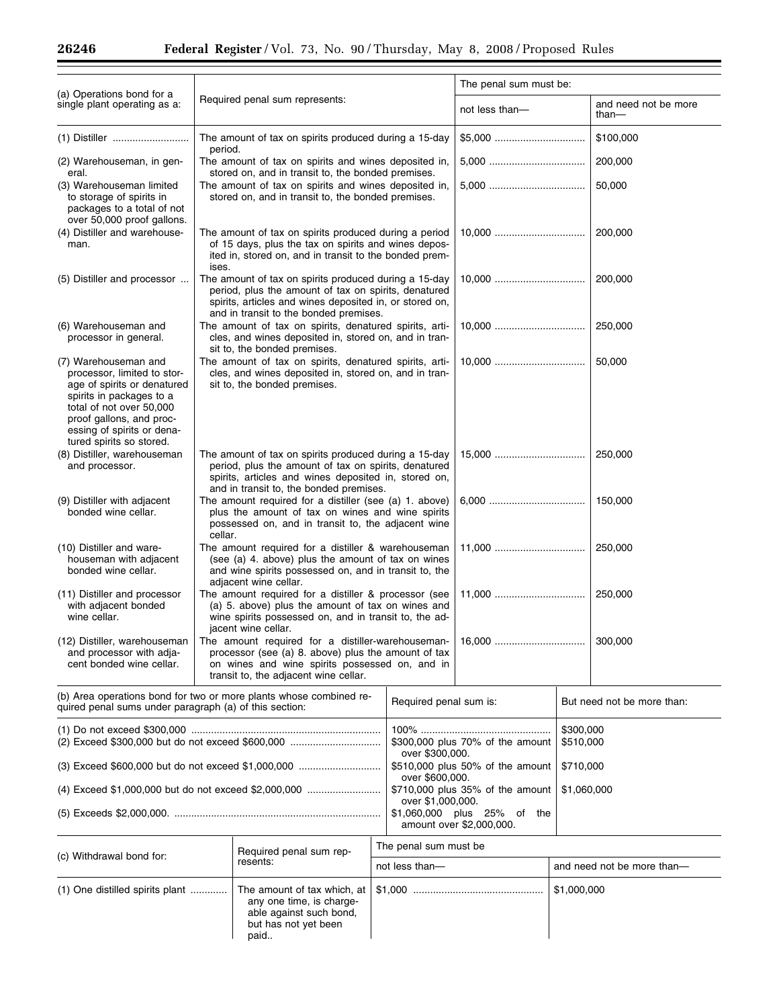$\equiv$ 

|                                                                                                                                                                                                                                                                   |                                                                                                                                                                                                                                                                                                |                                                                                                                                                 |                        | The penal sum must be:                              |                            |                               |  |
|-------------------------------------------------------------------------------------------------------------------------------------------------------------------------------------------------------------------------------------------------------------------|------------------------------------------------------------------------------------------------------------------------------------------------------------------------------------------------------------------------------------------------------------------------------------------------|-------------------------------------------------------------------------------------------------------------------------------------------------|------------------------|-----------------------------------------------------|----------------------------|-------------------------------|--|
| (a) Operations bond for a<br>single plant operating as a:                                                                                                                                                                                                         |                                                                                                                                                                                                                                                                                                | Required penal sum represents:                                                                                                                  |                        | not less than-                                      |                            | and need not be more<br>than- |  |
|                                                                                                                                                                                                                                                                   | The amount of tax on spirits produced during a 15-day<br>period.                                                                                                                                                                                                                               |                                                                                                                                                 |                        |                                                     | \$100,000                  |                               |  |
| (2) Warehouseman, in gen-<br>eral.                                                                                                                                                                                                                                | The amount of tax on spirits and wines deposited in,<br>stored on, and in transit to, the bonded premises.                                                                                                                                                                                     |                                                                                                                                                 |                        |                                                     | 200,000                    |                               |  |
| (3) Warehouseman limited<br>to storage of spirits in<br>packages to a total of not<br>over 50,000 proof gallons.                                                                                                                                                  | The amount of tax on spirits and wines deposited in,<br>stored on, and in transit to, the bonded premises.<br>The amount of tax on spirits produced during a period<br>of 15 days, plus the tax on spirits and wines depos-<br>ited in, stored on, and in transit to the bonded prem-<br>ises. |                                                                                                                                                 |                        |                                                     |                            | 50,000                        |  |
| (4) Distiller and warehouse-<br>man.                                                                                                                                                                                                                              |                                                                                                                                                                                                                                                                                                |                                                                                                                                                 |                        |                                                     | 200,000                    |                               |  |
| (5) Distiller and processor                                                                                                                                                                                                                                       | The amount of tax on spirits produced during a 15-day<br>period, plus the amount of tax on spirits, denatured<br>spirits, articles and wines deposited in, or stored on,<br>and in transit to the bonded premises.                                                                             |                                                                                                                                                 |                        |                                                     | 200,000                    |                               |  |
| (6) Warehouseman and<br>processor in general.                                                                                                                                                                                                                     |                                                                                                                                                                                                                                                                                                | The amount of tax on spirits, denatured spirits, arti-<br>cles, and wines deposited in, stored on, and in tran-<br>sit to, the bonded premises. |                        |                                                     | 250,000                    |                               |  |
| (7) Warehouseman and<br>processor, limited to stor-<br>age of spirits or denatured<br>spirits in packages to a<br>total of not over 50,000<br>proof gallons, and proc-<br>essing of spirits or dena-<br>tured spirits so stored.                                  | The amount of tax on spirits, denatured spirits, arti-<br>cles, and wines deposited in, stored on, and in tran-<br>sit to, the bonded premises.                                                                                                                                                |                                                                                                                                                 |                        |                                                     |                            | 50,000                        |  |
| (8) Distiller, warehouseman<br>and processor.                                                                                                                                                                                                                     | The amount of tax on spirits produced during a 15-day<br>period, plus the amount of tax on spirits, denatured<br>spirits, articles and wines deposited in, stored on,<br>and in transit to, the bonded premises.                                                                               |                                                                                                                                                 |                        |                                                     |                            | 250,000                       |  |
| (9) Distiller with adjacent<br>bonded wine cellar.                                                                                                                                                                                                                | The amount required for a distiller (see (a) 1. above)<br>plus the amount of tax on wines and wine spirits<br>possessed on, and in transit to, the adjacent wine<br>cellar.                                                                                                                    |                                                                                                                                                 |                        |                                                     |                            | 150,000                       |  |
| (10) Distiller and ware-<br>houseman with adjacent<br>bonded wine cellar.                                                                                                                                                                                         | The amount required for a distiller & warehouseman<br>(see (a) 4. above) plus the amount of tax on wines<br>and wine spirits possessed on, and in transit to, the<br>adjacent wine cellar.                                                                                                     |                                                                                                                                                 |                        |                                                     |                            | 250,000                       |  |
| The amount required for a distiller & processor (see<br>(11) Distiller and processor<br>with adjacent bonded<br>(a) 5. above) plus the amount of tax on wines and<br>wine cellar.<br>wine spirits possessed on, and in transit to, the ad-<br>jacent wine cellar. |                                                                                                                                                                                                                                                                                                |                                                                                                                                                 | 250,000                |                                                     |                            |                               |  |
| (12) Distiller, warehouseman  <br>and processor with adja-<br>cent bonded wine cellar.                                                                                                                                                                            | processor (see (a) 8. above) plus the amount of tax<br>on wines and wine spirits possessed on, and in<br>transit to, the adjacent wine cellar.                                                                                                                                                 |                                                                                                                                                 |                        |                                                     |                            | 300,000                       |  |
| (b) Area operations bond for two or more plants whose combined re-<br>quired penal sums under paragraph (a) of this section:                                                                                                                                      |                                                                                                                                                                                                                                                                                                |                                                                                                                                                 | Required penal sum is: |                                                     | But need not be more than: |                               |  |
|                                                                                                                                                                                                                                                                   |                                                                                                                                                                                                                                                                                                |                                                                                                                                                 |                        | \$300,000 plus 70% of the amount<br>over \$300,000. |                            | \$300,000<br>\$510,000        |  |
| $(3)$ Exceed \$600,000 but do not exceed \$1,000,000                                                                                                                                                                                                              |                                                                                                                                                                                                                                                                                                |                                                                                                                                                 | over \$600,000.        | \$510,000 plus 50% of the amount<br>\$710,000       |                            |                               |  |
| (4) Exceed \$1,000,000 but do not exceed \$2,000,000                                                                                                                                                                                                              |                                                                                                                                                                                                                                                                                                |                                                                                                                                                 |                        | \$710,000 plus 35% of the amount                    | \$1,060,000                |                               |  |
|                                                                                                                                                                                                                                                                   |                                                                                                                                                                                                                                                                                                | over \$1,000,000.<br>\$1,060,000 plus 25% of the<br>amount over \$2,000,000.                                                                    |                        |                                                     |                            |                               |  |
| (c) Withdrawal bond for:                                                                                                                                                                                                                                          |                                                                                                                                                                                                                                                                                                | Required penal sum rep-                                                                                                                         | The penal sum must be  |                                                     |                            |                               |  |
|                                                                                                                                                                                                                                                                   |                                                                                                                                                                                                                                                                                                | resents:                                                                                                                                        | not less than-         |                                                     |                            | and need not be more than-    |  |
| $(1)$ One distilled spirits plant<br>The amount of tax which, at<br>any one time, is charge-<br>able against such bond,<br>but has not yet been<br>paid                                                                                                           |                                                                                                                                                                                                                                                                                                |                                                                                                                                                 |                        | \$1,000,000                                         |                            |                               |  |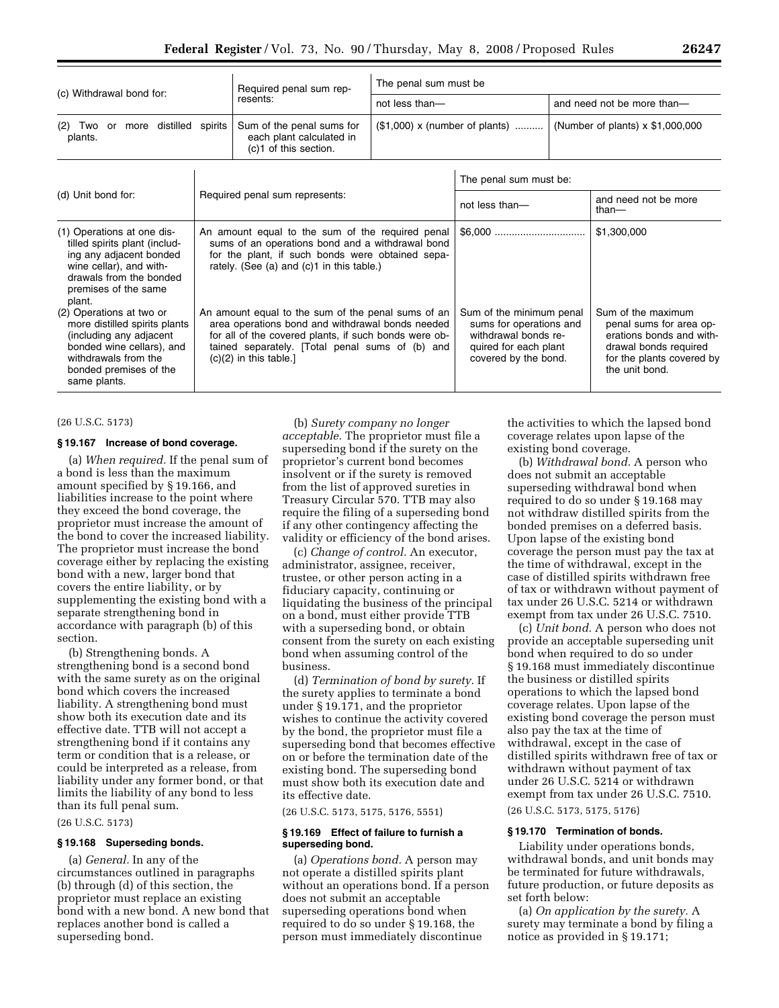| (c) Withdrawal bond for:                                                                                                                                                                                                                                                                            |  | Required penal sum rep-                                                                                                                                                                                                                                                                                                                                                                                                     | The penal sum must be                                                                                |                |                                                                                                                   |                                         |  |
|-----------------------------------------------------------------------------------------------------------------------------------------------------------------------------------------------------------------------------------------------------------------------------------------------------|--|-----------------------------------------------------------------------------------------------------------------------------------------------------------------------------------------------------------------------------------------------------------------------------------------------------------------------------------------------------------------------------------------------------------------------------|------------------------------------------------------------------------------------------------------|----------------|-------------------------------------------------------------------------------------------------------------------|-----------------------------------------|--|
|                                                                                                                                                                                                                                                                                                     |  | resents:                                                                                                                                                                                                                                                                                                                                                                                                                    | not less than-                                                                                       |                | and need not be more than-                                                                                        |                                         |  |
| more distilled spirits<br>(2)<br>Two<br>or<br>plants.                                                                                                                                                                                                                                               |  | Sum of the penal sums for<br>each plant calculated in<br>(c)1 of this section.                                                                                                                                                                                                                                                                                                                                              | $($1,000) \times (number of plants)$                                                                 |                |                                                                                                                   | (Number of plants) $\times$ \$1,000,000 |  |
| (d) Unit bond for:<br>Required penal sum represents:                                                                                                                                                                                                                                                |  |                                                                                                                                                                                                                                                                                                                                                                                                                             | The penal sum must be:                                                                               |                |                                                                                                                   |                                         |  |
|                                                                                                                                                                                                                                                                                                     |  |                                                                                                                                                                                                                                                                                                                                                                                                                             |                                                                                                      | not less than- |                                                                                                                   | and need not be more<br>than-           |  |
| (1) Operations at one dis-<br>tilled spirits plant (includ-<br>ing any adjacent bonded<br>wine cellar), and with-<br>drawals from the bonded<br>premises of the same<br>plant.<br>(2) Operations at two or<br>more distilled spirits plants<br>(including any adjacent<br>bonded wine cellars), and |  | An amount equal to the sum of the required penal<br>sums of an operations bond and a withdrawal bond<br>for the plant, if such bonds were obtained sepa-<br>rately. (See (a) and (c)1 in this table.)<br>An amount equal to the sum of the penal sums of an<br>area operations bond and withdrawal bonds needed<br>for all of the covered plants, if such bonds were ob-<br>tained separately. [Total penal sums of (b) and | Sum of the minimum penal<br>sums for operations and<br>withdrawal bonds re-<br>quired for each plant |                | \$1,300,000<br>Sum of the maximum<br>penal sums for area op-<br>erations bonds and with-<br>drawal bonds required |                                         |  |
| withdrawals from the<br>$(c)(2)$ in this table.]<br>bonded premises of the<br>same plants.                                                                                                                                                                                                          |  |                                                                                                                                                                                                                                                                                                                                                                                                                             | covered by the bond.                                                                                 |                | for the plants covered by<br>the unit bond.                                                                       |                                         |  |

#### (26 U.S.C. 5173)

### **§ 19.167 Increase of bond coverage.**

(a) *When required.* If the penal sum of a bond is less than the maximum amount specified by § 19.166, and liabilities increase to the point where they exceed the bond coverage, the proprietor must increase the amount of the bond to cover the increased liability. The proprietor must increase the bond coverage either by replacing the existing bond with a new, larger bond that covers the entire liability, or by supplementing the existing bond with a separate strengthening bond in accordance with paragraph (b) of this section.

(b) Strengthening bonds. A strengthening bond is a second bond with the same surety as on the original bond which covers the increased liability. A strengthening bond must show both its execution date and its effective date. TTB will not accept a strengthening bond if it contains any term or condition that is a release, or could be interpreted as a release, from liability under any former bond, or that limits the liability of any bond to less than its full penal sum.

#### (26 U.S.C. 5173)

## **§ 19.168 Superseding bonds.**

(a) *General.* In any of the circumstances outlined in paragraphs (b) through (d) of this section, the proprietor must replace an existing bond with a new bond. A new bond that replaces another bond is called a superseding bond.

(b) *Surety company no longer acceptable.* The proprietor must file a superseding bond if the surety on the proprietor's current bond becomes insolvent or if the surety is removed from the list of approved sureties in Treasury Circular 570. TTB may also require the filing of a superseding bond if any other contingency affecting the validity or efficiency of the bond arises.

(c) *Change of control.* An executor, administrator, assignee, receiver, trustee, or other person acting in a fiduciary capacity, continuing or liquidating the business of the principal on a bond, must either provide TTB with a superseding bond, or obtain consent from the surety on each existing bond when assuming control of the business.

(d) *Termination of bond by surety.* If the surety applies to terminate a bond under § 19.171, and the proprietor wishes to continue the activity covered by the bond, the proprietor must file a superseding bond that becomes effective on or before the termination date of the existing bond. The superseding bond must show both its execution date and its effective date.

(26 U.S.C. 5173, 5175, 5176, 5551)

## **§ 19.169 Effect of failure to furnish a superseding bond.**

(a) *Operations bond.* A person may not operate a distilled spirits plant without an operations bond. If a person does not submit an acceptable superseding operations bond when required to do so under § 19.168, the person must immediately discontinue

the activities to which the lapsed bond coverage relates upon lapse of the existing bond coverage.

(b) *Withdrawal bond.* A person who does not submit an acceptable superseding withdrawal bond when required to do so under § 19.168 may not withdraw distilled spirits from the bonded premises on a deferred basis. Upon lapse of the existing bond coverage the person must pay the tax at the time of withdrawal, except in the case of distilled spirits withdrawn free of tax or withdrawn without payment of tax under 26 U.S.C. 5214 or withdrawn exempt from tax under 26 U.S.C. 7510.

(c) *Unit bond.* A person who does not provide an acceptable superseding unit bond when required to do so under § 19.168 must immediately discontinue the business or distilled spirits operations to which the lapsed bond coverage relates. Upon lapse of the existing bond coverage the person must also pay the tax at the time of withdrawal, except in the case of distilled spirits withdrawn free of tax or withdrawn without payment of tax under 26 U.S.C. 5214 or withdrawn exempt from tax under 26 U.S.C. 7510. (26 U.S.C. 5173, 5175, 5176)

# **§ 19.170 Termination of bonds.**

Liability under operations bonds, withdrawal bonds, and unit bonds may be terminated for future withdrawals, future production, or future deposits as set forth below:

(a) *On application by the surety.* A surety may terminate a bond by filing a notice as provided in § 19.171;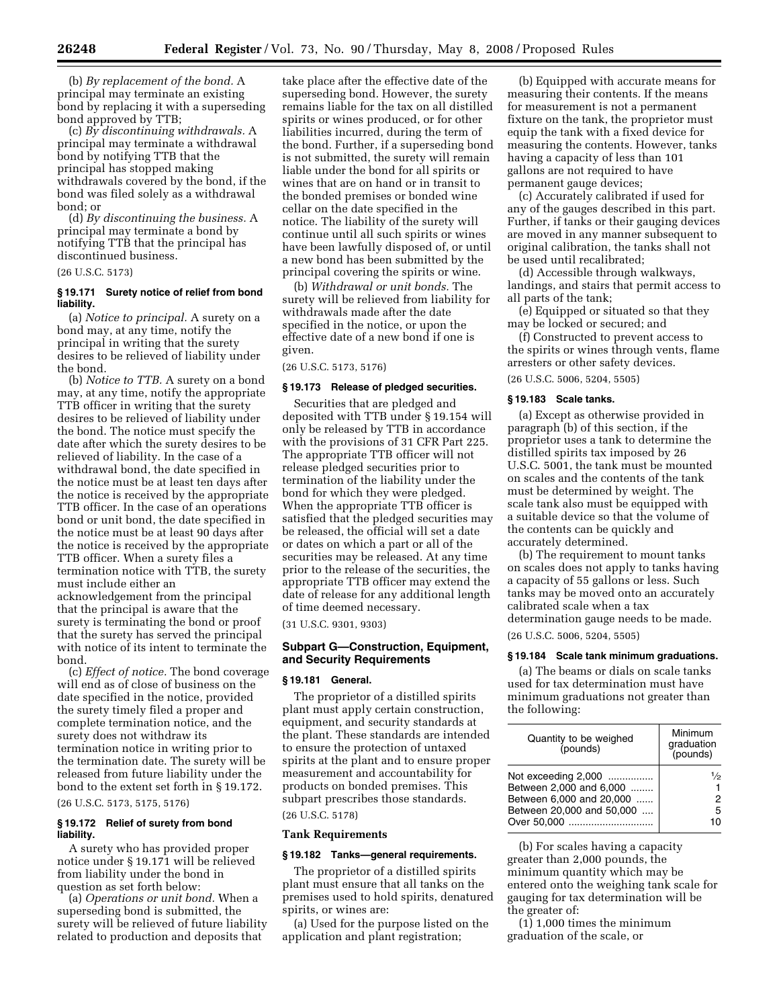(b) *By replacement of the bond.* A principal may terminate an existing bond by replacing it with a superseding bond approved by TTB;

(c) *By discontinuing withdrawals.* A principal may terminate a withdrawal bond by notifying TTB that the principal has stopped making withdrawals covered by the bond, if the bond was filed solely as a withdrawal bond; or

(d) *By discontinuing the business.* A principal may terminate a bond by notifying TTB that the principal has discontinued business.

## (26 U.S.C. 5173)

## **§ 19.171 Surety notice of relief from bond liability.**

(a) *Notice to principal.* A surety on a bond may, at any time, notify the principal in writing that the surety desires to be relieved of liability under the bond.

(b) *Notice to TTB.* A surety on a bond may, at any time, notify the appropriate TTB officer in writing that the surety desires to be relieved of liability under the bond. The notice must specify the date after which the surety desires to be relieved of liability. In the case of a withdrawal bond, the date specified in the notice must be at least ten days after the notice is received by the appropriate TTB officer. In the case of an operations bond or unit bond, the date specified in the notice must be at least 90 days after the notice is received by the appropriate TTB officer. When a surety files a termination notice with TTB, the surety must include either an acknowledgement from the principal that the principal is aware that the surety is terminating the bond or proof that the surety has served the principal with notice of its intent to terminate the

bond. (c) *Effect of notice.* The bond coverage will end as of close of business on the date specified in the notice, provided the surety timely filed a proper and complete termination notice, and the surety does not withdraw its termination notice in writing prior to the termination date. The surety will be released from future liability under the bond to the extent set forth in § 19.172.

(26 U.S.C. 5173, 5175, 5176)

#### **§ 19.172 Relief of surety from bond liability.**

A surety who has provided proper notice under § 19.171 will be relieved from liability under the bond in question as set forth below:

(a) *Operations or unit bond.* When a superseding bond is submitted, the surety will be relieved of future liability related to production and deposits that

take place after the effective date of the superseding bond. However, the surety remains liable for the tax on all distilled spirits or wines produced, or for other liabilities incurred, during the term of the bond. Further, if a superseding bond is not submitted, the surety will remain liable under the bond for all spirits or wines that are on hand or in transit to the bonded premises or bonded wine cellar on the date specified in the notice. The liability of the surety will continue until all such spirits or wines have been lawfully disposed of, or until a new bond has been submitted by the principal covering the spirits or wine.

(b) *Withdrawal or unit bonds.* The surety will be relieved from liability for withdrawals made after the date specified in the notice, or upon the effective date of a new bond if one is given.

(26 U.S.C. 5173, 5176)

#### **§ 19.173 Release of pledged securities.**

Securities that are pledged and deposited with TTB under § 19.154 will only be released by TTB in accordance with the provisions of 31 CFR Part 225. The appropriate TTB officer will not release pledged securities prior to termination of the liability under the bond for which they were pledged. When the appropriate TTB officer is satisfied that the pledged securities may be released, the official will set a date or dates on which a part or all of the securities may be released. At any time prior to the release of the securities, the appropriate TTB officer may extend the date of release for any additional length of time deemed necessary.

(31 U.S.C. 9301, 9303)

## **Subpart G—Construction, Equipment, and Security Requirements**

#### **§ 19.181 General.**

The proprietor of a distilled spirits plant must apply certain construction, equipment, and security standards at the plant. These standards are intended to ensure the protection of untaxed spirits at the plant and to ensure proper measurement and accountability for products on bonded premises. This subpart prescribes those standards. (26 U.S.C. 5178)

# **Tank Requirements**

## **§ 19.182 Tanks—general requirements.**

The proprietor of a distilled spirits plant must ensure that all tanks on the premises used to hold spirits, denatured spirits, or wines are:

(a) Used for the purpose listed on the application and plant registration;

(b) Equipped with accurate means for measuring their contents. If the means for measurement is not a permanent fixture on the tank, the proprietor must equip the tank with a fixed device for measuring the contents. However, tanks having a capacity of less than 101 gallons are not required to have permanent gauge devices;

(c) Accurately calibrated if used for any of the gauges described in this part. Further, if tanks or their gauging devices are moved in any manner subsequent to original calibration, the tanks shall not be used until recalibrated;

(d) Accessible through walkways, landings, and stairs that permit access to all parts of the tank;

(e) Equipped or situated so that they may be locked or secured; and

(f) Constructed to prevent access to the spirits or wines through vents, flame arresters or other safety devices.

(26 U.S.C. 5006, 5204, 5505)

## **§ 19.183 Scale tanks.**

(a) Except as otherwise provided in paragraph (b) of this section, if the proprietor uses a tank to determine the distilled spirits tax imposed by 26 U.S.C. 5001, the tank must be mounted on scales and the contents of the tank must be determined by weight. The scale tank also must be equipped with a suitable device so that the volume of the contents can be quickly and accurately determined.

(b) The requirement to mount tanks on scales does not apply to tanks having a capacity of 55 gallons or less. Such tanks may be moved onto an accurately calibrated scale when a tax determination gauge needs to be made.

(26 U.S.C. 5006, 5204, 5505)

#### **§ 19.184 Scale tank minimum graduations.**

(a) The beams or dials on scale tanks used for tax determination must have minimum graduations not greater than the following:

| Quantity to be weighed                                                                                                 | Minimum                |
|------------------------------------------------------------------------------------------------------------------------|------------------------|
| (pounds)                                                                                                               | graduation<br>(pounds) |
| Not exceeding 2,000<br>Between 2.000 and 6.000<br>Between 6,000 and 20,000<br>Between 20,000 and 50,000<br>Over 50,000 | 1/2<br>5<br>ın         |

(b) For scales having a capacity greater than 2,000 pounds, the minimum quantity which may be entered onto the weighing tank scale for gauging for tax determination will be the greater of:

(1) 1,000 times the minimum graduation of the scale, or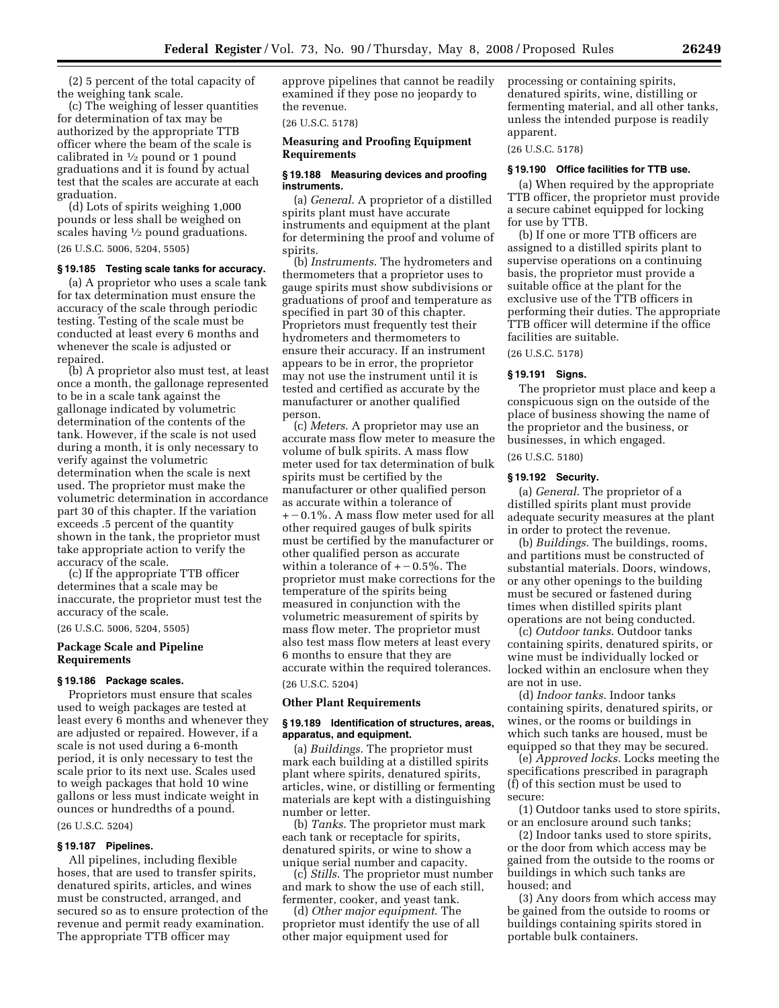(2) 5 percent of the total capacity of the weighing tank scale.

(c) The weighing of lesser quantities for determination of tax may be authorized by the appropriate TTB officer where the beam of the scale is calibrated in  $\frac{1}{2}$  pound or 1 pound graduations and it is found by actual test that the scales are accurate at each graduation.

(d) Lots of spirits weighing 1,000 pounds or less shall be weighed on scales having  $\frac{1}{2}$  pound graduations.

(26 U.S.C. 5006, 5204, 5505)

## **§ 19.185 Testing scale tanks for accuracy.**

(a) A proprietor who uses a scale tank for tax determination must ensure the accuracy of the scale through periodic testing. Testing of the scale must be conducted at least every 6 months and whenever the scale is adjusted or repaired.

(b) A proprietor also must test, at least once a month, the gallonage represented to be in a scale tank against the gallonage indicated by volumetric determination of the contents of the tank. However, if the scale is not used during a month, it is only necessary to verify against the volumetric determination when the scale is next used. The proprietor must make the volumetric determination in accordance part 30 of this chapter. If the variation exceeds .5 percent of the quantity shown in the tank, the proprietor must take appropriate action to verify the accuracy of the scale.

(c) If the appropriate TTB officer determines that a scale may be inaccurate, the proprietor must test the accuracy of the scale.

(26 U.S.C. 5006, 5204, 5505)

## **Package Scale and Pipeline Requirements**

#### **§ 19.186 Package scales.**

Proprietors must ensure that scales used to weigh packages are tested at least every 6 months and whenever they are adjusted or repaired. However, if a scale is not used during a 6-month period, it is only necessary to test the scale prior to its next use. Scales used to weigh packages that hold 10 wine gallons or less must indicate weight in ounces or hundredths of a pound.

# (26 U.S.C. 5204)

## **§ 19.187 Pipelines.**

All pipelines, including flexible hoses, that are used to transfer spirits, denatured spirits, articles, and wines must be constructed, arranged, and secured so as to ensure protection of the revenue and permit ready examination. The appropriate TTB officer may

approve pipelines that cannot be readily examined if they pose no jeopardy to the revenue.

(26 U.S.C. 5178)

## **Measuring and Proofing Equipment Requirements**

#### **§ 19.188 Measuring devices and proofing instruments.**

(a) *General*. A proprietor of a distilled spirits plant must have accurate instruments and equipment at the plant for determining the proof and volume of spirits.

(b) *Instruments*. The hydrometers and thermometers that a proprietor uses to gauge spirits must show subdivisions or graduations of proof and temperature as specified in part 30 of this chapter. Proprietors must frequently test their hydrometers and thermometers to ensure their accuracy. If an instrument appears to be in error, the proprietor may not use the instrument until it is tested and certified as accurate by the manufacturer or another qualified person.

(c) *Meters*. A proprietor may use an accurate mass flow meter to measure the volume of bulk spirits. A mass flow meter used for tax determination of bulk spirits must be certified by the manufacturer or other qualified person as accurate within a tolerance of  $+$  – 0.1%. A mass flow meter used for all other required gauges of bulk spirits must be certified by the manufacturer or other qualified person as accurate within a tolerance of  $+$  – 0.5%. The proprietor must make corrections for the temperature of the spirits being measured in conjunction with the volumetric measurement of spirits by mass flow meter. The proprietor must also test mass flow meters at least every 6 months to ensure that they are accurate within the required tolerances. (26 U.S.C. 5204)

#### **Other Plant Requirements**

## **§ 19.189 Identification of structures, areas, apparatus, and equipment.**

(a) *Buildings*. The proprietor must mark each building at a distilled spirits plant where spirits, denatured spirits, articles, wine, or distilling or fermenting materials are kept with a distinguishing number or letter.

(b) *Tanks*. The proprietor must mark each tank or receptacle for spirits, denatured spirits, or wine to show a unique serial number and capacity.

(c) *Stills*. The proprietor must number and mark to show the use of each still, fermenter, cooker, and yeast tank.

(d) *Other major equipment*. The proprietor must identify the use of all other major equipment used for

processing or containing spirits, denatured spirits, wine, distilling or fermenting material, and all other tanks, unless the intended purpose is readily apparent.

(26 U.S.C. 5178)

## **§ 19.190 Office facilities for TTB use.**

(a) When required by the appropriate TTB officer, the proprietor must provide a secure cabinet equipped for locking for use by TTB.

(b) If one or more TTB officers are assigned to a distilled spirits plant to supervise operations on a continuing basis, the proprietor must provide a suitable office at the plant for the exclusive use of the TTB officers in performing their duties. The appropriate TTB officer will determine if the office facilities are suitable.

(26 U.S.C. 5178)

#### **§ 19.191 Signs.**

The proprietor must place and keep a conspicuous sign on the outside of the place of business showing the name of the proprietor and the business, or businesses, in which engaged.

## (26 U.S.C. 5180)

## **§ 19.192 Security.**

(a) *General*. The proprietor of a distilled spirits plant must provide adequate security measures at the plant in order to protect the revenue.

(b) *Buildings*. The buildings, rooms, and partitions must be constructed of substantial materials. Doors, windows, or any other openings to the building must be secured or fastened during times when distilled spirits plant operations are not being conducted.

(c) *Outdoor tanks*. Outdoor tanks containing spirits, denatured spirits, or wine must be individually locked or locked within an enclosure when they are not in use.

(d) *Indoor tanks*. Indoor tanks containing spirits, denatured spirits, or wines, or the rooms or buildings in which such tanks are housed, must be equipped so that they may be secured.

(e) *Approved locks*. Locks meeting the specifications prescribed in paragraph (f) of this section must be used to secure:

(1) Outdoor tanks used to store spirits, or an enclosure around such tanks;

(2) Indoor tanks used to store spirits, or the door from which access may be gained from the outside to the rooms or buildings in which such tanks are housed; and

(3) Any doors from which access may be gained from the outside to rooms or buildings containing spirits stored in portable bulk containers.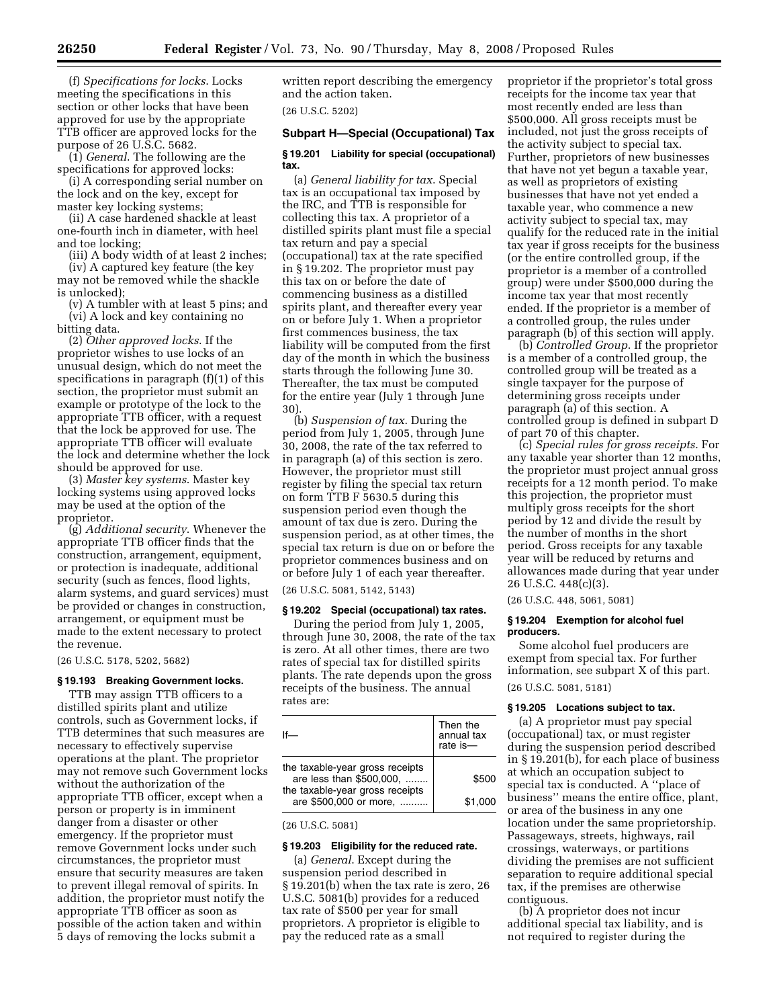(f) *Specifications for locks*. Locks meeting the specifications in this section or other locks that have been approved for use by the appropriate TTB officer are approved locks for the purpose of 26 U.S.C. 5682.

(1) *General*. The following are the specifications for approved locks:

(i) A corresponding serial number on the lock and on the key, except for master key locking systems;

(ii) A case hardened shackle at least one-fourth inch in diameter, with heel and toe locking;

(iii) A body width of at least 2 inches;

(iv) A captured key feature (the key may not be removed while the shackle is unlocked);

(v) A tumbler with at least 5 pins; and (vi) A lock and key containing no bitting data.

(2) *Other approved locks*. If the proprietor wishes to use locks of an unusual design, which do not meet the specifications in paragraph (f)(1) of this section, the proprietor must submit an example or prototype of the lock to the appropriate TTB officer, with a request that the lock be approved for use. The appropriate TTB officer will evaluate the lock and determine whether the lock should be approved for use.

(3) *Master key systems*. Master key locking systems using approved locks may be used at the option of the proprietor.

(g) *Additional security*. Whenever the appropriate TTB officer finds that the construction, arrangement, equipment, or protection is inadequate, additional security (such as fences, flood lights, alarm systems, and guard services) must be provided or changes in construction, arrangement, or equipment must be made to the extent necessary to protect the revenue.

(26 U.S.C. 5178, 5202, 5682)

#### **§ 19.193 Breaking Government locks.**

TTB may assign TTB officers to a distilled spirits plant and utilize controls, such as Government locks, if TTB determines that such measures are necessary to effectively supervise operations at the plant. The proprietor may not remove such Government locks without the authorization of the appropriate TTB officer, except when a person or property is in imminent danger from a disaster or other emergency. If the proprietor must remove Government locks under such circumstances, the proprietor must ensure that security measures are taken to prevent illegal removal of spirits. In addition, the proprietor must notify the appropriate TTB officer as soon as possible of the action taken and within 5 days of removing the locks submit a

written report describing the emergency and the action taken.

(26 U.S.C. 5202)

## **Subpart H—Special (Occupational) Tax**

#### **§ 19.201 Liability for special (occupational) tax.**

(a) *General liability for tax*. Special tax is an occupational tax imposed by the IRC, and TTB is responsible for collecting this tax. A proprietor of a distilled spirits plant must file a special tax return and pay a special (occupational) tax at the rate specified in § 19.202. The proprietor must pay this tax on or before the date of commencing business as a distilled spirits plant, and thereafter every year on or before July 1. When a proprietor first commences business, the tax liability will be computed from the first day of the month in which the business starts through the following June 30. Thereafter, the tax must be computed for the entire year (July 1 through June 30).

(b) *Suspension of tax*. During the period from July 1, 2005, through June 30, 2008, the rate of the tax referred to in paragraph (a) of this section is zero. However, the proprietor must still register by filing the special tax return on form TTB F 5630.5 during this suspension period even though the amount of tax due is zero. During the suspension period, as at other times, the special tax return is due on or before the proprietor commences business and on or before July 1 of each year thereafter. (26 U.S.C. 5081, 5142, 5143)

#### **§ 19.202 Special (occupational) tax rates.**

During the period from July 1, 2005, through June 30, 2008, the rate of the tax is zero. At all other times, there are two rates of special tax for distilled spirits plants. The rate depends upon the gross receipts of the business. The annual rates are:

|                                                             | Then the<br>annual tax<br>rate is- |
|-------------------------------------------------------------|------------------------------------|
| the taxable-year gross receipts<br>are less than \$500,000, | \$500                              |
| the taxable-year gross receipts<br>are \$500,000 or more,   | \$1,000                            |

(26 U.S.C. 5081)

## **§ 19.203 Eligibility for the reduced rate.**

(a) *General*. Except during the suspension period described in § 19.201(b) when the tax rate is zero, 26 U.S.C. 5081(b) provides for a reduced tax rate of \$500 per year for small proprietors. A proprietor is eligible to pay the reduced rate as a small

proprietor if the proprietor's total gross receipts for the income tax year that most recently ended are less than \$500,000. All gross receipts must be included, not just the gross receipts of the activity subject to special tax. Further, proprietors of new businesses that have not yet begun a taxable year, as well as proprietors of existing businesses that have not yet ended a taxable year, who commence a new activity subject to special tax, may qualify for the reduced rate in the initial tax year if gross receipts for the business (or the entire controlled group, if the proprietor is a member of a controlled group) were under \$500,000 during the income tax year that most recently ended. If the proprietor is a member of a controlled group, the rules under paragraph (b) of this section will apply.

(b) *Controlled Group*. If the proprietor is a member of a controlled group, the controlled group will be treated as a single taxpayer for the purpose of determining gross receipts under paragraph (a) of this section. A controlled group is defined in subpart D of part 70 of this chapter.

(c) *Special rules for gross receipts*. For any taxable year shorter than 12 months, the proprietor must project annual gross receipts for a 12 month period. To make this projection, the proprietor must multiply gross receipts for the short period by 12 and divide the result by the number of months in the short period. Gross receipts for any taxable year will be reduced by returns and allowances made during that year under 26 U.S.C. 448(c)(3).

(26 U.S.C. 448, 5061, 5081)

## **§ 19.204 Exemption for alcohol fuel producers.**

Some alcohol fuel producers are exempt from special tax. For further information, see subpart X of this part. (26 U.S.C. 5081, 5181)

#### **§ 19.205 Locations subject to tax.**

(a) A proprietor must pay special (occupational) tax, or must register during the suspension period described in § 19.201(b), for each place of business at which an occupation subject to special tax is conducted. A ''place of business'' means the entire office, plant, or area of the business in any one location under the same proprietorship. Passageways, streets, highways, rail crossings, waterways, or partitions dividing the premises are not sufficient separation to require additional special tax, if the premises are otherwise contiguous.

(b) A proprietor does not incur additional special tax liability, and is not required to register during the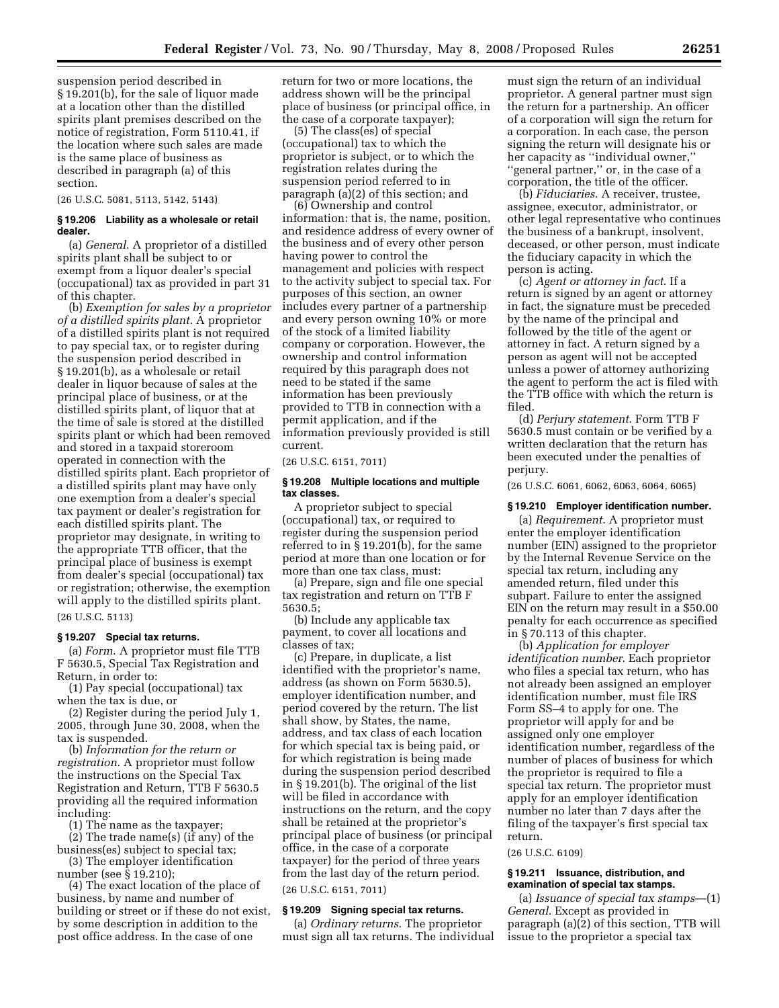suspension period described in § 19.201(b), for the sale of liquor made at a location other than the distilled spirits plant premises described on the notice of registration, Form 5110.41, if the location where such sales are made is the same place of business as described in paragraph (a) of this section.

(26 U.S.C. 5081, 5113, 5142, 5143)

#### **§ 19.206 Liability as a wholesale or retail dealer.**

(a) *General*. A proprietor of a distilled spirits plant shall be subject to or exempt from a liquor dealer's special (occupational) tax as provided in part 31 of this chapter.

(b) *Exemption for sales by a proprietor of a distilled spirits plant*. A proprietor of a distilled spirits plant is not required to pay special tax, or to register during the suspension period described in § 19.201(b), as a wholesale or retail dealer in liquor because of sales at the principal place of business, or at the distilled spirits plant, of liquor that at the time of sale is stored at the distilled spirits plant or which had been removed and stored in a taxpaid storeroom operated in connection with the distilled spirits plant. Each proprietor of a distilled spirits plant may have only one exemption from a dealer's special tax payment or dealer's registration for each distilled spirits plant. The proprietor may designate, in writing to the appropriate TTB officer, that the principal place of business is exempt from dealer's special (occupational) tax or registration; otherwise, the exemption will apply to the distilled spirits plant. (26 U.S.C. 5113)

**§ 19.207 Special tax returns.**  (a) *Form*. A proprietor must file TTB F 5630.5, Special Tax Registration and Return, in order to:

(1) Pay special (occupational) tax when the tax is due, or

(2) Register during the period July 1, 2005, through June 30, 2008, when the tax is suspended.

(b) *Information for the return or registration*. A proprietor must follow the instructions on the Special Tax Registration and Return, TTB F 5630.5 providing all the required information including:

(1) The name as the taxpayer;

(2) The trade name(s) (if any) of the business(es) subject to special tax;

(3) The employer identification number (see § 19.210);

(4) The exact location of the place of business, by name and number of building or street or if these do not exist, by some description in addition to the post office address. In the case of one

return for two or more locations, the address shown will be the principal place of business (or principal office, in the case of a corporate taxpayer);

(5) The class(es) of special (occupational) tax to which the proprietor is subject, or to which the registration relates during the suspension period referred to in paragraph (a)(2) of this section; and

(6) Ownership and control information: that is, the name, position, and residence address of every owner of the business and of every other person having power to control the management and policies with respect to the activity subject to special tax. For purposes of this section, an owner includes every partner of a partnership and every person owning 10% or more of the stock of a limited liability company or corporation. However, the ownership and control information required by this paragraph does not need to be stated if the same information has been previously provided to TTB in connection with a permit application, and if the information previously provided is still current.

(26 U.S.C. 6151, 7011)

## **§ 19.208 Multiple locations and multiple tax classes.**

A proprietor subject to special (occupational) tax, or required to register during the suspension period referred to in § 19.201(b), for the same period at more than one location or for more than one tax class, must:

(a) Prepare, sign and file one special tax registration and return on TTB F 5630.5;

(b) Include any applicable tax payment, to cover all locations and classes of tax;

(c) Prepare, in duplicate, a list identified with the proprietor's name, address (as shown on Form 5630.5), employer identification number, and period covered by the return. The list shall show, by States, the name, address, and tax class of each location for which special tax is being paid, or for which registration is being made during the suspension period described in § 19.201(b). The original of the list will be filed in accordance with instructions on the return, and the copy shall be retained at the proprietor's principal place of business (or principal office, in the case of a corporate taxpayer) for the period of three years from the last day of the return period.

(26 U.S.C. 6151, 7011)

## **§ 19.209 Signing special tax returns.**

(a) *Ordinary returns*. The proprietor must sign all tax returns. The individual must sign the return of an individual proprietor. A general partner must sign the return for a partnership. An officer of a corporation will sign the return for a corporation. In each case, the person signing the return will designate his or her capacity as ''individual owner,'' ''general partner,'' or, in the case of a corporation, the title of the officer.

(b) *Fiduciaries*. A receiver, trustee, assignee, executor, administrator, or other legal representative who continues the business of a bankrupt, insolvent, deceased, or other person, must indicate the fiduciary capacity in which the person is acting.

(c) *Agent or attorney in fact*. If a return is signed by an agent or attorney in fact, the signature must be preceded by the name of the principal and followed by the title of the agent or attorney in fact. A return signed by a person as agent will not be accepted unless a power of attorney authorizing the agent to perform the act is filed with the TTB office with which the return is filed.

(d) *Perjury statement*. Form TTB F 5630.5 must contain or be verified by a written declaration that the return has been executed under the penalties of perjury.

(26 U.S.C. 6061, 6062, 6063, 6064, 6065)

#### **§ 19.210 Employer identification number.**

(a) *Requirement*. A proprietor must enter the employer identification number (EIN) assigned to the proprietor by the Internal Revenue Service on the special tax return, including any amended return, filed under this subpart. Failure to enter the assigned EIN on the return may result in a \$50.00 penalty for each occurrence as specified in § 70.113 of this chapter.

(b) *Application for employer identification number*. Each proprietor who files a special tax return, who has not already been assigned an employer identification number, must file IRS Form SS–4 to apply for one. The proprietor will apply for and be assigned only one employer identification number, regardless of the number of places of business for which the proprietor is required to file a special tax return. The proprietor must apply for an employer identification number no later than 7 days after the filing of the taxpayer's first special tax return.

(26 U.S.C. 6109)

## **§ 19.211 Issuance, distribution, and examination of special tax stamps.**

(a) *Issuance of special tax stamps*—(1) *General*. Except as provided in paragraph (a)(2) of this section, TTB will issue to the proprietor a special tax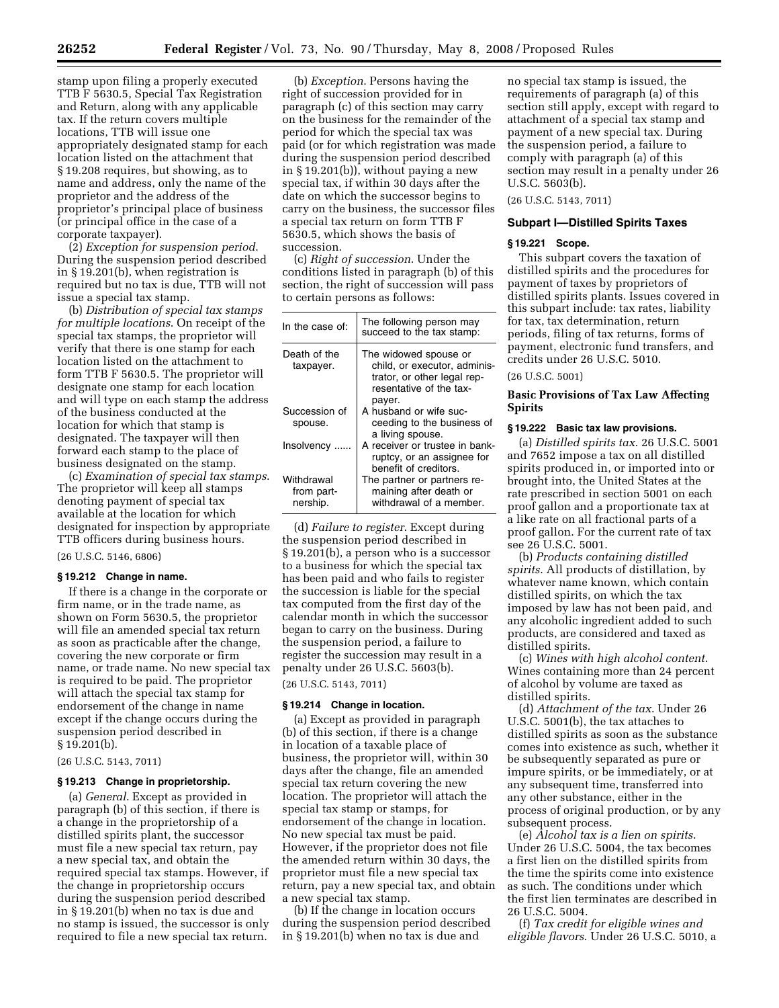stamp upon filing a properly executed TTB F 5630.5, Special Tax Registration and Return, along with any applicable tax. If the return covers multiple locations, TTB will issue one appropriately designated stamp for each location listed on the attachment that § 19.208 requires, but showing, as to name and address, only the name of the proprietor and the address of the proprietor's principal place of business (or principal office in the case of a corporate taxpayer).

(2) *Exception for suspension period*. During the suspension period described in § 19.201(b), when registration is required but no tax is due, TTB will not issue a special tax stamp.

(b) *Distribution of special tax stamps for multiple locations*. On receipt of the special tax stamps, the proprietor will verify that there is one stamp for each location listed on the attachment to form TTB F 5630.5. The proprietor will designate one stamp for each location and will type on each stamp the address of the business conducted at the location for which that stamp is designated. The taxpayer will then forward each stamp to the place of business designated on the stamp.

(c) *Examination of special tax stamps*. The proprietor will keep all stamps denoting payment of special tax available at the location for which designated for inspection by appropriate TTB officers during business hours.

(26 U.S.C. 5146, 6806)

#### **§ 19.212 Change in name.**

If there is a change in the corporate or firm name, or in the trade name, as shown on Form 5630.5, the proprietor will file an amended special tax return as soon as practicable after the change, covering the new corporate or firm name, or trade name. No new special tax is required to be paid. The proprietor will attach the special tax stamp for endorsement of the change in name except if the change occurs during the suspension period described in  $§ 19.201(b).$ 

(26 U.S.C. 5143, 7011)

## **§ 19.213 Change in proprietorship.**

(a) *General*. Except as provided in paragraph (b) of this section, if there is a change in the proprietorship of a distilled spirits plant, the successor must file a new special tax return, pay a new special tax, and obtain the required special tax stamps. However, if the change in proprietorship occurs during the suspension period described in § 19.201(b) when no tax is due and no stamp is issued, the successor is only required to file a new special tax return.

(b) *Exception*. Persons having the right of succession provided for in paragraph (c) of this section may carry on the business for the remainder of the period for which the special tax was paid (or for which registration was made during the suspension period described in § 19.201(b)), without paying a new special tax, if within 30 days after the date on which the successor begins to carry on the business, the successor files a special tax return on form TTB F 5630.5, which shows the basis of succession.

(c) *Right of succession*. Under the conditions listed in paragraph (b) of this section, the right of succession will pass to certain persons as follows:

| In the case of:                      | The following person may<br>succeed to the tax stamp:                                                                     |
|--------------------------------------|---------------------------------------------------------------------------------------------------------------------------|
| Death of the<br>taxpayer.            | The widowed spouse or<br>child, or executor, adminis-<br>trator, or other legal rep-<br>resentative of the tax-<br>payer. |
| Succession of<br>spouse.             | A husband or wife suc-<br>ceeding to the business of<br>a living spouse.                                                  |
| Insolvency                           | A receiver or trustee in bank-<br>ruptcy, or an assignee for<br>benefit of creditors.                                     |
| Withdrawal<br>from part-<br>nership. | The partner or partners re-<br>maining after death or<br>withdrawal of a member.                                          |

(d) *Failure to register*. Except during the suspension period described in § 19.201(b), a person who is a successor to a business for which the special tax has been paid and who fails to register the succession is liable for the special tax computed from the first day of the calendar month in which the successor began to carry on the business. During the suspension period, a failure to register the succession may result in a penalty under 26 U.S.C. 5603(b).

(26 U.S.C. 5143, 7011)

## **§ 19.214 Change in location.**

(a) Except as provided in paragraph (b) of this section, if there is a change in location of a taxable place of business, the proprietor will, within 30 days after the change, file an amended special tax return covering the new location. The proprietor will attach the special tax stamp or stamps, for endorsement of the change in location. No new special tax must be paid. However, if the proprietor does not file the amended return within 30 days, the proprietor must file a new special tax return, pay a new special tax, and obtain a new special tax stamp.

(b) If the change in location occurs during the suspension period described in § 19.201(b) when no tax is due and

no special tax stamp is issued, the requirements of paragraph (a) of this section still apply, except with regard to attachment of a special tax stamp and payment of a new special tax. During the suspension period, a failure to comply with paragraph (a) of this section may result in a penalty under 26 U.S.C. 5603(b).

(26 U.S.C. 5143, 7011)

## **Subpart I—Distilled Spirits Taxes**

#### **§ 19.221 Scope.**

This subpart covers the taxation of distilled spirits and the procedures for payment of taxes by proprietors of distilled spirits plants. Issues covered in this subpart include: tax rates, liability for tax, tax determination, return periods, filing of tax returns, forms of payment, electronic fund transfers, and credits under 26 U.S.C. 5010.

(26 U.S.C. 5001)

## **Basic Provisions of Tax Law Affecting Spirits**

#### **§ 19.222 Basic tax law provisions.**

(a) *Distilled spirits tax*. 26 U.S.C. 5001 and 7652 impose a tax on all distilled spirits produced in, or imported into or brought into, the United States at the rate prescribed in section 5001 on each proof gallon and a proportionate tax at a like rate on all fractional parts of a proof gallon. For the current rate of tax see 26 U.S.C. 5001.

(b) *Products containing distilled spirits*. All products of distillation, by whatever name known, which contain distilled spirits, on which the tax imposed by law has not been paid, and any alcoholic ingredient added to such products, are considered and taxed as distilled spirits.

(c) *Wines with high alcohol content*. Wines containing more than 24 percent of alcohol by volume are taxed as distilled spirits.

(d) *Attachment of the tax*. Under 26 U.S.C. 5001(b), the tax attaches to distilled spirits as soon as the substance comes into existence as such, whether it be subsequently separated as pure or impure spirits, or be immediately, or at any subsequent time, transferred into any other substance, either in the process of original production, or by any subsequent process.

(e) *Alcohol tax is a lien on spirits*. Under 26 U.S.C. 5004, the tax becomes a first lien on the distilled spirits from the time the spirits come into existence as such. The conditions under which the first lien terminates are described in 26 U.S.C. 5004.

(f) *Tax credit for eligible wines and eligible flavors*. Under 26 U.S.C. 5010, a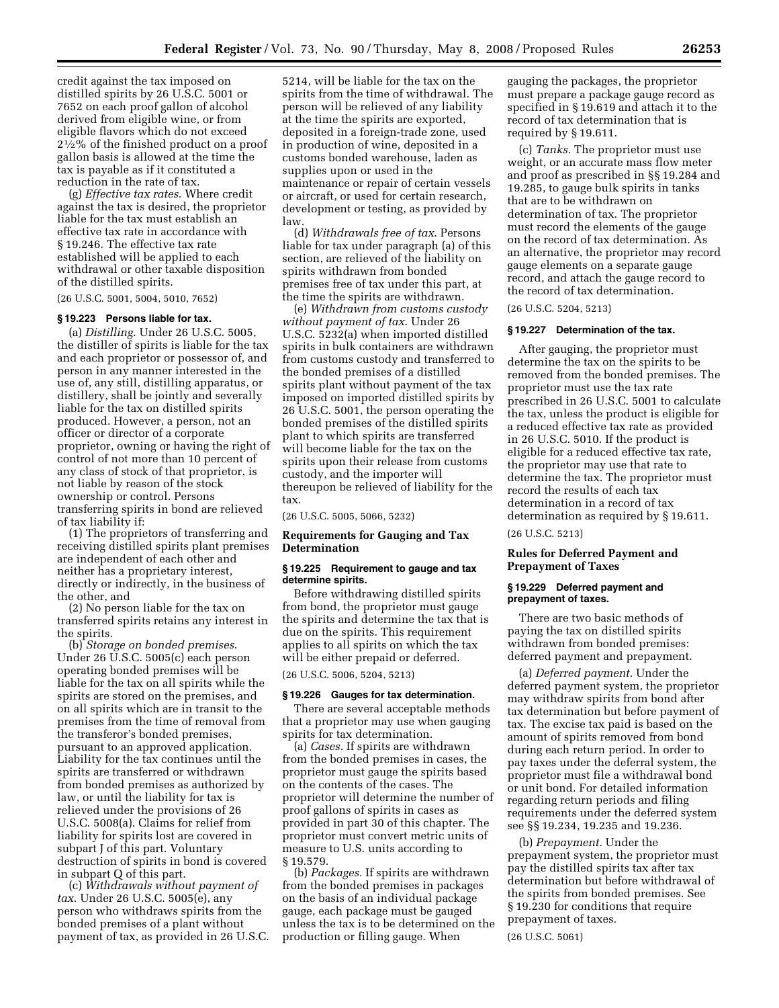credit against the tax imposed on distilled spirits by 26 U.S.C. 5001 or 7652 on each proof gallon of alcohol derived from eligible wine, or from eligible flavors which do not exceed 21⁄2% of the finished product on a proof gallon basis is allowed at the time the tax is payable as if it constituted a reduction in the rate of tax.

(g) *Effective tax rates*. Where credit against the tax is desired, the proprietor liable for the tax must establish an effective tax rate in accordance with § 19.246. The effective tax rate established will be applied to each withdrawal or other taxable disposition of the distilled spirits.

(26 U.S.C. 5001, 5004, 5010, 7652)

## **§ 19.223 Persons liable for tax.**

(a) *Distilling*. Under 26 U.S.C. 5005, the distiller of spirits is liable for the tax and each proprietor or possessor of, and person in any manner interested in the use of, any still, distilling apparatus, or distillery, shall be jointly and severally liable for the tax on distilled spirits produced. However, a person, not an officer or director of a corporate proprietor, owning or having the right of control of not more than 10 percent of any class of stock of that proprietor, is not liable by reason of the stock ownership or control. Persons transferring spirits in bond are relieved of tax liability if:

(1) The proprietors of transferring and receiving distilled spirits plant premises are independent of each other and neither has a proprietary interest, directly or indirectly, in the business of the other, and

(2) No person liable for the tax on transferred spirits retains any interest in the spirits.

(b) *Storage on bonded premises*. Under 26 U.S.C. 5005(c) each person operating bonded premises will be liable for the tax on all spirits while the spirits are stored on the premises, and on all spirits which are in transit to the premises from the time of removal from the transferor's bonded premises, pursuant to an approved application. Liability for the tax continues until the spirits are transferred or withdrawn from bonded premises as authorized by law, or until the liability for tax is relieved under the provisions of 26 U.S.C. 5008(a). Claims for relief from liability for spirits lost are covered in subpart J of this part. Voluntary destruction of spirits in bond is covered in subpart Q of this part.

(c) *Withdrawals without payment of tax*. Under 26 U.S.C. 5005(e), any person who withdraws spirits from the bonded premises of a plant without payment of tax, as provided in 26 U.S.C.

5214, will be liable for the tax on the spirits from the time of withdrawal. The person will be relieved of any liability at the time the spirits are exported, deposited in a foreign-trade zone, used in production of wine, deposited in a customs bonded warehouse, laden as supplies upon or used in the maintenance or repair of certain vessels or aircraft, or used for certain research, development or testing, as provided by law.

(d) *Withdrawals free of tax*. Persons liable for tax under paragraph (a) of this section, are relieved of the liability on spirits withdrawn from bonded premises free of tax under this part, at the time the spirits are withdrawn.

(e) *Withdrawn from customs custody without payment of tax*. Under 26 U.S.C. 5232(a) when imported distilled spirits in bulk containers are withdrawn from customs custody and transferred to the bonded premises of a distilled spirits plant without payment of the tax imposed on imported distilled spirits by 26 U.S.C. 5001, the person operating the bonded premises of the distilled spirits plant to which spirits are transferred will become liable for the tax on the spirits upon their release from customs custody, and the importer will thereupon be relieved of liability for the tax.

(26 U.S.C. 5005, 5066, 5232)

#### **Requirements for Gauging and Tax Determination**

## **§ 19.225 Requirement to gauge and tax determine spirits.**

Before withdrawing distilled spirits from bond, the proprietor must gauge the spirits and determine the tax that is due on the spirits. This requirement applies to all spirits on which the tax will be either prepaid or deferred.

(26 U.S.C. 5006, 5204, 5213)

## **§ 19.226 Gauges for tax determination.**

There are several acceptable methods that a proprietor may use when gauging spirits for tax determination.

(a) *Cases.* If spirits are withdrawn from the bonded premises in cases, the proprietor must gauge the spirits based on the contents of the cases. The proprietor will determine the number of proof gallons of spirits in cases as provided in part 30 of this chapter. The proprietor must convert metric units of measure to U.S. units according to § 19.579.

(b) *Packages.* If spirits are withdrawn from the bonded premises in packages on the basis of an individual package gauge, each package must be gauged unless the tax is to be determined on the production or filling gauge. When

gauging the packages, the proprietor must prepare a package gauge record as specified in § 19.619 and attach it to the record of tax determination that is required by § 19.611.

(c) *Tanks.* The proprietor must use weight, or an accurate mass flow meter and proof as prescribed in §§ 19.284 and 19.285, to gauge bulk spirits in tanks that are to be withdrawn on determination of tax. The proprietor must record the elements of the gauge on the record of tax determination. As an alternative, the proprietor may record gauge elements on a separate gauge record, and attach the gauge record to the record of tax determination.

(26 U.S.C. 5204, 5213)

#### **§ 19.227 Determination of the tax.**

After gauging, the proprietor must determine the tax on the spirits to be removed from the bonded premises. The proprietor must use the tax rate prescribed in 26 U.S.C. 5001 to calculate the tax, unless the product is eligible for a reduced effective tax rate as provided in 26 U.S.C. 5010. If the product is eligible for a reduced effective tax rate, the proprietor may use that rate to determine the tax. The proprietor must record the results of each tax determination in a record of tax determination as required by § 19.611.

## (26 U.S.C. 5213)

## **Rules for Deferred Payment and Prepayment of Taxes**

#### **§ 19.229 Deferred payment and prepayment of taxes.**

There are two basic methods of paying the tax on distilled spirits withdrawn from bonded premises: deferred payment and prepayment.

(a) *Deferred payment.* Under the deferred payment system, the proprietor may withdraw spirits from bond after tax determination but before payment of tax. The excise tax paid is based on the amount of spirits removed from bond during each return period. In order to pay taxes under the deferral system, the proprietor must file a withdrawal bond or unit bond. For detailed information regarding return periods and filing requirements under the deferred system see §§ 19.234, 19.235 and 19.236.

(b) *Prepayment.* Under the prepayment system, the proprietor must pay the distilled spirits tax after tax determination but before withdrawal of the spirits from bonded premises. See § 19.230 for conditions that require prepayment of taxes.

(26 U.S.C. 5061)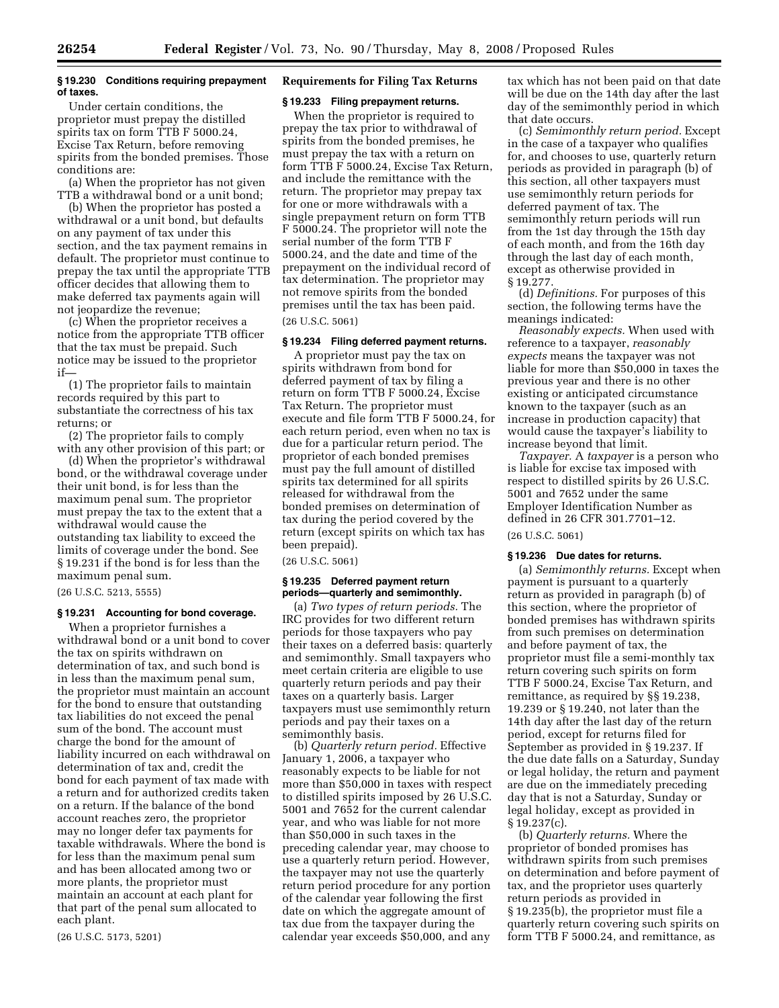## **§ 19.230 Conditions requiring prepayment of taxes.**

Under certain conditions, the proprietor must prepay the distilled spirits tax on form TTB F 5000.24, Excise Tax Return, before removing spirits from the bonded premises. Those conditions are:

(a) When the proprietor has not given TTB a withdrawal bond or a unit bond;

(b) When the proprietor has posted a withdrawal or a unit bond, but defaults on any payment of tax under this section, and the tax payment remains in default. The proprietor must continue to prepay the tax until the appropriate TTB officer decides that allowing them to make deferred tax payments again will not jeopardize the revenue;

(c) When the proprietor receives a notice from the appropriate TTB officer that the tax must be prepaid. Such notice may be issued to the proprietor if—

(1) The proprietor fails to maintain records required by this part to substantiate the correctness of his tax returns; or

(2) The proprietor fails to comply with any other provision of this part; or

(d) When the proprietor's withdrawal bond, or the withdrawal coverage under their unit bond, is for less than the maximum penal sum. The proprietor must prepay the tax to the extent that a withdrawal would cause the outstanding tax liability to exceed the limits of coverage under the bond. See § 19.231 if the bond is for less than the maximum penal sum.

(26 U.S.C. 5213, 5555)

## **§ 19.231 Accounting for bond coverage.**

When a proprietor furnishes a withdrawal bond or a unit bond to cover the tax on spirits withdrawn on determination of tax, and such bond is in less than the maximum penal sum, the proprietor must maintain an account for the bond to ensure that outstanding tax liabilities do not exceed the penal sum of the bond. The account must charge the bond for the amount of liability incurred on each withdrawal on determination of tax and, credit the bond for each payment of tax made with a return and for authorized credits taken on a return. If the balance of the bond account reaches zero, the proprietor may no longer defer tax payments for taxable withdrawals. Where the bond is for less than the maximum penal sum and has been allocated among two or more plants, the proprietor must maintain an account at each plant for that part of the penal sum allocated to each plant.

(26 U.S.C. 5173, 5201)

## **Requirements for Filing Tax Returns**

## **§ 19.233 Filing prepayment returns.**

When the proprietor is required to prepay the tax prior to withdrawal of spirits from the bonded premises, he must prepay the tax with a return on form TTB F 5000.24, Excise Tax Return, and include the remittance with the return. The proprietor may prepay tax for one or more withdrawals with a single prepayment return on form TTB F 5000.24. The proprietor will note the serial number of the form TTB F 5000.24, and the date and time of the prepayment on the individual record of tax determination. The proprietor may not remove spirits from the bonded premises until the tax has been paid.

(26 U.S.C. 5061)

## **§ 19.234 Filing deferred payment returns.**

A proprietor must pay the tax on spirits withdrawn from bond for deferred payment of tax by filing a return on form TTB F 5000.24, Excise Tax Return. The proprietor must execute and file form TTB F 5000.24, for each return period, even when no tax is due for a particular return period. The proprietor of each bonded premises must pay the full amount of distilled spirits tax determined for all spirits released for withdrawal from the bonded premises on determination of tax during the period covered by the return (except spirits on which tax has been prepaid).

(26 U.S.C. 5061)

## **§ 19.235 Deferred payment return periods—quarterly and semimonthly.**

(a) *Two types of return periods.* The IRC provides for two different return periods for those taxpayers who pay their taxes on a deferred basis: quarterly and semimonthly. Small taxpayers who meet certain criteria are eligible to use quarterly return periods and pay their taxes on a quarterly basis. Larger taxpayers must use semimonthly return periods and pay their taxes on a semimonthly basis.

(b) *Quarterly return period.* Effective January 1, 2006, a taxpayer who reasonably expects to be liable for not more than \$50,000 in taxes with respect to distilled spirits imposed by 26 U.S.C. 5001 and 7652 for the current calendar year, and who was liable for not more than \$50,000 in such taxes in the preceding calendar year, may choose to use a quarterly return period. However, the taxpayer may not use the quarterly return period procedure for any portion of the calendar year following the first date on which the aggregate amount of tax due from the taxpayer during the calendar year exceeds \$50,000, and any

tax which has not been paid on that date will be due on the 14th day after the last day of the semimonthly period in which that date occurs.

(c) *Semimonthly return period.* Except in the case of a taxpayer who qualifies for, and chooses to use, quarterly return periods as provided in paragraph (b) of this section, all other taxpayers must use semimonthly return periods for deferred payment of tax. The semimonthly return periods will run from the 1st day through the 15th day of each month, and from the 16th day through the last day of each month, except as otherwise provided in § 19.277.

(d) *Definitions.* For purposes of this section, the following terms have the meanings indicated:

*Reasonably expects.* When used with reference to a taxpayer, *reasonably expects* means the taxpayer was not liable for more than \$50,000 in taxes the previous year and there is no other existing or anticipated circumstance known to the taxpayer (such as an increase in production capacity) that would cause the taxpayer's liability to increase beyond that limit.

*Taxpayer.* A *taxpayer* is a person who is liable for excise tax imposed with respect to distilled spirits by 26 U.S.C. 5001 and 7652 under the same Employer Identification Number as defined in 26 CFR 301.7701–12.

## (26 U.S.C. 5061)

#### **§ 19.236 Due dates for returns.**

(a) *Semimonthly returns.* Except when payment is pursuant to a quarterly return as provided in paragraph (b) of this section, where the proprietor of bonded premises has withdrawn spirits from such premises on determination and before payment of tax, the proprietor must file a semi-monthly tax return covering such spirits on form TTB F 5000.24, Excise Tax Return, and remittance, as required by §§ 19.238, 19.239 or § 19.240, not later than the 14th day after the last day of the return period, except for returns filed for September as provided in § 19.237. If the due date falls on a Saturday, Sunday or legal holiday, the return and payment are due on the immediately preceding day that is not a Saturday, Sunday or legal holiday, except as provided in § 19.237(c).

(b) *Quarterly returns.* Where the proprietor of bonded promises has withdrawn spirits from such premises on determination and before payment of tax, and the proprietor uses quarterly return periods as provided in § 19.235(b), the proprietor must file a quarterly return covering such spirits on form TTB F 5000.24, and remittance, as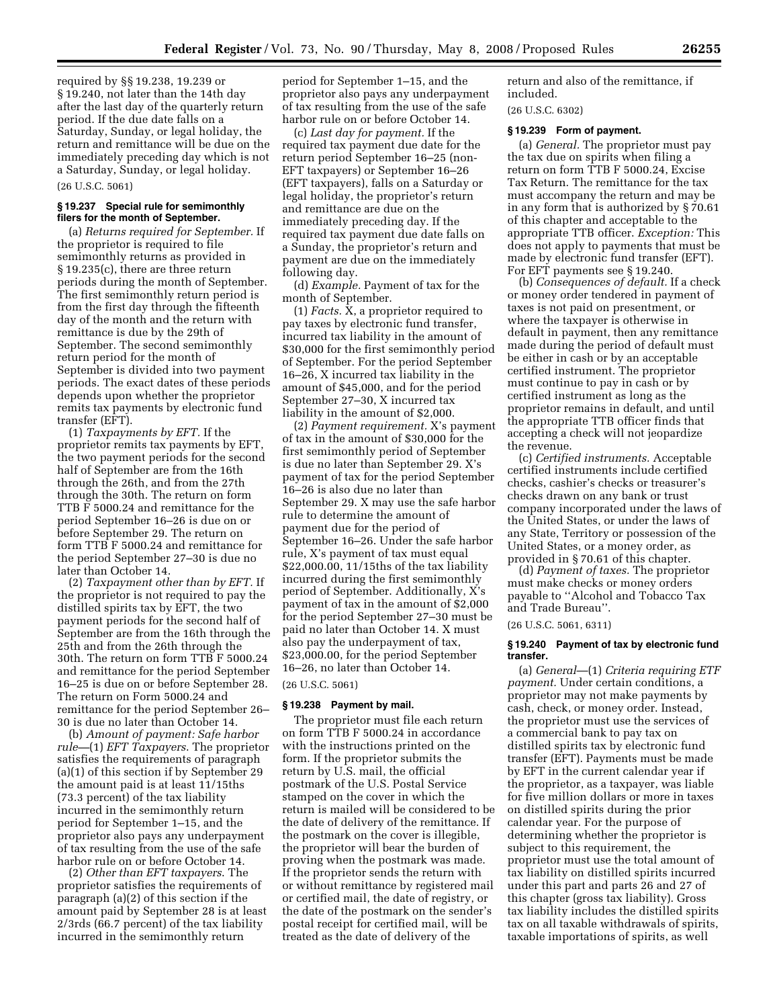required by §§ 19.238, 19.239 or § 19.240, not later than the 14th day after the last day of the quarterly return period. If the due date falls on a Saturday, Sunday, or legal holiday, the return and remittance will be due on the immediately preceding day which is not a Saturday, Sunday, or legal holiday. (26 U.S.C. 5061)

#### **§ 19.237 Special rule for semimonthly filers for the month of September.**

(a) *Returns required for September.* If the proprietor is required to file semimonthly returns as provided in § 19.235(c), there are three return periods during the month of September. The first semimonthly return period is from the first day through the fifteenth day of the month and the return with remittance is due by the 29th of September. The second semimonthly return period for the month of September is divided into two payment periods. The exact dates of these periods depends upon whether the proprietor remits tax payments by electronic fund transfer (EFT).

(1) *Taxpayments by EFT.* If the proprietor remits tax payments by EFT, the two payment periods for the second half of September are from the 16th through the 26th, and from the 27th through the 30th. The return on form TTB F 5000.24 and remittance for the period September 16–26 is due on or before September 29. The return on form TTB F 5000.24 and remittance for the period September 27–30 is due no later than October 14.

(2) *Taxpayment other than by EFT.* If the proprietor is not required to pay the distilled spirits tax by EFT, the two payment periods for the second half of September are from the 16th through the 25th and from the 26th through the 30th. The return on form TTB F 5000.24 and remittance for the period September 16–25 is due on or before September 28. The return on Form 5000.24 and remittance for the period September 26– 30 is due no later than October 14.

(b) *Amount of payment: Safe harbor rule—*(1) *EFT Taxpayers*. The proprietor satisfies the requirements of paragraph (a)(1) of this section if by September 29 the amount paid is at least 11/15ths (73.3 percent) of the tax liability incurred in the semimonthly return period for September 1–15, and the proprietor also pays any underpayment of tax resulting from the use of the safe harbor rule on or before October 14.

(2) *Other than EFT taxpayers*. The proprietor satisfies the requirements of paragraph (a)(2) of this section if the amount paid by September 28 is at least 2/3rds (66.7 percent) of the tax liability incurred in the semimonthly return

period for September 1–15, and the proprietor also pays any underpayment of tax resulting from the use of the safe harbor rule on or before October 14.

(c) *Last day for payment.* If the required tax payment due date for the return period September 16–25 (non-EFT taxpayers) or September 16–26 (EFT taxpayers), falls on a Saturday or legal holiday, the proprietor's return and remittance are due on the immediately preceding day. If the required tax payment due date falls on a Sunday, the proprietor's return and payment are due on the immediately following day.

(d) *Example.* Payment of tax for the month of September.

(1) *Facts.* X, a proprietor required to pay taxes by electronic fund transfer, incurred tax liability in the amount of \$30,000 for the first semimonthly period of September. For the period September 16–26, X incurred tax liability in the amount of \$45,000, and for the period September 27–30, X incurred tax liability in the amount of \$2,000.

(2) *Payment requirement.* X's payment of tax in the amount of \$30,000 for the first semimonthly period of September is due no later than September 29. X's payment of tax for the period September 16–26 is also due no later than September 29. X may use the safe harbor rule to determine the amount of payment due for the period of September 16–26. Under the safe harbor rule, X's payment of tax must equal \$22,000.00, 11/15ths of the tax liability incurred during the first semimonthly period of September. Additionally, X's payment of tax in the amount of \$2,000 for the period September 27–30 must be paid no later than October 14. X must also pay the underpayment of tax, \$23,000.00, for the period September 16–26, no later than October 14.

(26 U.S.C. 5061)

## **§ 19.238 Payment by mail.**

The proprietor must file each return on form TTB F 5000.24 in accordance with the instructions printed on the form. If the proprietor submits the return by U.S. mail, the official postmark of the U.S. Postal Service stamped on the cover in which the return is mailed will be considered to be the date of delivery of the remittance. If the postmark on the cover is illegible, the proprietor will bear the burden of proving when the postmark was made. If the proprietor sends the return with or without remittance by registered mail or certified mail, the date of registry, or the date of the postmark on the sender's postal receipt for certified mail, will be treated as the date of delivery of the

return and also of the remittance, if included.

(26 U.S.C. 6302)

#### **§ 19.239 Form of payment.**

(a) *General.* The proprietor must pay the tax due on spirits when filing a return on form TTB F 5000.24, Excise Tax Return. The remittance for the tax must accompany the return and may be in any form that is authorized by § 70.61 of this chapter and acceptable to the appropriate TTB officer. *Exception:* This does not apply to payments that must be made by electronic fund transfer (EFT). For EFT payments see § 19.240.

(b) *Consequences of default.* If a check or money order tendered in payment of taxes is not paid on presentment, or where the taxpayer is otherwise in default in payment, then any remittance made during the period of default must be either in cash or by an acceptable certified instrument. The proprietor must continue to pay in cash or by certified instrument as long as the proprietor remains in default, and until the appropriate TTB officer finds that accepting a check will not jeopardize the revenue.

(c) *Certified instruments.* Acceptable certified instruments include certified checks, cashier's checks or treasurer's checks drawn on any bank or trust company incorporated under the laws of the United States, or under the laws of any State, Territory or possession of the United States, or a money order, as provided in § 70.61 of this chapter.

(d) *Payment of taxes.* The proprietor must make checks or money orders payable to ''Alcohol and Tobacco Tax and Trade Bureau''.

(26 U.S.C. 5061, 6311)

## **§ 19.240 Payment of tax by electronic fund transfer.**

(a) *General*—(1) *Criteria requiring ETF payment.* Under certain conditions, a proprietor may not make payments by cash, check, or money order. Instead, the proprietor must use the services of a commercial bank to pay tax on distilled spirits tax by electronic fund transfer (EFT). Payments must be made by EFT in the current calendar year if the proprietor, as a taxpayer, was liable for five million dollars or more in taxes on distilled spirits during the prior calendar year. For the purpose of determining whether the proprietor is subject to this requirement, the proprietor must use the total amount of tax liability on distilled spirits incurred under this part and parts 26 and 27 of this chapter (gross tax liability). Gross tax liability includes the distilled spirits tax on all taxable withdrawals of spirits, taxable importations of spirits, as well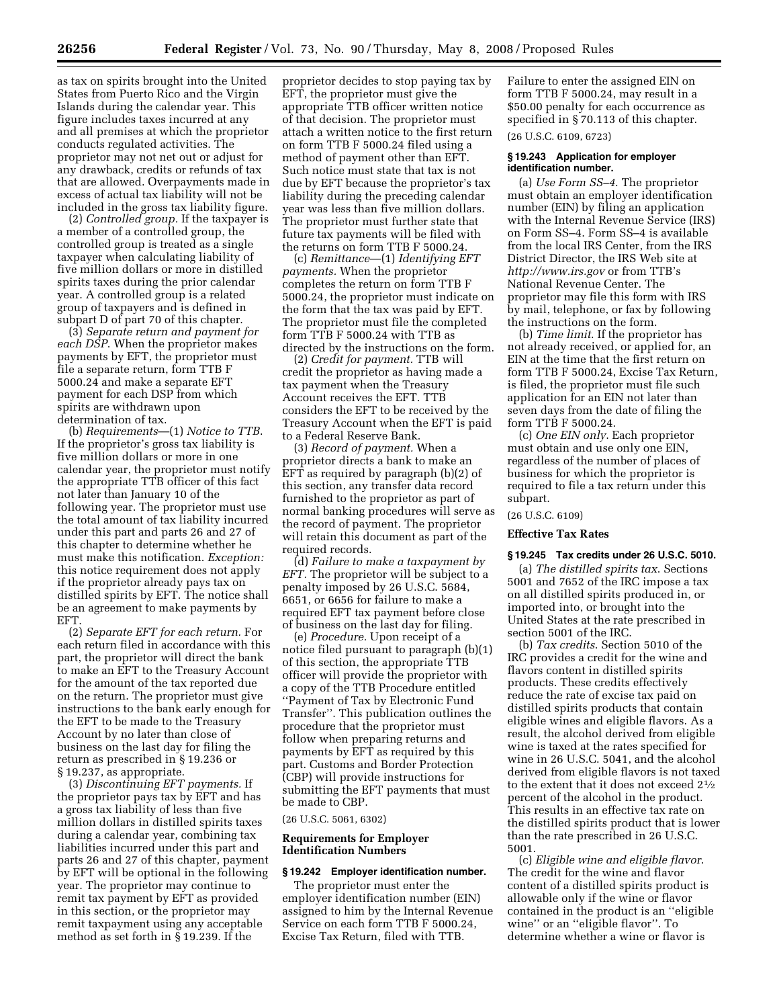as tax on spirits brought into the United States from Puerto Rico and the Virgin Islands during the calendar year. This figure includes taxes incurred at any and all premises at which the proprietor conducts regulated activities. The proprietor may not net out or adjust for any drawback, credits or refunds of tax that are allowed. Overpayments made in excess of actual tax liability will not be included in the gross tax liability figure.

(2) *Controlled group.* If the taxpayer is a member of a controlled group, the controlled group is treated as a single taxpayer when calculating liability of five million dollars or more in distilled spirits taxes during the prior calendar year. A controlled group is a related group of taxpayers and is defined in subpart D of part 70 of this chapter.

(3) *Separate return and payment for each DSP*. When the proprietor makes payments by EFT, the proprietor must file a separate return, form TTB F 5000.24 and make a separate EFT payment for each DSP from which spirits are withdrawn upon determination of tax.

(b) *Requirements*—(1) *Notice to TTB*. If the proprietor's gross tax liability is five million dollars or more in one calendar year, the proprietor must notify the appropriate TTB officer of this fact not later than January 10 of the following year. The proprietor must use the total amount of tax liability incurred under this part and parts 26 and 27 of this chapter to determine whether he must make this notification. *Exception:*  this notice requirement does not apply if the proprietor already pays tax on distilled spirits by EFT. The notice shall be an agreement to make payments by EFT.

(2) *Separate EFT for each return.* For each return filed in accordance with this part, the proprietor will direct the bank to make an EFT to the Treasury Account for the amount of the tax reported due on the return. The proprietor must give instructions to the bank early enough for the EFT to be made to the Treasury Account by no later than close of business on the last day for filing the return as prescribed in § 19.236 or § 19.237, as appropriate.

(3) *Discontinuing EFT payments.* If the proprietor pays tax by EFT and has a gross tax liability of less than five million dollars in distilled spirits taxes during a calendar year, combining tax liabilities incurred under this part and parts 26 and 27 of this chapter, payment by EFT will be optional in the following year. The proprietor may continue to remit tax payment by EFT as provided in this section, or the proprietor may remit taxpayment using any acceptable method as set forth in § 19.239. If the

proprietor decides to stop paying tax by EFT, the proprietor must give the appropriate TTB officer written notice of that decision. The proprietor must attach a written notice to the first return on form TTB F 5000.24 filed using a method of payment other than EFT. Such notice must state that tax is not due by EFT because the proprietor's tax liability during the preceding calendar year was less than five million dollars. The proprietor must further state that future tax payments will be filed with the returns on form TTB F 5000.24.

(c) *Remittance*—(1) *Identifying EFT payments.* When the proprietor completes the return on form TTB F 5000.24, the proprietor must indicate on the form that the tax was paid by EFT. The proprietor must file the completed form TTB F 5000.24 with TTB as directed by the instructions on the form.

(2) *Credit for payment.* TTB will credit the proprietor as having made a tax payment when the Treasury Account receives the EFT. TTB considers the EFT to be received by the Treasury Account when the EFT is paid to a Federal Reserve Bank.

(3) *Record of payment.* When a proprietor directs a bank to make an EFT as required by paragraph (b)(2) of this section, any transfer data record furnished to the proprietor as part of normal banking procedures will serve as the record of payment. The proprietor will retain this document as part of the required records.

(d) *Failure to make a taxpayment by EFT.* The proprietor will be subject to a penalty imposed by 26 U.S.C. 5684, 6651, or 6656 for failure to make a required EFT tax payment before close of business on the last day for filing.

(e) *Procedure.* Upon receipt of a notice filed pursuant to paragraph (b)(1) of this section, the appropriate TTB officer will provide the proprietor with a copy of the TTB Procedure entitled ''Payment of Tax by Electronic Fund Transfer''. This publication outlines the procedure that the proprietor must follow when preparing returns and payments by EFT as required by this part. Customs and Border Protection (CBP) will provide instructions for submitting the EFT payments that must be made to CBP.

#### (26 U.S.C. 5061, 6302)

#### **Requirements for Employer Identification Numbers**

#### **§ 19.242 Employer identification number.**

The proprietor must enter the employer identification number (EIN) assigned to him by the Internal Revenue Service on each form TTB F 5000.24, Excise Tax Return, filed with TTB.

Failure to enter the assigned EIN on form TTB F 5000.24, may result in a \$50.00 penalty for each occurrence as specified in § 70.113 of this chapter.

(26 U.S.C. 6109, 6723)

#### **§ 19.243 Application for employer identification number.**

(a) *Use Form SS–4*. The proprietor must obtain an employer identification number (EIN) by filing an application with the Internal Revenue Service (IRS) on Form SS–4. Form SS–4 is available from the local IRS Center, from the IRS District Director, the IRS Web site at *http://www.irs.gov* or from TTB's National Revenue Center. The proprietor may file this form with IRS by mail, telephone, or fax by following the instructions on the form.

(b) *Time limit*. If the proprietor has not already received, or applied for, an EIN at the time that the first return on form TTB F 5000.24, Excise Tax Return, is filed, the proprietor must file such application for an EIN not later than seven days from the date of filing the form TTB F 5000.24.

(c) *One EIN only*. Each proprietor must obtain and use only one EIN, regardless of the number of places of business for which the proprietor is required to file a tax return under this subpart.

## (26 U.S.C. 6109)

#### **Effective Tax Rates**

## **§ 19.245 Tax credits under 26 U.S.C. 5010.**

(a) *The distilled spirits tax*. Sections 5001 and 7652 of the IRC impose a tax on all distilled spirits produced in, or imported into, or brought into the United States at the rate prescribed in section 5001 of the IRC.

(b) *Tax credits*. Section 5010 of the IRC provides a credit for the wine and flavors content in distilled spirits products. These credits effectively reduce the rate of excise tax paid on distilled spirits products that contain eligible wines and eligible flavors. As a result, the alcohol derived from eligible wine is taxed at the rates specified for wine in 26 U.S.C. 5041, and the alcohol derived from eligible flavors is not taxed to the extent that it does not exceed 21⁄2 percent of the alcohol in the product. This results in an effective tax rate on the distilled spirits product that is lower than the rate prescribed in 26 U.S.C. 5001.

(c) *Eligible wine and eligible flavor*. The credit for the wine and flavor content of a distilled spirits product is allowable only if the wine or flavor contained in the product is an ''eligible wine'' or an ''eligible flavor''. To determine whether a wine or flavor is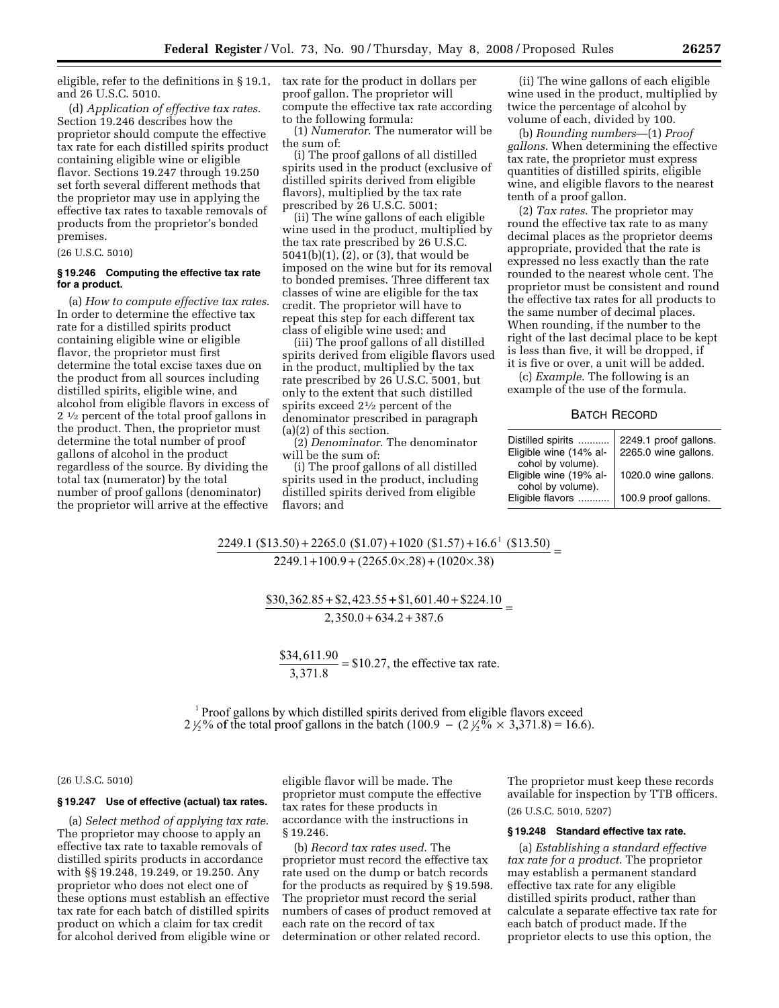eligible, refer to the definitions in § 19.1, tax rate for the product in dollars per and 26 U.S.C. 5010.

(d) *Application of effective tax rates*. Section 19.246 describes how the proprietor should compute the effective tax rate for each distilled spirits product containing eligible wine or eligible flavor. Sections 19.247 through 19.250 set forth several different methods that the proprietor may use in applying the effective tax rates to taxable removals of products from the proprietor's bonded premises.

(26 U.S.C. 5010)

## **§ 19.246 Computing the effective tax rate for a product.**

(a) *How to compute effective tax rates*. In order to determine the effective tax rate for a distilled spirits product containing eligible wine or eligible flavor, the proprietor must first determine the total excise taxes due on the product from all sources including distilled spirits, eligible wine, and alcohol from eligible flavors in excess of 2 1⁄2 percent of the total proof gallons in the product. Then, the proprietor must determine the total number of proof gallons of alcohol in the product regardless of the source. By dividing the total tax (numerator) by the total number of proof gallons (denominator) the proprietor will arrive at the effective

proof gallon. The proprietor will compute the effective tax rate according to the following formula:

(1) *Numerator*. The numerator will be the sum of:

(i) The proof gallons of all distilled spirits used in the product (exclusive of distilled spirits derived from eligible flavors), multiplied by the tax rate prescribed by 26 U.S.C. 5001;

(ii) The wine gallons of each eligible wine used in the product, multiplied by the tax rate prescribed by 26 U.S.C. 5041(b)(1), (2), or (3), that would be imposed on the wine but for its removal to bonded premises. Three different tax classes of wine are eligible for the tax credit. The proprietor will have to repeat this step for each different tax class of eligible wine used; and

(iii) The proof gallons of all distilled spirits derived from eligible flavors used in the product, multiplied by the tax rate prescribed by 26 U.S.C. 5001, but only to the extent that such distilled spirits exceed 21⁄2 percent of the denominator prescribed in paragraph (a)(2) of this section.

(2) *Denominator*. The denominator will be the sum of:

(i) The proof gallons of all distilled spirits used in the product, including distilled spirits derived from eligible flavors; and

(ii) The wine gallons of each eligible wine used in the product, multiplied by twice the percentage of alcohol by volume of each, divided by 100.

(b) *Rounding numbers*—(1) *Proof gallons*. When determining the effective tax rate, the proprietor must express quantities of distilled spirits, eligible wine, and eligible flavors to the nearest tenth of a proof gallon.

(2) *Tax rates*. The proprietor may round the effective tax rate to as many decimal places as the proprietor deems appropriate, provided that the rate is expressed no less exactly than the rate rounded to the nearest whole cent. The proprietor must be consistent and round the effective tax rates for all products to the same number of decimal places. When rounding, if the number to the right of the last decimal place to be kept is less than five, it will be dropped, if it is five or over, a unit will be added.

(c) *Example*. The following is an example of the use of the formula.

|  | <b>BATCH RECORD</b> |
|--|---------------------|
|--|---------------------|

| Distilled spirits<br>Eligible wine (14% al-<br>cohol by volume). | 2249.1 proof gallons.<br>2265.0 wine gallons. |  |  |
|------------------------------------------------------------------|-----------------------------------------------|--|--|
| Eligible wine (19% al-<br>cohol by volume).                      | 1020.0 wine gallons.                          |  |  |
| Eligible flavors                                                 | 100.9 proof gallons.                          |  |  |

# $2249.1 (113.50) + 2265.0 (11.07) + 1020 (151.57) + 16.6$  (13.50) \_  $\frac{(2249.1+100.9+(2265.0\times.28)+(1020\times.38))}{(2249.1+100.9+(2265.0\times.28)+(1020\times.38))}$

 $\frac{$30,362.85 + $2,423.55 + $1,601.40 + $224.10}{2,350.0 + 634.2 + 387.6} =$  $2,350.0 + 634.2 + 387.6$ 

 $\frac{$34,611.90}{$2,251.9} =$ ,371. 34,611.90  $\frac{3,371.56}{3,371.8}$  = \$10.27, the effective tax rate.

 $1$  Proof gallons by which distilled spirits derived from eligible flavors exceed 2  $\frac{1}{2}$ % of the total proof gallons in the batch (100.9 – (2  $\frac{1}{2}$ %  $\times$  3,371.8) = 16.6).

#### (26 U.S.C. 5010)

#### **§ 19.247 Use of effective (actual) tax rates.**

(a) *Select method of applying tax rate*. The proprietor may choose to apply an effective tax rate to taxable removals of distilled spirits products in accordance with §§ 19.248, 19.249, or 19.250. Any proprietor who does not elect one of these options must establish an effective tax rate for each batch of distilled spirits product on which a claim for tax credit for alcohol derived from eligible wine or eligible flavor will be made. The proprietor must compute the effective tax rates for these products in accordance with the instructions in § 19.246.

(b) *Record tax rates used*. The proprietor must record the effective tax rate used on the dump or batch records for the products as required by § 19.598. The proprietor must record the serial numbers of cases of product removed at each rate on the record of tax determination or other related record.

The proprietor must keep these records available for inspection by TTB officers. (26 U.S.C. 5010, 5207)

#### **§ 19.248 Standard effective tax rate.**

(a) *Establishing a standard effective tax rate for a product*. The proprietor may establish a permanent standard effective tax rate for any eligible distilled spirits product, rather than calculate a separate effective tax rate for each batch of product made. If the proprietor elects to use this option, the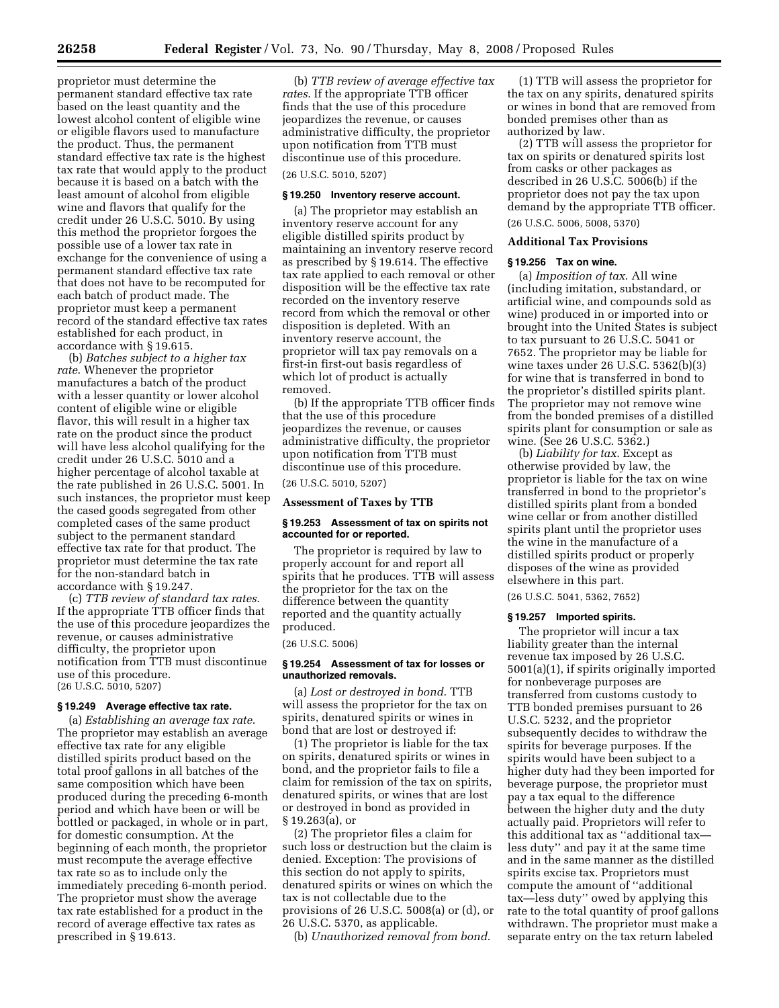proprietor must determine the permanent standard effective tax rate based on the least quantity and the lowest alcohol content of eligible wine or eligible flavors used to manufacture the product. Thus, the permanent standard effective tax rate is the highest tax rate that would apply to the product because it is based on a batch with the least amount of alcohol from eligible wine and flavors that qualify for the credit under 26 U.S.C. 5010. By using this method the proprietor forgoes the possible use of a lower tax rate in exchange for the convenience of using a permanent standard effective tax rate that does not have to be recomputed for each batch of product made. The proprietor must keep a permanent record of the standard effective tax rates established for each product, in accordance with § 19.615.

(b) *Batches subject to a higher tax rate*. Whenever the proprietor manufactures a batch of the product with a lesser quantity or lower alcohol content of eligible wine or eligible flavor, this will result in a higher tax rate on the product since the product will have less alcohol qualifying for the credit under 26 U.S.C. 5010 and a higher percentage of alcohol taxable at the rate published in 26 U.S.C. 5001. In such instances, the proprietor must keep the cased goods segregated from other completed cases of the same product subject to the permanent standard effective tax rate for that product. The proprietor must determine the tax rate for the non-standard batch in accordance with § 19.247.

(c) *TTB review of standard tax rates*. If the appropriate TTB officer finds that the use of this procedure jeopardizes the revenue, or causes administrative difficulty, the proprietor upon notification from TTB must discontinue use of this procedure. (26 U.S.C. 5010, 5207)

## **§ 19.249 Average effective tax rate.**

(a) *Establishing an average tax rate*. The proprietor may establish an average effective tax rate for any eligible distilled spirits product based on the total proof gallons in all batches of the same composition which have been produced during the preceding 6-month period and which have been or will be bottled or packaged, in whole or in part, for domestic consumption. At the beginning of each month, the proprietor must recompute the average effective tax rate so as to include only the immediately preceding 6-month period. The proprietor must show the average tax rate established for a product in the record of average effective tax rates as prescribed in § 19.613.

(b) *TTB review of average effective tax rates*. If the appropriate TTB officer finds that the use of this procedure jeopardizes the revenue, or causes administrative difficulty, the proprietor upon notification from TTB must discontinue use of this procedure.

## (26 U.S.C. 5010, 5207)

## **§ 19.250 Inventory reserve account.**

(a) The proprietor may establish an inventory reserve account for any eligible distilled spirits product by maintaining an inventory reserve record as prescribed by § 19.614. The effective tax rate applied to each removal or other disposition will be the effective tax rate recorded on the inventory reserve record from which the removal or other disposition is depleted. With an inventory reserve account, the proprietor will tax pay removals on a first-in first-out basis regardless of which lot of product is actually removed.

(b) If the appropriate TTB officer finds that the use of this procedure jeopardizes the revenue, or causes administrative difficulty, the proprietor upon notification from TTB must discontinue use of this procedure.

(26 U.S.C. 5010, 5207)

## **Assessment of Taxes by TTB**

#### **§ 19.253 Assessment of tax on spirits not accounted for or reported.**

The proprietor is required by law to properly account for and report all spirits that he produces. TTB will assess the proprietor for the tax on the difference between the quantity reported and the quantity actually produced.

(26 U.S.C. 5006)

#### **§ 19.254 Assessment of tax for losses or unauthorized removals.**

(a) *Lost or destroyed in bond*. TTB will assess the proprietor for the tax on spirits, denatured spirits or wines in bond that are lost or destroyed if:

(1) The proprietor is liable for the tax on spirits, denatured spirits or wines in bond, and the proprietor fails to file a claim for remission of the tax on spirits, denatured spirits, or wines that are lost or destroyed in bond as provided in § 19.263(a), or

(2) The proprietor files a claim for such loss or destruction but the claim is denied. Exception: The provisions of this section do not apply to spirits, denatured spirits or wines on which the tax is not collectable due to the provisions of 26 U.S.C. 5008(a) or (d), or 26 U.S.C. 5370, as applicable.

(b) *Unauthorized removal from bond*.

(1) TTB will assess the proprietor for the tax on any spirits, denatured spirits or wines in bond that are removed from bonded premises other than as authorized by law.

(2) TTB will assess the proprietor for tax on spirits or denatured spirits lost from casks or other packages as described in 26 U.S.C. 5006(b) if the proprietor does not pay the tax upon demand by the appropriate TTB officer. (26 U.S.C. 5006, 5008, 5370)

# **Additional Tax Provisions**

#### **§ 19.256 Tax on wine.**

(a) *Imposition of tax*. All wine (including imitation, substandard, or artificial wine, and compounds sold as wine) produced in or imported into or brought into the United States is subject to tax pursuant to 26 U.S.C. 5041 or 7652. The proprietor may be liable for wine taxes under 26 U.S.C. 5362(b)(3) for wine that is transferred in bond to the proprietor's distilled spirits plant. The proprietor may not remove wine from the bonded premises of a distilled spirits plant for consumption or sale as wine. (See 26 U.S.C. 5362.)

(b) *Liability for tax*. Except as otherwise provided by law, the proprietor is liable for the tax on wine transferred in bond to the proprietor's distilled spirits plant from a bonded wine cellar or from another distilled spirits plant until the proprietor uses the wine in the manufacture of a distilled spirits product or properly disposes of the wine as provided elsewhere in this part.

(26 U.S.C. 5041, 5362, 7652)

#### **§ 19.257 Imported spirits.**

The proprietor will incur a tax liability greater than the internal revenue tax imposed by 26 U.S.C. 5001(a)(1), if spirits originally imported for nonbeverage purposes are transferred from customs custody to TTB bonded premises pursuant to 26 U.S.C. 5232, and the proprietor subsequently decides to withdraw the spirits for beverage purposes. If the spirits would have been subject to a higher duty had they been imported for beverage purpose, the proprietor must pay a tax equal to the difference between the higher duty and the duty actually paid. Proprietors will refer to this additional tax as ''additional tax less duty'' and pay it at the same time and in the same manner as the distilled spirits excise tax. Proprietors must compute the amount of ''additional tax—less duty'' owed by applying this rate to the total quantity of proof gallons withdrawn. The proprietor must make a separate entry on the tax return labeled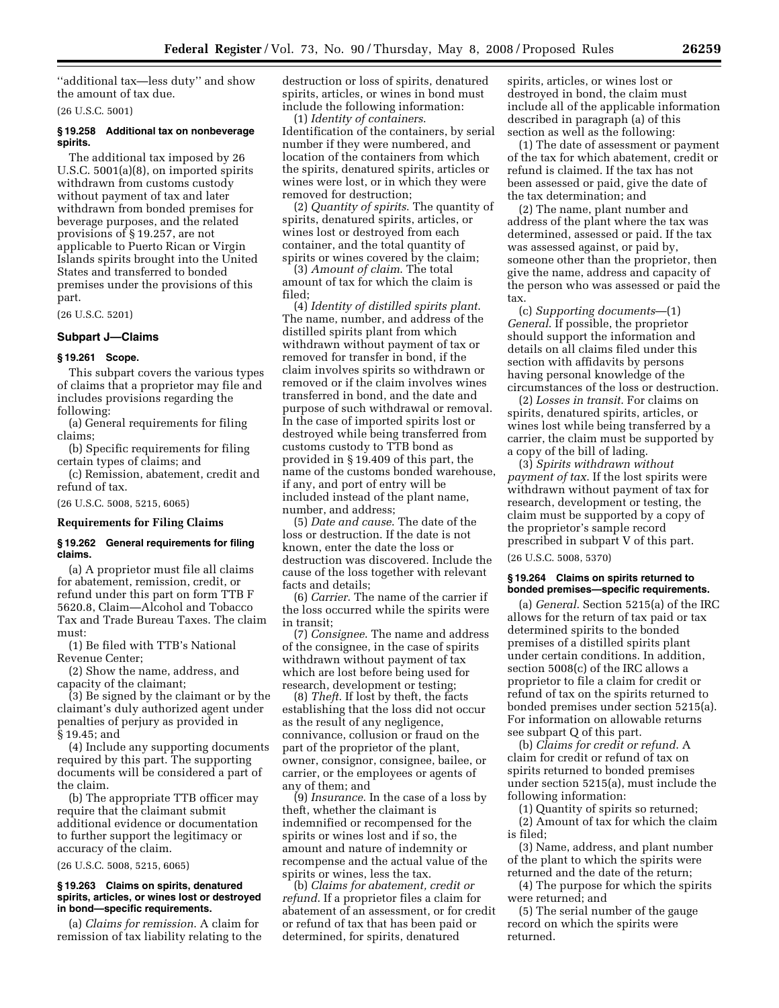''additional tax—less duty'' and show the amount of tax due.

(26 U.S.C. 5001)

## **§ 19.258 Additional tax on nonbeverage spirits.**

The additional tax imposed by 26 U.S.C. 5001(a)(8), on imported spirits withdrawn from customs custody without payment of tax and later withdrawn from bonded premises for beverage purposes, and the related provisions of § 19.257, are not applicable to Puerto Rican or Virgin Islands spirits brought into the United States and transferred to bonded premises under the provisions of this part.

(26 U.S.C. 5201)

## **Subpart J—Claims**

#### **§ 19.261 Scope.**

This subpart covers the various types of claims that a proprietor may file and includes provisions regarding the following:

(a) General requirements for filing claims;

(b) Specific requirements for filing certain types of claims; and

(c) Remission, abatement, credit and refund of tax.

(26 U.S.C. 5008, 5215, 6065)

## **Requirements for Filing Claims**

#### **§ 19.262 General requirements for filing claims.**

(a) A proprietor must file all claims for abatement, remission, credit, or refund under this part on form TTB F 5620.8, Claim—Alcohol and Tobacco Tax and Trade Bureau Taxes. The claim must:

(1) Be filed with TTB's National Revenue Center;

(2) Show the name, address, and capacity of the claimant;

(3) Be signed by the claimant or by the claimant's duly authorized agent under penalties of perjury as provided in § 19.45; and

(4) Include any supporting documents required by this part. The supporting documents will be considered a part of the claim.

(b) The appropriate TTB officer may require that the claimant submit additional evidence or documentation to further support the legitimacy or accuracy of the claim.

(26 U.S.C. 5008, 5215, 6065)

#### **§ 19.263 Claims on spirits, denatured spirits, articles, or wines lost or destroyed in bond—specific requirements.**

(a) *Claims for remission*. A claim for remission of tax liability relating to the destruction or loss of spirits, denatured spirits, articles, or wines in bond must include the following information:

(1) *Identity of containers*. Identification of the containers, by serial number if they were numbered, and location of the containers from which the spirits, denatured spirits, articles or wines were lost, or in which they were removed for destruction;

(2) *Quantity of spirits*. The quantity of spirits, denatured spirits, articles, or wines lost or destroyed from each container, and the total quantity of spirits or wines covered by the claim;

(3) *Amount of claim*. The total amount of tax for which the claim is filed;

(4) *Identity of distilled spirits plant*. The name, number, and address of the distilled spirits plant from which withdrawn without payment of tax or removed for transfer in bond, if the claim involves spirits so withdrawn or removed or if the claim involves wines transferred in bond, and the date and purpose of such withdrawal or removal. In the case of imported spirits lost or destroyed while being transferred from customs custody to TTB bond as provided in § 19.409 of this part, the name of the customs bonded warehouse, if any, and port of entry will be included instead of the plant name, number, and address;

(5) *Date and cause*. The date of the loss or destruction. If the date is not known, enter the date the loss or destruction was discovered. Include the cause of the loss together with relevant facts and details;

(6) *Carrier*. The name of the carrier if the loss occurred while the spirits were in transit;

(7) *Consignee*. The name and address of the consignee, in the case of spirits withdrawn without payment of tax which are lost before being used for research, development or testing;

(8) *Theft*. If lost by theft, the facts establishing that the loss did not occur as the result of any negligence, connivance, collusion or fraud on the part of the proprietor of the plant, owner, consignor, consignee, bailee, or carrier, or the employees or agents of any of them; and

(9) *Insurance*. In the case of a loss by theft, whether the claimant is indemnified or recompensed for the spirits or wines lost and if so, the amount and nature of indemnity or recompense and the actual value of the spirits or wines, less the tax.

(b) *Claims for abatement, credit or refund*. If a proprietor files a claim for abatement of an assessment, or for credit or refund of tax that has been paid or determined, for spirits, denatured

spirits, articles, or wines lost or destroyed in bond, the claim must include all of the applicable information described in paragraph (a) of this section as well as the following:

(1) The date of assessment or payment of the tax for which abatement, credit or refund is claimed. If the tax has not been assessed or paid, give the date of the tax determination; and

(2) The name, plant number and address of the plant where the tax was determined, assessed or paid. If the tax was assessed against, or paid by, someone other than the proprietor, then give the name, address and capacity of the person who was assessed or paid the tax.

(c) *Supporting documents*—(1) *General*. If possible, the proprietor should support the information and details on all claims filed under this section with affidavits by persons having personal knowledge of the circumstances of the loss or destruction.

(2) *Losses in transit*. For claims on spirits, denatured spirits, articles, or wines lost while being transferred by a carrier, the claim must be supported by a copy of the bill of lading.

(3) *Spirits withdrawn without payment of tax*. If the lost spirits were withdrawn without payment of tax for research, development or testing, the claim must be supported by a copy of the proprietor's sample record prescribed in subpart V of this part. (26 U.S.C. 5008, 5370)

#### **§ 19.264 Claims on spirits returned to bonded premises—specific requirements.**

(a) *General*. Section 5215(a) of the IRC allows for the return of tax paid or tax determined spirits to the bonded premises of a distilled spirits plant under certain conditions. In addition, section 5008(c) of the IRC allows a proprietor to file a claim for credit or refund of tax on the spirits returned to bonded premises under section 5215(a). For information on allowable returns see subpart Q of this part.

(b) *Claims for credit or refund*. A claim for credit or refund of tax on spirits returned to bonded premises under section 5215(a), must include the following information:

(1) Quantity of spirits so returned; (2) Amount of tax for which the claim is filed;

(3) Name, address, and plant number of the plant to which the spirits were returned and the date of the return;

(4) The purpose for which the spirits were returned; and

(5) The serial number of the gauge record on which the spirits were returned.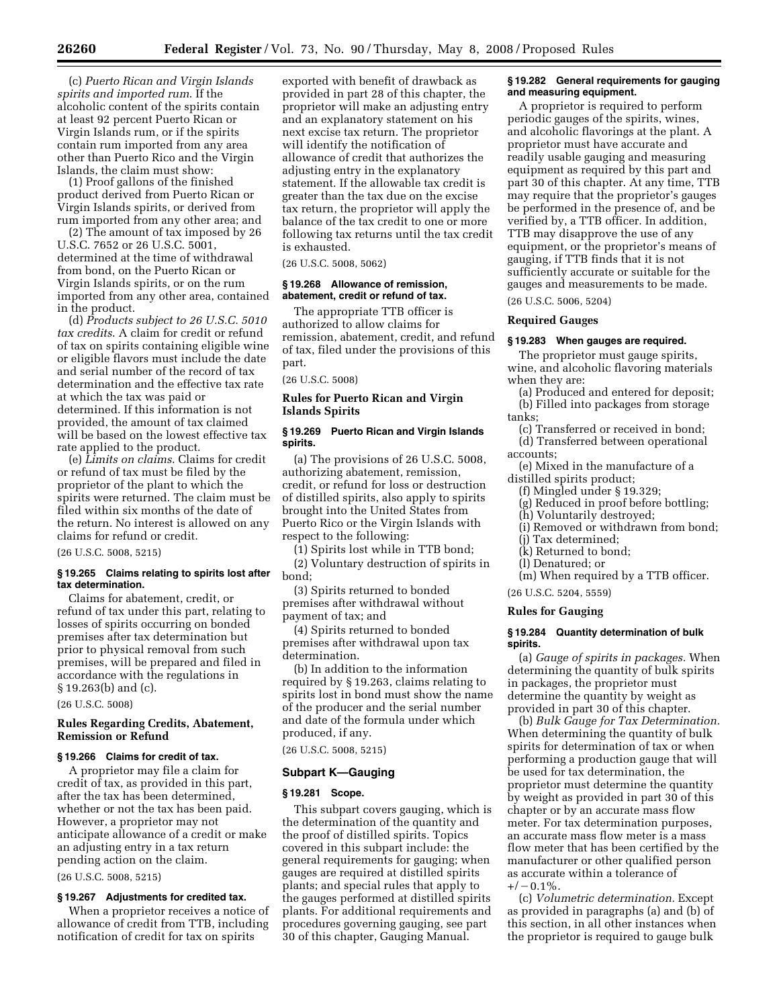(c) *Puerto Rican and Virgin Islands spirits and imported rum*. If the alcoholic content of the spirits contain at least 92 percent Puerto Rican or Virgin Islands rum, or if the spirits contain rum imported from any area other than Puerto Rico and the Virgin Islands, the claim must show:

(1) Proof gallons of the finished product derived from Puerto Rican or Virgin Islands spirits, or derived from rum imported from any other area; and

(2) The amount of tax imposed by 26 U.S.C. 7652 or 26 U.S.C. 5001, determined at the time of withdrawal from bond, on the Puerto Rican or Virgin Islands spirits, or on the rum imported from any other area, contained in the product.

(d) *Products subject to 26 U.S.C. 5010 tax credits*. A claim for credit or refund of tax on spirits containing eligible wine or eligible flavors must include the date and serial number of the record of tax determination and the effective tax rate at which the tax was paid or determined. If this information is not provided, the amount of tax claimed will be based on the lowest effective tax rate applied to the product.

(e) *Limits on claims*. Claims for credit or refund of tax must be filed by the proprietor of the plant to which the spirits were returned. The claim must be filed within six months of the date of the return. No interest is allowed on any claims for refund or credit.

(26 U.S.C. 5008, 5215)

## **§ 19.265 Claims relating to spirits lost after tax determination.**

Claims for abatement, credit, or refund of tax under this part, relating to losses of spirits occurring on bonded premises after tax determination but prior to physical removal from such premises, will be prepared and filed in accordance with the regulations in § 19.263(b) and (c).

(26 U.S.C. 5008)

## **Rules Regarding Credits, Abatement, Remission or Refund**

## **§ 19.266 Claims for credit of tax.**

A proprietor may file a claim for credit of tax, as provided in this part, after the tax has been determined, whether or not the tax has been paid. However, a proprietor may not anticipate allowance of a credit or make an adjusting entry in a tax return pending action on the claim.

(26 U.S.C. 5008, 5215)

#### **§ 19.267 Adjustments for credited tax.**

When a proprietor receives a notice of allowance of credit from TTB, including notification of credit for tax on spirits

exported with benefit of drawback as provided in part 28 of this chapter, the proprietor will make an adjusting entry and an explanatory statement on his next excise tax return. The proprietor will identify the notification of allowance of credit that authorizes the adjusting entry in the explanatory statement. If the allowable tax credit is greater than the tax due on the excise tax return, the proprietor will apply the balance of the tax credit to one or more following tax returns until the tax credit is exhausted.

(26 U.S.C. 5008, 5062)

#### **§ 19.268 Allowance of remission, abatement, credit or refund of tax.**

The appropriate TTB officer is authorized to allow claims for remission, abatement, credit, and refund of tax, filed under the provisions of this part.

(26 U.S.C. 5008)

## **Rules for Puerto Rican and Virgin Islands Spirits**

## **§ 19.269 Puerto Rican and Virgin Islands spirits.**

(a) The provisions of 26 U.S.C. 5008, authorizing abatement, remission, credit, or refund for loss or destruction of distilled spirits, also apply to spirits brought into the United States from Puerto Rico or the Virgin Islands with respect to the following:

(1) Spirits lost while in TTB bond;

(2) Voluntary destruction of spirits in bond;

(3) Spirits returned to bonded premises after withdrawal without payment of tax; and

(4) Spirits returned to bonded premises after withdrawal upon tax determination.

(b) In addition to the information required by § 19.263, claims relating to spirits lost in bond must show the name of the producer and the serial number and date of the formula under which produced, if any.

(26 U.S.C. 5008, 5215)

## **Subpart K—Gauging**

## **§ 19.281 Scope.**

This subpart covers gauging, which is the determination of the quantity and the proof of distilled spirits. Topics covered in this subpart include: the general requirements for gauging; when gauges are required at distilled spirits plants; and special rules that apply to the gauges performed at distilled spirits plants. For additional requirements and procedures governing gauging, see part 30 of this chapter, Gauging Manual.

## **§ 19.282 General requirements for gauging and measuring equipment.**

A proprietor is required to perform periodic gauges of the spirits, wines, and alcoholic flavorings at the plant. A proprietor must have accurate and readily usable gauging and measuring equipment as required by this part and part 30 of this chapter. At any time, TTB may require that the proprietor's gauges be performed in the presence of, and be verified by, a TTB officer. In addition, TTB may disapprove the use of any equipment, or the proprietor's means of gauging, if TTB finds that it is not sufficiently accurate or suitable for the gauges and measurements to be made. (26 U.S.C. 5006, 5204)

**Required Gauges** 

# **§ 19.283 When gauges are required.**

The proprietor must gauge spirits, wine, and alcoholic flavoring materials when they are:

- (a) Produced and entered for deposit; (b) Filled into packages from storage tanks;
- (c) Transferred or received in bond; (d) Transferred between operational accounts;

(e) Mixed in the manufacture of a distilled spirits product;

- (f) Mingled under § 19.329;
- (g) Reduced in proof before bottling;
- (h) Voluntarily destroyed;
- (i) Removed or withdrawn from bond;
- (j) Tax determined;
- (k) Returned to bond;
- (l) Denatured; or
- (m) When required by a TTB officer.
- (26 U.S.C. 5204, 5559)

#### **Rules for Gauging**

#### **§ 19.284 Quantity determination of bulk spirits.**

(a) *Gauge of spirits in packages.* When determining the quantity of bulk spirits in packages, the proprietor must determine the quantity by weight as provided in part 30 of this chapter.

(b) *Bulk Gauge for Tax Determination.*  When determining the quantity of bulk spirits for determination of tax or when performing a production gauge that will be used for tax determination, the proprietor must determine the quantity by weight as provided in part 30 of this chapter or by an accurate mass flow meter. For tax determination purposes, an accurate mass flow meter is a mass flow meter that has been certified by the manufacturer or other qualified person as accurate within a tolerance of  $+/-0.1\%$ .

(c) *Volumetric determination.* Except as provided in paragraphs (a) and (b) of this section, in all other instances when the proprietor is required to gauge bulk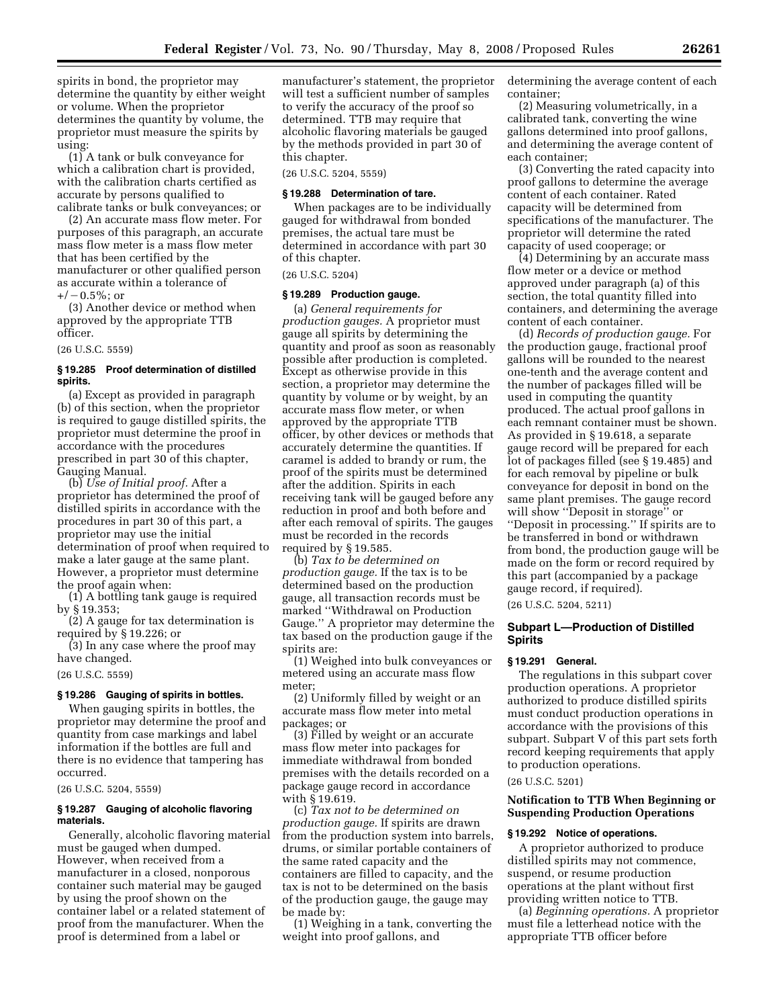spirits in bond, the proprietor may determine the quantity by either weight or volume. When the proprietor determines the quantity by volume, the proprietor must measure the spirits by using:

(1) A tank or bulk conveyance for which a calibration chart is provided, with the calibration charts certified as accurate by persons qualified to calibrate tanks or bulk conveyances; or

(2) An accurate mass flow meter. For purposes of this paragraph, an accurate mass flow meter is a mass flow meter that has been certified by the manufacturer or other qualified person as accurate within a tolerance of  $+/-0.5\%$ ; or

(3) Another device or method when approved by the appropriate TTB officer.

(26 U.S.C. 5559)

## **§ 19.285 Proof determination of distilled spirits.**

(a) Except as provided in paragraph (b) of this section, when the proprietor is required to gauge distilled spirits, the proprietor must determine the proof in accordance with the procedures prescribed in part 30 of this chapter, Gauging Manual.

(b) *Use of Initial proof.* After a proprietor has determined the proof of distilled spirits in accordance with the procedures in part 30 of this part, a proprietor may use the initial determination of proof when required to make a later gauge at the same plant. However, a proprietor must determine the proof again when:

(1) A bottling tank gauge is required by § 19.353;

(2) A gauge for tax determination is required by § 19.226; or

(3) In any case where the proof may have changed.

(26 U.S.C. 5559)

## **§ 19.286 Gauging of spirits in bottles.**

When gauging spirits in bottles, the proprietor may determine the proof and quantity from case markings and label information if the bottles are full and there is no evidence that tampering has occurred.

(26 U.S.C. 5204, 5559)

## **§ 19.287 Gauging of alcoholic flavoring materials.**

Generally, alcoholic flavoring material must be gauged when dumped. However, when received from a manufacturer in a closed, nonporous container such material may be gauged by using the proof shown on the container label or a related statement of proof from the manufacturer. When the proof is determined from a label or

manufacturer's statement, the proprietor will test a sufficient number of samples to verify the accuracy of the proof so determined. TTB may require that alcoholic flavoring materials be gauged by the methods provided in part 30 of this chapter.

(26 U.S.C. 5204, 5559)

#### **§ 19.288 Determination of tare.**

When packages are to be individually gauged for withdrawal from bonded premises, the actual tare must be determined in accordance with part 30 of this chapter.

#### (26 U.S.C. 5204)

## **§ 19.289 Production gauge.**

(a) *General requirements for production gauges.* A proprietor must gauge all spirits by determining the quantity and proof as soon as reasonably possible after production is completed. Except as otherwise provide in this section, a proprietor may determine the quantity by volume or by weight, by an accurate mass flow meter, or when approved by the appropriate TTB officer, by other devices or methods that accurately determine the quantities. If caramel is added to brandy or rum, the proof of the spirits must be determined after the addition. Spirits in each receiving tank will be gauged before any reduction in proof and both before and after each removal of spirits. The gauges must be recorded in the records required by § 19.585.

(b) *Tax to be determined on production gauge.* If the tax is to be determined based on the production gauge, all transaction records must be marked ''Withdrawal on Production Gauge.'' A proprietor may determine the tax based on the production gauge if the spirits are:

(1) Weighed into bulk conveyances or metered using an accurate mass flow meter;

(2) Uniformly filled by weight or an accurate mass flow meter into metal packages; or

(3) Filled by weight or an accurate mass flow meter into packages for immediate withdrawal from bonded premises with the details recorded on a package gauge record in accordance with § 19.619.

(c) *Tax not to be determined on production gauge.* If spirits are drawn from the production system into barrels, drums, or similar portable containers of the same rated capacity and the containers are filled to capacity, and the tax is not to be determined on the basis of the production gauge, the gauge may be made by:

(1) Weighing in a tank, converting the weight into proof gallons, and

determining the average content of each container;

(2) Measuring volumetrically, in a calibrated tank, converting the wine gallons determined into proof gallons, and determining the average content of each container;

(3) Converting the rated capacity into proof gallons to determine the average content of each container. Rated capacity will be determined from specifications of the manufacturer. The proprietor will determine the rated capacity of used cooperage; or

(4) Determining by an accurate mass flow meter or a device or method approved under paragraph (a) of this section, the total quantity filled into containers, and determining the average content of each container.

(d) *Records of production gauge.* For the production gauge, fractional proof gallons will be rounded to the nearest one-tenth and the average content and the number of packages filled will be used in computing the quantity produced. The actual proof gallons in each remnant container must be shown. As provided in § 19.618, a separate gauge record will be prepared for each lot of packages filled (see § 19.485) and for each removal by pipeline or bulk conveyance for deposit in bond on the same plant premises. The gauge record will show ''Deposit in storage'' or ''Deposit in processing.'' If spirits are to be transferred in bond or withdrawn from bond, the production gauge will be made on the form or record required by this part (accompanied by a package gauge record, if required).

(26 U.S.C. 5204, 5211)

## **Subpart L—Production of Distilled Spirits**

#### **§ 19.291 General.**

The regulations in this subpart cover production operations. A proprietor authorized to produce distilled spirits must conduct production operations in accordance with the provisions of this subpart. Subpart V of this part sets forth record keeping requirements that apply to production operations.

#### (26 U.S.C. 5201)

## **Notification to TTB When Beginning or Suspending Production Operations**

#### **§ 19.292 Notice of operations.**

A proprietor authorized to produce distilled spirits may not commence, suspend, or resume production operations at the plant without first providing written notice to TTB.

(a) *Beginning operations.* A proprietor must file a letterhead notice with the appropriate TTB officer before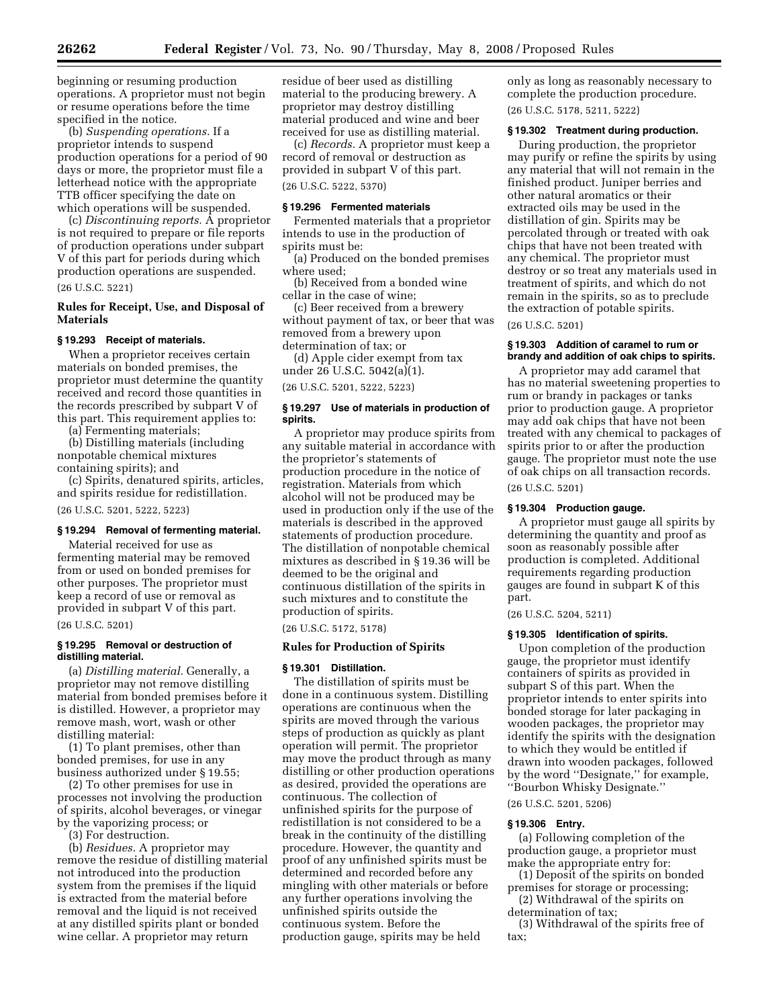beginning or resuming production operations. A proprietor must not begin or resume operations before the time specified in the notice.

(b) *Suspending operations.* If a proprietor intends to suspend production operations for a period of 90 days or more, the proprietor must file a letterhead notice with the appropriate TTB officer specifying the date on which operations will be suspended.

(c) *Discontinuing reports.* A proprietor is not required to prepare or file reports of production operations under subpart V of this part for periods during which production operations are suspended.

#### (26 U.S.C. 5221)

## **Rules for Receipt, Use, and Disposal of Materials**

## **§ 19.293 Receipt of materials.**

When a proprietor receives certain materials on bonded premises, the proprietor must determine the quantity received and record those quantities in the records prescribed by subpart V of this part. This requirement applies to:

(a) Fermenting materials;

(b) Distilling materials (including nonpotable chemical mixtures containing spirits); and

(c) Spirits, denatured spirits, articles, and spirits residue for redistillation.

(26 U.S.C. 5201, 5222, 5223)

## **§ 19.294 Removal of fermenting material.**

Material received for use as fermenting material may be removed from or used on bonded premises for other purposes. The proprietor must keep a record of use or removal as provided in subpart V of this part.

#### (26 U.S.C. 5201)

## **§ 19.295 Removal or destruction of distilling material.**

(a) *Distilling material.* Generally, a proprietor may not remove distilling material from bonded premises before it is distilled. However, a proprietor may remove mash, wort, wash or other distilling material:

(1) To plant premises, other than bonded premises, for use in any business authorized under § 19.55;

(2) To other premises for use in processes not involving the production of spirits, alcohol beverages, or vinegar by the vaporizing process; or

(3) For destruction.

(b) *Residues.* A proprietor may remove the residue of distilling material not introduced into the production system from the premises if the liquid is extracted from the material before removal and the liquid is not received at any distilled spirits plant or bonded wine cellar. A proprietor may return

residue of beer used as distilling material to the producing brewery. A proprietor may destroy distilling material produced and wine and beer received for use as distilling material.

(c) *Records.* A proprietor must keep a record of removal or destruction as provided in subpart V of this part. (26 U.S.C. 5222, 5370)

## **§ 19.296 Fermented materials**

Fermented materials that a proprietor intends to use in the production of spirits must be:

(a) Produced on the bonded premises where used;

(b) Received from a bonded wine cellar in the case of wine;

(c) Beer received from a brewery without payment of tax, or beer that was removed from a brewery upon determination of tax; or

(d) Apple cider exempt from tax under 26 U.S.C. 5042(a)(1).

(26 U.S.C. 5201, 5222, 5223)

#### **§ 19.297 Use of materials in production of spirits.**

A proprietor may produce spirits from any suitable material in accordance with the proprietor's statements of production procedure in the notice of registration. Materials from which alcohol will not be produced may be used in production only if the use of the materials is described in the approved statements of production procedure. The distillation of nonpotable chemical mixtures as described in § 19.36 will be deemed to be the original and continuous distillation of the spirits in such mixtures and to constitute the production of spirits.

(26 U.S.C. 5172, 5178)

#### **Rules for Production of Spirits**

#### **§ 19.301 Distillation.**

The distillation of spirits must be done in a continuous system. Distilling operations are continuous when the spirits are moved through the various steps of production as quickly as plant operation will permit. The proprietor may move the product through as many distilling or other production operations as desired, provided the operations are continuous. The collection of unfinished spirits for the purpose of redistillation is not considered to be a break in the continuity of the distilling procedure. However, the quantity and proof of any unfinished spirits must be determined and recorded before any mingling with other materials or before any further operations involving the unfinished spirits outside the continuous system. Before the production gauge, spirits may be held

only as long as reasonably necessary to complete the production procedure. (26 U.S.C. 5178, 5211, 5222)

## **§ 19.302 Treatment during production.**

During production, the proprietor may purify or refine the spirits by using any material that will not remain in the finished product. Juniper berries and other natural aromatics or their extracted oils may be used in the distillation of gin. Spirits may be percolated through or treated with oak chips that have not been treated with any chemical. The proprietor must destroy or so treat any materials used in treatment of spirits, and which do not remain in the spirits, so as to preclude the extraction of potable spirits.

(26 U.S.C. 5201)

#### **§ 19.303 Addition of caramel to rum or brandy and addition of oak chips to spirits.**

A proprietor may add caramel that has no material sweetening properties to rum or brandy in packages or tanks prior to production gauge. A proprietor may add oak chips that have not been treated with any chemical to packages of spirits prior to or after the production gauge. The proprietor must note the use of oak chips on all transaction records.

(26 U.S.C. 5201)

## **§ 19.304 Production gauge.**

A proprietor must gauge all spirits by determining the quantity and proof as soon as reasonably possible after production is completed. Additional requirements regarding production gauges are found in subpart K of this part.

(26 U.S.C. 5204, 5211)

#### **§ 19.305 Identification of spirits.**

Upon completion of the production gauge, the proprietor must identify containers of spirits as provided in subpart S of this part. When the proprietor intends to enter spirits into bonded storage for later packaging in wooden packages, the proprietor may identify the spirits with the designation to which they would be entitled if drawn into wooden packages, followed by the word ''Designate,'' for example, ''Bourbon Whisky Designate.''

(26 U.S.C. 5201, 5206)

#### **§ 19.306 Entry.**

(a) Following completion of the production gauge, a proprietor must make the appropriate entry for:

(1) Deposit of the spirits on bonded premises for storage or processing;

(2) Withdrawal of the spirits on determination of tax;

(3) Withdrawal of the spirits free of tax;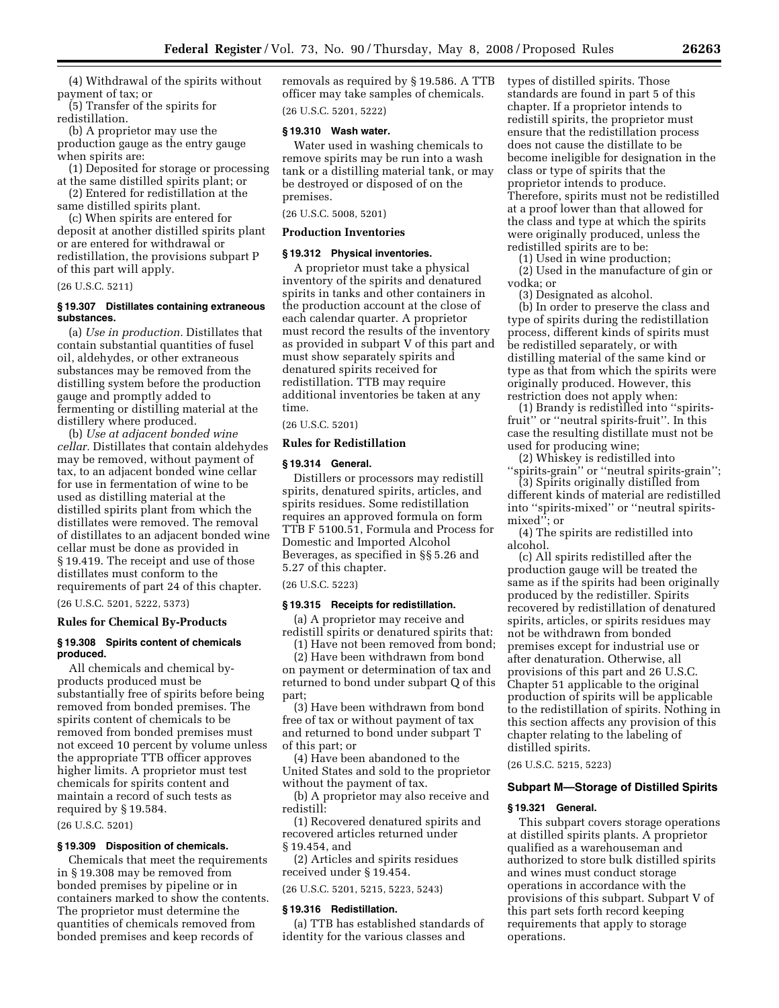(4) Withdrawal of the spirits without payment of tax; or

(5) Transfer of the spirits for redistillation.

(b) A proprietor may use the production gauge as the entry gauge when spirits are:

(1) Deposited for storage or processing at the same distilled spirits plant; or

(2) Entered for redistillation at the same distilled spirits plant.

(c) When spirits are entered for deposit at another distilled spirits plant or are entered for withdrawal or redistillation, the provisions subpart P of this part will apply.

(26 U.S.C. 5211)

## **§ 19.307 Distillates containing extraneous substances.**

(a) *Use in production.* Distillates that contain substantial quantities of fusel oil, aldehydes, or other extraneous substances may be removed from the distilling system before the production gauge and promptly added to fermenting or distilling material at the distillery where produced.

(b) *Use at adjacent bonded wine cellar.* Distillates that contain aldehydes may be removed, without payment of tax, to an adjacent bonded wine cellar for use in fermentation of wine to be used as distilling material at the distilled spirits plant from which the distillates were removed. The removal of distillates to an adjacent bonded wine cellar must be done as provided in § 19.419. The receipt and use of those distillates must conform to the requirements of part 24 of this chapter.

(26 U.S.C. 5201, 5222, 5373)

## **Rules for Chemical By-Products**

#### **§ 19.308 Spirits content of chemicals produced.**

All chemicals and chemical byproducts produced must be substantially free of spirits before being removed from bonded premises. The spirits content of chemicals to be removed from bonded premises must not exceed 10 percent by volume unless the appropriate TTB officer approves higher limits. A proprietor must test chemicals for spirits content and maintain a record of such tests as required by § 19.584.

(26 U.S.C. 5201)

## **§ 19.309 Disposition of chemicals.**

Chemicals that meet the requirements in § 19.308 may be removed from bonded premises by pipeline or in containers marked to show the contents. The proprietor must determine the quantities of chemicals removed from bonded premises and keep records of

removals as required by § 19.586. A TTB officer may take samples of chemicals. (26 U.S.C. 5201, 5222)

## **§ 19.310 Wash water.**

Water used in washing chemicals to remove spirits may be run into a wash tank or a distilling material tank, or may be destroyed or disposed of on the premises.

(26 U.S.C. 5008, 5201)

## **Production Inventories**

#### **§ 19.312 Physical inventories.**

A proprietor must take a physical inventory of the spirits and denatured spirits in tanks and other containers in the production account at the close of each calendar quarter. A proprietor must record the results of the inventory as provided in subpart V of this part and must show separately spirits and denatured spirits received for redistillation. TTB may require additional inventories be taken at any time.

## (26 U.S.C. 5201)

#### **Rules for Redistillation**

## **§ 19.314 General.**

Distillers or processors may redistill spirits, denatured spirits, articles, and spirits residues. Some redistillation requires an approved formula on form TTB F 5100.51, Formula and Process for Domestic and Imported Alcohol Beverages, as specified in §§ 5.26 and 5.27 of this chapter.

(26 U.S.C. 5223)

#### **§ 19.315 Receipts for redistillation.**

(a) A proprietor may receive and redistill spirits or denatured spirits that: (1) Have not been removed from bond;

(2) Have been withdrawn from bond on payment or determination of tax and returned to bond under subpart Q of this part;

(3) Have been withdrawn from bond free of tax or without payment of tax and returned to bond under subpart T of this part; or

(4) Have been abandoned to the United States and sold to the proprietor without the payment of tax.

(b) A proprietor may also receive and redistill:

(1) Recovered denatured spirits and recovered articles returned under § 19.454, and

(2) Articles and spirits residues received under § 19.454.

(26 U.S.C. 5201, 5215, 5223, 5243)

#### **§ 19.316 Redistillation.**

(a) TTB has established standards of identity for the various classes and

types of distilled spirits. Those standards are found in part 5 of this chapter. If a proprietor intends to redistill spirits, the proprietor must ensure that the redistillation process does not cause the distillate to be become ineligible for designation in the class or type of spirits that the proprietor intends to produce. Therefore, spirits must not be redistilled at a proof lower than that allowed for the class and type at which the spirits were originally produced, unless the redistilled spirits are to be:

(1) Used in wine production;

(2) Used in the manufacture of gin or vodka; or

(3) Designated as alcohol.

(b) In order to preserve the class and type of spirits during the redistillation process, different kinds of spirits must be redistilled separately, or with distilling material of the same kind or type as that from which the spirits were originally produced. However, this restriction does not apply when:

(1) Brandy is redistilled into ''spiritsfruit'' or ''neutral spirits-fruit''. In this case the resulting distillate must not be used for producing wine;

(2) Whiskey is redistilled into ''spirits-grain'' or ''neutral spirits-grain'';

(3) Spirits originally distilled from different kinds of material are redistilled into ''spirits-mixed'' or ''neutral spiritsmixed''; or

(4) The spirits are redistilled into alcohol.

(c) All spirits redistilled after the production gauge will be treated the same as if the spirits had been originally produced by the redistiller. Spirits recovered by redistillation of denatured spirits, articles, or spirits residues may not be withdrawn from bonded premises except for industrial use or after denaturation. Otherwise, all provisions of this part and 26 U.S.C. Chapter 51 applicable to the original production of spirits will be applicable to the redistillation of spirits. Nothing in this section affects any provision of this chapter relating to the labeling of distilled spirits.

(26 U.S.C. 5215, 5223)

#### **Subpart M—Storage of Distilled Spirits**

#### **§ 19.321 General.**

This subpart covers storage operations at distilled spirits plants. A proprietor qualified as a warehouseman and authorized to store bulk distilled spirits and wines must conduct storage operations in accordance with the provisions of this subpart. Subpart V of this part sets forth record keeping requirements that apply to storage operations.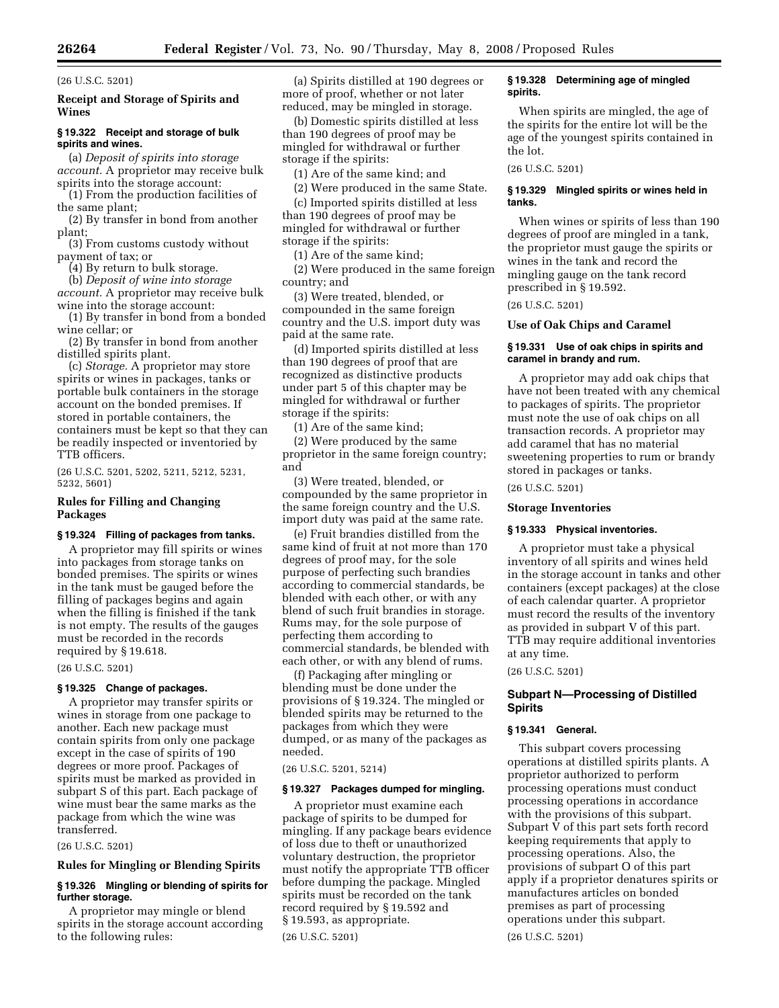## (26 U.S.C. 5201)

## **Receipt and Storage of Spirits and Wines**

#### **§ 19.322 Receipt and storage of bulk spirits and wines.**

(a) *Deposit of spirits into storage account.* A proprietor may receive bulk spirits into the storage account:

(1) From the production facilities of the same plant;

(2) By transfer in bond from another plant;

(3) From customs custody without payment of tax; or

(4) By return to bulk storage.

(b) *Deposit of wine into storage account.* A proprietor may receive bulk wine into the storage account:

(1) By transfer in bond from a bonded wine cellar; or

(2) By transfer in bond from another distilled spirits plant.

(c) *Storage.* A proprietor may store spirits or wines in packages, tanks or portable bulk containers in the storage account on the bonded premises. If stored in portable containers, the containers must be kept so that they can be readily inspected or inventoried by TTB officers.

(26 U.S.C. 5201, 5202, 5211, 5212, 5231, 5232, 5601)

## **Rules for Filling and Changing Packages**

#### **§ 19.324 Filling of packages from tanks.**

A proprietor may fill spirits or wines into packages from storage tanks on bonded premises. The spirits or wines in the tank must be gauged before the filling of packages begins and again when the filling is finished if the tank is not empty. The results of the gauges must be recorded in the records required by § 19.618.

#### (26 U.S.C. 5201)

#### **§ 19.325 Change of packages.**

A proprietor may transfer spirits or wines in storage from one package to another. Each new package must contain spirits from only one package except in the case of spirits of 190 degrees or more proof. Packages of spirits must be marked as provided in subpart S of this part. Each package of wine must bear the same marks as the package from which the wine was transferred.

(26 U.S.C. 5201)

## **Rules for Mingling or Blending Spirits**

## **§ 19.326 Mingling or blending of spirits for further storage.**

A proprietor may mingle or blend spirits in the storage account according to the following rules:

(a) Spirits distilled at 190 degrees or more of proof, whether or not later reduced, may be mingled in storage.

(b) Domestic spirits distilled at less than 190 degrees of proof may be mingled for withdrawal or further storage if the spirits:

(1) Are of the same kind; and

(2) Were produced in the same State. (c) Imported spirits distilled at less

than 190 degrees of proof may be mingled for withdrawal or further storage if the spirits:

(1) Are of the same kind;

(2) Were produced in the same foreign country; and

(3) Were treated, blended, or compounded in the same foreign country and the U.S. import duty was paid at the same rate.

(d) Imported spirits distilled at less than 190 degrees of proof that are recognized as distinctive products under part 5 of this chapter may be mingled for withdrawal or further storage if the spirits:

(1) Are of the same kind;

(2) Were produced by the same proprietor in the same foreign country; and

(3) Were treated, blended, or compounded by the same proprietor in the same foreign country and the U.S. import duty was paid at the same rate.

(e) Fruit brandies distilled from the same kind of fruit at not more than 170 degrees of proof may, for the sole purpose of perfecting such brandies according to commercial standards, be blended with each other, or with any blend of such fruit brandies in storage. Rums may, for the sole purpose of perfecting them according to commercial standards, be blended with each other, or with any blend of rums.

(f) Packaging after mingling or blending must be done under the provisions of § 19.324. The mingled or blended spirits may be returned to the packages from which they were dumped, or as many of the packages as needed.

(26 U.S.C. 5201, 5214)

#### **§ 19.327 Packages dumped for mingling.**

A proprietor must examine each package of spirits to be dumped for mingling. If any package bears evidence of loss due to theft or unauthorized voluntary destruction, the proprietor must notify the appropriate TTB officer before dumping the package. Mingled spirits must be recorded on the tank record required by § 19.592 and § 19.593, as appropriate. (26 U.S.C. 5201)

## **§ 19.328 Determining age of mingled spirits.**

When spirits are mingled, the age of the spirits for the entire lot will be the age of the youngest spirits contained in the lot.

(26 U.S.C. 5201)

#### **§ 19.329 Mingled spirits or wines held in tanks.**

When wines or spirits of less than 190 degrees of proof are mingled in a tank, the proprietor must gauge the spirits or wines in the tank and record the mingling gauge on the tank record prescribed in § 19.592.

(26 U.S.C. 5201)

## **Use of Oak Chips and Caramel**

## **§ 19.331 Use of oak chips in spirits and caramel in brandy and rum.**

A proprietor may add oak chips that have not been treated with any chemical to packages of spirits. The proprietor must note the use of oak chips on all transaction records. A proprietor may add caramel that has no material sweetening properties to rum or brandy stored in packages or tanks.

(26 U.S.C. 5201)

## **Storage Inventories**

#### **§ 19.333 Physical inventories.**

A proprietor must take a physical inventory of all spirits and wines held in the storage account in tanks and other containers (except packages) at the close of each calendar quarter. A proprietor must record the results of the inventory as provided in subpart V of this part. TTB may require additional inventories at any time.

(26 U.S.C. 5201)

## **Subpart N—Processing of Distilled Spirits**

## **§ 19.341 General.**

This subpart covers processing operations at distilled spirits plants. A proprietor authorized to perform processing operations must conduct processing operations in accordance with the provisions of this subpart. Subpart V of this part sets forth record keeping requirements that apply to processing operations. Also, the provisions of subpart O of this part apply if a proprietor denatures spirits or manufactures articles on bonded premises as part of processing operations under this subpart.

(26 U.S.C. 5201)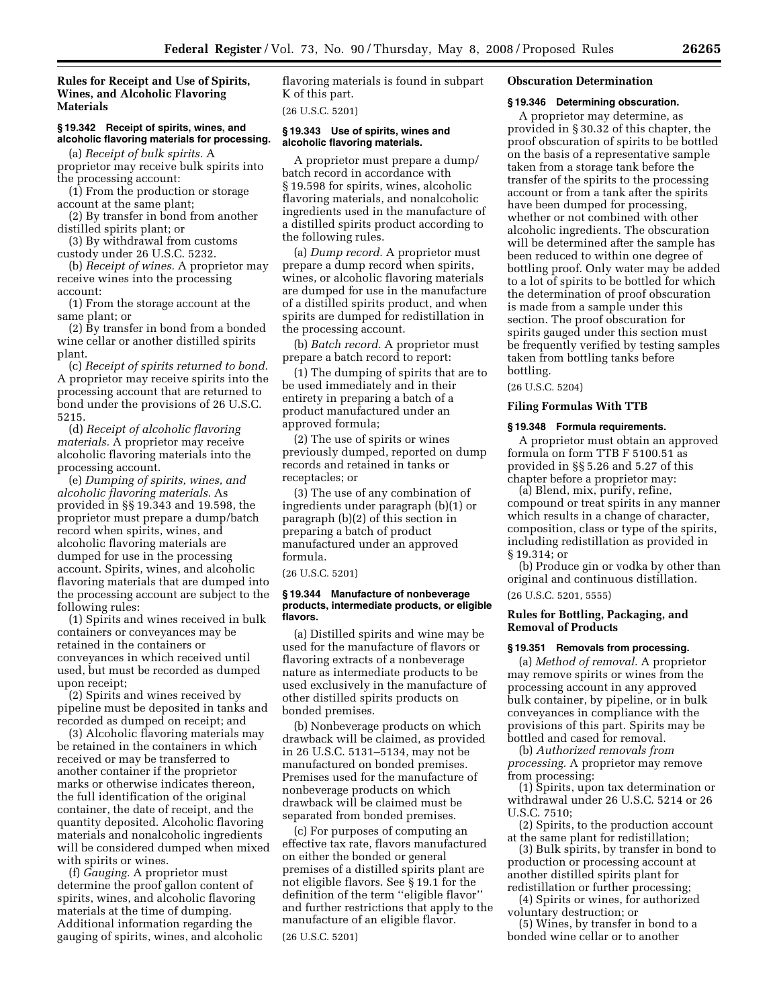## **Rules for Receipt and Use of Spirits, Wines, and Alcoholic Flavoring Materials**

## **§ 19.342 Receipt of spirits, wines, and alcoholic flavoring materials for processing.**

(a) *Receipt of bulk spirits.* A proprietor may receive bulk spirits into the processing account:

(1) From the production or storage account at the same plant;

(2) By transfer in bond from another distilled spirits plant; or

(3) By withdrawal from customs custody under 26 U.S.C. 5232.

(b) *Receipt of wines.* A proprietor may receive wines into the processing account:

(1) From the storage account at the same plant; or

(2) By transfer in bond from a bonded wine cellar or another distilled spirits plant.

(c) *Receipt of spirits returned to bond.*  A proprietor may receive spirits into the processing account that are returned to bond under the provisions of 26 U.S.C. 5215.

(d) *Receipt of alcoholic flavoring materials.* A proprietor may receive alcoholic flavoring materials into the processing account.

(e) *Dumping of spirits, wines, and alcoholic flavoring materials.* As provided in §§ 19.343 and 19.598, the proprietor must prepare a dump/batch record when spirits, wines, and alcoholic flavoring materials are dumped for use in the processing account. Spirits, wines, and alcoholic flavoring materials that are dumped into the processing account are subject to the following rules:

(1) Spirits and wines received in bulk containers or conveyances may be retained in the containers or conveyances in which received until used, but must be recorded as dumped upon receipt;

(2) Spirits and wines received by pipeline must be deposited in tanks and recorded as dumped on receipt; and

(3) Alcoholic flavoring materials may be retained in the containers in which received or may be transferred to another container if the proprietor marks or otherwise indicates thereon, the full identification of the original container, the date of receipt, and the quantity deposited. Alcoholic flavoring materials and nonalcoholic ingredients will be considered dumped when mixed with spirits or wines.

(f) *Gauging.* A proprietor must determine the proof gallon content of spirits, wines, and alcoholic flavoring materials at the time of dumping. Additional information regarding the gauging of spirits, wines, and alcoholic flavoring materials is found in subpart K of this part.

(26 U.S.C. 5201)

#### **§ 19.343 Use of spirits, wines and alcoholic flavoring materials.**

A proprietor must prepare a dump/ batch record in accordance with § 19.598 for spirits, wines, alcoholic flavoring materials, and nonalcoholic ingredients used in the manufacture of a distilled spirits product according to the following rules.

(a) *Dump record.* A proprietor must prepare a dump record when spirits, wines, or alcoholic flavoring materials are dumped for use in the manufacture of a distilled spirits product, and when spirits are dumped for redistillation in the processing account.

(b) *Batch record.* A proprietor must prepare a batch record to report:

(1) The dumping of spirits that are to be used immediately and in their entirety in preparing a batch of a product manufactured under an approved formula;

(2) The use of spirits or wines previously dumped, reported on dump records and retained in tanks or receptacles; or

(3) The use of any combination of ingredients under paragraph (b)(1) or paragraph (b)(2) of this section in preparing a batch of product manufactured under an approved formula.

(26 U.S.C. 5201)

## **§ 19.344 Manufacture of nonbeverage products, intermediate products, or eligible flavors.**

(a) Distilled spirits and wine may be used for the manufacture of flavors or flavoring extracts of a nonbeverage nature as intermediate products to be used exclusively in the manufacture of other distilled spirits products on bonded premises.

(b) Nonbeverage products on which drawback will be claimed, as provided in 26 U.S.C. 5131–5134, may not be manufactured on bonded premises. Premises used for the manufacture of nonbeverage products on which drawback will be claimed must be separated from bonded premises.

(c) For purposes of computing an effective tax rate, flavors manufactured on either the bonded or general premises of a distilled spirits plant are not eligible flavors. See § 19.1 for the definition of the term ''eligible flavor'' and further restrictions that apply to the manufacture of an eligible flavor. (26 U.S.C. 5201)

## **Obscuration Determination**

#### **§ 19.346 Determining obscuration.**

A proprietor may determine, as provided in § 30.32 of this chapter, the proof obscuration of spirits to be bottled on the basis of a representative sample taken from a storage tank before the transfer of the spirits to the processing account or from a tank after the spirits have been dumped for processing, whether or not combined with other alcoholic ingredients. The obscuration will be determined after the sample has been reduced to within one degree of bottling proof. Only water may be added to a lot of spirits to be bottled for which the determination of proof obscuration is made from a sample under this section. The proof obscuration for spirits gauged under this section must be frequently verified by testing samples taken from bottling tanks before bottling.

## (26 U.S.C. 5204)

#### **Filing Formulas With TTB**

#### **§ 19.348 Formula requirements.**

A proprietor must obtain an approved formula on form TTB F 5100.51 as provided in §§ 5.26 and 5.27 of this chapter before a proprietor may:

(a) Blend, mix, purify, refine, compound or treat spirits in any manner which results in a change of character, composition, class or type of the spirits, including redistillation as provided in § 19.314; or

(b) Produce gin or vodka by other than original and continuous distillation.

(26 U.S.C. 5201, 5555)

## **Rules for Bottling, Packaging, and Removal of Products**

## **§ 19.351 Removals from processing.**

(a) *Method of removal.* A proprietor may remove spirits or wines from the processing account in any approved bulk container, by pipeline, or in bulk conveyances in compliance with the provisions of this part. Spirits may be bottled and cased for removal.

(b) *Authorized removals from processing.* A proprietor may remove from processing:

(1) Spirits, upon tax determination or withdrawal under 26 U.S.C. 5214 or 26 U.S.C. 7510;

(2) Spirits, to the production account at the same plant for redistillation;

(3) Bulk spirits, by transfer in bond to production or processing account at another distilled spirits plant for redistillation or further processing;

(4) Spirits or wines, for authorized voluntary destruction; or

(5) Wines, by transfer in bond to a bonded wine cellar or to another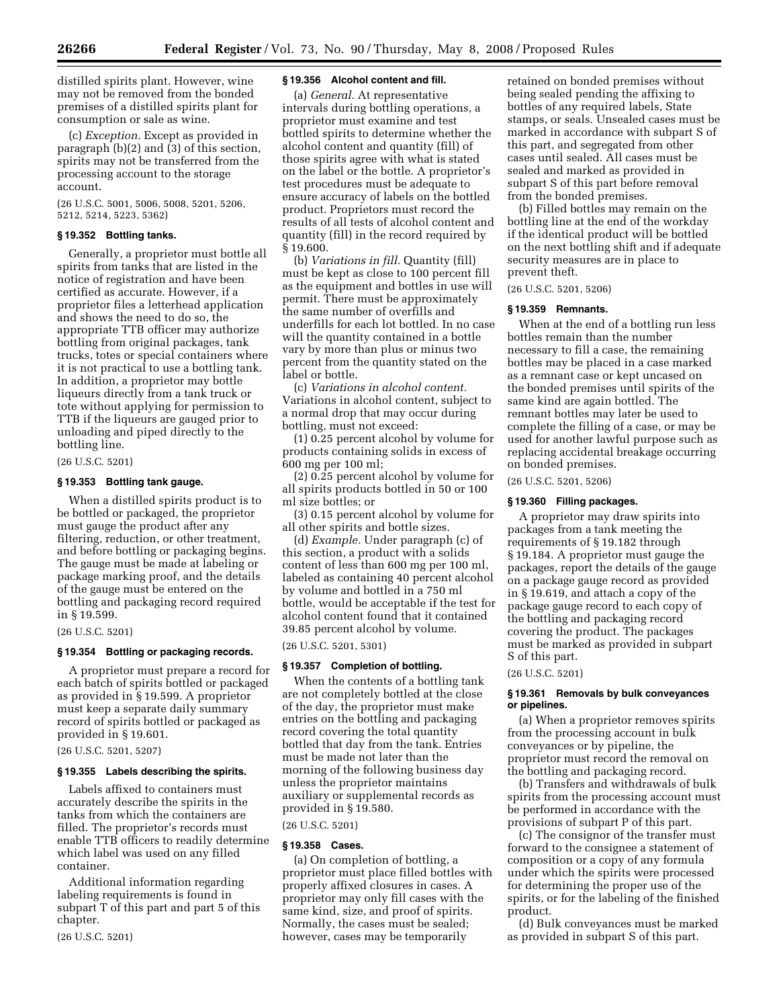distilled spirits plant. However, wine may not be removed from the bonded premises of a distilled spirits plant for consumption or sale as wine.

(c) *Exception.* Except as provided in paragraph (b)(2) and (3) of this section, spirits may not be transferred from the processing account to the storage account.

(26 U.S.C. 5001, 5006, 5008, 5201, 5206, 5212, 5214, 5223, 5362)

## **§ 19.352 Bottling tanks.**

Generally, a proprietor must bottle all spirits from tanks that are listed in the notice of registration and have been certified as accurate. However, if a proprietor files a letterhead application and shows the need to do so, the appropriate TTB officer may authorize bottling from original packages, tank trucks, totes or special containers where it is not practical to use a bottling tank. In addition, a proprietor may bottle liqueurs directly from a tank truck or tote without applying for permission to TTB if the liqueurs are gauged prior to unloading and piped directly to the bottling line.

(26 U.S.C. 5201)

## **§ 19.353 Bottling tank gauge.**

When a distilled spirits product is to be bottled or packaged, the proprietor must gauge the product after any filtering, reduction, or other treatment, and before bottling or packaging begins. The gauge must be made at labeling or package marking proof, and the details of the gauge must be entered on the bottling and packaging record required in § 19.599.

(26 U.S.C. 5201)

## **§ 19.354 Bottling or packaging records.**

A proprietor must prepare a record for each batch of spirits bottled or packaged as provided in § 19.599. A proprietor must keep a separate daily summary record of spirits bottled or packaged as provided in § 19.601.

(26 U.S.C. 5201, 5207)

#### **§ 19.355 Labels describing the spirits.**

Labels affixed to containers must accurately describe the spirits in the tanks from which the containers are filled. The proprietor's records must enable TTB officers to readily determine which label was used on any filled container.

Additional information regarding labeling requirements is found in subpart T of this part and part 5 of this chapter.

(26 U.S.C. 5201)

## **§ 19.356 Alcohol content and fill.**

(a) *General.* At representative intervals during bottling operations, a proprietor must examine and test bottled spirits to determine whether the alcohol content and quantity (fill) of those spirits agree with what is stated on the label or the bottle. A proprietor's test procedures must be adequate to ensure accuracy of labels on the bottled product. Proprietors must record the results of all tests of alcohol content and quantity (fill) in the record required by § 19.600.

(b) *Variations in fill.* Quantity (fill) must be kept as close to 100 percent fill as the equipment and bottles in use will permit. There must be approximately the same number of overfills and underfills for each lot bottled. In no case will the quantity contained in a bottle vary by more than plus or minus two percent from the quantity stated on the label or bottle.

(c) *Variations in alcohol content.*  Variations in alcohol content, subject to a normal drop that may occur during bottling, must not exceed:

(1) 0.25 percent alcohol by volume for products containing solids in excess of 600 mg per 100 ml;

(2) 0.25 percent alcohol by volume for all spirits products bottled in 50 or 100 ml size bottles; or

(3) 0.15 percent alcohol by volume for all other spirits and bottle sizes.

(d) *Example.* Under paragraph (c) of this section, a product with a solids content of less than 600 mg per 100 ml, labeled as containing 40 percent alcohol by volume and bottled in a 750 ml bottle, would be acceptable if the test for alcohol content found that it contained 39.85 percent alcohol by volume.

(26 U.S.C. 5201, 5301)

## **§ 19.357 Completion of bottling.**

When the contents of a bottling tank are not completely bottled at the close of the day, the proprietor must make entries on the bottling and packaging record covering the total quantity bottled that day from the tank. Entries must be made not later than the morning of the following business day unless the proprietor maintains auxiliary or supplemental records as provided in § 19.580.

(26 U.S.C. 5201)

#### **§ 19.358 Cases.**

(a) On completion of bottling, a proprietor must place filled bottles with properly affixed closures in cases. A proprietor may only fill cases with the same kind, size, and proof of spirits. Normally, the cases must be sealed; however, cases may be temporarily

retained on bonded premises without being sealed pending the affixing to bottles of any required labels, State stamps, or seals. Unsealed cases must be marked in accordance with subpart S of this part, and segregated from other cases until sealed. All cases must be sealed and marked as provided in subpart S of this part before removal from the bonded premises.

(b) Filled bottles may remain on the bottling line at the end of the workday if the identical product will be bottled on the next bottling shift and if adequate security measures are in place to prevent theft.

(26 U.S.C. 5201, 5206)

## **§ 19.359 Remnants.**

When at the end of a bottling run less bottles remain than the number necessary to fill a case, the remaining bottles may be placed in a case marked as a remnant case or kept uncased on the bonded premises until spirits of the same kind are again bottled. The remnant bottles may later be used to complete the filling of a case, or may be used for another lawful purpose such as replacing accidental breakage occurring on bonded premises.

(26 U.S.C. 5201, 5206)

## **§ 19.360 Filling packages.**

A proprietor may draw spirits into packages from a tank meeting the requirements of § 19.182 through § 19.184. A proprietor must gauge the packages, report the details of the gauge on a package gauge record as provided in § 19.619, and attach a copy of the package gauge record to each copy of the bottling and packaging record covering the product. The packages must be marked as provided in subpart S of this part.

(26 U.S.C. 5201)

#### **§ 19.361 Removals by bulk conveyances or pipelines.**

(a) When a proprietor removes spirits from the processing account in bulk conveyances or by pipeline, the proprietor must record the removal on the bottling and packaging record.

(b) Transfers and withdrawals of bulk spirits from the processing account must be performed in accordance with the provisions of subpart P of this part.

(c) The consignor of the transfer must forward to the consignee a statement of composition or a copy of any formula under which the spirits were processed for determining the proper use of the spirits, or for the labeling of the finished product.

(d) Bulk conveyances must be marked as provided in subpart S of this part.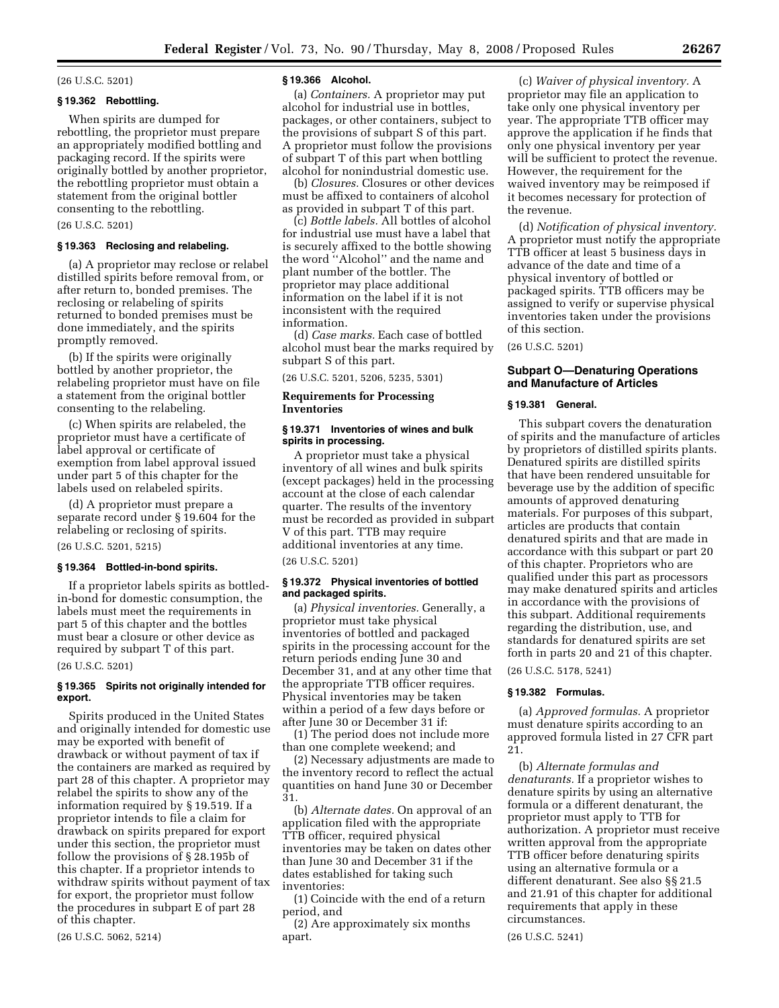## (26 U.S.C. 5201)

## **§ 19.362 Rebottling.**

When spirits are dumped for rebottling, the proprietor must prepare an appropriately modified bottling and packaging record. If the spirits were originally bottled by another proprietor, the rebottling proprietor must obtain a statement from the original bottler consenting to the rebottling.

(26 U.S.C. 5201)

## **§ 19.363 Reclosing and relabeling.**

(a) A proprietor may reclose or relabel distilled spirits before removal from, or after return to, bonded premises. The reclosing or relabeling of spirits returned to bonded premises must be done immediately, and the spirits promptly removed.

(b) If the spirits were originally bottled by another proprietor, the relabeling proprietor must have on file a statement from the original bottler consenting to the relabeling.

(c) When spirits are relabeled, the proprietor must have a certificate of label approval or certificate of exemption from label approval issued under part 5 of this chapter for the labels used on relabeled spirits.

(d) A proprietor must prepare a separate record under § 19.604 for the relabeling or reclosing of spirits.

## (26 U.S.C. 5201, 5215)

## **§ 19.364 Bottled-in-bond spirits.**

If a proprietor labels spirits as bottledin-bond for domestic consumption, the labels must meet the requirements in part 5 of this chapter and the bottles must bear a closure or other device as required by subpart T of this part.

#### (26 U.S.C. 5201)

#### **§ 19.365 Spirits not originally intended for export.**

Spirits produced in the United States and originally intended for domestic use may be exported with benefit of drawback or without payment of tax if the containers are marked as required by part 28 of this chapter. A proprietor may relabel the spirits to show any of the information required by § 19.519. If a proprietor intends to file a claim for drawback on spirits prepared for export under this section, the proprietor must follow the provisions of § 28.195b of this chapter. If a proprietor intends to withdraw spirits without payment of tax for export, the proprietor must follow the procedures in subpart E of part 28 of this chapter.

(26 U.S.C. 5062, 5214)

#### **§ 19.366 Alcohol.**

(a) *Containers.* A proprietor may put alcohol for industrial use in bottles, packages, or other containers, subject to the provisions of subpart S of this part. A proprietor must follow the provisions of subpart T of this part when bottling alcohol for nonindustrial domestic use.

(b) *Closures.* Closures or other devices must be affixed to containers of alcohol as provided in subpart T of this part.

(c) *Bottle labels.* All bottles of alcohol for industrial use must have a label that is securely affixed to the bottle showing the word ''Alcohol'' and the name and plant number of the bottler. The proprietor may place additional information on the label if it is not inconsistent with the required information.

(d) *Case marks.* Each case of bottled alcohol must bear the marks required by subpart S of this part.

(26 U.S.C. 5201, 5206, 5235, 5301)

## **Requirements for Processing Inventories**

## **§ 19.371 Inventories of wines and bulk spirits in processing.**

A proprietor must take a physical inventory of all wines and bulk spirits (except packages) held in the processing account at the close of each calendar quarter. The results of the inventory must be recorded as provided in subpart V of this part. TTB may require additional inventories at any time.

(26 U.S.C. 5201)

## **§ 19.372 Physical inventories of bottled and packaged spirits.**

(a) *Physical inventories.* Generally, a proprietor must take physical inventories of bottled and packaged spirits in the processing account for the return periods ending June 30 and December 31, and at any other time that the appropriate TTB officer requires. Physical inventories may be taken within a period of a few days before or after June 30 or December 31 if:

(1) The period does not include more than one complete weekend; and

(2) Necessary adjustments are made to the inventory record to reflect the actual quantities on hand June 30 or December 31.

(b) *Alternate dates.* On approval of an application filed with the appropriate TTB officer, required physical inventories may be taken on dates other than June 30 and December 31 if the dates established for taking such inventories:

(1) Coincide with the end of a return period, and

(2) Are approximately six months apart.

(c) *Waiver of physical inventory.* A proprietor may file an application to take only one physical inventory per year. The appropriate TTB officer may approve the application if he finds that only one physical inventory per year will be sufficient to protect the revenue. However, the requirement for the waived inventory may be reimposed if it becomes necessary for protection of the revenue.

(d) *Notification of physical inventory.*  A proprietor must notify the appropriate TTB officer at least 5 business days in advance of the date and time of a physical inventory of bottled or packaged spirits. TTB officers may be assigned to verify or supervise physical inventories taken under the provisions of this section.

(26 U.S.C. 5201)

## **Subpart O—Denaturing Operations and Manufacture of Articles**

#### **§ 19.381 General.**

This subpart covers the denaturation of spirits and the manufacture of articles by proprietors of distilled spirits plants. Denatured spirits are distilled spirits that have been rendered unsuitable for beverage use by the addition of specific amounts of approved denaturing materials. For purposes of this subpart, articles are products that contain denatured spirits and that are made in accordance with this subpart or part 20 of this chapter. Proprietors who are qualified under this part as processors may make denatured spirits and articles in accordance with the provisions of this subpart. Additional requirements regarding the distribution, use, and standards for denatured spirits are set forth in parts 20 and 21 of this chapter.

(26 U.S.C. 5178, 5241)

## **§ 19.382 Formulas.**

(a) *Approved formulas.* A proprietor must denature spirits according to an approved formula listed in 27 CFR part 21.

(b) *Alternate formulas and denaturants.* If a proprietor wishes to denature spirits by using an alternative formula or a different denaturant, the proprietor must apply to TTB for authorization. A proprietor must receive written approval from the appropriate TTB officer before denaturing spirits using an alternative formula or a different denaturant. See also §§ 21.5 and 21.91 of this chapter for additional requirements that apply in these circumstances.

(26 U.S.C. 5241)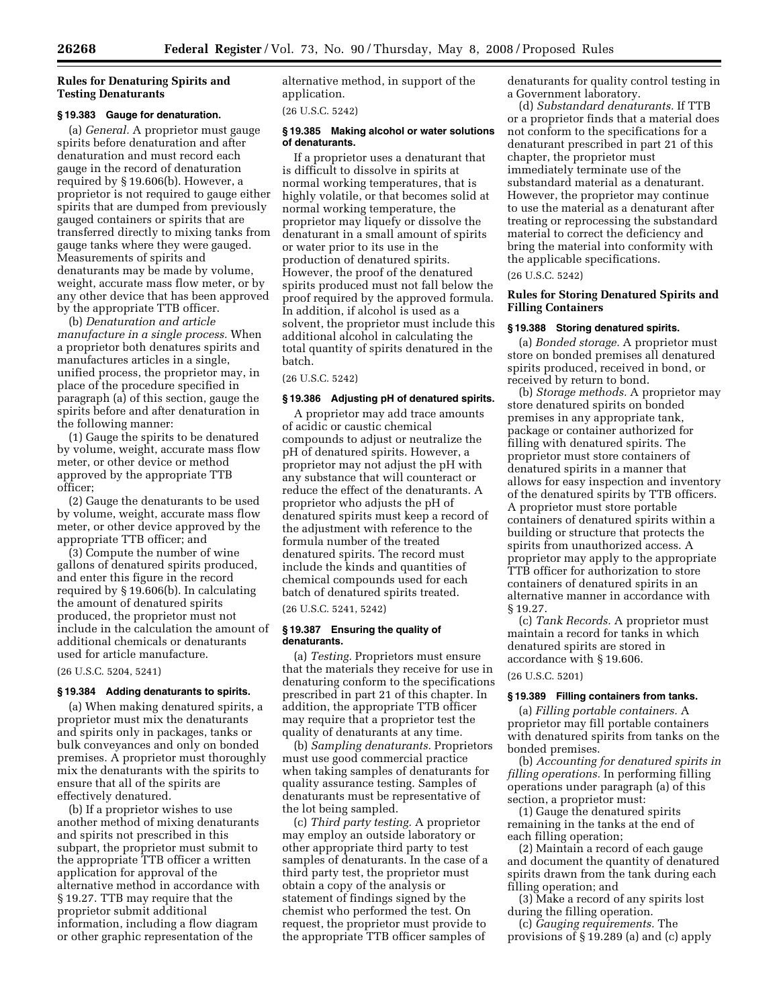## **Rules for Denaturing Spirits and Testing Denaturants**

#### **§ 19.383 Gauge for denaturation.**

(a) *General.* A proprietor must gauge spirits before denaturation and after denaturation and must record each gauge in the record of denaturation required by § 19.606(b). However, a proprietor is not required to gauge either spirits that are dumped from previously gauged containers or spirits that are transferred directly to mixing tanks from gauge tanks where they were gauged. Measurements of spirits and denaturants may be made by volume, weight, accurate mass flow meter, or by any other device that has been approved by the appropriate TTB officer.

(b) *Denaturation and article manufacture in a single process.* When a proprietor both denatures spirits and manufactures articles in a single, unified process, the proprietor may, in place of the procedure specified in paragraph (a) of this section, gauge the spirits before and after denaturation in the following manner:

(1) Gauge the spirits to be denatured by volume, weight, accurate mass flow meter, or other device or method approved by the appropriate TTB officer;

(2) Gauge the denaturants to be used by volume, weight, accurate mass flow meter, or other device approved by the appropriate TTB officer; and

(3) Compute the number of wine gallons of denatured spirits produced, and enter this figure in the record required by § 19.606(b). In calculating the amount of denatured spirits produced, the proprietor must not include in the calculation the amount of additional chemicals or denaturants used for article manufacture.

(26 U.S.C. 5204, 5241)

## **§ 19.384 Adding denaturants to spirits.**

(a) When making denatured spirits, a proprietor must mix the denaturants and spirits only in packages, tanks or bulk conveyances and only on bonded premises. A proprietor must thoroughly mix the denaturants with the spirits to ensure that all of the spirits are effectively denatured.

(b) If a proprietor wishes to use another method of mixing denaturants and spirits not prescribed in this subpart, the proprietor must submit to the appropriate TTB officer a written application for approval of the alternative method in accordance with § 19.27. TTB may require that the proprietor submit additional information, including a flow diagram or other graphic representation of the

alternative method, in support of the application.

(26 U.S.C. 5242)

#### **§ 19.385 Making alcohol or water solutions of denaturants.**

If a proprietor uses a denaturant that is difficult to dissolve in spirits at normal working temperatures, that is highly volatile, or that becomes solid at normal working temperature, the proprietor may liquefy or dissolve the denaturant in a small amount of spirits or water prior to its use in the production of denatured spirits. However, the proof of the denatured spirits produced must not fall below the proof required by the approved formula. In addition, if alcohol is used as a solvent, the proprietor must include this additional alcohol in calculating the total quantity of spirits denatured in the batch.

(26 U.S.C. 5242)

## **§ 19.386 Adjusting pH of denatured spirits.**

A proprietor may add trace amounts of acidic or caustic chemical compounds to adjust or neutralize the pH of denatured spirits. However, a proprietor may not adjust the pH with any substance that will counteract or reduce the effect of the denaturants. A proprietor who adjusts the pH of denatured spirits must keep a record of the adjustment with reference to the formula number of the treated denatured spirits. The record must include the kinds and quantities of chemical compounds used for each batch of denatured spirits treated.

## (26 U.S.C. 5241, 5242)

## **§ 19.387 Ensuring the quality of denaturants.**

(a) *Testing.* Proprietors must ensure that the materials they receive for use in denaturing conform to the specifications prescribed in part 21 of this chapter. In addition, the appropriate TTB officer may require that a proprietor test the quality of denaturants at any time.

(b) *Sampling denaturants.* Proprietors must use good commercial practice when taking samples of denaturants for quality assurance testing. Samples of denaturants must be representative of the lot being sampled.

(c) *Third party testing.* A proprietor may employ an outside laboratory or other appropriate third party to test samples of denaturants. In the case of a third party test, the proprietor must obtain a copy of the analysis or statement of findings signed by the chemist who performed the test. On request, the proprietor must provide to the appropriate TTB officer samples of

denaturants for quality control testing in a Government laboratory.

(d) *Substandard denaturants.* If TTB or a proprietor finds that a material does not conform to the specifications for a denaturant prescribed in part 21 of this chapter, the proprietor must immediately terminate use of the substandard material as a denaturant. However, the proprietor may continue to use the material as a denaturant after treating or reprocessing the substandard material to correct the deficiency and bring the material into conformity with the applicable specifications.

#### (26 U.S.C. 5242)

## **Rules for Storing Denatured Spirits and Filling Containers**

#### **§ 19.388 Storing denatured spirits.**

(a) *Bonded storage.* A proprietor must store on bonded premises all denatured spirits produced, received in bond, or received by return to bond.

(b) *Storage methods.* A proprietor may store denatured spirits on bonded premises in any appropriate tank, package or container authorized for filling with denatured spirits. The proprietor must store containers of denatured spirits in a manner that allows for easy inspection and inventory of the denatured spirits by TTB officers. A proprietor must store portable containers of denatured spirits within a building or structure that protects the spirits from unauthorized access. A proprietor may apply to the appropriate TTB officer for authorization to store containers of denatured spirits in an alternative manner in accordance with § 19.27.

(c) *Tank Records.* A proprietor must maintain a record for tanks in which denatured spirits are stored in accordance with § 19.606.

## (26 U.S.C. 5201)

## **§ 19.389 Filling containers from tanks.**

(a) *Filling portable containers.* A proprietor may fill portable containers with denatured spirits from tanks on the bonded premises.

(b) *Accounting for denatured spirits in filling operations.* In performing filling operations under paragraph (a) of this section, a proprietor must:

(1) Gauge the denatured spirits remaining in the tanks at the end of each filling operation;

(2) Maintain a record of each gauge and document the quantity of denatured spirits drawn from the tank during each filling operation; and

(3) Make a record of any spirits lost during the filling operation.

(c) *Gauging requirements.* The provisions of § 19.289 (a) and (c) apply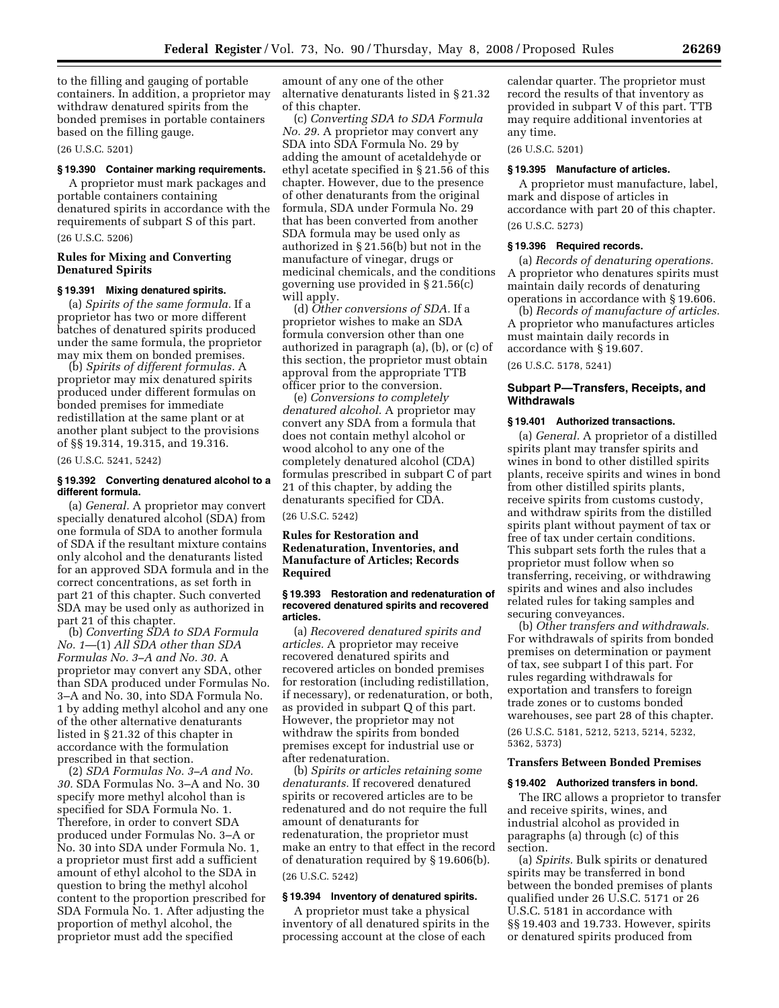to the filling and gauging of portable containers. In addition, a proprietor may withdraw denatured spirits from the bonded premises in portable containers based on the filling gauge.

(26 U.S.C. 5201)

#### **§ 19.390 Container marking requirements.**

A proprietor must mark packages and portable containers containing denatured spirits in accordance with the requirements of subpart S of this part. (26 U.S.C. 5206)

## **Rules for Mixing and Converting Denatured Spirits**

#### **§ 19.391 Mixing denatured spirits.**

(a) *Spirits of the same formula.* If a proprietor has two or more different batches of denatured spirits produced under the same formula, the proprietor may mix them on bonded premises.

(b) *Spirits of different formulas.* A proprietor may mix denatured spirits produced under different formulas on bonded premises for immediate redistillation at the same plant or at another plant subject to the provisions of §§ 19.314, 19.315, and 19.316.

(26 U.S.C. 5241, 5242)

## **§ 19.392 Converting denatured alcohol to a different formula.**

(a) *General.* A proprietor may convert specially denatured alcohol (SDA) from one formula of SDA to another formula of SDA if the resultant mixture contains only alcohol and the denaturants listed for an approved SDA formula and in the correct concentrations, as set forth in part 21 of this chapter. Such converted SDA may be used only as authorized in part 21 of this chapter.

(b) *Converting SDA to SDA Formula No. 1*—(1) *All SDA other than SDA Formulas No. 3–A and No. 30.* A proprietor may convert any SDA, other than SDA produced under Formulas No. 3–A and No. 30, into SDA Formula No. 1 by adding methyl alcohol and any one of the other alternative denaturants listed in § 21.32 of this chapter in accordance with the formulation prescribed in that section.

(2) *SDA Formulas No. 3–A and No. 30.* SDA Formulas No. 3–A and No. 30 specify more methyl alcohol than is specified for SDA Formula No. 1. Therefore, in order to convert SDA produced under Formulas No. 3–A or No. 30 into SDA under Formula No. 1, a proprietor must first add a sufficient amount of ethyl alcohol to the SDA in question to bring the methyl alcohol content to the proportion prescribed for SDA Formula No. 1. After adjusting the proportion of methyl alcohol, the proprietor must add the specified

amount of any one of the other alternative denaturants listed in § 21.32 of this chapter.

(c) *Converting SDA to SDA Formula No. 29.* A proprietor may convert any SDA into SDA Formula No. 29 by adding the amount of acetaldehyde or ethyl acetate specified in § 21.56 of this chapter. However, due to the presence of other denaturants from the original formula, SDA under Formula No. 29 that has been converted from another SDA formula may be used only as authorized in § 21.56(b) but not in the manufacture of vinegar, drugs or medicinal chemicals, and the conditions governing use provided in § 21.56(c) will apply.

(d) *Other conversions of SDA.* If a proprietor wishes to make an SDA formula conversion other than one authorized in paragraph (a), (b), or (c) of this section, the proprietor must obtain approval from the appropriate TTB officer prior to the conversion.

(e) *Conversions to completely denatured alcohol.* A proprietor may convert any SDA from a formula that does not contain methyl alcohol or wood alcohol to any one of the completely denatured alcohol (CDA) formulas prescribed in subpart C of part 21 of this chapter, by adding the denaturants specified for CDA.

(26 U.S.C. 5242)

## **Rules for Restoration and Redenaturation, Inventories, and Manufacture of Articles; Records Required**

#### **§ 19.393 Restoration and redenaturation of recovered denatured spirits and recovered articles.**

(a) *Recovered denatured spirits and articles.* A proprietor may receive recovered denatured spirits and recovered articles on bonded premises for restoration (including redistillation, if necessary), or redenaturation, or both, as provided in subpart Q of this part. However, the proprietor may not withdraw the spirits from bonded premises except for industrial use or after redenaturation.

(b) *Spirits or articles retaining some denaturants.* If recovered denatured spirits or recovered articles are to be redenatured and do not require the full amount of denaturants for redenaturation, the proprietor must make an entry to that effect in the record of denaturation required by § 19.606(b). (26 U.S.C. 5242)

## **§ 19.394 Inventory of denatured spirits.**

A proprietor must take a physical inventory of all denatured spirits in the processing account at the close of each

calendar quarter. The proprietor must record the results of that inventory as provided in subpart V of this part. TTB may require additional inventories at any time.

(26 U.S.C. 5201)

#### **§ 19.395 Manufacture of articles.**

A proprietor must manufacture, label, mark and dispose of articles in accordance with part 20 of this chapter. (26 U.S.C. 5273)

#### **§ 19.396 Required records.**

(a) *Records of denaturing operations.*  A proprietor who denatures spirits must maintain daily records of denaturing operations in accordance with § 19.606.

(b) *Records of manufacture of articles.*  A proprietor who manufactures articles must maintain daily records in accordance with § 19.607.

(26 U.S.C. 5178, 5241)

## **Subpart P—Transfers, Receipts, and Withdrawals**

#### **§ 19.401 Authorized transactions.**

(a) *General.* A proprietor of a distilled spirits plant may transfer spirits and wines in bond to other distilled spirits plants, receive spirits and wines in bond from other distilled spirits plants, receive spirits from customs custody, and withdraw spirits from the distilled spirits plant without payment of tax or free of tax under certain conditions. This subpart sets forth the rules that a proprietor must follow when so transferring, receiving, or withdrawing spirits and wines and also includes related rules for taking samples and securing conveyances.

(b) *Other transfers and withdrawals.*  For withdrawals of spirits from bonded premises on determination or payment of tax, see subpart I of this part. For rules regarding withdrawals for exportation and transfers to foreign trade zones or to customs bonded warehouses, see part 28 of this chapter.

(26 U.S.C. 5181, 5212, 5213, 5214, 5232, 5362, 5373)

## **Transfers Between Bonded Premises**

#### **§ 19.402 Authorized transfers in bond.**

The IRC allows a proprietor to transfer and receive spirits, wines, and industrial alcohol as provided in paragraphs (a) through (c) of this section.

(a) *Spirits.* Bulk spirits or denatured spirits may be transferred in bond between the bonded premises of plants qualified under 26 U.S.C. 5171 or 26 U.S.C. 5181 in accordance with §§ 19.403 and 19.733. However, spirits or denatured spirits produced from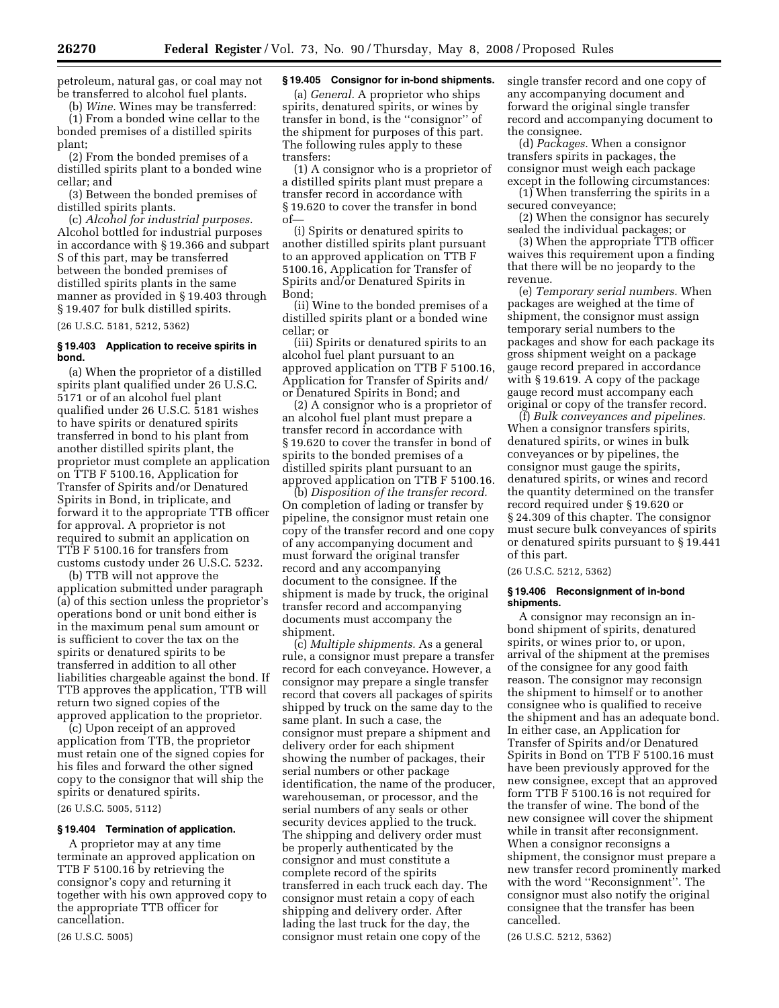petroleum, natural gas, or coal may not be transferred to alcohol fuel plants.

(b) *Wine.* Wines may be transferred: (1) From a bonded wine cellar to the bonded premises of a distilled spirits plant;

(2) From the bonded premises of a distilled spirits plant to a bonded wine cellar; and

(3) Between the bonded premises of distilled spirits plants.

(c) *Alcohol for industrial purposes.*  Alcohol bottled for industrial purposes in accordance with § 19.366 and subpart S of this part, may be transferred between the bonded premises of distilled spirits plants in the same manner as provided in § 19.403 through § 19.407 for bulk distilled spirits.

(26 U.S.C. 5181, 5212, 5362)

## **§ 19.403 Application to receive spirits in bond.**

(a) When the proprietor of a distilled spirits plant qualified under 26 U.S.C. 5171 or of an alcohol fuel plant qualified under 26 U.S.C. 5181 wishes to have spirits or denatured spirits transferred in bond to his plant from another distilled spirits plant, the proprietor must complete an application on TTB F 5100.16, Application for Transfer of Spirits and/or Denatured Spirits in Bond, in triplicate, and forward it to the appropriate TTB officer for approval. A proprietor is not required to submit an application on TTB F 5100.16 for transfers from customs custody under 26 U.S.C. 5232.

(b) TTB will not approve the application submitted under paragraph (a) of this section unless the proprietor's operations bond or unit bond either is in the maximum penal sum amount or is sufficient to cover the tax on the spirits or denatured spirits to be transferred in addition to all other liabilities chargeable against the bond. If TTB approves the application, TTB will return two signed copies of the approved application to the proprietor.

(c) Upon receipt of an approved application from TTB, the proprietor must retain one of the signed copies for his files and forward the other signed copy to the consignor that will ship the spirits or denatured spirits.

(26 U.S.C. 5005, 5112)

## **§ 19.404 Termination of application.**

A proprietor may at any time terminate an approved application on TTB F 5100.16 by retrieving the consignor's copy and returning it together with his own approved copy to the appropriate TTB officer for cancellation.

(26 U.S.C. 5005)

## **§ 19.405 Consignor for in-bond shipments.**

(a) *General.* A proprietor who ships spirits, denatured spirits, or wines by transfer in bond, is the ''consignor'' of the shipment for purposes of this part. The following rules apply to these transfers:

(1) A consignor who is a proprietor of a distilled spirits plant must prepare a transfer record in accordance with § 19.620 to cover the transfer in bond of—

(i) Spirits or denatured spirits to another distilled spirits plant pursuant to an approved application on TTB F 5100.16, Application for Transfer of Spirits and/or Denatured Spirits in Bond;

(ii) Wine to the bonded premises of a distilled spirits plant or a bonded wine cellar; or

(iii) Spirits or denatured spirits to an alcohol fuel plant pursuant to an approved application on TTB F 5100.16, Application for Transfer of Spirits and/ or Denatured Spirits in Bond; and

(2) A consignor who is a proprietor of an alcohol fuel plant must prepare a transfer record in accordance with § 19.620 to cover the transfer in bond of spirits to the bonded premises of a distilled spirits plant pursuant to an approved application on TTB F 5100.16.

(b) *Disposition of the transfer record.*  On completion of lading or transfer by pipeline, the consignor must retain one copy of the transfer record and one copy of any accompanying document and must forward the original transfer record and any accompanying document to the consignee. If the shipment is made by truck, the original transfer record and accompanying documents must accompany the shipment.

(c) *Multiple shipments.* As a general rule, a consignor must prepare a transfer record for each conveyance. However, a consignor may prepare a single transfer record that covers all packages of spirits shipped by truck on the same day to the same plant. In such a case, the consignor must prepare a shipment and delivery order for each shipment showing the number of packages, their serial numbers or other package identification, the name of the producer, warehouseman, or processor, and the serial numbers of any seals or other security devices applied to the truck. The shipping and delivery order must be properly authenticated by the consignor and must constitute a complete record of the spirits transferred in each truck each day. The consignor must retain a copy of each shipping and delivery order. After lading the last truck for the day, the consignor must retain one copy of the

single transfer record and one copy of any accompanying document and forward the original single transfer record and accompanying document to the consignee.

(d) *Packages.* When a consignor transfers spirits in packages, the consignor must weigh each package except in the following circumstances:

(1) When transferring the spirits in a secured conveyance;

(2) When the consignor has securely sealed the individual packages; or

(3) When the appropriate TTB officer waives this requirement upon a finding that there will be no jeopardy to the revenue.

(e) *Temporary serial numbers.* When packages are weighed at the time of shipment, the consignor must assign temporary serial numbers to the packages and show for each package its gross shipment weight on a package gauge record prepared in accordance with § 19.619. A copy of the package gauge record must accompany each original or copy of the transfer record.

(f) *Bulk conveyances and pipelines.*  When a consignor transfers spirits, denatured spirits, or wines in bulk conveyances or by pipelines, the consignor must gauge the spirits, denatured spirits, or wines and record the quantity determined on the transfer record required under § 19.620 or § 24.309 of this chapter. The consignor must secure bulk conveyances of spirits or denatured spirits pursuant to § 19.441 of this part.

(26 U.S.C. 5212, 5362)

#### **§ 19.406 Reconsignment of in-bond shipments.**

A consignor may reconsign an inbond shipment of spirits, denatured spirits, or wines prior to, or upon, arrival of the shipment at the premises of the consignee for any good faith reason. The consignor may reconsign the shipment to himself or to another consignee who is qualified to receive the shipment and has an adequate bond. In either case, an Application for Transfer of Spirits and/or Denatured Spirits in Bond on TTB F 5100.16 must have been previously approved for the new consignee, except that an approved form TTB F 5100.16 is not required for the transfer of wine. The bond of the new consignee will cover the shipment while in transit after reconsignment. When a consignor reconsigns a shipment, the consignor must prepare a new transfer record prominently marked with the word ''Reconsignment''. The consignor must also notify the original consignee that the transfer has been cancelled.

(26 U.S.C. 5212, 5362)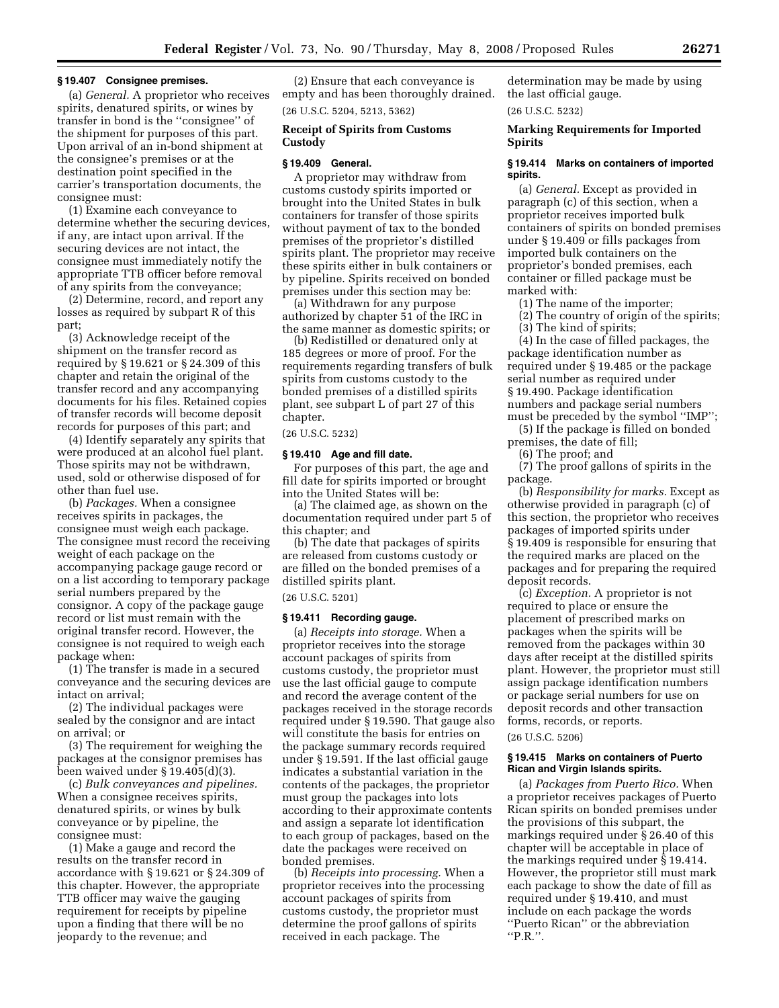#### **§ 19.407 Consignee premises.**

(a) *General.* A proprietor who receives spirits, denatured spirits, or wines by transfer in bond is the ''consignee'' of the shipment for purposes of this part. Upon arrival of an in-bond shipment at the consignee's premises or at the destination point specified in the carrier's transportation documents, the consignee must:

(1) Examine each conveyance to determine whether the securing devices, if any, are intact upon arrival. If the securing devices are not intact, the consignee must immediately notify the appropriate TTB officer before removal of any spirits from the conveyance;

(2) Determine, record, and report any losses as required by subpart R of this part;

(3) Acknowledge receipt of the shipment on the transfer record as required by § 19.621 or § 24.309 of this chapter and retain the original of the transfer record and any accompanying documents for his files. Retained copies of transfer records will become deposit records for purposes of this part; and

(4) Identify separately any spirits that were produced at an alcohol fuel plant. Those spirits may not be withdrawn, used, sold or otherwise disposed of for other than fuel use.

(b) *Packages.* When a consignee receives spirits in packages, the consignee must weigh each package. The consignee must record the receiving weight of each package on the accompanying package gauge record or on a list according to temporary package serial numbers prepared by the consignor. A copy of the package gauge record or list must remain with the original transfer record. However, the consignee is not required to weigh each package when:

(1) The transfer is made in a secured conveyance and the securing devices are intact on arrival;

(2) The individual packages were sealed by the consignor and are intact on arrival; or

(3) The requirement for weighing the packages at the consignor premises has been waived under § 19.405(d)(3).

(c) *Bulk conveyances and pipelines.*  When a consignee receives spirits, denatured spirits, or wines by bulk conveyance or by pipeline, the consignee must:

(1) Make a gauge and record the results on the transfer record in accordance with § 19.621 or § 24.309 of this chapter. However, the appropriate TTB officer may waive the gauging requirement for receipts by pipeline upon a finding that there will be no jeopardy to the revenue; and

(2) Ensure that each conveyance is empty and has been thoroughly drained. (26 U.S.C. 5204, 5213, 5362)

## **Receipt of Spirits from Customs Custody**

#### **§ 19.409 General.**

A proprietor may withdraw from customs custody spirits imported or brought into the United States in bulk containers for transfer of those spirits without payment of tax to the bonded premises of the proprietor's distilled spirits plant. The proprietor may receive these spirits either in bulk containers or by pipeline. Spirits received on bonded premises under this section may be:

(a) Withdrawn for any purpose authorized by chapter 51 of the IRC in the same manner as domestic spirits; or

(b) Redistilled or denatured only at 185 degrees or more of proof. For the requirements regarding transfers of bulk spirits from customs custody to the bonded premises of a distilled spirits plant, see subpart L of part 27 of this chapter.

## (26 U.S.C. 5232)

## **§ 19.410 Age and fill date.**

For purposes of this part, the age and fill date for spirits imported or brought into the United States will be:

(a) The claimed age, as shown on the documentation required under part 5 of this chapter; and

(b) The date that packages of spirits are released from customs custody or are filled on the bonded premises of a distilled spirits plant.

#### (26 U.S.C. 5201)

## **§ 19.411 Recording gauge.**

(a) *Receipts into storage.* When a proprietor receives into the storage account packages of spirits from customs custody, the proprietor must use the last official gauge to compute and record the average content of the packages received in the storage records required under § 19.590. That gauge also will constitute the basis for entries on the package summary records required under § 19.591. If the last official gauge indicates a substantial variation in the contents of the packages, the proprietor must group the packages into lots according to their approximate contents and assign a separate lot identification to each group of packages, based on the date the packages were received on bonded premises.

(b) *Receipts into processing.* When a proprietor receives into the processing account packages of spirits from customs custody, the proprietor must determine the proof gallons of spirits received in each package. The

determination may be made by using the last official gauge.

(26 U.S.C. 5232)

## **Marking Requirements for Imported Spirits**

#### **§ 19.414 Marks on containers of imported spirits.**

(a) *General.* Except as provided in paragraph (c) of this section, when a proprietor receives imported bulk containers of spirits on bonded premises under § 19.409 or fills packages from imported bulk containers on the proprietor's bonded premises, each container or filled package must be marked with:

(1) The name of the importer;

- (2) The country of origin of the spirits;
- (3) The kind of spirits;

(4) In the case of filled packages, the package identification number as required under § 19.485 or the package serial number as required under § 19.490. Package identification numbers and package serial numbers must be preceded by the symbol ''IMP'';

(5) If the package is filled on bonded premises, the date of fill;

(6) The proof; and

(7) The proof gallons of spirits in the package.

(b) *Responsibility for marks.* Except as otherwise provided in paragraph (c) of this section, the proprietor who receives packages of imported spirits under § 19.409 is responsible for ensuring that the required marks are placed on the packages and for preparing the required deposit records.

(c) *Exception.* A proprietor is not required to place or ensure the placement of prescribed marks on packages when the spirits will be removed from the packages within 30 days after receipt at the distilled spirits plant. However, the proprietor must still assign package identification numbers or package serial numbers for use on deposit records and other transaction forms, records, or reports.

## (26 U.S.C. 5206)

## **§ 19.415 Marks on containers of Puerto Rican and Virgin Islands spirits.**

(a) *Packages from Puerto Rico.* When a proprietor receives packages of Puerto Rican spirits on bonded premises under the provisions of this subpart, the markings required under § 26.40 of this chapter will be acceptable in place of the markings required under § 19.414. However, the proprietor still must mark each package to show the date of fill as required under § 19.410, and must include on each package the words ''Puerto Rican'' or the abbreviation ''P.R.''.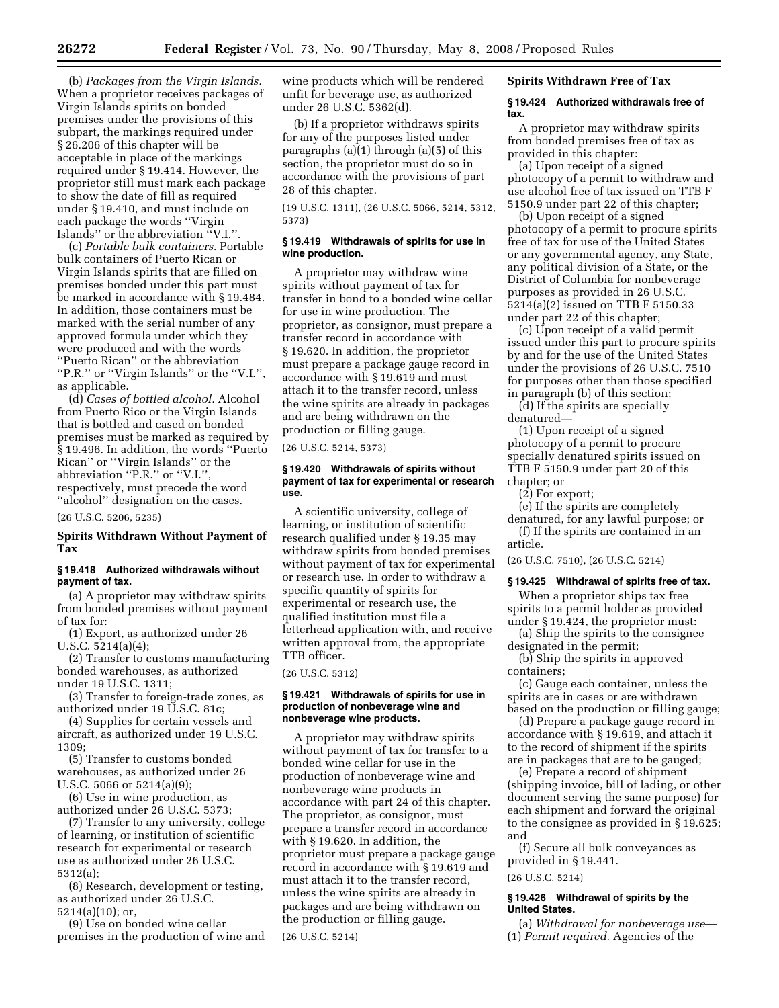(b) *Packages from the Virgin Islands.*  When a proprietor receives packages of Virgin Islands spirits on bonded premises under the provisions of this subpart, the markings required under § 26.206 of this chapter will be acceptable in place of the markings required under § 19.414. However, the proprietor still must mark each package to show the date of fill as required under § 19.410, and must include on each package the words ''Virgin Islands'' or the abbreviation ''V.I.''.

(c) *Portable bulk containers.* Portable bulk containers of Puerto Rican or Virgin Islands spirits that are filled on premises bonded under this part must be marked in accordance with § 19.484. In addition, those containers must be marked with the serial number of any approved formula under which they were produced and with the words ''Puerto Rican'' or the abbreviation ''P.R.'' or ''Virgin Islands'' or the ''V.I.'', as applicable.

(d) *Cases of bottled alcohol.* Alcohol from Puerto Rico or the Virgin Islands that is bottled and cased on bonded premises must be marked as required by § 19.496. In addition, the words ''Puerto Rican'' or ''Virgin Islands'' or the abbreviation "P.R." or "V.I." respectively, must precede the word ''alcohol'' designation on the cases.

(26 U.S.C. 5206, 5235)

# **Spirits Withdrawn Without Payment of Tax**

# **§ 19.418 Authorized withdrawals without payment of tax.**

(a) A proprietor may withdraw spirits from bonded premises without payment of tax for:

(1) Export, as authorized under 26 U.S.C. 5214(a)(4);

(2) Transfer to customs manufacturing bonded warehouses, as authorized under 19 U.S.C. 1311;

(3) Transfer to foreign-trade zones, as authorized under 19 U.S.C. 81c;

(4) Supplies for certain vessels and aircraft, as authorized under 19 U.S.C. 1309;

(5) Transfer to customs bonded warehouses, as authorized under 26 U.S.C. 5066 or 5214(a)(9);

(6) Use in wine production, as authorized under 26 U.S.C. 5373;

(7) Transfer to any university, college of learning, or institution of scientific research for experimental or research use as authorized under 26 U.S.C. 5312(a);

(8) Research, development or testing, as authorized under 26 U.S.C. 5214(a)(10); or,

(9) Use on bonded wine cellar premises in the production of wine and wine products which will be rendered unfit for beverage use, as authorized under 26 U.S.C. 5362(d).

(b) If a proprietor withdraws spirits for any of the purposes listed under paragraphs (a)(1) through (a)(5) of this section, the proprietor must do so in accordance with the provisions of part 28 of this chapter.

(19 U.S.C. 1311), (26 U.S.C. 5066, 5214, 5312, 5373)

# **§ 19.419 Withdrawals of spirits for use in wine production.**

A proprietor may withdraw wine spirits without payment of tax for transfer in bond to a bonded wine cellar for use in wine production. The proprietor, as consignor, must prepare a transfer record in accordance with § 19.620. In addition, the proprietor must prepare a package gauge record in accordance with § 19.619 and must attach it to the transfer record, unless the wine spirits are already in packages and are being withdrawn on the production or filling gauge.

(26 U.S.C. 5214, 5373)

# **§ 19.420 Withdrawals of spirits without payment of tax for experimental or research use.**

A scientific university, college of learning, or institution of scientific research qualified under § 19.35 may withdraw spirits from bonded premises without payment of tax for experimental or research use. In order to withdraw a specific quantity of spirits for experimental or research use, the qualified institution must file a letterhead application with, and receive written approval from, the appropriate TTB officer.

(26 U.S.C. 5312)

#### **§ 19.421 Withdrawals of spirits for use in production of nonbeverage wine and nonbeverage wine products.**

A proprietor may withdraw spirits without payment of tax for transfer to a bonded wine cellar for use in the production of nonbeverage wine and nonbeverage wine products in accordance with part 24 of this chapter. The proprietor, as consignor, must prepare a transfer record in accordance with § 19.620. In addition, the proprietor must prepare a package gauge record in accordance with § 19.619 and must attach it to the transfer record, unless the wine spirits are already in packages and are being withdrawn on the production or filling gauge.

(26 U.S.C. 5214)

# **Spirits Withdrawn Free of Tax**

# **§ 19.424 Authorized withdrawals free of tax.**

A proprietor may withdraw spirits from bonded premises free of tax as provided in this chapter:

(a) Upon receipt of a signed photocopy of a permit to withdraw and use alcohol free of tax issued on TTB F 5150.9 under part 22 of this chapter;

(b) Upon receipt of a signed photocopy of a permit to procure spirits free of tax for use of the United States or any governmental agency, any State, any political division of a State, or the District of Columbia for nonbeverage purposes as provided in 26 U.S.C. 5214(a)(2) issued on TTB F 5150.33 under part 22 of this chapter;

(c) Upon receipt of a valid permit issued under this part to procure spirits by and for the use of the United States under the provisions of 26 U.S.C. 7510 for purposes other than those specified in paragraph (b) of this section;

(d) If the spirits are specially denatured—

(1) Upon receipt of a signed photocopy of a permit to procure specially denatured spirits issued on TTB F 5150.9 under part 20 of this chapter; or

(2) For export;

(e) If the spirits are completely denatured, for any lawful purpose; or

(f) If the spirits are contained in an article.

(26 U.S.C. 7510), (26 U.S.C. 5214)

# **§ 19.425 Withdrawal of spirits free of tax.**

When a proprietor ships tax free spirits to a permit holder as provided under § 19.424, the proprietor must:

(a) Ship the spirits to the consignee designated in the permit;

(b) Ship the spirits in approved containers;

(c) Gauge each container, unless the spirits are in cases or are withdrawn based on the production or filling gauge;

(d) Prepare a package gauge record in accordance with § 19.619, and attach it to the record of shipment if the spirits are in packages that are to be gauged;

(e) Prepare a record of shipment (shipping invoice, bill of lading, or other document serving the same purpose) for each shipment and forward the original to the consignee as provided in § 19.625; and

(f) Secure all bulk conveyances as provided in § 19.441.

(26 U.S.C. 5214)

# **§ 19.426 Withdrawal of spirits by the United States.**

(a) *Withdrawal for nonbeverage use*— (1) *Permit required*. Agencies of the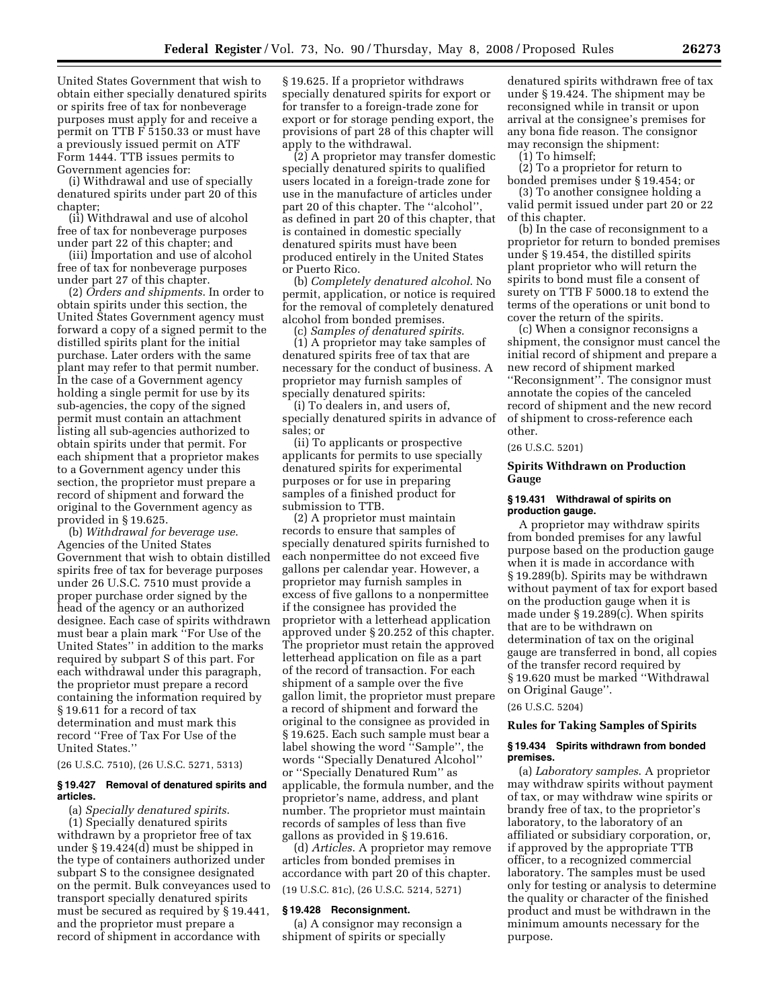United States Government that wish to obtain either specially denatured spirits or spirits free of tax for nonbeverage purposes must apply for and receive a permit on TTB F 5150.33 or must have a previously issued permit on ATF Form 1444. TTB issues permits to Government agencies for:

(i) Withdrawal and use of specially denatured spirits under part 20 of this chapter;

(ii) Withdrawal and use of alcohol free of tax for nonbeverage purposes under part 22 of this chapter; and

(iii) Importation and use of alcohol free of tax for nonbeverage purposes under part 27 of this chapter.

(2) *Orders and shipments*. In order to obtain spirits under this section, the United States Government agency must forward a copy of a signed permit to the distilled spirits plant for the initial purchase. Later orders with the same plant may refer to that permit number. In the case of a Government agency holding a single permit for use by its sub-agencies, the copy of the signed permit must contain an attachment listing all sub-agencies authorized to obtain spirits under that permit. For each shipment that a proprietor makes to a Government agency under this section, the proprietor must prepare a record of shipment and forward the original to the Government agency as provided in § 19.625.

(b) *Withdrawal for beverage use*. Agencies of the United States Government that wish to obtain distilled spirits free of tax for beverage purposes under 26 U.S.C. 7510 must provide a proper purchase order signed by the head of the agency or an authorized designee. Each case of spirits withdrawn must bear a plain mark ''For Use of the United States'' in addition to the marks required by subpart S of this part. For each withdrawal under this paragraph, the proprietor must prepare a record containing the information required by § 19.611 for a record of tax determination and must mark this record ''Free of Tax For Use of the United States.''

(26 U.S.C. 7510), (26 U.S.C. 5271, 5313)

# **§ 19.427 Removal of denatured spirits and articles.**

(a) *Specially denatured spirits*.

(1) Specially denatured spirits withdrawn by a proprietor free of tax under § 19.424(d) must be shipped in the type of containers authorized under subpart S to the consignee designated on the permit. Bulk conveyances used to transport specially denatured spirits must be secured as required by § 19.441, and the proprietor must prepare a record of shipment in accordance with

§ 19.625. If a proprietor withdraws specially denatured spirits for export or for transfer to a foreign-trade zone for export or for storage pending export, the provisions of part 28 of this chapter will apply to the withdrawal.

(2) A proprietor may transfer domestic specially denatured spirits to qualified users located in a foreign-trade zone for use in the manufacture of articles under part 20 of this chapter. The ''alcohol'', as defined in part 20 of this chapter, that is contained in domestic specially denatured spirits must have been produced entirely in the United States or Puerto Rico.

(b) *Completely denatured alcohol*. No permit, application, or notice is required for the removal of completely denatured alcohol from bonded premises.

(c) *Samples of denatured spirits*. (1) A proprietor may take samples of denatured spirits free of tax that are necessary for the conduct of business. A proprietor may furnish samples of specially denatured spirits:

(i) To dealers in, and users of, specially denatured spirits in advance of sales; or

(ii) To applicants or prospective applicants for permits to use specially denatured spirits for experimental purposes or for use in preparing samples of a finished product for submission to TTB.

(2) A proprietor must maintain records to ensure that samples of specially denatured spirits furnished to each nonpermittee do not exceed five gallons per calendar year. However, a proprietor may furnish samples in excess of five gallons to a nonpermittee if the consignee has provided the proprietor with a letterhead application approved under § 20.252 of this chapter. The proprietor must retain the approved letterhead application on file as a part of the record of transaction. For each shipment of a sample over the five gallon limit, the proprietor must prepare a record of shipment and forward the original to the consignee as provided in § 19.625. Each such sample must bear a label showing the word ''Sample'', the words ''Specially Denatured Alcohol'' or ''Specially Denatured Rum'' as applicable, the formula number, and the proprietor's name, address, and plant number. The proprietor must maintain records of samples of less than five gallons as provided in § 19.616.

(d) *Articles*. A proprietor may remove articles from bonded premises in accordance with part 20 of this chapter. (19 U.S.C. 81c), (26 U.S.C. 5214, 5271)

#### **§ 19.428 Reconsignment.**

(a) A consignor may reconsign a shipment of spirits or specially

denatured spirits withdrawn free of tax under § 19.424. The shipment may be reconsigned while in transit or upon arrival at the consignee's premises for any bona fide reason. The consignor may reconsign the shipment:

(1) To himself;

(2) To a proprietor for return to bonded premises under § 19.454; or

(3) To another consignee holding a valid permit issued under part 20 or 22 of this chapter.

(b) In the case of reconsignment to a proprietor for return to bonded premises under § 19.454, the distilled spirits plant proprietor who will return the spirits to bond must file a consent of surety on TTB F 5000.18 to extend the terms of the operations or unit bond to cover the return of the spirits.

(c) When a consignor reconsigns a shipment, the consignor must cancel the initial record of shipment and prepare a new record of shipment marked ''Reconsignment''. The consignor must annotate the copies of the canceled record of shipment and the new record of shipment to cross-reference each other.

# (26 U.S.C. 5201)

# **Spirits Withdrawn on Production Gauge**

#### **§ 19.431 Withdrawal of spirits on production gauge.**

A proprietor may withdraw spirits from bonded premises for any lawful purpose based on the production gauge when it is made in accordance with § 19.289(b). Spirits may be withdrawn without payment of tax for export based on the production gauge when it is made under § 19.289(c). When spirits that are to be withdrawn on determination of tax on the original gauge are transferred in bond, all copies of the transfer record required by § 19.620 must be marked ''Withdrawal on Original Gauge''.

# (26 U.S.C. 5204)

#### **Rules for Taking Samples of Spirits**

#### **§ 19.434 Spirits withdrawn from bonded premises.**

(a) *Laboratory samples*. A proprietor may withdraw spirits without payment of tax, or may withdraw wine spirits or brandy free of tax, to the proprietor's laboratory, to the laboratory of an affiliated or subsidiary corporation, or, if approved by the appropriate TTB officer, to a recognized commercial laboratory. The samples must be used only for testing or analysis to determine the quality or character of the finished product and must be withdrawn in the minimum amounts necessary for the purpose.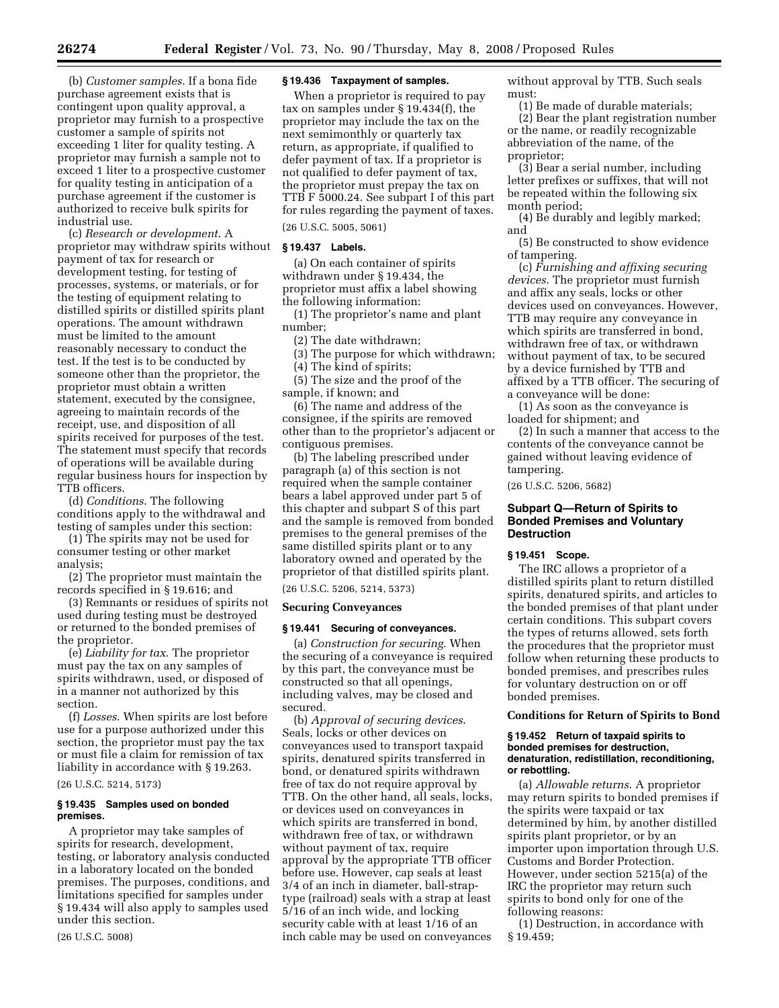(b) *Customer samples*. If a bona fide purchase agreement exists that is contingent upon quality approval, a proprietor may furnish to a prospective customer a sample of spirits not exceeding 1 liter for quality testing. A proprietor may furnish a sample not to exceed 1 liter to a prospective customer for quality testing in anticipation of a purchase agreement if the customer is authorized to receive bulk spirits for industrial use.

(c) *Research or development*. A proprietor may withdraw spirits without payment of tax for research or development testing, for testing of processes, systems, or materials, or for the testing of equipment relating to distilled spirits or distilled spirits plant operations. The amount withdrawn must be limited to the amount reasonably necessary to conduct the test. If the test is to be conducted by someone other than the proprietor, the proprietor must obtain a written statement, executed by the consignee, agreeing to maintain records of the receipt, use, and disposition of all spirits received for purposes of the test. The statement must specify that records of operations will be available during regular business hours for inspection by TTB officers.

(d) *Conditions*. The following conditions apply to the withdrawal and testing of samples under this section:

(1) The spirits may not be used for consumer testing or other market analysis;

(2) The proprietor must maintain the records specified in § 19.616; and

(3) Remnants or residues of spirits not used during testing must be destroyed or returned to the bonded premises of the proprietor.

(e) *Liability for tax*. The proprietor must pay the tax on any samples of spirits withdrawn, used, or disposed of in a manner not authorized by this section.

(f) *Losses*. When spirits are lost before use for a purpose authorized under this section, the proprietor must pay the tax or must file a claim for remission of tax liability in accordance with § 19.263. (26 U.S.C. 5214, 5173)

#### **§ 19.435 Samples used on bonded premises.**

A proprietor may take samples of spirits for research, development, testing, or laboratory analysis conducted in a laboratory located on the bonded premises. The purposes, conditions, and limitations specified for samples under § 19.434 will also apply to samples used under this section.

(26 U.S.C. 5008)

#### **§ 19.436 Taxpayment of samples.**

When a proprietor is required to pay tax on samples under § 19.434(f), the proprietor may include the tax on the next semimonthly or quarterly tax return, as appropriate, if qualified to defer payment of tax. If a proprietor is not qualified to defer payment of tax, the proprietor must prepay the tax on TTB F 5000.24. See subpart I of this part for rules regarding the payment of taxes.

(26 U.S.C. 5005, 5061)

### **§ 19.437 Labels.**

(a) On each container of spirits withdrawn under § 19.434, the proprietor must affix a label showing the following information:

(1) The proprietor's name and plant number;

(2) The date withdrawn;

(3) The purpose for which withdrawn;

(4) The kind of spirits;

(5) The size and the proof of the sample, if known; and

(6) The name and address of the consignee, if the spirits are removed other than to the proprietor's adjacent or contiguous premises.

(b) The labeling prescribed under paragraph (a) of this section is not required when the sample container bears a label approved under part 5 of this chapter and subpart S of this part and the sample is removed from bonded premises to the general premises of the same distilled spirits plant or to any laboratory owned and operated by the proprietor of that distilled spirits plant.

(26 U.S.C. 5206, 5214, 5373)

#### **Securing Conveyances**

#### **§ 19.441 Securing of conveyances.**

(a) *Construction for securing*. When the securing of a conveyance is required by this part, the conveyance must be constructed so that all openings, including valves, may be closed and secured.

(b) *Approval of securing devices*. Seals, locks or other devices on conveyances used to transport taxpaid spirits, denatured spirits transferred in bond, or denatured spirits withdrawn free of tax do not require approval by TTB. On the other hand, all seals, locks, or devices used on conveyances in which spirits are transferred in bond, withdrawn free of tax, or withdrawn without payment of tax, require approval by the appropriate TTB officer before use. However, cap seals at least 3/4 of an inch in diameter, ball-straptype (railroad) seals with a strap at least 5/16 of an inch wide, and locking security cable with at least 1/16 of an inch cable may be used on conveyances

without approval by TTB. Such seals must:

(1) Be made of durable materials; (2) Bear the plant registration number or the name, or readily recognizable abbreviation of the name, of the proprietor;

(3) Bear a serial number, including letter prefixes or suffixes, that will not be repeated within the following six month period;

(4) Be durably and legibly marked; and

(5) Be constructed to show evidence of tampering.

(c) *Furnishing and affixing securing devices*. The proprietor must furnish and affix any seals, locks or other devices used on conveyances. However, TTB may require any conveyance in which spirits are transferred in bond, withdrawn free of tax, or withdrawn without payment of tax, to be secured by a device furnished by TTB and affixed by a TTB officer. The securing of a conveyance will be done:

(1) As soon as the conveyance is loaded for shipment; and

(2) In such a manner that access to the contents of the conveyance cannot be gained without leaving evidence of tampering.

(26 U.S.C. 5206, 5682)

# **Subpart Q—Return of Spirits to Bonded Premises and Voluntary Destruction**

# **§ 19.451 Scope.**

The IRC allows a proprietor of a distilled spirits plant to return distilled spirits, denatured spirits, and articles to the bonded premises of that plant under certain conditions. This subpart covers the types of returns allowed, sets forth the procedures that the proprietor must follow when returning these products to bonded premises, and prescribes rules for voluntary destruction on or off bonded premises.

# **Conditions for Return of Spirits to Bond**

#### **§ 19.452 Return of taxpaid spirits to bonded premises for destruction, denaturation, redistillation, reconditioning, or rebottling.**

(a) *Allowable returns*. A proprietor may return spirits to bonded premises if the spirits were taxpaid or tax determined by him, by another distilled spirits plant proprietor, or by an importer upon importation through U.S. Customs and Border Protection. However, under section 5215(a) of the IRC the proprietor may return such spirits to bond only for one of the following reasons:

(1) Destruction, in accordance with § 19.459;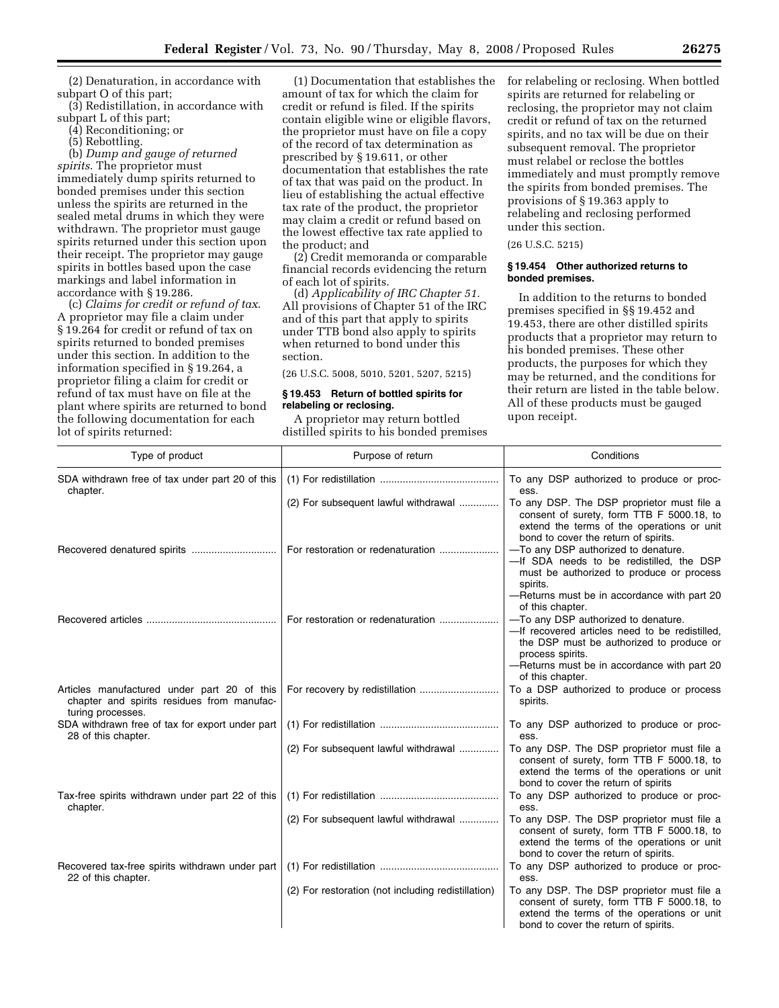(2) Denaturation, in accordance with subpart O of this part;

(3) Redistillation, in accordance with subpart L of this part;

(4) Reconditioning; or

(5) Rebottling.

(b) *Dump and gauge of returned spirits*. The proprietor must immediately dump spirits returned to bonded premises under this section unless the spirits are returned in the sealed metal drums in which they were withdrawn. The proprietor must gauge spirits returned under this section upon their receipt. The proprietor may gauge spirits in bottles based upon the case markings and label information in accordance with § 19.286.

(c) *Claims for credit or refund of tax*. A proprietor may file a claim under § 19.264 for credit or refund of tax on spirits returned to bonded premises under this section. In addition to the information specified in § 19.264, a proprietor filing a claim for credit or refund of tax must have on file at the plant where spirits are returned to bond the following documentation for each lot of spirits returned:

(1) Documentation that establishes the amount of tax for which the claim for credit or refund is filed. If the spirits contain eligible wine or eligible flavors, the proprietor must have on file a copy of the record of tax determination as prescribed by § 19.611, or other documentation that establishes the rate of tax that was paid on the product. In lieu of establishing the actual effective tax rate of the product, the proprietor may claim a credit or refund based on the lowest effective tax rate applied to the product; and

(2) Credit memoranda or comparable financial records evidencing the return of each lot of spirits.

(d) *Applicability of IRC Chapter 51.*  All provisions of Chapter 51 of the IRC and of this part that apply to spirits under TTB bond also apply to spirits when returned to bond under this section.

(26 U.S.C. 5008, 5010, 5201, 5207, 5215)

#### **§ 19.453 Return of bottled spirits for relabeling or reclosing.**

A proprietor may return bottled distilled spirits to his bonded premises for relabeling or reclosing. When bottled spirits are returned for relabeling or reclosing, the proprietor may not claim credit or refund of tax on the returned spirits, and no tax will be due on their subsequent removal. The proprietor must relabel or reclose the bottles immediately and must promptly remove the spirits from bonded premises. The provisions of § 19.363 apply to relabeling and reclosing performed under this section.

(26 U.S.C. 5215)

# **§ 19.454 Other authorized returns to bonded premises.**

In addition to the returns to bonded premises specified in §§ 19.452 and 19.453, there are other distilled spirits products that a proprietor may return to his bonded premises. These other products, the purposes for which they may be returned, and the conditions for their return are listed in the table below. All of these products must be gauged upon receipt.

| Type of product                                                                                                | Purpose of return                                  | Conditions                                                                                                                                                                    |
|----------------------------------------------------------------------------------------------------------------|----------------------------------------------------|-------------------------------------------------------------------------------------------------------------------------------------------------------------------------------|
| SDA withdrawn free of tax under part 20 of this<br>chapter.                                                    |                                                    | To any DSP authorized to produce or proc-<br>ess.                                                                                                                             |
|                                                                                                                | (2) For subsequent lawful withdrawal               | To any DSP. The DSP proprietor must file a<br>consent of surety, form TTB F 5000.18, to<br>extend the terms of the operations or unit<br>bond to cover the return of spirits. |
|                                                                                                                | For restoration or redenaturation                  | -To any DSP authorized to denature.<br>-If SDA needs to be redistilled, the DSP<br>must be authorized to produce or process<br>spirits.                                       |
|                                                                                                                |                                                    | -Returns must be in accordance with part 20<br>of this chapter.                                                                                                               |
|                                                                                                                | For restoration or redenaturation                  | -To any DSP authorized to denature.<br>-If recovered articles need to be redistilled.<br>the DSP must be authorized to produce or<br>process spirits.                         |
|                                                                                                                |                                                    | -Returns must be in accordance with part 20<br>of this chapter.                                                                                                               |
| Articles manufactured under part 20 of this<br>chapter and spirits residues from manufac-<br>turing processes. |                                                    | To a DSP authorized to produce or process<br>spirits.                                                                                                                         |
| SDA withdrawn free of tax for export under part<br>28 of this chapter.                                         |                                                    | To any DSP authorized to produce or proc-<br>ess.                                                                                                                             |
|                                                                                                                | (2) For subsequent lawful withdrawal               | To any DSP. The DSP proprietor must file a<br>consent of surety, form TTB F 5000.18, to<br>extend the terms of the operations or unit<br>bond to cover the return of spirits  |
| Tax-free spirits withdrawn under part 22 of this<br>chapter.                                                   |                                                    | To any DSP authorized to produce or proc-<br>ess.                                                                                                                             |
|                                                                                                                | (2) For subsequent lawful withdrawal               | To any DSP. The DSP proprietor must file a<br>consent of surety, form TTB F 5000.18, to<br>extend the terms of the operations or unit<br>bond to cover the return of spirits. |
| Recovered tax-free spirits withdrawn under part<br>22 of this chapter.                                         |                                                    | To any DSP authorized to produce or proc-<br>ess.                                                                                                                             |
|                                                                                                                | (2) For restoration (not including redistillation) | To any DSP. The DSP proprietor must file a<br>consent of surety, form TTB F 5000.18, to<br>extend the terms of the operations or unit<br>bond to cover the return of spirits. |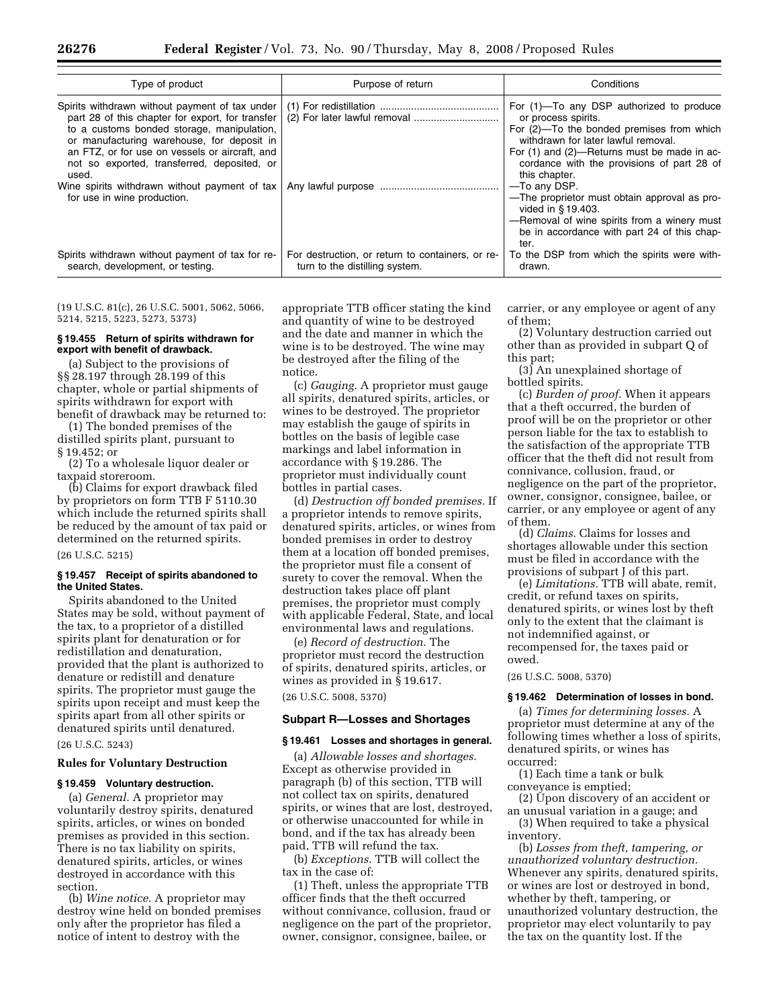| Type of product                                                                                                                                                                                                                                                                                          | Purpose of return                                                                  | Conditions                                                                                                                                                                                                                                                        |
|----------------------------------------------------------------------------------------------------------------------------------------------------------------------------------------------------------------------------------------------------------------------------------------------------------|------------------------------------------------------------------------------------|-------------------------------------------------------------------------------------------------------------------------------------------------------------------------------------------------------------------------------------------------------------------|
| Spirits withdrawn without payment of tax under<br>part 28 of this chapter for export, for transfer<br>to a customs bonded storage, manipulation,<br>or manufacturing warehouse, for deposit in<br>an FTZ, or for use on vessels or aircraft, and<br>not so exported, transferred, deposited, or<br>used. |                                                                                    | For (1)—To any DSP authorized to produce<br>or process spirits.<br>For (2)—To the bonded premises from which<br>withdrawn for later lawful removal.<br>For (1) and (2)—Returns must be made in ac-<br>cordance with the provisions of part 28 of<br>this chapter. |
| Wine spirits withdrawn without payment of tax<br>for use in wine production.                                                                                                                                                                                                                             |                                                                                    | —To any DSP.<br>-The proprietor must obtain approval as pro-<br>vided in §19.403.<br>-Removal of wine spirits from a winery must<br>be in accordance with part 24 of this chap-<br>ter.                                                                           |
| Spirits withdrawn without payment of tax for re-<br>search, development, or testing.                                                                                                                                                                                                                     | For destruction, or return to containers, or re-<br>turn to the distilling system. | To the DSP from which the spirits were with-<br>drawn.                                                                                                                                                                                                            |

(19 U.S.C. 81(c), 26 U.S.C. 5001, 5062, 5066, 5214, 5215, 5223, 5273, 5373)

#### **§ 19.455 Return of spirits withdrawn for export with benefit of drawback.**

(a) Subject to the provisions of §§ 28.197 through 28.199 of this chapter, whole or partial shipments of spirits withdrawn for export with benefit of drawback may be returned to:

(1) The bonded premises of the distilled spirits plant, pursuant to § 19.452; or

(2) To a wholesale liquor dealer or taxpaid storeroom.

(b) Claims for export drawback filed by proprietors on form TTB F 5110.30 which include the returned spirits shall be reduced by the amount of tax paid or determined on the returned spirits.

(26 U.S.C. 5215)

# **§ 19.457 Receipt of spirits abandoned to the United States.**

Spirits abandoned to the United States may be sold, without payment of the tax, to a proprietor of a distilled spirits plant for denaturation or for redistillation and denaturation, provided that the plant is authorized to denature or redistill and denature spirits. The proprietor must gauge the spirits upon receipt and must keep the spirits apart from all other spirits or denatured spirits until denatured.

(26 U.S.C. 5243)

# **Rules for Voluntary Destruction**

# **§ 19.459 Voluntary destruction.**

(a) *General.* A proprietor may voluntarily destroy spirits, denatured spirits, articles, or wines on bonded premises as provided in this section. There is no tax liability on spirits, denatured spirits, articles, or wines destroyed in accordance with this section.

(b) *Wine notice.* A proprietor may destroy wine held on bonded premises only after the proprietor has filed a notice of intent to destroy with the

appropriate TTB officer stating the kind and quantity of wine to be destroyed and the date and manner in which the wine is to be destroyed. The wine may be destroyed after the filing of the notice.

(c) *Gauging.* A proprietor must gauge all spirits, denatured spirits, articles, or wines to be destroyed. The proprietor may establish the gauge of spirits in bottles on the basis of legible case markings and label information in accordance with § 19.286. The proprietor must individually count bottles in partial cases.

(d) *Destruction off bonded premises.* If a proprietor intends to remove spirits, denatured spirits, articles, or wines from bonded premises in order to destroy them at a location off bonded premises, the proprietor must file a consent of surety to cover the removal. When the destruction takes place off plant premises, the proprietor must comply with applicable Federal, State, and local environmental laws and regulations.

(e) *Record of destruction.* The proprietor must record the destruction of spirits, denatured spirits, articles, or wines as provided in § 19.617.

(26 U.S.C. 5008, 5370)

#### **Subpart R—Losses and Shortages**

#### **§ 19.461 Losses and shortages in general.**

(a) *Allowable losses and shortages.*  Except as otherwise provided in paragraph (b) of this section, TTB will not collect tax on spirits, denatured spirits, or wines that are lost, destroyed, or otherwise unaccounted for while in bond, and if the tax has already been paid, TTB will refund the tax.

(b) *Exceptions.* TTB will collect the tax in the case of:

(1) Theft, unless the appropriate TTB officer finds that the theft occurred without connivance, collusion, fraud or negligence on the part of the proprietor, owner, consignor, consignee, bailee, or

carrier, or any employee or agent of any of them;

(2) Voluntary destruction carried out other than as provided in subpart Q of this part;

(3) An unexplained shortage of bottled spirits.

(c) *Burden of proof.* When it appears that a theft occurred, the burden of proof will be on the proprietor or other person liable for the tax to establish to the satisfaction of the appropriate TTB officer that the theft did not result from connivance, collusion, fraud, or negligence on the part of the proprietor, owner, consignor, consignee, bailee, or carrier, or any employee or agent of any of them.

(d) *Claims.* Claims for losses and shortages allowable under this section must be filed in accordance with the provisions of subpart J of this part.

(e) *Limitations.* TTB will abate, remit, credit, or refund taxes on spirits, denatured spirits, or wines lost by theft only to the extent that the claimant is not indemnified against, or recompensed for, the taxes paid or owed.

(26 U.S.C. 5008, 5370)

#### **§ 19.462 Determination of losses in bond.**

(a) *Times for determining losses.* A proprietor must determine at any of the following times whether a loss of spirits, denatured spirits, or wines has occurred:

(1) Each time a tank or bulk conveyance is emptied;

(2) Upon discovery of an accident or an unusual variation in a gauge; and

(3) When required to take a physical inventory.

(b) *Losses from theft, tampering, or unauthorized voluntary destruction.*  Whenever any spirits, denatured spirits, or wines are lost or destroyed in bond, whether by theft, tampering, or unauthorized voluntary destruction, the proprietor may elect voluntarily to pay the tax on the quantity lost. If the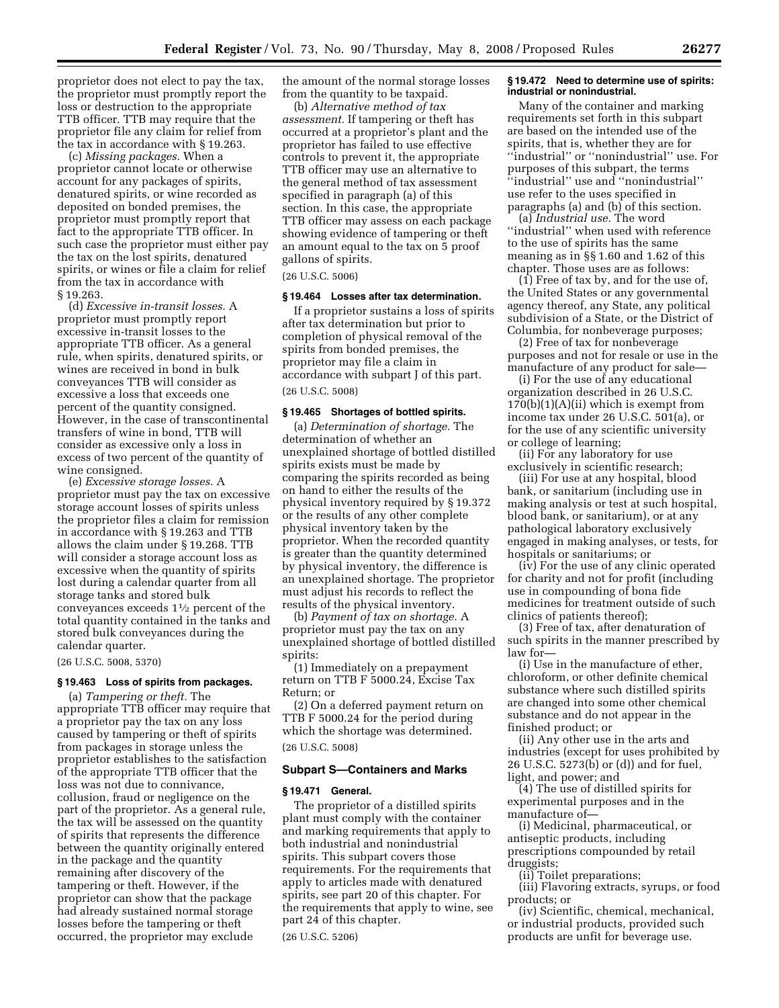proprietor does not elect to pay the tax, the proprietor must promptly report the loss or destruction to the appropriate TTB officer. TTB may require that the proprietor file any claim for relief from the tax in accordance with § 19.263.

(c) *Missing packages.* When a proprietor cannot locate or otherwise account for any packages of spirits, denatured spirits, or wine recorded as deposited on bonded premises, the proprietor must promptly report that fact to the appropriate TTB officer. In such case the proprietor must either pay the tax on the lost spirits, denatured spirits, or wines or file a claim for relief from the tax in accordance with § 19.263.

(d) *Excessive in-transit losses.* A proprietor must promptly report excessive in-transit losses to the appropriate TTB officer. As a general rule, when spirits, denatured spirits, or wines are received in bond in bulk conveyances TTB will consider as excessive a loss that exceeds one percent of the quantity consigned. However, in the case of transcontinental transfers of wine in bond, TTB will consider as excessive only a loss in excess of two percent of the quantity of wine consigned.

(e) *Excessive storage losses.* A proprietor must pay the tax on excessive storage account losses of spirits unless the proprietor files a claim for remission in accordance with § 19.263 and TTB allows the claim under § 19.268. TTB will consider a storage account loss as excessive when the quantity of spirits lost during a calendar quarter from all storage tanks and stored bulk conveyances exceeds 11⁄2 percent of the total quantity contained in the tanks and stored bulk conveyances during the calendar quarter.

(26 U.S.C. 5008, 5370)

# **§ 19.463 Loss of spirits from packages.**

(a) *Tampering or theft.* The appropriate TTB officer may require that a proprietor pay the tax on any loss caused by tampering or theft of spirits from packages in storage unless the proprietor establishes to the satisfaction of the appropriate TTB officer that the loss was not due to connivance, collusion, fraud or negligence on the part of the proprietor. As a general rule, the tax will be assessed on the quantity of spirits that represents the difference between the quantity originally entered in the package and the quantity remaining after discovery of the tampering or theft. However, if the proprietor can show that the package had already sustained normal storage losses before the tampering or theft occurred, the proprietor may exclude

the amount of the normal storage losses from the quantity to be taxpaid.

(b) *Alternative method of tax assessment.* If tampering or theft has occurred at a proprietor's plant and the proprietor has failed to use effective controls to prevent it, the appropriate TTB officer may use an alternative to the general method of tax assessment specified in paragraph (a) of this section. In this case, the appropriate TTB officer may assess on each package showing evidence of tampering or theft an amount equal to the tax on 5 proof gallons of spirits.

# (26 U.S.C. 5006)

# **§ 19.464 Losses after tax determination.**

If a proprietor sustains a loss of spirits after tax determination but prior to completion of physical removal of the spirits from bonded premises, the proprietor may file a claim in accordance with subpart J of this part. (26 U.S.C. 5008)

#### **§ 19.465 Shortages of bottled spirits.**

(a) *Determination of shortage.* The determination of whether an unexplained shortage of bottled distilled spirits exists must be made by comparing the spirits recorded as being on hand to either the results of the physical inventory required by § 19.372 or the results of any other complete physical inventory taken by the proprietor. When the recorded quantity is greater than the quantity determined by physical inventory, the difference is an unexplained shortage. The proprietor must adjust his records to reflect the results of the physical inventory.

(b) *Payment of tax on shortage.* A proprietor must pay the tax on any unexplained shortage of bottled distilled spirits:

(1) Immediately on a prepayment return on TTB F 5000.24, Excise Tax Return; or

(2) On a deferred payment return on TTB F 5000.24 for the period during which the shortage was determined. (26 U.S.C. 5008)

#### **Subpart S—Containers and Marks**

#### **§ 19.471 General.**

The proprietor of a distilled spirits plant must comply with the container and marking requirements that apply to both industrial and nonindustrial spirits. This subpart covers those requirements. For the requirements that apply to articles made with denatured spirits, see part 20 of this chapter. For the requirements that apply to wine, see part 24 of this chapter.

(26 U.S.C. 5206)

#### **§ 19.472 Need to determine use of spirits: industrial or nonindustrial.**

Many of the container and marking requirements set forth in this subpart are based on the intended use of the spirits, that is, whether they are for ''industrial'' or ''nonindustrial'' use. For purposes of this subpart, the terms ''industrial'' use and ''nonindustrial'' use refer to the uses specified in paragraphs (a) and (b) of this section.

(a) *Industrial use.* The word ''industrial'' when used with reference to the use of spirits has the same meaning as in §§ 1.60 and 1.62 of this chapter. Those uses are as follows:

(1) Free of tax by, and for the use of, the United States or any governmental agency thereof, any State, any political subdivision of a State, or the District of Columbia, for nonbeverage purposes;

(2) Free of tax for nonbeverage purposes and not for resale or use in the manufacture of any product for sale—

(i) For the use of any educational organization described in 26 U.S.C.  $170(b)(1)(A)(ii)$  which is exempt from income tax under 26 U.S.C. 501(a), or for the use of any scientific university or college of learning;

(ii) For any laboratory for use exclusively in scientific research;

(iii) For use at any hospital, blood bank, or sanitarium (including use in making analysis or test at such hospital, blood bank, or sanitarium), or at any pathological laboratory exclusively engaged in making analyses, or tests, for hospitals or sanitariums; or

(iv) For the use of any clinic operated for charity and not for profit (including use in compounding of bona fide medicines for treatment outside of such clinics of patients thereof);

(3) Free of tax, after denaturation of such spirits in the manner prescribed by law for—

(i) Use in the manufacture of ether, chloroform, or other definite chemical substance where such distilled spirits are changed into some other chemical substance and do not appear in the finished product; or

(ii) Any other use in the arts and industries (except for uses prohibited by 26 U.S.C. 5273(b) or (d)) and for fuel, light, and power; and

(4) The use of distilled spirits for experimental purposes and in the manufacture of—

(i) Medicinal, pharmaceutical, or antiseptic products, including prescriptions compounded by retail druggists;

(ii) Toilet preparations;

(iii) Flavoring extracts, syrups, or food products; or

(iv) Scientific, chemical, mechanical, or industrial products, provided such products are unfit for beverage use.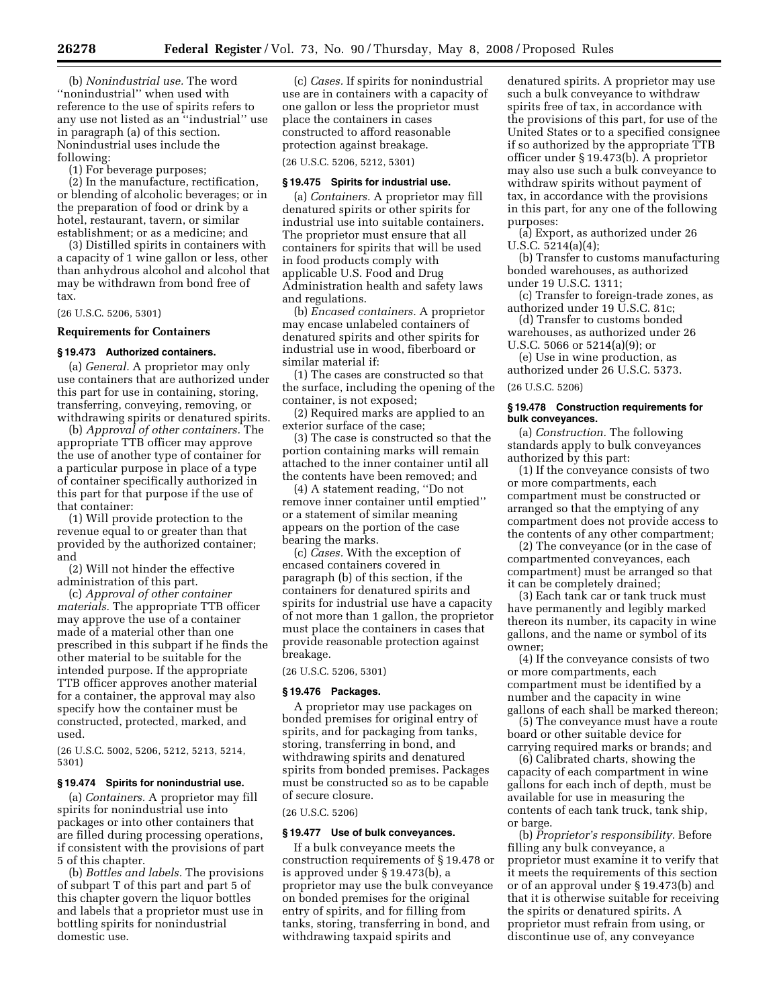(b) *Nonindustrial use.* The word ''nonindustrial'' when used with reference to the use of spirits refers to any use not listed as an ''industrial'' use in paragraph (a) of this section. Nonindustrial uses include the following:

(1) For beverage purposes;

(2) In the manufacture, rectification, or blending of alcoholic beverages; or in the preparation of food or drink by a hotel, restaurant, tavern, or similar establishment; or as a medicine; and

(3) Distilled spirits in containers with a capacity of 1 wine gallon or less, other than anhydrous alcohol and alcohol that may be withdrawn from bond free of tax.

(26 U.S.C. 5206, 5301)

**Requirements for Containers** 

#### **§ 19.473 Authorized containers.**

(a) *General.* A proprietor may only use containers that are authorized under this part for use in containing, storing, transferring, conveying, removing, or withdrawing spirits or denatured spirits.

(b) *Approval of other containers.* The appropriate TTB officer may approve the use of another type of container for a particular purpose in place of a type of container specifically authorized in this part for that purpose if the use of that container:

(1) Will provide protection to the revenue equal to or greater than that provided by the authorized container; and

(2) Will not hinder the effective administration of this part.

(c) *Approval of other container materials.* The appropriate TTB officer may approve the use of a container made of a material other than one prescribed in this subpart if he finds the other material to be suitable for the intended purpose. If the appropriate TTB officer approves another material for a container, the approval may also specify how the container must be constructed, protected, marked, and used.

(26 U.S.C. 5002, 5206, 5212, 5213, 5214, 5301)

#### **§ 19.474 Spirits for nonindustrial use.**

(a) *Containers.* A proprietor may fill spirits for nonindustrial use into packages or into other containers that are filled during processing operations, if consistent with the provisions of part 5 of this chapter.

(b) *Bottles and labels.* The provisions of subpart T of this part and part 5 of this chapter govern the liquor bottles and labels that a proprietor must use in bottling spirits for nonindustrial domestic use.

(c) *Cases.* If spirits for nonindustrial use are in containers with a capacity of one gallon or less the proprietor must place the containers in cases constructed to afford reasonable protection against breakage.

(26 U.S.C. 5206, 5212, 5301)

#### **§ 19.475 Spirits for industrial use.**

(a) *Containers.* A proprietor may fill denatured spirits or other spirits for industrial use into suitable containers. The proprietor must ensure that all containers for spirits that will be used in food products comply with applicable U.S. Food and Drug Administration health and safety laws and regulations.

(b) *Encased containers.* A proprietor may encase unlabeled containers of denatured spirits and other spirits for industrial use in wood, fiberboard or similar material if:

(1) The cases are constructed so that the surface, including the opening of the container, is not exposed;

(2) Required marks are applied to an exterior surface of the case;

(3) The case is constructed so that the portion containing marks will remain attached to the inner container until all the contents have been removed; and

(4) A statement reading, ''Do not remove inner container until emptied'' or a statement of similar meaning appears on the portion of the case bearing the marks.

(c) *Cases.* With the exception of encased containers covered in paragraph (b) of this section, if the containers for denatured spirits and spirits for industrial use have a capacity of not more than 1 gallon, the proprietor must place the containers in cases that provide reasonable protection against breakage.

(26 U.S.C. 5206, 5301)

# **§ 19.476 Packages.**

A proprietor may use packages on bonded premises for original entry of spirits, and for packaging from tanks, storing, transferring in bond, and withdrawing spirits and denatured spirits from bonded premises. Packages must be constructed so as to be capable of secure closure.

(26 U.S.C. 5206)

#### **§ 19.477 Use of bulk conveyances.**

If a bulk conveyance meets the construction requirements of § 19.478 or is approved under § 19.473(b), a proprietor may use the bulk conveyance on bonded premises for the original entry of spirits, and for filling from tanks, storing, transferring in bond, and withdrawing taxpaid spirits and

denatured spirits. A proprietor may use such a bulk conveyance to withdraw spirits free of tax, in accordance with the provisions of this part, for use of the United States or to a specified consignee if so authorized by the appropriate TTB officer under § 19.473(b). A proprietor may also use such a bulk conveyance to withdraw spirits without payment of tax, in accordance with the provisions in this part, for any one of the following purposes:

(a) Export, as authorized under 26 U.S.C. 5214(a)(4);

(b) Transfer to customs manufacturing bonded warehouses, as authorized under 19 U.S.C. 1311;

(c) Transfer to foreign-trade zones, as authorized under 19 U.S.C. 81c;

(d) Transfer to customs bonded warehouses, as authorized under 26 U.S.C. 5066 or 5214(a)(9); or

(e) Use in wine production, as authorized under 26 U.S.C. 5373.

# (26 U.S.C. 5206)

# **§ 19.478 Construction requirements for bulk conveyances.**

(a) *Construction.* The following standards apply to bulk conveyances authorized by this part:

(1) If the conveyance consists of two or more compartments, each compartment must be constructed or arranged so that the emptying of any compartment does not provide access to the contents of any other compartment;

(2) The conveyance (or in the case of compartmented conveyances, each compartment) must be arranged so that it can be completely drained;

(3) Each tank car or tank truck must have permanently and legibly marked thereon its number, its capacity in wine gallons, and the name or symbol of its owner;

(4) If the conveyance consists of two or more compartments, each compartment must be identified by a number and the capacity in wine gallons of each shall be marked thereon;

(5) The conveyance must have a route board or other suitable device for carrying required marks or brands; and

(6) Calibrated charts, showing the capacity of each compartment in wine gallons for each inch of depth, must be available for use in measuring the contents of each tank truck, tank ship, or barge.

(b) *Proprietor's responsibility.* Before filling any bulk conveyance, a proprietor must examine it to verify that it meets the requirements of this section or of an approval under § 19.473(b) and that it is otherwise suitable for receiving the spirits or denatured spirits. A proprietor must refrain from using, or discontinue use of, any conveyance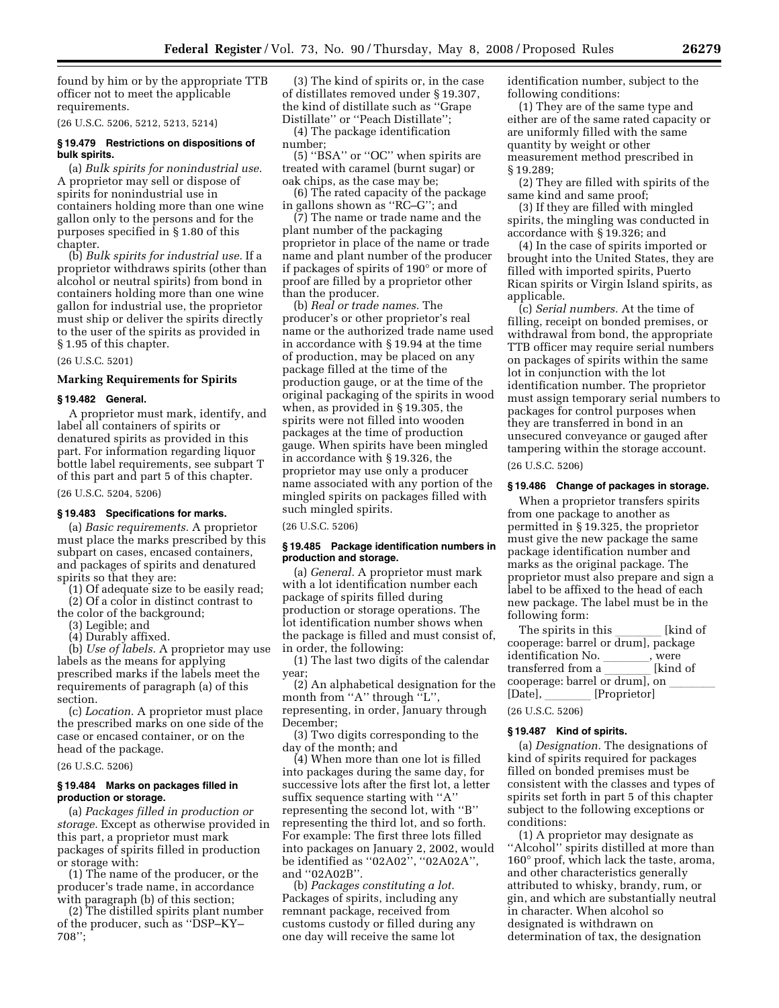found by him or by the appropriate TTB officer not to meet the applicable requirements.

(26 U.S.C. 5206, 5212, 5213, 5214)

#### **§ 19.479 Restrictions on dispositions of bulk spirits.**

(a) *Bulk spirits for nonindustrial use.*  A proprietor may sell or dispose of spirits for nonindustrial use in containers holding more than one wine gallon only to the persons and for the purposes specified in § 1.80 of this chapter.

(b) *Bulk spirits for industrial use.* If a proprietor withdraws spirits (other than alcohol or neutral spirits) from bond in containers holding more than one wine gallon for industrial use, the proprietor must ship or deliver the spirits directly to the user of the spirits as provided in § 1.95 of this chapter.

(26 U.S.C. 5201)

# **Marking Requirements for Spirits**

# **§ 19.482 General.**

A proprietor must mark, identify, and label all containers of spirits or denatured spirits as provided in this part. For information regarding liquor bottle label requirements, see subpart T of this part and part 5 of this chapter.

(26 U.S.C. 5204, 5206)

#### **§ 19.483 Specifications for marks.**

(a) *Basic requirements.* A proprietor must place the marks prescribed by this subpart on cases, encased containers, and packages of spirits and denatured spirits so that they are:

(1) Of adequate size to be easily read; (2) Of a color in distinct contrast to

the color of the background; (3) Legible; and

(4) Durably affixed.

(b) *Use of labels.* A proprietor may use labels as the means for applying prescribed marks if the labels meet the requirements of paragraph (a) of this section.

(c) *Location.* A proprietor must place the prescribed marks on one side of the case or encased container, or on the head of the package.

(26 U.S.C. 5206)

# **§ 19.484 Marks on packages filled in production or storage.**

(a) *Packages filled in production or storage.* Except as otherwise provided in this part, a proprietor must mark packages of spirits filled in production or storage with:

(1) The name of the producer, or the producer's trade name, in accordance with paragraph (b) of this section;

(2) The distilled spirits plant number of the producer, such as ''DSP–KY– 708'';

(3) The kind of spirits or, in the case of distillates removed under § 19.307, the kind of distillate such as ''Grape Distillate'' or ''Peach Distillate'';

(4) The package identification number;

(5) ''BSA'' or ''OC'' when spirits are treated with caramel (burnt sugar) or oak chips, as the case may be;

(6) The rated capacity of the package in gallons shown as ''RC–G''; and

(7) The name or trade name and the plant number of the packaging proprietor in place of the name or trade name and plant number of the producer if packages of spirits of 190° or more of proof are filled by a proprietor other than the producer.

(b) *Real or trade names.* The producer's or other proprietor's real name or the authorized trade name used in accordance with § 19.94 at the time of production, may be placed on any package filled at the time of the production gauge, or at the time of the original packaging of the spirits in wood when, as provided in § 19.305, the spirits were not filled into wooden packages at the time of production gauge. When spirits have been mingled in accordance with § 19.326, the proprietor may use only a producer name associated with any portion of the mingled spirits on packages filled with such mingled spirits.

(26 U.S.C. 5206)

#### **§ 19.485 Package identification numbers in production and storage.**

(a) *General.* A proprietor must mark with a lot identification number each package of spirits filled during production or storage operations. The lot identification number shows when the package is filled and must consist of, in order, the following:

(1) The last two digits of the calendar year;

(2) An alphabetical designation for the month from "A" through "L", representing, in order, January through December;

(3) Two digits corresponding to the day of the month; and

(4) When more than one lot is filled into packages during the same day, for successive lots after the first lot, a letter suffix sequence starting with ''A'' representing the second lot, with ''B'' representing the third lot, and so forth. For example: The first three lots filled into packages on January 2, 2002, would be identified as ''02A02'', ''02A02A'', and ''02A02B''.

(b) *Packages constituting a lot.*  Packages of spirits, including any remnant package, received from customs custody or filled during any one day will receive the same lot

identification number, subject to the following conditions:

(1) They are of the same type and either are of the same rated capacity or are uniformly filled with the same quantity by weight or other measurement method prescribed in § 19.289;

(2) They are filled with spirits of the same kind and same proof;

(3) If they are filled with mingled spirits, the mingling was conducted in accordance with § 19.326; and

(4) In the case of spirits imported or brought into the United States, they are filled with imported spirits, Puerto Rican spirits or Virgin Island spirits, as applicable.

(c) *Serial numbers.* At the time of filling, receipt on bonded premises, or withdrawal from bond, the appropriate TTB officer may require serial numbers on packages of spirits within the same lot in conjunction with the lot identification number. The proprietor must assign temporary serial numbers to packages for control purposes when they are transferred in bond in an unsecured conveyance or gauged after tampering within the storage account.

(26 U.S.C. 5206)

#### **§ 19.486 Change of packages in storage.**

When a proprietor transfers spirits from one package to another as permitted in § 19.325, the proprietor must give the new package the same package identification number and marks as the original package. The proprietor must also prepare and sign a label to be affixed to the head of each new package. The label must be in the following form:

The spirits in this \_\_\_\_\_\_\_ [kind of<br>cooperage: barrel or drum], package identification No. \_\_\_\_\_\_\_\_, were<br>transferred from a limit is likind of transferred from a \_\_\_\_\_\_ [kind of<br>cooperage: barrel or druml\_on cooperage: barrel or drum], on \_\_\_\_\_\_\_<br>[Datel lletter] [Date], [Proprietor]

# (26 U.S.C. 5206)

#### **§ 19.487 Kind of spirits.**

(a) *Designation.* The designations of kind of spirits required for packages filled on bonded premises must be consistent with the classes and types of spirits set forth in part 5 of this chapter subject to the following exceptions or conditions:

(1) A proprietor may designate as ''Alcohol'' spirits distilled at more than 160° proof, which lack the taste, aroma, and other characteristics generally attributed to whisky, brandy, rum, or gin, and which are substantially neutral in character. When alcohol so designated is withdrawn on determination of tax, the designation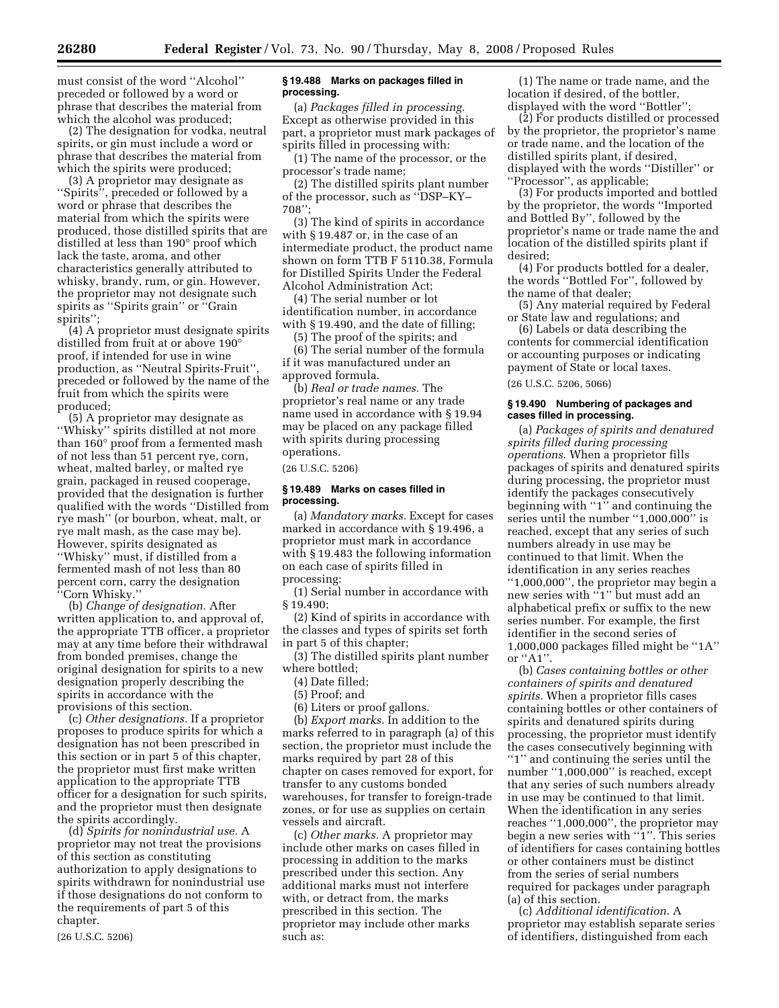must consist of the word ''Alcohol'' preceded or followed by a word or phrase that describes the material from which the alcohol was produced;

(2) The designation for vodka, neutral spirits, or gin must include a word or phrase that describes the material from which the spirits were produced;

(3) A proprietor may designate as "Spirits", preceded or followed by a word or phrase that describes the material from which the spirits were produced, those distilled spirits that are distilled at less than 190° proof which lack the taste, aroma, and other characteristics generally attributed to whisky, brandy, rum, or gin. However, the proprietor may not designate such spirits as ''Spirits grain'' or ''Grain spirits'';

(4) A proprietor must designate spirits distilled from fruit at or above 190° proof, if intended for use in wine production, as ''Neutral Spirits-Fruit'', preceded or followed by the name of the fruit from which the spirits were produced;

(5) A proprietor may designate as ''Whisky'' spirits distilled at not more than 160° proof from a fermented mash of not less than 51 percent rye, corn, wheat, malted barley, or malted rye grain, packaged in reused cooperage, provided that the designation is further qualified with the words ''Distilled from rye mash'' (or bourbon, wheat, malt, or rye malt mash, as the case may be). However, spirits designated as ''Whisky'' must, if distilled from a fermented mash of not less than 80 percent corn, carry the designation ''Corn Whisky.''

(b) *Change of designation.* After written application to, and approval of, the appropriate TTB officer, a proprietor may at any time before their withdrawal from bonded premises, change the original designation for spirits to a new designation properly describing the spirits in accordance with the provisions of this section.

(c) *Other designations.* If a proprietor proposes to produce spirits for which a designation has not been prescribed in this section or in part 5 of this chapter, the proprietor must first make written application to the appropriate TTB officer for a designation for such spirits, and the proprietor must then designate the spirits accordingly.

(d) *Spirits for nonindustrial use.* A proprietor may not treat the provisions of this section as constituting authorization to apply designations to spirits withdrawn for nonindustrial use if those designations do not conform to the requirements of part 5 of this chapter.

(26 U.S.C. 5206)

# **§ 19.488 Marks on packages filled in processing.**

(a) *Packages filled in processing.*  Except as otherwise provided in this part, a proprietor must mark packages of spirits filled in processing with:

(1) The name of the processor, or the processor's trade name;

(2) The distilled spirits plant number of the processor, such as ''DSP–KY– 708'';

(3) The kind of spirits in accordance with § 19.487 or, in the case of an intermediate product, the product name shown on form TTB F 5110.38, Formula for Distilled Spirits Under the Federal Alcohol Administration Act;

(4) The serial number or lot identification number, in accordance with § 19.490, and the date of filling;

(5) The proof of the spirits; and

(6) The serial number of the formula if it was manufactured under an approved formula.

(b) *Real or trade names.* The proprietor's real name or any trade name used in accordance with § 19.94 may be placed on any package filled with spirits during processing operations.

(26 U.S.C. 5206)

# **§ 19.489 Marks on cases filled in processing.**

(a) *Mandatory marks.* Except for cases marked in accordance with § 19.496, a proprietor must mark in accordance with § 19.483 the following information on each case of spirits filled in processing:

(1) Serial number in accordance with § 19.490;

(2) Kind of spirits in accordance with the classes and types of spirits set forth in part 5 of this chapter;

(3) The distilled spirits plant number where bottled;

(4) Date filled;

(5) Proof; and

(6) Liters or proof gallons.

(b) *Export marks*. In addition to the marks referred to in paragraph (a) of this section, the proprietor must include the marks required by part 28 of this chapter on cases removed for export, for transfer to any customs bonded warehouses, for transfer to foreign-trade zones, or for use as supplies on certain vessels and aircraft.

(c) *Other marks.* A proprietor may include other marks on cases filled in processing in addition to the marks prescribed under this section. Any additional marks must not interfere with, or detract from, the marks prescribed in this section. The proprietor may include other marks such as:

(1) The name or trade name, and the location if desired, of the bottler, displayed with the word ''Bottler'';

(2) For products distilled or processed by the proprietor, the proprietor's name or trade name, and the location of the distilled spirits plant, if desired, displayed with the words ''Distiller'' or ''Processor'', as applicable;

(3) For products imported and bottled by the proprietor, the words ''Imported and Bottled By'', followed by the proprietor's name or trade name the and location of the distilled spirits plant if desired;

(4) For products bottled for a dealer, the words ''Bottled For'', followed by the name of that dealer;

(5) Any material required by Federal or State law and regulations; and

(6) Labels or data describing the contents for commercial identification or accounting purposes or indicating payment of State or local taxes.

(26 U.S.C. 5206, 5066)

# **§ 19.490 Numbering of packages and cases filled in processing.**

(a) *Packages of spirits and denatured spirits filled during processing operations*. When a proprietor fills packages of spirits and denatured spirits during processing, the proprietor must identify the packages consecutively beginning with ''1'' and continuing the series until the number "1,000,000" is reached, except that any series of such numbers already in use may be continued to that limit. When the identification in any series reaches ''1,000,000'', the proprietor may begin a new series with ''1'' but must add an alphabetical prefix or suffix to the new series number. For example, the first identifier in the second series of 1,000,000 packages filled might be ''1A'' or ''A1''.

(b) *Cases containing bottles or other containers of spirits and denatured spirits*. When a proprietor fills cases containing bottles or other containers of spirits and denatured spirits during processing, the proprietor must identify the cases consecutively beginning with ''1'' and continuing the series until the number ''1,000,000'' is reached, except that any series of such numbers already in use may be continued to that limit. When the identification in any series reaches ''1,000,000'', the proprietor may begin a new series with ''1''. This series of identifiers for cases containing bottles or other containers must be distinct from the series of serial numbers required for packages under paragraph (a) of this section.

(c) *Additional identification*. A proprietor may establish separate series of identifiers, distinguished from each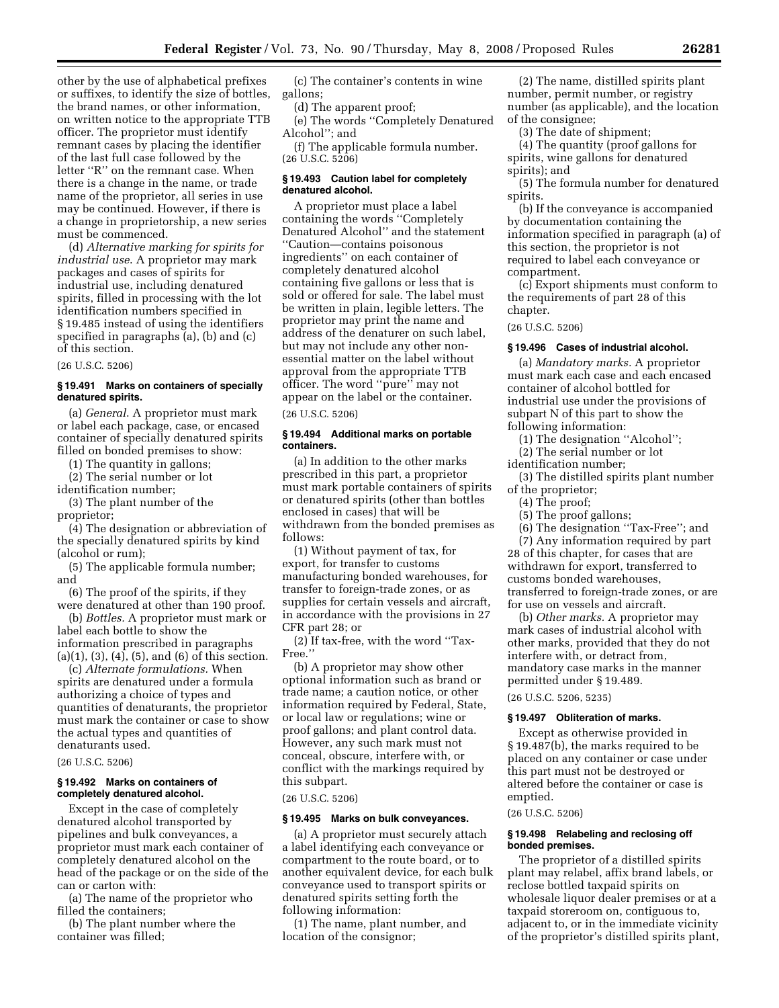other by the use of alphabetical prefixes or suffixes, to identify the size of bottles, the brand names, or other information, on written notice to the appropriate TTB officer. The proprietor must identify remnant cases by placing the identifier of the last full case followed by the letter ''R'' on the remnant case. When there is a change in the name, or trade name of the proprietor, all series in use may be continued. However, if there is a change in proprietorship, a new series must be commenced.

(d) *Alternative marking for spirits for industrial use*. A proprietor may mark packages and cases of spirits for industrial use, including denatured spirits, filled in processing with the lot identification numbers specified in § 19.485 instead of using the identifiers specified in paragraphs (a), (b) and (c) of this section.

(26 U.S.C. 5206)

# **§ 19.491 Marks on containers of specially denatured spirits.**

(a) *General*. A proprietor must mark or label each package, case, or encased container of specially denatured spirits filled on bonded premises to show:

(1) The quantity in gallons;

(2) The serial number or lot identification number;

(3) The plant number of the proprietor;

(4) The designation or abbreviation of the specially denatured spirits by kind (alcohol or rum);

(5) The applicable formula number; and

(6) The proof of the spirits, if they were denatured at other than 190 proof.

(b) *Bottles.* A proprietor must mark or label each bottle to show the information prescribed in paragraphs (a)(1), (3), (4), (5), and (6) of this section.

(c) *Alternate formulations.* When spirits are denatured under a formula authorizing a choice of types and quantities of denaturants, the proprietor must mark the container or case to show the actual types and quantities of denaturants used.

(26 U.S.C. 5206)

# **§ 19.492 Marks on containers of completely denatured alcohol.**

Except in the case of completely denatured alcohol transported by pipelines and bulk conveyances, a proprietor must mark each container of completely denatured alcohol on the head of the package or on the side of the can or carton with:

(a) The name of the proprietor who filled the containers;

(b) The plant number where the container was filled;

(c) The container's contents in wine gallons;

(d) The apparent proof;

(e) The words ''Completely Denatured Alcohol''; and

(f) The applicable formula number. (26 U.S.C. 5206)

# **§ 19.493 Caution label for completely denatured alcohol.**

A proprietor must place a label containing the words ''Completely Denatured Alcohol'' and the statement ''Caution—contains poisonous ingredients'' on each container of completely denatured alcohol containing five gallons or less that is sold or offered for sale. The label must be written in plain, legible letters. The proprietor may print the name and address of the denaturer on such label, but may not include any other nonessential matter on the label without approval from the appropriate TTB officer. The word ''pure'' may not appear on the label or the container.

(26 U.S.C. 5206)

# **§ 19.494 Additional marks on portable containers.**

(a) In addition to the other marks prescribed in this part, a proprietor must mark portable containers of spirits or denatured spirits (other than bottles enclosed in cases) that will be withdrawn from the bonded premises as follows:

(1) Without payment of tax, for export, for transfer to customs manufacturing bonded warehouses, for transfer to foreign-trade zones, or as supplies for certain vessels and aircraft, in accordance with the provisions in 27 CFR part 28; or

(2) If tax-free, with the word ''Tax-Free.''

(b) A proprietor may show other optional information such as brand or trade name; a caution notice, or other information required by Federal, State, or local law or regulations; wine or proof gallons; and plant control data. However, any such mark must not conceal, obscure, interfere with, or conflict with the markings required by this subpart.

(26 U.S.C. 5206)

# **§ 19.495 Marks on bulk conveyances.**

(a) A proprietor must securely attach a label identifying each conveyance or compartment to the route board, or to another equivalent device, for each bulk conveyance used to transport spirits or denatured spirits setting forth the following information:

(1) The name, plant number, and location of the consignor;

(2) The name, distilled spirits plant number, permit number, or registry number (as applicable), and the location of the consignee;

(3) The date of shipment;

(4) The quantity (proof gallons for spirits, wine gallons for denatured spirits); and

(5) The formula number for denatured spirits.

(b) If the conveyance is accompanied by documentation containing the information specified in paragraph (a) of this section, the proprietor is not required to label each conveyance or compartment.

(c) Export shipments must conform to the requirements of part 28 of this chapter.

(26 U.S.C. 5206)

# **§ 19.496 Cases of industrial alcohol.**

(a) *Mandatory marks.* A proprietor must mark each case and each encased container of alcohol bottled for industrial use under the provisions of subpart N of this part to show the following information:

(1) The designation ''Alcohol'';

(2) The serial number or lot

identification number;

- (3) The distilled spirits plant number of the proprietor;
	- (4) The proof;
	- (5) The proof gallons;
	- (6) The designation ''Tax-Free''; and

(7) Any information required by part 28 of this chapter, for cases that are withdrawn for export, transferred to customs bonded warehouses, transferred to foreign-trade zones, or are for use on vessels and aircraft.

(b) *Other marks.* A proprietor may mark cases of industrial alcohol with other marks, provided that they do not interfere with, or detract from, mandatory case marks in the manner permitted under § 19.489.

(26 U.S.C. 5206, 5235)

# **§ 19.497 Obliteration of marks.**

Except as otherwise provided in § 19.487(b), the marks required to be placed on any container or case under this part must not be destroyed or altered before the container or case is emptied.

# (26 U.S.C. 5206)

# **§ 19.498 Relabeling and reclosing off bonded premises.**

The proprietor of a distilled spirits plant may relabel, affix brand labels, or reclose bottled taxpaid spirits on wholesale liquor dealer premises or at a taxpaid storeroom on, contiguous to, adjacent to, or in the immediate vicinity of the proprietor's distilled spirits plant,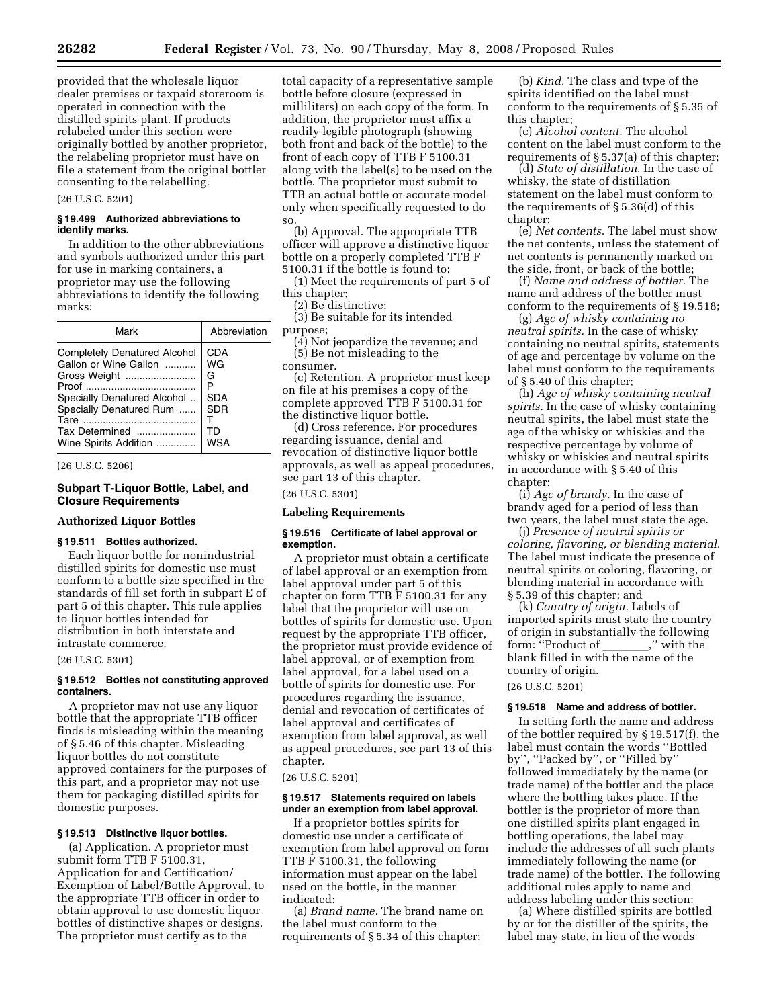provided that the wholesale liquor dealer premises or taxpaid storeroom is operated in connection with the distilled spirits plant. If products relabeled under this section were originally bottled by another proprietor, the relabeling proprietor must have on file a statement from the original bottler consenting to the relabelling.

# (26 U.S.C. 5201)

# **§ 19.499 Authorized abbreviations to identify marks.**

In addition to the other abbreviations and symbols authorized under this part for use in marking containers, a proprietor may use the following abbreviations to identify the following marks:

(26 U.S.C. 5206)

#### **Subpart T-Liquor Bottle, Label, and Closure Requirements**

#### **Authorized Liquor Bottles**

# **§ 19.511 Bottles authorized.**

Each liquor bottle for nonindustrial distilled spirits for domestic use must conform to a bottle size specified in the standards of fill set forth in subpart E of part 5 of this chapter. This rule applies to liquor bottles intended for distribution in both interstate and intrastate commerce.

#### (26 U.S.C. 5301)

# **§ 19.512 Bottles not constituting approved containers.**

A proprietor may not use any liquor bottle that the appropriate TTB officer finds is misleading within the meaning of § 5.46 of this chapter. Misleading liquor bottles do not constitute approved containers for the purposes of this part, and a proprietor may not use them for packaging distilled spirits for domestic purposes.

# **§ 19.513 Distinctive liquor bottles.**

(a) Application. A proprietor must submit form TTB F 5100.31, Application for and Certification/ Exemption of Label/Bottle Approval, to the appropriate TTB officer in order to obtain approval to use domestic liquor bottles of distinctive shapes or designs. The proprietor must certify as to the

total capacity of a representative sample bottle before closure (expressed in milliliters) on each copy of the form. In addition, the proprietor must affix a readily legible photograph (showing both front and back of the bottle) to the front of each copy of TTB F 5100.31 along with the label(s) to be used on the bottle. The proprietor must submit to TTB an actual bottle or accurate model only when specifically requested to do so.

(b) Approval. The appropriate TTB officer will approve a distinctive liquor bottle on a properly completed TTB F 5100.31 if the bottle is found to:

(1) Meet the requirements of part 5 of this chapter;

(2) Be distinctive;

(3) Be suitable for its intended purpose;

(4) Not jeopardize the revenue; and (5) Be not misleading to the consumer.

(c) Retention. A proprietor must keep on file at his premises a copy of the complete approved TTB F 5100.31 for the distinctive liquor bottle.

(d) Cross reference. For procedures regarding issuance, denial and revocation of distinctive liquor bottle approvals, as well as appeal procedures, see part 13 of this chapter.

(26 U.S.C. 5301)

#### **Labeling Requirements**

#### **§ 19.516 Certificate of label approval or exemption.**

A proprietor must obtain a certificate of label approval or an exemption from label approval under part 5 of this chapter on form TTB F 5100.31 for any label that the proprietor will use on bottles of spirits for domestic use. Upon request by the appropriate TTB officer, the proprietor must provide evidence of label approval, or of exemption from label approval, for a label used on a bottle of spirits for domestic use. For procedures regarding the issuance, denial and revocation of certificates of label approval and certificates of exemption from label approval, as well as appeal procedures, see part 13 of this chapter.

#### (26 U.S.C. 5201)

#### **§ 19.517 Statements required on labels under an exemption from label approval.**

If a proprietor bottles spirits for domestic use under a certificate of exemption from label approval on form TTB F 5100.31, the following information must appear on the label used on the bottle, in the manner indicated:

(a) *Brand name.* The brand name on the label must conform to the requirements of § 5.34 of this chapter;

(b) *Kind.* The class and type of the spirits identified on the label must conform to the requirements of § 5.35 of this chapter;

(c) *Alcohol content.* The alcohol content on the label must conform to the requirements of § 5.37(a) of this chapter;

(d) *State of distillation.* In the case of whisky, the state of distillation statement on the label must conform to the requirements of § 5.36(d) of this chapter;

(e) *Net contents.* The label must show the net contents, unless the statement of net contents is permanently marked on the side, front, or back of the bottle;

(f) *Name and address of bottler.* The name and address of the bottler must conform to the requirements of § 19.518;

(g) *Age of whisky containing no neutral spirits.* In the case of whisky containing no neutral spirits, statements of age and percentage by volume on the label must conform to the requirements of § 5.40 of this chapter;

(h) *Age of whisky containing neutral spirits.* In the case of whisky containing neutral spirits, the label must state the age of the whisky or whiskies and the respective percentage by volume of whisky or whiskies and neutral spirits in accordance with § 5.40 of this chapter;

(i) *Age of brandy.* In the case of brandy aged for a period of less than two years, the label must state the age.

(j) *Presence of neutral spirits or coloring, flavoring, or blending material.*  The label must indicate the presence of neutral spirits or coloring, flavoring, or blending material in accordance with § 5.39 of this chapter; and

(k) *Country of origin.* Labels of imported spirits must state the country of origin in substantially the following form: ''Product of \_\_\_\_\_\_\_,'' with the<br>blank filled in with the name of the country of origin.

#### (26 U.S.C. 5201)

#### **§ 19.518 Name and address of bottler.**

In setting forth the name and address of the bottler required by § 19.517(f), the label must contain the words ''Bottled by", "Packed by", or "Filled by' followed immediately by the name (or trade name) of the bottler and the place where the bottling takes place. If the bottler is the proprietor of more than one distilled spirits plant engaged in bottling operations, the label may include the addresses of all such plants immediately following the name (or trade name) of the bottler. The following additional rules apply to name and address labeling under this section:

(a) Where distilled spirits are bottled by or for the distiller of the spirits, the label may state, in lieu of the words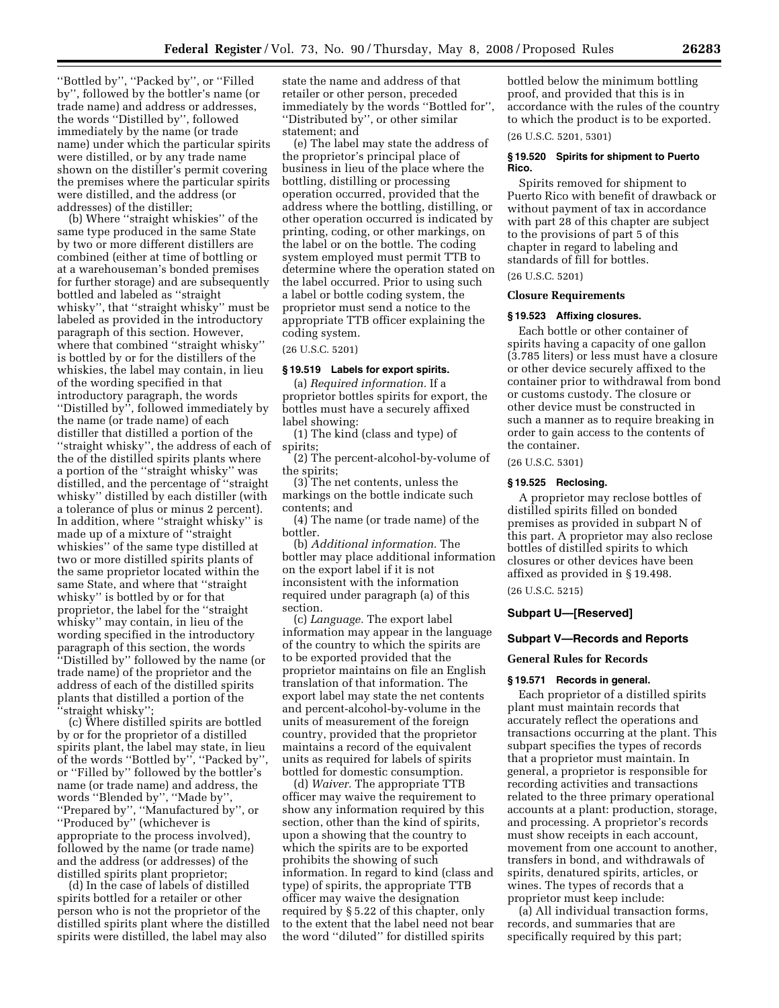''Bottled by'', ''Packed by'', or ''Filled by'', followed by the bottler's name (or trade name) and address or addresses, the words ''Distilled by'', followed immediately by the name (or trade name) under which the particular spirits were distilled, or by any trade name shown on the distiller's permit covering the premises where the particular spirits were distilled, and the address (or addresses) of the distiller;

(b) Where ''straight whiskies'' of the same type produced in the same State by two or more different distillers are combined (either at time of bottling or at a warehouseman's bonded premises for further storage) and are subsequently bottled and labeled as ''straight whisky'', that ''straight whisky'' must be labeled as provided in the introductory paragraph of this section. However, where that combined ''straight whisky'' is bottled by or for the distillers of the whiskies, the label may contain, in lieu of the wording specified in that introductory paragraph, the words ''Distilled by'', followed immediately by the name (or trade name) of each distiller that distilled a portion of the ''straight whisky'', the address of each of the of the distilled spirits plants where a portion of the ''straight whisky'' was distilled, and the percentage of ''straight whisky'' distilled by each distiller (with a tolerance of plus or minus 2 percent). In addition, where ''straight whisky'' is made up of a mixture of ''straight whiskies'' of the same type distilled at two or more distilled spirits plants of the same proprietor located within the same State, and where that ''straight whisky'' is bottled by or for that proprietor, the label for the ''straight whisky'' may contain, in lieu of the wording specified in the introductory paragraph of this section, the words ''Distilled by'' followed by the name (or trade name) of the proprietor and the address of each of the distilled spirits plants that distilled a portion of the ''straight whisky'';

(c) Where distilled spirits are bottled by or for the proprietor of a distilled spirits plant, the label may state, in lieu of the words ''Bottled by'', ''Packed by'', or ''Filled by'' followed by the bottler's name (or trade name) and address, the words ''Blended by'', ''Made by'', ''Prepared by'', ''Manufactured by'', or ''Produced by'' (whichever is appropriate to the process involved), followed by the name (or trade name) and the address (or addresses) of the distilled spirits plant proprietor;

(d) In the case of labels of distilled spirits bottled for a retailer or other person who is not the proprietor of the distilled spirits plant where the distilled spirits were distilled, the label may also

state the name and address of that retailer or other person, preceded immediately by the words ''Bottled for'', ''Distributed by'', or other similar statement; and

(e) The label may state the address of the proprietor's principal place of business in lieu of the place where the bottling, distilling or processing operation occurred, provided that the address where the bottling, distilling, or other operation occurred is indicated by printing, coding, or other markings, on the label or on the bottle. The coding system employed must permit TTB to determine where the operation stated on the label occurred. Prior to using such a label or bottle coding system, the proprietor must send a notice to the appropriate TTB officer explaining the coding system.

(26 U.S.C. 5201)

# **§ 19.519 Labels for export spirits.**

(a) *Required information.* If a proprietor bottles spirits for export, the bottles must have a securely affixed label showing:

(1) The kind (class and type) of spirits;

(2) The percent-alcohol-by-volume of the spirits;

(3) The net contents, unless the markings on the bottle indicate such contents; and

(4) The name (or trade name) of the bottler.

(b) *Additional information.* The bottler may place additional information on the export label if it is not inconsistent with the information required under paragraph (a) of this section.

(c) *Language.* The export label information may appear in the language of the country to which the spirits are to be exported provided that the proprietor maintains on file an English translation of that information. The export label may state the net contents and percent-alcohol-by-volume in the units of measurement of the foreign country, provided that the proprietor maintains a record of the equivalent units as required for labels of spirits bottled for domestic consumption.

(d) *Waiver.* The appropriate TTB officer may waive the requirement to show any information required by this section, other than the kind of spirits, upon a showing that the country to which the spirits are to be exported prohibits the showing of such information. In regard to kind (class and type) of spirits, the appropriate TTB officer may waive the designation required by § 5.22 of this chapter, only to the extent that the label need not bear the word ''diluted'' for distilled spirits

bottled below the minimum bottling proof, and provided that this is in accordance with the rules of the country to which the product is to be exported.

(26 U.S.C. 5201, 5301)

#### **§ 19.520 Spirits for shipment to Puerto Rico.**

Spirits removed for shipment to Puerto Rico with benefit of drawback or without payment of tax in accordance with part 28 of this chapter are subject to the provisions of part 5 of this chapter in regard to labeling and standards of fill for bottles.

(26 U.S.C. 5201)

# **Closure Requirements**

# **§ 19.523 Affixing closures.**

Each bottle or other container of spirits having a capacity of one gallon (3.785 liters) or less must have a closure or other device securely affixed to the container prior to withdrawal from bond or customs custody. The closure or other device must be constructed in such a manner as to require breaking in order to gain access to the contents of the container.

(26 U.S.C. 5301)

#### **§ 19.525 Reclosing.**

A proprietor may reclose bottles of distilled spirits filled on bonded premises as provided in subpart N of this part. A proprietor may also reclose bottles of distilled spirits to which closures or other devices have been affixed as provided in § 19.498.

(26 U.S.C. 5215)

#### **Subpart U—[Reserved]**

#### **Subpart V—Records and Reports**

# **General Rules for Records**

#### **§ 19.571 Records in general.**

Each proprietor of a distilled spirits plant must maintain records that accurately reflect the operations and transactions occurring at the plant. This subpart specifies the types of records that a proprietor must maintain. In general, a proprietor is responsible for recording activities and transactions related to the three primary operational accounts at a plant: production, storage, and processing. A proprietor's records must show receipts in each account, movement from one account to another, transfers in bond, and withdrawals of spirits, denatured spirits, articles, or wines. The types of records that a proprietor must keep include:

(a) All individual transaction forms, records, and summaries that are specifically required by this part;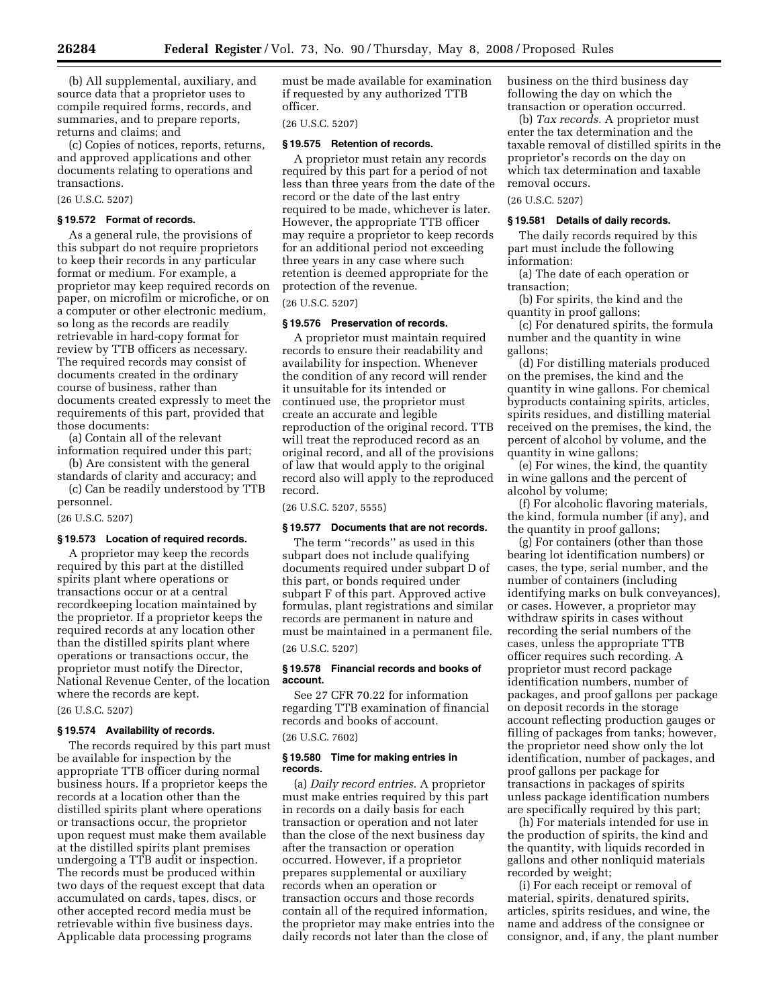(b) All supplemental, auxiliary, and source data that a proprietor uses to compile required forms, records, and summaries, and to prepare reports, returns and claims; and

(c) Copies of notices, reports, returns, and approved applications and other documents relating to operations and transactions.

# (26 U.S.C. 5207)

#### **§ 19.572 Format of records.**

As a general rule, the provisions of this subpart do not require proprietors to keep their records in any particular format or medium. For example, a proprietor may keep required records on paper, on microfilm or microfiche, or on a computer or other electronic medium, so long as the records are readily retrievable in hard-copy format for review by TTB officers as necessary. The required records may consist of documents created in the ordinary course of business, rather than documents created expressly to meet the requirements of this part, provided that those documents:

(a) Contain all of the relevant information required under this part;

(b) Are consistent with the general standards of clarity and accuracy; and

(c) Can be readily understood by TTB personnel.

(26 U.S.C. 5207)

#### **§ 19.573 Location of required records.**

A proprietor may keep the records required by this part at the distilled spirits plant where operations or transactions occur or at a central recordkeeping location maintained by the proprietor. If a proprietor keeps the required records at any location other than the distilled spirits plant where operations or transactions occur, the proprietor must notify the Director, National Revenue Center, of the location where the records are kept.

(26 U.S.C. 5207)

#### **§ 19.574 Availability of records.**

The records required by this part must be available for inspection by the appropriate TTB officer during normal business hours. If a proprietor keeps the records at a location other than the distilled spirits plant where operations or transactions occur, the proprietor upon request must make them available at the distilled spirits plant premises undergoing a TTB audit or inspection. The records must be produced within two days of the request except that data accumulated on cards, tapes, discs, or other accepted record media must be retrievable within five business days. Applicable data processing programs

must be made available for examination if requested by any authorized TTB officer.

(26 U.S.C. 5207)

#### **§ 19.575 Retention of records.**

A proprietor must retain any records required by this part for a period of not less than three years from the date of the record or the date of the last entry required to be made, whichever is later. However, the appropriate TTB officer may require a proprietor to keep records for an additional period not exceeding three years in any case where such retention is deemed appropriate for the protection of the revenue.

# (26 U.S.C. 5207)

# **§ 19.576 Preservation of records.**

A proprietor must maintain required records to ensure their readability and availability for inspection. Whenever the condition of any record will render it unsuitable for its intended or continued use, the proprietor must create an accurate and legible reproduction of the original record. TTB will treat the reproduced record as an original record, and all of the provisions of law that would apply to the original record also will apply to the reproduced record.

(26 U.S.C. 5207, 5555)

# **§ 19.577 Documents that are not records.**

The term ''records'' as used in this subpart does not include qualifying documents required under subpart D of this part, or bonds required under subpart F of this part. Approved active formulas, plant registrations and similar records are permanent in nature and must be maintained in a permanent file. (26 U.S.C. 5207)

# **§ 19.578 Financial records and books of account.**

See 27 CFR 70.22 for information regarding TTB examination of financial records and books of account. (26 U.S.C. 7602)

# **§ 19.580 Time for making entries in records.**

(a) *Daily record entries.* A proprietor must make entries required by this part in records on a daily basis for each transaction or operation and not later than the close of the next business day after the transaction or operation occurred. However, if a proprietor prepares supplemental or auxiliary records when an operation or transaction occurs and those records contain all of the required information, the proprietor may make entries into the daily records not later than the close of

business on the third business day following the day on which the transaction or operation occurred.

(b) *Tax records.* A proprietor must enter the tax determination and the taxable removal of distilled spirits in the proprietor's records on the day on which tax determination and taxable removal occurs.

# (26 U.S.C. 5207)

#### **§ 19.581 Details of daily records.**

The daily records required by this part must include the following information:

(a) The date of each operation or transaction;

(b) For spirits, the kind and the quantity in proof gallons;

(c) For denatured spirits, the formula number and the quantity in wine gallons;

(d) For distilling materials produced on the premises, the kind and the quantity in wine gallons. For chemical byproducts containing spirits, articles, spirits residues, and distilling material received on the premises, the kind, the percent of alcohol by volume, and the quantity in wine gallons;

(e) For wines, the kind, the quantity in wine gallons and the percent of alcohol by volume;

(f) For alcoholic flavoring materials, the kind, formula number (if any), and the quantity in proof gallons;

(g) For containers (other than those bearing lot identification numbers) or cases, the type, serial number, and the number of containers (including identifying marks on bulk conveyances), or cases. However, a proprietor may withdraw spirits in cases without recording the serial numbers of the cases, unless the appropriate TTB officer requires such recording. A proprietor must record package identification numbers, number of packages, and proof gallons per package on deposit records in the storage account reflecting production gauges or filling of packages from tanks; however, the proprietor need show only the lot identification, number of packages, and proof gallons per package for transactions in packages of spirits unless package identification numbers are specifically required by this part;

(h) For materials intended for use in the production of spirits, the kind and the quantity, with liquids recorded in gallons and other nonliquid materials recorded by weight;

(i) For each receipt or removal of material, spirits, denatured spirits, articles, spirits residues, and wine, the name and address of the consignee or consignor, and, if any, the plant number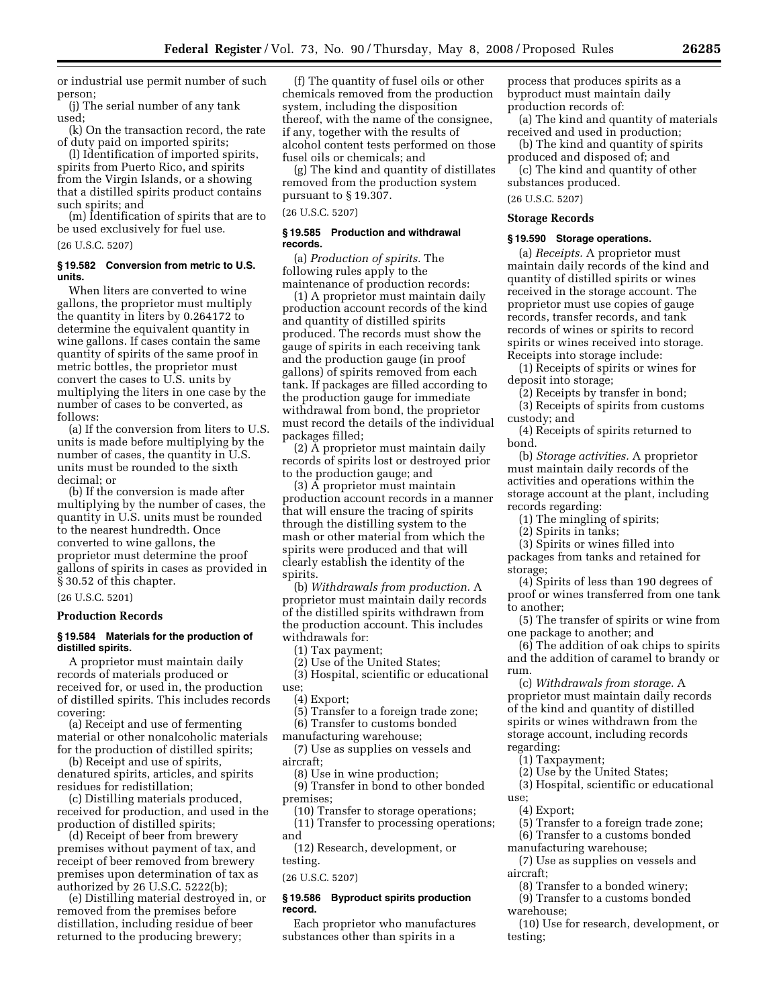or industrial use permit number of such person;

(j) The serial number of any tank used;

(k) On the transaction record, the rate of duty paid on imported spirits;

(l) Identification of imported spirits, spirits from Puerto Rico, and spirits from the Virgin Islands, or a showing that a distilled spirits product contains such spirits; and

(m) Identification of spirits that are to be used exclusively for fuel use.

(26 U.S.C. 5207)

# **§ 19.582 Conversion from metric to U.S. units.**

When liters are converted to wine gallons, the proprietor must multiply the quantity in liters by 0.264172 to determine the equivalent quantity in wine gallons. If cases contain the same quantity of spirits of the same proof in metric bottles, the proprietor must convert the cases to U.S. units by multiplying the liters in one case by the number of cases to be converted, as follows:

(a) If the conversion from liters to U.S. units is made before multiplying by the number of cases, the quantity in U.S. units must be rounded to the sixth decimal; or

(b) If the conversion is made after multiplying by the number of cases, the quantity in U.S. units must be rounded to the nearest hundredth. Once converted to wine gallons, the proprietor must determine the proof gallons of spirits in cases as provided in § 30.52 of this chapter.

(26 U.S.C. 5201)

# **Production Records**

# **§ 19.584 Materials for the production of distilled spirits.**

A proprietor must maintain daily records of materials produced or received for, or used in, the production of distilled spirits. This includes records covering:

(a) Receipt and use of fermenting material or other nonalcoholic materials for the production of distilled spirits;

(b) Receipt and use of spirits, denatured spirits, articles, and spirits residues for redistillation;

(c) Distilling materials produced, received for production, and used in the production of distilled spirits;

(d) Receipt of beer from brewery premises without payment of tax, and receipt of beer removed from brewery premises upon determination of tax as authorized by 26 U.S.C. 5222(b);

(e) Distilling material destroyed in, or removed from the premises before distillation, including residue of beer returned to the producing brewery;

(f) The quantity of fusel oils or other chemicals removed from the production system, including the disposition thereof, with the name of the consignee, if any, together with the results of alcohol content tests performed on those fusel oils or chemicals; and

(g) The kind and quantity of distillates removed from the production system pursuant to § 19.307.

(26 U.S.C. 5207)

# **§ 19.585 Production and withdrawal records.**

(a) *Production of spirits.* The following rules apply to the maintenance of production records:

(1) A proprietor must maintain daily production account records of the kind and quantity of distilled spirits produced. The records must show the gauge of spirits in each receiving tank and the production gauge (in proof gallons) of spirits removed from each tank. If packages are filled according to the production gauge for immediate withdrawal from bond, the proprietor must record the details of the individual packages filled;

(2) A proprietor must maintain daily records of spirits lost or destroyed prior to the production gauge; and

(3) A proprietor must maintain production account records in a manner that will ensure the tracing of spirits through the distilling system to the mash or other material from which the spirits were produced and that will clearly establish the identity of the spirits.

(b) *Withdrawals from production.* A proprietor must maintain daily records of the distilled spirits withdrawn from the production account. This includes withdrawals for:

(1) Tax payment;

(2) Use of the United States;

(3) Hospital, scientific or educational use;

(4) Export;

(5) Transfer to a foreign trade zone;

(6) Transfer to customs bonded

manufacturing warehouse;

(7) Use as supplies on vessels and aircraft;

(8) Use in wine production;

(9) Transfer in bond to other bonded premises;

(10) Transfer to storage operations;

(11) Transfer to processing operations; and

(12) Research, development, or testing.

(26 U.S.C. 5207)

#### **§ 19.586 Byproduct spirits production record.**

Each proprietor who manufactures substances other than spirits in a

process that produces spirits as a byproduct must maintain daily production records of:

(a) The kind and quantity of materials received and used in production;

(b) The kind and quantity of spirits produced and disposed of; and

(c) The kind and quantity of other substances produced.

# (26 U.S.C. 5207)

# **Storage Records**

# **§ 19.590 Storage operations.**

(a) *Receipts.* A proprietor must maintain daily records of the kind and quantity of distilled spirits or wines received in the storage account. The proprietor must use copies of gauge records, transfer records, and tank records of wines or spirits to record spirits or wines received into storage. Receipts into storage include:

(1) Receipts of spirits or wines for deposit into storage;

(2) Receipts by transfer in bond;

(3) Receipts of spirits from customs custody; and

(4) Receipts of spirits returned to bond.

(b) *Storage activities.* A proprietor must maintain daily records of the activities and operations within the storage account at the plant, including records regarding:

(1) The mingling of spirits;

(2) Spirits in tanks;

(3) Spirits or wines filled into packages from tanks and retained for storage;

(4) Spirits of less than 190 degrees of proof or wines transferred from one tank to another;

(5) The transfer of spirits or wine from one package to another; and

(6) The addition of oak chips to spirits and the addition of caramel to brandy or rum.

(c) *Withdrawals from storage.* A proprietor must maintain daily records of the kind and quantity of distilled spirits or wines withdrawn from the storage account, including records regarding:

(1) Taxpayment;

(2) Use by the United States;

(3) Hospital, scientific or educational use;

(4) Export;

(5) Transfer to a foreign trade zone;

(6) Transfer to a customs bonded

manufacturing warehouse;

(7) Use as supplies on vessels and aircraft;

(8) Transfer to a bonded winery;

(9) Transfer to a customs bonded warehouse;

(10) Use for research, development, or testing;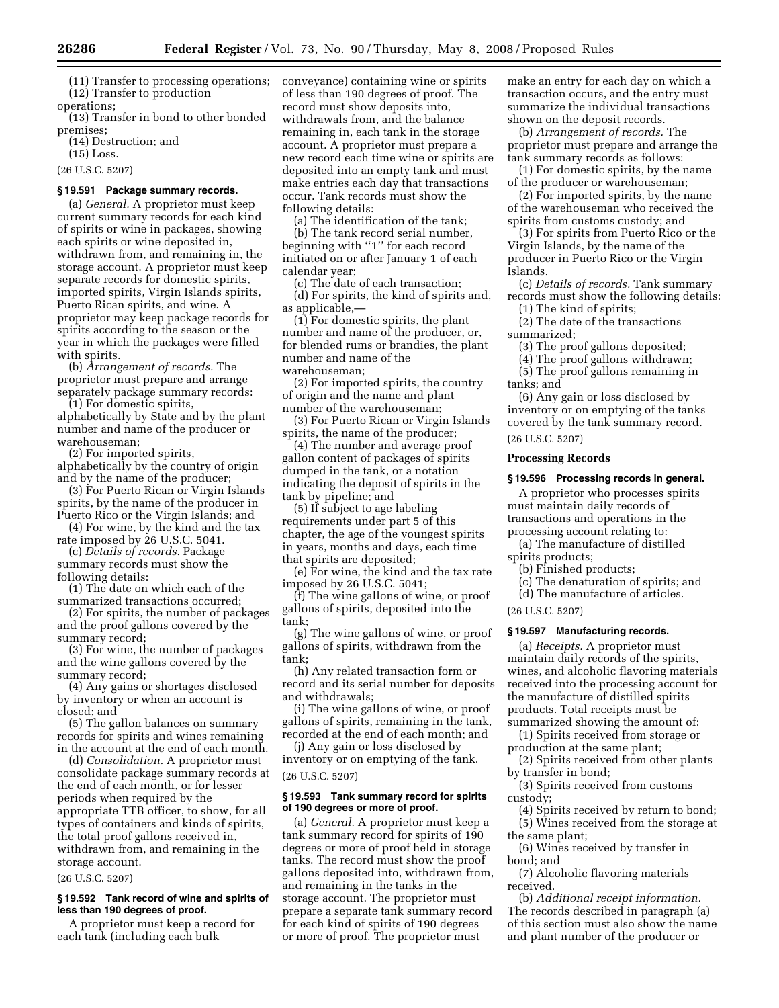(11) Transfer to processing operations; (12) Transfer to production operations;

(13) Transfer in bond to other bonded premises;

(14) Destruction; and

(15) Loss.

(26 U.S.C. 5207)

# **§ 19.591 Package summary records.**

(a) *General.* A proprietor must keep current summary records for each kind of spirits or wine in packages, showing each spirits or wine deposited in, withdrawn from, and remaining in, the storage account. A proprietor must keep separate records for domestic spirits, imported spirits, Virgin Islands spirits, Puerto Rican spirits, and wine. A proprietor may keep package records for spirits according to the season or the year in which the packages were filled with spirits.

(b) *Arrangement of records.* The proprietor must prepare and arrange separately package summary records: (1) For domestic spirits,

alphabetically by State and by the plant number and name of the producer or warehouseman;

(2) For imported spirits, alphabetically by the country of origin and by the name of the producer;

(3) For Puerto Rican or Virgin Islands spirits, by the name of the producer in Puerto Rico or the Virgin Islands; and

(4) For wine, by the kind and the tax rate imposed by 26 U.S.C. 5041.

(c) *Details of records.* Package summary records must show the following details:

(1) The date on which each of the summarized transactions occurred;

(2) For spirits, the number of packages and the proof gallons covered by the summary record;

(3) For wine, the number of packages and the wine gallons covered by the summary record;

(4) Any gains or shortages disclosed by inventory or when an account is closed; and

(5) The gallon balances on summary records for spirits and wines remaining in the account at the end of each month.

(d) *Consolidation.* A proprietor must consolidate package summary records at the end of each month, or for lesser periods when required by the appropriate TTB officer, to show, for all types of containers and kinds of spirits, the total proof gallons received in, withdrawn from, and remaining in the storage account.

(26 U.S.C. 5207)

#### **§ 19.592 Tank record of wine and spirits of less than 190 degrees of proof.**

A proprietor must keep a record for each tank (including each bulk

conveyance) containing wine or spirits of less than 190 degrees of proof. The record must show deposits into, withdrawals from, and the balance remaining in, each tank in the storage account. A proprietor must prepare a new record each time wine or spirits are deposited into an empty tank and must make entries each day that transactions occur. Tank records must show the following details:

(a) The identification of the tank;

(b) The tank record serial number, beginning with "1" for each record initiated on or after January 1 of each calendar year;

(c) The date of each transaction; (d) For spirits, the kind of spirits and, as applicable,—

(1) For domestic spirits, the plant number and name of the producer, or, for blended rums or brandies, the plant number and name of the warehouseman;

(2) For imported spirits, the country of origin and the name and plant number of the warehouseman;

(3) For Puerto Rican or Virgin Islands spirits, the name of the producer;

(4) The number and average proof gallon content of packages of spirits dumped in the tank, or a notation indicating the deposit of spirits in the tank by pipeline; and

(5) If subject to age labeling requirements under part 5 of this chapter, the age of the youngest spirits in years, months and days, each time that spirits are deposited;

(e) For wine, the kind and the tax rate imposed by 26 U.S.C. 5041;

(f) The wine gallons of wine, or proof gallons of spirits, deposited into the tank;

(g) The wine gallons of wine, or proof gallons of spirits, withdrawn from the tank;

(h) Any related transaction form or record and its serial number for deposits and withdrawals;

(i) The wine gallons of wine, or proof gallons of spirits, remaining in the tank, recorded at the end of each month; and

(j) Any gain or loss disclosed by inventory or on emptying of the tank.

### (26 U.S.C. 5207)

# **§ 19.593 Tank summary record for spirits of 190 degrees or more of proof.**

(a) *General.* A proprietor must keep a tank summary record for spirits of 190 degrees or more of proof held in storage tanks. The record must show the proof gallons deposited into, withdrawn from, and remaining in the tanks in the storage account. The proprietor must prepare a separate tank summary record for each kind of spirits of 190 degrees or more of proof. The proprietor must

make an entry for each day on which a transaction occurs, and the entry must summarize the individual transactions shown on the deposit records.

(b) *Arrangement of records.* The proprietor must prepare and arrange the tank summary records as follows:

(1) For domestic spirits, by the name of the producer or warehouseman;

(2) For imported spirits, by the name of the warehouseman who received the spirits from customs custody; and

(3) For spirits from Puerto Rico or the Virgin Islands, by the name of the producer in Puerto Rico or the Virgin Islands.

(c) *Details of records.* Tank summary records must show the following details: (1) The kind of spirits;

(2) The date of the transactions summarized;

(3) The proof gallons deposited; (4) The proof gallons withdrawn;

(5) The proof gallons remaining in tanks; and

(6) Any gain or loss disclosed by inventory or on emptying of the tanks

covered by the tank summary record.

(26 U.S.C. 5207)

#### **Processing Records**

#### **§ 19.596 Processing records in general.**

A proprietor who processes spirits must maintain daily records of transactions and operations in the processing account relating to:

(a) The manufacture of distilled spirits products;

(b) Finished products;

(c) The denaturation of spirits; and

(d) The manufacture of articles.

(26 U.S.C. 5207)

# **§ 19.597 Manufacturing records.**

(a) *Receipts.* A proprietor must maintain daily records of the spirits, wines, and alcoholic flavoring materials received into the processing account for the manufacture of distilled spirits products. Total receipts must be summarized showing the amount of:

(1) Spirits received from storage or production at the same plant;

(2) Spirits received from other plants by transfer in bond;

(3) Spirits received from customs custody;

(4) Spirits received by return to bond; (5) Wines received from the storage at

the same plant; (6) Wines received by transfer in

# bond; and

(7) Alcoholic flavoring materials received.

(b) *Additional receipt information.*  The records described in paragraph (a) of this section must also show the name and plant number of the producer or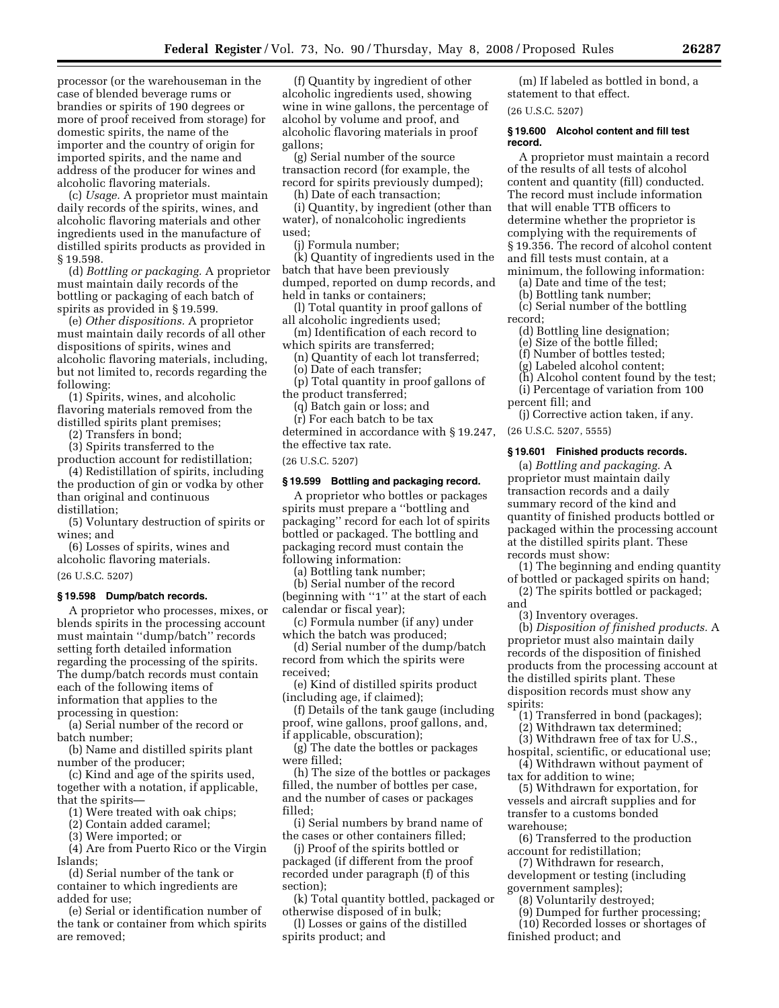processor (or the warehouseman in the case of blended beverage rums or brandies or spirits of 190 degrees or more of proof received from storage) for domestic spirits, the name of the importer and the country of origin for imported spirits, and the name and address of the producer for wines and alcoholic flavoring materials.

(c) *Usage.* A proprietor must maintain daily records of the spirits, wines, and alcoholic flavoring materials and other ingredients used in the manufacture of distilled spirits products as provided in § 19.598.

(d) *Bottling or packaging.* A proprietor must maintain daily records of the bottling or packaging of each batch of spirits as provided in § 19.599.

(e) *Other dispositions.* A proprietor must maintain daily records of all other dispositions of spirits, wines and alcoholic flavoring materials, including, but not limited to, records regarding the following:

(1) Spirits, wines, and alcoholic flavoring materials removed from the distilled spirits plant premises;

(2) Transfers in bond;

(3) Spirits transferred to the production account for redistillation;

(4) Redistillation of spirits, including the production of gin or vodka by other than original and continuous distillation;

(5) Voluntary destruction of spirits or wines; and

(6) Losses of spirits, wines and alcoholic flavoring materials.

(26 U.S.C. 5207)

#### **§ 19.598 Dump/batch records.**

A proprietor who processes, mixes, or blends spirits in the processing account must maintain ''dump/batch'' records setting forth detailed information regarding the processing of the spirits. The dump/batch records must contain each of the following items of information that applies to the processing in question:

(a) Serial number of the record or batch number;

(b) Name and distilled spirits plant number of the producer;

(c) Kind and age of the spirits used, together with a notation, if applicable, that the spirits—

(1) Were treated with oak chips;

(2) Contain added caramel;

(3) Were imported; or

(4) Are from Puerto Rico or the Virgin Islands;

(d) Serial number of the tank or container to which ingredients are added for use;

(e) Serial or identification number of the tank or container from which spirits are removed;

(f) Quantity by ingredient of other alcoholic ingredients used, showing wine in wine gallons, the percentage of alcohol by volume and proof, and alcoholic flavoring materials in proof gallons;

(g) Serial number of the source transaction record (for example, the record for spirits previously dumped);

(h) Date of each transaction;

(i) Quantity, by ingredient (other than water), of nonalcoholic ingredients used;

(j) Formula number;

(k) Quantity of ingredients used in the batch that have been previously dumped, reported on dump records, and held in tanks or containers;

(l) Total quantity in proof gallons of all alcoholic ingredients used;

(m) Identification of each record to

which spirits are transferred;

(n) Quantity of each lot transferred;

(o) Date of each transfer;

(p) Total quantity in proof gallons of the product transferred;

(q) Batch gain or loss; and

(r) For each batch to be tax determined in accordance with § 19.247, the effective tax rate.

(26 U.S.C. 5207)

# **§ 19.599 Bottling and packaging record.**

A proprietor who bottles or packages spirits must prepare a ''bottling and packaging'' record for each lot of spirits bottled or packaged. The bottling and packaging record must contain the following information:

(a) Bottling tank number;

(b) Serial number of the record (beginning with ''1'' at the start of each calendar or fiscal year);

(c) Formula number (if any) under which the batch was produced;

(d) Serial number of the dump/batch record from which the spirits were received;

(e) Kind of distilled spirits product (including age, if claimed);

(f) Details of the tank gauge (including proof, wine gallons, proof gallons, and, if applicable, obscuration);

(g) The date the bottles or packages were filled;

(h) The size of the bottles or packages filled, the number of bottles per case, and the number of cases or packages filled;

(i) Serial numbers by brand name of the cases or other containers filled;

(j) Proof of the spirits bottled or packaged (if different from the proof recorded under paragraph (f) of this section);

(k) Total quantity bottled, packaged or otherwise disposed of in bulk;

(l) Losses or gains of the distilled spirits product; and

(m) If labeled as bottled in bond, a statement to that effect.

(26 U.S.C. 5207)

# **§ 19.600 Alcohol content and fill test record.**

A proprietor must maintain a record of the results of all tests of alcohol content and quantity (fill) conducted. The record must include information that will enable TTB officers to determine whether the proprietor is complying with the requirements of § 19.356. The record of alcohol content and fill tests must contain, at a minimum, the following information:

(a) Date and time of the test;

(b) Bottling tank number;

(c) Serial number of the bottling record;

(d) Bottling line designation;

(e) Size of the bottle filled;

(f) Number of bottles tested;

(g) Labeled alcohol content;

(h) Alcohol content found by the test;

(i) Percentage of variation from 100

percent fill; and

(j) Corrective action taken, if any.

(26 U.S.C. 5207, 5555)

# **§ 19.601 Finished products records.**

(a) *Bottling and packaging.* A proprietor must maintain daily transaction records and a daily summary record of the kind and quantity of finished products bottled or packaged within the processing account at the distilled spirits plant. These records must show:

(1) The beginning and ending quantity of bottled or packaged spirits on hand;

(2) The spirits bottled or packaged; and

(3) Inventory overages.

(b) *Disposition of finished products.* A proprietor must also maintain daily records of the disposition of finished products from the processing account at the distilled spirits plant. These disposition records must show any spirits:

(1) Transferred in bond (packages);

(2) Withdrawn tax determined; (3) Withdrawn free of tax for U.S.,

hospital, scientific, or educational use;

(4) Withdrawn without payment of tax for addition to wine;

(5) Withdrawn for exportation, for vessels and aircraft supplies and for transfer to a customs bonded warehouse;

(6) Transferred to the production account for redistillation;

(7) Withdrawn for research, development or testing (including government samples);

(8) Voluntarily destroyed;

(9) Dumped for further processing;

(10) Recorded losses or shortages of finished product; and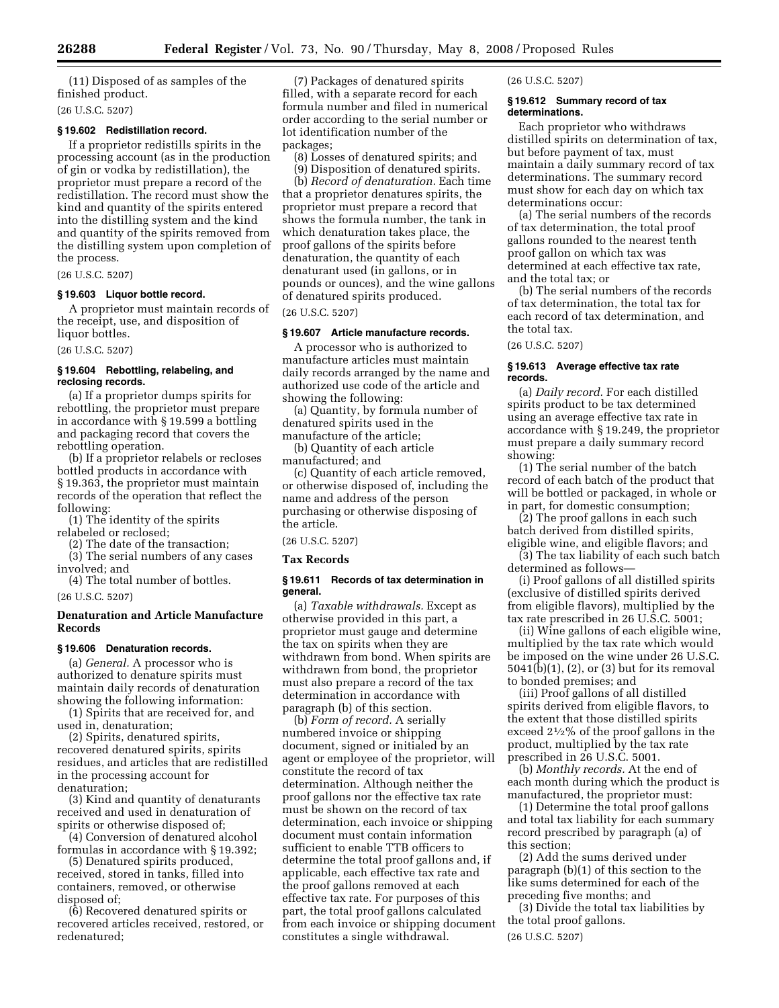(11) Disposed of as samples of the finished product.

(26 U.S.C. 5207)

# **§ 19.602 Redistillation record.**

If a proprietor redistills spirits in the processing account (as in the production of gin or vodka by redistillation), the proprietor must prepare a record of the redistillation. The record must show the kind and quantity of the spirits entered into the distilling system and the kind and quantity of the spirits removed from the distilling system upon completion of the process.

(26 U.S.C. 5207)

# **§ 19.603 Liquor bottle record.**

A proprietor must maintain records of the receipt, use, and disposition of liquor bottles.

(26 U.S.C. 5207)

# **§ 19.604 Rebottling, relabeling, and reclosing records.**

(a) If a proprietor dumps spirits for rebottling, the proprietor must prepare in accordance with § 19.599 a bottling and packaging record that covers the rebottling operation.

(b) If a proprietor relabels or recloses bottled products in accordance with § 19.363, the proprietor must maintain records of the operation that reflect the following:

(1) The identity of the spirits relabeled or reclosed;

(2) The date of the transaction;

(3) The serial numbers of any cases involved; and (4) The total number of bottles.

(26 U.S.C. 5207)

# **Denaturation and Article Manufacture Records**

#### **§ 19.606 Denaturation records.**

(a) *General.* A processor who is authorized to denature spirits must maintain daily records of denaturation showing the following information:

(1) Spirits that are received for, and used in, denaturation;

(2) Spirits, denatured spirits, recovered denatured spirits, spirits residues, and articles that are redistilled in the processing account for denaturation;

(3) Kind and quantity of denaturants received and used in denaturation of spirits or otherwise disposed of;

(4) Conversion of denatured alcohol formulas in accordance with § 19.392;

(5) Denatured spirits produced, received, stored in tanks, filled into containers, removed, or otherwise disposed of;

(6) Recovered denatured spirits or recovered articles received, restored, or redenatured;

(7) Packages of denatured spirits filled, with a separate record for each formula number and filed in numerical order according to the serial number or lot identification number of the packages;

(8) Losses of denatured spirits; and

(9) Disposition of denatured spirits. (b) *Record of denaturation.* Each time that a proprietor denatures spirits, the proprietor must prepare a record that shows the formula number, the tank in which denaturation takes place, the proof gallons of the spirits before denaturation, the quantity of each denaturant used (in gallons, or in pounds or ounces), and the wine gallons of denatured spirits produced.

(26 U.S.C. 5207)

# **§ 19.607 Article manufacture records.**

A processor who is authorized to manufacture articles must maintain daily records arranged by the name and authorized use code of the article and showing the following:

(a) Quantity, by formula number of denatured spirits used in the manufacture of the article;

(b) Quantity of each article manufactured; and

(c) Quantity of each article removed, or otherwise disposed of, including the name and address of the person purchasing or otherwise disposing of the article.

(26 U.S.C. 5207)

# **Tax Records**

# **§ 19.611 Records of tax determination in general.**

(a) *Taxable withdrawals.* Except as otherwise provided in this part, a proprietor must gauge and determine the tax on spirits when they are withdrawn from bond. When spirits are withdrawn from bond, the proprietor must also prepare a record of the tax determination in accordance with paragraph (b) of this section.

(b) *Form of record.* A serially numbered invoice or shipping document, signed or initialed by an agent or employee of the proprietor, will constitute the record of tax determination. Although neither the proof gallons nor the effective tax rate must be shown on the record of tax determination, each invoice or shipping document must contain information sufficient to enable TTB officers to determine the total proof gallons and, if applicable, each effective tax rate and the proof gallons removed at each effective tax rate. For purposes of this part, the total proof gallons calculated from each invoice or shipping document constitutes a single withdrawal.

(26 U.S.C. 5207)

#### **§ 19.612 Summary record of tax determinations.**

Each proprietor who withdraws distilled spirits on determination of tax, but before payment of tax, must maintain a daily summary record of tax determinations. The summary record must show for each day on which tax determinations occur:

(a) The serial numbers of the records of tax determination, the total proof gallons rounded to the nearest tenth proof gallon on which tax was determined at each effective tax rate, and the total tax; or

(b) The serial numbers of the records of tax determination, the total tax for each record of tax determination, and the total tax.

(26 U.S.C. 5207)

#### **§ 19.613 Average effective tax rate records.**

(a) *Daily record.* For each distilled spirits product to be tax determined using an average effective tax rate in accordance with § 19.249, the proprietor must prepare a daily summary record showing:

(1) The serial number of the batch record of each batch of the product that will be bottled or packaged, in whole or in part, for domestic consumption;

(2) The proof gallons in each such batch derived from distilled spirits, eligible wine, and eligible flavors; and

(3) The tax liability of each such batch determined as follows—

(i) Proof gallons of all distilled spirits (exclusive of distilled spirits derived from eligible flavors), multiplied by the tax rate prescribed in 26 U.S.C. 5001;

(ii) Wine gallons of each eligible wine, multiplied by the tax rate which would be imposed on the wine under 26 U.S.C. 5041(b)(1), (2), or (3) but for its removal to bonded premises; and

(iii) Proof gallons of all distilled spirits derived from eligible flavors, to the extent that those distilled spirits exceed 21⁄2% of the proof gallons in the product, multiplied by the tax rate prescribed in 26 U.S.C. 5001.

(b) *Monthly records.* At the end of each month during which the product is manufactured, the proprietor must:

(1) Determine the total proof gallons and total tax liability for each summary record prescribed by paragraph (a) of this section;

(2) Add the sums derived under paragraph (b)(1) of this section to the like sums determined for each of the preceding five months; and

(3) Divide the total tax liabilities by the total proof gallons.

(26 U.S.C. 5207)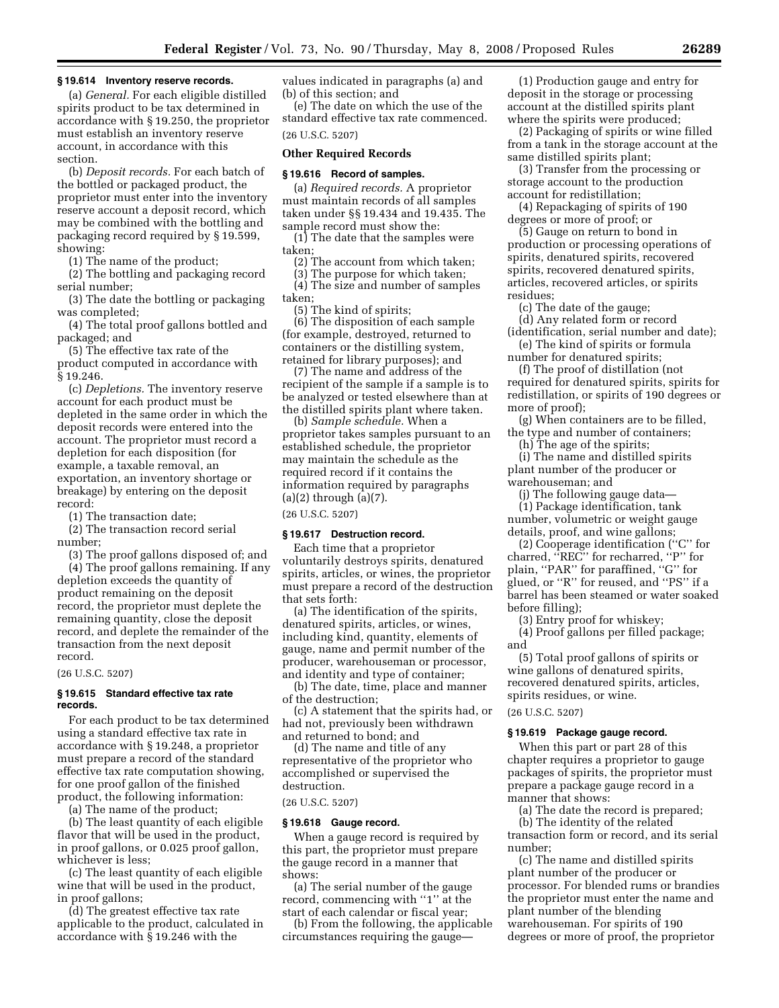#### **§ 19.614 Inventory reserve records.**

(a) *General.* For each eligible distilled spirits product to be tax determined in accordance with § 19.250, the proprietor must establish an inventory reserve account, in accordance with this section.

(b) *Deposit records.* For each batch of the bottled or packaged product, the proprietor must enter into the inventory reserve account a deposit record, which may be combined with the bottling and packaging record required by § 19.599, showing:

(1) The name of the product;

(2) The bottling and packaging record serial number;

(3) The date the bottling or packaging was completed;

(4) The total proof gallons bottled and packaged; and

(5) The effective tax rate of the product computed in accordance with § 19.246.

(c) *Depletions.* The inventory reserve account for each product must be depleted in the same order in which the deposit records were entered into the account. The proprietor must record a depletion for each disposition (for example, a taxable removal, an exportation, an inventory shortage or breakage) by entering on the deposit record:

(1) The transaction date;

(2) The transaction record serial number;

(3) The proof gallons disposed of; and (4) The proof gallons remaining. If any depletion exceeds the quantity of product remaining on the deposit record, the proprietor must deplete the remaining quantity, close the deposit record, and deplete the remainder of the transaction from the next deposit record.

#### (26 U.S.C. 5207)

# **§ 19.615 Standard effective tax rate records.**

For each product to be tax determined using a standard effective tax rate in accordance with § 19.248, a proprietor must prepare a record of the standard effective tax rate computation showing, for one proof gallon of the finished product, the following information:

(a) The name of the product;

(b) The least quantity of each eligible flavor that will be used in the product, in proof gallons, or 0.025 proof gallon, whichever is less;

(c) The least quantity of each eligible wine that will be used in the product, in proof gallons;

(d) The greatest effective tax rate applicable to the product, calculated in accordance with § 19.246 with the

values indicated in paragraphs (a) and (b) of this section; and

(e) The date on which the use of the standard effective tax rate commenced. (26 U.S.C. 5207)

# **Other Required Records**

#### **§ 19.616 Record of samples.**

(a) *Required records.* A proprietor must maintain records of all samples taken under §§ 19.434 and 19.435. The sample record must show the:

(1) The date that the samples were taken;

(2) The account from which taken;

(3) The purpose for which taken; (4) The size and number of samples taken;

(5) The kind of spirits;

(6) The disposition of each sample (for example, destroyed, returned to containers or the distilling system, retained for library purposes); and

(7) The name and address of the recipient of the sample if a sample is to be analyzed or tested elsewhere than at the distilled spirits plant where taken.

(b) *Sample schedule.* When a proprietor takes samples pursuant to an established schedule, the proprietor may maintain the schedule as the required record if it contains the information required by paragraphs (a)(2) through (a)(7).

(26 U.S.C. 5207)

#### **§ 19.617 Destruction record.**

Each time that a proprietor voluntarily destroys spirits, denatured spirits, articles, or wines, the proprietor must prepare a record of the destruction that sets forth:

(a) The identification of the spirits, denatured spirits, articles, or wines, including kind, quantity, elements of gauge, name and permit number of the producer, warehouseman or processor, and identity and type of container;

(b) The date, time, place and manner of the destruction;

(c) A statement that the spirits had, or had not, previously been withdrawn and returned to bond; and

(d) The name and title of any representative of the proprietor who accomplished or supervised the destruction.

(26 U.S.C. 5207)

#### **§ 19.618 Gauge record.**

When a gauge record is required by this part, the proprietor must prepare the gauge record in a manner that shows:

(a) The serial number of the gauge record, commencing with ''1'' at the start of each calendar or fiscal year;

(b) From the following, the applicable circumstances requiring the gauge—

(1) Production gauge and entry for deposit in the storage or processing account at the distilled spirits plant where the spirits were produced;

(2) Packaging of spirits or wine filled from a tank in the storage account at the same distilled spirits plant;

(3) Transfer from the processing or storage account to the production account for redistillation;

(4) Repackaging of spirits of 190 degrees or more of proof; or

(5) Gauge on return to bond in production or processing operations of spirits, denatured spirits, recovered spirits, recovered denatured spirits, articles, recovered articles, or spirits residues;

(c) The date of the gauge;

(d) Any related form or record (identification, serial number and date);

(e) The kind of spirits or formula number for denatured spirits;

(f) The proof of distillation (not required for denatured spirits, spirits for redistillation, or spirits of 190 degrees or more of proof);

(g) When containers are to be filled, the type and number of containers;

(h) The age of the spirits;

(i) The name and distilled spirits plant number of the producer or warehouseman; and

(j) The following gauge data—

(1) Package identification, tank number, volumetric or weight gauge details, proof, and wine gallons;

(2) Cooperage identification (''C'' for charred, ''REC'' for recharred, ''P'' for plain, ''PAR'' for paraffined, ''G'' for glued, or ''R'' for reused, and ''PS'' if a barrel has been steamed or water soaked before filling);

(3) Entry proof for whiskey;

(4) Proof gallons per filled package; and

(5) Total proof gallons of spirits or wine gallons of denatured spirits, recovered denatured spirits, articles, spirits residues, or wine.

# (26 U.S.C. 5207)

# **§ 19.619 Package gauge record.**

When this part or part 28 of this chapter requires a proprietor to gauge packages of spirits, the proprietor must prepare a package gauge record in a manner that shows:

(a) The date the record is prepared; (b) The identity of the related

transaction form or record, and its serial number;

(c) The name and distilled spirits plant number of the producer or processor. For blended rums or brandies the proprietor must enter the name and plant number of the blending warehouseman. For spirits of 190 degrees or more of proof, the proprietor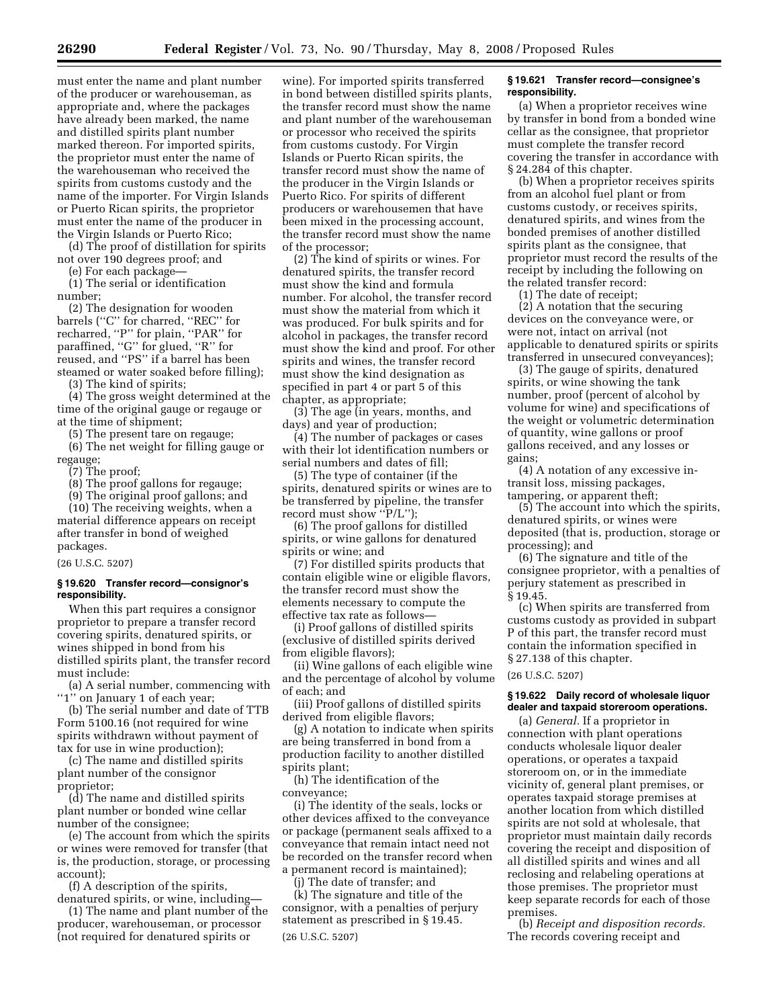must enter the name and plant number of the producer or warehouseman, as appropriate and, where the packages have already been marked, the name and distilled spirits plant number marked thereon. For imported spirits, the proprietor must enter the name of the warehouseman who received the spirits from customs custody and the name of the importer. For Virgin Islands or Puerto Rican spirits, the proprietor must enter the name of the producer in the Virgin Islands or Puerto Rico;

(d) The proof of distillation for spirits not over 190 degrees proof; and

(e) For each package—

(1) The serial or identification number;

(2) The designation for wooden barrels (''C'' for charred, ''REC'' for recharred, ''P'' for plain, ''PAR'' for paraffined, "G" for glued, "R" for reused, and ''PS'' if a barrel has been steamed or water soaked before filling);

(3) The kind of spirits;

(4) The gross weight determined at the time of the original gauge or regauge or at the time of shipment;

(5) The present tare on regauge;

(6) The net weight for filling gauge or regauge;

(7) The proof;

(8) The proof gallons for regauge;

(9) The original proof gallons; and

(10) The receiving weights, when a material difference appears on receipt after transfer in bond of weighed packages.

#### (26 U.S.C. 5207)

# **§ 19.620 Transfer record—consignor's responsibility.**

When this part requires a consignor proprietor to prepare a transfer record covering spirits, denatured spirits, or wines shipped in bond from his distilled spirits plant, the transfer record must include:

(a) A serial number, commencing with "1" on January 1 of each year;

(b) The serial number and date of TTB Form 5100.16 (not required for wine spirits withdrawn without payment of tax for use in wine production);

(c) The name and distilled spirits plant number of the consignor proprietor;

(d) The name and distilled spirits plant number or bonded wine cellar number of the consignee;

(e) The account from which the spirits or wines were removed for transfer (that is, the production, storage, or processing account);

(f) A description of the spirits, denatured spirits, or wine, including—

(1) The name and plant number of the producer, warehouseman, or processor (not required for denatured spirits or

wine). For imported spirits transferred in bond between distilled spirits plants, the transfer record must show the name and plant number of the warehouseman or processor who received the spirits from customs custody. For Virgin Islands or Puerto Rican spirits, the transfer record must show the name of the producer in the Virgin Islands or Puerto Rico. For spirits of different producers or warehousemen that have been mixed in the processing account, the transfer record must show the name of the processor;

(2) The kind of spirits or wines. For denatured spirits, the transfer record must show the kind and formula number. For alcohol, the transfer record must show the material from which it was produced. For bulk spirits and for alcohol in packages, the transfer record must show the kind and proof. For other spirits and wines, the transfer record must show the kind designation as specified in part 4 or part 5 of this chapter, as appropriate;

(3) The age (in years, months, and days) and year of production;

(4) The number of packages or cases with their lot identification numbers or serial numbers and dates of fill;

(5) The type of container (if the spirits, denatured spirits or wines are to be transferred by pipeline, the transfer record must show "P/L");

(6) The proof gallons for distilled spirits, or wine gallons for denatured spirits or wine; and

(7) For distilled spirits products that contain eligible wine or eligible flavors, the transfer record must show the elements necessary to compute the effective tax rate as follows—

(i) Proof gallons of distilled spirits (exclusive of distilled spirits derived from eligible flavors);

(ii) Wine gallons of each eligible wine and the percentage of alcohol by volume of each; and

(iii) Proof gallons of distilled spirits derived from eligible flavors;

(g) A notation to indicate when spirits are being transferred in bond from a production facility to another distilled spirits plant;

(h) The identification of the conveyance;

(i) The identity of the seals, locks or other devices affixed to the conveyance or package (permanent seals affixed to a conveyance that remain intact need not be recorded on the transfer record when a permanent record is maintained);

(j) The date of transfer; and

(k) The signature and title of the consignor, with a penalties of perjury statement as prescribed in § 19.45. (26 U.S.C. 5207)

# **§ 19.621 Transfer record—consignee's responsibility.**

(a) When a proprietor receives wine by transfer in bond from a bonded wine cellar as the consignee, that proprietor must complete the transfer record covering the transfer in accordance with § 24.284 of this chapter.

(b) When a proprietor receives spirits from an alcohol fuel plant or from customs custody, or receives spirits, denatured spirits, and wines from the bonded premises of another distilled spirits plant as the consignee, that proprietor must record the results of the receipt by including the following on the related transfer record:

(1) The date of receipt;

(2) A notation that the securing devices on the conveyance were, or were not, intact on arrival (not applicable to denatured spirits or spirits transferred in unsecured conveyances);

(3) The gauge of spirits, denatured spirits, or wine showing the tank number, proof (percent of alcohol by volume for wine) and specifications of the weight or volumetric determination of quantity, wine gallons or proof gallons received, and any losses or gains;

(4) A notation of any excessive intransit loss, missing packages, tampering, or apparent theft;

(5) The account into which the spirits, denatured spirits, or wines were deposited (that is, production, storage or processing); and

(6) The signature and title of the consignee proprietor, with a penalties of perjury statement as prescribed in § 19.45.

(c) When spirits are transferred from customs custody as provided in subpart P of this part, the transfer record must contain the information specified in § 27.138 of this chapter.

(26 U.S.C. 5207)

# **§ 19.622 Daily record of wholesale liquor dealer and taxpaid storeroom operations.**

(a) *General.* If a proprietor in connection with plant operations conducts wholesale liquor dealer operations, or operates a taxpaid storeroom on, or in the immediate vicinity of, general plant premises, or operates taxpaid storage premises at another location from which distilled spirits are not sold at wholesale, that proprietor must maintain daily records covering the receipt and disposition of all distilled spirits and wines and all reclosing and relabeling operations at those premises. The proprietor must keep separate records for each of those premises.

(b) *Receipt and disposition records.*  The records covering receipt and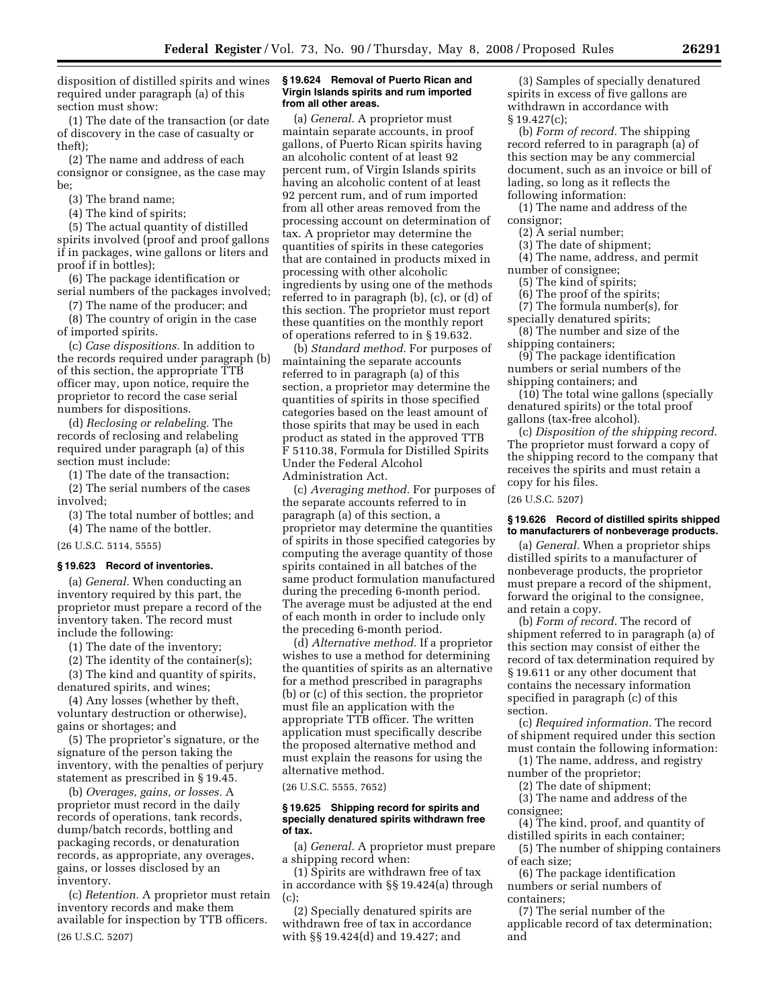disposition of distilled spirits and wines required under paragraph (a) of this section must show:

(1) The date of the transaction (or date of discovery in the case of casualty or theft);

(2) The name and address of each consignor or consignee, as the case may be;

(3) The brand name;

(4) The kind of spirits;

(5) The actual quantity of distilled spirits involved (proof and proof gallons if in packages, wine gallons or liters and proof if in bottles);

(6) The package identification or serial numbers of the packages involved;

(7) The name of the producer; and (8) The country of origin in the case

of imported spirits.

(c) *Case dispositions.* In addition to the records required under paragraph (b) of this section, the appropriate TTB officer may, upon notice, require the proprietor to record the case serial numbers for dispositions.

(d) *Reclosing or relabeling.* The records of reclosing and relabeling required under paragraph (a) of this section must include:

(1) The date of the transaction;

(2) The serial numbers of the cases involved;

(3) The total number of bottles; and

(4) The name of the bottler.

(26 U.S.C. 5114, 5555)

#### **§ 19.623 Record of inventories.**

(a) *General.* When conducting an inventory required by this part, the proprietor must prepare a record of the inventory taken. The record must include the following:

(1) The date of the inventory;

(2) The identity of the container(s);

(3) The kind and quantity of spirits, denatured spirits, and wines;

(4) Any losses (whether by theft, voluntary destruction or otherwise), gains or shortages; and

(5) The proprietor's signature, or the signature of the person taking the inventory, with the penalties of perjury statement as prescribed in § 19.45.

(b) *Overages, gains, or losses.* A proprietor must record in the daily records of operations, tank records, dump/batch records, bottling and packaging records, or denaturation records, as appropriate, any overages, gains, or losses disclosed by an inventory.

(c) *Retention.* A proprietor must retain inventory records and make them available for inspection by TTB officers. (26 U.S.C. 5207)

#### **§ 19.624 Removal of Puerto Rican and Virgin Islands spirits and rum imported from all other areas.**

(a) *General.* A proprietor must maintain separate accounts, in proof gallons, of Puerto Rican spirits having an alcoholic content of at least 92 percent rum, of Virgin Islands spirits having an alcoholic content of at least 92 percent rum, and of rum imported from all other areas removed from the processing account on determination of tax. A proprietor may determine the quantities of spirits in these categories that are contained in products mixed in processing with other alcoholic ingredients by using one of the methods referred to in paragraph (b), (c), or (d) of this section. The proprietor must report these quantities on the monthly report of operations referred to in § 19.632.

(b) *Standard method.* For purposes of maintaining the separate accounts referred to in paragraph (a) of this section, a proprietor may determine the quantities of spirits in those specified categories based on the least amount of those spirits that may be used in each product as stated in the approved TTB F 5110.38, Formula for Distilled Spirits Under the Federal Alcohol Administration Act.

(c) *Averaging method.* For purposes of the separate accounts referred to in paragraph (a) of this section, a proprietor may determine the quantities of spirits in those specified categories by computing the average quantity of those spirits contained in all batches of the same product formulation manufactured during the preceding 6-month period. The average must be adjusted at the end of each month in order to include only the preceding 6-month period.

(d) *Alternative method.* If a proprietor wishes to use a method for determining the quantities of spirits as an alternative for a method prescribed in paragraphs (b) or (c) of this section, the proprietor must file an application with the appropriate TTB officer. The written application must specifically describe the proposed alternative method and must explain the reasons for using the alternative method.

(26 U.S.C. 5555, 7652)

# **§ 19.625 Shipping record for spirits and specially denatured spirits withdrawn free of tax.**

(a) *General.* A proprietor must prepare a shipping record when:

(1) Spirits are withdrawn free of tax in accordance with §§ 19.424(a) through (c);

(2) Specially denatured spirits are withdrawn free of tax in accordance with §§ 19.424(d) and 19.427; and

(3) Samples of specially denatured spirits in excess of five gallons are withdrawn in accordance with  $§ 19.427(c);$ 

(b) *Form of record.* The shipping record referred to in paragraph (a) of this section may be any commercial document, such as an invoice or bill of lading, so long as it reflects the following information:

(1) The name and address of the consignor;

(2) A serial number;

- (3) The date of shipment;
- (4) The name, address, and permit
- number of consignee;
- (5) The kind of spirits;
- (6) The proof of the spirits;
- (7) The formula number(s), for

specially denatured spirits; (8) The number and size of the

shipping containers;

(9) The package identification numbers or serial numbers of the shipping containers; and

(10) The total wine gallons (specially denatured spirits) or the total proof gallons (tax-free alcohol).

(c) *Disposition of the shipping record*. The proprietor must forward a copy of the shipping record to the company that receives the spirits and must retain a copy for his files.

(26 U.S.C. 5207)

#### **§ 19.626 Record of distilled spirits shipped to manufacturers of nonbeverage products.**

(a) *General.* When a proprietor ships distilled spirits to a manufacturer of nonbeverage products, the proprietor must prepare a record of the shipment, forward the original to the consignee, and retain a copy.

(b) *Form of record.* The record of shipment referred to in paragraph (a) of this section may consist of either the record of tax determination required by § 19.611 or any other document that contains the necessary information specified in paragraph (c) of this section.

(c) *Required information.* The record of shipment required under this section must contain the following information:

(1) The name, address, and registry number of the proprietor;

(2) The date of shipment;

(3) The name and address of the consignee;

(4) The kind, proof, and quantity of distilled spirits in each container;

(5) The number of shipping containers of each size;

(6) The package identification numbers or serial numbers of containers;

(7) The serial number of the applicable record of tax determination; and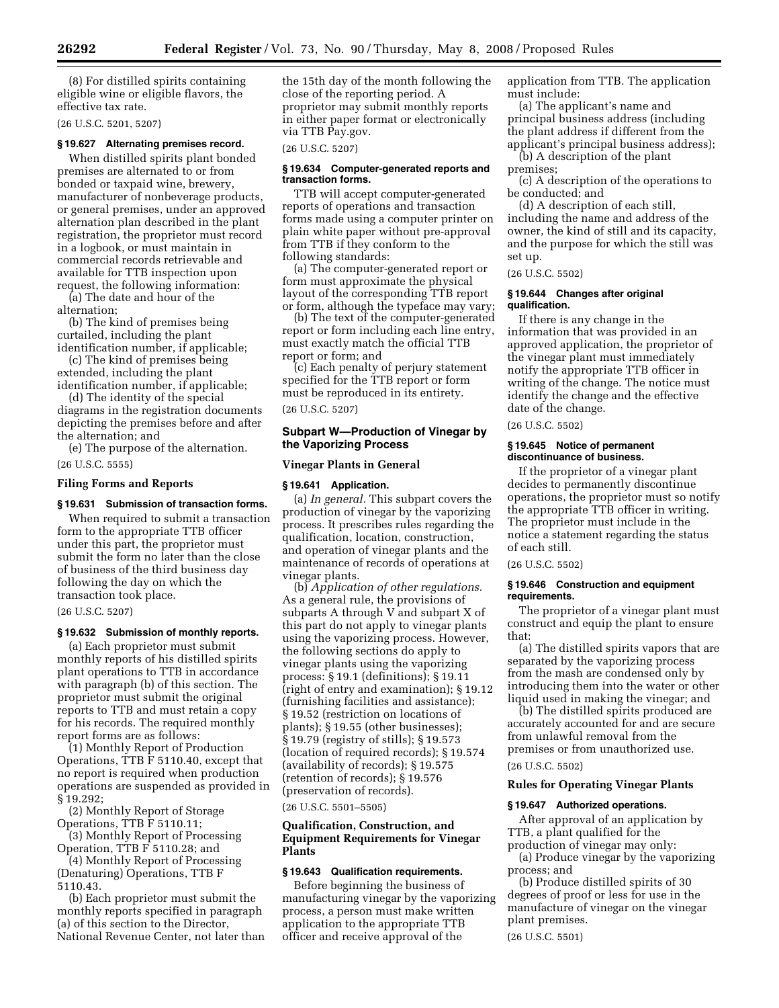(8) For distilled spirits containing eligible wine or eligible flavors, the effective tax rate.

(26 U.S.C. 5201, 5207)

# **§ 19.627 Alternating premises record.**

When distilled spirits plant bonded premises are alternated to or from bonded or taxpaid wine, brewery, manufacturer of nonbeverage products, or general premises, under an approved alternation plan described in the plant registration, the proprietor must record in a logbook, or must maintain in commercial records retrievable and available for TTB inspection upon request, the following information:

(a) The date and hour of the alternation;

(b) The kind of premises being curtailed, including the plant identification number, if applicable;

(c) The kind of premises being extended, including the plant

identification number, if applicable; (d) The identity of the special

diagrams in the registration documents depicting the premises before and after the alternation; and

(e) The purpose of the alternation.

(26 U.S.C. 5555)

# **Filing Forms and Reports**

#### **§ 19.631 Submission of transaction forms.**

When required to submit a transaction form to the appropriate TTB officer under this part, the proprietor must submit the form no later than the close of business of the third business day following the day on which the transaction took place.

#### (26 U.S.C. 5207)

# **§ 19.632 Submission of monthly reports.**

(a) Each proprietor must submit monthly reports of his distilled spirits plant operations to TTB in accordance with paragraph (b) of this section. The proprietor must submit the original reports to TTB and must retain a copy for his records. The required monthly report forms are as follows:

(1) Monthly Report of Production Operations, TTB F 5110.40, except that no report is required when production operations are suspended as provided in § 19.292;

(2) Monthly Report of Storage Operations, TTB F 5110.11;

(3) Monthly Report of Processing Operation, TTB F 5110.28; and

(4) Monthly Report of Processing (Denaturing) Operations, TTB F 5110.43.

(b) Each proprietor must submit the monthly reports specified in paragraph (a) of this section to the Director, National Revenue Center, not later than the 15th day of the month following the close of the reporting period. A proprietor may submit monthly reports in either paper format or electronically via TTB Pay.gov.

#### (26 U.S.C. 5207)

#### **§ 19.634 Computer-generated reports and transaction forms.**

TTB will accept computer-generated reports of operations and transaction forms made using a computer printer on plain white paper without pre-approval from TTB if they conform to the following standards:

(a) The computer-generated report or form must approximate the physical layout of the corresponding TTB report or form, although the typeface may vary;

(b) The text of the computer-generated report or form including each line entry, must exactly match the official TTB report or form; and

(c) Each penalty of perjury statement specified for the TTB report or form must be reproduced in its entirety.

(26 U.S.C. 5207)

# **Subpart W—Production of Vinegar by the Vaporizing Process**

#### **Vinegar Plants in General**

#### **§ 19.641 Application.**

(a) *In general.* This subpart covers the production of vinegar by the vaporizing process. It prescribes rules regarding the qualification, location, construction, and operation of vinegar plants and the maintenance of records of operations at vinegar plants.

(b) *Application of other regulations.*  As a general rule, the provisions of subparts A through V and subpart X of this part do not apply to vinegar plants using the vaporizing process. However, the following sections do apply to vinegar plants using the vaporizing process: § 19.1 (definitions); § 19.11 (right of entry and examination); § 19.12 (furnishing facilities and assistance); § 19.52 (restriction on locations of plants); § 19.55 (other businesses); § 19.79 (registry of stills); § 19.573 (location of required records); § 19.574 (availability of records); § 19.575 (retention of records); § 19.576 (preservation of records).

(26 U.S.C. 5501–5505)

# **Qualification, Construction, and Equipment Requirements for Vinegar Plants**

# **§ 19.643 Qualification requirements.**

Before beginning the business of manufacturing vinegar by the vaporizing process, a person must make written application to the appropriate TTB officer and receive approval of the

application from TTB. The application must include:

(a) The applicant's name and principal business address (including the plant address if different from the applicant's principal business address);

(b) A description of the plant premises;

(c) A description of the operations to be conducted; and

(d) A description of each still, including the name and address of the owner, the kind of still and its capacity, and the purpose for which the still was set up.

(26 U.S.C. 5502)

# **§ 19.644 Changes after original qualification.**

If there is any change in the information that was provided in an approved application, the proprietor of the vinegar plant must immediately notify the appropriate TTB officer in writing of the change. The notice must identify the change and the effective date of the change.

(26 U.S.C. 5502)

#### **§ 19.645 Notice of permanent discontinuance of business.**

If the proprietor of a vinegar plant decides to permanently discontinue operations, the proprietor must so notify the appropriate TTB officer in writing. The proprietor must include in the notice a statement regarding the status of each still.

(26 U.S.C. 5502)

# **§ 19.646 Construction and equipment requirements.**

The proprietor of a vinegar plant must construct and equip the plant to ensure that:

(a) The distilled spirits vapors that are separated by the vaporizing process from the mash are condensed only by introducing them into the water or other liquid used in making the vinegar; and

(b) The distilled spirits produced are accurately accounted for and are secure from unlawful removal from the premises or from unauthorized use.

# (26 U.S.C. 5502)

# **Rules for Operating Vinegar Plants**

#### **§ 19.647 Authorized operations.**

After approval of an application by TTB, a plant qualified for the production of vinegar may only:

(a) Produce vinegar by the vaporizing process; and

(b) Produce distilled spirits of 30 degrees of proof or less for use in the manufacture of vinegar on the vinegar plant premises.

(26 U.S.C. 5501)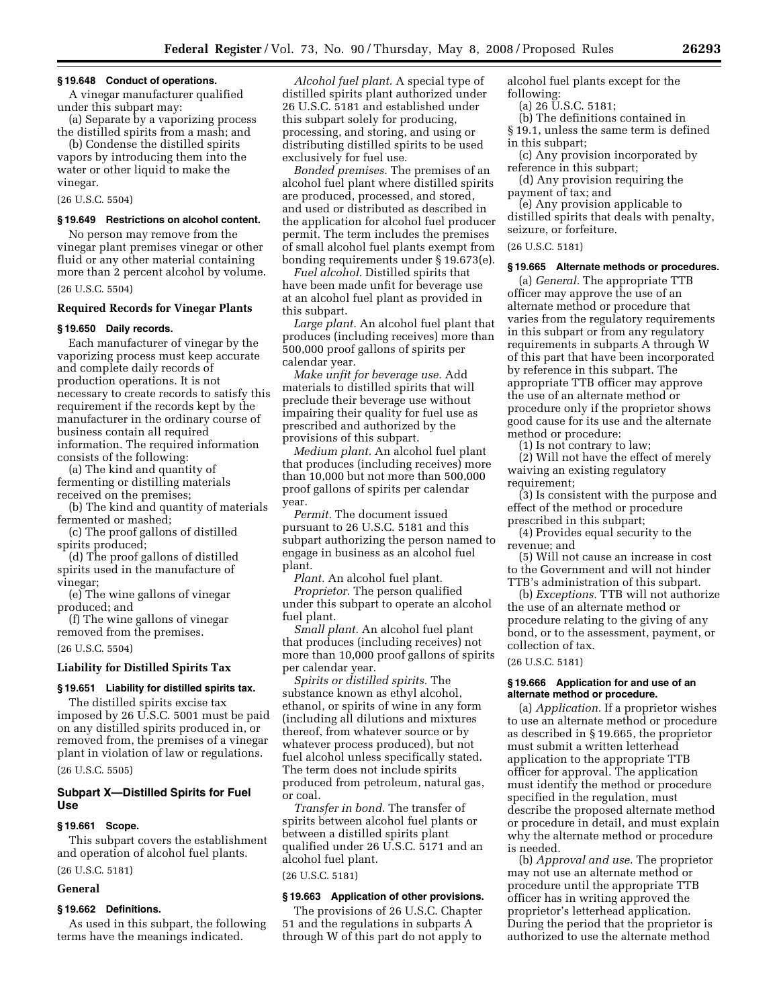#### **§ 19.648 Conduct of operations.**

A vinegar manufacturer qualified under this subpart may:

(a) Separate by a vaporizing process the distilled spirits from a mash; and

(b) Condense the distilled spirits vapors by introducing them into the water or other liquid to make the vinegar.

(26 U.S.C. 5504)

#### **§ 19.649 Restrictions on alcohol content.**

No person may remove from the vinegar plant premises vinegar or other fluid or any other material containing more than 2 percent alcohol by volume.

(26 U.S.C. 5504)

# **Required Records for Vinegar Plants**

# **§ 19.650 Daily records.**

Each manufacturer of vinegar by the vaporizing process must keep accurate and complete daily records of production operations. It is not necessary to create records to satisfy this requirement if the records kept by the manufacturer in the ordinary course of business contain all required information. The required information consists of the following:

(a) The kind and quantity of fermenting or distilling materials received on the premises;

(b) The kind and quantity of materials fermented or mashed;

(c) The proof gallons of distilled spirits produced;

(d) The proof gallons of distilled spirits used in the manufacture of vinegar;

(e) The wine gallons of vinegar produced; and

(f) The wine gallons of vinegar removed from the premises.

(26 U.S.C. 5504)

#### **Liability for Distilled Spirits Tax**

#### **§ 19.651 Liability for distilled spirits tax.**

The distilled spirits excise tax imposed by 26 U.S.C. 5001 must be paid on any distilled spirits produced in, or removed from, the premises of a vinegar plant in violation of law or regulations.

(26 U.S.C. 5505)

# **Subpart X—Distilled Spirits for Fuel Use**

# **§ 19.661 Scope.**

This subpart covers the establishment and operation of alcohol fuel plants. (26 U.S.C. 5181)

# **General**

# **§ 19.662 Definitions.**

As used in this subpart, the following terms have the meanings indicated.

*Alcohol fuel plant.* A special type of distilled spirits plant authorized under 26 U.S.C. 5181 and established under this subpart solely for producing, processing, and storing, and using or distributing distilled spirits to be used exclusively for fuel use.

*Bonded premises.* The premises of an alcohol fuel plant where distilled spirits are produced, processed, and stored, and used or distributed as described in the application for alcohol fuel producer permit. The term includes the premises of small alcohol fuel plants exempt from bonding requirements under § 19.673(e).

*Fuel alcohol.* Distilled spirits that have been made unfit for beverage use at an alcohol fuel plant as provided in this subpart.

*Large plant.* An alcohol fuel plant that produces (including receives) more than 500,000 proof gallons of spirits per calendar year.

*Make unfit for beverage use.* Add materials to distilled spirits that will preclude their beverage use without impairing their quality for fuel use as prescribed and authorized by the provisions of this subpart.

*Medium plant.* An alcohol fuel plant that produces (including receives) more than 10,000 but not more than 500,000 proof gallons of spirits per calendar year.

*Permit.* The document issued pursuant to 26 U.S.C. 5181 and this subpart authorizing the person named to engage in business as an alcohol fuel plant.

*Plant.* An alcohol fuel plant. *Proprietor.* The person qualified under this subpart to operate an alcohol fuel plant.

*Small plant.* An alcohol fuel plant that produces (including receives) not more than 10,000 proof gallons of spirits per calendar year.

*Spirits or distilled spirits.* The substance known as ethyl alcohol, ethanol, or spirits of wine in any form (including all dilutions and mixtures thereof, from whatever source or by whatever process produced), but not fuel alcohol unless specifically stated. The term does not include spirits produced from petroleum, natural gas, or coal.

*Transfer in bond.* The transfer of spirits between alcohol fuel plants or between a distilled spirits plant qualified under 26 U.S.C. 5171 and an alcohol fuel plant.

(26 U.S.C. 5181)

# **§ 19.663 Application of other provisions.**

The provisions of 26 U.S.C. Chapter 51 and the regulations in subparts A through W of this part do not apply to

alcohol fuel plants except for the following:

- (a) 26 U.S.C. 5181;
- (b) The definitions contained in
- § 19.1, unless the same term is defined in this subpart;
- (c) Any provision incorporated by reference in this subpart;

(d) Any provision requiring the payment of tax; and

(e) Any provision applicable to distilled spirits that deals with penalty, seizure, or forfeiture.

#### (26 U.S.C. 5181)

#### **§ 19.665 Alternate methods or procedures.**

(a) *General.* The appropriate TTB officer may approve the use of an alternate method or procedure that varies from the regulatory requirements in this subpart or from any regulatory requirements in subparts A through W of this part that have been incorporated by reference in this subpart. The appropriate TTB officer may approve the use of an alternate method or procedure only if the proprietor shows good cause for its use and the alternate method or procedure:

(1) Is not contrary to law;

(2) Will not have the effect of merely waiving an existing regulatory requirement;

(3) Is consistent with the purpose and effect of the method or procedure prescribed in this subpart;

(4) Provides equal security to the revenue; and

(5) Will not cause an increase in cost to the Government and will not hinder TTB's administration of this subpart.

(b) *Exceptions.* TTB will not authorize the use of an alternate method or procedure relating to the giving of any bond, or to the assessment, payment, or collection of tax.

#### (26 U.S.C. 5181)

#### **§ 19.666 Application for and use of an alternate method or procedure.**

(a) *Application.* If a proprietor wishes to use an alternate method or procedure as described in § 19.665, the proprietor must submit a written letterhead application to the appropriate TTB officer for approval. The application must identify the method or procedure specified in the regulation, must describe the proposed alternate method or procedure in detail, and must explain why the alternate method or procedure is needed.

(b) *Approval and use.* The proprietor may not use an alternate method or procedure until the appropriate TTB officer has in writing approved the proprietor's letterhead application. During the period that the proprietor is authorized to use the alternate method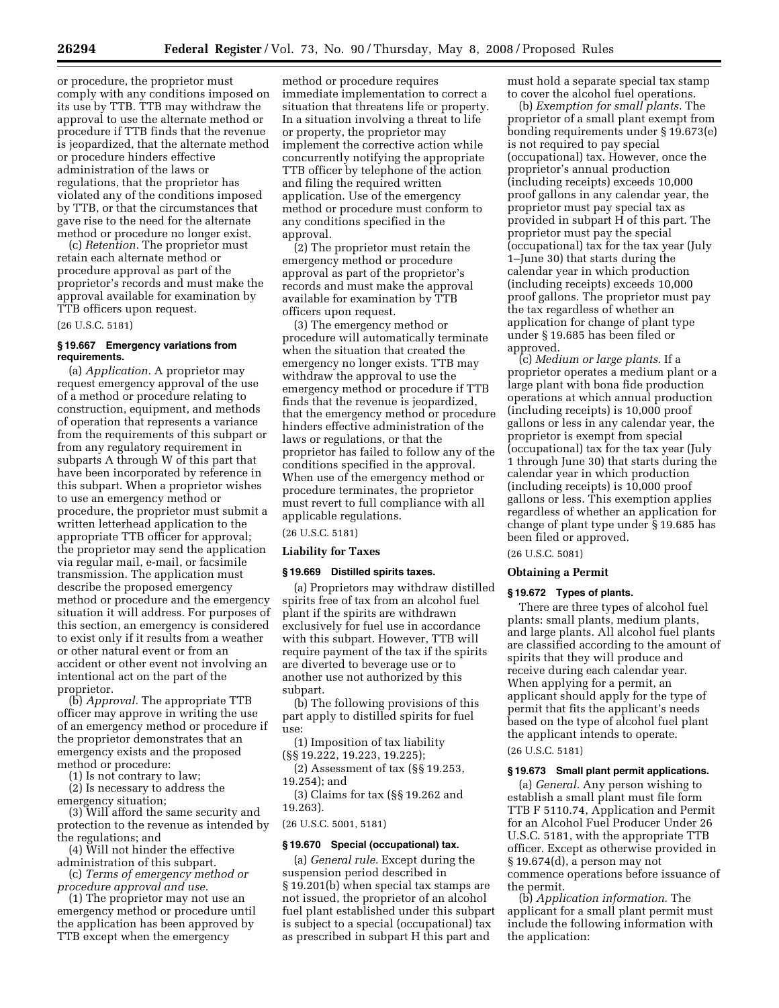or procedure, the proprietor must comply with any conditions imposed on its use by TTB. TTB may withdraw the approval to use the alternate method or procedure if TTB finds that the revenue is jeopardized, that the alternate method or procedure hinders effective administration of the laws or regulations, that the proprietor has violated any of the conditions imposed by TTB, or that the circumstances that gave rise to the need for the alternate method or procedure no longer exist.

(c) *Retention.* The proprietor must retain each alternate method or procedure approval as part of the proprietor's records and must make the approval available for examination by TTB officers upon request.

#### (26 U.S.C. 5181)

# **§ 19.667 Emergency variations from requirements.**

(a) *Application.* A proprietor may request emergency approval of the use of a method or procedure relating to construction, equipment, and methods of operation that represents a variance from the requirements of this subpart or from any regulatory requirement in subparts A through W of this part that have been incorporated by reference in this subpart. When a proprietor wishes to use an emergency method or procedure, the proprietor must submit a written letterhead application to the appropriate TTB officer for approval; the proprietor may send the application via regular mail, e-mail, or facsimile transmission. The application must describe the proposed emergency method or procedure and the emergency situation it will address. For purposes of this section, an emergency is considered to exist only if it results from a weather or other natural event or from an accident or other event not involving an intentional act on the part of the proprietor.

(b) *Approval.* The appropriate TTB officer may approve in writing the use of an emergency method or procedure if the proprietor demonstrates that an emergency exists and the proposed method or procedure:

(1) Is not contrary to law;

(2) Is necessary to address the emergency situation;

(3) Will afford the same security and protection to the revenue as intended by the regulations; and

(4) Will not hinder the effective administration of this subpart.

(c) *Terms of emergency method or procedure approval and use.* 

(1) The proprietor may not use an emergency method or procedure until the application has been approved by TTB except when the emergency

method or procedure requires immediate implementation to correct a situation that threatens life or property. In a situation involving a threat to life or property, the proprietor may implement the corrective action while concurrently notifying the appropriate TTB officer by telephone of the action and filing the required written application. Use of the emergency method or procedure must conform to any conditions specified in the approval.

(2) The proprietor must retain the emergency method or procedure approval as part of the proprietor's records and must make the approval available for examination by TTB officers upon request.

(3) The emergency method or procedure will automatically terminate when the situation that created the emergency no longer exists. TTB may withdraw the approval to use the emergency method or procedure if TTB finds that the revenue is jeopardized, that the emergency method or procedure hinders effective administration of the laws or regulations, or that the proprietor has failed to follow any of the conditions specified in the approval. When use of the emergency method or procedure terminates, the proprietor must revert to full compliance with all applicable regulations.

(26 U.S.C. 5181)

#### **Liability for Taxes**

# **§ 19.669 Distilled spirits taxes.**

(a) Proprietors may withdraw distilled spirits free of tax from an alcohol fuel plant if the spirits are withdrawn exclusively for fuel use in accordance with this subpart. However, TTB will require payment of the tax if the spirits are diverted to beverage use or to another use not authorized by this subpart.

(b) The following provisions of this part apply to distilled spirits for fuel use:

(1) Imposition of tax liability (§§ 19.222, 19.223, 19.225);

(2) Assessment of tax (§§ 19.253, 19.254); and

(3) Claims for tax (§§ 19.262 and 19.263).

(26 U.S.C. 5001, 5181)

#### **§ 19.670 Special (occupational) tax.**

(a) *General rule.* Except during the suspension period described in § 19.201(b) when special tax stamps are not issued, the proprietor of an alcohol fuel plant established under this subpart is subject to a special (occupational) tax as prescribed in subpart H this part and

must hold a separate special tax stamp to cover the alcohol fuel operations.

(b) *Exemption for small plants.* The proprietor of a small plant exempt from bonding requirements under § 19.673(e) is not required to pay special (occupational) tax. However, once the proprietor's annual production (including receipts) exceeds 10,000 proof gallons in any calendar year, the proprietor must pay special tax as provided in subpart H of this part. The proprietor must pay the special (occupational) tax for the tax year (July 1–June 30) that starts during the calendar year in which production (including receipts) exceeds 10,000 proof gallons. The proprietor must pay the tax regardless of whether an application for change of plant type under § 19.685 has been filed or approved.

(c) *Medium or large plants.* If a proprietor operates a medium plant or a large plant with bona fide production operations at which annual production (including receipts) is 10,000 proof gallons or less in any calendar year, the proprietor is exempt from special (occupational) tax for the tax year (July 1 through June 30) that starts during the calendar year in which production (including receipts) is 10,000 proof gallons or less. This exemption applies regardless of whether an application for change of plant type under § 19.685 has been filed or approved.

# (26 U.S.C. 5081)

# **Obtaining a Permit**

# **§ 19.672 Types of plants.**

There are three types of alcohol fuel plants: small plants, medium plants, and large plants. All alcohol fuel plants are classified according to the amount of spirits that they will produce and receive during each calendar year. When applying for a permit, an applicant should apply for the type of permit that fits the applicant's needs based on the type of alcohol fuel plant the applicant intends to operate.

(26 U.S.C. 5181)

# **§ 19.673 Small plant permit applications.**

(a) *General.* Any person wishing to establish a small plant must file form TTB F 5110.74, Application and Permit for an Alcohol Fuel Producer Under 26 U.S.C. 5181, with the appropriate TTB officer. Except as otherwise provided in § 19.674(d), a person may not commence operations before issuance of the permit.

(b) *Application information.* The applicant for a small plant permit must include the following information with the application: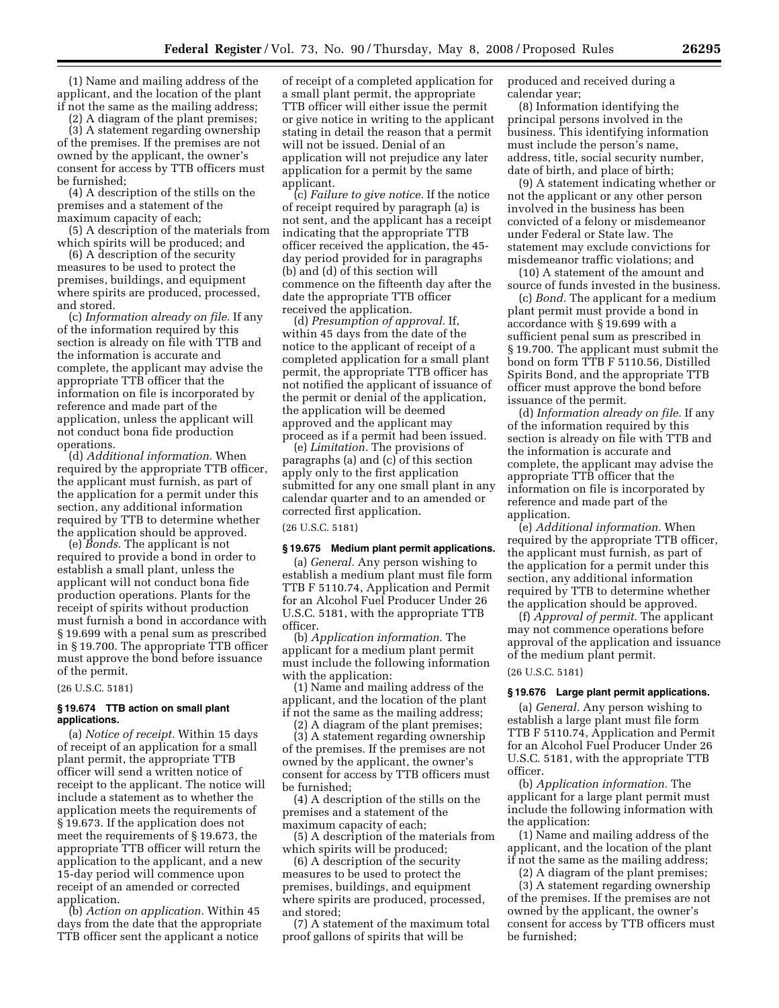(1) Name and mailing address of the applicant, and the location of the plant if not the same as the mailing address;

(2) A diagram of the plant premises; (3) A statement regarding ownership of the premises. If the premises are not owned by the applicant, the owner's consent for access by TTB officers must be furnished;

(4) A description of the stills on the premises and a statement of the maximum capacity of each;

(5) A description of the materials from which spirits will be produced; and

(6) A description of the security measures to be used to protect the premises, buildings, and equipment where spirits are produced, processed, and stored.

(c) *Information already on file.* If any of the information required by this section is already on file with TTB and the information is accurate and complete, the applicant may advise the appropriate TTB officer that the information on file is incorporated by reference and made part of the application, unless the applicant will not conduct bona fide production operations.

(d) *Additional information.* When required by the appropriate TTB officer, the applicant must furnish, as part of the application for a permit under this section, any additional information required by TTB to determine whether the application should be approved.

(e) *Bonds.* The applicant is not required to provide a bond in order to establish a small plant, unless the applicant will not conduct bona fide production operations. Plants for the receipt of spirits without production must furnish a bond in accordance with § 19.699 with a penal sum as prescribed in § 19.700. The appropriate TTB officer must approve the bond before issuance of the permit.

(26 U.S.C. 5181)

# **§ 19.674 TTB action on small plant applications.**

(a) *Notice of receipt.* Within 15 days of receipt of an application for a small plant permit, the appropriate TTB officer will send a written notice of receipt to the applicant. The notice will include a statement as to whether the application meets the requirements of § 19.673. If the application does not meet the requirements of § 19.673, the appropriate TTB officer will return the application to the applicant, and a new 15-day period will commence upon receipt of an amended or corrected application.

(b) *Action on application.* Within 45 days from the date that the appropriate TTB officer sent the applicant a notice

of receipt of a completed application for a small plant permit, the appropriate TTB officer will either issue the permit or give notice in writing to the applicant stating in detail the reason that a permit will not be issued. Denial of an application will not prejudice any later application for a permit by the same applicant.

(c) *Failure to give notice.* If the notice of receipt required by paragraph (a) is not sent, and the applicant has a receipt indicating that the appropriate TTB officer received the application, the 45 day period provided for in paragraphs (b) and (d) of this section will commence on the fifteenth day after the date the appropriate TTB officer received the application.

(d) *Presumption of approval.* If, within 45 days from the date of the notice to the applicant of receipt of a completed application for a small plant permit, the appropriate TTB officer has not notified the applicant of issuance of the permit or denial of the application, the application will be deemed approved and the applicant may proceed as if a permit had been issued.

(e) *Limitation.* The provisions of paragraphs (a) and (c) of this section apply only to the first application submitted for any one small plant in any calendar quarter and to an amended or corrected first application.

(26 U.S.C. 5181)

# **§ 19.675 Medium plant permit applications.**

(a) *General.* Any person wishing to establish a medium plant must file form TTB F 5110.74, Application and Permit for an Alcohol Fuel Producer Under 26 U.S.C. 5181, with the appropriate TTB officer.

(b) *Application information.* The applicant for a medium plant permit must include the following information with the application:

(1) Name and mailing address of the applicant, and the location of the plant if not the same as the mailing address;

(2) A diagram of the plant premises; (3) A statement regarding ownership of the premises. If the premises are not owned by the applicant, the owner's consent for access by TTB officers must be furnished;

(4) A description of the stills on the premises and a statement of the maximum capacity of each;

(5) A description of the materials from which spirits will be produced;

(6) A description of the security measures to be used to protect the premises, buildings, and equipment where spirits are produced, processed, and stored;

(7) A statement of the maximum total proof gallons of spirits that will be

produced and received during a calendar year;

(8) Information identifying the principal persons involved in the business. This identifying information must include the person's name, address, title, social security number, date of birth, and place of birth;

(9) A statement indicating whether or not the applicant or any other person involved in the business has been convicted of a felony or misdemeanor under Federal or State law. The statement may exclude convictions for misdemeanor traffic violations; and

(10) A statement of the amount and source of funds invested in the business.

(c) *Bond.* The applicant for a medium plant permit must provide a bond in accordance with § 19.699 with a sufficient penal sum as prescribed in § 19.700. The applicant must submit the bond on form TTB F 5110.56, Distilled Spirits Bond, and the appropriate TTB officer must approve the bond before issuance of the permit.

(d) *Information already on file.* If any of the information required by this section is already on file with TTB and the information is accurate and complete, the applicant may advise the appropriate TTB officer that the information on file is incorporated by reference and made part of the application.

(e) *Additional information.* When required by the appropriate TTB officer, the applicant must furnish, as part of the application for a permit under this section, any additional information required by TTB to determine whether the application should be approved.

(f) *Approval of permit.* The applicant may not commence operations before approval of the application and issuance of the medium plant permit.

(26 U.S.C. 5181)

# **§ 19.676 Large plant permit applications.**

(a) *General.* Any person wishing to establish a large plant must file form TTB F 5110.74, Application and Permit for an Alcohol Fuel Producer Under 26 U.S.C. 5181, with the appropriate TTB officer.

(b) *Application information.* The applicant for a large plant permit must include the following information with the application:

(1) Name and mailing address of the applicant, and the location of the plant if not the same as the mailing address;

(2) A diagram of the plant premises;

(3) A statement regarding ownership of the premises. If the premises are not owned by the applicant, the owner's consent for access by TTB officers must be furnished;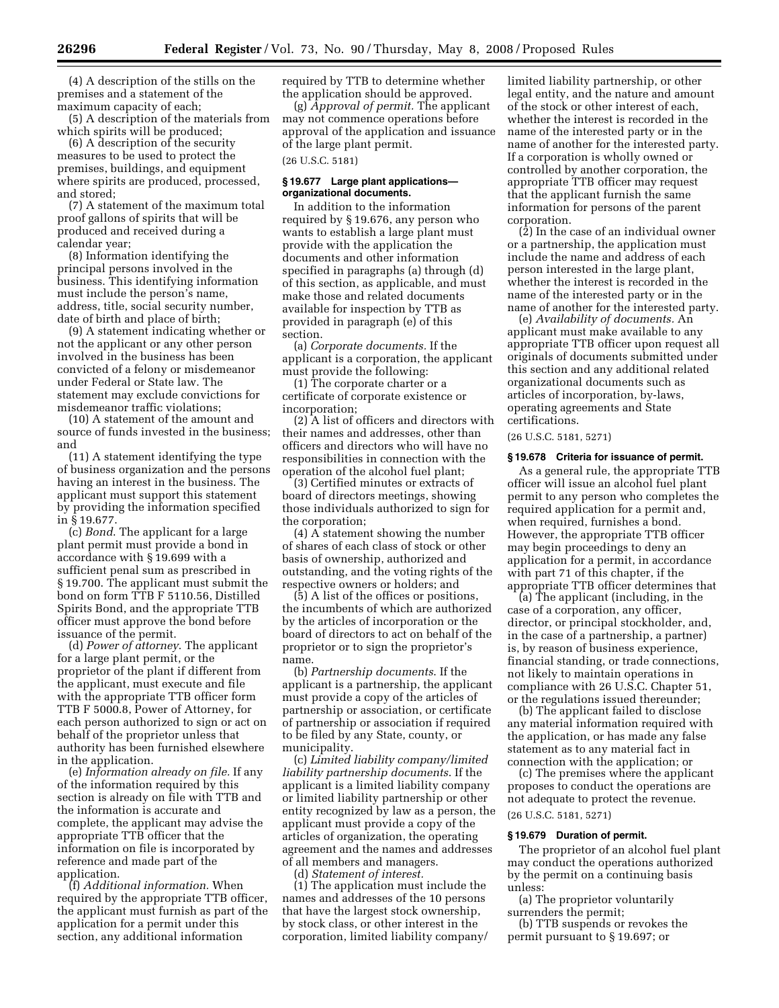(4) A description of the stills on the premises and a statement of the maximum capacity of each;

(5) A description of the materials from which spirits will be produced;

(6) A description of the security measures to be used to protect the premises, buildings, and equipment where spirits are produced, processed, and stored;

(7) A statement of the maximum total proof gallons of spirits that will be produced and received during a calendar year;

(8) Information identifying the principal persons involved in the business. This identifying information must include the person's name, address, title, social security number, date of birth and place of birth;

(9) A statement indicating whether or not the applicant or any other person involved in the business has been convicted of a felony or misdemeanor under Federal or State law. The statement may exclude convictions for misdemeanor traffic violations;

(10) A statement of the amount and source of funds invested in the business; and

(11) A statement identifying the type of business organization and the persons having an interest in the business. The applicant must support this statement by providing the information specified in § 19.677.

(c) *Bond*. The applicant for a large plant permit must provide a bond in accordance with § 19.699 with a sufficient penal sum as prescribed in § 19.700. The applicant must submit the bond on form TTB F 5110.56, Distilled Spirits Bond, and the appropriate TTB officer must approve the bond before issuance of the permit.

(d) *Power of attorney*. The applicant for a large plant permit, or the proprietor of the plant if different from the applicant, must execute and file with the appropriate TTB officer form TTB F 5000.8, Power of Attorney, for each person authorized to sign or act on behalf of the proprietor unless that authority has been furnished elsewhere in the application.

(e) *Information already on file.* If any of the information required by this section is already on file with TTB and the information is accurate and complete, the applicant may advise the appropriate TTB officer that the information on file is incorporated by reference and made part of the application.

(f) *Additional information.* When required by the appropriate TTB officer, the applicant must furnish as part of the application for a permit under this section, any additional information

required by TTB to determine whether the application should be approved.

(g) *Approval of permit.* The applicant may not commence operations before approval of the application and issuance of the large plant permit.

(26 U.S.C. 5181)

# **§ 19.677 Large plant applications organizational documents.**

In addition to the information required by § 19.676, any person who wants to establish a large plant must provide with the application the documents and other information specified in paragraphs (a) through (d) of this section, as applicable, and must make those and related documents available for inspection by TTB as provided in paragraph (e) of this section.

(a) *Corporate documents.* If the applicant is a corporation, the applicant must provide the following:

(1) The corporate charter or a certificate of corporate existence or incorporation;

(2) A list of officers and directors with their names and addresses, other than officers and directors who will have no responsibilities in connection with the operation of the alcohol fuel plant;

(3) Certified minutes or extracts of board of directors meetings, showing those individuals authorized to sign for the corporation;

(4) A statement showing the number of shares of each class of stock or other basis of ownership, authorized and outstanding, and the voting rights of the respective owners or holders; and

(5) A list of the offices or positions, the incumbents of which are authorized by the articles of incorporation or the board of directors to act on behalf of the proprietor or to sign the proprietor's name.

(b) *Partnership documents*. If the applicant is a partnership, the applicant must provide a copy of the articles of partnership or association, or certificate of partnership or association if required to be filed by any State, county, or municipality.

(c) *Limited liability company/limited liability partnership documents*. If the applicant is a limited liability company or limited liability partnership or other entity recognized by law as a person, the applicant must provide a copy of the articles of organization, the operating agreement and the names and addresses of all members and managers.

(d) *Statement of interest.* 

(1) The application must include the names and addresses of the 10 persons that have the largest stock ownership, by stock class, or other interest in the corporation, limited liability company/

limited liability partnership, or other legal entity, and the nature and amount of the stock or other interest of each, whether the interest is recorded in the name of the interested party or in the name of another for the interested party. If a corporation is wholly owned or controlled by another corporation, the appropriate TTB officer may request that the applicant furnish the same information for persons of the parent corporation.

 $(2)$  In the case of an individual owner or a partnership, the application must include the name and address of each person interested in the large plant, whether the interest is recorded in the name of the interested party or in the name of another for the interested party.

(e) *Availability of documents.* An applicant must make available to any appropriate TTB officer upon request all originals of documents submitted under this section and any additional related organizational documents such as articles of incorporation, by-laws, operating agreements and State certifications.

(26 U.S.C. 5181, 5271)

#### **§ 19.678 Criteria for issuance of permit.**

As a general rule, the appropriate TTB officer will issue an alcohol fuel plant permit to any person who completes the required application for a permit and, when required, furnishes a bond. However, the appropriate TTB officer may begin proceedings to deny an application for a permit, in accordance with part 71 of this chapter, if the appropriate TTB officer determines that

(a) The applicant (including, in the case of a corporation, any officer, director, or principal stockholder, and, in the case of a partnership, a partner) is, by reason of business experience, financial standing, or trade connections, not likely to maintain operations in compliance with 26 U.S.C. Chapter 51, or the regulations issued thereunder;

(b) The applicant failed to disclose any material information required with the application, or has made any false statement as to any material fact in connection with the application; or

(c) The premises where the applicant proposes to conduct the operations are not adequate to protect the revenue. (26 U.S.C. 5181, 5271)

#### **§ 19.679 Duration of permit.**

The proprietor of an alcohol fuel plant may conduct the operations authorized by the permit on a continuing basis unless:

(a) The proprietor voluntarily surrenders the permit;

(b) TTB suspends or revokes the permit pursuant to § 19.697; or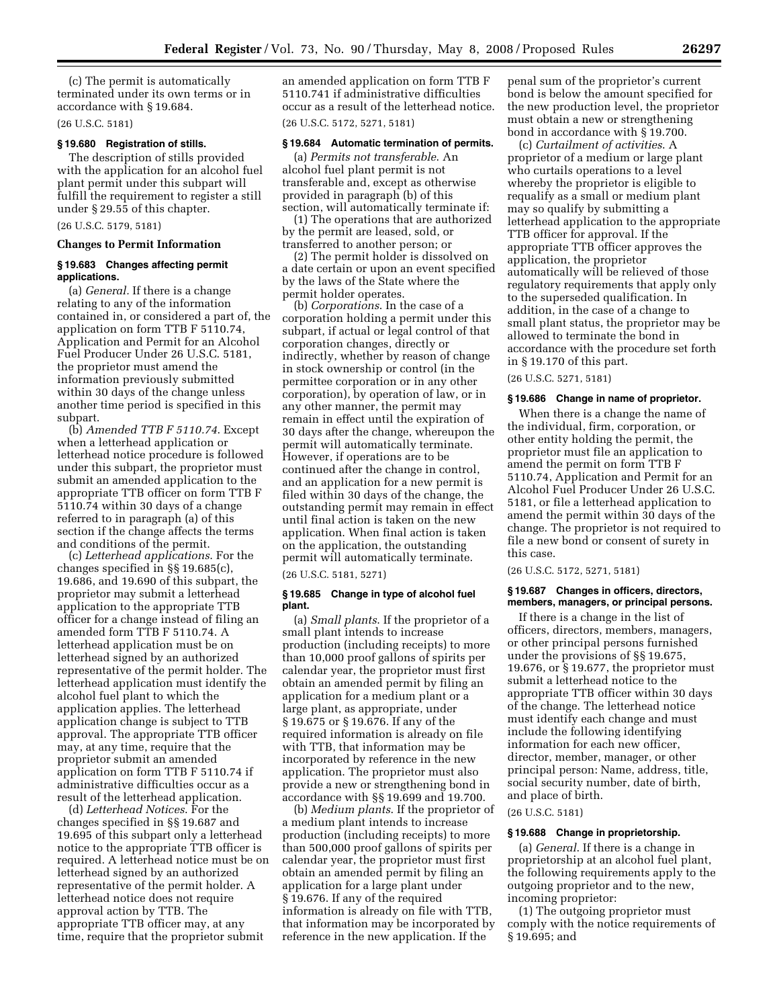(c) The permit is automatically terminated under its own terms or in accordance with § 19.684.

(26 U.S.C. 5181)

# **§ 19.680 Registration of stills.**

The description of stills provided with the application for an alcohol fuel plant permit under this subpart will fulfill the requirement to register a still under § 29.55 of this chapter.

# (26 U.S.C. 5179, 5181)

# **Changes to Permit Information**

#### **§ 19.683 Changes affecting permit applications.**

(a) *General.* If there is a change relating to any of the information contained in, or considered a part of, the application on form TTB F 5110.74, Application and Permit for an Alcohol Fuel Producer Under 26 U.S.C. 5181, the proprietor must amend the information previously submitted within 30 days of the change unless another time period is specified in this subpart.

(b) *Amended TTB F 5110.74*. Except when a letterhead application or letterhead notice procedure is followed under this subpart, the proprietor must submit an amended application to the appropriate TTB officer on form TTB F 5110.74 within 30 days of a change referred to in paragraph (a) of this section if the change affects the terms and conditions of the permit.

(c) *Letterhead applications*. For the changes specified in §§ 19.685(c), 19.686, and 19.690 of this subpart, the proprietor may submit a letterhead application to the appropriate TTB officer for a change instead of filing an amended form TTB F 5110.74. A letterhead application must be on letterhead signed by an authorized representative of the permit holder. The letterhead application must identify the alcohol fuel plant to which the application applies. The letterhead application change is subject to TTB approval. The appropriate TTB officer may, at any time, require that the proprietor submit an amended application on form TTB F 5110.74 if administrative difficulties occur as a result of the letterhead application.

(d) *Letterhead Notices*. For the changes specified in §§ 19.687 and 19.695 of this subpart only a letterhead notice to the appropriate TTB officer is required. A letterhead notice must be on letterhead signed by an authorized representative of the permit holder. A letterhead notice does not require approval action by TTB. The appropriate TTB officer may, at any time, require that the proprietor submit

an amended application on form TTB F 5110.741 if administrative difficulties occur as a result of the letterhead notice. (26 U.S.C. 5172, 5271, 5181)

#### **§ 19.684 Automatic termination of permits.**

(a) *Permits not transferable*. An alcohol fuel plant permit is not transferable and, except as otherwise provided in paragraph (b) of this section, will automatically terminate if:

(1) The operations that are authorized by the permit are leased, sold, or transferred to another person; or

(2) The permit holder is dissolved on a date certain or upon an event specified by the laws of the State where the permit holder operates.

(b) *Corporations*. In the case of a corporation holding a permit under this subpart, if actual or legal control of that corporation changes, directly or indirectly, whether by reason of change in stock ownership or control (in the permittee corporation or in any other corporation), by operation of law, or in any other manner, the permit may remain in effect until the expiration of 30 days after the change, whereupon the permit will automatically terminate. However, if operations are to be continued after the change in control, and an application for a new permit is filed within 30 days of the change, the outstanding permit may remain in effect until final action is taken on the new application. When final action is taken on the application, the outstanding permit will automatically terminate.

(26 U.S.C. 5181, 5271)

#### **§ 19.685 Change in type of alcohol fuel plant.**

(a) *Small plants*. If the proprietor of a small plant intends to increase production (including receipts) to more than 10,000 proof gallons of spirits per calendar year, the proprietor must first obtain an amended permit by filing an application for a medium plant or a large plant, as appropriate, under § 19.675 or § 19.676. If any of the required information is already on file with TTB, that information may be incorporated by reference in the new application. The proprietor must also provide a new or strengthening bond in accordance with §§ 19.699 and 19.700.

(b) *Medium plants*. If the proprietor of a medium plant intends to increase production (including receipts) to more than 500,000 proof gallons of spirits per calendar year, the proprietor must first obtain an amended permit by filing an application for a large plant under § 19.676. If any of the required information is already on file with TTB, that information may be incorporated by reference in the new application. If the

penal sum of the proprietor's current bond is below the amount specified for the new production level, the proprietor must obtain a new or strengthening bond in accordance with § 19.700.

(c) *Curtailment of activities*. A proprietor of a medium or large plant who curtails operations to a level whereby the proprietor is eligible to requalify as a small or medium plant may so qualify by submitting a letterhead application to the appropriate TTB officer for approval. If the appropriate TTB officer approves the application, the proprietor automatically will be relieved of those regulatory requirements that apply only to the superseded qualification. In addition, in the case of a change to small plant status, the proprietor may be allowed to terminate the bond in accordance with the procedure set forth in § 19.170 of this part.

(26 U.S.C. 5271, 5181)

#### **§ 19.686 Change in name of proprietor.**

When there is a change the name of the individual, firm, corporation, or other entity holding the permit, the proprietor must file an application to amend the permit on form TTB F 5110.74, Application and Permit for an Alcohol Fuel Producer Under 26 U.S.C. 5181, or file a letterhead application to amend the permit within 30 days of the change. The proprietor is not required to file a new bond or consent of surety in this case.

(26 U.S.C. 5172, 5271, 5181)

#### **§ 19.687 Changes in officers, directors, members, managers, or principal persons.**

If there is a change in the list of officers, directors, members, managers, or other principal persons furnished under the provisions of §§ 19.675, 19.676, or § 19.677, the proprietor must submit a letterhead notice to the appropriate TTB officer within 30 days of the change. The letterhead notice must identify each change and must include the following identifying information for each new officer, director, member, manager, or other principal person: Name, address, title, social security number, date of birth, and place of birth.

# (26 U.S.C. 5181)

#### **§ 19.688 Change in proprietorship.**

(a) *General*. If there is a change in proprietorship at an alcohol fuel plant, the following requirements apply to the outgoing proprietor and to the new, incoming proprietor:

(1) The outgoing proprietor must comply with the notice requirements of § 19.695; and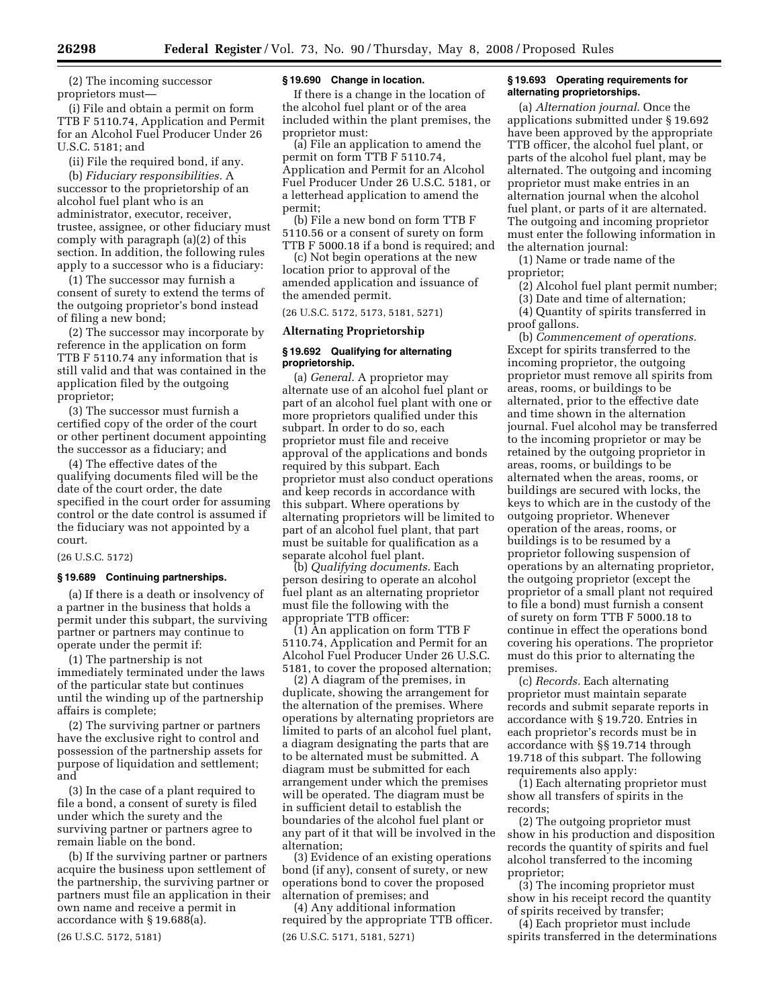(2) The incoming successor proprietors must—

(i) File and obtain a permit on form TTB F 5110.74, Application and Permit for an Alcohol Fuel Producer Under 26 U.S.C. 5181; and

(ii) File the required bond, if any.

(b) *Fiduciary responsibilities.* A successor to the proprietorship of an alcohol fuel plant who is an administrator, executor, receiver, trustee, assignee, or other fiduciary must comply with paragraph (a)(2) of this section. In addition, the following rules apply to a successor who is a fiduciary:

(1) The successor may furnish a consent of surety to extend the terms of the outgoing proprietor's bond instead of filing a new bond;

(2) The successor may incorporate by reference in the application on form TTB F 5110.74 any information that is still valid and that was contained in the application filed by the outgoing proprietor;

(3) The successor must furnish a certified copy of the order of the court or other pertinent document appointing the successor as a fiduciary; and

(4) The effective dates of the qualifying documents filed will be the date of the court order, the date specified in the court order for assuming control or the date control is assumed if the fiduciary was not appointed by a court.

# (26 U.S.C. 5172)

#### **§ 19.689 Continuing partnerships.**

(a) If there is a death or insolvency of a partner in the business that holds a permit under this subpart, the surviving partner or partners may continue to operate under the permit if:

(1) The partnership is not immediately terminated under the laws of the particular state but continues until the winding up of the partnership affairs is complete;

(2) The surviving partner or partners have the exclusive right to control and possession of the partnership assets for purpose of liquidation and settlement; and

(3) In the case of a plant required to file a bond, a consent of surety is filed under which the surety and the surviving partner or partners agree to remain liable on the bond.

(b) If the surviving partner or partners acquire the business upon settlement of the partnership, the surviving partner or partners must file an application in their own name and receive a permit in accordance with § 19.688(a).

(26 U.S.C. 5172, 5181)

#### **§ 19.690 Change in location.**

If there is a change in the location of the alcohol fuel plant or of the area included within the plant premises, the proprietor must:

(a) File an application to amend the permit on form TTB F 5110.74, Application and Permit for an Alcohol Fuel Producer Under 26 U.S.C. 5181, or a letterhead application to amend the permit;

(b) File a new bond on form TTB F 5110.56 or a consent of surety on form TTB F 5000.18 if a bond is required; and

(c) Not begin operations at the new location prior to approval of the amended application and issuance of the amended permit.

(26 U.S.C. 5172, 5173, 5181, 5271)

#### **Alternating Proprietorship**

#### **§ 19.692 Qualifying for alternating proprietorship.**

(a) *General*. A proprietor may alternate use of an alcohol fuel plant or part of an alcohol fuel plant with one or more proprietors qualified under this subpart. In order to do so, each proprietor must file and receive approval of the applications and bonds required by this subpart. Each proprietor must also conduct operations and keep records in accordance with this subpart. Where operations by alternating proprietors will be limited to part of an alcohol fuel plant, that part must be suitable for qualification as a separate alcohol fuel plant.

(b) *Qualifying documents*. Each person desiring to operate an alcohol fuel plant as an alternating proprietor must file the following with the appropriate TTB officer:

(1) An application on form TTB F 5110.74, Application and Permit for an Alcohol Fuel Producer Under 26 U.S.C. 5181, to cover the proposed alternation;

(2) A diagram of the premises, in duplicate, showing the arrangement for the alternation of the premises. Where operations by alternating proprietors are limited to parts of an alcohol fuel plant, a diagram designating the parts that are to be alternated must be submitted. A diagram must be submitted for each arrangement under which the premises will be operated. The diagram must be in sufficient detail to establish the boundaries of the alcohol fuel plant or any part of it that will be involved in the alternation;

(3) Evidence of an existing operations bond (if any), consent of surety, or new operations bond to cover the proposed alternation of premises; and

(4) Any additional information required by the appropriate TTB officer. (26 U.S.C. 5171, 5181, 5271)

# **§ 19.693 Operating requirements for alternating proprietorships.**

(a) *Alternation journal*. Once the applications submitted under § 19.692 have been approved by the appropriate TTB officer, the alcohol fuel plant, or parts of the alcohol fuel plant, may be alternated. The outgoing and incoming proprietor must make entries in an alternation journal when the alcohol fuel plant, or parts of it are alternated. The outgoing and incoming proprietor must enter the following information in the alternation journal:

(1) Name or trade name of the proprietor;

(2) Alcohol fuel plant permit number;

(3) Date and time of alternation;

(4) Quantity of spirits transferred in proof gallons.

(b) *Commencement of operations.*  Except for spirits transferred to the incoming proprietor, the outgoing proprietor must remove all spirits from areas, rooms, or buildings to be alternated, prior to the effective date and time shown in the alternation journal. Fuel alcohol may be transferred to the incoming proprietor or may be retained by the outgoing proprietor in areas, rooms, or buildings to be alternated when the areas, rooms, or buildings are secured with locks, the keys to which are in the custody of the outgoing proprietor. Whenever operation of the areas, rooms, or buildings is to be resumed by a proprietor following suspension of operations by an alternating proprietor, the outgoing proprietor (except the proprietor of a small plant not required to file a bond) must furnish a consent of surety on form TTB F 5000.18 to continue in effect the operations bond covering his operations. The proprietor must do this prior to alternating the premises.

(c) *Records.* Each alternating proprietor must maintain separate records and submit separate reports in accordance with § 19.720. Entries in each proprietor's records must be in accordance with §§ 19.714 through 19.718 of this subpart. The following requirements also apply:

(1) Each alternating proprietor must show all transfers of spirits in the records;

(2) The outgoing proprietor must show in his production and disposition records the quantity of spirits and fuel alcohol transferred to the incoming proprietor;

(3) The incoming proprietor must show in his receipt record the quantity of spirits received by transfer;

(4) Each proprietor must include spirits transferred in the determinations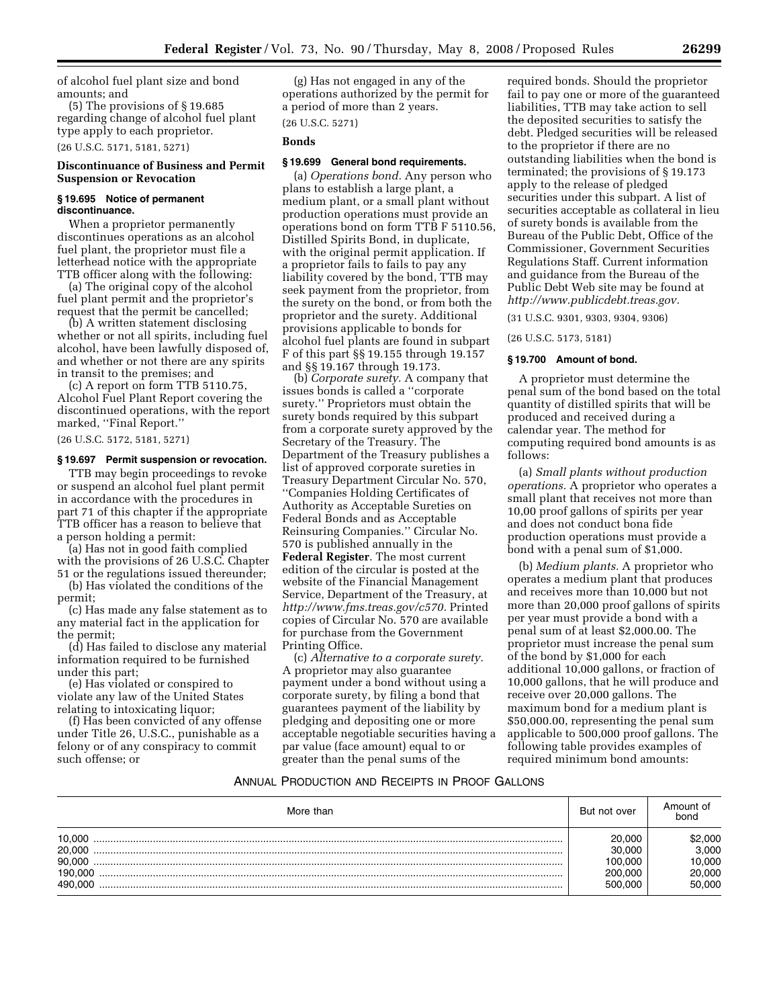of alcohol fuel plant size and bond amounts; and

(5) The provisions of § 19.685 regarding change of alcohol fuel plant type apply to each proprietor. (26 U.S.C. 5171, 5181, 5271)

# **Discontinuance of Business and Permit Suspension or Revocation**

# **§ 19.695 Notice of permanent discontinuance.**

When a proprietor permanently discontinues operations as an alcohol fuel plant, the proprietor must file a letterhead notice with the appropriate TTB officer along with the following:

(a) The original copy of the alcohol fuel plant permit and the proprietor's request that the permit be cancelled;

(b) A written statement disclosing whether or not all spirits, including fuel alcohol, have been lawfully disposed of, and whether or not there are any spirits in transit to the premises; and

(c) A report on form TTB 5110.75, Alcohol Fuel Plant Report covering the discontinued operations, with the report marked, ''Final Report.''

(26 U.S.C. 5172, 5181, 5271)

# **§ 19.697 Permit suspension or revocation.**

TTB may begin proceedings to revoke or suspend an alcohol fuel plant permit in accordance with the procedures in part 71 of this chapter if the appropriate TTB officer has a reason to believe that a person holding a permit:

(a) Has not in good faith complied with the provisions of 26 U.S.C. Chapter

51 or the regulations issued thereunder; (b) Has violated the conditions of the permit;

(c) Has made any false statement as to any material fact in the application for the permit;

(d) Has failed to disclose any material information required to be furnished under this part;

(e) Has violated or conspired to violate any law of the United States relating to intoxicating liquor;

(f) Has been convicted of any offense under Title 26, U.S.C., punishable as a felony or of any conspiracy to commit such offense; or

(g) Has not engaged in any of the operations authorized by the permit for a period of more than 2 years.

# (26 U.S.C. 5271)

# **Bonds**

# **§ 19.699 General bond requirements.**

(a) *Operations bond.* Any person who plans to establish a large plant, a medium plant, or a small plant without production operations must provide an operations bond on form TTB F 5110.56, Distilled Spirits Bond, in duplicate, with the original permit application. If a proprietor fails to fails to pay any liability covered by the bond, TTB may seek payment from the proprietor, from the surety on the bond, or from both the proprietor and the surety. Additional provisions applicable to bonds for alcohol fuel plants are found in subpart F of this part §§ 19.155 through 19.157 and §§ 19.167 through 19.173.

(b) *Corporate surety.* A company that issues bonds is called a ''corporate surety.'' Proprietors must obtain the surety bonds required by this subpart from a corporate surety approved by the Secretary of the Treasury. The Department of the Treasury publishes a list of approved corporate sureties in Treasury Department Circular No. 570, ''Companies Holding Certificates of Authority as Acceptable Sureties on Federal Bonds and as Acceptable Reinsuring Companies.'' Circular No. 570 is published annually in the **Federal Register**. The most current edition of the circular is posted at the website of the Financial Management Service, Department of the Treasury, at *http://www.fms.treas.gov/c570.* Printed copies of Circular No. 570 are available for purchase from the Government Printing Office.

(c) *Alternative to a corporate surety.*  A proprietor may also guarantee payment under a bond without using a corporate surety, by filing a bond that guarantees payment of the liability by pledging and depositing one or more acceptable negotiable securities having a par value (face amount) equal to or greater than the penal sums of the

required bonds. Should the proprietor fail to pay one or more of the guaranteed liabilities, TTB may take action to sell the deposited securities to satisfy the debt. Pledged securities will be released to the proprietor if there are no outstanding liabilities when the bond is terminated; the provisions of § 19.173 apply to the release of pledged securities under this subpart. A list of securities acceptable as collateral in lieu of surety bonds is available from the Bureau of the Public Debt, Office of the Commissioner, Government Securities Regulations Staff. Current information and guidance from the Bureau of the Public Debt Web site may be found at *http://www.publicdebt.treas.gov.* 

(31 U.S.C. 9301, 9303, 9304, 9306)

#### (26 U.S.C. 5173, 5181)

#### **§ 19.700 Amount of bond.**

A proprietor must determine the penal sum of the bond based on the total quantity of distilled spirits that will be produced and received during a calendar year. The method for computing required bond amounts is as follows:

(a) *Small plants without production operations.* A proprietor who operates a small plant that receives not more than 10,00 proof gallons of spirits per year and does not conduct bona fide production operations must provide a bond with a penal sum of \$1,000.

(b) *Medium plants.* A proprietor who operates a medium plant that produces and receives more than 10,000 but not more than 20,000 proof gallons of spirits per year must provide a bond with a penal sum of at least \$2,000.00. The proprietor must increase the penal sum of the bond by \$1,000 for each additional 10,000 gallons, or fraction of 10,000 gallons, that he will produce and receive over 20,000 gallons. The maximum bond for a medium plant is \$50,000.00, representing the penal sum applicable to 500,000 proof gallons. The following table provides examples of required minimum bond amounts:

# ANNUAL PRODUCTION AND RECEIPTS IN PROOF GALLONS

| More than | But not over | Amount of<br>bond |
|-----------|--------------|-------------------|
| 10.000    | 20.000       | \$2.000           |
| 20,000    | 30.000       | 3.000             |
| 90.000    | 100.000      | 0.000             |
| 190.000   | 200.000      | 20,000            |
| 490.000   | 500,000      | 50.000            |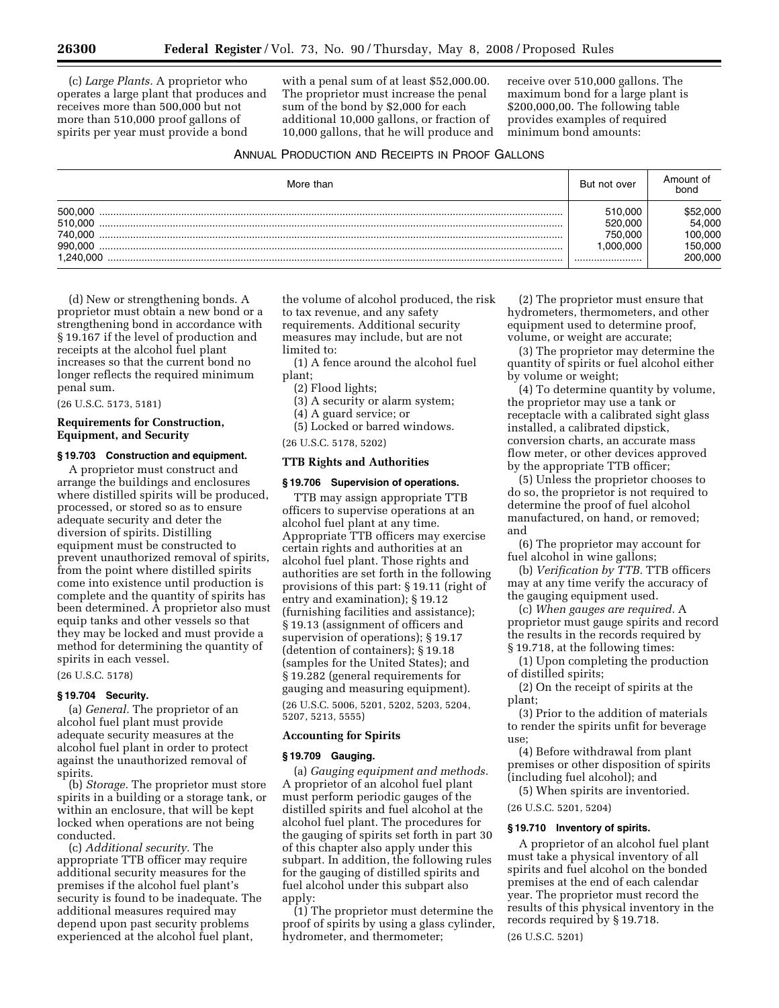(c) *Large Plants.* A proprietor who operates a large plant that produces and receives more than 500,000 but not more than 510,000 proof gallons of spirits per year must provide a bond

with a penal sum of at least \$52,000.00. The proprietor must increase the penal sum of the bond by \$2,000 for each additional 10,000 gallons, or fraction of 10,000 gallons, that he will produce and

receive over 510,000 gallons. The maximum bond for a large plant is \$200,000,00. The following table provides examples of required minimum bond amounts:

# ANNUAL PRODUCTION AND RECEIPTS IN PROOF GALLONS

| More than                                             | But not over                                   | Amount of<br>bond                                  |
|-------------------------------------------------------|------------------------------------------------|----------------------------------------------------|
| 500.000<br>510.000<br>740.000<br>990.000<br>1.240.000 | 510.000<br>520,000<br>750.000<br>000.000.1<br> | 552,000<br>54,000<br>100.000<br>150,000<br>200.000 |

(d) New or strengthening bonds. A proprietor must obtain a new bond or a strengthening bond in accordance with § 19.167 if the level of production and receipts at the alcohol fuel plant increases so that the current bond no longer reflects the required minimum penal sum.

(26 U.S.C. 5173, 5181)

# **Requirements for Construction, Equipment, and Security**

# **§ 19.703 Construction and equipment.**

A proprietor must construct and arrange the buildings and enclosures where distilled spirits will be produced, processed, or stored so as to ensure adequate security and deter the diversion of spirits. Distilling equipment must be constructed to prevent unauthorized removal of spirits, from the point where distilled spirits come into existence until production is complete and the quantity of spirits has been determined. A proprietor also must equip tanks and other vessels so that they may be locked and must provide a method for determining the quantity of spirits in each vessel.

(26 U.S.C. 5178)

# **§ 19.704 Security.**

(a) *General.* The proprietor of an alcohol fuel plant must provide adequate security measures at the alcohol fuel plant in order to protect against the unauthorized removal of spirits.

(b) *Storage.* The proprietor must store spirits in a building or a storage tank, or within an enclosure, that will be kept locked when operations are not being conducted.

(c) *Additional security.* The appropriate TTB officer may require additional security measures for the premises if the alcohol fuel plant's security is found to be inadequate. The additional measures required may depend upon past security problems experienced at the alcohol fuel plant,

the volume of alcohol produced, the risk to tax revenue, and any safety requirements. Additional security measures may include, but are not limited to:

(1) A fence around the alcohol fuel plant;

(2) Flood lights;

(3) A security or alarm system;

(4) A guard service; or

(5) Locked or barred windows.

(26 U.S.C. 5178, 5202)

# **TTB Rights and Authorities**

#### **§ 19.706 Supervision of operations.**

TTB may assign appropriate TTB officers to supervise operations at an alcohol fuel plant at any time. Appropriate TTB officers may exercise certain rights and authorities at an alcohol fuel plant. Those rights and authorities are set forth in the following provisions of this part: § 19.11 (right of entry and examination); § 19.12 (furnishing facilities and assistance); § 19.13 (assignment of officers and supervision of operations); § 19.17 (detention of containers); § 19.18 (samples for the United States); and § 19.282 (general requirements for gauging and measuring equipment).

(26 U.S.C. 5006, 5201, 5202, 5203, 5204, 5207, 5213, 5555)

#### **Accounting for Spirits**

#### **§ 19.709 Gauging.**

(a) *Gauging equipment and methods.*  A proprietor of an alcohol fuel plant must perform periodic gauges of the distilled spirits and fuel alcohol at the alcohol fuel plant. The procedures for the gauging of spirits set forth in part 30 of this chapter also apply under this subpart. In addition, the following rules for the gauging of distilled spirits and fuel alcohol under this subpart also apply:

(1) The proprietor must determine the proof of spirits by using a glass cylinder, hydrometer, and thermometer;

(2) The proprietor must ensure that hydrometers, thermometers, and other equipment used to determine proof, volume, or weight are accurate;

(3) The proprietor may determine the quantity of spirits or fuel alcohol either by volume or weight;

(4) To determine quantity by volume, the proprietor may use a tank or receptacle with a calibrated sight glass installed, a calibrated dipstick, conversion charts, an accurate mass flow meter, or other devices approved by the appropriate TTB officer;

(5) Unless the proprietor chooses to do so, the proprietor is not required to determine the proof of fuel alcohol manufactured, on hand, or removed; and

(6) The proprietor may account for fuel alcohol in wine gallons;

(b) *Verification by TTB.* TTB officers may at any time verify the accuracy of the gauging equipment used.

(c) *When gauges are required.* A proprietor must gauge spirits and record the results in the records required by § 19.718, at the following times:

(1) Upon completing the production of distilled spirits;

(2) On the receipt of spirits at the plant;

(3) Prior to the addition of materials to render the spirits unfit for beverage use;

(4) Before withdrawal from plant premises or other disposition of spirits (including fuel alcohol); and

(5) When spirits are inventoried.

# (26 U.S.C. 5201, 5204)

# **§ 19.710 Inventory of spirits.**

A proprietor of an alcohol fuel plant must take a physical inventory of all spirits and fuel alcohol on the bonded premises at the end of each calendar year. The proprietor must record the results of this physical inventory in the records required by § 19.718.

(26 U.S.C. 5201)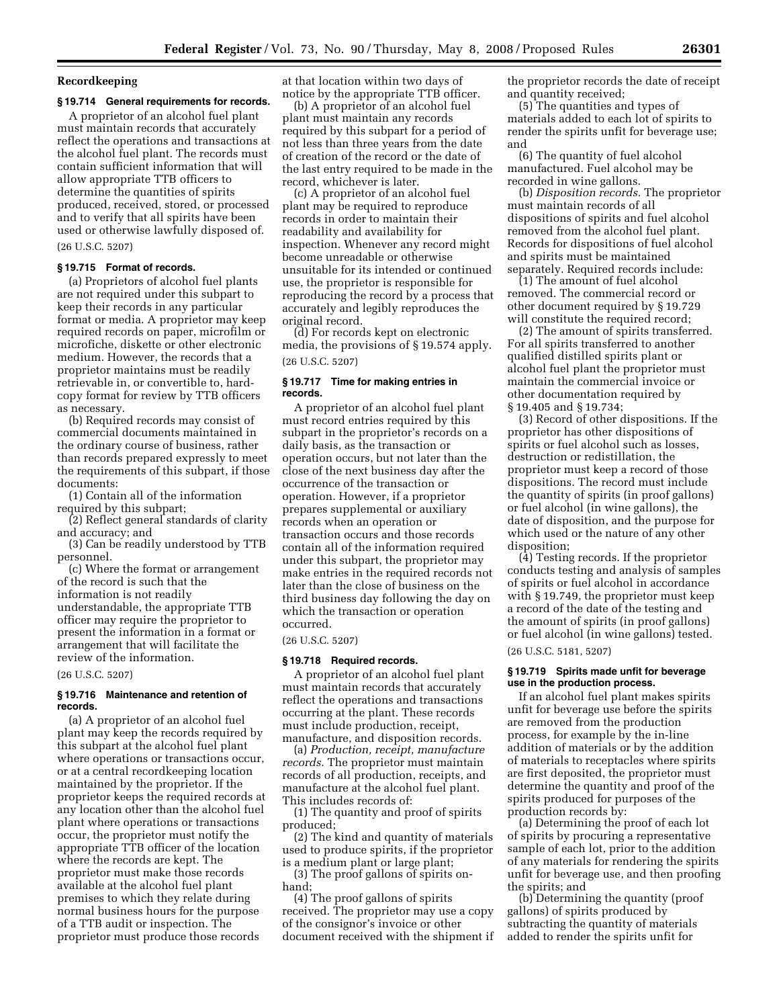# **Recordkeeping**

# **§ 19.714 General requirements for records.**

A proprietor of an alcohol fuel plant must maintain records that accurately reflect the operations and transactions at the alcohol fuel plant. The records must contain sufficient information that will allow appropriate TTB officers to determine the quantities of spirits produced, received, stored, or processed and to verify that all spirits have been used or otherwise lawfully disposed of.

(26 U.S.C. 5207)

#### **§ 19.715 Format of records.**

(a) Proprietors of alcohol fuel plants are not required under this subpart to keep their records in any particular format or media. A proprietor may keep required records on paper, microfilm or microfiche, diskette or other electronic medium. However, the records that a proprietor maintains must be readily retrievable in, or convertible to, hardcopy format for review by TTB officers as necessary.

(b) Required records may consist of commercial documents maintained in the ordinary course of business, rather than records prepared expressly to meet the requirements of this subpart, if those documents:

(1) Contain all of the information required by this subpart;

(2) Reflect general standards of clarity and accuracy; and

(3) Can be readily understood by TTB personnel.

(c) Where the format or arrangement of the record is such that the information is not readily understandable, the appropriate TTB officer may require the proprietor to present the information in a format or arrangement that will facilitate the review of the information.

#### (26 U.S.C. 5207)

#### **§ 19.716 Maintenance and retention of records.**

(a) A proprietor of an alcohol fuel plant may keep the records required by this subpart at the alcohol fuel plant where operations or transactions occur, or at a central recordkeeping location maintained by the proprietor. If the proprietor keeps the required records at any location other than the alcohol fuel plant where operations or transactions occur, the proprietor must notify the appropriate TTB officer of the location where the records are kept. The proprietor must make those records available at the alcohol fuel plant premises to which they relate during normal business hours for the purpose of a TTB audit or inspection. The proprietor must produce those records

at that location within two days of notice by the appropriate TTB officer.

(b) A proprietor of an alcohol fuel plant must maintain any records required by this subpart for a period of not less than three years from the date of creation of the record or the date of the last entry required to be made in the record, whichever is later.

(c) A proprietor of an alcohol fuel plant may be required to reproduce records in order to maintain their readability and availability for inspection. Whenever any record might become unreadable or otherwise unsuitable for its intended or continued use, the proprietor is responsible for reproducing the record by a process that accurately and legibly reproduces the original record.

(d) For records kept on electronic media, the provisions of § 19.574 apply. (26 U.S.C. 5207)

#### **§ 19.717 Time for making entries in records.**

A proprietor of an alcohol fuel plant must record entries required by this subpart in the proprietor's records on a daily basis, as the transaction or operation occurs, but not later than the close of the next business day after the occurrence of the transaction or operation. However, if a proprietor prepares supplemental or auxiliary records when an operation or transaction occurs and those records contain all of the information required under this subpart, the proprietor may make entries in the required records not later than the close of business on the third business day following the day on which the transaction or operation occurred.

(26 U.S.C. 5207)

#### **§ 19.718 Required records.**

A proprietor of an alcohol fuel plant must maintain records that accurately reflect the operations and transactions occurring at the plant. These records must include production, receipt, manufacture, and disposition records.

(a) *Production, receipt, manufacture records.* The proprietor must maintain records of all production, receipts, and manufacture at the alcohol fuel plant. This includes records of:

(1) The quantity and proof of spirits produced;

(2) The kind and quantity of materials used to produce spirits, if the proprietor is a medium plant or large plant;

(3) The proof gallons of spirits onhand;

(4) The proof gallons of spirits received. The proprietor may use a copy of the consignor's invoice or other document received with the shipment if the proprietor records the date of receipt and quantity received;

(5) The quantities and types of materials added to each lot of spirits to render the spirits unfit for beverage use; and

(6) The quantity of fuel alcohol manufactured. Fuel alcohol may be recorded in wine gallons.

(b) *Disposition records.* The proprietor must maintain records of all dispositions of spirits and fuel alcohol removed from the alcohol fuel plant. Records for dispositions of fuel alcohol and spirits must be maintained separately. Required records include:

(1) The amount of fuel alcohol removed. The commercial record or other document required by § 19.729 will constitute the required record;

(2) The amount of spirits transferred. For all spirits transferred to another qualified distilled spirits plant or alcohol fuel plant the proprietor must maintain the commercial invoice or other documentation required by § 19.405 and § 19.734;

(3) Record of other dispositions. If the proprietor has other dispositions of spirits or fuel alcohol such as losses, destruction or redistillation, the proprietor must keep a record of those dispositions. The record must include the quantity of spirits (in proof gallons) or fuel alcohol (in wine gallons), the date of disposition, and the purpose for which used or the nature of any other disposition;

(4) Testing records. If the proprietor conducts testing and analysis of samples of spirits or fuel alcohol in accordance with § 19.749, the proprietor must keep a record of the date of the testing and the amount of spirits (in proof gallons) or fuel alcohol (in wine gallons) tested. (26 U.S.C. 5181, 5207)

#### **§ 19.719 Spirits made unfit for beverage use in the production process.**

If an alcohol fuel plant makes spirits unfit for beverage use before the spirits are removed from the production process, for example by the in-line addition of materials or by the addition of materials to receptacles where spirits are first deposited, the proprietor must determine the quantity and proof of the spirits produced for purposes of the production records by:

(a) Determining the proof of each lot of spirits by procuring a representative sample of each lot, prior to the addition of any materials for rendering the spirits unfit for beverage use, and then proofing the spirits; and

(b) Determining the quantity (proof gallons) of spirits produced by subtracting the quantity of materials added to render the spirits unfit for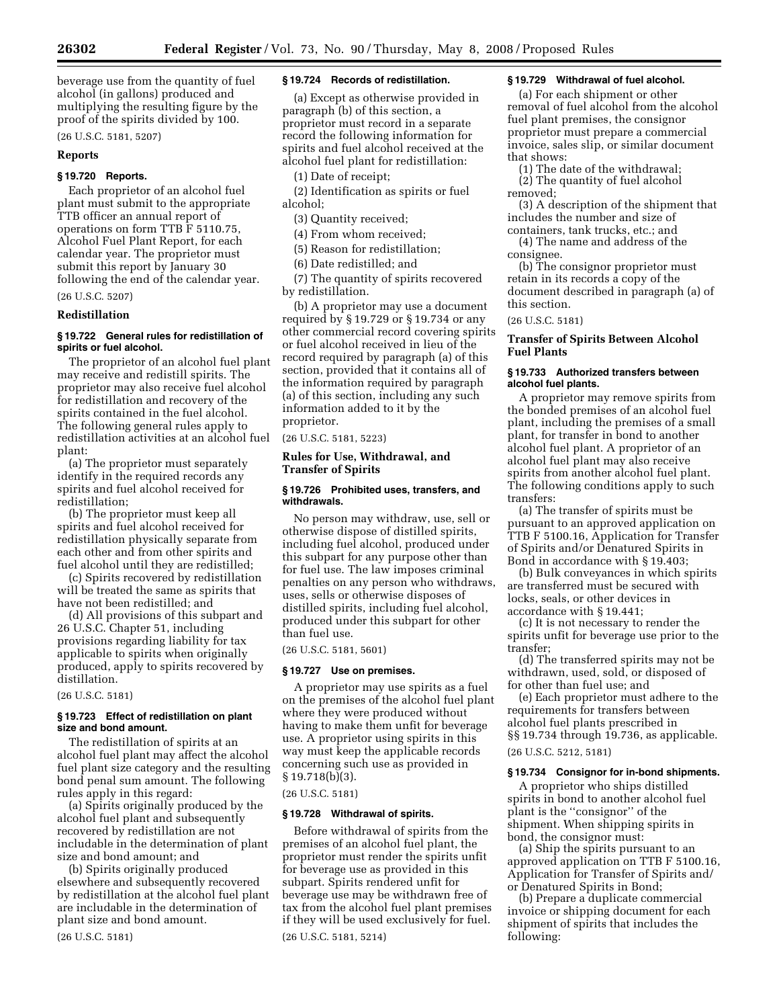beverage use from the quantity of fuel alcohol (in gallons) produced and multiplying the resulting figure by the proof of the spirits divided by 100.

(26 U.S.C. 5181, 5207)

#### **Reports**

# **§ 19.720 Reports.**

Each proprietor of an alcohol fuel plant must submit to the appropriate TTB officer an annual report of operations on form TTB F 5110.75, Alcohol Fuel Plant Report, for each calendar year. The proprietor must submit this report by January 30 following the end of the calendar year.

# (26 U.S.C. 5207)

# **Redistillation**

# **§ 19.722 General rules for redistillation of spirits or fuel alcohol.**

The proprietor of an alcohol fuel plant may receive and redistill spirits. The proprietor may also receive fuel alcohol for redistillation and recovery of the spirits contained in the fuel alcohol. The following general rules apply to redistillation activities at an alcohol fuel plant:

(a) The proprietor must separately identify in the required records any spirits and fuel alcohol received for redistillation;

(b) The proprietor must keep all spirits and fuel alcohol received for redistillation physically separate from each other and from other spirits and fuel alcohol until they are redistilled;

(c) Spirits recovered by redistillation will be treated the same as spirits that have not been redistilled; and

(d) All provisions of this subpart and 26 U.S.C. Chapter 51, including provisions regarding liability for tax applicable to spirits when originally produced, apply to spirits recovered by distillation.

(26 U.S.C. 5181)

#### **§ 19.723 Effect of redistillation on plant size and bond amount.**

The redistillation of spirits at an alcohol fuel plant may affect the alcohol fuel plant size category and the resulting bond penal sum amount. The following rules apply in this regard:

(a) Spirits originally produced by the alcohol fuel plant and subsequently recovered by redistillation are not includable in the determination of plant size and bond amount; and

(b) Spirits originally produced elsewhere and subsequently recovered by redistillation at the alcohol fuel plant are includable in the determination of plant size and bond amount.

#### (26 U.S.C. 5181)

#### **§ 19.724 Records of redistillation.**

(a) Except as otherwise provided in paragraph (b) of this section, a proprietor must record in a separate record the following information for spirits and fuel alcohol received at the alcohol fuel plant for redistillation:

(1) Date of receipt;

(2) Identification as spirits or fuel alcohol;

(3) Quantity received;

(4) From whom received;

(5) Reason for redistillation;

(6) Date redistilled; and

(7) The quantity of spirits recovered by redistillation.

(b) A proprietor may use a document required by § 19.729 or § 19.734 or any other commercial record covering spirits or fuel alcohol received in lieu of the record required by paragraph (a) of this section, provided that it contains all of the information required by paragraph (a) of this section, including any such information added to it by the proprietor.

(26 U.S.C. 5181, 5223)

# **Rules for Use, Withdrawal, and Transfer of Spirits**

#### **§ 19.726 Prohibited uses, transfers, and withdrawals.**

No person may withdraw, use, sell or otherwise dispose of distilled spirits, including fuel alcohol, produced under this subpart for any purpose other than for fuel use. The law imposes criminal penalties on any person who withdraws, uses, sells or otherwise disposes of distilled spirits, including fuel alcohol, produced under this subpart for other than fuel use.

(26 U.S.C. 5181, 5601)

#### **§ 19.727 Use on premises.**

A proprietor may use spirits as a fuel on the premises of the alcohol fuel plant where they were produced without having to make them unfit for beverage use. A proprietor using spirits in this way must keep the applicable records concerning such use as provided in § 19.718(b)(3).

# (26 U.S.C. 5181)

#### **§ 19.728 Withdrawal of spirits.**

Before withdrawal of spirits from the premises of an alcohol fuel plant, the proprietor must render the spirits unfit for beverage use as provided in this subpart. Spirits rendered unfit for beverage use may be withdrawn free of tax from the alcohol fuel plant premises if they will be used exclusively for fuel. (26 U.S.C. 5181, 5214)

# **§ 19.729 Withdrawal of fuel alcohol.**

(a) For each shipment or other removal of fuel alcohol from the alcohol fuel plant premises, the consignor proprietor must prepare a commercial invoice, sales slip, or similar document that shows:

(1) The date of the withdrawal; (2) The quantity of fuel alcohol

removed; (3) A description of the shipment that includes the number and size of

containers, tank trucks, etc.; and (4) The name and address of the consignee.

(b) The consignor proprietor must retain in its records a copy of the document described in paragraph (a) of this section.

# (26 U.S.C. 5181)

# **Transfer of Spirits Between Alcohol Fuel Plants**

### **§ 19.733 Authorized transfers between alcohol fuel plants.**

A proprietor may remove spirits from the bonded premises of an alcohol fuel plant, including the premises of a small plant, for transfer in bond to another alcohol fuel plant. A proprietor of an alcohol fuel plant may also receive spirits from another alcohol fuel plant. The following conditions apply to such transfers:

(a) The transfer of spirits must be pursuant to an approved application on TTB F 5100.16, Application for Transfer of Spirits and/or Denatured Spirits in Bond in accordance with § 19.403;

(b) Bulk conveyances in which spirits are transferred must be secured with locks, seals, or other devices in accordance with § 19.441;

(c) It is not necessary to render the spirits unfit for beverage use prior to the transfer;

(d) The transferred spirits may not be withdrawn, used, sold, or disposed of for other than fuel use; and

(e) Each proprietor must adhere to the requirements for transfers between alcohol fuel plants prescribed in §§ 19.734 through 19.736, as applicable. (26 U.S.C. 5212, 5181)

#### **§ 19.734 Consignor for in-bond shipments.**

A proprietor who ships distilled spirits in bond to another alcohol fuel plant is the ''consignor'' of the shipment. When shipping spirits in bond, the consignor must:

(a) Ship the spirits pursuant to an approved application on TTB F 5100.16, Application for Transfer of Spirits and/ or Denatured Spirits in Bond;

(b) Prepare a duplicate commercial invoice or shipping document for each shipment of spirits that includes the following: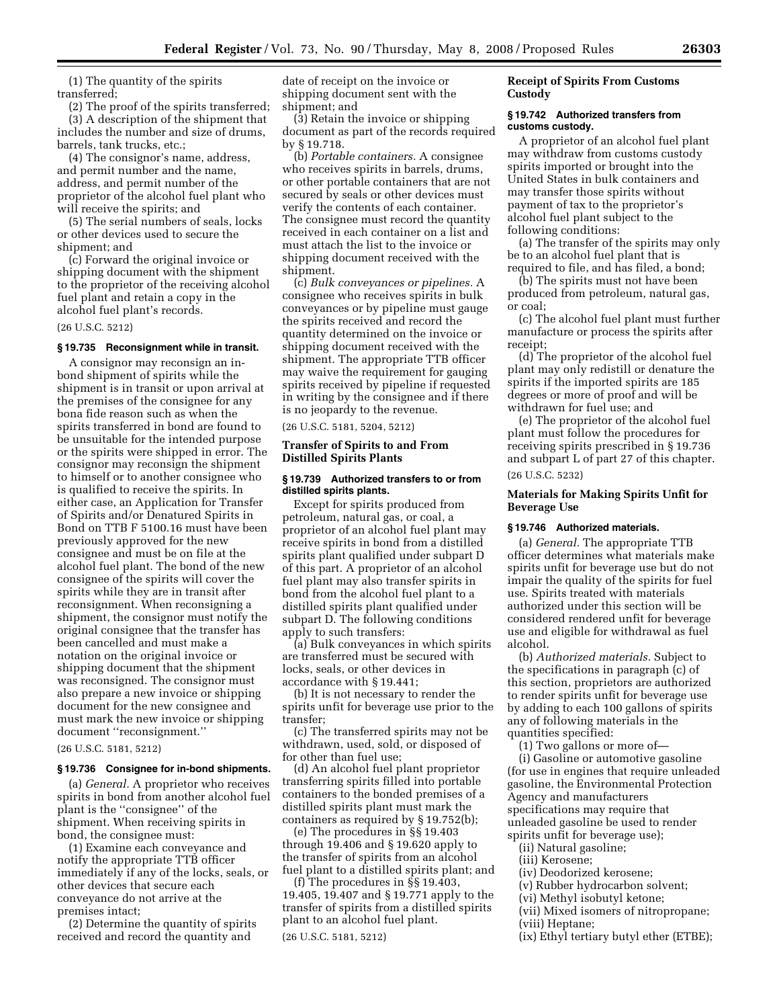(1) The quantity of the spirits transferred;

(2) The proof of the spirits transferred; (3) A description of the shipment that includes the number and size of drums, barrels, tank trucks, etc.;

(4) The consignor's name, address, and permit number and the name, address, and permit number of the proprietor of the alcohol fuel plant who will receive the spirits; and

(5) The serial numbers of seals, locks or other devices used to secure the shipment; and

(c) Forward the original invoice or shipping document with the shipment to the proprietor of the receiving alcohol fuel plant and retain a copy in the alcohol fuel plant's records.

(26 U.S.C. 5212)

# **§ 19.735 Reconsignment while in transit.**

A consignor may reconsign an inbond shipment of spirits while the shipment is in transit or upon arrival at the premises of the consignee for any bona fide reason such as when the spirits transferred in bond are found to be unsuitable for the intended purpose or the spirits were shipped in error. The consignor may reconsign the shipment to himself or to another consignee who is qualified to receive the spirits. In either case, an Application for Transfer of Spirits and/or Denatured Spirits in Bond on TTB F 5100.16 must have been previously approved for the new consignee and must be on file at the alcohol fuel plant. The bond of the new consignee of the spirits will cover the spirits while they are in transit after reconsignment. When reconsigning a shipment, the consignor must notify the original consignee that the transfer has been cancelled and must make a notation on the original invoice or shipping document that the shipment was reconsigned. The consignor must also prepare a new invoice or shipping document for the new consignee and must mark the new invoice or shipping document ''reconsignment.''

(26 U.S.C. 5181, 5212)

#### **§ 19.736 Consignee for in-bond shipments.**

(a) *General.* A proprietor who receives spirits in bond from another alcohol fuel plant is the ''consignee'' of the shipment. When receiving spirits in bond, the consignee must:

(1) Examine each conveyance and notify the appropriate TTB officer immediately if any of the locks, seals, or other devices that secure each conveyance do not arrive at the premises intact;

(2) Determine the quantity of spirits received and record the quantity and

date of receipt on the invoice or shipping document sent with the shipment; and

(3) Retain the invoice or shipping document as part of the records required by § 19.718.

(b) *Portable containers.* A consignee who receives spirits in barrels, drums, or other portable containers that are not secured by seals or other devices must verify the contents of each container. The consignee must record the quantity received in each container on a list and must attach the list to the invoice or shipping document received with the shipment.

(c) *Bulk conveyances or pipelines.* A consignee who receives spirits in bulk conveyances or by pipeline must gauge the spirits received and record the quantity determined on the invoice or shipping document received with the shipment. The appropriate TTB officer may waive the requirement for gauging spirits received by pipeline if requested in writing by the consignee and if there is no jeopardy to the revenue.

(26 U.S.C. 5181, 5204, 5212)

# **Transfer of Spirits to and From Distilled Spirits Plants**

#### **§ 19.739 Authorized transfers to or from distilled spirits plants.**

Except for spirits produced from petroleum, natural gas, or coal, a proprietor of an alcohol fuel plant may receive spirits in bond from a distilled spirits plant qualified under subpart D of this part. A proprietor of an alcohol fuel plant may also transfer spirits in bond from the alcohol fuel plant to a distilled spirits plant qualified under subpart D. The following conditions apply to such transfers:

(a) Bulk conveyances in which spirits are transferred must be secured with locks, seals, or other devices in accordance with § 19.441;

(b) It is not necessary to render the spirits unfit for beverage use prior to the transfer;

(c) The transferred spirits may not be withdrawn, used, sold, or disposed of for other than fuel use;

(d) An alcohol fuel plant proprietor transferring spirits filled into portable containers to the bonded premises of a distilled spirits plant must mark the containers as required by § 19.752(b);

(e) The procedures in §§ 19.403 through 19.406 and § 19.620 apply to the transfer of spirits from an alcohol fuel plant to a distilled spirits plant; and

(f) The procedures in §§ 19.403, 19.405, 19.407 and § 19.771 apply to the transfer of spirits from a distilled spirits plant to an alcohol fuel plant.

(26 U.S.C. 5181, 5212)

# **Receipt of Spirits From Customs Custody**

#### **§ 19.742 Authorized transfers from customs custody.**

A proprietor of an alcohol fuel plant may withdraw from customs custody spirits imported or brought into the United States in bulk containers and may transfer those spirits without payment of tax to the proprietor's alcohol fuel plant subject to the following conditions:

(a) The transfer of the spirits may only be to an alcohol fuel plant that is required to file, and has filed, a bond;

(b) The spirits must not have been produced from petroleum, natural gas, or coal;

(c) The alcohol fuel plant must further manufacture or process the spirits after receipt;

(d) The proprietor of the alcohol fuel plant may only redistill or denature the spirits if the imported spirits are 185 degrees or more of proof and will be withdrawn for fuel use; and

(e) The proprietor of the alcohol fuel plant must follow the procedures for receiving spirits prescribed in § 19.736 and subpart L of part 27 of this chapter. (26 U.S.C. 5232)

# **Materials for Making Spirits Unfit for Beverage Use**

# **§ 19.746 Authorized materials.**

(a) *General.* The appropriate TTB officer determines what materials make spirits unfit for beverage use but do not impair the quality of the spirits for fuel use. Spirits treated with materials authorized under this section will be considered rendered unfit for beverage use and eligible for withdrawal as fuel alcohol.

(b) *Authorized materials.* Subject to the specifications in paragraph (c) of this section, proprietors are authorized to render spirits unfit for beverage use by adding to each 100 gallons of spirits any of following materials in the quantities specified:

(1) Two gallons or more of—

(i) Gasoline or automotive gasoline (for use in engines that require unleaded gasoline, the Environmental Protection Agency and manufacturers specifications may require that unleaded gasoline be used to render spirits unfit for beverage use);

(ii) Natural gasoline;

(iii) Kerosene;

(iv) Deodorized kerosene;

(v) Rubber hydrocarbon solvent;

(vi) Methyl isobutyl ketone;

- (vii) Mixed isomers of nitropropane; (viii) Heptane;
- (ix) Ethyl tertiary butyl ether (ETBE);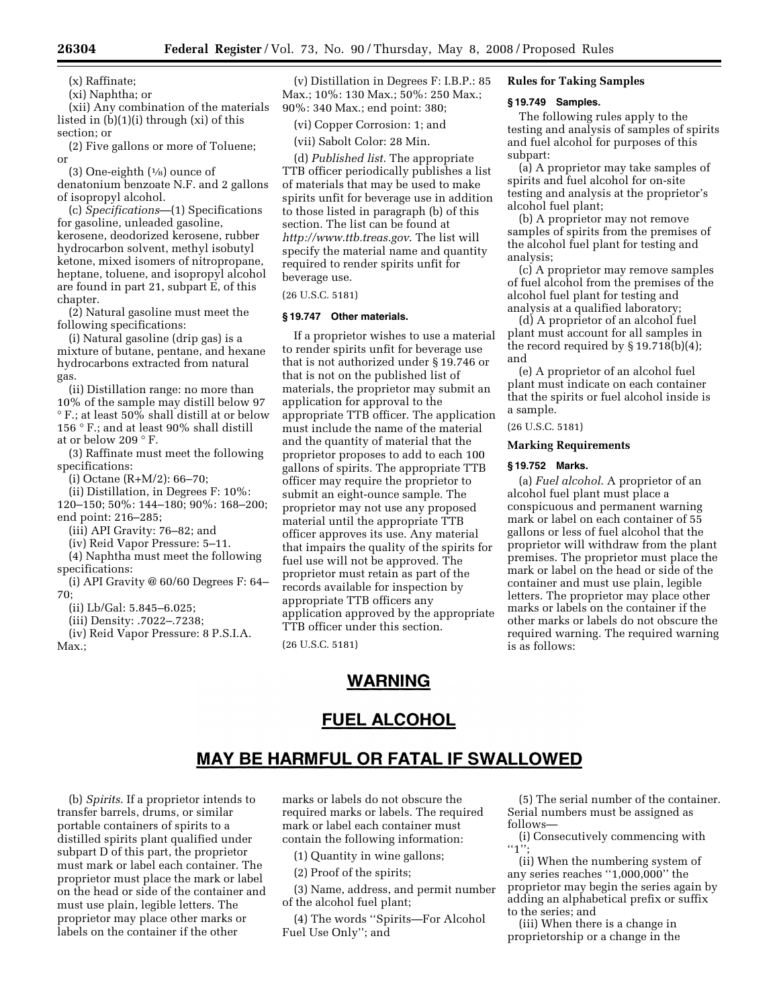(x) Raffinate;

(xi) Naphtha; or

(xii) Any combination of the materials listed in (b)(1)(i) through (xi) of this section; or

(2) Five gallons or more of Toluene; or

(3) One-eighth  $(1/8)$  ounce of denatonium benzoate N.F. and 2 gallons of isopropyl alcohol.

(c) *Specifications*—(1) Specifications for gasoline, unleaded gasoline, kerosene, deodorized kerosene, rubber hydrocarbon solvent, methyl isobutyl ketone, mixed isomers of nitropropane, heptane, toluene, and isopropyl alcohol are found in part 21, subpart E, of this chapter.

(2) Natural gasoline must meet the following specifications:

(i) Natural gasoline (drip gas) is a mixture of butane, pentane, and hexane hydrocarbons extracted from natural gas.

(ii) Distillation range: no more than 10% of the sample may distill below 97 ° F.; at least 50% shall distill at or below 156 ° F.; and at least 90% shall distill at or below 209 ° F.

(3) Raffinate must meet the following specifications:

(i) Octane (R+M/2): 66–70;

(ii) Distillation, in Degrees F: 10%: 120–150; 50%: 144–180; 90%: 168–200; end point: 216–285;

(iii) API Gravity: 76–82; and

(iv) Reid Vapor Pressure: 5–11.

(4) Naphtha must meet the following

specifications:

(i) API Gravity @ 60/60 Degrees F: 64– 70;

(ii) Lb/Gal: 5.845–6.025;

(iii) Density: .7022–.7238;

(iv) Reid Vapor Pressure: 8 P.S.I.A. Max.;

(v) Distillation in Degrees F: I.B.P.: 85 Max.; 10%: 130 Max.; 50%: 250 Max.; 90%: 340 Max.; end point: 380;

(vi) Copper Corrosion: 1; and

(vii) Sabolt Color: 28 Min.

(d) *Published list*. The appropriate TTB officer periodically publishes a list of materials that may be used to make spirits unfit for beverage use in addition to those listed in paragraph (b) of this section. The list can be found at *http://www.ttb.treas.gov*. The list will specify the material name and quantity required to render spirits unfit for beverage use.

(26 U.S.C. 5181)

# **§ 19.747 Other materials.**

If a proprietor wishes to use a material to render spirits unfit for beverage use that is not authorized under § 19.746 or that is not on the published list of materials, the proprietor may submit an application for approval to the appropriate TTB officer. The application must include the name of the material and the quantity of material that the proprietor proposes to add to each 100 gallons of spirits. The appropriate TTB officer may require the proprietor to submit an eight-ounce sample. The proprietor may not use any proposed material until the appropriate TTB officer approves its use. Any material that impairs the quality of the spirits for fuel use will not be approved. The proprietor must retain as part of the records available for inspection by appropriate TTB officers any application approved by the appropriate TTB officer under this section.

(26 U.S.C. 5181)

# WARNING

# **FUEL ALCOHOL**

# MAY BE HARMFUL OR FATAL IF SWALLOWED

(b) *Spirits*. If a proprietor intends to transfer barrels, drums, or similar portable containers of spirits to a distilled spirits plant qualified under subpart D of this part, the proprietor must mark or label each container. The proprietor must place the mark or label on the head or side of the container and must use plain, legible letters. The proprietor may place other marks or labels on the container if the other

marks or labels do not obscure the required marks or labels. The required mark or label each container must contain the following information:

(1) Quantity in wine gallons;

(2) Proof of the spirits;

(3) Name, address, and permit number of the alcohol fuel plant;

(4) The words ''Spirits—For Alcohol Fuel Use Only''; and

(5) The serial number of the container. Serial numbers must be assigned as follows—

(i) Consecutively commencing with  $"1";$ 

(ii) When the numbering system of any series reaches ''1,000,000'' the proprietor may begin the series again by adding an alphabetical prefix or suffix to the series; and

(iii) When there is a change in proprietorship or a change in the

# **Rules for Taking Samples**

# **§ 19.749 Samples.**

The following rules apply to the testing and analysis of samples of spirits and fuel alcohol for purposes of this subpart:

(a) A proprietor may take samples of spirits and fuel alcohol for on-site testing and analysis at the proprietor's alcohol fuel plant;

(b) A proprietor may not remove samples of spirits from the premises of the alcohol fuel plant for testing and analysis;

(c) A proprietor may remove samples of fuel alcohol from the premises of the alcohol fuel plant for testing and analysis at a qualified laboratory;

(d) A proprietor of an alcohol fuel plant must account for all samples in the record required by § 19.718(b)(4); and

(e) A proprietor of an alcohol fuel plant must indicate on each container that the spirits or fuel alcohol inside is a sample.

# (26 U.S.C. 5181)

# **Marking Requirements**

# **§ 19.752 Marks.**

(a) *Fuel alcohol*. A proprietor of an alcohol fuel plant must place a conspicuous and permanent warning mark or label on each container of 55 gallons or less of fuel alcohol that the proprietor will withdraw from the plant premises. The proprietor must place the mark or label on the head or side of the container and must use plain, legible letters. The proprietor may place other marks or labels on the container if the other marks or labels do not obscure the required warning. The required warning is as follows: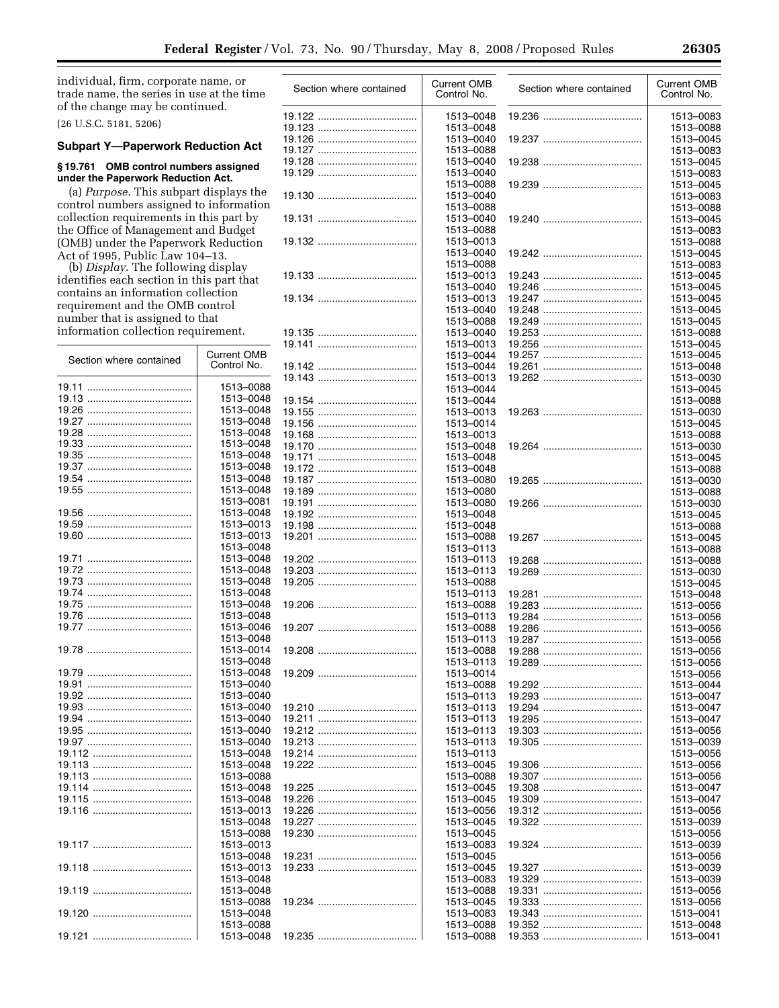Section where contained Current OMB

individual, firm, corporate name, or trade name, the series in use at the time of the change may be continued.

(26 U.S.C. 5181, 5206)

# **Subpart Y—Paperwork Reduction Act**

# **§ 19.761 OMB control numbers assigned under the Paperwork Reduction Act.**

(a) *Purpose*. This subpart displays the control numbers assigned to information collection requirements in this part by the Office of Management and Budget (OMB) under the Paperwork Reduction Act of 1995, Public Law 104–13.

(b) *Display*. The following display identifies each section in this part that contains an information collection requirement and the OMB control number that is assigned to that information collection requirement.

Section where contained Current OMB

19.11 ..................................... 1513–0088 19.13 ..................................... 1513–0048 19.26 ..................................... 1513–0048 19.27 ..................................... 1513–0048 19.28 ..................................... 1513–0048 19.33 ..................................... 1513–0048 19.35 ..................................... 1513–0048 19.37 ..................................... 1513–0048 19.54 ..................................... 1513–0048

19.56 ..................................... 1513–0048 19.59 ..................................... 1513–0013

19.72 ..................................... 1513–0048 19.73 ..................................... 1513–0048 19.74 ..................................... 1513–0048 19.75 ..................................... 1513–0048 19.76 ..................................... 1513–0048

19.79 ..................................... 1513–0048 19.91 ..................................... 1513–0040 19.92 ..................................... 1513–0040 19.93 ..................................... 1513–0040 19.94 ..................................... 1513–0040 19.95 ..................................... 1513–0040 19.97 ..................................... 1513–0040 19.112 ................................... 1513–0048 19.113 ................................... 1513–0048 19.113 ................................... 1513–0088 19.114 ................................... 1513–0048 19.115 ................................... 1513–0048

19.55 ..................................... 1513–0048

19.60 ..................................... 1513–0013

19.71 ..................................... 1513–0048

19.77 ..................................... 1513–0046

19.78 ..................................... 1513–0014

19.116 ................................... 1513–0013

19.117 ................................... 1513–0013

19.118 ................................... 1513–0013

19.119 ................................... 1513–0048

19.120 ................................... 1513–0048

19.121 ................................... 1513–0048

Control No.

1513–0081

1513–0048

1513–0048

1513–0048

1513–0048 1513–0088

1513–0048

1513–0048

1513–0088

1513–0088

| Section where contained | Current OMB<br>Control No. | Section where contained | Current OMB<br>Control No. |
|-------------------------|----------------------------|-------------------------|----------------------------|
|                         | 1513-0048                  |                         | 1513-0083                  |
|                         | 1513-0048                  |                         | 1513-0088                  |
|                         | 1513-0040                  |                         | 1513-0045                  |
|                         | 1513-0088                  |                         | 1513-0083                  |
|                         | 1513-0040<br>1513-0040     |                         | 1513-0045                  |
|                         | 1513-0088                  |                         | 1513-0083<br>1513-0045     |
|                         | 1513-0040                  |                         | 1513-0083                  |
|                         | 1513-0088                  |                         | 1513-0088                  |
|                         | 1513-0040                  |                         | 1513-0045                  |
|                         | 1513-0088                  |                         | 1513-0083                  |
|                         | 1513-0013                  |                         | 1513-0088                  |
|                         | 1513-0040                  |                         | 1513-0045                  |
|                         | 1513-0088                  |                         | 1513-0083                  |
|                         | 1513-0013                  |                         | 1513-0045                  |
|                         | 1513-0040                  |                         | 1513-0045                  |
|                         | 1513-0013<br>1513-0040     |                         | 1513-0045<br>1513-0045     |
|                         | 1513-0088                  |                         | 1513-0045                  |
|                         | 1513-0040                  |                         | 1513-0088                  |
|                         | 1513-0013                  |                         | 1513-0045                  |
|                         | 1513-0044                  |                         | 1513-0045                  |
|                         | 1513-0044                  |                         | 1513-0048                  |
|                         | 1513-0013                  |                         | 1513-0030                  |
|                         | 1513-0044                  |                         | 1513-0045                  |
|                         | 1513-0044                  |                         | 1513-0088                  |
|                         | 1513-0013                  |                         | 1513-0030                  |
|                         | 1513-0014<br>1513-0013     |                         | 1513-0045<br>1513-0088     |
|                         | 1513-0048                  |                         | 1513-0030                  |
|                         | 1513-0048                  |                         | 1513-0045                  |
|                         | 1513-0048                  |                         | 1513-0088                  |
|                         | 1513-0080                  |                         | 1513-0030                  |
|                         | 1513-0080                  |                         | 1513-0088                  |
|                         | 1513-0080                  |                         | 1513-0030                  |
|                         | 1513-0048                  |                         | 1513-0045                  |
|                         | 1513-0048<br>1513-0088     |                         | 1513-0088                  |
|                         | 1513-0113                  |                         | 1513-0045<br>1513-0088     |
|                         | 1513-0113                  |                         | 1513-0088                  |
|                         | 1513-0113                  |                         | 1513-0030                  |
|                         | 1513-0088                  |                         | 1513-0045                  |
|                         | 1513-0113                  |                         | 1513-0048                  |
|                         | 1513-0088                  |                         | 1513-0056                  |
|                         | 1513-0113                  |                         | 1513-0056                  |
|                         | 1513-0088<br>1513-0113     |                         | 1513-0056                  |
|                         | 1513-0088                  |                         | 1513-0056<br>1513-0056     |
|                         | 1513-0113                  |                         | 1513-0056                  |
|                         | 1513-0014                  |                         | 1513-0056                  |
|                         | 1513-0088                  |                         | 1513-0044                  |
|                         | 1513-0113                  |                         | 1513-0047                  |
|                         | 1513-0113                  |                         | 1513-0047                  |
|                         | 1513-0113                  |                         | 1513-0047                  |
|                         | 1513-0113<br>1513-0113     |                         | 1513-0056                  |
|                         | 1513-0113                  |                         | 1513-0039<br>1513-0056     |
|                         | 1513-0045                  |                         | 1513-0056                  |
|                         | 1513-0088                  |                         | 1513-0056                  |
|                         | 1513-0045                  |                         | 1513-0047                  |
|                         | 1513-0045                  |                         | 1513-0047                  |
|                         | 1513-0056                  |                         | 1513-0056                  |
|                         | 1513-0045                  |                         | 1513-0039                  |
|                         | 1513-0045                  |                         | 1513-0056                  |
|                         | 1513-0083                  |                         | 1513-0039                  |
|                         | 1513-0045<br>1513-0045     |                         | 1513-0056<br>1513-0039     |
|                         | 1513-0083                  |                         | 1513-0039                  |
|                         | 1513-0088                  |                         | 1513-0056                  |
|                         | 1513-0045                  |                         | 1513-0056                  |
|                         | 1513-0083                  |                         | 1513-0041                  |
|                         | 1513-0088                  |                         | 1513-0048                  |
|                         | 1513-0088                  |                         | 1513-0041                  |
|                         |                            |                         |                            |

|                  | Section where contained | <b>Current OMB</b><br>Control No.   |
|------------------|-------------------------|-------------------------------------|
|                  |                         | 1513-0083<br>1513-0088              |
|                  |                         | 1513-0045<br>1513-0083              |
|                  |                         | 1513-0045<br>1513-0083              |
|                  |                         | 1513-0045<br>1513-0083              |
|                  |                         | 1513-0088<br>1513-0045              |
|                  |                         | 1513-0083                           |
|                  |                         | 1513-0088<br>1513-0045<br>1513-0083 |
|                  |                         | 1513-0045                           |
|                  |                         | 1513-0045                           |
| 19.247<br>19.248 |                         | 1513-0045<br>1513-0045              |
| 19.249           |                         | 1513-0045                           |
| 19.253           |                         | 1513-0088                           |
| 19.256           |                         | 1513-0045                           |
| 19.257           |                         | 1513-0045                           |
| 19.261           | <br>                    | 1513-0048                           |
|                  |                         | 1513-0030                           |
|                  |                         | 1513-0045                           |
|                  |                         | 1513-0088                           |
|                  |                         | 1513-0030                           |
|                  |                         | 1513-0045                           |
|                  |                         | 1513-0088                           |
|                  |                         | 1513-0030                           |
|                  |                         | 1513-0045                           |
|                  |                         | 1513-0088                           |
|                  |                         | 1513-0030                           |
|                  |                         | 1513-0088                           |
|                  |                         | 1513-0030                           |
|                  |                         | 1513-0045                           |
|                  |                         | 1513-0088                           |
|                  |                         | 1513-0045                           |
|                  |                         | 1513-0088                           |
|                  |                         | 1513-0088<br>1513-0030              |
|                  |                         | 1513-0045                           |
| 19.281           |                         | 1513-0048                           |
| 19.283           |                         | 1513-0056                           |
| 19.284           |                         | 1513-0056                           |
| 19.286           |                         | 1513-0056                           |
|                  |                         | 1513-0056                           |
|                  |                         | 1513-0056                           |
|                  |                         | 1513-0056                           |
|                  |                         | 1513-0056                           |
| 19.292           |                         | 1513-0044                           |
| 19.293           |                         | 1513-0047                           |
| 19.294           |                         | 1513-0047                           |
| 19.295           |                         | 1513-0047                           |
| 19.303           |                         | 1513-0056                           |
| 19.305           |                         | 1513-0039                           |
| 19.306           |                         | 1513-0056<br>1513-0056              |
|                  |                         | 1513-0056                           |
| 19.307<br>19.308 |                         | 1513-0047                           |
| 19.309           |                         | 1513-0047                           |
| 19.312           |                         | 1513-0056                           |
| 19.322           |                         | 1513-0039                           |
|                  |                         | 1513-0056                           |
| 19.324           |                         | 1513-0039                           |
|                  |                         | 1513-0056                           |
| 19.327           |                         | 1513-0039                           |
| 19.329           |                         | 1513-0039                           |
| 19.331           |                         | 1513-0056                           |
| 19.333           |                         | 1513-0056                           |
| 19.343           |                         | 1513-0041                           |
| 19.352           |                         | 1513-0048                           |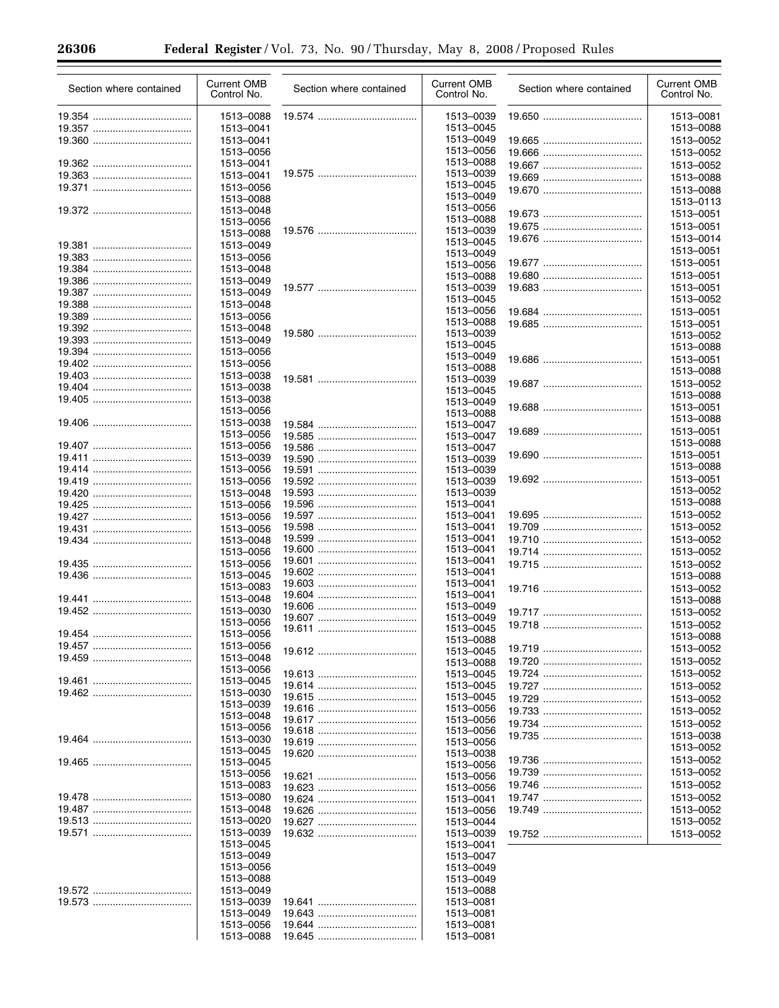| Section where contained | <b>Current OMB</b><br>Control No. | Section where contained | <b>Current OMB</b><br>Control No. | Section where contained | <b>Current OMB</b><br>Control No. |
|-------------------------|-----------------------------------|-------------------------|-----------------------------------|-------------------------|-----------------------------------|
|                         | 1513-0088                         |                         | 1513-0039                         |                         | 1513-0081                         |
|                         | 1513-0041                         |                         | 1513-0045                         |                         | 1513-0088                         |
|                         | 1513-0041                         |                         | 1513-0049                         |                         | 1513-0052                         |
|                         | 1513-0056                         |                         | 1513-0056                         |                         | 1513-0052                         |
|                         | 1513-0041                         |                         | 1513-0088                         |                         | 1513-0052                         |
|                         | 1513-0041                         |                         | 1513-0039<br>1513-0045            |                         | 1513-0088                         |
|                         | 1513-0056                         |                         | 1513-0049                         |                         | 1513-0088                         |
|                         | 1513-0088<br>1513-0048            |                         | 1513-0056                         |                         | 1513-0113                         |
|                         | 1513-0056                         |                         | 1513-0088                         |                         | 1513-0051                         |
|                         | 1513-0088                         |                         | 1513-0039                         |                         | 1513-0051                         |
|                         | 1513-0049                         |                         | 1513-0045                         |                         | 1513-0014                         |
|                         | 1513-0056                         |                         | 1513-0049                         |                         | 1513-0051                         |
|                         | 1513-0048                         |                         | 1513-0056                         |                         | 1513-0051                         |
|                         | 1513-0049                         |                         | 1513-0088                         |                         | 1513-0051                         |
|                         | 1513-0049                         |                         | 1513-0039                         |                         | 1513-0051                         |
|                         | 1513-0048                         |                         | 1513-0045                         |                         | 1513-0052                         |
|                         | 1513-0056                         |                         | 1513-0056<br>1513-0088            |                         | 1513-0051                         |
|                         | 1513-0048                         |                         | 1513-0039                         |                         | 1513-0051                         |
|                         | 1513-0049                         |                         | 1513-0045                         |                         | 1513-0052                         |
|                         | 1513-0056                         |                         | 1513-0049                         |                         | 1513-0088                         |
|                         | 1513-0056                         |                         | 1513-0088                         |                         | 1513-0051<br>1513-0088            |
|                         | 1513-0038                         |                         | 1513-0039                         |                         | 1513-0052                         |
|                         | 1513-0038                         |                         | 1513-0045                         |                         | 1513-0088                         |
|                         | 1513-0038                         |                         | 1513-0049                         |                         | 1513-0051                         |
|                         | 1513-0056                         |                         | 1513-0088                         |                         | 1513-0088                         |
|                         | 1513-0038                         |                         | 1513-0047                         |                         | 1513-0051                         |
|                         | 1513-0056                         |                         | 1513-0047                         |                         | 1513-0088                         |
|                         | 1513-0056<br>1513-0039            |                         | 1513-0047                         |                         | 1513-0051                         |
|                         | 1513-0056                         |                         | 1513-0039                         |                         | 1513-0088                         |
|                         | 1513-0056                         |                         | 1513-0039<br>1513-0039            |                         | 1513-0051                         |
|                         | 1513-0048                         |                         | 1513-0039                         |                         | 1513-0052                         |
|                         | 1513-0056                         |                         | 1513-0041                         |                         | 1513-0088                         |
|                         | 1513-0056                         |                         | 1513-0041                         |                         | 1513-0052                         |
|                         | 1513-0056                         |                         | 1513-0041                         |                         | 1513-0052                         |
|                         | 1513-0048                         |                         | 1513-0041                         |                         | 1513-0052                         |
|                         | 1513-0056                         |                         | 1513-0041                         |                         | 1513-0052                         |
|                         | 1513-0056                         |                         | 1513-0041                         |                         | 1513-0052                         |
|                         | 1513-0045                         |                         | 1513-0041                         |                         | 1513-0088                         |
|                         | 1513-0083                         |                         | 1513-0041<br>1513-0041            |                         | 1513-0052                         |
|                         | 1513-0048                         |                         | 1513-0049                         |                         | 1513-0088                         |
|                         | 1513-0030                         |                         | 1513-0049                         |                         | 1513-0052                         |
|                         | 1513-0056                         |                         | 1513-0045                         |                         | 1513-0052                         |
|                         | 1513-0056                         |                         | 1513-0088                         |                         | 1513-0088                         |
|                         | 1513-0056                         |                         | 1513-0045                         |                         | 1513-0052                         |
|                         | 1513-0048<br>1513-0056            |                         | 1513-0088                         |                         | 1513-0052                         |
|                         | 1513-0045                         |                         | 1513-0045                         |                         | 1513-0052                         |
|                         | 1513-0030                         |                         | 1513-0045                         |                         | 1513-0052                         |
|                         | 1513-0039                         |                         | 1513-0045                         |                         | 1513-0052                         |
|                         | 1513-0048                         |                         | 1513-0056<br>1513-0056            |                         | 1513-0052                         |
|                         | 1513-0056                         |                         | 1513-0056                         |                         | 1513-0052                         |
|                         | 1513-0030                         |                         | 1513-0056                         |                         | 1513-0038                         |
|                         | 1513-0045                         |                         | 1513-0038                         |                         | 1513-0052                         |
|                         | 1513-0045                         |                         | 1513-0056                         |                         | 1513-0052                         |
|                         | 1513-0056                         |                         | 1513-0056                         |                         | 1513-0052                         |
|                         | 1513-0083                         |                         | 1513-0056                         |                         | 1513-0052                         |
|                         | 1513-0080                         |                         | 1513-0041                         |                         | 1513-0052                         |
|                         | 1513-0048                         |                         | 1513-0056                         |                         | 1513-0052                         |
|                         | 1513-0020                         |                         | 1513-0044                         |                         | 1513-0052                         |
|                         | 1513-0039                         |                         | 1513-0039                         |                         | 1513-0052                         |
|                         | 1513-0045<br>1513-0049            |                         | 1513-0041<br>1513-0047            |                         |                                   |
|                         | 1513-0056                         |                         | 1513-0049                         |                         |                                   |
|                         | 1513-0088                         |                         | 1513-0049                         |                         |                                   |
|                         | 1513-0049                         |                         | 1513-0088                         |                         |                                   |
|                         | 1513-0039                         |                         | 1513-0081                         |                         |                                   |
|                         | 1513-0049                         |                         | 1513-0081                         |                         |                                   |
|                         | 1513-0056                         |                         | 1513-0081                         |                         |                                   |
|                         | 1513-0088                         |                         | 1513-0081                         |                         |                                   |